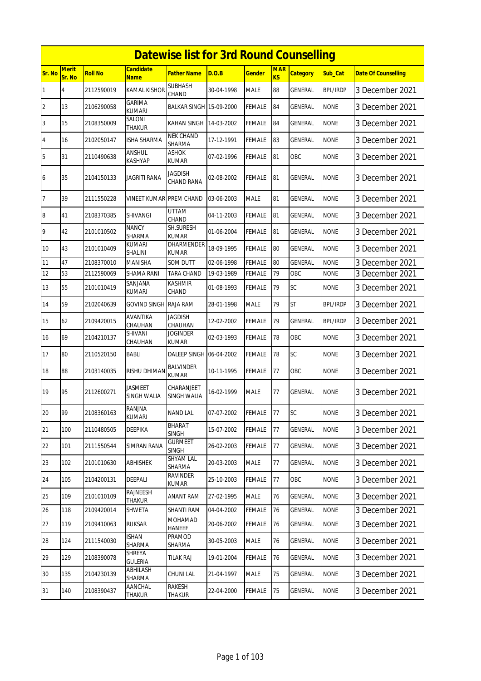|                |                        |                |                                | <b>Datewise list for 3rd Round Counselling</b> |            |               |                  |                 |                 |                            |
|----------------|------------------------|----------------|--------------------------------|------------------------------------------------|------------|---------------|------------------|-----------------|-----------------|----------------------------|
| <b>Sr. No</b>  | <b>Merit</b><br>Sr. No | <b>Roll No</b> | Candidate<br><b>Name</b>       | <b>Father Name</b>                             | D.O.B      | <b>Gender</b> | <b>MAR</b><br>KS | <b>Category</b> | Sub Cat         | <b>Date Of Counselling</b> |
| 1              | 4                      | 2112590019     | <b>KAMAL KISHOR</b>            | <b>SUBHASH</b><br>CHAND                        | 30-04-1998 | <b>MALE</b>   | 88               | GENERAL         | <b>BPL/IRDP</b> | 3 December 2021            |
| $\overline{2}$ | 13                     | 2106290058     | GARIMA<br><b>KUMARI</b>        | BALKAR SINGH 15-09-2000                        |            | <b>FEMALE</b> | 84               | GENERAL         | <b>NONE</b>     | 3 December 2021            |
| 3              | 15                     | 2108350009     | SALONI<br>THAKUR               | <b>KAHAN SINGH</b>                             | 14-03-2002 | <b>FEMALE</b> | 84               | GENERAL         | <b>NONE</b>     | 3 December 2021            |
| $\overline{4}$ | 16                     | 2102050147     | <b>ISHA SHARMA</b>             | <b>NEK CHAND</b><br><b>SHARMA</b>              | 17-12-1991 | <b>FEMALE</b> | 83               | <b>GENERAL</b>  | <b>NONE</b>     | 3 December 2021            |
| 5              | 31                     | 2110490638     | ANSHUL<br>KASHYAP              | <b>ASHOK</b><br>KUMAR                          | 07-02-1996 | FEMALE        | 81               | OBC             | <b>NONE</b>     | 3 December 2021            |
| 6              | 35                     | 2104150133     | JAGRITI RANA                   | JAGDISH<br><b>CHAND RANA</b>                   | 02-08-2002 | FEMALE        | 81               | <b>GENERAL</b>  | <b>NONE</b>     | 3 December 2021            |
| $\overline{7}$ | 39                     | 2111550228     | <b>VINEET KUMAR PREM CHAND</b> |                                                | 03-06-2003 | <b>MALE</b>   | 81               | GENERAL         | <b>NONE</b>     | 3 December 2021            |
| 8              | 41                     | 2108370385     | <b>SHIVANGI</b>                | UTTAM<br>CHAND                                 | 04-11-2003 | FEMALE        | 81               | GENERAL         | <b>NONE</b>     | 3 December 2021            |
| 9              | 42                     | 2101010502     | <b>NANCY</b><br><b>SHARMA</b>  | SH.SURESH<br><b>KUMAR</b>                      | 01-06-2004 | <b>FEMALE</b> | 81               | GENERAL         | <b>NONE</b>     | 3 December 2021            |
| 10             | 43                     | 2101010409     | <b>KUMARI</b><br>SHALINI       | <b>DHARMENDER</b><br><b>KUMAR</b>              | 18-09-1995 | FEMALE        | 80               | GENERAL         | <b>NONE</b>     | 3 December 2021            |
| 11             | 47                     | 2108370010     | <b>MANISHA</b>                 | <b>SOM DUTT</b>                                | 02-06-1998 | <b>FEMALE</b> | 80               | GENERAL         | <b>NONE</b>     | 3 December 2021            |
| 12             | 53                     | 2112590069     | <b>SHAMA RANI</b>              | <b>TARA CHAND</b>                              | 19-03-1989 | <b>FEMALE</b> | 79               | OBC             | <b>NONE</b>     | 3 December 2021            |
| 13             | 55                     | 2101010419     | SANJANA<br>KUMARI              | <b>KASHMIR</b><br>CHAND                        | 01-08-1993 | <b>FEMALE</b> | 79               | SC              | <b>NONE</b>     | 3 December 2021            |
| 14             | 59                     | 2102040639     | <b>GOVIND SINGH RAJA RAM</b>   |                                                | 28-01-1998 | <b>MALE</b>   | 79               | <b>ST</b>       | <b>BPL/IRDP</b> | 3 December 2021            |
| 15             | 62                     | 2109420015     | AVANTIKA<br>CHAUHAN            | JAGDISH<br>CHAUHAN                             | 12-02-2002 | <b>FEMALE</b> | 79               | GENERAL         | <b>BPL/IRDP</b> | 3 December 2021            |
| 16             | 69                     | 2104210137     | SHIVANI<br>CHAUHAN             | <b>JOGINDER</b><br><b>KUMAR</b>                | 02-03-1993 | <b>FEMALE</b> | 78               | OBC             | <b>NONE</b>     | 3 December 2021            |
| 17             | 80                     | 2110520150     | <b>BABLI</b>                   | DALEEP SINGH 06-04-2002                        |            | <b>FEMALE</b> | 78               | SC              | <b>NONE</b>     | 3 December 2021            |
| 18             | 88                     | 2103140035     | RISHU DHIMAN                   | <b>BALVINDER</b><br><b>KUMAR</b>               | 10-11-1995 | <b>FEMALE</b> | 77               | OBC             | <b>NONE</b>     | 3 December 2021            |
| 19             | 95                     | 2112600271     | <b>JASMEET</b><br>SINGH WALIA  | CHARANJEET<br><b>SINGH WALIA</b>               | 16-02-1999 | <b>MALE</b>   | 77               | <b>GENERAL</b>  | <b>NONE</b>     | 3 December 2021            |
| 20             | 99                     | 2108360163     | RANJNA<br>kumari               | <b>NAND LAL</b>                                | 07-07-2002 | <b>FEMALE</b> | 77               | <b>SC</b>       | <b>NONE</b>     | 3 December 2021            |
| 21             | 100                    | 2110480505     | DEEPIKA                        | <b>BHARAT</b><br><b>SINGH</b>                  | 15-07-2002 | <b>FEMALE</b> | $77 \,$          | <b>GENERAL</b>  | <b>NONE</b>     | 3 December 2021            |
| 22             | 101                    | 2111550544     | <b>SIMRAN RANA</b>             | <b>GURMEET</b><br>SINGH                        | 26-02-2003 | <b>FEMALE</b> | 77               | GENERAL         | <b>NONE</b>     | 3 December 2021            |
| 23             | 102                    | 2101010630     | ABHISHEK                       | <b>SHYAM LAL</b><br>SHARMA                     | 20-03-2003 | <b>MALE</b>   | 77               | GENERAL         | <b>NONE</b>     | 3 December 2021            |
| 24             | 105                    | 2104200131     | DEEPALI                        | <b>RAVINDER</b><br><b>KUMAR</b>                | 25-10-2003 | <b>FEMALE</b> | 77               | OBC             | <b>NONE</b>     | 3 December 2021            |
| 25             | 109                    | 2101010109     | <b>RAJNEESH</b><br>THAKUR      | <b>ANANT RAM</b>                               | 27-02-1995 | <b>MALE</b>   | 76               | GENERAL         | <b>NONE</b>     | 3 December 2021            |
| 26             | 118                    | 2109420014     | SHWETA                         | <b>SHANTI RAM</b>                              | 04-04-2002 | <b>FEMALE</b> | 76               | GENERAL         | <b>NONE</b>     | 3 December 2021            |
| 27             | 119                    | 2109410063     | <b>RUKSAR</b>                  | MOHAMAD<br><b>HANEEF</b>                       | 20-06-2002 | <b>FEMALE</b> | 76               | GENERAL         | <b>NONE</b>     | 3 December 2021            |
| 28             | 124                    | 2111540030     | ISHAN<br>SHARMA                | PRAMOD<br>SHARMA                               | 30-05-2003 | <b>MALE</b>   | 76               | GENERAL         | <b>NONE</b>     | 3 December 2021            |
| 29             | 129                    | 2108390078     | SHREYA<br>GULERIA              | <b>TILAK RAJ</b>                               | 19-01-2004 | <b>FEMALE</b> | 76               | GENERAL         | <b>NONE</b>     | 3 December 2021            |
| 30             | 135                    | 2104230139     | ABHILASH<br>SHARMA             | CHUNI LAL                                      | 21-04-1997 | <b>MALE</b>   | 75               | GENERAL         | <b>NONE</b>     | 3 December 2021            |
| 31             | 140                    | 2108390437     | AANCHAL<br>THAKUR              | RAKESH<br>THAKUR                               | 22-04-2000 | <b>FEMALE</b> | $75\,$           | GENERAL         | <b>NONE</b>     | 3 December 2021            |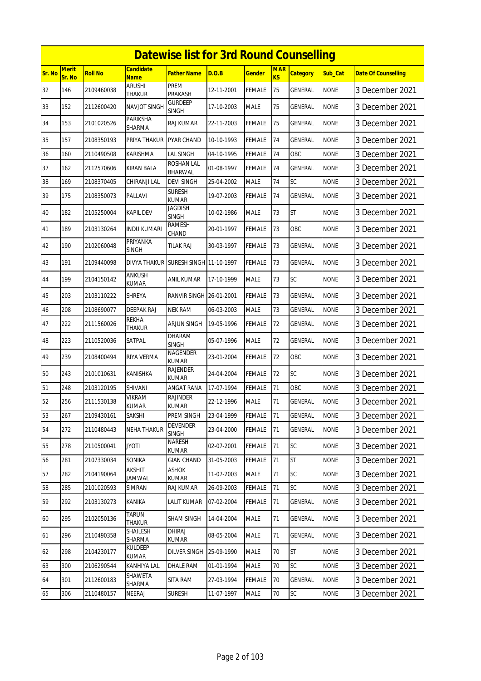|        | <b>Datewise list for 3rd Round Counselling</b><br>Candidate |                |                         |                                 |            |               |                  |                 |             |                            |  |  |
|--------|-------------------------------------------------------------|----------------|-------------------------|---------------------------------|------------|---------------|------------------|-----------------|-------------|----------------------------|--|--|
| Sr. No | <b>Merit</b><br>Sr. No                                      | <b>Roll No</b> | <b>Name</b>             | Father Name                     | D.O.B      | <b>Gender</b> | <b>MAR</b><br>KS | <b>Category</b> | Sub Cat     | <b>Date Of Counselling</b> |  |  |
| 32     | 146                                                         | 2109460038     | <b>ARUSHI</b><br>THAKUR | PREM<br>PRAKASH                 | 12-11-2001 | <b>FEMALE</b> | 75               | GENERAL         | <b>NONE</b> | 3 December 2021            |  |  |
| 33     | 152                                                         | 2112600420     | NAVJOT SINGH            | Gurdeep<br><b>SINGH</b>         | 17-10-2003 | <b>MALE</b>   | 75               | GENERAL         | <b>NONE</b> | 3 December 2021            |  |  |
| 34     | 153                                                         | 2101020526     | PARIKSHA<br>SHARMA      | RAJ KUMAR                       | 22-11-2003 | FEMALE        | 75               | GENERAL         | <b>NONE</b> | 3 December 2021            |  |  |
| 35     | 157                                                         | 2108350193     | PRIYA THAKUR            | PYAR CHAND                      | 10-10-1993 | <b>FEMALE</b> | 74               | GENERAL         | <b>NONE</b> | 3 December 2021            |  |  |
| 36     | 160                                                         | 2110490508     | KARISHMA                | LAL SINGH                       | 04-10-1995 | <b>FEMALE</b> | 74               | OBC             | <b>NONE</b> | 3 December 2021            |  |  |
| 37     | 162                                                         | 2112570606     | <b>KIRAN BALA</b>       | ROSHAN LAL<br>BHARWAL           | 01-08-1997 | <b>FEMALE</b> | 74               | GENERAL         | <b>NONE</b> | 3 December 2021            |  |  |
| 38     | 169                                                         | 2108370405     | CHIRANJI LAL            | <b>DEVI SINGH</b>               | 25-04-2002 | <b>MALE</b>   | 74               | SC              | <b>NONE</b> | 3 December 2021            |  |  |
| 39     | 175                                                         | 2108350073     | PALLAVI                 | <b>SURESH</b><br>KUMAR          | 19-07-2003 | <b>FEMALE</b> | 74               | GENERAL         | <b>NONE</b> | 3 December 2021            |  |  |
| 40     | 182                                                         | 2105250004     | <b>KAPIL DEV</b>        | Jagdish<br><b>SINGH</b>         | 10-02-1986 | <b>MALE</b>   | 73               | <b>ST</b>       | <b>NONE</b> | 3 December 2021            |  |  |
| 41     | 189                                                         | 2103130264     | INDU KUMARI             | RAMESH<br>CHAND                 | 20-01-1997 | <b>FEMALE</b> | 73               | OBC             | <b>NONE</b> | 3 December 2021            |  |  |
| 42     | 190                                                         | 2102060048     | PRIYANKA<br>SINGH       | <b>TILAK RAJ</b>                | 30-03-1997 | <b>FEMALE</b> | 73               | <b>GENERAL</b>  | <b>NONE</b> | 3 December 2021            |  |  |
| 43     | 191                                                         | 2109440098     | DIVYA THAKUR            | SURESH SINGH 11-10-1997         |            | <b>FEMALE</b> | 73               | <b>GENERAL</b>  | <b>NONE</b> | 3 December 2021            |  |  |
| 44     | 199                                                         | 2104150142     | ANKUSH<br>KUMAR         | ANIL KUMAR                      | 17-10-1999 | <b>MALE</b>   | 73               | SC              | <b>NONE</b> | 3 December 2021            |  |  |
| 45     | 203                                                         | 2103110222     | SHREYA                  | RANVIR SINGH 26-01-2001         |            | <b>FEMALE</b> | 73               | GENERAL         | <b>NONE</b> | 3 December 2021            |  |  |
| 46     | 208                                                         | 2108690077     | DEEPAK RAJ              | <b>NEK RAM</b>                  | 06-03-2003 | <b>MALE</b>   | 73               | GENERAL         | <b>NONE</b> | 3 December 2021            |  |  |
| 47     | 222                                                         | 2111560026     | REKHA<br>THAKUR         | ARJUN SINGH                     | 19-05-1996 | <b>FEMALE</b> | 72               | GENERAL         | <b>NONE</b> | 3 December 2021            |  |  |
| 48     | 223                                                         | 2110520036     | SATPAL                  | DHARAM<br><b>SINGH</b>          | 05-07-1996 | <b>MALE</b>   | 72               | GENERAL         | <b>NONE</b> | 3 December 2021            |  |  |
| 49     | 239                                                         | 2108400494     | <b>RIYA VERMA</b>       | NAGENDER<br><b>KUMAR</b>        | 23-01-2004 | <b>FEMALE</b> | 72               | OBC             | <b>NONE</b> | 3 December 2021            |  |  |
| 50     | 243                                                         | 2101010631     | KANISHKA                | RAJENDER<br>KUMAR               | 24-04-2004 | <b>FEMALE</b> | 72               | SC              | <b>NONE</b> | 3 December 2021            |  |  |
| 51     | 248                                                         | 2103120195     | <b>SHIVANI</b>          | ANGAT RANA                      | 17-07-1994 | <b>FEMALE</b> | 71               | OBC             | <b>NONE</b> | 3 December 2021            |  |  |
| 52     | 256                                                         | 2111530138     | VIKRAM<br>KUMAR         | <b>RAJINDER</b><br><b>KUMAR</b> | 22-12-1996 | <b>MALE</b>   | 71               | <b>GENERAL</b>  | <b>NONE</b> | 3 December 2021            |  |  |
| 53     | 267                                                         | 2109430161     | SAKSHI                  | PREM SINGH                      | 23-04-1999 | <b>FEMALE</b> | 71               | <b>GENERAL</b>  | <b>NONE</b> | 3 December 2021            |  |  |
| 54     | 272                                                         | 2110480443     | <b>NEHA THAKUR</b>      | <b>DEVENDER</b><br><b>SINGH</b> | 23-04-2000 | <b>FEMALE</b> | 71               | GENERAL         | <b>NONE</b> | 3 December 2021            |  |  |
| 55     | 278                                                         | 2110500041     | <b>ITOYL</b>            | NARESH<br>KUMAR                 | 02-07-2001 | <b>FEMALE</b> | 71               | <b>SC</b>       | <b>NONE</b> | 3 December 2021            |  |  |
| 56     | 281                                                         | 2107330034     | SONIKA                  | <b>GIAN CHAND</b>               | 31-05-2003 | <b>FEMALE</b> | 71               | ST              | <b>NONE</b> | 3 December 2021            |  |  |
| 57     | 282                                                         | 2104190064     | AKSHIT<br>Jamwal        | <b>ASHOK</b><br>KUMAR           | 11-07-2003 | <b>MALE</b>   | 71               | SC              | <b>NONE</b> | 3 December 2021            |  |  |
| 58     | 285                                                         | 2101020593     | simran                  | RAJ KUMAR                       | 26-09-2003 | <b>FEMALE</b> | 71               | SC              | <b>NONE</b> | 3 December 2021            |  |  |
| 59     | 292                                                         | 2103130273     | KANIKA                  | <b>LALIT KUMAR</b>              | 07-02-2004 | FEMALE        | 71               | GENERAL         | <b>NONE</b> | 3 December 2021            |  |  |
| 60     | 295                                                         | 2102050136     | TARUN<br>Thakur         | SHAM SINGH                      | 14-04-2004 | <b>MALE</b>   | 71               | <b>GENERAL</b>  | <b>NONE</b> | 3 December 2021            |  |  |
| 61     | 296                                                         | 2110490358     | SHAILESH<br>SHARMA      | DHIRAJ<br>KUMAR                 | 08-05-2004 | <b>MALE</b>   | 71               | GENERAL         | <b>NONE</b> | 3 December 2021            |  |  |
| 62     | 298                                                         | 2104230177     | Kuldeep<br>KUMAR        | <b>DILVER SINGH</b>             | 25-09-1990 | <b>MALE</b>   | 70               | ST              | <b>NONE</b> | 3 December 2021            |  |  |
| 63     | 300                                                         | 2106290544     | KANHIYA LAL             | DHALE RAM                       | 01-01-1994 | <b>MALE</b>   | 70               | SC              | <b>NONE</b> | 3 December 2021            |  |  |
| 64     | 301                                                         | 2112600183     | SHAWETA<br>SHARMA       | SITA RAM                        | 27-03-1994 | <b>FEMALE</b> | 70               | GENERAL         | <b>NONE</b> | 3 December 2021            |  |  |
| 65     | 306                                                         | 2110480157     | NEERAJ                  | SURESH                          | 11-07-1997 | <b>MALE</b>   | 70               | <b>SC</b>       | <b>NONE</b> | 3 December 2021            |  |  |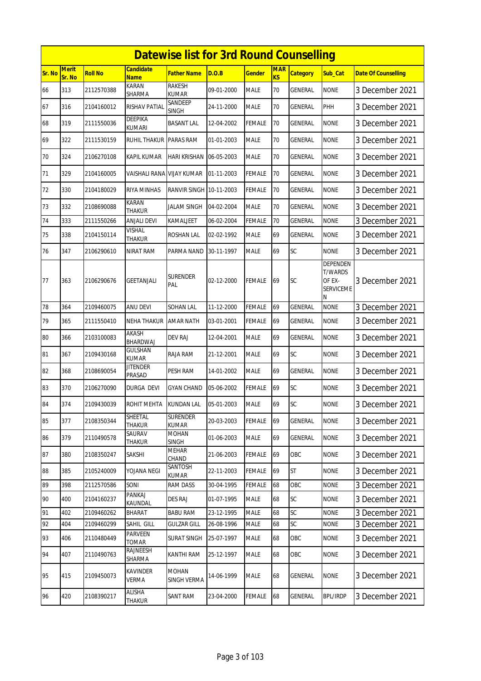|               | <b>Datewise list for 3rd Round Counselling</b> |                |                                 |                                 |            |               |                  |                 |                                                               |                            |  |
|---------------|------------------------------------------------|----------------|---------------------------------|---------------------------------|------------|---------------|------------------|-----------------|---------------------------------------------------------------|----------------------------|--|
| <b>Sr. No</b> | <b>Merit</b><br>Sr. No                         | <b>Roll No</b> | Candidate<br><b>Name</b>        | <b>Father Name</b>              | D.O.B      | <b>Gender</b> | <b>MAR</b><br>KS | <b>Category</b> | Sub Cat                                                       | <b>Date Of Counselling</b> |  |
| 66            | 313                                            | 2112570388     | KARAN<br>SHARMA                 | RAKESH<br><b>KUMAR</b>          | 09-01-2000 | <b>MALE</b>   | 70               | GENERAL         | <b>NONE</b>                                                   | 3 December 2021            |  |
| 67            | 316                                            | 2104160012     | RISHAV PATIAL                   | SANDEEP<br>SINGH                | 24-11-2000 | <b>MALE</b>   | 70               | GENERAL         | PHH                                                           | 3 December 2021            |  |
| 68            | 319                                            | 2111550036     | DEEPIKA<br>kumari               | <b>BASANT LAL</b>               | 12-04-2002 | FEMALE        | 70               | GENERAL         | <b>NONE</b>                                                   | 3 December 2021            |  |
| 69            | 322                                            | 2111530159     | <b>RUHIL THAKUR</b>             | <b>PARAS RAM</b>                | 01-01-2003 | <b>MALE</b>   | 70               | <b>GENERAL</b>  | <b>NONE</b>                                                   | 3 December 2021            |  |
| 70            | 324                                            | 2106270108     | KAPIL KUMAR                     | HARI KRISHAN                    | 06-05-2003 | MALE          | 70               | GENERAL         | <b>NONE</b>                                                   | 3 December 2021            |  |
| 71            | 329                                            | 2104160005     | VAISHALI RANA                   | <b>VIJAY KUMAR</b>              | 01-11-2003 | FEMALE        | 70               | GENERAL         | <b>NONE</b>                                                   | 3 December 2021            |  |
| 72            | 330                                            | 2104180029     | <b>RIYA MINHAS</b>              | RANVIR SINGH                    | 10-11-2003 | FEMALE        | 70               | GENERAL         | <b>NONE</b>                                                   | 3 December 2021            |  |
| 73            | 332                                            | 2108690088     | KARAN<br>THAKUR                 | JALAM SINGH                     | 04-02-2004 | <b>MALE</b>   | 70               | GENERAL         | <b>NONE</b>                                                   | 3 December 2021            |  |
| 74            | 333                                            | 2111550266     | ANJALI DEVI                     | KAMALJEET                       | 06-02-2004 | <b>FEMALE</b> | 70               | <b>GENERAL</b>  | <b>NONE</b>                                                   | 3 December 2021            |  |
| 75            | 338                                            | 2104150114     | <b>VISHAL</b><br><b>THAKUR</b>  | ROSHAN LAL                      | 02-02-1992 | <b>MALE</b>   | 69               | GENERAL         | <b>NONE</b>                                                   | 3 December 2021            |  |
| 76            | 347                                            | 2106290610     | NIRAT RAM                       | PARMA NAND                      | 30-11-1997 | <b>MALE</b>   | 69               | SC              | <b>NONE</b>                                                   | 3 December 2021            |  |
| 77            | 363                                            | 2106290676     | GEETANJALI                      | <b>SURENDER</b><br>PAL          | 02-12-2000 | FEMALE        | 69               | SC              | DEPENDEN<br><b>T/WARDS</b><br>OF EX-<br><b>SERVICEME</b><br>Ν | 3 December 2021            |  |
| 78            | 364                                            | 2109460075     | ANU DEVI                        | SOHAN LAL                       | 11-12-2000 | FEMALE        | 69               | GENERAL         | <b>NONE</b>                                                   | 3 December 2021            |  |
| 79            | 365                                            | 2111550410     | NEHA THAKUR                     | <b>AMAR NATH</b>                | 03-01-2001 | FEMALE        | 69               | GENERAL         | <b>NONE</b>                                                   | 3 December 2021            |  |
| 80            | 366                                            | 2103100083     | AKASH<br>BHARDWAJ               | <b>DEV RAJ</b>                  | 12-04-2001 | <b>MALE</b>   | 69               | GENERAL         | <b>NONE</b>                                                   | 3 December 2021            |  |
| 81            | 367                                            | 2109430168     | GULSHAN<br>KUMAR                | RAJA RAM                        | 21-12-2001 | <b>MALE</b>   | 69               | SC              | <b>NONE</b>                                                   | 3 December 2021            |  |
| 82            | 368                                            | 2108690054     | <b>JITENDER</b><br>Prasad       | PESH RAM                        | 14-01-2002 | <b>MALE</b>   | 69               | GENERAL         | <b>NONE</b>                                                   | 3 December 2021            |  |
| 83            | 370                                            | 2106270090     | DURGA DEVI                      | GYAN CHAND                      | 05-06-2002 | FEMALE        | 69               | SC              | <b>NONE</b>                                                   | 3 December 2021            |  |
| 84            | 374                                            | 2109430039     | ROHIT MEHTA                     | <b>KUNDAN LAL</b>               | 05-01-2003 | <b>MALE</b>   | 69               | SC              | <b>NONE</b>                                                   | 3 December 2021            |  |
| 85            | 377                                            | 2108350344     | SHEETAL<br>THAKUR               | <b>SURENDER</b><br><b>KUMAR</b> | 20-03-2003 | FEMALE        | 69               | GENERAL         | <b>NONE</b>                                                   | 3 December 2021            |  |
| 86            | 379                                            | 2110490578     | SAURAV<br>THAKUR                | <b>MOHAN</b><br><b>SINGH</b>    | 01-06-2003 | <b>MALE</b>   | 69               | GENERAL         | <b>NONE</b>                                                   | 3 December 2021            |  |
| 87            | 380                                            | 2108350247     | SAKSHI                          | MEHAR<br>CHAND                  | 21-06-2003 | <b>FEMALE</b> | 69               | OBC             | <b>NONE</b>                                                   | 3 December 2021            |  |
| 88            | 385                                            | 2105240009     | YOJANA NEGI                     | SANTOSH<br><b>KUMAR</b>         | 22-11-2003 | <b>FEMALE</b> | 69               | <b>ST</b>       | <b>NONE</b>                                                   | 3 December 2021            |  |
| 89            | 398                                            | 2112570586     | SONI                            | <b>RAM DASS</b>                 | 30-04-1995 | <b>FEMALE</b> | 68               | OBC             | <b>NONE</b>                                                   | 3 December 2021            |  |
| 90            | 400                                            | 2104160237     | PANKAJ<br><b>KAUNDAL</b>        | DES RAJ                         | 01-07-1995 | <b>MALE</b>   | 68               | SC              | <b>NONE</b>                                                   | 3 December 2021            |  |
| 91            | 402                                            | 2109460262     | <b>BHARAT</b>                   | <b>BABU RAM</b>                 | 23-12-1995 | <b>MALE</b>   | 68               | SC              | <b>NONE</b>                                                   | 3 December 2021            |  |
| 92            | 404                                            | 2109460299     | SAHIL GILL                      | <b>GULZAR GILL</b>              | 26-08-1996 | <b>MALE</b>   | 68               | SC              | <b>NONE</b>                                                   | 3 December 2021            |  |
| 93            | 406                                            | 2110480449     | PARVEEN<br><b>TOMAR</b>         | <b>SURAT SINGH</b>              | 25-07-1997 | <b>MALE</b>   | 68               | OBC             | <b>NONE</b>                                                   | 3 December 2021            |  |
| 94            | 407                                            | 2110490763     | RAJNEESH<br>SHARMA              | KANTHI RAM                      | 25-12-1997 | <b>MALE</b>   | 68               | OBC             | <b>NONE</b>                                                   | 3 December 2021            |  |
| 95            | 415                                            | 2109450073     | <b>KAVINDER</b><br><b>VERMA</b> | <b>MOHAN</b><br>SINGH VERMA     | 14-06-1999 | <b>MALE</b>   | 68               | GENERAL         | <b>NONE</b>                                                   | 3 December 2021            |  |
| 96            | 420                                            | 2108390217     | ALISHA<br>THAKUR                | SANT RAM                        | 23-04-2000 | <b>FEMALE</b> | 68               | <b>GENERAL</b>  | <b>BPL/IRDP</b>                                               | 3 December 2021            |  |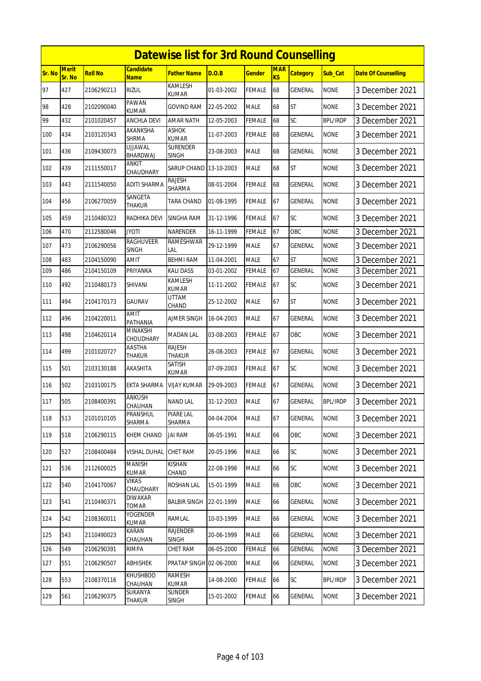|        | <b>Datewise list for 3rd Round Counselling</b> |                |                                  |                                |            |               |                  |                 |                 |                            |  |  |
|--------|------------------------------------------------|----------------|----------------------------------|--------------------------------|------------|---------------|------------------|-----------------|-----------------|----------------------------|--|--|
| Sr. No | Merit<br>Sr. No                                | <b>Roll No</b> | Candidate<br><b>Name</b>         | <b>Father Name</b>             | D.O.B      | <b>Gender</b> | <b>MAR</b><br>KS | <b>Category</b> | Sub Cat         | <b>Date Of Counselling</b> |  |  |
| 97     | 427                                            | 2106290213     | <b>RIZUL</b>                     | <b>KAMLESH</b><br><b>KUMAR</b> | 01-03-2002 | <b>FEMALE</b> | 68               | GENERAL         | <b>NONE</b>     | 3 December 2021            |  |  |
| 98     | 428                                            | 2102090040     | PAWAN<br>KUMAR                   | GOVIND RAM                     | 22-05-2002 | <b>MALE</b>   | 68               | <b>ST</b>       | <b>NONE</b>     | 3 December 2021            |  |  |
| 99     | 432                                            | 2101020457     | ANCHLA DEVI                      | <b>AMAR NATH</b>               | 12-05-2003 | FEMALE        | 68               | SC              | <b>BPL/IRDP</b> | 3 December 2021            |  |  |
| 100    | 434                                            | 2103120343     | AKANKSHA<br><b>SHRMA</b>         | <b>ASHOK</b><br><b>KUMAR</b>   | 11-07-2003 | FEMALE        | 68               | <b>GENERAL</b>  | <b>NONE</b>     | 3 December 2021            |  |  |
| 101    | 436                                            | 2109430073     | UJJAWAL<br>BHARDWAJ              | <b>SURENDER</b><br>SINGH       | 23-08-2003 | <b>MALE</b>   | 68               | GENERAL         | <b>NONE</b>     | 3 December 2021            |  |  |
| 102    | 439                                            | 2111550017     | ANKIT<br>CHAUDHARY               | <b>SARUP CHAND</b>             | 13-10-2003 | <b>MALE</b>   | 68               | <b>ST</b>       | <b>NONE</b>     | 3 December 2021            |  |  |
| 103    | 443                                            | 2111540050     | ADITI SHARMA                     | Rajesh<br>SHARMA               | 08-01-2004 | FEMALE        | 68               | GENERAL         | <b>NONE</b>     | 3 December 2021            |  |  |
| 104    | 456                                            | 2106270059     | SANGETA<br>THAKUR                | TARA CHAND                     | 01-08-1995 | FEMALE        | 67               | GENERAL         | <b>NONE</b>     | 3 December 2021            |  |  |
| 105    | 459                                            | 2110480323     | RADHIKA DEVI                     | <b>SINGHA RAM</b>              | 31-12-1996 | FEMALE        | 67               | SC              | <b>NONE</b>     | 3 December 2021            |  |  |
| 106    | 470                                            | 2112580046     | <b>JYOTI</b>                     | <b>NARENDER</b>                | 16-11-1999 | FEMALE        | 67               | OBC             | <b>NONE</b>     | 3 December 2021            |  |  |
| 107    | 473                                            | 2106290056     | <b>RAGHUVEER</b><br><b>SINGH</b> | RAMESHWAR<br>LAL               | 29-12-1999 | <b>MALE</b>   | 67               | GENERAL         | <b>NONE</b>     | 3 December 2021            |  |  |
| 108    | 483                                            | 2104150090     | AMIT                             | <b>BEHMI RAM</b>               | 11-04-2001 | <b>MALE</b>   | 67               | <b>ST</b>       | <b>NONE</b>     | 3 December 2021            |  |  |
| 109    | 486                                            | 2104150109     | PRIYANKA                         | KALI DASS                      | 03-01-2002 | <b>FEMALE</b> | 67               | <b>GENERAL</b>  | <b>NONE</b>     | 3 December 2021            |  |  |
| 110    | 492                                            | 2110480173     | SHIVANI                          | KAMLESH<br><b>KUMAR</b>        | 11-11-2002 | FEMALE        | 67               | SC              | <b>NONE</b>     | 3 December 2021            |  |  |
| 111    | 494                                            | 2104170173     | GAURAV                           | UTTAM<br>CHAND                 | 25-12-2002 | <b>MALE</b>   | 67               | <b>ST</b>       | <b>NONE</b>     | 3 December 2021            |  |  |
| 112    | 496                                            | 2104220011     | <b>AMIT</b><br>PATHANIA          | <b>AJMER SINGH</b>             | 16-04-2003 | <b>MALE</b>   | 67               | GENERAL         | <b>NONE</b>     | 3 December 2021            |  |  |
| 113    | 498                                            | 2104620114     | MINAKSHI<br>CHOUDHARY            | MADAN LAL                      | 03-08-2003 | FEMALE        | 67               | OBC             | <b>NONE</b>     | 3 December 2021            |  |  |
| 114    | 499                                            | 2101020727     | AASTHA<br>THAKUR                 | <b>RAJESH</b><br><b>THAKUR</b> | 26-08-2003 | FEMALE        | 67               | GENERAL         | <b>NONE</b>     | 3 December 2021            |  |  |
| 115    | 501                                            | 2103130188     | AKASHITA                         | <b>SATISH</b><br><b>KUMAR</b>  | 07-09-2003 | FEMALE        | 67               | SC              | <b>NONE</b>     | 3 December 2021            |  |  |
| 116    | 502                                            | 2103100175     | EKTA SHARMA                      | VIJAY KUMAR                    | 29-09-2003 | FEMALE        | 67               | GENERAL         | <b>NONE</b>     | 3 December 2021            |  |  |
| 117    | 505                                            | 2108400391     | ANKUSH<br><b>CHAUHAN</b>         | <b>NAND LAL</b>                | 31-12-2003 | <b>MALE</b>   | 67               | GENERAL         | <b>BPL/IRDP</b> | 3 December 2021            |  |  |
| 118    | 513                                            | 2101010105     | <b>PRANSHUL</b><br>SHARMA        | PIARE LAL<br>SHARMA            | 04-04-2004 | <b>MALE</b>   | 67               | GENERAL         | <b>NONE</b>     | 3 December 2021            |  |  |
| 119    | 518                                            | 2106290115     | <b>KHEM CHAND</b>                | <b>JAI RAM</b>                 | 06-05-1991 | <b>MALE</b>   | 66               | OBC             | <b>NONE</b>     | 3 December 2021            |  |  |
| 120    | 527                                            | 2108400484     | VISHAL DUHAL                     | CHET RAM                       | 20-05-1996 | <b>MALE</b>   | 66               | SC              | <b>NONE</b>     | 3 December 2021            |  |  |
| 121    | 536                                            | 2112600025     | <b>MANISH</b><br><b>KUMAR</b>    | KISHAN<br>CHAND                | 22-08-1998 | <b>MALE</b>   | 66               | SC              | <b>NONE</b>     | 3 December 2021            |  |  |
| 122    | 540                                            | 2104170067     | VIKAS<br>CHAUDHARY               | ROSHAN LAL                     | 15-01-1999 | <b>MALE</b>   | 66               | OBC             | <b>NONE</b>     | 3 December 2021            |  |  |
| 123    | 541                                            | 2110490371     | DIWAKAR<br>TOMAR                 | BALBIR SINGH                   | 22-01-1999 | <b>MALE</b>   | 66               | GENERAL         | <b>NONE</b>     | 3 December 2021            |  |  |
| 124    | 542                                            | 2108360011     | YOGENDER<br>KUMAR                | RAMLAL                         | 10-03-1999 | <b>MALE</b>   | 66               | GENERAL         | <b>NONE</b>     | 3 December 2021            |  |  |
| 125    | 543                                            | 2110490023     | KARAN<br>CHAUHAN                 | <b>RAJENDER</b><br>SINGH       | 20-06-1999 | <b>MALE</b>   | 66               | GENERAL         | <b>NONE</b>     | 3 December 2021            |  |  |
| 126    | 549                                            | 2106290391     | <b>RIMPA</b>                     | CHET RAM                       | 06-05-2000 | <b>FEMALE</b> | 66               | GENERAL         | <b>NONE</b>     | 3 December 2021            |  |  |
| 127    | 551                                            | 2106290507     | ABHISHEK                         | PRATAP SINGH 02-06-2000        |            | <b>MALE</b>   | 66               | GENERAL         | <b>NONE</b>     | 3 December 2021            |  |  |
| 128    | 553                                            | 2108370116     | KHUSHBOO<br>CHAUHAN              | RAMESH<br>kumar                | 14-08-2000 | <b>FEMALE</b> | 66               | SC              | <b>BPL/IRDP</b> | 3 December 2021            |  |  |
| 129    | 561                                            | 2106290375     | SUKANYA<br>Thakur                | SUNDER<br>SINGH                | 15-01-2002 | <b>FEMALE</b> | 66               | GENERAL         | <b>NONE</b>     | 3 December 2021            |  |  |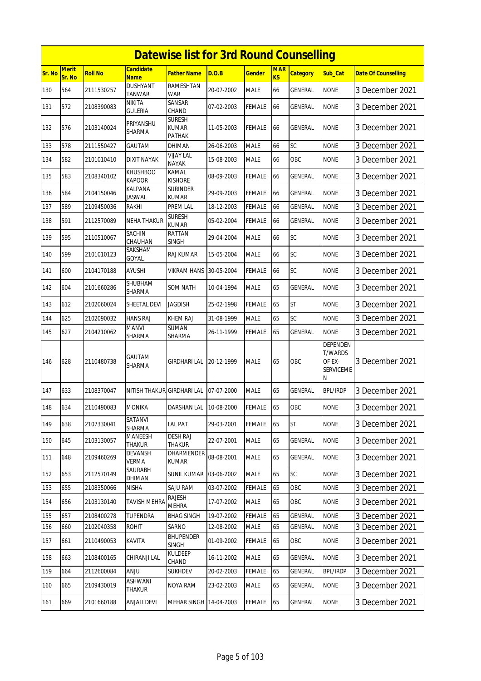|               | <b>Datewise list for 3rd Round Counselling</b> |                |                                  |                                         |            |               |                  |                 |                                                               |                            |  |  |
|---------------|------------------------------------------------|----------------|----------------------------------|-----------------------------------------|------------|---------------|------------------|-----------------|---------------------------------------------------------------|----------------------------|--|--|
| <b>Sr. No</b> | <b>Merit</b><br>Sr. No                         | <b>Roll No</b> | <b>Candidate</b><br>Name         | <b>Father Name</b>                      | D.O.B      | <b>Gender</b> | <b>MAR</b><br>KS | <b>Category</b> | Sub_Cat                                                       | <b>Date Of Counselling</b> |  |  |
| 130           | 564                                            | 2111530257     | <b>DUSHYANT</b><br>TANWAR        | <b>RAMESHTAN</b><br>WAR                 | 20-07-2002 | <b>MALE</b>   | 66               | <b>GENERAL</b>  | <b>NONE</b>                                                   | 3 December 2021            |  |  |
| 131           | 572                                            | 2108390083     | NIKITA<br>GULERIA                | SANSAR<br>CHAND                         | 07-02-2003 | <b>FEMALE</b> | 66               | GENERAL         | <b>NONE</b>                                                   | 3 December 2021            |  |  |
| 132           | 576                                            | 2103140024     | PRIYANSHU<br>SHARMA              | <b>SURESH</b><br><b>KUMAR</b><br>PATHAK | 11-05-2003 | <b>FEMALE</b> | 66               | GENERAL         | <b>NONE</b>                                                   | 3 December 2021            |  |  |
| 133           | 578                                            | 2111550427     | GAUTAM                           | DHIMAN                                  | 26-06-2003 | <b>MALE</b>   | 66               | SC              | <b>NONE</b>                                                   | 3 December 2021            |  |  |
| 134           | 582                                            | 2101010410     | <b>DIXIT NAYAK</b>               | <b>VIJAY LAL</b><br><b>NAYAK</b>        | 15-08-2003 | <b>MALE</b>   | 66               | OBC             | <b>NONE</b>                                                   | 3 December 2021            |  |  |
| 135           | 583                                            | 2108340102     | <b>KHUSHBOO</b><br><b>KAPOOR</b> | KAMAL<br><b>KISHORE</b>                 | 08-09-2003 | <b>FEMALE</b> | 66               | GENERAL         | <b>NONE</b>                                                   | 3 December 2021            |  |  |
| 136           | 584                                            | 2104150046     | KALPANA<br><b>JASWAL</b>         | <b>SURINDER</b><br><b>KUMAR</b>         | 29-09-2003 | <b>FEMALE</b> | 66               | GENERAL         | <b>NONE</b>                                                   | 3 December 2021            |  |  |
| 137           | 589                                            | 2109450036     | RAKHI                            | <b>PREM LAL</b>                         | 18-12-2003 | <b>FEMALE</b> | 66               | <b>GENERAL</b>  | <b>NONE</b>                                                   | 3 December 2021            |  |  |
| 138           | 591                                            | 2112570089     | NEHA THAKUR                      | <b>SURESH</b><br><b>KUMAR</b>           | 05-02-2004 | <b>FEMALE</b> | 66               | GENERAL         | <b>NONE</b>                                                   | 3 December 2021            |  |  |
| 139           | 595                                            | 2110510067     | SACHIN<br>CHAUHAN                | RATTAN<br><b>SINGH</b>                  | 29-04-2004 | <b>MALE</b>   | 66               | SC              | <b>NONE</b>                                                   | 3 December 2021            |  |  |
| 140           | 599                                            | 2101010123     | SAKSHAM<br>GOYAL                 | RAJ KUMAR                               | 15-05-2004 | <b>MALE</b>   | 66               | SC              | <b>NONE</b>                                                   | 3 December 2021            |  |  |
| 141           | 600                                            | 2104170188     | <b>AYUSHI</b>                    | <b>VIKRAM HANS</b>                      | 30-05-2004 | <b>FEMALE</b> | 66               | SC              | <b>NONE</b>                                                   | 3 December 2021            |  |  |
| 142           | 604                                            | 2101660286     | SHUBHAM<br>SHARMA                | SOM NATH                                | 10-04-1994 | <b>MALE</b>   | 65               | GENERAL         | <b>NONE</b>                                                   | 3 December 2021            |  |  |
| 143           | 612                                            | 2102060024     | SHEETAL DEVI                     | <b>JAGDISH</b>                          | 25-02-1998 | <b>FEMALE</b> | 65               | <b>ST</b>       | <b>NONE</b>                                                   | 3 December 2021            |  |  |
| 144           | 625                                            | 2102090032     | <b>HANS RAJ</b>                  | KHEM RAJ                                | 31-08-1999 | <b>MALE</b>   | 65               | SC              | <b>NONE</b>                                                   | 3 December 2021            |  |  |
| 145           | 627                                            | 2104210062     | <b>MANVI</b><br>SHARMA           | <b>SUMAN</b><br>SHARMA                  | 26-11-1999 | <b>FEMALE</b> | 65               | GENERAL         | <b>NONE</b>                                                   | 3 December 2021            |  |  |
| 146           | 628                                            | 2110480738     | GAUTAM<br>SHARMA                 | GIRDHARI LAL                            | 20-12-1999 | <b>MALE</b>   | 65               | OBC             | DEPENDEN<br><b>T/WARDS</b><br>OF EX-<br><b>SERVICEME</b><br>Ν | 3 December 2021            |  |  |
| 147           | 633                                            | 2108370047     | NITISH THAKUR                    | <b>GIRDHARI LAL</b>                     | 07-07-2000 | <b>MALE</b>   | 65               | GENERAL         | <b>BPL/IRDP</b>                                               | 3 December 2021            |  |  |
| 148           | 634                                            | 2110490083     | <b>MONIKA</b>                    | DARSHAN LAL 10-08-2000                  |            | <b>FEMALE</b> | 65               | OBC             | <b>NONE</b>                                                   | 3 December 2021            |  |  |
| 149           | 638                                            | 2107330041     | SATANVI<br>SHARMA                | <b>LAL PAT</b>                          | 29-03-2001 | FEMALE        | 65               | <b>ST</b>       | <b>NONE</b>                                                   | 3 December 2021            |  |  |
| 150           | 645                                            | 2103130057     | <b>MANEESH</b><br><b>THAKUR</b>  | <b>DESH RAJ</b><br><b>THAKUR</b>        | 22-07-2001 | <b>MALE</b>   | 65               | <b>GENERAL</b>  | <b>NONE</b>                                                   | 3 December 2021            |  |  |
| 151           | 648                                            | 2109460269     | DEVANSH<br><b>VERMA</b>          | <b>DHARMENDER</b><br>KUMAR              | 08-08-2001 | <b>MALE</b>   | 65               | GENERAL         | <b>NONE</b>                                                   | 3 December 2021            |  |  |
| 152           | 653                                            | 2112570149     | SAURABH<br>DHIMAN                | <b>SUNIL KUMAR 03-06-2002</b>           |            | <b>MALE</b>   | 65               | <b>SC</b>       | <b>NONE</b>                                                   | 3 December 2021            |  |  |
| 153           | 655                                            | 2108350066     | <b>NISHA</b>                     | SAJU RAM                                | 03-07-2002 | <b>FEMALE</b> | 65               | OBC             | <b>NONE</b>                                                   | 3 December 2021            |  |  |
| 154           | 656                                            | 2103130140     | <b>TAVISH MEHRA</b>              | RAJESH<br>MEHRA                         | 17-07-2002 | <b>MALE</b>   | 65               | OBC             | <b>NONE</b>                                                   | 3 December 2021            |  |  |
| 155           | 657                                            | 2108400278     | TUPENDRA                         | <b>BHAG SINGH</b>                       | 19-07-2002 | <b>FEMALE</b> | 65               | GENERAL         | <b>NONE</b>                                                   | 3 December 2021            |  |  |
| 156           | 660                                            | 2102040358     | <b>ROHIT</b>                     | SARNO                                   | 12-08-2002 | <b>MALE</b>   | 65               | <b>GENERAL</b>  | <b>NONE</b>                                                   | 3 December 2021            |  |  |
| 157           | 661                                            | 2110490053     | KAVITA                           | <b>BHUPENDER</b><br>SINGH               | 01-09-2002 | <b>FEMALE</b> | 65               | OBC             | <b>NONE</b>                                                   | 3 December 2021            |  |  |
| 158           | 663                                            | 2108400165     | CHIRANJI LAL                     | KULDEEP<br>CHAND                        | 16-11-2002 | <b>MALE</b>   | 65               | GENERAL         | <b>NONE</b>                                                   | 3 December 2021            |  |  |
| 159           | 664                                            | 2112600084     | anju                             | <b>SUKHDEV</b>                          | 20-02-2003 | <b>FEMALE</b> | 65               | GENERAL         | <b>BPL/IRDP</b>                                               | 3 December 2021            |  |  |
| 160           | 665                                            | 2109430019     | ASHWANI<br>Thakur                | NOYA RAM                                | 23-02-2003 | <b>MALE</b>   | 65               | GENERAL         | <b>NONE</b>                                                   | 3 December 2021            |  |  |
| 161           | 669                                            | 2101660188     | ANJALI DEVI                      | MEHAR SINGH 14-04-2003                  |            | <b>FEMALE</b> | 65               | GENERAL         | <b>NONE</b>                                                   | 3 December 2021            |  |  |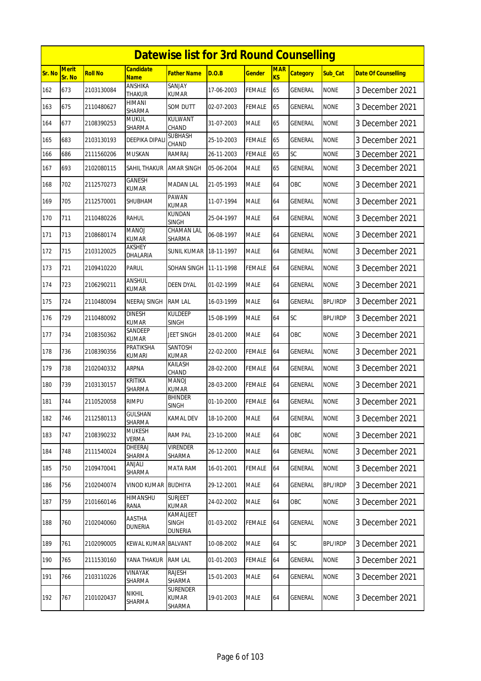|        | <b>Datewise list for 3rd Round Counselling</b> |                |                               |                                             |            |               |                  |                 |                 |                            |  |  |
|--------|------------------------------------------------|----------------|-------------------------------|---------------------------------------------|------------|---------------|------------------|-----------------|-----------------|----------------------------|--|--|
| Sr. No | <b>Merit</b><br>Sr. No                         | <b>Roll No</b> | Candidate<br><b>Name</b>      | <b>Father Name</b>                          | D.O.B      | <b>Gender</b> | <b>MAR</b><br>KS | <b>Category</b> | Sub_Cat         | <b>Date Of Counselling</b> |  |  |
| 162    | 673                                            | 2103130084     | ANSHIKA<br><b>THAKUR</b>      | SANJAY<br>KUMAR                             | 17-06-2003 | FEMALE        | 65               | GENERAL         | <b>NONE</b>     | 3 December 2021            |  |  |
| 163    | 675                                            | 2110480627     | HIMANI<br>SHARMA              | som dutt                                    | 02-07-2003 | <b>FEMALE</b> | 65               | GENERAL         | <b>NONE</b>     | 3 December 2021            |  |  |
| 164    | 677                                            | 2108390253     | <b>MUKUL</b><br>SHARMA        | KULWANT<br>CHAND                            | 31-07-2003 | <b>MALE</b>   | 65               | GENERAL         | <b>NONE</b>     | 3 December 2021            |  |  |
| 165    | 683                                            | 2103130193     | DEEPIKA DIPAL                 | SUBHASH<br>CHAND                            | 25-10-2003 | <b>FEMALE</b> | 65               | GENERAL         | <b>NONE</b>     | 3 December 2021            |  |  |
| 166    | 686                                            | 2111560206     | <b>MUSKAN</b>                 | RAMRAJ                                      | 26-11-2003 | <b>FEMALE</b> | 65               | SC              | <b>NONE</b>     | 3 December 2021            |  |  |
| 167    | 693                                            | 2102080115     | SAHIL THAKUR                  | <b>AMAR SINGH</b>                           | 05-06-2004 | <b>MALE</b>   | 65               | GENERAL         | <b>NONE</b>     | 3 December 2021            |  |  |
| 168    | 702                                            | 2112570273     | GANESH<br>KUMAR               | MADAN LAL                                   | 21-05-1993 | <b>MALE</b>   | 64               | OBC             | <b>NONE</b>     | 3 December 2021            |  |  |
| 169    | 705                                            | 2112570001     | SHUBHAM                       | PAWAN<br><b>KUMAR</b>                       | 11-07-1994 | <b>MALE</b>   | 64               | <b>GENERAL</b>  | <b>NONE</b>     | 3 December 2021            |  |  |
| 170    | 711                                            | 2110480226     | RAHUL                         | KUNDAN<br><b>SINGH</b>                      | 25-04-1997 | <b>MALE</b>   | 64               | GENERAL         | <b>NONE</b>     | 3 December 2021            |  |  |
| 171    | 713                                            | 2108680174     | MANOJ<br>KUMAR                | CHAMAN LAL<br>SHARMA                        | 06-08-1997 | <b>MALE</b>   | 64               | <b>GENERAL</b>  | <b>NONE</b>     | 3 December 2021            |  |  |
| 172    | 715                                            | 2103120025     | AKSHEY<br>DHALARIA            | SUNIL KUMAR                                 | 18-11-1997 | <b>MALE</b>   | 64               | GENERAL         | <b>NONE</b>     | 3 December 2021            |  |  |
| 173    | 721                                            | 2109410220     | PARUL                         | SOHAN SINGH                                 | 11-11-1998 | FEMALE        | 64               | GENERAL         | <b>NONE</b>     | 3 December 2021            |  |  |
| 174    | 723                                            | 2106290211     | ANSHUL<br><b>KUMAR</b>        | <b>DEEN DYAL</b>                            | 01-02-1999 | <b>MALE</b>   | 64               | GENERAL         | <b>NONE</b>     | 3 December 2021            |  |  |
| 175    | 724                                            | 2110480094     | NEERAJ SINGH                  | <b>RAM LAL</b>                              | 16-03-1999 | <b>MALE</b>   | 64               | GENERAL         | <b>BPL/IRDP</b> | 3 December 2021            |  |  |
| 176    | 729                                            | 2110480092     | <b>DINESH</b><br><b>KUMAR</b> | KULDEEP<br>SINGH                            | 15-08-1999 | <b>MALE</b>   | 64               | SC              | <b>BPL/IRDP</b> | 3 December 2021            |  |  |
| 177    | 734                                            | 2108350362     | SANDEEP<br>KUMAR              | JEET SINGH                                  | 28-01-2000 | <b>MALE</b>   | 64               | OBC             | <b>NONE</b>     | 3 December 2021            |  |  |
| 178    | 736                                            | 2108390356     | PRATIKSHA<br>KUMARI           | SANTOSH<br><b>KUMAR</b>                     | 22-02-2000 | FEMALE        | 64               | GENERAL         | <b>NONE</b>     | 3 December 2021            |  |  |
| 179    | 738                                            | 2102040332     | <b>ARPNA</b>                  | KAILASH<br>CHAND                            | 28-02-2000 | <b>FEMALE</b> | 64               | GENERAL         | <b>NONE</b>     | 3 December 2021            |  |  |
| 180    | 739                                            | 2103130157     | KRITIKA<br>SHARMA             | MANOJ<br>kumar                              | 28-03-2000 | FEMALE        | 64               | <b>GENERAL</b>  | <b>NONE</b>     | 3 December 2021            |  |  |
| 181    | 744                                            | 2110520058     | <b>RIMPU</b>                  | <b>BHINDER</b><br><b>SINGH</b>              | 01-10-2000 | <b>FEMALE</b> | 64               | <b>GENERAL</b>  | <b>NONE</b>     | 3 December 2021            |  |  |
| 182    | 746                                            | 2112580113     | <b>GULSHAN</b><br>SHARMA      | KAMAL DEV                                   | 18-10-2000 | <b>MALE</b>   | 64               | GENERAL         | <b>NONE</b>     | 3 December 2021            |  |  |
| 183    | 747                                            | 2108390232     | <b>MUKESH</b><br>VERMA        | <b>RAM PAL</b>                              | 23-10-2000 | <b>MALE</b>   | 64               | OBC             | <b>NONE</b>     | 3 December 2021            |  |  |
| 184    | 748                                            | 2111540024     | DHEERAJ<br>SHARMA             | Virender<br>SHARMA                          | 26-12-2000 | <b>MALE</b>   | 64               | GENERAL         | <b>NONE</b>     | 3 December 2021            |  |  |
| 185    | 750                                            | 2109470041     | ANJALI<br>SHARMA              | MATA RAM                                    | 16-01-2001 | <b>FEMALE</b> | 64               | GENERAL         | <b>NONE</b>     | 3 December 2021            |  |  |
| 186    | 756                                            | 2102040074     | VINOD KUMAR                   | <b>BUDHIYA</b>                              | 29-12-2001 | <b>MALE</b>   | 64               | GENERAL         | <b>BPL/IRDP</b> | 3 December 2021            |  |  |
| 187    | 759                                            | 2101660146     | HIMANSHU<br>rana              | <b>SURJEET</b><br>KUMAR                     | 24-02-2002 | MALE          | 64               | OBC             | <b>NONE</b>     | 3 December 2021            |  |  |
| 188    | 760                                            | 2102040060     | AASTHA<br>DUNERIA             | KAMALJEET<br><b>SINGH</b><br><b>DUNERIA</b> | 01-03-2002 | FEMALE        | 64               | GENERAL         | <b>NONE</b>     | 3 December 2021            |  |  |
| 189    | 761                                            | 2102090005     | KEWAL KUMAR BALVANT           |                                             | 10-08-2002 | <b>MALE</b>   | 64               | SC              | BPL/IRDP        | 3 December 2021            |  |  |
| 190    | 765                                            | 2111530160     | YANA THAKUR                   | <b>RAM LAL</b>                              | 01-01-2003 | <b>FEMALE</b> | 64               | GENERAL         | <b>NONE</b>     | 3 December 2021            |  |  |
| 191    | 766                                            | 2103110226     | VINAYAK<br>SHARMA             | RAJESH<br>SHARMA                            | 15-01-2003 | <b>MALE</b>   | 64               | GENERAL         | <b>NONE</b>     | 3 December 2021            |  |  |
| 192    | 767                                            | 2101020437     | <b>NIKHIL</b><br>SHARMA       | SURENDER<br>kumar<br>SHARMA                 | 19-01-2003 | <b>MALE</b>   | 64               | GENERAL         | <b>NONE</b>     | 3 December 2021            |  |  |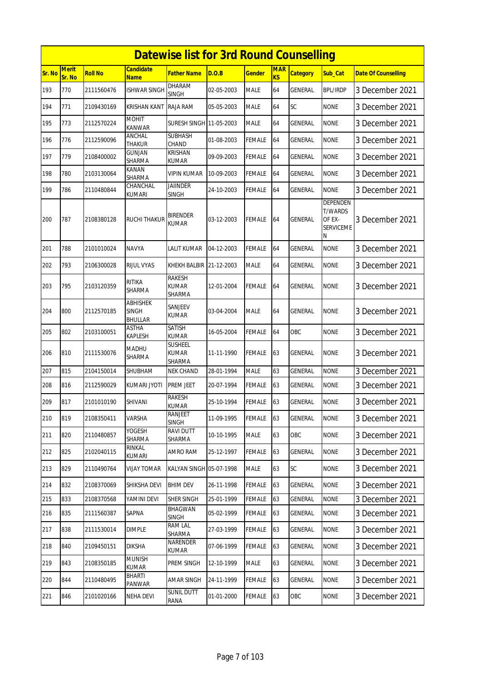|        | <b>Datewise list for 3rd Round Counselling</b> |                |                                            |                                         |            |               |                  |                 |                                                                      |                            |  |  |
|--------|------------------------------------------------|----------------|--------------------------------------------|-----------------------------------------|------------|---------------|------------------|-----------------|----------------------------------------------------------------------|----------------------------|--|--|
| Sr. No | <b>Merit</b><br>Sr. No                         | <b>Roll No</b> | <b>Candidate</b><br><b>Name</b>            | Father Name                             | D.O.B      | Gender        | <b>MAR</b><br>KS | <b>Category</b> | Sub_Cat                                                              | <b>Date Of Counselling</b> |  |  |
| 193    | 770                                            | 2111560476     | <b>ISHWAR SINGH</b>                        | <b>DHARAM</b><br><b>SINGH</b>           | 02-05-2003 | <b>MALE</b>   | 64               | GENERAL         | <b>BPL/IRDP</b>                                                      | 3 December 2021            |  |  |
| 194    | 771                                            | 2109430169     | KRISHAN KANT                               | RAJA RAM                                | 05-05-2003 | <b>MALE</b>   | 64               | SC              | <b>NONE</b>                                                          | 3 December 2021            |  |  |
| 195    | 773                                            | 2112570224     | <b>MOHIT</b><br>KANWAR                     | <b>SURESH SINGH 11-05-2003</b>          |            | <b>MALE</b>   | 64               | GENERAL         | <b>NONE</b>                                                          | 3 December 2021            |  |  |
| 196    | 776                                            | 2112590096     | ANCHAL<br><b>THAKUR</b>                    | <b>SUBHASH</b><br>CHAND                 | 01-08-2003 | <b>FEMALE</b> | 64               | GENERAL         | <b>NONE</b>                                                          | 3 December 2021            |  |  |
| 197    | 779                                            | 2108400002     | GUNJAN<br>SHARMA                           | <b>KRISHAN</b><br>KUMAR                 | 09-09-2003 | FEMALE        | 64               | GENERAL         | <b>NONE</b>                                                          | 3 December 2021            |  |  |
| 198    | 780                                            | 2103130064     | KANAN<br>SHARMA                            | VIPIN KUMAR                             | 10-09-2003 | <b>FEMALE</b> | 64               | GENERAL         | <b>NONE</b>                                                          | 3 December 2021            |  |  |
| 199    | 786                                            | 2110480844     | CHANCHAL<br>kumari                         | <b>JAIINDER</b><br>SINGH                | 24-10-2003 | <b>FEMALE</b> | 64               | GENERAL         | <b>NONE</b>                                                          | 3 December 2021            |  |  |
| 200    | 787                                            | 2108380128     | RUCHI THAKUR                               | <b>BIRENDER</b><br><b>KUMAR</b>         | 03-12-2003 | <b>FEMALE</b> | 64               | <b>GENERAL</b>  | <b>DEPENDEN</b><br><b>T/WARDS</b><br>OF EX-<br><b>SERVICEME</b><br>N | 3 December 2021            |  |  |
| 201    | 788                                            | 2101010024     | NAVYA                                      | LALIT KUMAR                             | 04-12-2003 | <b>FEMALE</b> | 64               | GENERAL         | <b>NONE</b>                                                          | 3 December 2021            |  |  |
| 202    | 793                                            | 2106300028     | <b>RIJUL VYAS</b>                          | KHEKH BALBIR 21-12-2003                 |            | <b>MALE</b>   | 64               | <b>GENERAL</b>  | <b>NONE</b>                                                          | 3 December 2021            |  |  |
| 203    | 795                                            | 2103120359     | RITIKA<br>SHARMA                           | <b>RAKESH</b><br><b>KUMAR</b><br>SHARMA | 12-01-2004 | <b>FEMALE</b> | 64               | GENERAL         | <b>NONE</b>                                                          | 3 December 2021            |  |  |
| 204    | 800                                            | 2112570185     | <b>ABHISHEK</b><br>SINGH<br><b>BHULLAR</b> | SANJEEV<br><b>KUMAR</b>                 | 03-04-2004 | <b>MALE</b>   | 64               | GENERAL         | <b>NONE</b>                                                          | 3 December 2021            |  |  |
| 205    | 802                                            | 2103100051     | ASTHA<br>KAPLESH                           | SATISH<br>KUMAR                         | 16-05-2004 | <b>FEMALE</b> | 64               | OBC             | <b>NONE</b>                                                          | 3 December 2021            |  |  |
| 206    | 810                                            | 2111530076     | MADHU<br><b>SHARMA</b>                     | <b>SUSHEEL</b><br>KUMAR<br>SHARMA       | 11-11-1990 | <b>FEMALE</b> | 63               | <b>GENERAL</b>  | <b>NONE</b>                                                          | 3 December 2021            |  |  |
| 207    | 815                                            | 2104150014     | SHUBHAM                                    | NEK CHAND                               | 28-01-1994 | <b>MALE</b>   | 63               | <b>GENERAL</b>  | <b>NONE</b>                                                          | 3 December 2021            |  |  |
| 208    | 816                                            | 2112590029     | KUMARI JYOTI                               | PREM JEET                               | 20-07-1994 | FEMALE        | 63               | <b>GENERAL</b>  | <b>NONE</b>                                                          | 3 December 2021            |  |  |
| 209    | 817                                            | 2101010190     | SHIVANI                                    | RAKESH<br><b>KUMAR</b>                  | 25-10-1994 | <b>FEMALE</b> | 63               | <b>GENERAL</b>  | <b>NONE</b>                                                          | 3 December 2021            |  |  |
| 210    | 819                                            | 2108350411     | VARSHA                                     | RANJEET<br><b>SINGH</b>                 | 11-09-1995 | <b>FEMALE</b> | 63               | GENERAL         | <b>NONE</b>                                                          | 3 December 2021            |  |  |
| 211    | 820                                            | 2110480857     | YOGESH<br>SHARMA                           | RAVI DUTT<br>SHARMA                     | 10-10-1995 | <b>MALE</b>   | 63               | OBC             | <b>NONE</b>                                                          | 3 December 2021            |  |  |
| 212    | 825                                            | 2102040115     | RINKAL<br>kumari                           | AMRO RAM                                | 25-12-1997 | <b>FEMALE</b> | 63               | GENERAL         | <b>NONE</b>                                                          | 3 December 2021            |  |  |
| 213    | 829                                            | 2110490764     | VIJAY TOMAR                                | KALYAN SINGH 05-07-1998                 |            | <b>MALE</b>   | 63               | <b>SC</b>       | <b>NONE</b>                                                          | 3 December 2021            |  |  |
| 214    | 832                                            | 2108370069     | SHIKSHA DEVI                               | <b>BHIM DEV</b>                         | 26-11-1998 | <b>FEMALE</b> | 63               | <b>GENERAL</b>  | <b>NONE</b>                                                          | 3 December 2021            |  |  |
| 215    | 833                                            | 2108370568     | YAMINI DEVI                                | SHER SINGH                              | 25-01-1999 | <b>FEMALE</b> | 63               | <b>GENERAL</b>  | <b>NONE</b>                                                          | 3 December 2021            |  |  |
| 216    | 835                                            | 2111560387     | SAPNA                                      | <b>BHAGWAN</b><br><b>SINGH</b>          | 05-02-1999 | <b>FEMALE</b> | 63               | <b>GENERAL</b>  | <b>NONE</b>                                                          | 3 December 2021            |  |  |
| 217    | 838                                            | 2111530014     | <b>DIMPLE</b>                              | RAM LAL<br>SHARMA                       | 27-03-1999 | <b>FEMALE</b> | 63               | GENERAL         | <b>NONE</b>                                                          | 3 December 2021            |  |  |
| 218    | 840                                            | 2109450151     | <b>DIKSHA</b>                              | NARENDER<br>KUMAR                       | 07-06-1999 | FEMALE        | 63               | <b>GENERAL</b>  | <b>NONE</b>                                                          | 3 December 2021            |  |  |
| 219    | 843                                            | 2108350185     | <b>MUNISH</b><br>KUMAR                     | PREM SINGH                              | 12-10-1999 | <b>MALE</b>   | 63               | GENERAL         | <b>NONE</b>                                                          | 3 December 2021            |  |  |
| 220    | 844                                            | 2110480495     | BHARTI<br>PANWAR                           | AMAR SINGH                              | 24-11-1999 | <b>FEMALE</b> | 63               | <b>GENERAL</b>  | <b>NONE</b>                                                          | 3 December 2021            |  |  |
| 221    | 846                                            | 2101020166     | NEHA DEVI                                  | <b>SUNIL DUTT</b><br>RANA               | 01-01-2000 | <b>FEMALE</b> | 63               | OBC             | <b>NONE</b>                                                          | 3 December 2021            |  |  |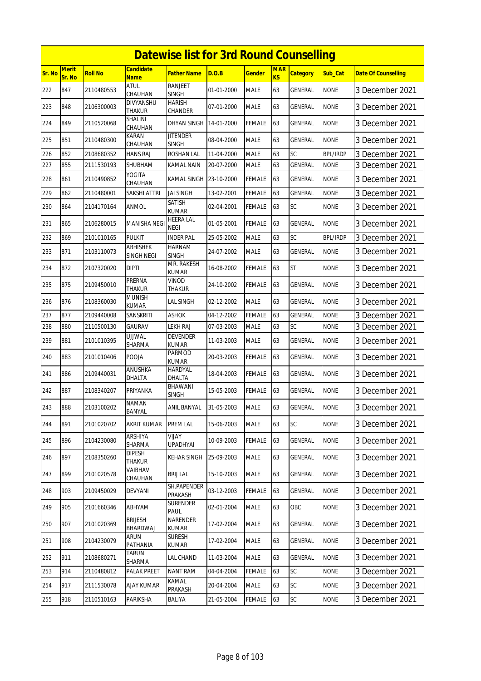|               | <b>Datewise list for 3rd Round Counselling</b> |                |                            |                                 |            |               |                  |                 |                 |                            |  |  |
|---------------|------------------------------------------------|----------------|----------------------------|---------------------------------|------------|---------------|------------------|-----------------|-----------------|----------------------------|--|--|
| <b>Sr. No</b> | <b>Merit</b><br>Sr. No                         | <b>Roll No</b> | Candidate<br><b>Name</b>   | <b>Father Name</b>              | D.O.B      | <b>Gender</b> | <b>MAR</b><br>KS | <b>Category</b> | Sub Cat         | <b>Date Of Counselling</b> |  |  |
| 222           | 847                                            | 2110480553     | <b>ATUL</b><br>CHAUHAN     | RANJEET<br><b>SINGH</b>         | 01-01-2000 | <b>MALE</b>   | 63               | GENERAL         | <b>NONE</b>     | 3 December 2021            |  |  |
| 223           | 848                                            | 2106300003     | DIVYANSHU<br>THAKUR        | HARISH<br>CHANDER               | 07-01-2000 | <b>MALE</b>   | 63               | GENERAL         | <b>NONE</b>     | 3 December 2021            |  |  |
| 224           | 849                                            | 2110520068     | SHALINI<br>CHAUHAN         | DHYAN SINGH                     | 14-01-2000 | FEMALE        | 63               | GENERAL         | <b>NONE</b>     | 3 December 2021            |  |  |
| 225           | 851                                            | 2110480300     | KARAN<br>CHAUHAN           | <b>JITENDER</b><br><b>SINGH</b> | 08-04-2000 | <b>MALE</b>   | 63               | GENERAL         | <b>NONE</b>     | 3 December 2021            |  |  |
| 226           | 852                                            | 2108680352     | HANS RAJ                   | ROSHAN LAL                      | 11-04-2000 | <b>MALE</b>   | 63               | SC              | <b>BPL/IRDP</b> | 3 December 2021            |  |  |
| 227           | 855                                            | 2111530193     | SHUBHAM                    | KAMAL NAIN                      | 20-07-2000 | <b>MALE</b>   | 63               | GENERAL         | <b>NONE</b>     | 3 December 2021            |  |  |
| 228           | 861                                            | 2110490852     | YOGITA<br>CHAUHAN          | KAMAL SINGH                     | 23-10-2000 | FEMALE        | 63               | GENERAL         | <b>NONE</b>     | 3 December 2021            |  |  |
| 229           | 862                                            | 2110480001     | SAKSHI ATTRI               | <b>JAI SINGH</b>                | 13-02-2001 | <b>FEMALE</b> | 63               | <b>GENERAL</b>  | <b>NONE</b>     | 3 December 2021            |  |  |
| 230           | 864                                            | 2104170164     | ANMOL                      | SATISH<br>KUMAR                 | 02-04-2001 | FEMALE        | 63               | SC              | <b>NONE</b>     | 3 December 2021            |  |  |
| 231           | 865                                            | 2106280015     | MANISHA NEGI               | <b>HEERA LAL</b><br>NEGI        | 01-05-2001 | FEMALE        | 63               | GENERAL         | <b>NONE</b>     | 3 December 2021            |  |  |
| 232           | 869                                            | 2101010165     | <b>PULKIT</b>              | <b>INDER PAL</b>                | 25-05-2002 | <b>MALE</b>   | 63               | SC              | <b>BPL/IRDP</b> | 3 December 2021            |  |  |
| 233           | 871                                            | 2103110073     | ABHISHEK<br>SINGH NEGI     | <b>HARNAM</b><br><b>SINGH</b>   | 24-07-2002 | <b>MALE</b>   | 63               | GENERAL         | <b>NONE</b>     | 3 December 2021            |  |  |
| 234           | 872                                            | 2107320020     | dipti                      | MR. RAKESH<br>KUMAR             | 16-08-2002 | FEMALE        | 63               | <b>ST</b>       | <b>NONE</b>     | 3 December 2021            |  |  |
| 235           | 875                                            | 2109450010     | PRERNA<br>THAKUR           | Vinod<br>THAKUR                 | 24-10-2002 | FEMALE        | 63               | GENERAL         | <b>NONE</b>     | 3 December 2021            |  |  |
| 236           | 876                                            | 2108360030     | munish<br>KUMAR            | LAL SINGH                       | 02-12-2002 | <b>MALE</b>   | 63               | GENERAL         | <b>NONE</b>     | 3 December 2021            |  |  |
| 237           | 877                                            | 2109440008     | SANSKRITI                  | <b>ASHOK</b>                    | 04-12-2002 | <b>FEMALE</b> | 63               | GENERAL         | <b>NONE</b>     | 3 December 2021            |  |  |
| 238           | 880                                            | 2110500130     | GAURAV                     | LEKH RAJ                        | 07-03-2003 | MALE          | 63               | SC              | <b>NONE</b>     | 3 December 2021            |  |  |
| 239           | 881                                            | 2101010395     | UJJWAL<br>SHARMA           | DEVENDER<br><b>KUMAR</b>        | 11-03-2003 | <b>MALE</b>   | 63               | GENERAL         | <b>NONE</b>     | 3 December 2021            |  |  |
| 240           | 883                                            | 2101010406     | POOJA                      | Parmod<br>KUMAR                 | 20-03-2003 | FEMALE        | 63               | GENERAL         | <b>NONE</b>     | 3 December 2021            |  |  |
| 241           | 886                                            | 2109440031     | ANUSHKA<br>DHALTA          | <b>HARDYAL</b><br>DHALTA        | 18-04-2003 | FEMALE        | 63               | GENERAL         | <b>NONE</b>     | 3 December 2021            |  |  |
| 242           | 887                                            | 2108340207     | PRIYANKA                   | BHAWANI<br>SINGH                | 15-05-2003 | FEMALE        | 63               | GENERAL         | <b>NONE</b>     | 3 December 2021            |  |  |
| 243           | 888                                            | 2103100202     | <b>NAMAN</b><br>BANYAL     | ANIL BANYAL                     | 31-05-2003 | <b>MALE</b>   | 63               | <b>GENERAL</b>  | <b>NONE</b>     | 3 December 2021            |  |  |
| 244           | 891                                            | 2101020702     | AKRIT KUMAR                | PREM LAL                        | 15-06-2003 | <b>MALE</b>   | 63               | SC              | <b>NONE</b>     | 3 December 2021            |  |  |
| 245           | 896                                            | 2104230080     | ARSHIYA<br>SHARMA          | <b>VIJAY</b><br><b>UPADHYAI</b> | 10-09-2003 | <b>FEMALE</b> | 63               | <b>GENERAL</b>  | <b>NONE</b>     | 3 December 2021            |  |  |
| 246           | 897                                            | 2108350260     | <b>DIPESH</b><br>THAKUR    | KEHAR SINGH                     | 25-09-2003 | <b>MALE</b>   | 63               | GENERAL         | <b>NONE</b>     | 3 December 2021            |  |  |
| 247           | 899                                            | 2101020578     | VAIBHAV<br>CHAUHAN         | <b>BRIJ LAL</b>                 | 15-10-2003 | <b>MALE</b>   | 63               | <b>GENERAL</b>  | <b>NONE</b>     | 3 December 2021            |  |  |
| 248           | 903                                            | 2109450029     | DEVYANI                    | SH.PAPENDER<br>PRAKASH          | 03-12-2003 | <b>FEMALE</b> | 63               | GENERAL         | <b>NONE</b>     | 3 December 2021            |  |  |
| 249           | 905                                            | 2101660346     | ABHYAM                     | SURENDER<br>PAUL                | 02-01-2004 | <b>MALE</b>   | 63               | OBC             | <b>NONE</b>     | 3 December 2021            |  |  |
| 250           | 907                                            | 2101020369     | <b>BRIJESH</b><br>BHARDWAJ | NARENDER<br><b>KUMAR</b>        | 17-02-2004 | <b>MALE</b>   | 63               | GENERAL         | <b>NONE</b>     | 3 December 2021            |  |  |
| 251           | 908                                            | 2104230079     | ARUN<br>PATHANIA           | SURESH<br>KUMAR                 | 17-02-2004 | MALE          | 63               | GENERAL         | <b>NONE</b>     | 3 December 2021            |  |  |
| 252           | 911                                            | 2108680271     | TARUN<br>SHARMA            | LAL CHAND                       | 11-03-2004 | <b>MALE</b>   | 63               | <b>GENERAL</b>  | <b>NONE</b>     | 3 December 2021            |  |  |
| 253           | 914                                            | 2110480812     | PALAK PREET                | <b>NANT RAM</b>                 | 04-04-2004 | <b>FEMALE</b> | 63               | SC              | <b>NONE</b>     | 3 December 2021            |  |  |
| 254           | 917                                            | 2111530078     | <b>AJAY KUMAR</b>          | KAMAL<br>PRAKASH                | 20-04-2004 | <b>MALE</b>   | 63               | SC              | <b>NONE</b>     | 3 December 2021            |  |  |
| 255           | 918                                            | 2110510163     | PARIKSHA                   | BALIYA                          | 21-05-2004 | FEMALE        | 63               | $\mathsf{SC}$   | <b>NONE</b>     | 3 December 2021            |  |  |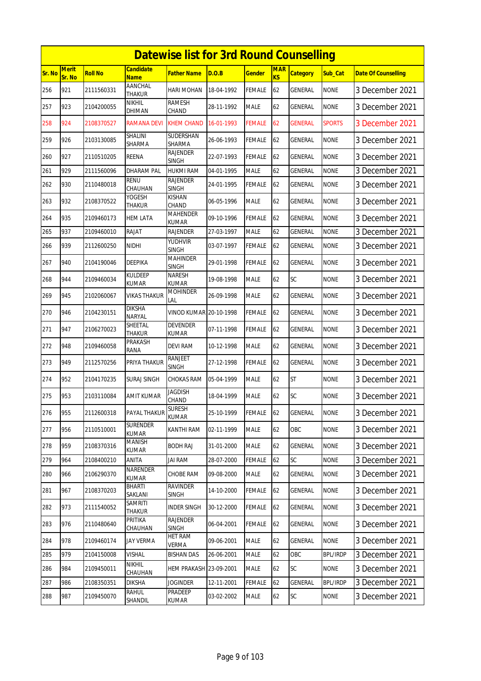|        | <b>Datewise list for 3rd Round Counselling</b><br><b>Candidate</b> |                |                                 |                                 |            |               |                         |                 |                 |                            |  |  |
|--------|--------------------------------------------------------------------|----------------|---------------------------------|---------------------------------|------------|---------------|-------------------------|-----------------|-----------------|----------------------------|--|--|
| Sr. No | <b>Merit</b><br>Sr. No                                             | <b>Roll No</b> | <b>Name</b>                     | <b>Father Name</b>              | D.O.B      | <b>Gender</b> | <b>MAR</b><br><b>KS</b> | <b>Category</b> | Sub Cat         | <b>Date Of Counselling</b> |  |  |
| 256    | 921                                                                | 2111560331     | AANCHAL<br><b>THAKUR</b>        | <b>HARI MOHAN</b>               | 18-04-1992 | <b>FEMALE</b> | 62                      | <b>GENERAL</b>  | <b>NONE</b>     | 3 December 2021            |  |  |
| 257    | 923                                                                | 2104200055     | nikhil<br>DHIMAN                | <b>RAMESH</b><br>CHAND          | 28-11-1992 | <b>MALE</b>   | 62                      | GENERAL         | <b>NONE</b>     | 3 December 2021            |  |  |
| 258    | 924                                                                | 2108370527     | RAMANA DEVI                     | <b>KHEM CHAND</b>               | 16-01-1993 | <b>FEMALE</b> | 62                      | GENERAL         | <b>SPORTS</b>   | 3 December 2021            |  |  |
| 259    | 926                                                                | 2103130085     | SHALINI<br><b>SHARMA</b>        | SUDERSHAN<br><b>SHARMA</b>      | 26-06-1993 | <b>FEMALE</b> | 62                      | <b>GENERAL</b>  | <b>NONE</b>     | 3 December 2021            |  |  |
| 260    | 927                                                                | 2110510205     | REENA                           | <b>RAJENDER</b><br><b>SINGH</b> | 22-07-1993 | <b>FEMALE</b> | 62                      | GENERAL         | <b>NONE</b>     | 3 December 2021            |  |  |
| 261    | 929                                                                | 2111560096     | <b>DHARAM PAL</b>               | <b>HUKMI RAM</b>                | 04-01-1995 | <b>MALE</b>   | 62                      | GENERAL         | <b>NONE</b>     | 3 December 2021            |  |  |
| 262    | 930                                                                | 2110480018     | <b>RENU</b><br>CHAUHAN          | <b>RAJENDER</b><br><b>SINGH</b> | 24-01-1995 | <b>FEMALE</b> | 62                      | GENERAL         | <b>NONE</b>     | 3 December 2021            |  |  |
| 263    | 932                                                                | 2108370522     | YOGESH<br>THAKUR                | <b>KISHAN</b><br>CHAND          | 06-05-1996 | <b>MALE</b>   | 62                      | GENERAL         | <b>NONE</b>     | 3 December 2021            |  |  |
| 264    | 935                                                                | 2109460173     | <b>HEM LATA</b>                 | <b>MAHENDER</b><br><b>KUMAR</b> | 09-10-1996 | <b>FEMALE</b> | 62                      | <b>GENERAL</b>  | <b>NONE</b>     | 3 December 2021            |  |  |
| 265    | 937                                                                | 2109460010     | RAJAT                           | <b>RAJENDER</b>                 | 27-03-1997 | <b>MALE</b>   | 62                      | GENERAL         | <b>NONE</b>     | 3 December 2021            |  |  |
| 266    | 939                                                                | 2112600250     | <b>NIDHI</b>                    | YUDHVIR<br><b>SINGH</b>         | 03-07-1997 | <b>FEMALE</b> | 62                      | GENERAL         | <b>NONE</b>     | 3 December 2021            |  |  |
| 267    | 940                                                                | 2104190046     | <b>DEEPIKA</b>                  | <b>MAHINDER</b><br><b>SINGH</b> | 29-01-1998 | <b>FEMALE</b> | 62                      | GENERAL         | <b>NONE</b>     | 3 December 2021            |  |  |
| 268    | 944                                                                | 2109460034     | <b>KULDEEP</b><br><b>KUMAR</b>  | <b>NARESH</b><br><b>KUMAR</b>   | 19-08-1998 | <b>MALE</b>   | 62                      | SC              | <b>NONE</b>     | 3 December 2021            |  |  |
| 269    | 945                                                                | 2102060067     | VIKAS THAKUR                    | <b>MOHINDER</b><br>lal          | 26-09-1998 | <b>MALE</b>   | 62                      | GENERAL         | <b>NONE</b>     | 3 December 2021            |  |  |
| 270    | 946                                                                | 2104230151     | <b>DIKSHA</b><br><b>NARYAL</b>  | VINOD KUMAR 20-10-1998          |            | <b>FEMALE</b> | 62                      | GENERAL         | <b>NONE</b>     | 3 December 2021            |  |  |
| 271    | 947                                                                | 2106270023     | SHEETAL<br><b>THAKUR</b>        | <b>DEVENDER</b><br><b>KUMAR</b> | 07-11-1998 | <b>FEMALE</b> | 62                      | GENERAL         | <b>NONE</b>     | 3 December 2021            |  |  |
| 272    | 948                                                                | 2109460058     | PRAKASH<br>RANA                 | <b>DEVI RAM</b>                 | 10-12-1998 | <b>MALE</b>   | 62                      | GENERAL         | <b>NONE</b>     | 3 December 2021            |  |  |
| 273    | 949                                                                | 2112570256     | PRIYA THAKUR                    | <b>RANJEET</b><br><b>SINGH</b>  | 27-12-1998 | <b>FEMALE</b> | 62                      | <b>GENERAL</b>  | <b>NONE</b>     | 3 December 2021            |  |  |
| 274    | 952                                                                | 2104170235     | SURAJ SINGH                     | <b>CHOKAS RAM</b>               | 05-04-1999 | <b>MALE</b>   | 62                      | <b>ST</b>       | <b>NONE</b>     | 3 December 2021            |  |  |
| 275    | 953                                                                | 2103110084     | <b>AMIT KUMAR</b>               | <b>JAGDISH</b><br>CHAND         | 18-04-1999 | <b>MALE</b>   | 62                      | SC              | <b>NONE</b>     | 3 December 2021            |  |  |
| 276    | 955                                                                | 2112600318     | PAYAL THAKUR                    | SURESH<br>KUMAR                 | 25-10-1999 | <b>FEMALE</b> | 62                      | GENERAL         | <b>NONE</b>     | 3 December 2021            |  |  |
| 277    | 956                                                                | 2110510001     | <b>SURENDER</b><br><b>KUMAR</b> | KANTHI RAM                      | 02-11-1999 | <b>MALE</b>   | 62                      | OBC             | <b>NONE</b>     | 3 December 2021            |  |  |
| 278    | 959                                                                | 2108370316     | MANISH<br>KUMAR                 | <b>BODH RAJ</b>                 | 31-01-2000 | <b>MALE</b>   | 62                      | GENERAL         | <b>NONE</b>     | 3 December 2021            |  |  |
| 279    | 964                                                                | 2108400210     | ANITA                           | <b>JAI RAM</b>                  | 28-07-2000 | <b>FEMALE</b> | 62                      | SC              | <b>NONE</b>     | 3 December 2021            |  |  |
| 280    | 966                                                                | 2106290370     | <b>NARENDER</b><br><b>KUMAR</b> | <b>CHOBE RAM</b>                | 09-08-2000 | <b>MALE</b>   | 62                      | <b>GENERAL</b>  | <b>NONE</b>     | 3 December 2021            |  |  |
| 281    | 967                                                                | 2108370203     | BHARTI<br>SAKLANI               | <b>RAVINDER</b><br>SINGH        | 14-10-2000 | <b>FEMALE</b> | 62                      | GENERAL         | <b>NONE</b>     | 3 December 2021            |  |  |
| 282    | 973                                                                | 2111540052     | <b>SAMRITI</b><br>THAKUR        | <b>INDER SINGH</b>              | 30-12-2000 | <b>FEMALE</b> | 62                      | GENERAL         | <b>NONE</b>     | 3 December 2021            |  |  |
| 283    | 976                                                                | 2110480640     | PRITIKA<br>CHAUHAN              | <b>RAJENDER</b><br><b>SINGH</b> | 06-04-2001 | <b>FEMALE</b> | 62                      | GENERAL         | <b>NONE</b>     | 3 December 2021            |  |  |
| 284    | 978                                                                | 2109460174     | <b>JAY VERMA</b>                | <b>HET RAM</b><br>VERMA         | 09-06-2001 | <b>MALE</b>   | 62                      | <b>GENERAL</b>  | <b>NONE</b>     | 3 December 2021            |  |  |
| 285    | 979                                                                | 2104150008     | VISHAL                          | <b>BISHAN DAS</b>               | 26-06-2001 | MALE          | 62                      | OBC             | <b>BPL/IRDP</b> | 3 December 2021            |  |  |
| 286    | 984                                                                | 2109450011     | <b>NIKHIL</b><br>CHAUHAN        | <b>HEM PRAKASH 23-09-2001</b>   |            | <b>MALE</b>   | 62                      | <b>SC</b>       | <b>NONE</b>     | 3 December 2021            |  |  |
| 287    | 986                                                                | 2108350351     | <b>DIKSHA</b>                   | <b>JOGINDER</b>                 | 12-11-2001 | <b>FEMALE</b> | 62                      | GENERAL         | <b>BPL/IRDP</b> | 3 December 2021            |  |  |
| 288    | 987                                                                | 2109450070     | RAHUL<br>SHANDIL                | PRADEEP<br>KUMAR                | 03-02-2002 | <b>MALE</b>   | 62                      | SC              | <b>NONE</b>     | 3 December 2021            |  |  |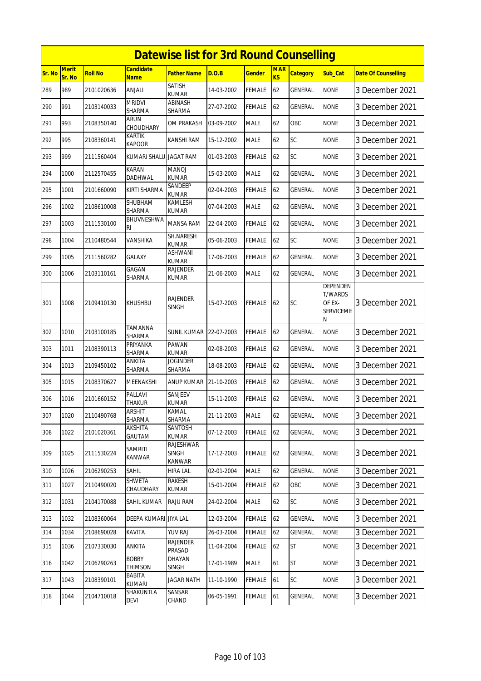|               | <b>Datewise list for 3rd Round Counselling</b> |                |                                 |                                            |            |               |                              |                 |                                                               |                            |  |  |
|---------------|------------------------------------------------|----------------|---------------------------------|--------------------------------------------|------------|---------------|------------------------------|-----------------|---------------------------------------------------------------|----------------------------|--|--|
| <b>Sr. No</b> | Merit<br>Sr. No                                | <b>Roll No</b> | <b>Candidate</b><br><b>Name</b> | <b>Father Name</b>                         | D.O.B      | <b>Gender</b> | <b>MAR</b><br>K <sub>S</sub> | <b>Category</b> | Sub_Cat                                                       | <b>Date Of Counselling</b> |  |  |
| 289           | 989                                            | 2101020636     | ANJALI                          | <b>SATISH</b><br><b>KUMAR</b>              | 14-03-2002 | <b>FEMALE</b> | 62                           | <b>GENERAL</b>  | <b>NONE</b>                                                   | 3 December 2021            |  |  |
| 290           | 991                                            | 2103140033     | <b>MRIDVI</b><br>SHARMA         | ABINASH<br>SHARMA                          | 27-07-2002 | <b>FEMALE</b> | 62                           | GENERAL         | <b>NONE</b>                                                   | 3 December 2021            |  |  |
| 291           | 993                                            | 2108350140     | <b>ARUN</b><br>CHOUDHARY        | OM PRAKASH                                 | 03-09-2002 | <b>MALE</b>   | 62                           | OBC             | <b>NONE</b>                                                   | 3 December 2021            |  |  |
| 292           | 995                                            | 2108360141     | KARTIK<br><b>KAPOOR</b>         | KANSHI RAM                                 | 15-12-2002 | <b>MALE</b>   | 62                           | SC              | <b>NONE</b>                                                   | 3 December 2021            |  |  |
| 293           | 999                                            | 2111560404     | KUMARI SHALU JAGAT RAM          |                                            | 01-03-2003 | FEMALE        | 62                           | SC              | <b>NONE</b>                                                   | 3 December 2021            |  |  |
| 294           | 1000                                           | 2112570455     | <b>KARAN</b><br>DADHWAL         | <b>MANOJ</b><br><b>KUMAR</b>               | 15-03-2003 | <b>MALE</b>   | 62                           | GENERAL         | <b>NONE</b>                                                   | 3 December 2021            |  |  |
| 295           | 1001                                           | 2101660090     | KIRTI SHARMA                    | SANDEEP<br><b>KUMAR</b>                    | 02-04-2003 | <b>FEMALE</b> | 62                           | GENERAL         | <b>NONE</b>                                                   | 3 December 2021            |  |  |
| 296           | 1002                                           | 2108610008     | SHUBHAM<br><b>SHARMA</b>        | KAMLESH<br><b>KUMAR</b>                    | 07-04-2003 | <b>MALE</b>   | 62                           | <b>GENERAL</b>  | <b>NONE</b>                                                   | 3 December 2021            |  |  |
| 297           | 1003                                           | 2111530100     | BHUVNESHWA<br>RI                | <b>MANSA RAM</b>                           | 22-04-2003 | FEMALE        | 62                           | GENERAL         | <b>NONE</b>                                                   | 3 December 2021            |  |  |
| 298           | 1004                                           | 2110480544     | VANSHIKA                        | SH.NARESH<br><b>KUMAR</b>                  | 05-06-2003 | <b>FEMALE</b> | 62                           | SC              | <b>NONE</b>                                                   | 3 December 2021            |  |  |
| 299           | 1005                                           | 2111560282     | GALAXY                          | <b>ASHWANI</b><br><b>KUMAR</b>             | 17-06-2003 | <b>FEMALE</b> | 62                           | GENERAL         | <b>NONE</b>                                                   | 3 December 2021            |  |  |
| 300           | 1006                                           | 2103110161     | GAGAN<br>SHARMA                 | RAJENDER<br><b>KUMAR</b>                   | 21-06-2003 | <b>MALE</b>   | 62                           | GENERAL         | <b>NONE</b>                                                   | 3 December 2021            |  |  |
| 301           | 1008                                           | 2109410130     | KHUSHBU                         | <b>RAJENDER</b><br>SINGH                   | 15-07-2003 | <b>FEMALE</b> | 62                           | <b>SC</b>       | DEPENDEN<br><b>T/WARDS</b><br>OF EX-<br><b>SERVICEME</b><br>Ν | 3 December 2021            |  |  |
| 302           | 1010                                           | 2103100185     | <b>TAMANNA</b><br>SHARMA        | <b>SUNIL KUMAR</b>                         | 22-07-2003 | <b>FEMALE</b> | 62                           | GENERAL         | <b>NONE</b>                                                   | 3 December 2021            |  |  |
| 303           | 1011                                           | 2108390113     | PRIYANKA<br>SHARMA              | PAWAN<br><b>KUMAR</b>                      | 02-08-2003 | <b>FEMALE</b> | 62                           | GENERAL         | <b>NONE</b>                                                   | 3 December 2021            |  |  |
| 304           | 1013                                           | 2109450102     | ANKITA<br>SHARMA                | <b>JOGINDER</b><br>SHARMA                  | 18-08-2003 | <b>FEMALE</b> | 62                           | GENERAL         | <b>NONE</b>                                                   | 3 December 2021            |  |  |
| 305           | 1015                                           | 2108370627     | MEENAKSHI                       | ANUP KUMAR                                 | 21-10-2003 | <b>FEMALE</b> | 62                           | GENERAL         | <b>NONE</b>                                                   | 3 December 2021            |  |  |
| 306           | 1016                                           | 2101660152     | PALLAVI<br>THAKUR               | SANJEEV<br><b>KUMAR</b>                    | 15-11-2003 | <b>FEMALE</b> | 62                           | GENERAL         | <b>NONE</b>                                                   | 3 December 2021            |  |  |
| 307           | 1020                                           | 2110490768     | <b>ARSHIT</b><br>SHARMA         | KAMAL<br>SHARMA                            | 21-11-2003 | <b>MALE</b>   | 62                           | <b>GENERAL</b>  | <b>NONE</b>                                                   | 3 December 2021            |  |  |
| 308           | 1022                                           | 2101020361     | AKSHITA<br>GAUTAM               | SANTOSH<br><b>KUMAR</b>                    | 07-12-2003 | <b>FEMALE</b> | 62                           | GENERAL         | <b>NONE</b>                                                   | 3 December 2021            |  |  |
| 309           | 1025                                           | 2111530224     | <b>SAMRITI</b><br>KANWAR        | <b>RAJESHWAR</b><br><b>SINGH</b><br>KANWAR | 17-12-2003 | <b>FEMALE</b> | 62                           | GENERAL         | <b>NONE</b>                                                   | 3 December 2021            |  |  |
| 310           | 1026                                           | 2106290253     | SAHIL                           | <b>HIRA LAL</b>                            | 02-01-2004 | <b>MALE</b>   | 62                           | <b>GENERAL</b>  | <b>NONE</b>                                                   | 3 December 2021            |  |  |
| 311           | 1027                                           | 2110490020     | <b>SHWETA</b><br>CHAUDHARY      | RAKESH<br>KUMAR                            | 15-01-2004 | <b>FEMALE</b> | 62                           | OBC             | <b>NONE</b>                                                   | 3 December 2021            |  |  |
| 312           | 1031                                           | 2104170088     | SAHIL KUMAR                     | RAJU RAM                                   | 24-02-2004 | MALE          | 62                           | SC              | <b>NONE</b>                                                   | 3 December 2021            |  |  |
| 313           | 1032                                           | 2108360064     | DEEPA KUMARI JIYA LAL           |                                            | 12-03-2004 | <b>FEMALE</b> | 62                           | GENERAL         | <b>NONE</b>                                                   | 3 December 2021            |  |  |
| 314           | 1034                                           | 2108690028     | KAVITA                          | <b>YUV RAJ</b>                             | 26-03-2004 | <b>FEMALE</b> | 62                           | <b>GENERAL</b>  | <b>NONE</b>                                                   | 3 December 2021            |  |  |
| 315           | 1036                                           | 2107330030     | ANKITA                          | <b>RAJENDER</b><br>PRASAD                  | 11-04-2004 | <b>FEMALE</b> | 62                           | <b>ST</b>       | <b>NONE</b>                                                   | 3 December 2021            |  |  |
| 316           | 1042                                           | 2106290263     | <b>BOBBY</b><br><b>THIMSON</b>  | DHAYAN<br><b>SINGH</b>                     | 17-01-1989 | <b>MALE</b>   | 61                           | <b>ST</b>       | <b>NONE</b>                                                   | 3 December 2021            |  |  |
| 317           | 1043                                           | 2108390101     | <b>BABITA</b><br>KUMARI         | <b>JAGAR NATH</b>                          | 11-10-1990 | <b>FEMALE</b> | 61                           | <b>SC</b>       | <b>NONE</b>                                                   | 3 December 2021            |  |  |
| 318           | 1044                                           | 2104710018     | SHAKUNTLA<br>DEVI               | SANSAR<br>CHAND                            | 06-05-1991 | <b>FEMALE</b> | 61                           | GENERAL         | <b>NONE</b>                                                   | 3 December 2021            |  |  |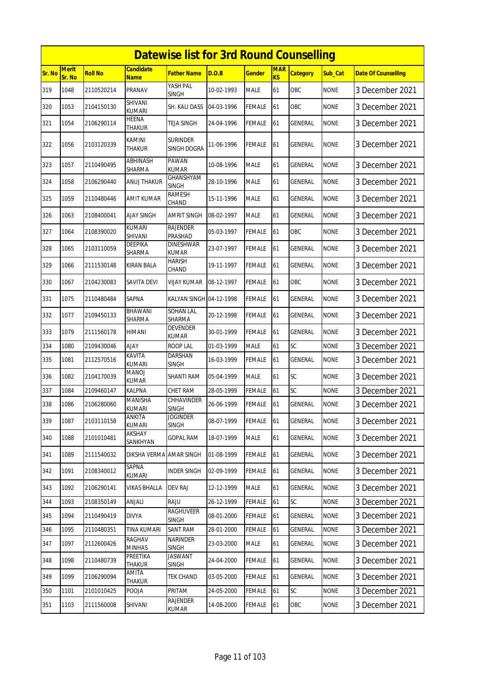|        |                        |                |                                 | <b>Datewise list for 3rd Round Counselling</b> |            |               |                  |                 |             |                            |
|--------|------------------------|----------------|---------------------------------|------------------------------------------------|------------|---------------|------------------|-----------------|-------------|----------------------------|
| Sr. No | <b>Merit</b><br>Sr. No | <b>Roll No</b> | <b>Candidate</b><br><b>Name</b> | Father Name                                    | D.O.B      | Gender        | <b>MAR</b><br>KS | <b>Category</b> | Sub Cat     | <b>Date Of Counselling</b> |
| 319    | 1048                   | 2110520214     | PRANAV                          | YASH PAL<br><b>SINGH</b>                       | 10-02-1993 | MALE          | 61               | OBC             | <b>NONE</b> | 3 December 2021            |
| 320    | 1053                   | 2104150130     | SHIVANI<br><b>KUMARI</b>        | SH. KALI DASS                                  | 04-03-1996 | FEMALE        | 61               | OBC             | <b>NONE</b> | 3 December 2021            |
| 321    | 1054                   | 2106290114     | HEENA<br>THAKUR                 | TEJA SINGH                                     | 24-04-1996 | FEMALE        | 61               | GENERAL         | <b>NONE</b> | 3 December 2021            |
| 322    | 1056                   | 2103120339     | KAMINI<br>THAKUR                | <b>SURINDER</b><br>SINGH DOGRA                 | 11-06-1996 | FEMALE        | 61               | GENERAL         | <b>NONE</b> | 3 December 2021            |
| 323    | 1057                   | 2110490495     | <b>ABHINASH</b><br>SHARMA       | PAWAN<br><b>KUMAR</b>                          | 10-08-1996 | MALE          | 61               | GENERAL         | <b>NONE</b> | 3 December 2021            |
| 324    | 1058                   | 2106290440     | ANUJ THAKUR                     | <b>GHANSHYAM</b><br><b>SINGH</b>               | 28-10-1996 | <b>MALE</b>   | 61               | GENERAL         | <b>NONE</b> | 3 December 2021            |
| 325    | 1059                   | 2110480446     | <b>AMIT KUMAR</b>               | RAMESH<br>CHAND                                | 15-11-1996 | <b>MALE</b>   | 61               | GENERAL         | <b>NONE</b> | 3 December 2021            |
| 326    | 1063                   | 2108400041     | <b>AJAY SINGH</b>               | AMRIT SINGH                                    | 08-02-1997 | MALE          | 61               | GENERAL         | <b>NONE</b> | 3 December 2021            |
| 327    | 1064                   | 2108390020     | <b>KUMARI</b><br>SHIVANI        | <b>RAJENDER</b><br>PRASHAD                     | 05-03-1997 | <b>FEMALE</b> | 61               | OBC             | <b>NONE</b> | 3 December 2021            |
| 328    | 1065                   | 2103110059     | <b>DEEPIKA</b><br>SHARMA        | <b>DINESHWAR</b><br><b>KUMAR</b>               | 23-07-1997 | FEMALE        | 61               | GENERAL         | <b>NONE</b> | 3 December 2021            |
| 329    | 1066                   | 2111530148     | <b>KIRAN BALA</b>               | HARISH<br>CHAND                                | 19-11-1997 | FEMALE        | 61               | GENERAL         | <b>NONE</b> | 3 December 2021            |
| 330    | 1067                   | 2104230083     | SAVITA DEVI                     | VIJAY KUMAR                                    | 08-12-1997 | FEMALE        | 61               | OBC             | <b>NONE</b> | 3 December 2021            |
| 331    | 1075                   | 2110480484     | SAPNA                           | KALYAN SINGH 04-12-1998                        |            | FEMALE        | 61               | GENERAL         | <b>NONE</b> | 3 December 2021            |
| 332    | 1077                   | 2109450133     | BHAWANI<br>SHARMA               | <b>SOHAN LAL</b><br>SHARMA                     | 20-12-1998 | FEMALE        | 61               | GENERAL         | <b>NONE</b> | 3 December 2021            |
| 333    | 1079                   | 2111560178     | HIMANI                          | <b>DEVENDER</b><br>KUMAR                       | 30-01-1999 | FEMALE        | 61               | GENERAL         | <b>NONE</b> | 3 December 2021            |
| 334    | 1080                   | 2109430046     | <b>AJAY</b>                     | <b>ROOP LAL</b>                                | 01-03-1999 | MALE          | 61               | SC              | <b>NONE</b> | 3 December 2021            |
| 335    | 1081                   | 2112570516     | KAVITA<br><b>KUMARI</b>         | DARSHAN<br><b>SINGH</b>                        | 16-03-1999 | FEMALE        | 61               | GENERAL         | <b>NONE</b> | 3 December 2021            |
| 336    | 1082                   | 2104170039     | MANOJ<br><b>KUMAR</b>           | SHANTI RAM                                     | 05-04-1999 | <b>MALE</b>   | 61               | <b>SC</b>       | <b>NONE</b> | 3 December 2021            |
| 337    | 1084                   | 2109460147     | <b>KALPNA</b>                   | <b>CHET RAM</b>                                | 28-05-1999 | FEMALE        | 61               | SC              | <b>NONE</b> | 3 December 2021            |
| 338    | 1086                   | 2106280060     | <b>MANISHA</b><br><b>KUMARI</b> | CHHAVINDER<br>SINGH                            | 26-06-1999 | <b>FEMALE</b> | 61               | <b>GENERAL</b>  | <b>NONE</b> | 3 December 2021            |
| 339    | 1087                   | 2103110158     | ANKITA<br><b>KUMARI</b>         | Joginder<br><b>SINGH</b>                       | 08-07-1999 | FEMALE        | 61               | GENERAL         | <b>NONE</b> | 3 December 2021            |
| 340    | 1088                   | 2101010481     | AKSHAY<br>SANKHYAN              | <b>GOPAL RAM</b>                               | 18-07-1999 | MALE          | 61               | GENERAL         | <b>NONE</b> | 3 December 2021            |
| 341    | 1089                   | 2111540032     | DIKSHA VERMA                    | <b>AMAR SINGH</b>                              | 01-08-1999 | <b>FEMALE</b> | 61               | <b>GENERAL</b>  | <b>NONE</b> | 3 December 2021            |
| 342    | 1091                   | 2108340012     | SAPNA<br><b>KUMARI</b>          | <b>INDER SINGH</b>                             | 02-09-1999 | <b>FEMALE</b> | 61               | GENERAL         | <b>NONE</b> | 3 December 2021            |
| 343    | 1092                   | 2106290141     | <b>VIKAS BHALLA</b>             | DEV RAJ                                        | 12-12-1999 | MALE          | 61               | <b>GENERAL</b>  | <b>NONE</b> | 3 December 2021            |
| 344    | 1093                   | 2108350149     | ANJALI                          | RAJU                                           | 26-12-1999 | <b>FEMALE</b> | 61               | SC              | <b>NONE</b> | 3 December 2021            |
| 345    | 1094                   | 2110490419     | <b>DIVYA</b>                    | <b>RAGHUVEER</b><br><b>SINGH</b>               | 08-01-2000 | FEMALE        | 61               | GENERAL         | <b>NONE</b> | 3 December 2021            |
| 346    | 1095                   | 2110480351     | <b>TINA KUMARI</b>              | <b>SANT RAM</b>                                | 28-01-2000 | <b>FEMALE</b> | 61               | GENERAL         | <b>NONE</b> | 3 December 2021            |
| 347    | 1097                   | 2112600426     | RAGHAV<br><b>MINHAS</b>         | NARINDER<br><b>SINGH</b>                       | 23-03-2000 | MALE          | 61               | GENERAL         | <b>NONE</b> | 3 December 2021            |
| 348    | 1098                   | 2110480739     | PREETIKA<br>THAKUR              | <b>JASWANT</b><br>SINGH                        | 24-04-2000 | <b>FEMALE</b> | 61               | GENERAL         | <b>NONE</b> | 3 December 2021            |
| 349    | 1099                   | 2106290094     | AMITA<br>THAKUR                 | <b>TEK CHAND</b>                               | 03-05-2000 | <b>FEMALE</b> | 61               | <b>GENERAL</b>  | <b>NONE</b> | 3 December 2021            |
| 350    | 1101                   | 2101010425     | POOJA                           | PRITAM                                         | 24-05-2000 | <b>FEMALE</b> | 61               | SC              | <b>NONE</b> | 3 December 2021            |
| 351    | 1103                   | 2111560008     | SHIVANI                         | RAJENDER<br>KUMAR                              | 14-08-2000 | <b>FEMALE</b> | 61               | OBC             | <b>NONE</b> | 3 December 2021            |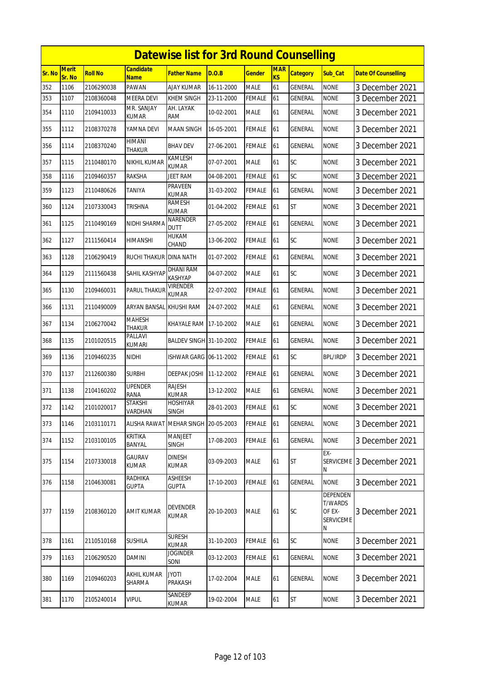|        | <b>Datewise list for 3rd Round Counselling</b> |                |                           |                                    |            |               |                  |                 |                                                               |                            |  |  |
|--------|------------------------------------------------|----------------|---------------------------|------------------------------------|------------|---------------|------------------|-----------------|---------------------------------------------------------------|----------------------------|--|--|
| Sr. No | <b>Merit</b><br>Sr. No                         | <b>Roll No</b> | Candidate<br><b>Name</b>  | <b>Father Name</b>                 | D.O.B      | Gender        | <b>MAR</b><br>KS | <b>Category</b> | Sub_Cat                                                       | <b>Date Of Counselling</b> |  |  |
| 352    | 1106                                           | 2106290038     | PAWAN                     | AJAY KUMAR                         | 16-11-2000 | <b>MALE</b>   | 61               | GENERAL         | <b>NONE</b>                                                   | 3 December 2021            |  |  |
| 353    | 1107                                           | 2108360048     | MEERA DEVI                | KHEM SINGH                         | 23-11-2000 | FEMALE        | 61               | GENERAL         | none                                                          | 3 December 2021            |  |  |
| 354    | 1110                                           | 2109410033     | mr. Sanjay<br>KUMAR       | AH. LAYAK<br>ram                   | 10-02-2001 | <b>MALE</b>   | 61               | GENERAL         | <b>NONE</b>                                                   | 3 December 2021            |  |  |
| 355    | 1112                                           | 2108370278     | YAMNA DEVI                | <b>MAAN SINGH</b>                  | 16-05-2001 | <b>FEMALE</b> | 61               | GENERAL         | <b>NONE</b>                                                   | 3 December 2021            |  |  |
| 356    | 1114                                           | 2108370240     | HIMANI<br>THAKUR          | BHAV DEV                           | 27-06-2001 | <b>FEMALE</b> | 61               | GENERAL         | <b>NONE</b>                                                   | 3 December 2021            |  |  |
| 357    | 1115                                           | 2110480170     | NIKHIL KUMAR              | KAMLESH<br><b>KUMAR</b>            | 07-07-2001 | <b>MALE</b>   | 61               | SC              | <b>NONE</b>                                                   | 3 December 2021            |  |  |
| 358    | 1116                                           | 2109460357     | RAKSHA                    | JEET RAM                           | 04-08-2001 | FEMALE        | 61               | SC              | <b>NONE</b>                                                   | 3 December 2021            |  |  |
| 359    | 1123                                           | 2110480626     | TANIYA                    | PRAVEEN<br>KUMAR                   | 31-03-2002 | FEMALE        | 61               | GENERAL         | <b>NONE</b>                                                   | 3 December 2021            |  |  |
| 360    | 1124                                           | 2107330043     | TRISHNA                   | RAMESH<br>KUMAR                    | 01-04-2002 | FEMALE        | 61               | <b>ST</b>       | <b>NONE</b>                                                   | 3 December 2021            |  |  |
| 361    | 1125                                           | 2110490169     | NIDHI SHARMA              | NARENDER<br><b>DUTT</b>            | 27-05-2002 | FEMALE        | 61               | GENERAL         | <b>NONE</b>                                                   | 3 December 2021            |  |  |
| 362    | 1127                                           | 2111560414     | HIMANSHI                  | HUKAM<br>CHAND                     | 13-06-2002 | FEMALE        | 61               | SC              | <b>NONE</b>                                                   | 3 December 2021            |  |  |
| 363    | 1128                                           | 2106290419     | RUCHI THAKUR DINA NATH    |                                    | 01-07-2002 | FEMALE        | 61               | GENERAL         | <b>NONE</b>                                                   | 3 December 2021            |  |  |
| 364    | 1129                                           | 2111560438     | SAHIL KASHYAP             | <b>DHANI RAM</b><br><b>KASHYAP</b> | 04-07-2002 | <b>MALE</b>   | 61               | SC              | <b>NONE</b>                                                   | 3 December 2021            |  |  |
| 365    | 1130                                           | 2109460031     | <b>PARUL THAKUF</b>       | Virender<br><b>KUMAR</b>           | 22-07-2002 | FEMALE        | 61               | GENERAL         | <b>NONE</b>                                                   | 3 December 2021            |  |  |
| 366    | 1131                                           | 2110490009     | ARYAN BANSAL              | KHUSHI RAM                         | 24-07-2002 | MALE          | 61               | GENERAL         | <b>NONE</b>                                                   | 3 December 2021            |  |  |
| 367    | 1134                                           | 2106270042     | <b>MAHESH</b><br>THAKUR   | KHAYALE RAM                        | 17-10-2002 | <b>MALE</b>   | 61               | <b>GENERAL</b>  | <b>NONE</b>                                                   | 3 December 2021            |  |  |
| 368    | 1135                                           | 2101020515     | PALLAVI<br>kumari         | BALDEV SINGH 31-10-2002            |            | <b>FEMALE</b> | 61               | GENERAL         | <b>NONE</b>                                                   | 3 December 2021            |  |  |
| 369    | 1136                                           | 2109460235     | NIDHI                     | ISHWAR GARG 06-11-2002             |            | FEMALE        | 61               | SC              | <b>BPL/IRDP</b>                                               | 3 December 2021            |  |  |
| 370    | 1137                                           | 2112600380     | Surbhi                    | DEEPAK JOSHI                       | 11-12-2002 | FEMALE        | 61               | GENERAL         | <b>NONE</b>                                                   | 3 December 2021            |  |  |
| 371    | 1138                                           | 2104160202     | upender<br>RANA           | RAJESH<br>KUMAR                    | 13-12-2002 | <b>MALE</b>   | 61               | GENERAL         | <b>NONE</b>                                                   | 3 December 2021            |  |  |
| 372    | 1142                                           | 2101020017     | <b>STAKSHI</b><br>VARDHAN | HOSHIYAR<br><b>SINGH</b>           | 28-01-2003 | FEMALE        | 61               | SC              | <b>NONE</b>                                                   | 3 December 2021            |  |  |
| 373    | 1146                                           | 2103110171     | <b>ALISHA RAWAT</b>       | <b>MEHAR SINGH</b>                 | 20-05-2003 | FEMALE        | 61               | GENERAL         | <b>NONE</b>                                                   | 3 December 2021            |  |  |
| 374    | 1152                                           | 2103100105     | <b>KRITIKA</b><br>BANYAL  | <b>MANJEET</b><br><b>SINGH</b>     | 17-08-2003 | <b>FEMALE</b> | 61               | <b>GENERAL</b>  | <b>NONE</b>                                                   | 3 December 2021            |  |  |
| 375    | 1154                                           | 2107330018     | GAURAV<br><b>KUMAR</b>    | <b>DINESH</b><br>KUMAR             | 03-09-2003 | <b>MALE</b>   | 61               | ST              | EX-<br>N                                                      | SERVICEME 3 December 2021  |  |  |
| 376    | 1158                                           | 2104630081     | RADHIKA<br><b>GUPTA</b>   | ASHEESH<br>GUPTA                   | 17-10-2003 | <b>FEMALE</b> | 61               | GENERAL         | <b>NONE</b>                                                   | 3 December 2021            |  |  |
| 377    | 1159                                           | 2108360120     | <b>AMIT KUMAR</b>         | DEVENDER<br>KUMAR                  | 20-10-2003 | <b>MALE</b>   | 61               | SC              | DEPENDEN<br><b>T/WARDS</b><br>OF EX-<br><b>SERVICEME</b><br>N | 3 December 2021            |  |  |
| 378    | 1161                                           | 2110510168     | <b>SUSHILA</b>            | <b>SURESH</b><br>kumar             | 31-10-2003 | <b>FEMALE</b> | 61               | SC              | <b>NONE</b>                                                   | 3 December 2021            |  |  |
| 379    | 1163                                           | 2106290520     | DAMINI                    | <b>JOGINDER</b><br>SONI            | 03-12-2003 | <b>FEMALE</b> | 61               | <b>GENERAL</b>  | <b>NONE</b>                                                   | 3 December 2021            |  |  |
| 380    | 1169                                           | 2109460203     | AKHIL KUMAR<br>SHARMA     | JYOTI<br>PRAKASH                   | 17-02-2004 | <b>MALE</b>   | 61               | GENERAL         | <b>NONE</b>                                                   | 3 December 2021            |  |  |
| 381    | 1170                                           | 2105240014     | <b>VIPUL</b>              | SANDEEP<br><b>KUMAR</b>            | 19-02-2004 | <b>MALE</b>   | 61               | <b>ST</b>       | <b>NONE</b>                                                   | 3 December 2021            |  |  |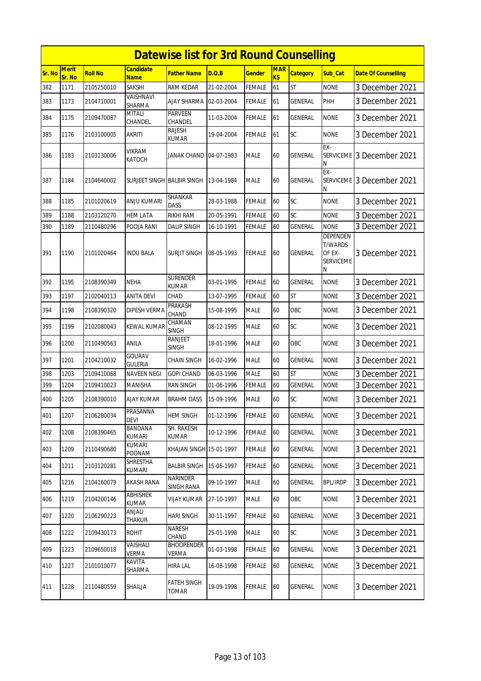|        |                        |                |                                 | <b>Datewise list for 3rd Round Counselling</b> |            |               |                  |                 |                                                                      |                            |
|--------|------------------------|----------------|---------------------------------|------------------------------------------------|------------|---------------|------------------|-----------------|----------------------------------------------------------------------|----------------------------|
| Sr. No | <b>Merit</b><br>Sr. No | <b>Roll No</b> | <b>Candidate</b><br><b>Name</b> | Father Name                                    | D.O.B      | Gender        | <b>MAR</b><br>KS | <b>Category</b> | Sub Cat                                                              | <b>Date Of Counselling</b> |
| 382    | 1171                   | 2105250010     | <b>SAKSHI</b>                   | RAM KEDAR                                      | 21-02-2004 | FEMALE        | 61               | <b>ST</b>       | <b>NONE</b>                                                          | 3 December 2021            |
| 383    | 1173                   | 2104710001     | VAISHNAVI<br>SHARMA             | <b>AJAY SHARMA</b>                             | 02-03-2004 | FEMALE        | 61               | GENERAL         | PHH                                                                  | 3 December 2021            |
| 384    | 1175                   | 2109470087     | <b>MITALI</b><br>CHANDEL        | <b>PARVEEN</b><br>CHANDEL                      | 11-03-2004 | FEMALE        | 61               | GENERAL         | <b>NONE</b>                                                          | 3 December 2021            |
| 385    | 1176                   | 2103100005     | <b>AKRITI</b>                   | <b>RAJESH</b><br>KUMAR                         | 19-04-2004 | <b>FEMALE</b> | 61               | <b>SC</b>       | <b>NONE</b>                                                          | 3 December 2021            |
| 386    | 1183                   | 2103130006     | <b>VIKRAM</b><br><b>KATOCH</b>  | JANAK CHAND 04-07-1983                         |            | MALE          | 60               | GENERAL         | EX-<br><b>SERVICEME</b><br>N                                         | 3 December 2021            |
| 387    | 1184                   | 2104640002     | SURJEET SINGH BALBIR SINGH      |                                                | 13-04-1984 | MALE          | 60               | <b>GENERAL</b>  | EX-<br><b>SERVICEME</b><br>Ν                                         | 3 December 2021            |
| 388    | 1185                   | 2101020619     | ANJU KUMARI                     | SHANKAR<br><b>DASS</b>                         | 28-03-1988 | FEMALE        | 60               | SC              | <b>NONE</b>                                                          | 3 December 2021            |
| 389    | 1188                   | 2103120270     | <b>HEM LATA</b>                 | RIKHI RAM                                      | 20-05-1991 | FEMALE        | 60               | SC              | <b>NONE</b>                                                          | 3 December 2021            |
| 390    | 1189                   | 2110480296     | POOJA RANI                      | <b>DALIP SINGH</b>                             | 16-10-1991 | <b>FEMALE</b> | 60               | <b>GENERAL</b>  | <b>NONE</b>                                                          | 3 December 2021            |
| 391    | 1190                   | 2101020464     | <b>INDU BALA</b>                | <b>SURJIT SINGH</b>                            | 08-05-1993 | FEMALE        | 60               | GENERAL         | <b>DEPENDEN</b><br><b>T/WARDS</b><br>OF EX-<br><b>SERVICEME</b><br>Ν | 3 December 2021            |
| 392    | 1195                   | 2108390349     | <b>NEHA</b>                     | SURENDER<br>KUMAR                              | 03-01-1995 | FEMALE        | 60               | GENERAL         | <b>NONE</b>                                                          | 3 December 2021            |
| 393    | 1197                   | 2102040113     | <b>ANITA DEVI</b>               | CHAD                                           | 13-07-1995 | FEMALE        | 60               | <b>ST</b>       | <b>NONE</b>                                                          | 3 December 2021            |
| 394    | 1198                   | 2108390320     | <b>DIPESH VERMA</b>             | PRAKASH<br>CHAND                               | 15-08-1995 | <b>MALE</b>   | 60               | OBC             | <b>NONE</b>                                                          | 3 December 2021            |
| 395    | 1199                   | 2102080043     | KEWAL KUMAR                     | CHAMAN<br><b>SINGH</b>                         | 08-12-1995 | MALE          | 60               | SC              | <b>NONE</b>                                                          | 3 December 2021            |
| 396    | 1200                   | 2110490563     | ANILA                           | RANJEET<br><b>SINGH</b>                        | 18-01-1996 | <b>MALE</b>   | 60               | OBC             | <b>NONE</b>                                                          | 3 December 2021            |
| 397    | 1201                   | 2104210032     | GOURAV<br><b>GULERIA</b>        | <b>CHAIN SINGH</b>                             | 16-02-1996 | <b>MALE</b>   | 60               | <b>GENERAL</b>  | <b>NONE</b>                                                          | 3 December 2021            |
| 398    | 1203                   | 2109410068     | <b>NAVEEN NEGI</b>              | <b>GOPI CHAND</b>                              | 06-03-1996 | MALE          | 60               | <b>ST</b>       | <b>NONE</b>                                                          | 3 December 2021            |
| 399    | 1204                   | 2109410023     | <b>MANISHA</b>                  | <b>RAN SINGH</b>                               | 01-06-1996 | FEMALE        | 60               | GENERAL         | <b>NONE</b>                                                          | 3 December 2021            |
| 400    | 1205                   | 2108390010     | AJAY KUMAR                      | <b>BRAHM DASS</b>                              | 15-09-1996 | MALE          | 60               | SC              | <b>NONE</b>                                                          | 3 December 2021            |
| 401    | 1207                   | 2106280034     | PRASANNA<br><b>DEVI</b>         | <b>HEM SINGH</b>                               | 01-12-1996 | <b>FEMALE</b> | 60               | <b>GENERAL</b>  | <b>NONE</b>                                                          | 3 December 2021            |
| 402    | 1208                   | 2108390465     | <b>BANDANA</b><br><b>KUMARI</b> | SH. RAKESH<br>KUMAR                            | 10-12-1996 | <b>FEMALE</b> | 60               | <b>GENERAL</b>  | <b>NONE</b>                                                          | 3 December 2021            |
| 403    | 1209                   | 2110490680     | KUMARI<br>POONAM                | KHAJAN SINGH 15-01-1997                        |            | FEMALE        | 60               | GENERAL         | <b>NONE</b>                                                          | 3 December 2021            |
| 404    | 1211                   | 2103120281     | SHRESTHA<br>KUMARI              | <b>BALBIR SINGH</b>                            | 15-05-1997 | <b>FEMALE</b> | 60               | GENERAL         | <b>NONE</b>                                                          | 3 December 2021            |
| 405    | 1216                   | 2104160079     | AKASH RANA                      | <b>NARINDER</b><br>SINGH RANA                  | 09-10-1997 | MALE          | 60               | GENERAL         | <b>BPL/IRDP</b>                                                      | 3 December 2021            |
| 406    | 1219                   | 2104200146     | <b>ABHISHEK</b><br><b>KUMAR</b> | <b>VIJAY KUMAR</b>                             | 27-10-1997 | <b>MALE</b>   | 60               | OBC             | <b>NONE</b>                                                          | 3 December 2021            |
| 407    | 1220                   | 2106290223     | ANJALI<br>Thakur                | HARI SINGH                                     | 30-11-1997 | FEMALE        | 60               | GENERAL         | <b>NONE</b>                                                          | 3 December 2021            |
| 408    | 1222                   | 2109430173     | <b>ROHIT</b>                    | NARESH<br>CHAND                                | 25-01-1998 | <b>MALE</b>   | 60               | <b>SC</b>       | <b>NONE</b>                                                          | 3 December 2021            |
| 409    | 1223                   | 2109650018     | VAISHALI<br>VERMA               | <b>BHOOPENDER</b><br>VERMA                     | 01-03-1998 | FEMALE        | 60               | GENERAL         | <b>NONE</b>                                                          | 3 December 2021            |
| 410    | 1227                   | 2101010077     | KAVITA<br>SHARMA                | <b>HIRA LAL</b>                                | 16-08-1998 | FEMALE        | 60               | <b>GENERAL</b>  | <b>NONE</b>                                                          | 3 December 2021            |
| 411    | 1228                   | 2110480559     | SHAILJA                         | FATEH SINGH<br><b>TOMAR</b>                    | 19-09-1998 | <b>FEMALE</b> | 60               | <b>GENERAL</b>  | <b>NONE</b>                                                          | 3 December 2021            |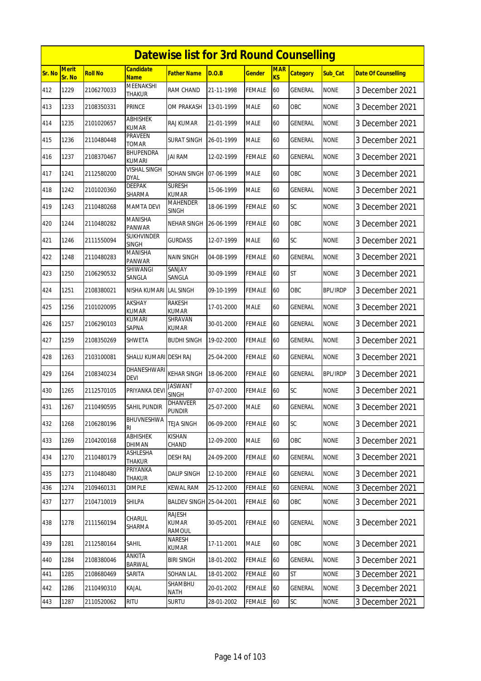|        | <b>Datewise list for 3rd Round Counselling</b> |                |                               |                                         |            |               |                              |                 |                 |                            |  |  |
|--------|------------------------------------------------|----------------|-------------------------------|-----------------------------------------|------------|---------------|------------------------------|-----------------|-----------------|----------------------------|--|--|
| Sr. No | Merit<br>Sr. No                                | <b>Roll No</b> | Candidate<br><b>Name</b>      | <b>Father Name</b>                      | D.O.B      | <b>Gender</b> | <b>MAR</b><br>K <sub>S</sub> | <b>Category</b> | Sub_Cat         | <b>Date Of Counselling</b> |  |  |
| 412    | 1229                                           | 2106270033     | MEENAKSHI<br>THAKUR           | <b>RAM CHAND</b>                        | 21-11-1998 | <b>FEMALE</b> | 60                           | GENERAL         | <b>NONE</b>     | 3 December 2021            |  |  |
| 413    | 1233                                           | 2108350331     | PRINCE                        | OM PRAKASH                              | 13-01-1999 | <b>MALE</b>   | 60                           | OBC             | none            | 3 December 2021            |  |  |
| 414    | 1235                                           | 2101020657     | ABHISHEK<br><b>KUMAR</b>      | <b>RAJ KUMAR</b>                        | 21-01-1999 | <b>MALE</b>   | 60                           | GENERAL         | <b>NONE</b>     | 3 December 2021            |  |  |
| 415    | 1236                                           | 2110480448     | PRAVEEN<br>TOMAR              | <b>SURAT SINGH</b>                      | 26-01-1999 | <b>MALE</b>   | 60                           | <b>GENERAL</b>  | <b>NONE</b>     | 3 December 2021            |  |  |
| 416    | 1237                                           | 2108370467     | BHUPENDRA<br><b>KUMARI</b>    | jai ram                                 | 12-02-1999 | <b>FEMALE</b> | 60                           | GENERAL         | <b>NONE</b>     | 3 December 2021            |  |  |
| 417    | 1241                                           | 2112580200     | VISHAL SINGH<br><b>DYAL</b>   | SOHAN SINGH                             | 07-06-1999 | <b>MALE</b>   | 60                           | OBC             | <b>NONE</b>     | 3 December 2021            |  |  |
| 418    | 1242                                           | 2101020360     | DEEPAK<br>SHARMA              | <b>SURESH</b><br><b>KUMAR</b>           | 15-06-1999 | <b>MALE</b>   | 60                           | GENERAL         | <b>NONE</b>     | 3 December 2021            |  |  |
| 419    | 1243                                           | 2110480268     | <b>MAMTA DEVI</b>             | <b>MAHENDER</b><br><b>SINGH</b>         | 18-06-1999 | <b>FEMALE</b> | 60                           | SC              | <b>NONE</b>     | 3 December 2021            |  |  |
| 420    | 1244                                           | 2110480282     | <b>MANISHA</b><br>PANWAR      | NEHAR SINGH                             | 26-06-1999 | <b>FEMALE</b> | 60                           | OBC             | <b>NONE</b>     | 3 December 2021            |  |  |
| 421    | 1246                                           | 2111550094     | SUKHVINDER<br><b>SINGH</b>    | <b>GURDASS</b>                          | 12-07-1999 | <b>MALE</b>   | 60                           | SC              | <b>NONE</b>     | 3 December 2021            |  |  |
| 422    | 1248                                           | 2110480283     | MANISHA<br>PANWAR             | NAIN SINGH                              | 04-08-1999 | <b>FEMALE</b> | 60                           | GENERAL         | <b>NONE</b>     | 3 December 2021            |  |  |
| 423    | 1250                                           | 2106290532     | <b>SHIWANGI</b><br>SANGLA     | SANJAY<br>SANGLA                        | 30-09-1999 | <b>FEMALE</b> | 60                           | <b>ST</b>       | <b>NONE</b>     | 3 December 2021            |  |  |
| 424    | 1251                                           | 2108380021     | NISHA KUMARI LAL SINGH        |                                         | 09-10-1999 | <b>FEMALE</b> | 60                           | <b>OBC</b>      | <b>BPL/IRDP</b> | 3 December 2021            |  |  |
| 425    | 1256                                           | 2101020095     | <b>AKSHAY</b><br><b>KUMAR</b> | RAKESH<br><b>KUMAR</b>                  | 17-01-2000 | <b>MALE</b>   | 60                           | GENERAL         | <b>NONE</b>     | 3 December 2021            |  |  |
| 426    | 1257                                           | 2106290103     | <b>KUMARI</b><br>SAPNA        | SHRAVAN<br><b>KUMAR</b>                 | 30-01-2000 | <b>FEMALE</b> | 60                           | <b>GENERAL</b>  | <b>NONE</b>     | 3 December 2021            |  |  |
| 427    | 1259                                           | 2108350269     | SHWETA                        | <b>BUDHI SINGH</b>                      | 19-02-2000 | <b>FEMALE</b> | 60                           | GENERAL         | <b>NONE</b>     | 3 December 2021            |  |  |
| 428    | 1263                                           | 2103100081     | SHALU KUMARI DESH RAJ         |                                         | 25-04-2000 | <b>FEMALE</b> | 60                           | <b>GENERAL</b>  | <b>NONE</b>     | 3 December 2021            |  |  |
| 429    | 1264                                           | 2108340234     | DHANESHWARI<br><b>DEVI</b>    | <b>KEHAR SINGH</b>                      | 18-06-2000 | <b>FEMALE</b> | 60                           | GENERAL         | <b>BPL/IRDP</b> | 3 December 2021            |  |  |
| 430    | 1265                                           | 2112570105     | PRIYANKA DEV                  | <b>JASWANT</b><br><b>SINGH</b>          | 07-07-2000 | <b>FEMALE</b> | 60                           | SC              | <b>NONE</b>     | 3 December 2021            |  |  |
| 431    | 1267                                           | 2110490595     | <b>SAHIL PUNDIR</b>           | <b>DHANVEER</b><br><b>PUNDIR</b>        | 25-07-2000 | MALE          | 60                           | GENERAL         | <b>NONE</b>     | 3 December 2021            |  |  |
| 432    | 1268                                           | 2106280196     | BHUVNESHWA<br>RI              | <b>TEJA SINGH</b>                       | 06-09-2000 | <b>FEMALE</b> | 60                           | SC              | <b>NONE</b>     | 3 December 2021            |  |  |
| 433    | 1269                                           | 2104200168     | ABHISHEK<br>DHIMAN            | <b>KISHAN</b><br>CHAND                  | 12-09-2000 | <b>MALE</b>   | 60                           | OBC             | <b>NONE</b>     | 3 December 2021            |  |  |
| 434    | 1270                                           | 2110480179     | ASHLESHA<br>THAKUR            | <b>DESH RAJ</b>                         | 24-09-2000 | FEMALE        | 60                           | GENERAL         | <b>NONE</b>     | 3 December 2021            |  |  |
| 435    | 1273                                           | 2110480480     | PRIYANKA<br>THAKUR            | <b>DALIP SINGH</b>                      | 12-10-2000 | <b>FEMALE</b> | 60                           | GENERAL         | <b>NONE</b>     | 3 December 2021            |  |  |
| 436    | 1274                                           | 2109460131     | <b>DIMPLE</b>                 | <b>KEWAL RAM</b>                        | 25-12-2000 | <b>FEMALE</b> | 60                           | GENERAL         | <b>NONE</b>     | 3 December 2021            |  |  |
| 437    | 1277                                           | 2104710019     | SHILPA                        | BALDEV SINGH 25-04-2001                 |            | <b>FEMALE</b> | 60                           | OBC             | <b>NONE</b>     | 3 December 2021            |  |  |
| 438    | 1278                                           | 2111560194     | CHARUL<br>SHARMA              | RAJESH<br><b>KUMAR</b><br><b>RAMOUL</b> | 30-05-2001 | <b>FEMALE</b> | 60                           | GENERAL         | <b>NONE</b>     | 3 December 2021            |  |  |
| 439    | 1281                                           | 2112580164     | Sahil                         | NARESH<br>KUMAR                         | 17-11-2001 | <b>MALE</b>   | 60                           | OBC             | <b>NONE</b>     | 3 December 2021            |  |  |
| 440    | 1284                                           | 2108380046     | ANKITA<br><b>BARWAL</b>       | <b>BIRI SINGH</b>                       | 18-01-2002 | <b>FEMALE</b> | 60                           | <b>GENERAL</b>  | <b>NONE</b>     | 3 December 2021            |  |  |
| 441    | 1285                                           | 2108680469     | SARITA                        | <b>SOHAN LAL</b>                        | 18-01-2002 | <b>FEMALE</b> | 60                           | ST              | <b>NONE</b>     | 3 December 2021            |  |  |
| 442    | 1286                                           | 2110490310     | KAJAL                         | SHAMBHU<br>NATH                         | 20-01-2002 | <b>FEMALE</b> | 60                           | GENERAL         | <b>NONE</b>     | 3 December 2021            |  |  |
| 443    | 1287                                           | 2110520062     | <b>RITU</b>                   | <b>SURTU</b>                            | 28-01-2002 | <b>FEMALE</b> | 60                           | SC              | <b>NONE</b>     | 3 December 2021            |  |  |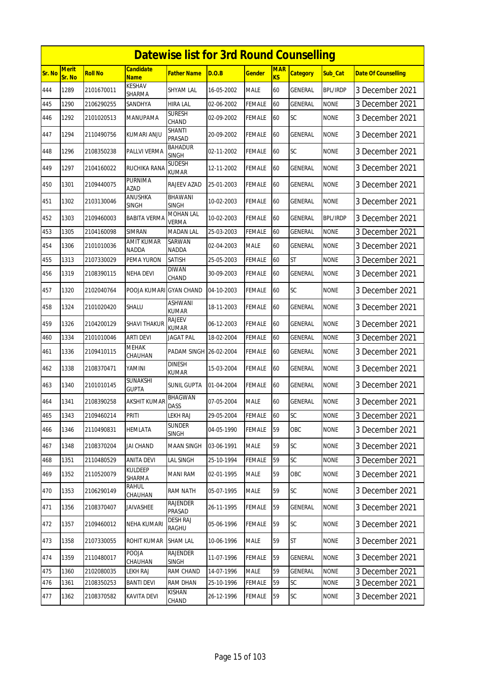|        | <b>Datewise list for 3rd Round Counselling</b> |                |                          |                                 |            |               |                  |                 |                 |                            |  |  |
|--------|------------------------------------------------|----------------|--------------------------|---------------------------------|------------|---------------|------------------|-----------------|-----------------|----------------------------|--|--|
| Sr. No | Merit<br>Sr. No                                | <b>Roll No</b> | Candidate<br><b>Name</b> | <b>Father Name</b>              | D.O.B      | <b>Gender</b> | <b>MAR</b><br>KS | <b>Category</b> | Sub_Cat         | <b>Date Of Counselling</b> |  |  |
| 444    | 1289                                           | 2101670011     | <b>KESHAV</b><br>SHARMA  | SHYAM LAL                       | 16-05-2002 | <b>MALE</b>   | 60               | <b>GENERAL</b>  | <b>BPL/IRDP</b> | 3 December 2021            |  |  |
| 445    | 1290                                           | 2106290255     | SANDHYA                  | HIRA LAL                        | 02-06-2002 | <b>FEMALE</b> | 60               | <b>GENERAL</b>  | <b>NONE</b>     | 3 December 2021            |  |  |
| 446    | 1292                                           | 2101020513     | MANUPAMA                 | <b>SURESH</b><br>CHAND          | 02-09-2002 | FEMALE        | 60               | SC              | <b>NONE</b>     | 3 December 2021            |  |  |
| 447    | 1294                                           | 2110490756     | KUMARI ANJU              | SHANTI<br>PRASAD                | 20-09-2002 | FEMALE        | 60               | <b>GENERAL</b>  | <b>NONE</b>     | 3 December 2021            |  |  |
| 448    | 1296                                           | 2108350238     | PALLVI VERMA             | BAHADUR<br>SINGH                | 02-11-2002 | FEMALE        | 60               | SC              | <b>NONE</b>     | 3 December 2021            |  |  |
| 449    | 1297                                           | 2104160022     | <b>RUCHIKA RANA</b>      | <b>SUDESH</b><br>KUMAR          | 12-11-2002 | FEMALE        | 60               | GENERAL         | <b>NONE</b>     | 3 December 2021            |  |  |
| 450    | 1301                                           | 2109440075     | PURNIMA<br><b>AZAD</b>   | RAJEEV AZAD                     | 25-01-2003 | <b>FEMALE</b> | 60               | GENERAL         | <b>NONE</b>     | 3 December 2021            |  |  |
| 451    | 1302                                           | 2103130046     | ANUSHKA<br>SINGH         | <b>BHAWANI</b><br>SINGH         | 10-02-2003 | FEMALE        | 60               | GENERAL         | <b>NONE</b>     | 3 December 2021            |  |  |
| 452    | 1303                                           | 2109460003     | <b>BABITA VERMA</b>      | MOHAN LAL<br><b>VERMA</b>       | 10-02-2003 | FEMALE        | 60               | <b>GENERAL</b>  | <b>BPL/IRDP</b> | 3 December 2021            |  |  |
| 453    | 1305                                           | 2104160098     | SIMRAN                   | <b>MADAN LAL</b>                | 25-03-2003 | FEMALE        | 60               | GENERAL         | <b>NONE</b>     | 3 December 2021            |  |  |
| 454    | 1306                                           | 2101010036     | AMIT KUMAR<br>NADDA      | SARWAN<br><b>NADDA</b>          | 02-04-2003 | <b>MALE</b>   | 60               | <b>GENERAL</b>  | <b>NONE</b>     | 3 December 2021            |  |  |
| 455    | 1313                                           | 2107330029     | PEMA YURON               | <b>SATISH</b>                   | 25-05-2003 | <b>FEMALE</b> | 60               | <b>ST</b>       | <b>NONE</b>     | 3 December 2021            |  |  |
| 456    | 1319                                           | 2108390115     | NEHA DEVI                | <b>DIWAN</b><br>CHAND           | 30-09-2003 | FEMALE        | 60               | <b>GENERAL</b>  | <b>NONE</b>     | 3 December 2021            |  |  |
| 457    | 1320                                           | 2102040764     | POOJA KUMARI GYAN CHAND  |                                 | 04-10-2003 | FEMALE        | 60               | SC              | <b>NONE</b>     | 3 December 2021            |  |  |
| 458    | 1324                                           | 2101020420     | SHALU                    | ASHWANI<br><b>KUMAR</b>         | 18-11-2003 | FEMALE        | 60               | GENERAL         | <b>NONE</b>     | 3 December 2021            |  |  |
| 459    | 1326                                           | 2104200129     | <b>SHAVI THAKUR</b>      | <b>RAJEEV</b><br><b>KUMAR</b>   | 06-12-2003 | <b>FEMALE</b> | 60               | <b>GENERAL</b>  | <b>NONE</b>     | 3 December 2021            |  |  |
| 460    | 1334                                           | 2101010046     | ARTI DEVI                | JAGAT PAL                       | 18-02-2004 | <b>FEMALE</b> | 60               | <b>GENERAL</b>  | <b>NONE</b>     | 3 December 2021            |  |  |
| 461    | 1336                                           | 2109410115     | <b>MEHAK</b><br>CHAUHAN  | PADAM SINGH 26-02-2004          |            | FEMALE        | 60               | GENERAL         | <b>NONE</b>     | 3 December 2021            |  |  |
| 462    | 1338                                           | 2108370471     | YAMINI                   | <b>DINESH</b><br><b>KUMAR</b>   | 15-03-2004 | FEMALE        | 60               | GENERAL         | <b>NONE</b>     | 3 December 2021            |  |  |
| 463    | 1340                                           | 2101010145     | SUNAKSHI<br><b>GUPTA</b> | SUNIL GUPTA                     | 01-04-2004 | FEMALE        | 60               | GENERAL         | <b>NONE</b>     | 3 December 2021            |  |  |
| 464    | 1341                                           | 2108390258     | <b>AKSHIT KUMAR</b>      | BHAGWAN<br><b>DASS</b>          | 07-05-2004 | <b>MALE</b>   | 60               | GENERAL         | <b>NONE</b>     | 3 December 2021            |  |  |
| 465    | 1343                                           | 2109460214     | PRITI                    | <b>LEKH RAJ</b>                 | 29-05-2004 | <b>FEMALE</b> | 60               | SC              | <b>NONE</b>     | 3 December 2021            |  |  |
| 466    | 1346                                           | 2110490831     | <b>HEMLATA</b>           | <b>SUNDER</b><br>SINGH          | 04-05-1990 | <b>FEMALE</b> | 59               | OBC             | <b>NONE</b>     | 3 December 2021            |  |  |
| 467    | 1348                                           | 2108370204     | <b>JAI CHAND</b>         | MAAN SINGH                      | 03-06-1991 | <b>MALE</b>   | 59               | SC              | <b>NONE</b>     | 3 December 2021            |  |  |
| 468    | 1351                                           | 2110480529     | ANITA DEVI               | <b>LAL SINGH</b>                | 25-10-1994 | <b>FEMALE</b> | 59               | SC              | <b>NONE</b>     | 3 December 2021            |  |  |
| 469    | 1352                                           | 2110520079     | KULDEEP<br>SHARMA        | MANI RAM                        | 02-01-1995 | <b>MALE</b>   | 59               | OBC             | <b>NONE</b>     | 3 December 2021            |  |  |
| 470    | 1353                                           | 2106290149     | RAHUL<br><b>CHAUHAN</b>  | RAM NATH                        | 05-07-1995 | <b>MALE</b>   | 59               | SC              | <b>NONE</b>     | 3 December 2021            |  |  |
| 471    | 1356                                           | 2108370407     | <b>JAIVASHEE</b>         | <b>RAJENDER</b><br>PRASAD       | 26-11-1995 | <b>FEMALE</b> | 59               | GENERAL         | <b>NONE</b>     | 3 December 2021            |  |  |
| 472    | 1357                                           | 2109460012     | NEHA KUMARI              | DESH RAJ<br>RAGHU               | 05-06-1996 | <b>FEMALE</b> | 59               | SC              | <b>NONE</b>     | 3 December 2021            |  |  |
| 473    | 1358                                           | 2107330055     | ROHIT KUMAR              | SHAM LAL                        | 10-06-1996 | <b>MALE</b>   | 59               | ST              | <b>NONE</b>     | 3 December 2021            |  |  |
| 474    | 1359                                           | 2110480017     | POOJA<br>CHAUHAN         | <b>RAJENDER</b><br><b>SINGH</b> | 11-07-1996 | <b>FEMALE</b> | 59               | <b>GENERAL</b>  | <b>NONE</b>     | 3 December 2021            |  |  |
| 475    | 1360                                           | 2102080035     | LEKH RAJ                 | RAM CHAND                       | 14-07-1996 | <b>MALE</b>   | 59               | GENERAL         | <b>NONE</b>     | 3 December 2021            |  |  |
| 476    | 1361                                           | 2108350253     | <b>BANTI DEVI</b>        | RAM DHAN                        | 25-10-1996 | <b>FEMALE</b> | 59               | SC              | <b>NONE</b>     | 3 December 2021            |  |  |
| 477    | 1362                                           | 2108370582     | <b>KAVITA DEVI</b>       | KISHAN<br>CHAND                 | 26-12-1996 | <b>FEMALE</b> | 59               | SC              | <b>NONE</b>     | 3 December 2021            |  |  |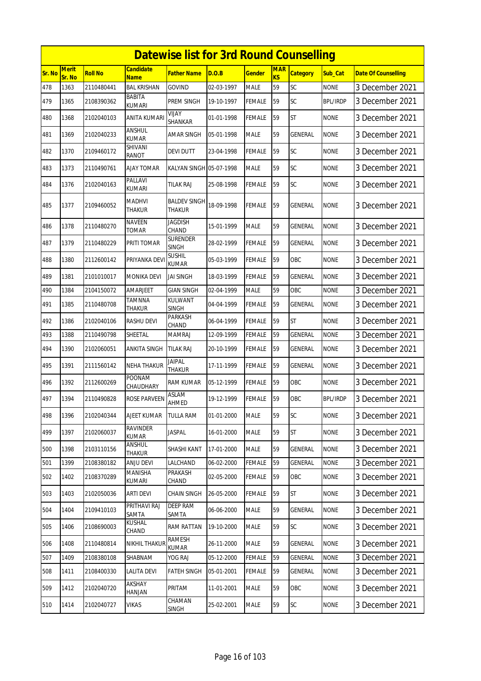|        | <b>Datewise list for 3rd Round Counselling</b><br><b>Merit</b><br><b>Candidate</b><br><b>MAR</b> |                |                                |                                      |            |               |    |                 |                 |                            |  |  |  |
|--------|--------------------------------------------------------------------------------------------------|----------------|--------------------------------|--------------------------------------|------------|---------------|----|-----------------|-----------------|----------------------------|--|--|--|
| Sr. No | Sr. No                                                                                           | <b>Roll No</b> | <b>Name</b>                    | <b>Father Name</b>                   | D.O.B      | <b>Gender</b> | KS | <b>Category</b> | Sub Cat         | <b>Date Of Counselling</b> |  |  |  |
| 478    | 1363                                                                                             | 2110480441     | <b>BAL KRISHAN</b>             | <b>GOVIND</b>                        | 02-03-1997 | <b>MALE</b>   | 59 | SC              | <b>NONE</b>     | 3 December 2021            |  |  |  |
| 479    | 1365                                                                                             | 2108390362     | BABITA<br><b>KUMARI</b>        | PREM SINGH                           | 19-10-1997 | <b>FEMALE</b> | 59 | SC              | <b>BPL/IRDP</b> | 3 December 2021            |  |  |  |
| 480    | 1368                                                                                             | 2102040103     | <b>ANITA KUMARI</b>            | VIJAY<br>SHANKAR                     | 01-01-1998 | <b>FEMALE</b> | 59 | <b>ST</b>       | <b>NONE</b>     | 3 December 2021            |  |  |  |
| 481    | 1369                                                                                             | 2102040233     | ANSHUL<br><b>KUMAR</b>         | <b>AMAR SINGH</b>                    | 05-01-1998 | <b>MALE</b>   | 59 | <b>GENERAL</b>  | <b>NONE</b>     | 3 December 2021            |  |  |  |
| 482    | 1370                                                                                             | 2109460172     | SHIVANI<br>RANOT               | <b>DEVI DUTT</b>                     | 23-04-1998 | <b>FEMALE</b> | 59 | SC              | <b>NONE</b>     | 3 December 2021            |  |  |  |
| 483    | 1373                                                                                             | 2110490761     | <b>AJAY TOMAR</b>              | KALYAN SINGH 05-07-1998              |            | <b>MALE</b>   | 59 | SC              | <b>NONE</b>     | 3 December 2021            |  |  |  |
| 484    | 1376                                                                                             | 2102040163     | PALLAVI<br>KUMARI              | tilak Raj                            | 25-08-1998 | <b>FEMALE</b> | 59 | SC              | <b>NONE</b>     | 3 December 2021            |  |  |  |
| 485    | 1377                                                                                             | 2109460052     | <b>MADHVI</b><br><b>THAKUR</b> | <b>BALDEV SINGH</b><br><b>THAKUR</b> | 18-09-1998 | <b>FEMALE</b> | 59 | <b>GENERAL</b>  | <b>NONE</b>     | 3 December 2021            |  |  |  |
| 486    | 1378                                                                                             | 2110480270     | <b>NAVEEN</b><br><b>TOMAR</b>  | <b>JAGDISH</b><br>CHAND              | 15-01-1999 | <b>MALE</b>   | 59 | <b>GENERAL</b>  | <b>NONE</b>     | 3 December 2021            |  |  |  |
| 487    | 1379                                                                                             | 2110480229     | PRITI TOMAR                    | <b>SURENDER</b><br><b>SINGH</b>      | 28-02-1999 | <b>FEMALE</b> | 59 | GENERAL         | <b>NONE</b>     | 3 December 2021            |  |  |  |
| 488    | 1380                                                                                             | 2112600142     | PRIYANKA DEV                   | <b>SUSHIL</b><br>KUMAR               | 05-03-1999 | <b>FEMALE</b> | 59 | OBC             | <b>NONE</b>     | 3 December 2021            |  |  |  |
| 489    | 1381                                                                                             | 2101010017     | <b>MONIKA DEVI</b>             | <b>JAI SINGH</b>                     | 18-03-1999 | <b>FEMALE</b> | 59 | <b>GENERAL</b>  | <b>NONE</b>     | 3 December 2021            |  |  |  |
| 490    | 1384                                                                                             | 2104150072     | AMARJEET                       | <b>GIAN SINGH</b>                    | 02-04-1999 | <b>MALE</b>   | 59 | OBC             | <b>NONE</b>     | 3 December 2021            |  |  |  |
| 491    | 1385                                                                                             | 2110480708     | TAMNNA<br>THAKUR               | <b>KULWANT</b><br><b>SINGH</b>       | 04-04-1999 | <b>FEMALE</b> | 59 | <b>GENERAL</b>  | <b>NONE</b>     | 3 December 2021            |  |  |  |
| 492    | 1386                                                                                             | 2102040106     | <b>RASHU DEVI</b>              | PARKASH<br>CHAND                     | 06-04-1999 | <b>FEMALE</b> | 59 | <b>ST</b>       | <b>NONE</b>     | 3 December 2021            |  |  |  |
| 493    | 1388                                                                                             | 2110490798     | SHEETAL                        | <b>MAMRAJ</b>                        | 12-09-1999 | <b>FEMALE</b> | 59 | GENERAL         | <b>NONE</b>     | 3 December 2021            |  |  |  |
| 494    | 1390                                                                                             | 2102060051     | ANKITA SINGH                   | <b>TILAK RAJ</b>                     | 20-10-1999 | <b>FEMALE</b> | 59 | <b>GENERAL</b>  | <b>NONE</b>     | 3 December 2021            |  |  |  |
| 495    | 1391                                                                                             | 2111560142     | NEHA THAKUR                    | <b>JAIPAL</b><br><b>THAKUR</b>       | 17-11-1999 | FEMALE        | 59 | GENERAL         | <b>NONE</b>     | 3 December 2021            |  |  |  |
| 496    | 1392                                                                                             | 2112600269     | <b>POONAM</b><br>CHAUDHARY     | <b>RAM KUMAR</b>                     | 05-12-1999 | <b>FEMALE</b> | 59 | OBC             | <b>NONE</b>     | 3 December 2021            |  |  |  |
| 497    | 1394                                                                                             | 2110490828     | ROSE PARVEEN                   | ASLAM<br>AHMED                       | 19-12-1999 | <b>FEMALE</b> | 59 | OBC             | <b>BPL/IRDP</b> | 3 December 2021            |  |  |  |
| 498    | 1396                                                                                             | 2102040344     | <b>AJEET KUMAR</b>             | <b>TULLA RAM</b>                     | 01-01-2000 | <b>MALE</b>   | 59 | <b>SC</b>       | <b>NONE</b>     | 3 December 2021            |  |  |  |
| 499    | 1397                                                                                             | 2102060037     | RAVINDER<br><b>KUMAR</b>       | JASPAL                               | 16-01-2000 | <b>MALE</b>   | 59 | <b>ST</b>       | <b>NONE</b>     | 3 December 2021            |  |  |  |
| 500    | 1398                                                                                             | 2103110156     | ANSHUL<br>THAKUR               | SHASHI KANT                          | 17-01-2000 | <b>MALE</b>   | 59 | <b>GENERAL</b>  | <b>NONE</b>     | 3 December 2021            |  |  |  |
| 501    | 1399                                                                                             | 2108380182     | ANJU DEVI                      | LALCHAND                             | 06-02-2000 | <b>FEMALE</b> | 59 | GENERAL         | <b>NONE</b>     | 3 December 2021            |  |  |  |
| 502    | 1402                                                                                             | 2108370289     | MANISHA<br><b>KUMARI</b>       | PRAKASH<br>CHAND                     | 02-05-2000 | <b>FEMALE</b> | 59 | OBC             | <b>NONE</b>     | 3 December 2021            |  |  |  |
| 503    | 1403                                                                                             | 2102050036     | <b>ARTI DEVI</b>               | <b>CHAIN SINGH</b>                   | 26-05-2000 | <b>FEMALE</b> | 59 | <b>ST</b>       | <b>NONE</b>     | 3 December 2021            |  |  |  |
| 504    | 1404                                                                                             | 2109410103     | PRITHAVI RAJ<br>SAMTA          | <b>DEEP RAM</b><br>SAMTA             | 06-06-2000 | <b>MALE</b>   | 59 | GENERAL         | <b>NONE</b>     | 3 December 2021            |  |  |  |
| 505    | 1406                                                                                             | 2108690003     | <b>KUSHAL</b><br>CHAND         | RAM RATTAN                           | 19-10-2000 | <b>MALE</b>   | 59 | <b>SC</b>       | <b>NONE</b>     | 3 December 2021            |  |  |  |
| 506    | 1408                                                                                             | 2110480814     | <b>NIKHIL THAKUF</b>           | RAMESH<br>KUMAR                      | 26-11-2000 | <b>MALE</b>   | 59 | GENERAL         | <b>NONE</b>     | 3 December 2021            |  |  |  |
| 507    | 1409                                                                                             | 2108380108     | SHABNAM                        | YOG RAJ                              | 05-12-2000 | <b>FEMALE</b> | 59 | <b>GENERAL</b>  | <b>NONE</b>     | 3 December 2021            |  |  |  |
| 508    | 1411                                                                                             | 2108400330     | <b>LALITA DEVI</b>             | <b>FATEH SINGH</b>                   | 05-01-2001 | <b>FEMALE</b> | 59 | GENERAL         | <b>NONE</b>     | 3 December 2021            |  |  |  |
| 509    | 1412                                                                                             | 2102040720     | AKSHAY<br>HANJAN               | PRITAM                               | 11-01-2001 | <b>MALE</b>   | 59 | OBC             | <b>NONE</b>     | 3 December 2021            |  |  |  |
| 510    | 1414                                                                                             | 2102040727     | <b>VIKAS</b>                   | CHAMAN<br>SINGH                      | 25-02-2001 | <b>MALE</b>   | 59 | <b>SC</b>       | <b>NONE</b>     | 3 December 2021            |  |  |  |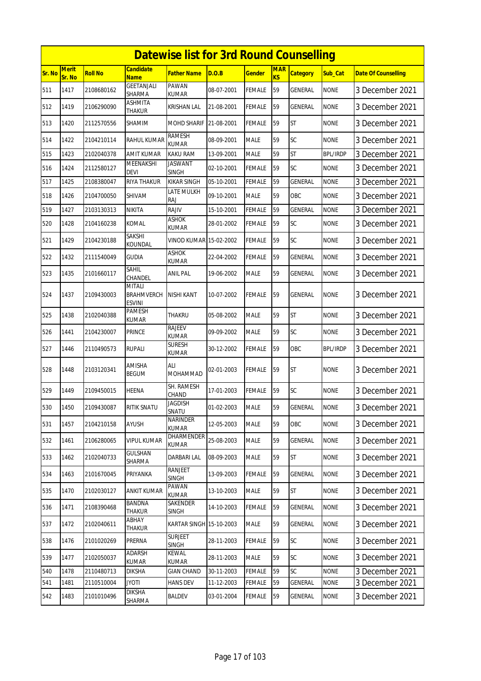|               |                        |                |                                              | <b>Datewise list for 3rd Round Counselling</b> |            |               |                              |                 |                 |                            |
|---------------|------------------------|----------------|----------------------------------------------|------------------------------------------------|------------|---------------|------------------------------|-----------------|-----------------|----------------------------|
| <b>Sr. No</b> | <b>Merit</b><br>Sr. No | <b>Roll No</b> | <b>Candidate</b><br><b>Name</b>              | Father Name                                    | D.O.B      | <b>Gender</b> | <b>MAR</b><br>K <sub>S</sub> | <b>Category</b> | Sub_Cat         | <b>Date Of Counselling</b> |
| 511           | 1417                   | 2108680162     | GEETANJALI<br><b>SHARMA</b>                  | <b>PAWAN</b><br>KUMAR                          | 08-07-2001 | <b>FEMALE</b> | 59                           | <b>GENERAL</b>  | <b>NONE</b>     | 3 December 2021            |
| 512           | 1419                   | 2106290090     | ASHMITA<br>THAKUR                            | KRISHAN LAL                                    | 21-08-2001 | <b>FEMALE</b> | 59                           | GENERAL         | <b>NONE</b>     | 3 December 2021            |
| 513           | 1420                   | 2112570556     | SHAMIM                                       | <b>MOHD SHARIF</b>                             | 21-08-2001 | FEMALE        | 59                           | <b>ST</b>       | <b>NONE</b>     | 3 December 2021            |
| 514           | 1422                   | 2104210114     | RAHUL KUMAR                                  | <b>RAMESH</b><br><b>KUMAR</b>                  | 08-09-2001 | <b>MALE</b>   | 59                           | <b>SC</b>       | <b>NONE</b>     | 3 December 2021            |
| 515           | 1423                   | 2102040378     | AMIT KUMAR                                   | <b>KAKU RAM</b>                                | 13-09-2001 | <b>MALE</b>   | 59                           | <b>ST</b>       | <b>BPL/IRDP</b> | 3 December 2021            |
| 516           | 1424                   | 2112580127     | MEENAKSHI<br><b>DEVI</b>                     | <b>JASWANT</b><br>SINGH                        | 02-10-2001 | <b>FEMALE</b> | 59                           | SC              | <b>NONE</b>     | 3 December 2021            |
| 517           | 1425                   | 2108380047     | RIYA THAKUR                                  | <b>KIKAR SINGH</b>                             | 05-10-2001 | <b>FEMALE</b> | 59                           | GENERAL         | <b>NONE</b>     | 3 December 2021            |
| 518           | 1426                   | 2104700050     | SHIVAM                                       | LATE MULKH<br>RAJ                              | 09-10-2001 | <b>MALE</b>   | 59                           | OBC             | <b>NONE</b>     | 3 December 2021            |
| 519           | 1427                   | 2103130313     | NIKITA                                       | <b>RAJIV</b>                                   | 15-10-2001 | <b>FEMALE</b> | 59                           | GENERAL         | <b>NONE</b>     | 3 December 2021            |
| 520           | 1428                   | 2104160238     | KOMAL                                        | <b>ASHOK</b><br>KUMAR                          | 28-01-2002 | <b>FEMALE</b> | 59                           | SC              | <b>NONE</b>     | 3 December 2021            |
| 521           | 1429                   | 2104230188     | SAKSHI<br>KOUNDAL                            | <b>VINOD KUMAR</b>                             | 15-02-2002 | FEMALE        | 59                           | SC              | <b>NONE</b>     | 3 December 2021            |
| 522           | 1432                   | 2111540049     | <b>GUDIA</b>                                 | <b>ASHOK</b><br>KUMAR                          | 22-04-2002 | <b>FEMALE</b> | 59                           | GENERAL         | <b>NONE</b>     | 3 December 2021            |
| 523           | 1435                   | 2101660117     | Sahil<br>CHANDEL                             | ANIL PAL                                       | 19-06-2002 | <b>MALE</b>   | 59                           | GENERAL         | <b>NONE</b>     | 3 December 2021            |
| 524           | 1437                   | 2109430003     | <b>MITALI</b><br><b>BRAHMVERCH</b><br>ESVINI | <b>NISHI KANT</b>                              | 10-07-2002 | <b>FEMALE</b> | 59                           | GENERAL         | <b>NONE</b>     | 3 December 2021            |
| 525           | 1438                   | 2102040388     | PAMESH<br>KUMAR                              | THAKRU                                         | 05-08-2002 | <b>MALE</b>   | 59                           | <b>ST</b>       | <b>NONE</b>     | 3 December 2021            |
| 526           | 1441                   | 2104230007     | PRINCE                                       | RAJEEV<br><b>KUMAR</b>                         | 09-09-2002 | <b>MALE</b>   | 59                           | <b>SC</b>       | <b>NONE</b>     | 3 December 2021            |
| 527           | 1446                   | 2110490573     | <b>RUPALI</b>                                | <b>SURESH</b><br><b>KUMAR</b>                  | 30-12-2002 | <b>FEMALE</b> | 59                           | OBC             | <b>BPL/IRDP</b> | 3 December 2021            |
| 528           | 1448                   | 2103120341     | <b>AMISHA</b><br>BEGUM                       | ALI<br>MOHAMMAD                                | 02-01-2003 | <b>FEMALE</b> | 59                           | <b>ST</b>       | <b>NONE</b>     | 3 December 2021            |
| 529           | 1449                   | 2109450015     | HEENA                                        | SH. RAMESH<br>CHAND                            | 17-01-2003 | <b>FEMALE</b> | 59                           | SC              | <b>NONE</b>     | 3 December 2021            |
| 530           | 1450                   | 2109430087     | RITIK SNATU                                  | <b>JAGDISH</b><br>SNATU                        | 01-02-2003 | MALE          | 59                           | GENERAL         | <b>NONE</b>     | 3 December 2021            |
| 531           | 1457                   | 2104210158     | AYUSH                                        | NARINDER<br><b>KUMAR</b>                       | 12-05-2003 | <b>MALE</b>   | 59                           | OBC             | <b>NONE</b>     | 3 December 2021            |
| 532           | 1461                   | 2106280065     | <b>VIPUL KUMAR</b>                           | <b>DHARMENDER</b><br><b>KUMAR</b>              | 25-08-2003 | <b>MALE</b>   | 59                           | GENERAL         | <b>NONE</b>     | 3 December 2021            |
| 533           | 1462                   | 2102040733     | <b>GULSHAN</b><br>SHARMA                     | <b>DARBARI LAL</b>                             | 08-09-2003 | <b>MALE</b>   | 59                           | ST              | <b>NONE</b>     | 3 December 2021            |
| 534           | 1463                   | 2101670045     | PRIYANKA                                     | RANJEET<br><b>SINGH</b>                        | 13-09-2003 | <b>FEMALE</b> | 59                           | GENERAL         | <b>NONE</b>     | 3 December 2021            |
| 535           | 1470                   | 2102030127     | ANKIT KUMAR                                  | PAWAN<br>KUMAR                                 | 13-10-2003 | <b>MALE</b>   | 59                           | <b>ST</b>       | <b>NONE</b>     | 3 December 2021            |
| 536           | 1471                   | 2108390468     | BANDNA<br><b>THAKUR</b>                      | SAKENDER<br>SINGH                              | 14-10-2003 | <b>FEMALE</b> | 59                           | <b>GENERAL</b>  | <b>NONE</b>     | 3 December 2021            |
| 537           | 1472                   | 2102040611     | ABHAY<br>THAKUR                              | KARTAR SINGH 15-10-2003                        |            | MALE          | 59                           | GENERAL         | <b>NONE</b>     | 3 December 2021            |
| 538           | 1476                   | 2101020269     | PRERNA                                       | <b>SURJEET</b><br><b>SINGH</b>                 | 28-11-2003 | <b>FEMALE</b> | 59                           | <b>SC</b>       | <b>NONE</b>     | 3 December 2021            |
| 539           | 1477                   | 2102050037     | ADARSH<br><b>KUMAR</b>                       | <b>KEWAL</b><br><b>KUMAR</b>                   | 28-11-2003 | <b>MALE</b>   | 59                           | <b>SC</b>       | <b>NONE</b>     | 3 December 2021            |
| 540           | 1478                   | 2110480713     | <b>DIKSHA</b>                                | <b>GIAN CHAND</b>                              | 30-11-2003 | <b>FEMALE</b> | 59                           | SC              | <b>NONE</b>     | 3 December 2021            |
| 541           | 1481                   | 2110510004     | <b>JYOTI</b><br><b>DIKSHA</b>                | <b>HANS DEV</b>                                | 11-12-2003 | <b>FEMALE</b> | 59                           | GENERAL         | <b>NONE</b>     | 3 December 2021            |
| 542           | 1483                   | 2101010496     | SHARMA                                       | <b>BALDEV</b>                                  | 03-01-2004 | <b>FEMALE</b> | 59                           | GENERAL         | <b>NONE</b>     | 3 December 2021            |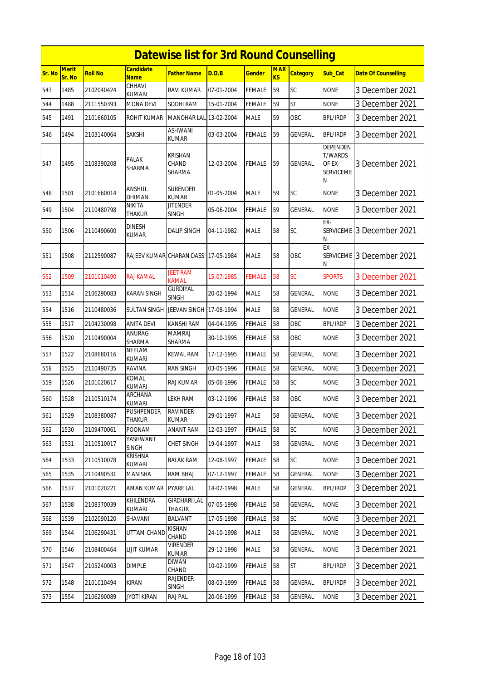|        | <b>Datewise list for 3rd Round Counselling</b> |                |                                 |                                      |            |               |                  |                 |                                                               |                            |  |  |
|--------|------------------------------------------------|----------------|---------------------------------|--------------------------------------|------------|---------------|------------------|-----------------|---------------------------------------------------------------|----------------------------|--|--|
| Sr. No | Merit<br>Sr. No                                | <b>Roll No</b> | <b>Candidate</b><br><b>Name</b> | <b>Father Name</b>                   | D.O.B      | Gender        | <b>MAR</b><br>KS | <b>Category</b> | <b>Sub Cat</b>                                                | <b>Date Of Counselling</b> |  |  |
| 543    | 1485                                           | 2102040424     | CHHAVI<br>kumari                | <b>RAVI KUMAR</b>                    | 07-01-2004 | FEMALE        | 59               | SC              | <b>NONE</b>                                                   | 3 December 2021            |  |  |
| 544    | 1488                                           | 2111550393     | <b>MONA DEVI</b>                | SODHI RAM                            | 15-01-2004 | FEMALE        | 59               | <b>ST</b>       | <b>NONE</b>                                                   | 3 December 2021            |  |  |
| 545    | 1491                                           | 2101660105     | ROHIT KUMAR                     | MANOHAR LAL 13-02-2004               |            | MALE          | 59               | OBC             | <b>BPL/IRDP</b>                                               | 3 December 2021            |  |  |
| 546    | 1494                                           | 2103140064     | SAKSHI                          | ASHWANI<br><b>KUMAR</b>              | 03-03-2004 | FEMALE        | 59               | <b>GENERAL</b>  | <b>BPL/IRDP</b>                                               | 3 December 2021            |  |  |
| 547    | 1495                                           | 2108390208     | PALAK<br>SHARMA                 | <b>KRISHAN</b><br>CHAND<br>SHARMA    | 12-03-2004 | FEMALE        | 59               | GENERAL         | DEPENDEN<br><b>T/WARDS</b><br>OF EX-<br><b>SERVICEME</b><br>Ν | 3 December 2021            |  |  |
| 548    | 1501                                           | 2101660014     | ANSHUL<br>DHIMAN                | <b>SURENDER</b><br><b>KUMAR</b>      | 01-05-2004 | <b>MALE</b>   | 59               | SC              | <b>NONE</b>                                                   | 3 December 2021            |  |  |
| 549    | 1504                                           | 2110480798     | NIKITA<br>THAKUR                | <b>JITENDER</b><br>SINGH             | 05-06-2004 | FEMALE        | 59               | <b>GENERAL</b>  | <b>NONE</b>                                                   | 3 December 2021            |  |  |
| 550    | 1506                                           | 2110490600     | <b>DINESH</b><br>KUMAR          | <b>DALIP SINGH</b>                   | 04-11-1982 | MALE          | 58               | SC              | EX-<br><b>SERVICEME</b><br>Ν                                  | 3 December 2021            |  |  |
| 551    | 1508                                           | 2112590087     | RAJEEV KUMAR CHARAN DASS        |                                      | 17-05-1984 | <b>MALE</b>   | 58               | OBC             | EX-<br><b>SERVICEME</b><br>N                                  | 3 December 2021            |  |  |
| 552    | 1509                                           | 2101010490     | RAJ KAMAL                       | <b>JEET RAM</b><br><b>KAMAL</b>      | 15-07-1985 | <b>FEMALE</b> | 58               | SC              | <b>SPORTS</b>                                                 | 3 December 2021            |  |  |
| 553    | 1514                                           | 2106290083     | KARAN SINGH                     | <b>GURDIYAL</b><br><b>SINGH</b>      | 20-02-1994 | <b>MALE</b>   | 58               | GENERAL         | <b>NONE</b>                                                   | 3 December 2021            |  |  |
| 554    | 1516                                           | 2110480036     | SULTAN SINGH                    | JEEVAN SINGH 17-08-1994              |            | <b>MALE</b>   | 58               | GENERAL         | <b>NONE</b>                                                   | 3 December 2021            |  |  |
| 555    | 1517                                           | 2104230098     | ANITA DEVI                      | KANSHI RAM                           | 04-04-1995 | FEMALE        | 58               | OBC             | <b>BPL/IRDP</b>                                               | 3 December 2021            |  |  |
| 556    | 1520                                           | 2110490004     | ANURAG<br>SHARMA                | <b>MAMRAJ</b><br>SHARMA              | 30-10-1995 | FEMALE        | 58               | OBC             | <b>NONE</b>                                                   | 3 December 2021            |  |  |
| 557    | 1522                                           | 2108680116     | NEELAM<br>KUMARI                | <b>KEWAL RAM</b>                     | 17-12-1995 | FEMALE        | 58               | GENERAL         | <b>NONE</b>                                                   | 3 December 2021            |  |  |
| 558    | 1525                                           | 2110490735     | RAVINA                          | <b>RAN SINGH</b>                     | 03-05-1996 | FEMALE        | 58               | GENERAL         | <b>NONE</b>                                                   | 3 December 2021            |  |  |
| 559    | 1526                                           | 2101020617     | KOMAL<br>kumari                 | <b>RAJ KUMAR</b>                     | 05-06-1996 | FEMALE        | 58               | SC              | <b>NONE</b>                                                   | 3 December 2021            |  |  |
| 560    | 1528                                           | 2110510174     | ARCHANA<br>kumari               | LEKH RAM                             | 03-12-1996 | <b>FEMALE</b> | 58               | ОВС             | <b>NONE</b>                                                   | 3 December 2021            |  |  |
| 561    | 1529                                           | 2108380087     | PUSHPENDER<br>THAKUR            | <b>RAVINDER</b><br><b>KUMAR</b>      | 29-01-1997 | <b>MALE</b>   | 58               | <b>GENERAL</b>  | <b>NONE</b>                                                   | 3 December 2021            |  |  |
| 562    | 1530                                           | 2109470061     | POONAM                          | <b>ANANT RAM</b>                     | 12-03-1997 | <b>FEMALE</b> | 58               | SC              | <b>NONE</b>                                                   | 3 December 2021            |  |  |
| 563    | 1531                                           | 2110510017     | YASHWANT<br>SINGH               | <b>CHET SINGH</b>                    | 19-04-1997 | <b>MALE</b>   | 58               | <b>GENERAL</b>  | <b>NONE</b>                                                   | 3 December 2021            |  |  |
| 564    | 1533                                           | 2110510078     | KRISHNA<br>KUMARI               | <b>BALAK RAM</b>                     | 12-08-1997 | <b>FEMALE</b> | 58               | <b>SC</b>       | <b>NONE</b>                                                   | 3 December 2021            |  |  |
| 565    | 1535                                           | 2110490531     | MANISHA                         | <b>RAM BHAJ</b>                      | 07-12-1997 | FEMALE        | 58               | <b>GENERAL</b>  | <b>NONE</b>                                                   | 3 December 2021            |  |  |
| 566    | 1537                                           | 2101020221     | AMAN KUMAR                      | <b>PYARE LAL</b>                     | 14-02-1998 | MALE          | 58               | GENERAL         | <b>BPL/IRDP</b>                                               | 3 December 2021            |  |  |
| 567    | 1538                                           | 2108370039     | KHILENDRA<br>KUMARI             | <b>GIRDHARI LAL</b><br><b>THAKUR</b> | 07-05-1998 | FEMALE        | 58               | GENERAL         | <b>NONE</b>                                                   | 3 December 2021            |  |  |
| 568    | 1539                                           | 2102090120     | SHAVANI                         | <b>BALVANT</b>                       | 17-05-1998 | <b>FEMALE</b> | 58               | <b>SC</b>       | <b>NONE</b>                                                   | 3 December 2021            |  |  |
| 569    | 1544                                           | 2106290431     | UTTAM CHAND                     | <b>KISHAN</b><br>CHAND               | 24-10-1998 | <b>MALE</b>   | 58               | <b>GENERAL</b>  | <b>NONE</b>                                                   | 3 December 2021            |  |  |
| 570    | 1546                                           | 2108400464     | <b>LIJIT KUMAR</b>              | <b>VIRENDER</b><br>KUMAR             | 29-12-1998 | <b>MALE</b>   | 58               | GENERAL         | <b>NONE</b>                                                   | 3 December 2021            |  |  |
| 571    | 1547                                           | 2105240003     | DIMPLE                          | DIWAN<br>CHAND                       | 10-02-1999 | <b>FEMALE</b> | 58               | ST              | <b>BPL/IRDP</b>                                               | 3 December 2021            |  |  |
| 572    | 1548                                           | 2101010494     | KIRAN                           | RAJENDER<br><b>SINGH</b>             | 08-03-1999 | FEMALE        | 58               | GENERAL         | BPL/IRDP                                                      | 3 December 2021            |  |  |
| 573    | 1554                                           | 2106290089     | <b>JYOTI KIRAN</b>              | RAJ PAL                              | 20-06-1999 | <b>FEMALE</b> | 58               | GENERAL         | <b>NONE</b>                                                   | 3 December 2021            |  |  |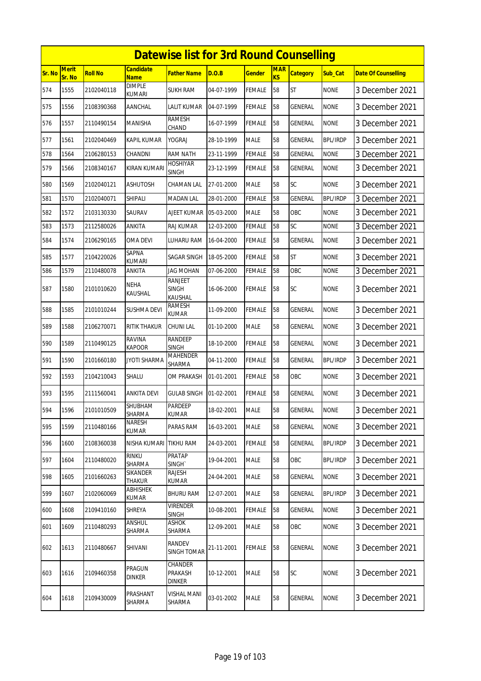|        | <b>Datewise list for 3rd Round Counselling</b> |                |                                 |                                           |            |               |                  |                 |                 |                            |  |  |
|--------|------------------------------------------------|----------------|---------------------------------|-------------------------------------------|------------|---------------|------------------|-----------------|-----------------|----------------------------|--|--|
| Sr. No | <b>Merit</b><br>Sr. No                         | <b>Roll No</b> | <b>Candidate</b><br><b>Name</b> | <b>Father Name</b>                        | D.O.B      | <b>Gender</b> | <b>MAR</b><br>KS | <b>Category</b> | Sub Cat         | <b>Date Of Counselling</b> |  |  |
| 574    | 1555                                           | 2102040118     | <b>DIMPLE</b><br>KUMARI         | <b>SUKH RAM</b>                           | 04-07-1999 | <b>FEMALE</b> | 58               | <b>ST</b>       | <b>NONE</b>     | 3 December 2021            |  |  |
| 575    | 1556                                           | 2108390368     | AANCHAL                         | LALIT KUMAR                               | 04-07-1999 | <b>FEMALE</b> | 58               | GENERAL         | <b>NONE</b>     | 3 December 2021            |  |  |
| 576    | 1557                                           | 2110490154     | <b>MANISHA</b>                  | <b>RAMESH</b><br>CHAND                    | 16-07-1999 | <b>FEMALE</b> | 58               | GENERAL         | <b>NONE</b>     | 3 December 2021            |  |  |
| 577    | 1561                                           | 2102040469     | KAPIL KUMAR                     | <b>YOGRAJ</b>                             | 28-10-1999 | <b>MALE</b>   | 58               | <b>GENERAL</b>  | <b>BPL/IRDP</b> | 3 December 2021            |  |  |
| 578    | 1564                                           | 2106280153     | CHANDNI                         | <b>RAM NATH</b>                           | 23-11-1999 | <b>FEMALE</b> | 58               | <b>GENERAL</b>  | <b>NONE</b>     | 3 December 2021            |  |  |
| 579    | 1566                                           | 2108340167     | KIRAN KUMARI                    | <b>HOSHIYAR</b><br><b>SINGH</b>           | 23-12-1999 | <b>FEMALE</b> | 58               | GENERAL         | <b>NONE</b>     | 3 December 2021            |  |  |
| 580    | 1569                                           | 2102040121     | <b>ASHUTOSH</b>                 | CHAMAN LAL                                | 27-01-2000 | <b>MALE</b>   | 58               | SC              | <b>NONE</b>     | 3 December 2021            |  |  |
| 581    | 1570                                           | 2102040071     | SHIPALI                         | <b>MADAN LAL</b>                          | 28-01-2000 | <b>FEMALE</b> | 58               | GENERAL         | <b>BPL/IRDP</b> | 3 December 2021            |  |  |
| 582    | 1572                                           | 2103130330     | SAURAV                          | <b>AJEET KUMAR</b>                        | 05-03-2000 | <b>MALE</b>   | 58               | OBC             | <b>NONE</b>     | 3 December 2021            |  |  |
| 583    | 1573                                           | 2112580026     | <b>ANKITA</b>                   | RAJ KUMAR                                 | 12-03-2000 | <b>FEMALE</b> | 58               | SC              | <b>NONE</b>     | 3 December 2021            |  |  |
| 584    | 1574                                           | 2106290165     | OMA DEVI                        | LUHARU RAM                                | 16-04-2000 | <b>FEMALE</b> | 58               | GENERAL         | <b>NONE</b>     | 3 December 2021            |  |  |
| 585    | 1577                                           | 2104220026     | <b>SAPNA</b><br><b>KUMARI</b>   | SAGAR SINGH                               | 18-05-2000 | <b>FEMALE</b> | 58               | <b>ST</b>       | <b>NONE</b>     | 3 December 2021            |  |  |
| 586    | 1579                                           | 2110480078     | ANKITA                          | <b>JAG MOHAN</b>                          | 07-06-2000 | <b>FEMALE</b> | 58               | OBC             | <b>NONE</b>     | 3 December 2021            |  |  |
| 587    | 1580                                           | 2101010620     | <b>NEHA</b><br>KAUSHAL          | <b>RANJEET</b><br><b>SINGH</b><br>KAUSHAL | 16-06-2000 | <b>FEMALE</b> | 58               | SC              | <b>NONE</b>     | 3 December 2021            |  |  |
| 588    | 1585                                           | 2101010244     | <b>SUSHMA DEVI</b>              | <b>RAMESH</b><br><b>KUMAR</b>             | 11-09-2000 | <b>FEMALE</b> | 58               | GENERAL         | <b>NONE</b>     | 3 December 2021            |  |  |
| 589    | 1588                                           | 2106270071     | RITIK THAKUR                    | <b>CHUNI LAL</b>                          | 01-10-2000 | <b>MALE</b>   | 58               | GENERAL         | <b>NONE</b>     | 3 December 2021            |  |  |
| 590    | 1589                                           | 2110490125     | <b>RAVINA</b><br><b>KAPOOR</b>  | <b>RANDEEP</b><br><b>SINGH</b>            | 18-10-2000 | <b>FEMALE</b> | 58               | <b>GENERAL</b>  | <b>NONE</b>     | 3 December 2021            |  |  |
| 591    | 1590                                           | 2101660180     | <b>JYOTI SHARMA</b>             | <b>MAHENDER</b><br>SHARMA                 | 04-11-2000 | <b>FEMALE</b> | 58               | GENERAL         | <b>BPL/IRDP</b> | 3 December 2021            |  |  |
| 592    | 1593                                           | 2104210043     | SHALU                           | OM PRAKASH                                | 01-01-2001 | <b>FEMALE</b> | 58               | OBC             | <b>NONE</b>     | 3 December 2021            |  |  |
| 593    | 1595                                           | 2111560041     | ANKITA DEVI                     | <b>GULAB SINGH</b>                        | 01-02-2001 | <b>FEMALE</b> | 58               | GENERAL         | <b>NONE</b>     | 3 December 2021            |  |  |
| 594    | 1596                                           | 2101010509     | SHUBHAM<br>SHARMA               | <b>PARDEEP</b><br><b>KUMAR</b>            | 18-02-2001 | <b>MALE</b>   | 58               | <b>GENERAL</b>  | <b>NONE</b>     | 3 December 2021            |  |  |
| 595    | 1599                                           | 2110480166     | NARESH<br><b>KUMAR</b>          | PARAS RAM                                 | 16-03-2001 | <b>MALE</b>   | 58               | GENERAL         | <b>NONE</b>     | 3 December 2021            |  |  |
| 596    | 1600                                           | 2108360038     | NISHA KUMARI                    | <b>TIKHU RAM</b>                          | 24-03-2001 | FEMALE        | 58               | GENERAL         | <b>BPL/IRDP</b> | 3 December 2021            |  |  |
| 597    | 1604                                           | 2110480020     | <b>RINKU</b><br>SHARMA          | <b>PRATAP</b><br>SINGH <sup>®</sup>       | 19-04-2001 | <b>MALE</b>   | 58               | OBC             | <b>BPL/IRDP</b> | 3 December 2021            |  |  |
| 598    | 1605                                           | 2101660263     | SIKANDER<br>Thakur              | <b>RAJESH</b><br>KUMAR                    | 24-04-2001 | <b>MALE</b>   | 58               | GENERAL         | <b>NONE</b>     | 3 December 2021            |  |  |
| 599    | 1607                                           | 2102060069     | ABHISHEK<br>KUMAR               | <b>BHURU RAM</b>                          | 12-07-2001 | <b>MALE</b>   | 58               | GENERAL         | <b>BPL/IRDP</b> | 3 December 2021            |  |  |
| 600    | 1608                                           | 2109410160     | SHREYA                          | <b>VIRENDER</b><br><b>SINGH</b>           | 10-08-2001 | <b>FEMALE</b> | 58               | GENERAL         | NONE            | 3 December 2021            |  |  |
| 601    | 1609                                           | 2110480293     | ANSHUL<br>SHARMA                | <b>ASHOK</b><br>SHARMA                    | 12-09-2001 | <b>MALE</b>   | 58               | OBC             | <b>NONE</b>     | 3 December 2021            |  |  |
| 602    | 1613                                           | 2110480667     | SHIVANI                         | RANDEV<br><b>SINGH TOMAR</b>              | 21-11-2001 | <b>FEMALE</b> | 58               | GENERAL         | <b>NONE</b>     | 3 December 2021            |  |  |
| 603    | 1616                                           | 2109460358     | PRAGUN<br><b>DINKER</b>         | CHANDER<br>PRAKASH<br><b>DINKER</b>       | 10-12-2001 | <b>MALE</b>   | 58               | SC              | <b>NONE</b>     | 3 December 2021            |  |  |
| 604    | 1618                                           | 2109430009     | PRASHANT<br>SHARMA              | VISHAL MANI<br>SHARMA                     | 03-01-2002 | <b>MALE</b>   | 58               | GENERAL         | <b>NONE</b>     | 3 December 2021            |  |  |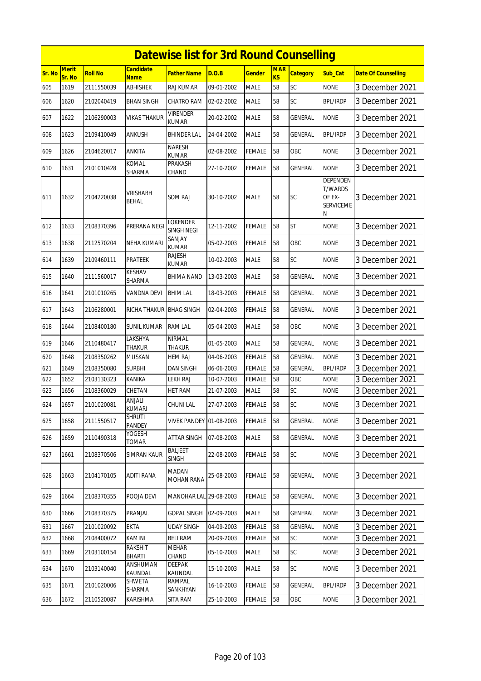|        |                 |                |                                 | <b>Datewise list for 3rd Round Counselling</b> |            |               |                         |                 |                                                               |                            |
|--------|-----------------|----------------|---------------------------------|------------------------------------------------|------------|---------------|-------------------------|-----------------|---------------------------------------------------------------|----------------------------|
| Sr. No | Merit<br>Sr. No | <b>Roll No</b> | <b>Candidate</b><br><b>Name</b> | <b>Father Name</b>                             | D.O.B      | <b>Gender</b> | <b>MAR</b><br><b>KS</b> | <b>Category</b> | Sub Cat                                                       | <b>Date Of Counselling</b> |
| 605    | 1619            | 2111550039     | <b>ABHISHEK</b>                 | <b>RAJ KUMAR</b>                               | 09-01-2002 | <b>MALE</b>   | 58                      | SC              | <b>NONE</b>                                                   | 3 December 2021            |
| 606    | 1620            | 2102040419     | <b>BHAN SINGH</b>               | CHATRO RAM                                     | 02-02-2002 | <b>MALE</b>   | 58                      | SC              | <b>BPL/IRDP</b>                                               | 3 December 2021            |
| 607    | 1622            | 2106290003     | VIKAS THAKUR                    | <b>VIRENDER</b><br>KUMAR                       | 20-02-2002 | <b>MALE</b>   | 58                      | GENERAL         | <b>NONE</b>                                                   | 3 December 2021            |
| 608    | 1623            | 2109410049     | ANKUSH                          | <b>BHINDER LAL</b>                             | 24-04-2002 | <b>MALE</b>   | 58                      | <b>GENERAL</b>  | <b>BPL/IRDP</b>                                               | 3 December 2021            |
| 609    | 1626            | 2104620017     | ANKITA                          | <b>NARESH</b><br><b>KUMAR</b>                  | 02-08-2002 | <b>FEMALE</b> | 58                      | <b>OBC</b>      | <b>NONE</b>                                                   | 3 December 2021            |
| 610    | 1631            | 2101010428     | KOMAL<br>SHARMA                 | PRAKASH<br>CHAND                               | 27-10-2002 | <b>FEMALE</b> | 58                      | <b>GENERAL</b>  | <b>NONE</b>                                                   | 3 December 2021            |
| 611    | 1632            | 2104220038     | VRISHABH<br><b>BEHAL</b>        | SOM RAJ                                        | 30-10-2002 | <b>MALE</b>   | 58                      | <b>SC</b>       | DEPENDEN<br><b>T/WARDS</b><br>OF EX-<br><b>SERVICEME</b><br>Ν | 3 December 2021            |
| 612    | 1633            | 2108370396     | PRERANA NEGI                    | <b>LOKENDER</b><br>SINGH NEGI                  | 12-11-2002 | <b>FEMALE</b> | 58                      | <b>ST</b>       | <b>NONE</b>                                                   | 3 December 2021            |
| 613    | 1638            | 2112570204     | NEHA KUMARI                     | SANJAY<br><b>KUMAR</b>                         | 05-02-2003 | <b>FEMALE</b> | 58                      | OBC             | <b>NONE</b>                                                   | 3 December 2021            |
| 614    | 1639            | 2109460111     | PRATEEK                         | RAJESH<br>KUMAR                                | 10-02-2003 | <b>MALE</b>   | 58                      | SC              | <b>NONE</b>                                                   | 3 December 2021            |
| 615    | 1640            | 2111560017     | KESHAV<br>SHARMA                | BHIMA NAND                                     | 13-03-2003 | <b>MALE</b>   | 58                      | GENERAL         | <b>NONE</b>                                                   | 3 December 2021            |
| 616    | 1641            | 2101010265     | VANDNA DEVI                     | <b>BHIM LAL</b>                                | 18-03-2003 | <b>FEMALE</b> | 58                      | GENERAL         | <b>NONE</b>                                                   | 3 December 2021            |
| 617    | 1643            | 2106280001     | <b>RICHA THAKUR</b>             | <b>BHAG SINGH</b>                              | 02-04-2003 | <b>FEMALE</b> | 58                      | <b>GENERAL</b>  | <b>NONE</b>                                                   | 3 December 2021            |
| 618    | 1644            | 2108400180     | SUNIL KUMAR                     | RAM LAL                                        | 05-04-2003 | <b>MALE</b>   | 58                      | OBC             | <b>NONE</b>                                                   | 3 December 2021            |
| 619    | 1646            | 2110480417     | LAKSHYA<br>THAKUR               | <b>NIRMAL</b><br><b>THAKUR</b>                 | 01-05-2003 | <b>MALE</b>   | 58                      | <b>GENERAL</b>  | <b>NONE</b>                                                   | 3 December 2021            |
| 620    | 1648            | 2108350262     | <b>MUSKAN</b>                   | <b>HEM RAJ</b>                                 | 04-06-2003 | <b>FEMALE</b> | 58                      | <b>GENERAL</b>  | <b>NONE</b>                                                   | 3 December 2021            |
| 621    | 1649            | 2108350080     | <b>SURBHI</b>                   | <b>DAN SINGH</b>                               | 06-06-2003 | <b>FEMALE</b> | 58                      | <b>GENERAL</b>  | <b>BPL/IRDP</b>                                               | 3 December 2021            |
| 622    | 1652            | 2103130323     | KANIKA                          | LEKH RAJ                                       | 10-07-2003 | <b>FEMALE</b> | 58                      | OBC             | <b>NONE</b>                                                   | 3 December 2021            |
| 623    | 1656            | 2108360029     | CHETAN                          | <b>HET RAM</b>                                 | 21-07-2003 | <b>MALE</b>   | 58                      | SC              | <b>NONE</b>                                                   | 3 December 2021            |
| 624    | 1657            | 2101020081     | ANJALI<br><b>KUMARI</b>         | <b>CHUNI LAL</b>                               | 27-07-2003 | <b>FEMALE</b> | 58                      | <b>SC</b>       | <b>NONE</b>                                                   | 3 December 2021            |
| 625    | 1658            | 2111550517     | <b>SHRUTI</b><br>PANDEY         | <b>VIVEK PANDEY 01-08-2003</b>                 |            | <b>FEMALE</b> | 58                      | GENERAL         | <b>NONE</b>                                                   | 3 December 2021            |
| 626    | 1659            | 2110490318     | YOGESH<br>TOMAR                 | ATTAR SINGH                                    | 07-08-2003 | <b>MALE</b>   | 58                      | GENERAL         | <b>NONE</b>                                                   | 3 December 2021            |
| 627    | 1661            | 2108370506     | <b>SIMRAN KAUR</b>              | <b>BALJEET</b><br><b>SINGH</b>                 | 22-08-2003 | <b>FEMALE</b> | 58                      | <b>SC</b>       | <b>NONE</b>                                                   | 3 December 2021            |
| 628    | 1663            | 2104170105     | <b>ADITI RANA</b>               | MADAN<br><b>MOHAN RANA</b>                     | 25-08-2003 | <b>FEMALE</b> | 58                      | GENERAL         | <b>NONE</b>                                                   | 3 December 2021            |
| 629    | 1664            | 2108370355     | pooja devi                      | MANOHAR LAL 29-08-2003                         |            | FEMALE        | 58                      | GENERAL         | <b>NONE</b>                                                   | 3 December 2021            |
| 630    | 1666            | 2108370375     | PRANJAL                         | <b>GOPAL SINGH</b>                             | 02-09-2003 | <b>MALE</b>   | 58                      | <b>GENERAL</b>  | <b>NONE</b>                                                   | 3 December 2021            |
| 631    | 1667            | 2101020092     | <b>EKTA</b>                     | <b>UDAY SINGH</b>                              | 04-09-2003 | <b>FEMALE</b> | 58                      | <b>GENERAL</b>  | <b>NONE</b>                                                   | 3 December 2021            |
| 632    | 1668            | 2108400072     | KAMINI                          | <b>BELI RAM</b>                                | 20-09-2003 | <b>FEMALE</b> | 58                      | <b>SC</b>       | <b>NONE</b>                                                   | 3 December 2021            |
| 633    | 1669            | 2103100154     | <b>RAKSHIT</b><br><b>BHARTI</b> | MEHAR<br>CHAND                                 | 05-10-2003 | <b>MALE</b>   | 58                      | <b>SC</b>       | <b>NONE</b>                                                   | 3 December 2021            |
| 634    | 1670            | 2103140040     | ANSHUMAN<br><b>KAUNDAL</b>      | <b>DEEPAK</b><br>KAUNDAL                       | 15-10-2003 | <b>MALE</b>   | 58                      | SC              | <b>NONE</b>                                                   | 3 December 2021            |
| 635    | 1671            | 2101020006     | SHWETA<br>SHARMA                | <b>RAMPAL</b><br>SANKHYAN                      | 16-10-2003 | FEMALE        | 58                      | <b>GENERAL</b>  | <b>BPL/IRDP</b>                                               | 3 December 2021            |
| 636    | 1672            | 2110520087     | KARISHMA                        | SITA RAM                                       | 25-10-2003 | FEMALE        | 58                      | OBC             | <b>NONE</b>                                                   | 3 December 2021            |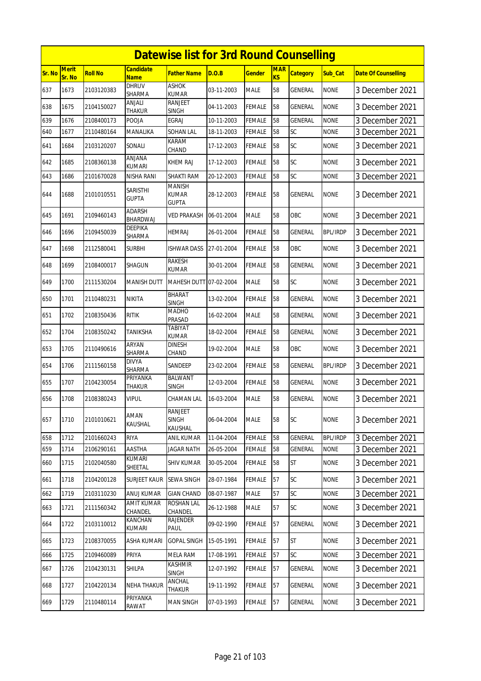|        |                 |                |                                 | <b>Datewise list for 3rd Round Counselling</b> |            |               |                  |                 |                 |                            |
|--------|-----------------|----------------|---------------------------------|------------------------------------------------|------------|---------------|------------------|-----------------|-----------------|----------------------------|
| Sr. No | Merit<br>Sr. No | <b>Roll No</b> | Candidate<br><b>Name</b>        | <b>Father Name</b>                             | D.O.B      | <b>Gender</b> | <b>MAR</b><br>KS | <b>Category</b> | Sub Cat         | <b>Date Of Counselling</b> |
| 637    | 1673            | 2103120383     | <b>DHRUV</b><br>SHARMA          | <b>ASHOK</b><br><b>KUMAR</b>                   | 03-11-2003 | <b>MALE</b>   | 58               | GENERAL         | <b>NONE</b>     | 3 December 2021            |
| 638    | 1675            | 2104150027     | ANJALI<br>THAKUR                | RANJEET<br>SINGH                               | 04-11-2003 | FEMALE        | 58               | GENERAL         | <b>NONE</b>     | 3 December 2021            |
| 639    | 1676            | 2108400173     | POOJA                           | <b>EGRAJ</b>                                   | 10-11-2003 | FEMALE        | 58               | <b>GENERAL</b>  | <b>NONE</b>     | 3 December 2021            |
| 640    | 1677            | 2110480164     | MANALIKA                        | SOHAN LAL                                      | 18-11-2003 | FEMALE        | 58               | SC              | <b>NONE</b>     | 3 December 2021            |
| 641    | 1684            | 2103120207     | SONALI                          | KARAM<br>CHAND                                 | 17-12-2003 | FEMALE        | 58               | SC              | <b>NONE</b>     | 3 December 2021            |
| 642    | 1685            | 2108360138     | ANJANA<br>KUMARI                | KHEM RAJ                                       | 17-12-2003 | FEMALE        | 58               | SC              | <b>NONE</b>     | 3 December 2021            |
| 643    | 1686            | 2101670028     | NISHA RANI                      | SHAKTI RAM                                     | 20-12-2003 | FEMALE        | 58               | SC              | <b>NONE</b>     | 3 December 2021            |
| 644    | 1688            | 2101010551     | <b>SARISTHI</b><br><b>GUPTA</b> | <b>MANISH</b><br><b>KUMAR</b><br><b>GUPTA</b>  | 28-12-2003 | FEMALE        | 58               | GENERAL         | <b>NONE</b>     | 3 December 2021            |
| 645    | 1691            | 2109460143     | ADARSH<br>BHARDWAJ              | VED PRAKASH                                    | 06-01-2004 | <b>MALE</b>   | 58               | <b>OBC</b>      | <b>NONE</b>     | 3 December 2021            |
| 646    | 1696            | 2109450039     | DEEPIKA<br>SHARMA               | HEMRAJ                                         | 26-01-2004 | FEMALE        | 58               | GENERAL         | <b>BPL/IRDP</b> | 3 December 2021            |
| 647    | 1698            | 2112580041     | Surbhi                          | <b>ISHWAR DASS</b>                             | 27-01-2004 | FEMALE        | 58               | OBC             | <b>NONE</b>     | 3 December 2021            |
| 648    | 1699            | 2108400017     | SHAGUN                          | RAKESH<br><b>KUMAR</b>                         | 30-01-2004 | FEMALE        | 58               | <b>GENERAL</b>  | <b>NONE</b>     | 3 December 2021            |
| 649    | 1700            | 2111530204     | <b>MANISH DUTT</b>              | MAHESH DUTT 07-02-2004                         |            | <b>MALE</b>   | 58               | SC              | <b>NONE</b>     | 3 December 2021            |
| 650    | 1701            | 2110480231     | NIKITA                          | <b>BHARAT</b><br><b>SINGH</b>                  | 13-02-2004 | FEMALE        | 58               | GENERAL         | <b>NONE</b>     | 3 December 2021            |
| 651    | 1702            | 2108350436     | <b>RITIK</b>                    | MADHO<br>PRASAD                                | 16-02-2004 | <b>MALE</b>   | 58               | GENERAL         | <b>NONE</b>     | 3 December 2021            |
| 652    | 1704            | 2108350242     | TANIKSHA                        | TABIYAT<br>KUMAR                               | 18-02-2004 | FEMALE        | 58               | GENERAL         | <b>NONE</b>     | 3 December 2021            |
| 653    | 1705            | 2110490616     | ARYAN<br>SHARMA                 | dinesh<br>CHAND                                | 19-02-2004 | <b>MALE</b>   | 58               | OBC             | <b>NONE</b>     | 3 December 2021            |
| 654    | 1706            | 2111560158     | <b>DIVYA</b><br>SHARMA          | SANDEEP                                        | 23-02-2004 | FEMALE        | 58               | GENERAL         | BPL/IRDP        | 3 December 2021            |
| 655    | 1707            | 2104230054     | PRIYANKA<br>THAKUR              | <b>BALWANT</b><br><b>SINGH</b>                 | 12-03-2004 | <b>FEMALE</b> | 58               | <b>GENERAL</b>  | <b>NONE</b>     | 3 December 2021            |
| 656    | 1708            | 2108380243     | <b>VIPUL</b>                    | CHAMAN LAL                                     | 16-03-2004 | <b>MALE</b>   | 58               | GENERAL         | <b>NONE</b>     | 3 December 2021            |
| 657    | 1710            | 2101010621     | AMAN<br>KAUSHAL                 | <b>RANJEET</b><br><b>SINGH</b><br>KAUSHAL      | 06-04-2004 | <b>MALE</b>   | 58               | SC              | <b>NONE</b>     | 3 December 2021            |
| 658    | 1712            | 2101660243     | RIYA                            | ANIL KUMAR                                     | 11-04-2004 | <b>FEMALE</b> | 58               | GENERAL         | <b>BPL/IRDP</b> | 3 December 2021            |
| 659    | 1714            | 2106290161     | AASTHA                          | <b>JAGAR NATH</b>                              | 26-05-2004 | <b>FEMALE</b> | 58               | GENERAL         | <b>NONE</b>     | 3 December 2021            |
| 660    | 1715            | 2102040580     | <b>KUMARI</b><br>SHEETAL        | <b>SHIV KUMAR</b>                              | 30-05-2004 | <b>FEMALE</b> | 58               | <b>ST</b>       | <b>NONE</b>     | 3 December 2021            |
| 661    | 1718            | 2104200128     | <b>SURJEET KAUR</b>             | <b>SEWA SINGH</b>                              | 28-07-1984 | FEMALE        | 57               | SC              | <b>NONE</b>     | 3 December 2021            |
| 662    | 1719            | 2103110230     | ANUJ KUMAR                      | <b>GIAN CHAND</b>                              | 08-07-1987 | <b>MALE</b>   | 57               | SC              | <b>NONE</b>     | 3 December 2021            |
| 663    | 1721            | 2111560342     | AMIT KUMAR<br>CHANDEL           | ROSHAN LAL<br>CHANDEL                          | 26-12-1988 | <b>MALE</b>   | 57               | SC              | <b>NONE</b>     | 3 December 2021            |
| 664    | 1722            | 2103110012     | KANCHAN<br>kumari               | RAJENDER<br>PAUL                               | 09-02-1990 | FEMALE        | 57               | GENERAL         | <b>NONE</b>     | 3 December 2021            |
| 665    | 1723            | 2108370055     | ASHA KUMARI                     | <b>GOPAL SINGH</b>                             | 15-05-1991 | <b>FEMALE</b> | 57               | <b>ST</b>       | <b>NONE</b>     | 3 December 2021            |
| 666    | 1725            | 2109460089     | PRIYA                           | <b>MELA RAM</b>                                | 17-08-1991 | FEMALE        | 57               | SC              | <b>NONE</b>     | 3 December 2021            |
| 667    | 1726            | 2104230131     | Shilpa                          | KASHMIR<br><b>SINGH</b>                        | 12-07-1992 | <b>FEMALE</b> | 57               | <b>GENERAL</b>  | <b>NONE</b>     | 3 December 2021            |
| 668    | 1727            | 2104220134     | <b>NEHA THAKUR</b>              | ANCHAL<br>THAKUR                               | 19-11-1992 | FEMALE        | 57               | GENERAL         | <b>NONE</b>     | 3 December 2021            |
| 669    | 1729            | 2110480114     | PRIYANKA<br>RAWAT               | MAN SINGH                                      | 07-03-1993 | FEMALE        | 57               | GENERAL         | <b>NONE</b>     | 3 December 2021            |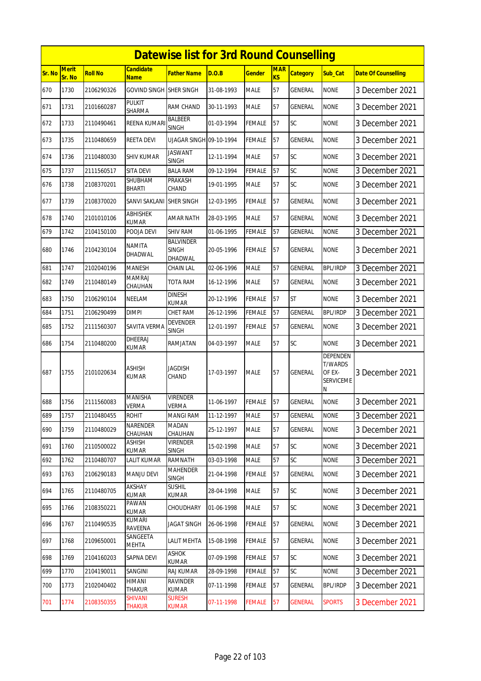|        |                        |                |                                 | <b>Datewise list for 3rd Round Counselling</b> |            |               |                  |                 |                                                        |                            |
|--------|------------------------|----------------|---------------------------------|------------------------------------------------|------------|---------------|------------------|-----------------|--------------------------------------------------------|----------------------------|
| Sr. No | <b>Merit</b><br>Sr. No | <b>Roll No</b> | <b>Candidate</b><br>Name        | <b>Father Name</b>                             | D.O.B      | <b>Gender</b> | <b>MAR</b><br>KS | <b>Category</b> | Sub Cat                                                | <b>Date Of Counselling</b> |
| 670    | 1730                   | 2106290326     | <b>GOVIND SINGH</b>             | <b>SHER SINGH</b>                              | 31-08-1993 | <b>MALE</b>   | 57               | GENERAL         | <b>NONE</b>                                            | 3 December 2021            |
| 671    | 1731                   | 2101660287     | PULKIT<br>SHARMA                | RAM CHAND                                      | 30-11-1993 | <b>MALE</b>   | 57               | GENERAL         | <b>NONE</b>                                            | 3 December 2021            |
| 672    | 1733                   | 2110490461     | REENA KUMARI                    | BALBEER<br><b>SINGH</b>                        | 01-03-1994 | <b>FEMALE</b> | 57               | SC              | <b>NONE</b>                                            | 3 December 2021            |
| 673    | 1735                   | 2110480659     | <b>REETA DEVI</b>               | UJAGAR SINGH 09-10-1994                        |            | <b>FEMALE</b> | 57               | <b>GENERAL</b>  | <b>NONE</b>                                            | 3 December 2021            |
| 674    | 1736                   | 2110480030     | SHIV KUMAR                      | <b>JASWANT</b><br><b>SINGH</b>                 | 12-11-1994 | <b>MALE</b>   | 57               | SC              | <b>NONE</b>                                            | 3 December 2021            |
| 675    | 1737                   | 2111560517     | SITA DEVI                       | <b>BALA RAM</b>                                | 09-12-1994 | <b>FEMALE</b> | 57               | SC              | <b>NONE</b>                                            | 3 December 2021            |
| 676    | 1738                   | 2108370201     | SHUBHAM<br>BHARTI               | PRAKASH<br>CHAND                               | 19-01-1995 | <b>MALE</b>   | 57               | SC              | none                                                   | 3 December 2021            |
| 677    | 1739                   | 2108370020     | SANVI SAKLANI                   | <b>SHER SINGH</b>                              | 12-03-1995 | <b>FEMALE</b> | 57               | GENERAL         | <b>NONE</b>                                            | 3 December 2021            |
| 678    | 1740                   | 2101010106     | <b>ABHISHEK</b><br><b>KUMAR</b> | <b>AMAR NATH</b>                               | 28-03-1995 | <b>MALE</b>   | 57               | <b>GENERAL</b>  | <b>NONE</b>                                            | 3 December 2021            |
| 679    | 1742                   | 2104150100     | POOJA DEVI                      | <b>SHIV RAM</b>                                | 01-06-1995 | <b>FEMALE</b> | 57               | GENERAL         | <b>NONE</b>                                            | 3 December 2021            |
| 680    | 1746                   | 2104230104     | <b>NAMITA</b><br>DHADWAL        | <b>BALVINDER</b><br><b>SINGH</b><br>DHADWAL    | 20-05-1996 | <b>FEMALE</b> | 57               | GENERAL         | <b>NONE</b>                                            | 3 December 2021            |
| 681    | 1747                   | 2102040196     | <b>MANESH</b>                   | <b>CHAIN LAL</b>                               | 02-06-1996 | <b>MALE</b>   | 57               | GENERAL         | <b>BPL/IRDP</b>                                        | 3 December 2021            |
| 682    | 1749                   | 2110480149     | <b>MAMRAJ</b><br>CHAUHAN        | TOTA RAM                                       | 16-12-1996 | <b>MALE</b>   | 57               | GENERAL         | <b>NONE</b>                                            | 3 December 2021            |
| 683    | 1750                   | 2106290104     | NEELAM                          | <b>DINESH</b><br><b>KUMAR</b>                  | 20-12-1996 | <b>FEMALE</b> | 57               | <b>ST</b>       | <b>NONE</b>                                            | 3 December 2021            |
| 684    | 1751                   | 2106290499     | <b>DIMPI</b>                    | <b>CHET RAM</b>                                | 26-12-1996 | <b>FEMALE</b> | 57               | <b>GENERAL</b>  | <b>BPL/IRDP</b>                                        | 3 December 2021            |
| 685    | 1752                   | 2111560307     | SAVITA VERMA                    | <b>DEVENDER</b><br><b>SINGH</b>                | 12-01-1997 | FEMALE        | 57               | GENERAL         | <b>NONE</b>                                            | 3 December 2021            |
| 686    | 1754                   | 2110480200     | DHEERAJ<br><b>KUMAR</b>         | RAMJATAN                                       | 04-03-1997 | <b>MALE</b>   | 57               | <b>SC</b>       | <b>NONE</b>                                            | 3 December 2021            |
| 687    | 1755                   | 2101020634     | <b>ASHISH</b><br><b>KUMAR</b>   | <b>JAGDISH</b><br>CHAND                        | 17-03-1997 | <b>MALE</b>   | 57               | <b>GENERAL</b>  | DEPENDEN<br>T/WARDS<br>OF EX-<br><b>SERVICEME</b><br>Ν | 3 December 2021            |
| 688    | 1756                   | 2111560083     | <b>MANISHA</b><br><b>VERMA</b>  | <b>VIRENDER</b><br><b>VERMA</b>                | 11-06-1997 | <b>FEMALE</b> | 57               | <b>GENERAL</b>  | <b>NONE</b>                                            | 3 December 2021            |
| 689    | 1757                   | 2110480455     | ROHIT                           | <b>MANGI RAM</b>                               | 11-12-1997 | <b>MALE</b>   | 57               | <b>GENERAL</b>  | <b>NONE</b>                                            | 3 December 2021            |
| 690    | 1759                   | 2110480029     | NARENDER<br>CHAUHAN             | <b>MADAN</b><br>CHAUHAN                        | 25-12-1997 | <b>MALE</b>   | 57               | GENERAL         | <b>NONE</b>                                            | 3 December 2021            |
| 691    | 1760                   | 2110500022     | ASHISH<br><b>KUMAR</b>          | <b>VIRENDER</b><br><b>SINGH</b>                | 15-02-1998 | <b>MALE</b>   | 57               | SC              | <b>NONE</b>                                            | 3 December 2021            |
| 692    | 1762                   | 2110480707     | <b>LALIT KUMAR</b>              | <b>RAMNATH</b>                                 | 03-03-1998 | <b>MALE</b>   | 57               | SC              | <b>NONE</b>                                            | 3 December 2021            |
| 693    | 1763                   | 2106290183     | <b>MANJU DEVI</b>               | <b>MAHENDER</b><br><b>SINGH</b>                | 21-04-1998 | <b>FEMALE</b> | 57               | <b>GENERAL</b>  | <b>NONE</b>                                            | 3 December 2021            |
| 694    | 1765                   | 2110480705     | AKSHAY<br>KUMAR                 | <b>SUSHIL</b><br><b>KUMAR</b>                  | 28-04-1998 | <b>MALE</b>   | 57               | <b>SC</b>       | <b>NONE</b>                                            | 3 December 2021            |
| 695    | 1766                   | 2108350221     | PAWAN<br>KUMAR                  | CHOUDHARY                                      | 01-06-1998 | <b>MALE</b>   | 57               | <b>SC</b>       | <b>NONE</b>                                            | 3 December 2021            |
| 696    | 1767                   | 2110490535     | KUMARI<br>RAVEENA               | JAGAT SINGH                                    | 26-06-1998 | <b>FEMALE</b> | 57               | GENERAL         | <b>NONE</b>                                            | 3 December 2021            |
| 697    | 1768                   | 2109650001     | SANGEETA<br>MEHTA               | <b>LALIT MEHTA</b>                             | 15-08-1998 | <b>FEMALE</b> | 57               | GENERAL         | <b>NONE</b>                                            | 3 December 2021            |
| 698    | 1769                   | 2104160203     | SAPNA DEVI                      | ASHOK<br>KUMAR                                 | 07-09-1998 | <b>FEMALE</b> | 57               | SC              | <b>NONE</b>                                            | 3 December 2021            |
| 699    | 1770                   | 2104190011     | SANGINI                         | RAJ KUMAR                                      | 28-09-1998 | <b>FEMALE</b> | 57               | <b>SC</b>       | <b>NONE</b>                                            | 3 December 2021            |
| 700    | 1773                   | 2102040402     | HIMANI<br>THAKUR                | <b>RAVINDER</b><br><b>KUMAR</b>                | 07-11-1998 | <b>FEMALE</b> | 57               | <b>GENERAL</b>  | <b>BPL/IRDP</b>                                        | 3 December 2021            |
| 701    | 1774                   | 2108350355     | SHIVANI<br>thakur               | <b>SURESH</b><br>Kumar                         | 07-11-1998 | <b>FEMALE</b> | 57               | <b>GENERAL</b>  | <b>SPORTS</b>                                          | 3 December 2021            |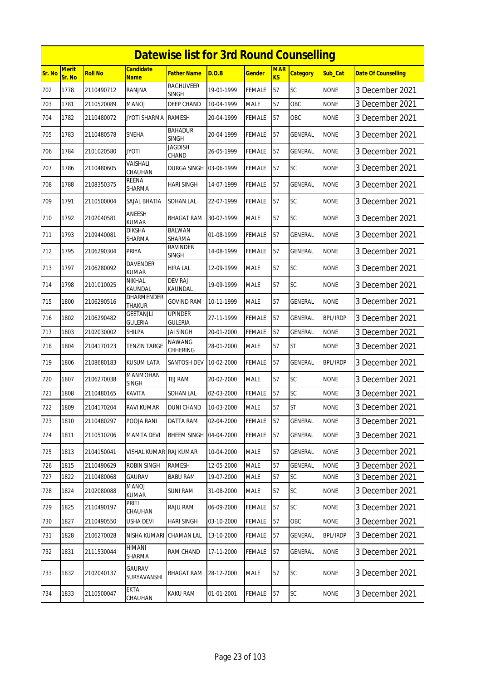|        |                        |                |                                 | <b>Datewise list for 3rd Round Counselling</b> |            |               |                         |                 |                 |                            |
|--------|------------------------|----------------|---------------------------------|------------------------------------------------|------------|---------------|-------------------------|-----------------|-----------------|----------------------------|
| Sr. No | <b>Merit</b><br>Sr. No | <b>Roll No</b> | <b>Candidate</b><br><b>Name</b> | <b>Father Name</b>                             | D.O.B      | <b>Gender</b> | <b>MAR</b><br><b>KS</b> | <b>Category</b> | Sub_Cat         | <b>Date Of Counselling</b> |
| 702    | 1778                   | 2110490712     | RANJNA                          | <b>RAGHUVEER</b><br>SINGH                      | 19-01-1999 | FEMALE        | 57                      | SC              | <b>NONE</b>     | 3 December 2021            |
| 703    | 1781                   | 2110520089     | MANOJ                           | DEEP CHAND                                     | 10-04-1999 | <b>MALE</b>   | 57                      | OBC             | <b>NONE</b>     | 3 December 2021            |
| 704    | 1782                   | 2110480072     | JYOTI SHARMA                    | <b>RAMESH</b>                                  | 20-04-1999 | FEMALE        | 57                      | OBC             | <b>NONE</b>     | 3 December 2021            |
| 705    | 1783                   | 2110480578     | <b>SNEHA</b>                    | <b>BAHADUR</b><br><b>SINGH</b>                 | 20-04-1999 | FEMALE        | 57                      | GENERAL         | <b>NONE</b>     | 3 December 2021            |
| 706    | 1784                   | 2101020580     | JYOTI                           | Jagdish<br>CHAND                               | 26-05-1999 | FEMALE        | 57                      | GENERAL         | <b>NONE</b>     | 3 December 2021            |
| 707    | 1786                   | 2110480605     | VAISHALI<br>CHAUHAN             | DURGA SINGH                                    | 03-06-1999 | FEMALE        | 57                      | SC              | <b>NONE</b>     | 3 December 2021            |
| 708    | 1788                   | 2108350375     | <b>REENA</b><br>SHARMA          | HARI SINGH                                     | 14-07-1999 | <b>FEMALE</b> | 57                      | GENERAL         | <b>NONE</b>     | 3 December 2021            |
| 709    | 1791                   | 2110500004     | SAJAL BHATIA                    | SOHAN LAL                                      | 22-07-1999 | FEMALE        | 57                      | SC              | <b>NONE</b>     | 3 December 2021            |
| 710    | 1792                   | 2102040581     | ANEESH<br>KUMAR                 | BHAGAT RAM                                     | 30-07-1999 | <b>MALE</b>   | 57                      | SC              | <b>NONE</b>     | 3 December 2021            |
| 711    | 1793                   | 2109440081     | DIKSHA<br>SHARMA                | <b>BALWAN</b><br>SHARMA                        | 01-08-1999 | FEMALE        | 57                      | GENERAL         | <b>NONE</b>     | 3 December 2021            |
| 712    | 1795                   | 2106290304     | <b>PRIYA</b>                    | RAVINDER<br>SINGH                              | 14-08-1999 | FEMALE        | 57                      | GENERAL         | <b>NONE</b>     | 3 December 2021            |
| 713    | 1797                   | 2106280092     | DAVENDER<br>KUMAR               | HIRA LAL                                       | 12-09-1999 | MALE          | 57                      | SC              | <b>NONE</b>     | 3 December 2021            |
| 714    | 1798                   | 2101010025     | NIKHAL<br>KAUNDAL               | <b>DEV RAJ</b><br>KAUNDAL                      | 19-09-1999 | <b>MALE</b>   | 57                      | SC              | <b>NONE</b>     | 3 December 2021            |
| 715    | 1800                   | 2106290516     | dharmender<br><b>THAKUR</b>     | <b>GOVIND RAM</b>                              | 10-11-1999 | <b>MALE</b>   | 57                      | GENERAL         | <b>NONE</b>     | 3 December 2021            |
| 716    | 1802                   | 2106290482     | GEETANJLI<br><b>GULERIA</b>     | <b>UPINDER</b><br><b>GULERIA</b>               | 27-11-1999 | FEMALE        | 57                      | GENERAL         | <b>BPL/IRDP</b> | 3 December 2021            |
| 717    | 1803                   | 2102030002     | SHILPA                          | JAI SINGH                                      | 20-01-2000 | <b>FEMALE</b> | 57                      | GENERAL         | <b>NONE</b>     | 3 December 2021            |
| 718    | 1804                   | 2104170123     | <b>TENZIN TARGE</b>             | NAWANG<br>CHHERING                             | 28-01-2000 | <b>MALE</b>   | 57                      | <b>ST</b>       | <b>NONE</b>     | 3 December 2021            |
| 719    | 1806                   | 2108680183     | <b>KUSUM LATA</b>               | SANTOSH DEV                                    | 10-02-2000 | FEMALE        | 57                      | GENERAL         | <b>BPL/IRDP</b> | 3 December 2021            |
| 720    | 1807                   | 2106270038     | <b>MANMOHAN</b><br>SINGH        | TEJ RAM                                        | 20-02-2000 | <b>MALE</b>   | 57                      | SC              | <b>NONE</b>     | 3 December 2021            |
| 721    | 1808                   | 2110480165     | KAVITA                          | <b>SOHAN LAL</b>                               | 02-03-2000 | FEMALE        | 57                      | SC              | <b>NONE</b>     | 3 December 2021            |
| 722    | 1809                   | 2104170204     | RAVI KUMAR                      | <b>DUNI CHAND</b>                              | 10-03-2000 | <b>MALE</b>   | 57                      | <b>ST</b>       | <b>NONE</b>     | 3 December 2021            |
| 723    | 1810                   | 2110480297     | POOJA RANI                      | DATTA RAM                                      | 02-04-2000 | <b>FEMALE</b> | 57                      | GENERAL         | <b>NONE</b>     | 3 December 2021            |
| 724    | 1811                   | 2110510206     | <b>MAMTA DEVI</b>               | <b>BHEEM SINGH</b>                             | 04-04-2000 | <b>FEMALE</b> | 57                      | GENERAL         | <b>NONE</b>     | 3 December 2021            |
| 725    | 1813                   | 2104150041     | VISHAL KUMAR RAJ KUMAR          |                                                | 10-04-2000 | <b>MALE</b>   | 57                      | GENERAL         | <b>NONE</b>     | 3 December 2021            |
| 726    | 1815                   | 2110490629     | ROBIN SINGH                     | <b>RAMESH</b>                                  | 12-05-2000 | <b>MALE</b>   | 57                      | GENERAL         | <b>NONE</b>     | 3 December 2021            |
| 727    | 1822                   | 2110480068     | GAURAV                          | BABU RAM                                       | 19-07-2000 | <b>MALE</b>   | 57                      | SC              | <b>NONE</b>     | 3 December 2021            |
| 728    | 1824                   | 2102080088     | MANOJ<br>kumar                  | <b>SUNI RAM</b>                                | 31-08-2000 | <b>MALE</b>   | 57                      | SC              | <b>NONE</b>     | 3 December 2021            |
| 729    | 1825                   | 2110490197     | Priti<br>CHAUHAN                | RAJU RAM                                       | 06-09-2000 | FEMALE        | 57                      | SC              | <b>NONE</b>     | 3 December 2021            |
| 730    | 1827                   | 2110490550     | USHA DEVI                       | <b>HARI SINGH</b>                              | 03-10-2000 | FEMALE        | 57                      | OBC             | <b>NONE</b>     | 3 December 2021            |
| 731    | 1828                   | 2106270028     | NISHA KUMARI                    | CHAMAN LAL                                     | 13-10-2000 | FEMALE        | 57                      | GENERAL         | <b>BPL/IRDP</b> | 3 December 2021            |
| 732    | 1831                   | 2111530044     | HIMANI<br>SHARMA                | RAM CHAND                                      | 17-11-2000 | <b>FEMALE</b> | 57                      | GENERAL         | <b>NONE</b>     | 3 December 2021            |
| 733    | 1832                   | 2102040137     | GAURAV<br>SURYAVANSHI           | BHAGAT RAM                                     | 28-12-2000 | MALE          | 57                      | <b>SC</b>       | <b>NONE</b>     | 3 December 2021            |
| 734    | 1833                   | 2110500047     | EKTA<br>CHAUHAN                 | KAKU RAM                                       | 01-01-2001 | FEMALE        | 57                      | SC              | <b>NONE</b>     | 3 December 2021            |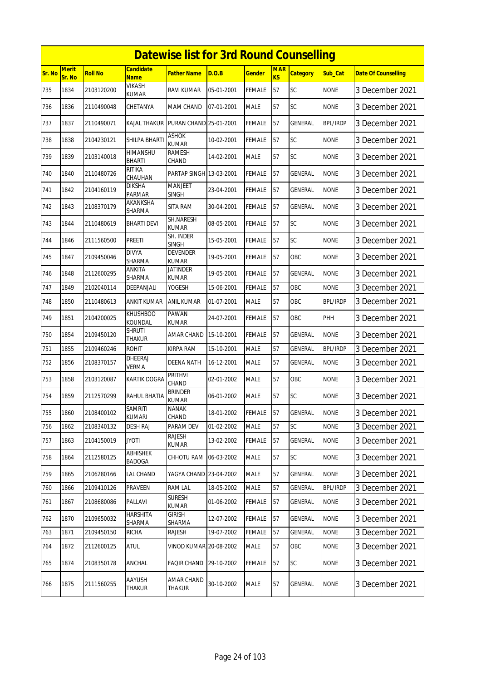|        | <b>Datewise list for 3rd Round Counselling</b><br><b>Candidate</b> |                |                            |                                 |            |               |                              |                 |                 |                            |  |  |
|--------|--------------------------------------------------------------------|----------------|----------------------------|---------------------------------|------------|---------------|------------------------------|-----------------|-----------------|----------------------------|--|--|
| Sr. No | Merit<br>Sr. No                                                    | <b>Roll No</b> | <b>Name</b>                | <b>Father Name</b>              | D.O.B      | <b>Gender</b> | <b>MAR</b><br>K <sub>S</sub> | <b>Category</b> | Sub_Cat         | <b>Date Of Counselling</b> |  |  |
| 735    | 1834                                                               | 2103120200     | VIKASH<br><b>KUMAR</b>     | <b>RAVI KUMAR</b>               | 05-01-2001 | <b>FEMALE</b> | 57                           | SC              | <b>NONE</b>     | 3 December 2021            |  |  |
| 736    | 1836                                                               | 2110490048     | CHETANYA                   | MAM CHAND                       | 07-01-2001 | <b>MALE</b>   | 57                           | <b>SC</b>       | <b>NONE</b>     | 3 December 2021            |  |  |
| 737    | 1837                                                               | 2110490071     | <b>KAJAL THAKUR</b>        | PURAN CHAND 25-01-2001          |            | <b>FEMALE</b> | 57                           | <b>GENERAL</b>  | <b>BPL/IRDP</b> | 3 December 2021            |  |  |
| 738    | 1838                                                               | 2104230121     | SHILPA BHARTI              | <b>ASHOK</b><br><b>KUMAR</b>    | 10-02-2001 | <b>FEMALE</b> | 57                           | SC              | <b>NONE</b>     | 3 December 2021            |  |  |
| 739    | 1839                                                               | 2103140018     | HIMANSHU<br><b>BHARTI</b>  | <b>RAMESH</b><br>CHAND          | 14-02-2001 | <b>MALE</b>   | 57                           | SC              | <b>NONE</b>     | 3 December 2021            |  |  |
| 740    | 1840                                                               | 2110480726     | RITIKA<br>CHAUHAN          | PARTAP SINGH 13-03-2001         |            | <b>FEMALE</b> | 57                           | <b>GENERAL</b>  | <b>NONE</b>     | 3 December 2021            |  |  |
| 741    | 1842                                                               | 2104160119     | <b>DIKSHA</b><br>PARMAR    | <b>MANJEET</b><br><b>SINGH</b>  | 23-04-2001 | <b>FEMALE</b> | 57                           | GENERAL         | <b>NONE</b>     | 3 December 2021            |  |  |
| 742    | 1843                                                               | 2108370179     | AKANKSHA<br>SHARMA         | <b>SITA RAM</b>                 | 30-04-2001 | <b>FEMALE</b> | 57                           | <b>GENERAL</b>  | <b>NONE</b>     | 3 December 2021            |  |  |
| 743    | 1844                                                               | 2110480619     | BHARTI DEVI                | SH.NARESH<br><b>KUMAR</b>       | 08-05-2001 | <b>FEMALE</b> | 57                           | SC              | <b>NONE</b>     | 3 December 2021            |  |  |
| 744    | 1846                                                               | 2111560500     | PREETI                     | SH. INDER<br><b>SINGH</b>       | 15-05-2001 | <b>FEMALE</b> | 57                           | SC              | <b>NONE</b>     | 3 December 2021            |  |  |
| 745    | 1847                                                               | 2109450046     | <b>DIVYA</b><br>SHARMA     | <b>DEVENDER</b><br><b>KUMAR</b> | 19-05-2001 | <b>FEMALE</b> | 57                           | OBC             | <b>NONE</b>     | 3 December 2021            |  |  |
| 746    | 1848                                                               | 2112600295     | ANKITA<br>SHARMA           | <b>JATINDER</b><br>KUMAR        | 19-05-2001 | <b>FEMALE</b> | 57                           | GENERAL         | <b>NONE</b>     | 3 December 2021            |  |  |
| 747    | 1849                                                               | 2102040114     | DEEPANJALI                 | YOGESH                          | 15-06-2001 | <b>FEMALE</b> | 57                           | OBC             | <b>NONE</b>     | 3 December 2021            |  |  |
| 748    | 1850                                                               | 2110480613     | ANKIT KUMAR                | <b>ANIL KUMAR</b>               | 01-07-2001 | <b>MALE</b>   | 57                           | <b>OBC</b>      | <b>BPL/IRDP</b> | 3 December 2021            |  |  |
| 749    | 1851                                                               | 2104200025     | <b>KHUSHBOO</b><br>KOUNDAL | PAWAN<br><b>KUMAR</b>           | 24-07-2001 | <b>FEMALE</b> | 57                           | OBC             | PHH             | 3 December 2021            |  |  |
| 750    | 1854                                                               | 2109450120     | <b>SHRUTI</b><br>THAKUR    | AMAR CHAND                      | 15-10-2001 | <b>FEMALE</b> | 57                           | GENERAL         | <b>NONE</b>     | 3 December 2021            |  |  |
| 751    | 1855                                                               | 2109460246     | <b>ROHIT</b>               | <b>KIRPA RAM</b>                | 15-10-2001 | <b>MALE</b>   | 57                           | <b>GENERAL</b>  | <b>BPL/IRDP</b> | 3 December 2021            |  |  |
| 752    | 1856                                                               | 2108370157     | DHEERAJ<br><b>VERMA</b>    | <b>DEENA NATH</b>               | 16-12-2001 | <b>MALE</b>   | 57                           | GENERAL         | <b>NONE</b>     | 3 December 2021            |  |  |
| 753    | 1858                                                               | 2103120087     | KARTIK DOGRA               | PRITHVI<br>CHAND                | 02-01-2002 | <b>MALE</b>   | 57                           | OBC             | <b>NONE</b>     | 3 December 2021            |  |  |
| 754    | 1859                                                               | 2112570299     | <b>RAHUL BHATIA</b>        | <b>BRINDER</b><br><b>KUMAR</b>  | 06-01-2002 | <b>MALE</b>   | 57                           | SC              | <b>NONE</b>     | 3 December 2021            |  |  |
| 755    | 1860                                                               | 2108400102     | SAMRITI<br><b>KUMARI</b>   | NANAK<br>CHAND                  | 18-01-2002 | <b>FEMALE</b> | 57                           | <b>GENERAL</b>  | <b>NONE</b>     | 3 December 2021            |  |  |
| 756    | 1862                                                               | 2108340132     | <b>DESH RAJ</b>            | PARAM DEV                       | 01-02-2002 | MALE          | 57                           | SC              | <b>NONE</b>     | 3 December 2021            |  |  |
| 757    | 1863                                                               | 2104150019     | <b>JYOTI</b>               | <b>RAJESH</b><br><b>KUMAR</b>   | 13-02-2002 | <b>FEMALE</b> | 57                           | <b>GENERAL</b>  | <b>NONE</b>     | 3 December 2021            |  |  |
| 758    | 1864                                                               | 2112580125     | <b>ABHISHEK</b><br>BADOGA  | CHHOTU RAM                      | 06-03-2002 | <b>MALE</b>   | 57                           | <b>SC</b>       | <b>NONE</b>     | 3 December 2021            |  |  |
| 759    | 1865                                                               | 2106280166     | LAL CHAND                  | YAGYA CHAND 23-04-2002          |            | <b>MALE</b>   | 57                           | <b>GENERAL</b>  | <b>NONE</b>     | 3 December 2021            |  |  |
| 760    | 1866                                                               | 2109410126     | PRAVEEN                    | RAM LAL                         | 18-05-2002 | MALE          | 57                           | <b>GENERAL</b>  | <b>BPL/IRDP</b> | 3 December 2021            |  |  |
| 761    | 1867                                                               | 2108680086     | PALLAVI                    | <b>SURESH</b><br>kumar          | 01-06-2002 | <b>FEMALE</b> | 57                           | <b>GENERAL</b>  | <b>NONE</b>     | 3 December 2021            |  |  |
| 762    | 1870                                                               | 2109650032     | <b>HARSHITA</b><br>SHARMA  | girish<br>SHARMA                | 12-07-2002 | <b>FEMALE</b> | 57                           | GENERAL         | <b>NONE</b>     | 3 December 2021            |  |  |
| 763    | 1871                                                               | 2109450150     | <b>RICHA</b>               | RAJESH                          | 19-07-2002 | <b>FEMALE</b> | 57                           | <b>GENERAL</b>  | <b>NONE</b>     | 3 December 2021            |  |  |
| 764    | 1872                                                               | 2112600125     | <b>ATUL</b>                | <b>VINOD KUMAR 20-08-2002</b>   |            | <b>MALE</b>   | 57                           | OBC             | <b>NONE</b>     | 3 December 2021            |  |  |
| 765    | 1874                                                               | 2108350178     | ANCHAL                     | <b>FAQIR CHAND</b>              | 29-10-2002 | FEMALE        | 57                           | <b>SC</b>       | <b>NONE</b>     | 3 December 2021            |  |  |
| 766    | 1875                                                               | 2111560255     | AAYUSH<br><b>THAKUR</b>    | AMAR CHAND<br>THAKUR            | 30-10-2002 | <b>MALE</b>   | 57                           | GENERAL         | <b>NONE</b>     | 3 December 2021            |  |  |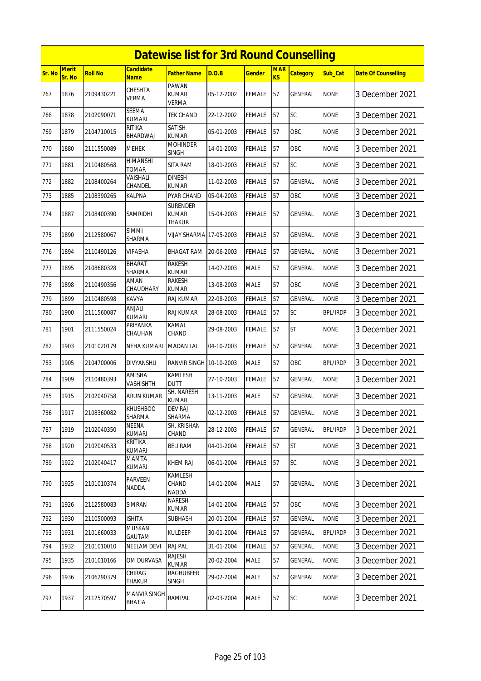|        |                        |                |                                 | <b>Datewise list for 3rd Round Counselling</b>   |            |               |                  |                 |                 |                            |
|--------|------------------------|----------------|---------------------------------|--------------------------------------------------|------------|---------------|------------------|-----------------|-----------------|----------------------------|
| Sr. No | <b>Merit</b><br>Sr. No | <b>Roll No</b> | <b>Candidate</b><br><b>Name</b> | <b>Father Name</b>                               | D.O.B      | <b>Gender</b> | <b>MAR</b><br>KS | <b>Category</b> | Sub Cat         | <b>Date Of Counselling</b> |
| 767    | 1876                   | 2109430221     | CHESHTA<br><b>VERMA</b>         | PAWAN<br><b>KUMAR</b><br><b>VERMA</b>            | 05-12-2002 | <b>FEMALE</b> | 57               | GENERAL         | <b>NONE</b>     | 3 December 2021            |
| 768    | 1878                   | 2102090071     | <b>SEEMA</b><br><b>KUMARI</b>   | <b>TEK CHAND</b>                                 | 22-12-2002 | <b>FEMALE</b> | 57               | <b>SC</b>       | <b>NONE</b>     | 3 December 2021            |
| 769    | 1879                   | 2104710015     | RITIKA<br>BHARDWAJ              | <b>SATISH</b><br><b>KUMAR</b>                    | 05-01-2003 | <b>FEMALE</b> | 57               | <b>OBC</b>      | <b>NONE</b>     | 3 December 2021            |
| 770    | 1880                   | 2111550089     | <b>MEHEK</b>                    | <b>MOHINDER</b><br><b>SINGH</b>                  | 14-01-2003 | <b>FEMALE</b> | 57               | OBC             | <b>NONE</b>     | 3 December 2021            |
| 771    | 1881                   | 2110480568     | <b>HIMANSHI</b><br><b>TOMAR</b> | SITA RAM                                         | 18-01-2003 | <b>FEMALE</b> | 57               | SC              | <b>NONE</b>     | 3 December 2021            |
| 772    | 1882                   | 2108400264     | VAISHALI<br>CHANDEL             | <b>DINESH</b><br><b>KUMAR</b>                    | 11-02-2003 | <b>FEMALE</b> | 57               | <b>GENERAL</b>  | <b>NONE</b>     | 3 December 2021            |
| 773    | 1885                   | 2108390265     | KALPNA                          | PYAR CHAND                                       | 05-04-2003 | <b>FEMALE</b> | 57               | OBC             | <b>NONE</b>     | 3 December 2021            |
| 774    | 1887                   | 2108400390     | SAMRIDHI                        | <b>SURENDER</b><br><b>KUMAR</b><br><b>THAKUR</b> | 15-04-2003 | <b>FEMALE</b> | 57               | GENERAL         | <b>NONE</b>     | 3 December 2021            |
| 775    | 1890                   | 2112580067     | <b>SIMMI</b><br>SHARMA          | <b>VIJAY SHARMA 17-05-2003</b>                   |            | FEMALE        | 57               | GENERAL         | <b>NONE</b>     | 3 December 2021            |
| 776    | 1894                   | 2110490126     | <b>VIPASHA</b>                  | <b>BHAGAT RAM</b>                                | 20-06-2003 | <b>FEMALE</b> | 57               | GENERAL         | <b>NONE</b>     | 3 December 2021            |
| 777    | 1895                   | 2108680328     | <b>BHARAT</b><br>SHARMA         | <b>RAKESH</b><br><b>KUMAR</b>                    | 14-07-2003 | <b>MALE</b>   | 57               | GENERAL         | <b>NONE</b>     | 3 December 2021            |
| 778    | 1898                   | 2110490356     | AMAN<br>CHAUDHARY               | <b>RAKESH</b><br><b>KUMAR</b>                    | 13-08-2003 | <b>MALE</b>   | 57               | OBC             | <b>NONE</b>     | 3 December 2021            |
| 779    | 1899                   | 2110480598     | KAVYA                           | <b>RAJ KUMAR</b>                                 | 22-08-2003 | <b>FEMALE</b> | 57               | GENERAL         | <b>NONE</b>     | 3 December 2021            |
| 780    | 1900                   | 2111560087     | ANJALI<br><b>KUMARI</b>         | <b>RAJ KUMAR</b>                                 | 28-08-2003 | <b>FEMALE</b> | 57               | SC              | <b>BPL/IRDP</b> | 3 December 2021            |
| 781    | 1901                   | 2111550024     | PRIYANKA<br>CHAUHAN             | KAMAL<br>CHAND                                   | 29-08-2003 | <b>FEMALE</b> | 57               | <b>ST</b>       | <b>NONE</b>     | 3 December 2021            |
| 782    | 1903                   | 2101020179     | NEHA KUMARI                     | <b>MADAN LAL</b>                                 | 04-10-2003 | FEMALE        | 57               | GENERAL         | <b>NONE</b>     | 3 December 2021            |
| 783    | 1905                   | 2104700006     | <b>DIVYANSHU</b>                | RANVIR SINGH 10-10-2003                          |            | <b>MALE</b>   | 57               | OBC             | <b>BPL/IRDP</b> | 3 December 2021            |
| 784    | 1909                   | 2110480393     | AMISHA<br>VASHISHTH             | <b>KAMLESH</b><br><b>DUTT</b>                    | 27-10-2003 | <b>FEMALE</b> | 57               | GENERAL         | <b>NONE</b>     | 3 December 2021            |
| 785    | 1915                   | 2102040758     | <b>ARUN KUMAR</b>               | SH. NARESH<br><b>KUMAR</b>                       | 13-11-2003 | <b>MALE</b>   | 57               | <b>GENERAL</b>  | <b>NONE</b>     | 3 December 2021            |
| 786    | 1917                   | 2108360082     | <b>KHUSHBOO</b><br>SHARMA       | DEV RAJ<br>SHARMA                                | 02-12-2003 | <b>FEMALE</b> | 57               | GENERAL         | <b>NONE</b>     | 3 December 2021            |
| 787    | 1919                   | 2102040350     | <b>NEENA</b><br>KUMARI          | SH. KRISHAN<br>CHAND                             | 28-12-2003 | <b>FEMALE</b> | 57               | GENERAL         | <b>BPL/IRDP</b> | 3 December 2021            |
| 788    | 1920                   | 2102040533     | KRITIKA<br>KUMARI               | <b>BELI RAM</b>                                  | 04-01-2004 | <b>FEMALE</b> | 57               | <b>ST</b>       | <b>NONE</b>     | 3 December 2021            |
| 789    | 1922                   | 2102040417     | MAMTA<br>KUMARI                 | KHEM RAJ                                         | 06-01-2004 | <b>FEMALE</b> | 57               | <b>SC</b>       | <b>NONE</b>     | 3 December 2021            |
| 790    | 1925                   | 2101010374     | PARVEEN<br>NADDA                | KAMLESH<br>CHAND<br>NADDA                        | 14-01-2004 | <b>MALE</b>   | 57               | GENERAL         | <b>NONE</b>     | 3 December 2021            |
| 791    | 1926                   | 2112580083     | SIMRAN                          | NARESH<br><b>KUMAR</b>                           | 14-01-2004 | <b>FEMALE</b> | 57               | OBC             | <b>NONE</b>     | 3 December 2021            |
| 792    | 1930                   | 2110500093     | <b>ISHITA</b>                   | <b>SUBHASH</b>                                   | 20-01-2004 | <b>FEMALE</b> | 57               | <b>GENERAL</b>  | <b>NONE</b>     | 3 December 2021            |
| 793    | 1931                   | 2101660033     | <b>MUSKAN</b><br>GAUTAM         | <b>KULDEEP</b>                                   | 30-01-2004 | <b>FEMALE</b> | 57               | GENERAL         | <b>BPL/IRDP</b> | 3 December 2021            |
| 794    | 1932                   | 2101010010     | NEELAM DEVI                     | <b>RAJ PAL</b>                                   | 31-01-2004 | <b>FEMALE</b> | 57               | <b>GENERAL</b>  | <b>NONE</b>     | 3 December 2021            |
| 795    | 1935                   | 2101010166     | OM DURVASA                      | <b>RAJESH</b><br>kumar                           | 20-02-2004 | MALE          | 57               | GENERAL         | <b>NONE</b>     | 3 December 2021            |
| 796    | 1936                   | 2106290379     | CHIRAG<br>Thakur                | RAGHUBEER<br>SINGH                               | 29-02-2004 | <b>MALE</b>   | 57               | GENERAL         | <b>NONE</b>     | 3 December 2021            |
| 797    | 1937                   | 2112570597     | <b>MANVIR SINGH</b><br>BHATIA   | RAMPAL                                           | 02-03-2004 | <b>MALE</b>   | 57               | SC              | <b>NONE</b>     | 3 December 2021            |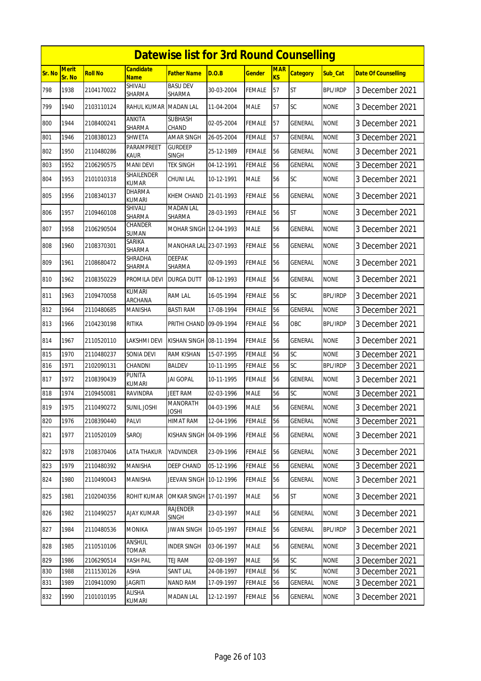|        |                 |                |                                 | <b>Datewise list for 3rd Round Counselling</b> |            |               |                  |                 |                 |                            |
|--------|-----------------|----------------|---------------------------------|------------------------------------------------|------------|---------------|------------------|-----------------|-----------------|----------------------------|
| Sr. No | Merit<br>Sr. No | <b>Roll No</b> | <b>Candidate</b><br><b>Name</b> | <b>Father Name</b>                             | D.O.B      | <b>Gender</b> | <b>MAR</b><br>KS | <b>Category</b> | Sub_Cat         | <b>Date Of Counselling</b> |
| 798    | 1938            | 2104170022     | SHIVALI<br>SHARMA               | <b>BASU DEV</b><br>SHARMA                      | 30-03-2004 | <b>FEMALE</b> | 57               | <b>ST</b>       | <b>BPL/IRDP</b> | 3 December 2021            |
| 799    | 1940            | 2103110124     | RAHUL KUMAR MADAN LAL           |                                                | 11-04-2004 | <b>MALE</b>   | 57               | SC              | <b>NONE</b>     | 3 December 2021            |
| 800    | 1944            | 2108400241     | ANKITA<br>SHARMA                | <b>SUBHASH</b><br>CHAND                        | 02-05-2004 | <b>FEMALE</b> | 57               | <b>GENERAL</b>  | <b>NONE</b>     | 3 December 2021            |
| 801    | 1946            | 2108380123     | SHWETA                          | AMAR SINGH                                     | 26-05-2004 | <b>FEMALE</b> | 57               | <b>GENERAL</b>  | <b>NONE</b>     | 3 December 2021            |
| 802    | 1950            | 2110480286     | PARAMPREET<br>Kaur              | <b>GURDEEP</b><br><b>SINGH</b>                 | 25-12-1989 | <b>FEMALE</b> | 56               | <b>GENERAL</b>  | <b>NONE</b>     | 3 December 2021            |
| 803    | 1952            | 2106290575     | <b>MANI DEVI</b>                | <b>TEK SINGH</b>                               | 04-12-1991 | <b>FEMALE</b> | 56               | GENERAL         | <b>NONE</b>     | 3 December 2021            |
| 804    | 1953            | 2101010318     | SHAILENDER<br><b>KUMAR</b>      | CHUNI LAL                                      | 10-12-1991 | <b>MALE</b>   | 56               | <b>SC</b>       | <b>NONE</b>     | 3 December 2021            |
| 805    | 1956            | 2108340137     | <b>DHARMA</b><br><b>KUMARI</b>  | KHEM CHAND                                     | 21-01-1993 | <b>FEMALE</b> | 56               | <b>GENERAL</b>  | <b>NONE</b>     | 3 December 2021            |
| 806    | 1957            | 2109460108     | SHIVALI<br>SHARMA               | <b>MADAN LAL</b><br><b>SHARMA</b>              | 28-03-1993 | <b>FEMALE</b> | 56               | <b>ST</b>       | <b>NONE</b>     | 3 December 2021            |
| 807    | 1958            | 2106290504     | CHANDER<br>SUMAN                | MOHAR SINGH 12-04-1993                         |            | <b>MALE</b>   | 56               | GENERAL         | <b>NONE</b>     | 3 December 2021            |
| 808    | 1960            | 2108370301     | SARIKA<br>SHARMA                | MANOHAR LAL 23-07-1993                         |            | <b>FEMALE</b> | 56               | <b>GENERAL</b>  | <b>NONE</b>     | 3 December 2021            |
| 809    | 1961            | 2108680472     | SHRADHA<br>SHARMA               | DEEPAK<br>SHARMA                               | 02-09-1993 | <b>FEMALE</b> | 56               | GENERAL         | <b>NONE</b>     | 3 December 2021            |
| 810    | 1962            | 2108350229     | PROMILA DEVI                    | <b>DURGA DUTT</b>                              | 08-12-1993 | <b>FEMALE</b> | 56               | GENERAL         | <b>NONE</b>     | 3 December 2021            |
| 811    | 1963            | 2109470058     | <b>KUMARI</b><br>ARCHANA        | RAM LAL                                        | 16-05-1994 | <b>FEMALE</b> | 56               | SC              | <b>BPL/IRDP</b> | 3 December 2021            |
| 812    | 1964            | 2110480685     | MANISHA                         | <b>BASTI RAM</b>                               | 17-08-1994 | <b>FEMALE</b> | 56               | <b>GENERAL</b>  | <b>NONE</b>     | 3 December 2021            |
| 813    | 1966            | 2104230198     | RITIKA                          | PRITHI CHAND 09-09-1994                        |            | <b>FEMALE</b> | 56               | OBC             | <b>BPL/IRDP</b> | 3 December 2021            |
| 814    | 1967            | 2110520110     | LAKSHMI DEVI                    | KISHAN SINGH 08-11-1994                        |            | <b>FEMALE</b> | 56               | GENERAL         | <b>NONE</b>     | 3 December 2021            |
| 815    | 1970            | 2110480237     | SONIA DEVI                      | RAM KISHAN                                     | 15-07-1995 | <b>FEMALE</b> | 56               | SC              | <b>NONE</b>     | 3 December 2021            |
| 816    | 1971            | 2102090131     | CHANDNI                         | <b>BALDEV</b>                                  | 10-11-1995 | <b>FEMALE</b> | 56               | SC              | <b>BPL/IRDP</b> | 3 December 2021            |
| 817    | 1972            | 2108390439     | PUNITA<br>KUMARI                | JAI GOPAL                                      | 10-11-1995 | <b>FEMALE</b> | 56               | <b>GENERAL</b>  | <b>NONE</b>     | 3 December 2021            |
| 818    | 1974            | 2109450081     | RAVINDRA                        | JEET RAM                                       | 02-03-1996 | <b>MALE</b>   | 56               | SC              | <b>NONE</b>     | 3 December 2021            |
| 819    | 1975            | 2110490272     | <b>SUNIL JOSHI</b>              | <b>MANORATH</b><br><b>JOSHI</b>                | 04-03-1996 | <b>MALE</b>   | 56               | <b>GENERAL</b>  | <b>NONE</b>     | 3 December 2021            |
| 820    | 1976            | 2108390440     | PALVI                           | HIMAT RAM                                      | 12-04-1996 | FEMALE        | 56               | GENERAL         | <b>NONE</b>     | 3 December 2021            |
| 821    | 1977            | 2110520109     | SAROJ                           | KISHAN SINGH 04-09-1996                        |            | <b>FEMALE</b> | 56               | <b>GENERAL</b>  | <b>NONE</b>     | 3 December 2021            |
| 822    | 1978            | 2108370406     | LATA THAKUR                     | <b>YADVINDER</b>                               | 23-09-1996 | <b>FEMALE</b> | 56               | GENERAL         | <b>NONE</b>     | 3 December 2021            |
| 823    | 1979            | 2110480392     | MANISHA                         | DEEP CHAND                                     | 05-12-1996 | <b>FEMALE</b> | 56               | GENERAL         | <b>NONE</b>     | 3 December 2021            |
| 824    | 1980            | 2110490043     | <b>MANISHA</b>                  | JEEVAN SINGH 10-12-1996                        |            | <b>FEMALE</b> | 56               | GENERAL         | <b>NONE</b>     | 3 December 2021            |
| 825    | 1981            | 2102040356     | ROHIT KUMAR                     | OMKAR SINGH 17-01-1997                         |            | MALE          | 56               | ST              | <b>NONE</b>     | 3 December 2021            |
| 826    | 1982            | 2110490257     | <b>AJAY KUMAR</b>               | <b>RAJENDER</b><br><b>SINGH</b>                | 23-03-1997 | <b>MALE</b>   | 56               | GENERAL         | <b>NONE</b>     | 3 December 2021            |
| 827    | 1984            | 2110480536     | <b>MONIKA</b>                   | JIWAN SINGH                                    | 10-05-1997 | <b>FEMALE</b> | 56               | GENERAL         | <b>BPL/IRDP</b> | 3 December 2021            |
| 828    | 1985            | 2110510106     | ANSHUL<br>TOMAR                 | <b>INDER SINGH</b>                             | 03-06-1997 | <b>MALE</b>   | 56               | GENERAL         | <b>NONE</b>     | 3 December 2021            |
| 829    | 1986            | 2106290514     | YASH PAL                        | TEJ RAM                                        | 02-08-1997 | <b>MALE</b>   | 56               | SC              | <b>NONE</b>     | 3 December 2021            |
| 830    | 1988            | 2111530126     | ASHA                            | <b>SANT LAL</b>                                | 24-08-1997 | <b>FEMALE</b> | 56               | <b>SC</b>       | <b>NONE</b>     | 3 December 2021            |
| 831    | 1989            | 2109410090     | JAGRITI                         | <b>NAND RAM</b>                                | 17-09-1997 | <b>FEMALE</b> | 56               | GENERAL         | <b>NONE</b>     | 3 December 2021            |
| 832    | 1990            | 2101010195     | ALISHA<br>KUMARI                | <b>MADAN LAL</b>                               | 12-12-1997 | <b>FEMALE</b> | 56               | GENERAL         | <b>NONE</b>     | 3 December 2021            |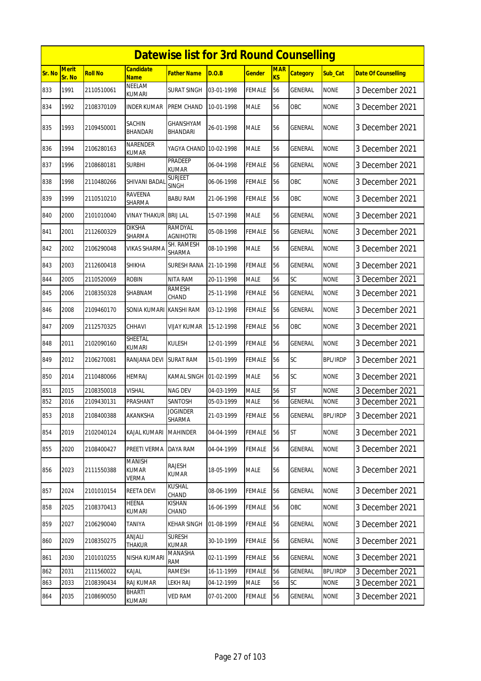|        |                        |                |                                        | <b>Datewise list for 3rd Round Counselling</b> |            |               |                         |                 |                 |                            |
|--------|------------------------|----------------|----------------------------------------|------------------------------------------------|------------|---------------|-------------------------|-----------------|-----------------|----------------------------|
| Sr. No | <b>Merit</b><br>Sr. No | <b>Roll No</b> | <b>Candidate</b><br><b>Name</b>        | <b>Father Name</b>                             | D.O.B      | <b>Gender</b> | <b>MAR</b><br><b>KS</b> | <b>Category</b> | Sub Cat         | <b>Date Of Counselling</b> |
| 833    | 1991                   | 2110510061     | <b>NEELAM</b><br>KUMARI                | <b>SURAT SINGH</b>                             | 03-01-1998 | <b>FEMALE</b> | 56                      | GENERAL         | <b>NONE</b>     | 3 December 2021            |
| 834    | 1992                   | 2108370109     | <b>INDER KUMAR</b>                     | PREM CHAND                                     | 10-01-1998 | <b>MALE</b>   | 56                      | OBC             | <b>NONE</b>     | 3 December 2021            |
| 835    | 1993                   | 2109450001     | SACHIN<br>BHANDARI                     | GHANSHYAM<br><b>BHANDARI</b>                   | 26-01-1998 | <b>MALE</b>   | 56                      | GENERAL         | <b>NONE</b>     | 3 December 2021            |
| 836    | 1994                   | 2106280163     | NARENDER<br><b>KUMAR</b>               | YAGYA CHAND                                    | 10-02-1998 | <b>MALE</b>   | 56                      | GENERAL         | <b>NONE</b>     | 3 December 2021            |
| 837    | 1996                   | 2108680181     | <b>SURBHI</b>                          | <b>PRADEEP</b><br><b>KUMAR</b>                 | 06-04-1998 | <b>FEMALE</b> | 56                      | GENERAL         | <b>NONE</b>     | 3 December 2021            |
| 838    | 1998                   | 2110480266     | <b>SHIVANI BADAI</b>                   | <b>SURJEET</b><br>SINGH                        | 06-06-1998 | <b>FEMALE</b> | 56                      | OBC             | <b>NONE</b>     | 3 December 2021            |
| 839    | 1999                   | 2110510210     | RAVEENA<br>SHARMA                      | <b>BABU RAM</b>                                | 21-06-1998 | <b>FEMALE</b> | 56                      | OBC             | <b>NONE</b>     | 3 December 2021            |
| 840    | 2000                   | 2101010040     | VINAY THAKUR                           | <b>BRIJ LAL</b>                                | 15-07-1998 | <b>MALE</b>   | 56                      | GENERAL         | <b>NONE</b>     | 3 December 2021            |
| 841    | 2001                   | 2112600329     | <b>DIKSHA</b><br>SHARMA                | RAMDYAL<br><b>AGNIHOTRI</b>                    | 05-08-1998 | <b>FEMALE</b> | 56                      | GENERAL         | <b>NONE</b>     | 3 December 2021            |
| 842    | 2002                   | 2106290048     | VIKAS SHARMA                           | SH. RAMESH<br>SHARMA                           | 08-10-1998 | <b>MALE</b>   | 56                      | GENERAL         | <b>NONE</b>     | 3 December 2021            |
| 843    | 2003                   | 2112600418     | <b>SHIKHA</b>                          | <b>SURESH RANA</b>                             | 21-10-1998 | <b>FEMALE</b> | 56                      | <b>GENERAL</b>  | <b>NONE</b>     | 3 December 2021            |
| 844    | 2005                   | 2110520069     | <b>ROBIN</b>                           | <b>NITA RAM</b>                                | 20-11-1998 | <b>MALE</b>   | 56                      | SC              | <b>NONE</b>     | 3 December 2021            |
| 845    | 2006                   | 2108350328     | SHABNAM                                | RAMESH<br>CHAND                                | 25-11-1998 | <b>FEMALE</b> | 56                      | GENERAL         | <b>NONE</b>     | 3 December 2021            |
| 846    | 2008                   | 2109460170     | SONIA KUMARI KANSHI RAM                |                                                | 03-12-1998 | <b>FEMALE</b> | 56                      | <b>GENERAL</b>  | <b>NONE</b>     | 3 December 2021            |
| 847    | 2009                   | 2112570325     | CHHAVI                                 | VIJAY KUMAR                                    | 15-12-1998 | FEMALE        | 56                      | OBC             | <b>NONE</b>     | 3 December 2021            |
| 848    | 2011                   | 2102090160     | SHEETAL<br><b>KUMARI</b>               | <b>KULESH</b>                                  | 12-01-1999 | <b>FEMALE</b> | 56                      | <b>GENERAL</b>  | <b>NONE</b>     | 3 December 2021            |
| 849    | 2012                   | 2106270081     | RANJANA DEVI                           | <b>SURAT RAM</b>                               | 15-01-1999 | FEMALE        | 56                      | SC              | <b>BPL/IRDP</b> | 3 December 2021            |
| 850    | 2014                   | 2110480066     | <b>HEMRAJ</b>                          | <b>KAMAL SINGH</b>                             | 01-02-1999 | <b>MALE</b>   | 56                      | <b>SC</b>       | <b>NONE</b>     | 3 December 2021            |
| 851    | 2015                   | 2108350018     | VISHAL                                 | <b>NAG DEV</b>                                 | 04-03-1999 | <b>MALE</b>   | 56                      | ST              | <b>NONE</b>     | 3 December 2021            |
| 852    | 2016                   | 2109430131     | PRASHANT                               | SANTOSH                                        | 05-03-1999 | <b>MALE</b>   | 56                      | <b>GENERAL</b>  | <b>NONE</b>     | 3 December 2021            |
| 853    | 2018                   | 2108400388     | AKANKSHA                               | <b>JOGINDER</b><br>SHARMA                      | 21-03-1999 | <b>FEMALE</b> | 56                      | <b>GENERAL</b>  | <b>BPL/IRDP</b> | 3 December 2021            |
| 854    | 2019                   | 2102040124     | KAJAL KUMARI                           | <b>MAHINDER</b>                                | 04-04-1999 | <b>FEMALE</b> | 56                      | <b>ST</b>       | <b>NONE</b>     | 3 December 2021            |
| 855    | 2020                   | 2108400427     | PREETI VERMA                           | DAYA RAM                                       | 04-04-1999 | <b>FEMALE</b> | 56                      | GENERAL         | <b>NONE</b>     | 3 December 2021            |
| 856    | 2023                   | 2111550388     | <b>MANISH</b><br><b>KUMAR</b><br>VERMA | <b>RAJESH</b><br>KUMAR                         | 18-05-1999 | <b>MALE</b>   | 56                      | GENERAL         | <b>NONE</b>     | 3 December 2021            |
| 857    | 2024                   | 2101010154     | REETA DEVI                             | <b>KUSHAL</b><br>CHAND                         | 08-06-1999 | <b>FEMALE</b> | 56                      | GENERAL         | <b>NONE</b>     | 3 December 2021            |
| 858    | 2025                   | 2108370413     | HEENA<br>KUMARI                        | <b>KISHAN</b><br>CHAND                         | 16-06-1999 | <b>FEMALE</b> | 56                      | OBC             | <b>NONE</b>     | 3 December 2021            |
| 859    | 2027                   | 2106290040     | TANIYA                                 | <b>KEHAR SINGH</b>                             | 01-08-1999 | <b>FEMALE</b> | 56                      | GENERAL         | <b>NONE</b>     | 3 December 2021            |
| 860    | 2029                   | 2108350275     | ANJALI<br>THAKUR                       | SURESH<br>kumar                                | 30-10-1999 | <b>FEMALE</b> | 56                      | GENERAL         | <b>NONE</b>     | 3 December 2021            |
| 861    | 2030                   | 2101010255     | NISHA KUMARI                           | MANASHA<br><b>RAM</b>                          | 02-11-1999 | <b>FEMALE</b> | 56                      | GENERAL         | <b>NONE</b>     | 3 December 2021            |
| 862    | 2031                   | 2111560022     | KAJAL                                  | <b>RAMESH</b>                                  | 16-11-1999 | <b>FEMALE</b> | 56                      | <b>GENERAL</b>  | <b>BPL/IRDP</b> | 3 December 2021            |
| 863    | 2033                   | 2108390434     | RAJ KUMAR                              | LEKH RAJ                                       | 04-12-1999 | <b>MALE</b>   | 56                      | SC              | <b>NONE</b>     | 3 December 2021            |
| 864    | 2035                   | 2108690050     | BHARTI<br>KUMARI                       | <b>VED RAM</b>                                 | 07-01-2000 | <b>FEMALE</b> | 56                      | GENERAL         | <b>NONE</b>     | 3 December 2021            |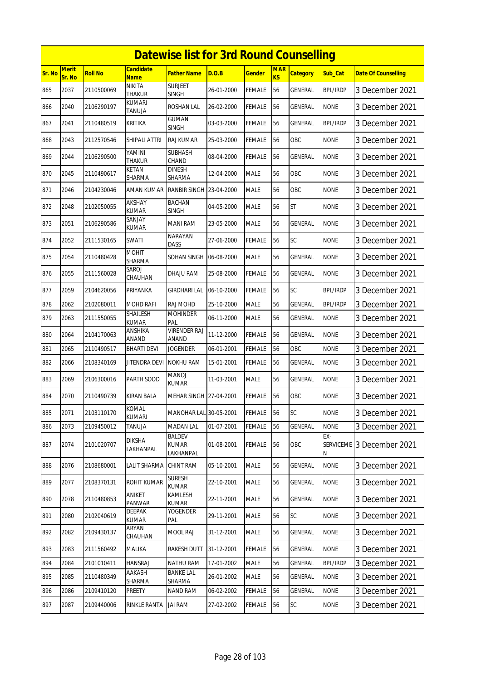|        |                 |                |                                 | <b>Datewise list for 3rd Round Counselling</b> |            |               |                  |                 |                              |                            |
|--------|-----------------|----------------|---------------------------------|------------------------------------------------|------------|---------------|------------------|-----------------|------------------------------|----------------------------|
| Sr. No | Merit<br>Sr. No | <b>Roll No</b> | Candidate<br><b>Name</b>        | <b>Father Name</b>                             | D.O.B      | <b>Gender</b> | <b>MAR</b><br>KS | <b>Category</b> | Sub_Cat                      | <b>Date Of Counselling</b> |
| 865    | 2037            | 2110500069     | <b>NIKITA</b><br><b>THAKUR</b>  | <b>SURJEET</b><br><b>SINGH</b>                 | 26-01-2000 | FEMALE        | 56               | <b>GENERAL</b>  | <b>BPL/IRDP</b>              | 3 December 2021            |
| 866    | 2040            | 2106290197     | KUMARI<br>TANUJA                | ROSHAN LAL                                     | 26-02-2000 | FEMALE        | 56               | GENERAL         | <b>NONE</b>                  | 3 December 2021            |
| 867    | 2041            | 2110480519     | KRITIKA                         | <b>GUMAN</b><br>SINGH                          | 03-03-2000 | FEMALE        | 56               | GENERAL         | <b>BPL/IRDP</b>              | 3 December 2021            |
| 868    | 2043            | 2112570546     | SHIPALI ATTRI                   | <b>RAJ KUMAR</b>                               | 25-03-2000 | <b>FEMALE</b> | 56               | OBC             | <b>NONE</b>                  | 3 December 2021            |
| 869    | 2044            | 2106290500     | YAMINI<br>THAKUR                | <b>SUBHASH</b><br>CHAND                        | 08-04-2000 | FEMALE        | 56               | GENERAL         | <b>NONE</b>                  | 3 December 2021            |
| 870    | 2045            | 2110490617     | KETAN<br>SHARMA                 | <b>DINESH</b><br>SHARMA                        | 12-04-2000 | <b>MALE</b>   | 56               | OBC             | <b>NONE</b>                  | 3 December 2021            |
| 871    | 2046            | 2104230046     | AMAN KUMAR                      | RANBIR SINGH                                   | 23-04-2000 | MALE          | 56               | OBC             | <b>NONE</b>                  | 3 December 2021            |
| 872    | 2048            | 2102050055     | <b>AKSHAY</b><br><b>KUMAR</b>   | <b>BACHAN</b><br><b>SINGH</b>                  | 04-05-2000 | <b>MALE</b>   | 56               | <b>ST</b>       | <b>NONE</b>                  | 3 December 2021            |
| 873    | 2051            | 2106290586     | SANJAY<br>KUMAR                 | <b>MANI RAM</b>                                | 23-05-2000 | <b>MALE</b>   | 56               | GENERAL         | <b>NONE</b>                  | 3 December 2021            |
| 874    | 2052            | 2111530165     | SWATI                           | <b>NARAYAN</b><br><b>DASS</b>                  | 27-06-2000 | FEMALE        | 56               | SC              | <b>NONE</b>                  | 3 December 2021            |
| 875    | 2054            | 2110480428     | <b>MOHIT</b><br>SHARMA          | SOHAN SINGH                                    | 06-08-2000 | <b>MALE</b>   | 56               | GENERAL         | <b>NONE</b>                  | 3 December 2021            |
| 876    | 2055            | 2111560028     | SAROJ<br>CHAUHAN                | <b>DHAJU RAM</b>                               | 25-08-2000 | FEMALE        | 56               | GENERAL         | <b>NONE</b>                  | 3 December 2021            |
| 877    | 2059            | 2104620056     | PRIYANKA                        | <b>GIRDHARI LAL</b>                            | 06-10-2000 | FEMALE        | 56               | SC              | <b>BPL/IRDP</b>              | 3 December 2021            |
| 878    | 2062            | 2102080011     | MOHD RAFI                       | RAJ MOHD                                       | 25-10-2000 | <b>MALE</b>   | 56               | GENERAL         | <b>BPL/IRDP</b>              | 3 December 2021            |
| 879    | 2063            | 2111550055     | <b>SHAILESH</b><br><b>KUMAR</b> | <b>MOHINDER</b><br>PAL                         | 06-11-2000 | <b>MALE</b>   | 56               | GENERAL         | <b>NONE</b>                  | 3 December 2021            |
| 880    | 2064            | 2104170063     | ANSHIKA<br>ANAND                | <b>VIRENDER RAJ</b><br>ANAND                   | 11-12-2000 | FEMALE        | 56               | GENERAL         | <b>NONE</b>                  | 3 December 2021            |
| 881    | 2065            | 2110490517     | <b>BHARTI DEVI</b>              | <b>JOGENDER</b>                                | 06-01-2001 | FEMALE        | 56               | OBC             | <b>NONE</b>                  | 3 December 2021            |
| 882    | 2066            | 2108340169     | JITENDRA DEVI                   | <b>NOKHU RAM</b>                               | 15-01-2001 | FEMALE        | 56               | <b>GENERAL</b>  | <b>NONE</b>                  | 3 December 2021            |
| 883    | 2069            | 2106300016     | PARTH SOOD                      | MANOJ<br><b>KUMAR</b>                          | 11-03-2001 | MALE          | 56               | GENERAL         | <b>NONE</b>                  | 3 December 2021            |
| 884    | 2070            | 2110490739     | <b>KIRAN BALA</b>               | MEHAR SINGH 27-04-2001                         |            | <b>FEMALE</b> | 56               | OBC             | <b>NONE</b>                  | 3 December 2021            |
| 885    | 2071            | 2103110170     | KOMAL<br><b>KUMARI</b>          | MANOHAR LAL 30-05-2001                         |            | <b>FEMALE</b> | 56               | <b>SC</b>       | <b>NONE</b>                  | 3 December 2021            |
| 886    | 2073            | 2109450012     | TANUJA                          | <b>MADAN LAL</b>                               | 01-07-2001 | FEMALE        | 56               | GENERAL         | <b>NONE</b>                  | 3 December 2021            |
| 887    | 2074            | 2101020707     | <b>DIKSHA</b><br>LAKHANPAL      | BALDEV<br><b>KUMAR</b><br>LAKHANPAL            | 01-08-2001 | FEMALE        | 56               | OBC             | EX-<br><b>SERVICEME</b><br>N | 3 December 2021            |
| 888    | 2076            | 2108680001     | LALIT SHARMA                    | CHINT RAM                                      | 05-10-2001 | MALE          | 56               | GENERAL         | <b>NONE</b>                  | 3 December 2021            |
| 889    | 2077            | 2108370131     | ROHIT KUMAR                     | <b>SURESH</b><br><b>KUMAR</b>                  | 22-10-2001 | MALE          | 56               | GENERAL         | <b>NONE</b>                  | 3 December 2021            |
| 890    | 2078            | 2110480853     | ANIKET<br>PANWAR                | KAMLESH<br><b>KUMAR</b>                        | 22-11-2001 | <b>MALE</b>   | 56               | GENERAL         | <b>NONE</b>                  | 3 December 2021            |
| 891    | 2080            | 2102040619     | <b>DEEPAK</b><br>KUMAR          | YOGENDER<br>pal                                | 29-11-2001 | MALE          | 56               | SC              | <b>NONE</b>                  | 3 December 2021            |
| 892    | 2082            | 2109430137     | ARYAN<br>CHAUHAN                | MOOL RAJ                                       | 31-12-2001 | <b>MALE</b>   | 56               | GENERAL         | <b>NONE</b>                  | 3 December 2021            |
| 893    | 2083            | 2111560492     | MALIKA                          | RAKESH DUTT                                    | 31-12-2001 | FEMALE        | 56               | GENERAL         | <b>NONE</b>                  | 3 December 2021            |
| 894    | 2084            | 2101010411     | <b>HANSRAJ</b>                  | NATHU RAM                                      | 17-01-2002 | MALE          | 56               | GENERAL         | <b>BPL/IRDP</b>              | 3 December 2021            |
| 895    | 2085            | 2110480349     | AAKASH<br>SHARMA                | <b>BANKE LAL</b><br>SHARMA                     | 26-01-2002 | MALE          | 56               | GENERAL         | <b>NONE</b>                  | 3 December 2021            |
| 896    | 2086            | 2109410120     | PREETY                          | NAND RAM                                       | 06-02-2002 | <b>FEMALE</b> | 56               | GENERAL         | <b>NONE</b>                  | 3 December 2021            |
| 897    | 2087            | 2109440006     | <b>RINKLE RANTA</b>             | <b>JAI RAM</b>                                 | 27-02-2002 | <b>FEMALE</b> | 56               | SC              | <b>NONE</b>                  | 3 December 2021            |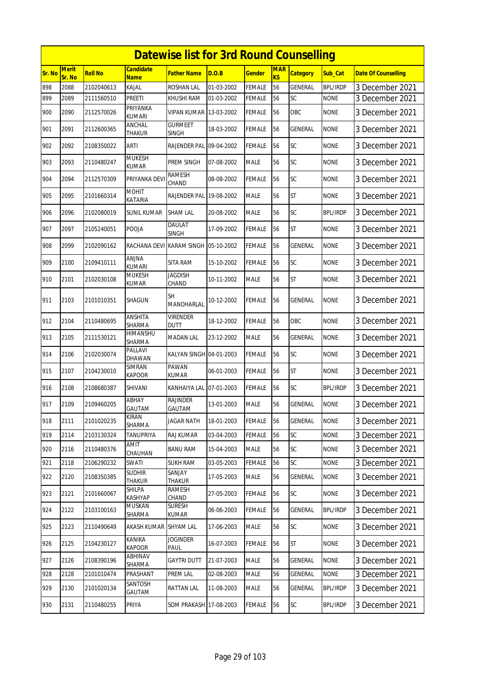|        |                 |                |                          | <b>Datewise list for 3rd Round Counselling</b> |            |               |                  |                 |                 |                            |
|--------|-----------------|----------------|--------------------------|------------------------------------------------|------------|---------------|------------------|-----------------|-----------------|----------------------------|
| Sr. No | Merit<br>Sr. No | <b>Roll No</b> | <b>Candidate</b><br>Name | <b>Father Name</b>                             | D.O.B      | <b>Gender</b> | <b>MAR</b><br>KS | <b>Category</b> | Sub_Cat         | <b>Date Of Counselling</b> |
| 898    | 2088            | 2102040613     | KAJAL                    | <b>ROSHAN LAL</b>                              | 01-03-2002 | <b>FEMALE</b> | 56               | GENERAL         | <b>BPL/IRDP</b> | 3 December 2021            |
| 899    | 2089            | 2111560510     | Preeti                   | KHUSHI RAM                                     | 01-03-2002 | FEMALE        | 56               | SC              | <b>NONE</b>     | 3 December 2021            |
| 900    | 2090            | 2112570026     | PRIYANKA<br>kumari       | VIPAN KUMAR 13-03-2002                         |            | FEMALE        | 56               | <b>OBC</b>      | <b>NONE</b>     | 3 December 2021            |
| 901    | 2091            | 2112600365     | ANCHAL<br><b>THAKUR</b>  | <b>GURMEET</b><br><b>SINGH</b>                 | 18-03-2002 | <b>FEMALE</b> | 56               | GENERAL         | <b>NONE</b>     | 3 December 2021            |
| 902    | 2092            | 2108350022     | <b>ARTI</b>              | RAJENDER PAL 09-04-2002                        |            | <b>FEMALE</b> | 56               | SC              | <b>NONE</b>     | 3 December 2021            |
| 903    | 2093            | 2110480247     | <b>MUKESH</b><br>KUMAR   | PREM SINGH                                     | 07-08-2002 | <b>MALE</b>   | 56               | SC              | <b>NONE</b>     | 3 December 2021            |
| 904    | 2094            | 2112570309     | PRIYANKA DEV             | RAMESH<br>CHAND                                | 08-08-2002 | <b>FEMALE</b> | 56               | <b>SC</b>       | <b>NONE</b>     | 3 December 2021            |
| 905    | 2095            | 2101660314     | <b>MOHIT</b><br>KATARIA  | RAJENDER PAL 19-08-2002                        |            | <b>MALE</b>   | 56               | <b>ST</b>       | <b>NONE</b>     | 3 December 2021            |
| 906    | 2096            | 2102080019     | <b>SUNIL KUMAR</b>       | <b>SHAM LAL</b>                                | 20-08-2002 | <b>MALE</b>   | 56               | SC              | <b>BPL/IRDP</b> | 3 December 2021            |
| 907    | 2097            | 2105240051     | POOJA                    | DAULAT<br><b>SINGH</b>                         | 17-09-2002 | <b>FEMALE</b> | 56               | <b>ST</b>       | <b>NONE</b>     | 3 December 2021            |
| 908    | 2099            | 2102090162     | RACHANA DEVI             | KARAM SINGH 05-10-2002                         |            | <b>FEMALE</b> | 56               | <b>GENERAL</b>  | <b>NONE</b>     | 3 December 2021            |
| 909    | 2100            | 2109410111     | ANJNA<br>kumari          | SITA RAM                                       | 15-10-2002 | <b>FEMALE</b> | 56               | SC              | <b>NONE</b>     | 3 December 2021            |
| 910    | 2101            | 2102030108     | <b>MUKESH</b><br>KUMAR   | <b>JAGDISH</b><br>CHAND                        | 10-11-2002 | <b>MALE</b>   | 56               | <b>ST</b>       | <b>NONE</b>     | 3 December 2021            |
| 911    | 2103            | 2101010351     | <b>SHAGUN</b>            | <b>SH</b><br>MANOHARLAL                        | 10-12-2002 | <b>FEMALE</b> | 56               | <b>GENERAL</b>  | <b>NONE</b>     | 3 December 2021            |
| 912    | 2104            | 2110480695     | ANSHITA<br>SHARMA        | <b>VIRENDER</b><br><b>DUTT</b>                 | 18-12-2002 | <b>FEMALE</b> | 56               | <b>OBC</b>      | <b>NONE</b>     | 3 December 2021            |
| 913    | 2105            | 2111530121     | HIMANSHU<br>SHARMA       | <b>MADAN LAL</b>                               | 23-12-2002 | <b>MALE</b>   | 56               | GENERAL         | <b>NONE</b>     | 3 December 2021            |
| 914    | 2106            | 2102030074     | PALLAVI<br>DHAWAN        | KALYAN SINGH 04-01-2003                        |            | <b>FEMALE</b> | 56               | SC              | <b>NONE</b>     | 3 December 2021            |
| 915    | 2107            | 2104230010     | <b>SIMRAN</b><br>KAPOOR  | PAWAN<br>KUMAR                                 | 06-01-2003 | <b>FEMALE</b> | 56               | <b>ST</b>       | <b>NONE</b>     | 3 December 2021            |
| 916    | 2108            | 2108680387     | SHIVANI                  | KANHAIYA LAL 07-01-2003                        |            | <b>FEMALE</b> | 56               | SC              | <b>BPL/IRDP</b> | 3 December 2021            |
| 917    | 2109            | 2109460205     | ABHAY<br>GAUTAM          | RAJINDER<br>GAUTAM                             | 13-01-2003 | <b>MALE</b>   | 56               | <b>GENERAL</b>  | <b>NONE</b>     | 3 December 2021            |
| 918    | 2111            | 2101020235     | KIRAN<br>SHARMA          | <b>JAGAR NATH</b>                              | 18-01-2003 | <b>FEMALE</b> | 56               | GENERAL         | <b>NONE</b>     | 3 December 2021            |
| 919    | 2114            | 2103130324     | <b>TANUPRIYA</b>         | <b>RAJ KUMAR</b>                               | 03-04-2003 | <b>FEMALE</b> | 56               | SC              | <b>NONE</b>     | 3 December 2021            |
| 920    | 2116            | 2110480376     | <b>AMIT</b><br>CHAUHAN   | <b>BANU RAM</b>                                | 15-04-2003 | <b>MALE</b>   | 56               | SC              | <b>NONE</b>     | 3 December 2021            |
| 921    | 2118            | 2106290232     | SWATI                    | <b>SUKH RAM</b>                                | 03-05-2003 | <b>FEMALE</b> | 56               | SC              | <b>NONE</b>     | 3 December 2021            |
| 922    | 2120            | 2108350385     | <b>SUDHIR</b><br>THAKUR  | SANJAY<br><b>THAKUR</b>                        | 17-05-2003 | <b>MALE</b>   | 56               | GENERAL         | <b>NONE</b>     | 3 December 2021            |
| 923    | 2121            | 2101660067     | SHILPA<br><b>KASHYAP</b> | RAMESH<br>CHAND                                | 27-05-2003 | <b>FEMALE</b> | 56               | <b>SC</b>       | <b>NONE</b>     | 3 December 2021            |
| 924    | 2122            | 2103100163     | MUSKAN<br>SHARMA         | <b>SURESH</b><br><b>KUMAR</b>                  | 06-06-2003 | <b>FEMALE</b> | 56               | GENERAL         | <b>BPL/IRDP</b> | 3 December 2021            |
| 925    | 2123            | 2110490649     | AKASH KUMAR              | <b>SHYAM LAL</b>                               | 17-06-2003 | <b>MALE</b>   | 56               | <b>SC</b>       | <b>NONE</b>     | 3 December 2021            |
| 926    | 2125            | 2104230127     | KANIKA<br><b>KAPOOR</b>  | <b>JOGINDER</b><br>PAUL                        | 16-07-2003 | <b>FEMALE</b> | 56               | <b>ST</b>       | <b>NONE</b>     | 3 December 2021            |
| 927    | 2126            | 2108390196     | ABHINAV<br>SHARMA        | <b>GAYTRI DUTT</b>                             | 21-07-2003 | MALE          | 56               | <b>GENERAL</b>  | <b>NONE</b>     | 3 December 2021            |
| 928    | 2128            | 2101010474     | PRASHANT                 | PREM LAL                                       | 02-08-2003 | <b>MALE</b>   | 56               | GENERAL         | <b>NONE</b>     | 3 December 2021            |
| 929    | 2130            | 2101020134     | SANTOSH<br>GAUTAM        | RATTAN LAL                                     | 11-08-2003 | <b>MALE</b>   | 56               | GENERAL         | <b>BPL/IRDP</b> | 3 December 2021            |
| 930    | 2131            | 2110480255     | PRIYA                    | SOM PRAKASH 17-08-2003                         |            | <b>FEMALE</b> | 56               | <b>SC</b>       | BPL/IRDP        | 3 December 2021            |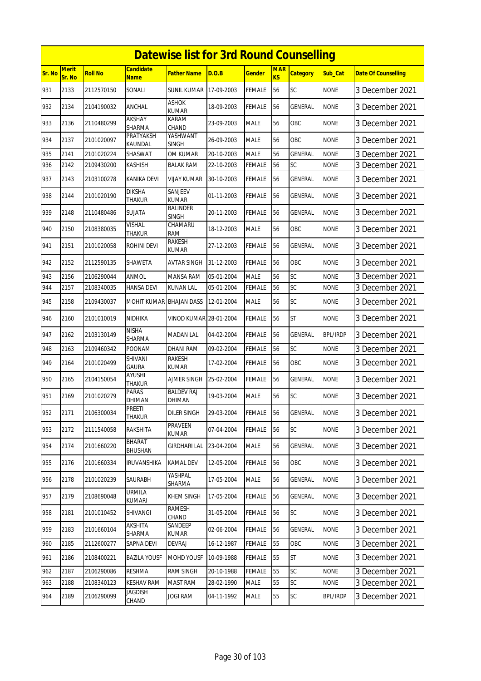|        |                        |                |                                 | <b>Datewise list for 3rd Round Counselling</b> |            |               |                  |                 |                 |                            |
|--------|------------------------|----------------|---------------------------------|------------------------------------------------|------------|---------------|------------------|-----------------|-----------------|----------------------------|
| Sr. No | <b>Merit</b><br>Sr. No | <b>Roll No</b> | <b>Candidate</b><br><b>Name</b> | <b>Father Name</b>                             | D.O.B      | <b>Gender</b> | <b>MAR</b><br>KS | <b>Category</b> | Sub Cat         | <b>Date Of Counselling</b> |
| 931    | 2133                   | 2112570150     | SONALI                          | <b>SUNIL KUMAR</b>                             | 17-09-2003 | <b>FEMALE</b> | 56               | SC              | <b>NONE</b>     | 3 December 2021            |
| 932    | 2134                   | 2104190032     | ANCHAL                          | <b>ASHOK</b><br><b>KUMAR</b>                   | 18-09-2003 | <b>FEMALE</b> | 56               | GENERAL         | <b>NONE</b>     | 3 December 2021            |
| 933    | 2136                   | 2110480299     | AKSHAY<br>SHARMA                | KARAM<br>CHAND                                 | 23-09-2003 | <b>MALE</b>   | 56               | OBC             | <b>NONE</b>     | 3 December 2021            |
| 934    | 2137                   | 2101020097     | PRATYAKSH<br>KAUNDAL            | YASHWANT<br><b>SINGH</b>                       | 26-09-2003 | <b>MALE</b>   | 56               | OBC             | <b>NONE</b>     | 3 December 2021            |
| 935    | 2141                   | 2101020224     | SHASWAT                         | OM KUMAR                                       | 20-10-2003 | <b>MALE</b>   | 56               | <b>GENERAL</b>  | <b>NONE</b>     | 3 December 2021            |
| 936    | 2142                   | 2109430200     | <b>KASHISH</b>                  | <b>BALAK RAM</b>                               | 22-10-2003 | <b>FEMALE</b> | 56               | SC              | <b>NONE</b>     | 3 December 2021            |
| 937    | 2143                   | 2103100278     | <b>KANIKA DEVI</b>              | <b>VIJAY KUMAR</b>                             | 30-10-2003 | <b>FEMALE</b> | 56               | <b>GENERAL</b>  | <b>NONE</b>     | 3 December 2021            |
| 938    | 2144                   | 2101020190     | <b>DIKSHA</b><br>THAKUR         | SANJEEV<br><b>KUMAR</b>                        | 01-11-2003 | <b>FEMALE</b> | 56               | GENERAL         | <b>NONE</b>     | 3 December 2021            |
| 939    | 2148                   | 2110480486     | SUJATA                          | <b>BALINDER</b><br><b>SINGH</b>                | 20-11-2003 | <b>FEMALE</b> | 56               | <b>GENERAL</b>  | <b>NONE</b>     | 3 December 2021            |
| 940    | 2150                   | 2108380035     | <b>VISHAL</b><br>THAKUR         | CHAMARU<br><b>RAM</b>                          | 18-12-2003 | <b>MALE</b>   | 56               | OBC             | <b>NONE</b>     | 3 December 2021            |
| 941    | 2151                   | 2101020058     | <b>ROHINI DEVI</b>              | RAKESH<br><b>KUMAR</b>                         | 27-12-2003 | <b>FEMALE</b> | 56               | <b>GENERAL</b>  | <b>NONE</b>     | 3 December 2021            |
| 942    | 2152                   | 2112590135     | SHAWETA                         | AVTAR SINGH                                    | 31-12-2003 | <b>FEMALE</b> | 56               | <b>OBC</b>      | <b>NONE</b>     | 3 December 2021            |
| 943    | 2156                   | 2106290044     | ANMOL                           | <b>MANSA RAM</b>                               | 05-01-2004 | <b>MALE</b>   | 56               | SC              | <b>NONE</b>     | 3 December 2021            |
| 944    | 2157                   | 2108340035     | HANSA DEVI                      | KUNAN LAL                                      | 05-01-2004 | FEMALE        | 56               | SC              | none            | 3 December 2021            |
| 945    | 2158                   | 2109430037     | MOHIT KUMAR BHAJAN DASS         |                                                | 12-01-2004 | <b>MALE</b>   | 56               | SC              | <b>NONE</b>     | 3 December 2021            |
| 946    | 2160                   | 2101010019     | NIDHIKA                         | VINOD KUMAR 28-01-2004                         |            | <b>FEMALE</b> | 56               | <b>ST</b>       | <b>NONE</b>     | 3 December 2021            |
| 947    | 2162                   | 2103130149     | <b>NISHA</b><br>SHARMA          | <b>MADAN LAL</b>                               | 04-02-2004 | <b>FEMALE</b> | 56               | GENERAL         | <b>BPL/IRDP</b> | 3 December 2021            |
| 948    | 2163                   | 2109460342     | <b>POONAM</b>                   | <b>DHANI RAM</b>                               | 09-02-2004 | <b>FEMALE</b> | 56               | SC              | <b>NONE</b>     | 3 December 2021            |
| 949    | 2164                   | 2101020499     | <b>SHIVANI</b><br><b>GAURA</b>  | <b>RAKESH</b><br><b>KUMAR</b>                  | 17-02-2004 | <b>FEMALE</b> | 56               | OBC             | <b>NONE</b>     | 3 December 2021            |
| 950    | 2165                   | 2104150054     | AYUSHI<br><b>THAKUR</b>         | <b>AJMER SINGH</b>                             | 25-02-2004 | <b>FEMALE</b> | 56               | <b>GENERAL</b>  | <b>NONE</b>     | 3 December 2021            |
| 951    | 2169                   | 2101020279     | PARAS<br><b>DHIMAN</b>          | <b>BALDEV RAJ</b><br>DHIMAN                    | 19-03-2004 | <b>MALE</b>   | 56               | SC              | <b>NONE</b>     | 3 December 2021            |
| 952    | 2171                   | 2106300034     | PREETI<br>THAKUR                | <b>DILER SINGH</b>                             | 29-03-2004 | <b>FEMALE</b> | 56               | GENERAL         | <b>NONE</b>     | 3 December 2021            |
| 953    | 2172                   | 2111540058     | RAKSHITA                        | <b>PRAVEEN</b><br>kumar                        | 07-04-2004 | <b>FEMALE</b> | 56               | SC              | <b>NONE</b>     | 3 December 2021            |
| 954    | 2174                   | 2101660220     | BHARAT<br><b>BHUSHAN</b>        | <b>GIRDHARI LAL</b>                            | 23-04-2004 | <b>MALE</b>   | 56               | GENERAL         | <b>NONE</b>     | 3 December 2021            |
| 955    | 2176                   | 2101660334     | <b>IRUVANSHIKA</b>              | <b>KAMAL DEV</b>                               | 12-05-2004 | <b>FEMALE</b> | 56               | OBC             | <b>NONE</b>     | 3 December 2021            |
| 956    | 2178                   | 2101020239     | SAURABH                         | YASHPAL<br>SHARMA                              | 17-05-2004 | MALE          | 56               | GENERAL         | <b>NONE</b>     | 3 December 2021            |
| 957    | 2179                   | 2108690048     | <b>URMILA</b><br>KUMARI         | KHEM SINGH                                     | 17-05-2004 | FEMALE        | 56               | GENERAL         | <b>NONE</b>     | 3 December 2021            |
| 958    | 2181                   | 2101010452     | SHIVANGI                        | <b>RAMESH</b><br>CHAND                         | 31-05-2004 | <b>FEMALE</b> | 56               | <b>SC</b>       | <b>NONE</b>     | 3 December 2021            |
| 959    | 2183                   | 2101660104     | AKSHITA<br>SHARMA               | SANDEEP<br>KUMAR                               | 02-06-2004 | <b>FEMALE</b> | 56               | GENERAL         | <b>NONE</b>     | 3 December 2021            |
| 960    | 2185                   | 2112600277     | SAPNA DEVI                      | <b>DEVRAJ</b>                                  | 16-12-1987 | <b>FEMALE</b> | 55               | OBC             | <b>NONE</b>     | 3 December 2021            |
| 961    | 2186                   | 2108400221     | <b>BAZILA YOUSF</b>             | MOHD YOUSF                                     | 10-09-1988 | <b>FEMALE</b> | 55               | <b>ST</b>       | <b>NONE</b>     | 3 December 2021            |
| 962    | 2187                   | 2106290086     | <b>RESHMA</b>                   | <b>RAM SINGH</b>                               | 20-10-1988 | <b>FEMALE</b> | 55               | SC              | <b>NONE</b>     | 3 December 2021            |
| 963    | 2188                   | 2108340123     | <b>KESHAV RAM</b>               | <b>MAST RAM</b>                                | 28-02-1990 | <b>MALE</b>   | 55               | SC              | <b>NONE</b>     | 3 December 2021            |
| 964    | 2189                   | 2106290099     | JAGDISH<br>CHAND                | <b>JOGI RAM</b>                                | 04-11-1992 | <b>MALE</b>   | 55               | SC              | <b>BPL/IRDP</b> | 3 December 2021            |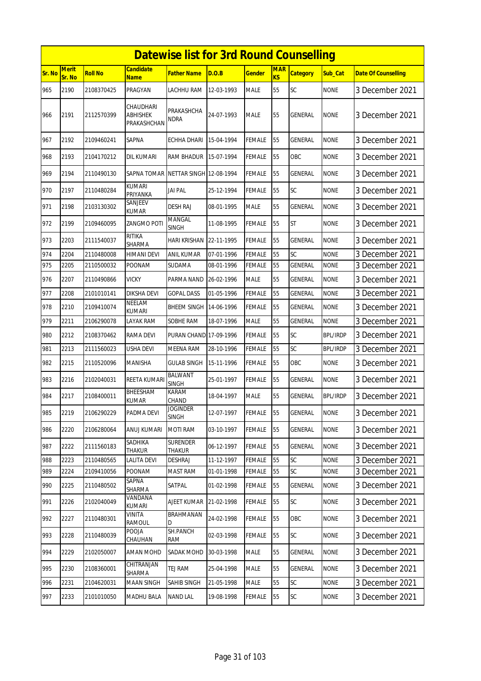|        |                        |                |                                      | <b>Datewise list for 3rd Round Counselling</b> |            |               |                         |                 |                 |                            |
|--------|------------------------|----------------|--------------------------------------|------------------------------------------------|------------|---------------|-------------------------|-----------------|-----------------|----------------------------|
| Sr. No | <b>Merit</b><br>Sr. No | <b>Roll No</b> | <b>Candidate</b><br><b>Name</b>      | <b>Father Name</b>                             | D.O.B      | <b>Gender</b> | <b>MAR</b><br><b>KS</b> | <b>Category</b> | Sub Cat         | <b>Date Of Counselling</b> |
| 965    | 2190                   | 2108370425     | PRAGYAN                              | <b>LACHHU RAM</b>                              | 12-03-1993 | <b>MALE</b>   | 55                      | SC              | <b>NONE</b>     | 3 December 2021            |
| 966    | 2191                   | 2112570399     | CHAUDHARI<br>ABHISHEK<br>PRAKASHCHAN | PRAKASHCHA<br><b>NDRA</b>                      | 24-07-1993 | <b>MALE</b>   | 55                      | <b>GENERAL</b>  | <b>NONE</b>     | 3 December 2021            |
| 967    | 2192                   | 2109460241     | <b>SAPNA</b>                         | <b>ECHHA DHARI</b>                             | 15-04-1994 | <b>FEMALE</b> | 55                      | <b>GENERAL</b>  | <b>NONE</b>     | 3 December 2021            |
| 968    | 2193                   | 2104170212     | DIL KUMARI                           | RAM BHADUR                                     | 15-07-1994 | <b>FEMALE</b> | 55                      | OBC             | <b>NONE</b>     | 3 December 2021            |
| 969    | 2194                   | 2110490130     | SAPNA TOMAR                          | NETTAR SINGH 12-08-1994                        |            | <b>FEMALE</b> | 55                      | <b>GENERAL</b>  | <b>NONE</b>     | 3 December 2021            |
| 970    | 2197                   | 2110480284     | <b>KUMARI</b><br>PRIYANKA            | <b>JAI PAL</b>                                 | 25-12-1994 | <b>FEMALE</b> | 55                      | SC              | <b>NONE</b>     | 3 December 2021            |
| 971    | 2198                   | 2103130302     | SANJEEV<br><b>KUMAR</b>              | <b>DESH RAJ</b>                                | 08-01-1995 | <b>MALE</b>   | 55                      | <b>GENERAL</b>  | <b>NONE</b>     | 3 December 2021            |
| 972    | 2199                   | 2109460095     | ZANGMO POTI                          | MANGAL<br>SINGH                                | 11-08-1995 | <b>FEMALE</b> | 55                      | <b>ST</b>       | none            | 3 December 2021            |
| 973    | 2203                   | 2111540037     | <b>RITIKA</b><br><b>SHARMA</b>       | <b>HARI KRISHAN</b>                            | 22-11-1995 | <b>FEMALE</b> | 55                      | GENERAL         | <b>NONE</b>     | 3 December 2021            |
| 974    | 2204                   | 2110480008     | <b>HIMANI DEVI</b>                   | <b>ANIL KUMAR</b>                              | 07-01-1996 | <b>FEMALE</b> | 55                      | SC              | <b>NONE</b>     | 3 December 2021            |
| 975    | 2205                   | 2110500032     | POONAM                               | SUDAMA                                         | 08-01-1996 | <b>FEMALE</b> | 55                      | <b>GENERAL</b>  | <b>NONE</b>     | 3 December 2021            |
| 976    | 2207                   | 2110490866     | <b>VICKY</b>                         | PARMA NAND                                     | 26-02-1996 | <b>MALE</b>   | 55                      | GENERAL         | <b>NONE</b>     | 3 December 2021            |
| 977    | 2208                   | 2101010141     | <b>DIKSHA DEVI</b>                   | <b>GOPAL DASS</b>                              | 01-05-1996 | <b>FEMALE</b> | 55                      | GENERAL         | <b>NONE</b>     | 3 December 2021            |
| 978    | 2210                   | 2109410074     | <b>NEELAM</b><br><b>KUMARI</b>       | <b>BHEEM SINGH</b>                             | 14-06-1996 | FEMALE        | 55                      | GENERAL         | <b>NONE</b>     | 3 December 2021            |
| 979    | 2211                   | 2106290078     | LAYAK RAM                            | SOBHE RAM                                      | 18-07-1996 | <b>MALE</b>   | 55                      | GENERAL         | <b>NONE</b>     | 3 December 2021            |
| 980    | 2212                   | 2108370462     | RAMA DEVI                            | PURAN CHAND 17-09-1996                         |            | <b>FEMALE</b> | 55                      | SC              | <b>BPL/IRDP</b> | 3 December 2021            |
| 981    | 2213                   | 2111560023     | <b>USHA DEVI</b>                     | <b>MEENA RAM</b>                               | 28-10-1996 | <b>FEMALE</b> | 55                      | SC              | <b>BPL/IRDP</b> | 3 December 2021            |
| 982    | 2215                   | 2110520096     | MANISHA                              | <b>GULAB SINGH</b>                             | 15-11-1996 | <b>FEMALE</b> | 55                      | OBC             | <b>NONE</b>     | 3 December 2021            |
| 983    | 2216                   | 2102040031     | <b>REETA KUMARI</b>                  | <b>BALWANT</b><br><b>SINGH</b>                 | 25-01-1997 | <b>FEMALE</b> | 55                      | <b>GENERAL</b>  | <b>NONE</b>     | 3 December 2021            |
| 984    | 2217                   | 2108400011     | BHEESHAM<br>KUMAR                    | KARAM<br>CHAND                                 | 18-04-1997 | <b>MALE</b>   | 55                      | <b>GENERAL</b>  | <b>BPL/IRDP</b> | 3 December 2021            |
| 985    | 2219                   | 2106290229     | PADMA DEVI                           | JOGINDER<br><b>SINGH</b>                       | 12-07-1997 | <b>FEMALE</b> | 55                      | <b>GENERAL</b>  | <b>NONE</b>     | 3 December 2021            |
| 986    | 2220                   | 2106280064     | ANUJ KUMARI                          | <b>MOTI RAM</b>                                | 03-10-1997 | <b>FEMALE</b> | 55                      | GENERAL         | <b>NONE</b>     | 3 December 2021            |
| 987    | 2222                   | 2111560183     | SADHIKA<br>THAKUR                    | <b>SURENDER</b><br><b>THAKUR</b>               | 06-12-1997 | <b>FEMALE</b> | 55                      | GENERAL         | <b>NONE</b>     | 3 December 2021            |
| 988    | 2223                   | 2110480565     | <b>LALITA DEVI</b>                   | <b>DESHRAJ</b>                                 | 11-12-1997 | <b>FEMALE</b> | 55                      | SC              | <b>NONE</b>     | 3 December 2021            |
| 989    | 2224                   | 2109410056     | POONAM                               | <b>MAST RAM</b>                                | 01-01-1998 | <b>FEMALE</b> | 55                      | SC              | <b>NONE</b>     | 3 December 2021            |
| 990    | 2225                   | 2110480502     | SAPNA<br>SHARMA                      | SATPAL                                         | 01-02-1998 | <b>FEMALE</b> | 55                      | GENERAL         | <b>NONE</b>     | 3 December 2021            |
| 991    | 2226                   | 2102040049     | VANDANA<br>KUMARI                    | AJEET KUMAR                                    | 21-02-1998 | <b>FEMALE</b> | 55                      | SC              | <b>NONE</b>     | 3 December 2021            |
| 992    | 2227                   | 2110480301     | VINITA<br>RAMOUL                     | BRAHMANAN<br>D                                 | 24-02-1998 | <b>FEMALE</b> | 55                      | OBC             | <b>NONE</b>     | 3 December 2021            |
| 993    | 2228                   | 2110480039     | POOJA<br>CHAUHAN                     | SH.PANCH<br>RAM                                | 02-03-1998 | <b>FEMALE</b> | 55                      | SC              | <b>NONE</b>     | 3 December 2021            |
| 994    | 2229                   | 2102050007     | <b>AMAN MOHD</b>                     | SADAK MOHD                                     | 30-03-1998 | MALE          | 55                      | GENERAL         | <b>NONE</b>     | 3 December 2021            |
| 995    | 2230                   | 2108360001     | CHITRANJAN<br>SHARMA                 | TEJ RAM                                        | 25-04-1998 | <b>MALE</b>   | 55                      | GENERAL         | <b>NONE</b>     | 3 December 2021            |
| 996    | 2231                   | 2104620031     | MAAN SINGH                           | SAHIB SINGH                                    | 21-05-1998 | <b>MALE</b>   | 55                      | SC              | <b>NONE</b>     | 3 December 2021            |
| 997    | 2233                   | 2101010050     | <b>MADHU BALA</b>                    | <b>NAND LAL</b>                                | 19-08-1998 | <b>FEMALE</b> | 55                      | SC              | <b>NONE</b>     | 3 December 2021            |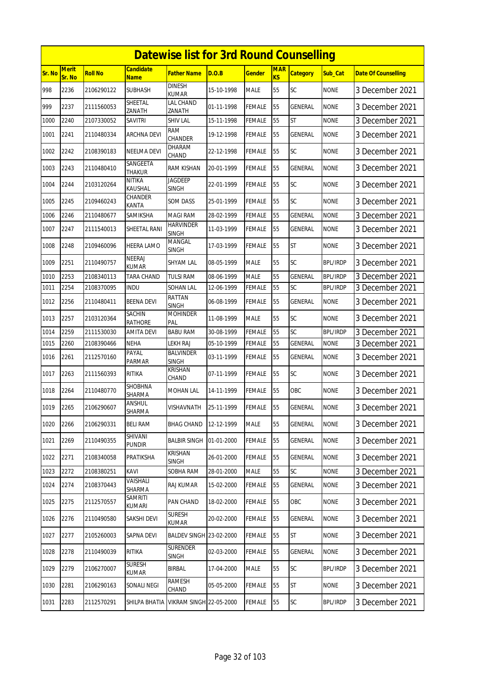|        |                 |                |                                 | <b>Datewise list for 3rd Round Counselling</b> |            |               |                  |                 |                 |                            |
|--------|-----------------|----------------|---------------------------------|------------------------------------------------|------------|---------------|------------------|-----------------|-----------------|----------------------------|
| Sr. No | Merit<br>Sr. No | <b>Roll No</b> | <b>Candidate</b><br>Name        | <b>Father Name</b>                             | D.O.B      | <b>Gender</b> | <b>MAR</b><br>KS | <b>Category</b> | Sub_Cat         | <b>Date Of Counselling</b> |
| 998    | 2236            | 2106290122     | <b>SUBHASH</b>                  | <b>DINESH</b><br><b>KUMAR</b>                  | 15-10-1998 | <b>MALE</b>   | 55               | SC              | <b>NONE</b>     | 3 December 2021            |
| 999    | 2237            | 2111560053     | SHEETAL<br>ZANATH               | LAL CHAND<br>ZANATH                            | 01-11-1998 | <b>FEMALE</b> | 55               | GENERAL         | <b>NONE</b>     | 3 December 2021            |
| 1000   | 2240            | 2107330052     | SAVITRI                         | <b>SHIV LAL</b>                                | 15-11-1998 | <b>FEMALE</b> | 55               | ST              | <b>NONE</b>     | 3 December 2021            |
| 1001   | 2241            | 2110480334     | <b>ARCHNA DEVI</b>              | <b>RAM</b><br><b>CHANDER</b>                   | 19-12-1998 | <b>FEMALE</b> | 55               | <b>GENERAL</b>  | <b>NONE</b>     | 3 December 2021            |
| 1002   | 2242            | 2108390183     | NEELMA DEVI                     | DHARAM<br>CHAND                                | 22-12-1998 | <b>FEMALE</b> | 55               | SC              | <b>NONE</b>     | 3 December 2021            |
| 1003   | 2243            | 2110480410     | SANGEETA<br><b>THAKUR</b>       | RAM KISHAN                                     | 20-01-1999 | <b>FEMALE</b> | 55               | <b>GENERAL</b>  | <b>NONE</b>     | 3 December 2021            |
| 1004   | 2244            | 2103120264     | NITIKA<br>KAUSHAL               | JAGDEEP<br><b>SINGH</b>                        | 22-01-1999 | <b>FEMALE</b> | 55               | SC              | none            | 3 December 2021            |
| 1005   | 2245            | 2109460243     | CHANDER<br>KANTA                | <b>SOM DASS</b>                                | 25-01-1999 | <b>FEMALE</b> | 55               | SC              | <b>NONE</b>     | 3 December 2021            |
| 1006   | 2246            | 2110480677     | SAMIKSHA                        | <b>MAGI RAM</b>                                | 28-02-1999 | <b>FEMALE</b> | 55               | GENERAL         | <b>NONE</b>     | 3 December 2021            |
| 1007   | 2247            | 2111540013     | SHEETAL RANI                    | <b>HARVINDER</b><br><b>SINGH</b>               | 11-03-1999 | <b>FEMALE</b> | 55               | GENERAL         | <b>NONE</b>     | 3 December 2021            |
| 1008   | 2248            | 2109460096     | <b>HEERA LAMO</b>               | MANGAL<br><b>SINGH</b>                         | 17-03-1999 | <b>FEMALE</b> | 55               | <b>ST</b>       | <b>NONE</b>     | 3 December 2021            |
| 1009   | 2251            | 2110490757     | NEERAJ<br>KUMAR                 | <b>SHYAM LAL</b>                               | 08-05-1999 | <b>MALE</b>   | 55               | SC              | <b>BPL/IRDP</b> | 3 December 2021            |
| 1010   | 2253            | 2108340113     | TARA CHAND                      | <b>TULSI RAM</b>                               | 08-06-1999 | <b>MALE</b>   | 55               | <b>GENERAL</b>  | <b>BPL/IRDP</b> | 3 December 2021            |
| 1011   | 2254            | 2108370095     | INDU                            | SOHAN LAL                                      | 12-06-1999 | FEMALE        | 55               | SC              | BPL/IRDP        | 3 December 2021            |
| 1012   | 2256            | 2110480411     | <b>BEENA DEVI</b>               | RATTAN<br>SINGH                                | 06-08-1999 | <b>FEMALE</b> | 55               | GENERAL         | <b>NONE</b>     | 3 December 2021            |
| 1013   | 2257            | 2103120364     | <b>SACHIN</b><br><b>RATHORE</b> | <b>MOHINDER</b><br>PAL                         | 11-08-1999 | <b>MALE</b>   | 55               | SC              | <b>NONE</b>     | 3 December 2021            |
| 1014   | 2259            | 2111530030     | <b>AMITA DEVI</b>               | <b>BABU RAM</b>                                | 30-08-1999 | <b>FEMALE</b> | 55               | SC              | <b>BPL/IRDP</b> | 3 December 2021            |
| 1015   | 2260            | 2108390466     | NEHA                            | <b>LEKH RAJ</b>                                | 05-10-1999 | <b>FEMALE</b> | 55               | <b>GENERAL</b>  | <b>NONE</b>     | 3 December 2021            |
| 1016   | 2261            | 2112570160     | PAYAL<br>PARMAR                 | <b>BALVINDER</b><br><b>SINGH</b>               | 03-11-1999 | <b>FEMALE</b> | 55               | <b>GENERAL</b>  | <b>NONE</b>     | 3 December 2021            |
| 1017   | 2263            | 2111560393     | <b>RITIKA</b>                   | <b>KRISHAN</b><br>CHAND                        | 07-11-1999 | FEMALE        | 55               | <b>SC</b>       | <b>NONE</b>     | 3 December 2021            |
| 1018   | 2264            | 2110480770     | SHOBHNA<br>SHARMA               | MOHAN LAL                                      | 14-11-1999 | <b>FEMALE</b> | 55               | OBC             | <b>NONE</b>     | 3 December 2021            |
| 1019   | 2265            | 2106290607     | ANSHUL<br>SHARMA                | VISHAVNATH                                     | 25-11-1999 | FEMALE        | 55               | <b>GENERAL</b>  | <b>NONE</b>     | 3 December 2021            |
| 1020   | 2266            | 2106290331     | <b>BELI RAM</b>                 | <b>BHAG CHAND</b>                              | 12-12-1999 | <b>MALE</b>   | 55               | <b>GENERAL</b>  | <b>NONE</b>     | 3 December 2021            |
| 1021   | 2269            | 2110490355     | SHIVANI<br><b>PUNDIR</b>        | <b>BALBIR SINGH</b>                            | 01-01-2000 | <b>FEMALE</b> | 55               | <b>GENERAL</b>  | <b>NONE</b>     | 3 December 2021            |
| 1022   | 2271            | 2108340058     | PRATIKSHA                       | KRISHAN<br>SINGH                               | 26-01-2000 | FEMALE        | 55               | GENERAL         | <b>NONE</b>     | 3 December 2021            |
| 1023   | 2272            | 2108380251     | KAVI                            | SOBHA RAM                                      | 28-01-2000 | <b>MALE</b>   | 55               | <b>SC</b>       | <b>NONE</b>     | 3 December 2021            |
| 1024   | 2274            | 2108370443     | VAISHALI<br>SHARMA              | RAJ KUMAR                                      | 15-02-2000 | <b>FEMALE</b> | 55               | GENERAL         | <b>NONE</b>     | 3 December 2021            |
| 1025   | 2275            | 2112570557     | SAMRITI<br>KUMARI               | PAN CHAND                                      | 18-02-2000 | <b>FEMALE</b> | 55               | OBC             | <b>NONE</b>     | 3 December 2021            |
| 1026   | 2276            | 2110490580     | SAKSHI DEVI                     | <b>SURESH</b><br>KUMAR                         | 20-02-2000 | <b>FEMALE</b> | 55               | <b>GENERAL</b>  | <b>NONE</b>     | 3 December 2021            |
| 1027   | 2277            | 2105260003     | SAPNA DEVI                      | BALDEV SINGH 23-02-2000                        |            | FEMALE        | 55               | ST              | <b>NONE</b>     | 3 December 2021            |
| 1028   | 2278            | 2110490039     | RITIKA                          | <b>SURENDER</b><br><b>SINGH</b>                | 02-03-2000 | <b>FEMALE</b> | 55               | GENERAL         | <b>NONE</b>     | 3 December 2021            |
| 1029   | 2279            | 2106270007     | <b>SURESH</b><br>KUMAR          | <b>BIRBAL</b>                                  | 17-04-2000 | <b>MALE</b>   | 55               | SC              | <b>BPL/IRDP</b> | 3 December 2021            |
| 1030   | 2281            | 2106290163     | SONALI NEGI                     | <b>RAMESH</b><br>CHAND                         | 05-05-2000 | FEMALE        | 55               | <b>ST</b>       | <b>NONE</b>     | 3 December 2021            |
| 1031   | 2283            | 2112570291     | SHILPA BHATIA                   | <b>VIKRAM SINGH 22-05-2000</b>                 |            | <b>FEMALE</b> | 55               | <b>SC</b>       | BPL/IRDP        | 3 December 2021            |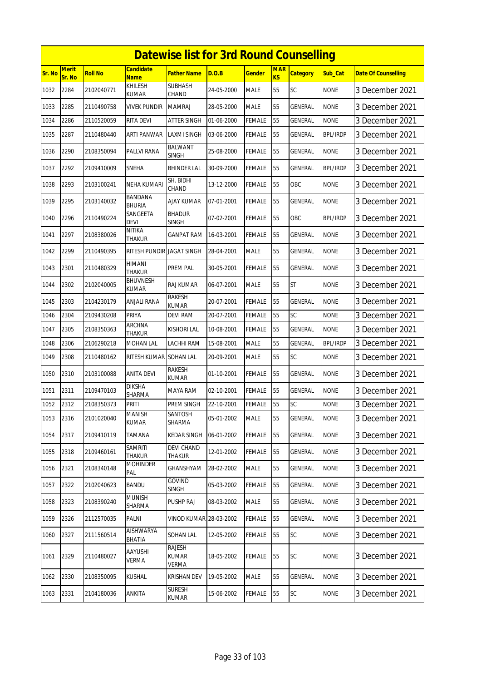|        |                 |                |                                 | <b>Datewise list for 3rd Round Counselling</b> |            |               |                         |                 |                 |                            |
|--------|-----------------|----------------|---------------------------------|------------------------------------------------|------------|---------------|-------------------------|-----------------|-----------------|----------------------------|
| Sr. No | Merit<br>Sr. No | <b>Roll No</b> | <b>Candidate</b><br><b>Name</b> | <b>Father Name</b>                             | D.O.B      | <b>Gender</b> | <b>MAR</b><br><b>KS</b> | <b>Category</b> | Sub Cat         | <b>Date Of Counselling</b> |
| 1032   | 2284            | 2102040771     | KHILESH<br><b>KUMAR</b>         | <b>SUBHASH</b><br>CHAND                        | 24-05-2000 | <b>MALE</b>   | 55                      | SC              | <b>NONE</b>     | 3 December 2021            |
| 1033   | 2285            | 2110490758     | vivek pundir                    | <b>MAMRAJ</b>                                  | 28-05-2000 | <b>MALE</b>   | 55                      | GENERAL         | <b>NONE</b>     | 3 December 2021            |
| 1034   | 2286            | 2110520059     | RITA DEVI                       | <b>ATTER SINGH</b>                             | 01-06-2000 | <b>FEMALE</b> | 55                      | GENERAL         | <b>NONE</b>     | 3 December 2021            |
| 1035   | 2287            | 2110480440     | ARTI PANWAR                     | <b>LAXMI SINGH</b>                             | 03-06-2000 | <b>FEMALE</b> | 55                      | <b>GENERAL</b>  | <b>BPL/IRDP</b> | 3 December 2021            |
| 1036   | 2290            | 2108350094     | PALLVI RANA                     | <b>BALWANT</b><br><b>SINGH</b>                 | 25-08-2000 | <b>FEMALE</b> | 55                      | GENERAL         | <b>NONE</b>     | 3 December 2021            |
| 1037   | 2292            | 2109410009     | SNEHA                           | <b>BHINDER LAL</b>                             | 30-09-2000 | <b>FEMALE</b> | 55                      | <b>GENERAL</b>  | <b>BPL/IRDP</b> | 3 December 2021            |
| 1038   | 2293            | 2103100241     | NEHA KUMARI                     | SH. BIDHI<br>CHAND                             | 13-12-2000 | <b>FEMALE</b> | 55                      | OBC             | none            | 3 December 2021            |
| 1039   | 2295            | 2103140032     | <b>BANDANA</b><br><b>BHURIA</b> | AJAY KUMAR                                     | 07-01-2001 | <b>FEMALE</b> | 55                      | GENERAL         | <b>NONE</b>     | 3 December 2021            |
| 1040   | 2296            | 2110490224     | SANGEETA<br><b>DEVI</b>         | <b>BHADUR</b><br><b>SINGH</b>                  | 07-02-2001 | <b>FEMALE</b> | 55                      | OBC             | <b>BPL/IRDP</b> | 3 December 2021            |
| 1041   | 2297            | 2108380026     | <b>NITIKA</b><br>THAKUR         | <b>GANPAT RAM</b>                              | 16-03-2001 | FEMALE        | 55                      | GENERAL         | <b>NONE</b>     | 3 December 2021            |
| 1042   | 2299            | 2110490395     | RITESH PUNDIR JAGAT SINGH       |                                                | 28-04-2001 | <b>MALE</b>   | 55                      | GENERAL         | <b>NONE</b>     | 3 December 2021            |
| 1043   | 2301            | 2110480329     | HIMANI<br><b>THAKUR</b>         | PREM PAL                                       | 30-05-2001 | FEMALE        | 55                      | GENERAL         | <b>NONE</b>     | 3 December 2021            |
| 1044   | 2302            | 2102040005     | BHUVNESH<br><b>KUMAR</b>        | RAJ KUMAR                                      | 06-07-2001 | <b>MALE</b>   | 55                      | <b>ST</b>       | <b>NONE</b>     | 3 December 2021            |
| 1045   | 2303            | 2104230179     | ANJALI RANA                     | RAKESH<br>KUMAR                                | 20-07-2001 | <b>FEMALE</b> | 55                      | GENERAL         | <b>NONE</b>     | 3 December 2021            |
| 1046   | 2304            | 2109430208     | <b>PRIYA</b>                    | <b>DEVI RAM</b>                                | 20-07-2001 | <b>FEMALE</b> | 55                      | SC              | <b>NONE</b>     | 3 December 2021            |
| 1047   | 2305            | 2108350363     | ARCHNA<br>THAKUR                | <b>KISHORI LAL</b>                             | 10-08-2001 | <b>FEMALE</b> | 55                      | <b>GENERAL</b>  | <b>NONE</b>     | 3 December 2021            |
| 1048   | 2306            | 2106290218     | MOHAN LAL                       | LACHHI RAM                                     | 15-08-2001 | <b>MALE</b>   | 55                      | <b>GENERAL</b>  | <b>BPL/IRDP</b> | 3 December 2021            |
| 1049   | 2308            | 2110480162     | RITESH KUMAR                    | <b>SOHAN LAL</b>                               | 20-09-2001 | <b>MALE</b>   | 55                      | SC              | <b>NONE</b>     | 3 December 2021            |
| 1050   | 2310            | 2103100088     | ANITA DEVI                      | RAKESH<br>KUMAR                                | 01-10-2001 | FEMALE        | 55                      | GENERAL         | <b>NONE</b>     | 3 December 2021            |
| 1051   | 2311            | 2109470103     | <b>DIKSHA</b><br><b>SHARMA</b>  | MAYA RAM                                       | 02-10-2001 | <b>FEMALE</b> | 55                      | GENERAL         | <b>NONE</b>     | 3 December 2021            |
| 1052   | 2312            | 2108350373     | <b>PRITI</b>                    | PREM SINGH                                     | 22-10-2001 | <b>FEMALE</b> | 55                      | SC              | <b>NONE</b>     | 3 December 2021            |
| 1053   | 2316            | 2101020040     | <b>MANISH</b><br>KUMAR          | SANTOSH<br>SHARMA                              | 05-01-2002 | <b>MALE</b>   | 55                      | GENERAL         | <b>NONE</b>     | 3 December 2021            |
| 1054   | 2317            | 2109410119     | TAMANA                          | <b>KEDAR SINGH</b>                             | 06-01-2002 | <b>FEMALE</b> | 55                      | <b>GENERAL</b>  | <b>NONE</b>     | 3 December 2021            |
| 1055   | 2318            | 2109460161     | <b>SAMRITI</b><br>THAKUR        | <b>DEVI CHAND</b><br>THAKUR                    | 12-01-2002 | <b>FEMALE</b> | 55                      | GENERAL         | <b>NONE</b>     | 3 December 2021            |
| 1056   | 2321            | 2108340148     | <b>MOHINDER</b><br>PAL          | GHANSHYAM                                      | 28-02-2002 | <b>MALE</b>   | 55                      | GENERAL         | <b>NONE</b>     | 3 December 2021            |
| 1057   | 2322            | 2102040623     | <b>BANDU</b>                    | <b>GOVIND</b><br><b>SINGH</b>                  | 05-03-2002 | <b>FEMALE</b> | 55                      | GENERAL         | <b>NONE</b>     | 3 December 2021            |
| 1058   | 2323            | 2108390240     | <b>MUNISH</b><br>SHARMA         | PUSHP RAJ                                      | 08-03-2002 | <b>MALE</b>   | 55                      | GENERAL         | <b>NONE</b>     | 3 December 2021            |
| 1059   | 2326            | 2112570035     | PALNI                           | <b>VINOD KUMAR 28-03-2002</b>                  |            | <b>FEMALE</b> | 55                      | GENERAL         | <b>NONE</b>     | 3 December 2021            |
| 1060   | 2327            | 2111560514     | AISHWARYA<br>BHATIA             | SOHAN LAL                                      | 12-05-2002 | FEMALE        | 55                      | <b>SC</b>       | <b>NONE</b>     | 3 December 2021            |
| 1061   | 2329            | 2110480027     | AAYUSHI<br>VERMA                | RAJESH<br><b>KUMAR</b><br>VERMA                | 18-05-2002 | FEMALE        | 55                      | <b>SC</b>       | <b>NONE</b>     | 3 December 2021            |
| 1062   | 2330            | 2108350095     | <b>KUSHAL</b>                   | <b>KRISHAN DEV</b>                             | 19-05-2002 | <b>MALE</b>   | 55                      | GENERAL         | <b>NONE</b>     | 3 December 2021            |
| 1063   | 2331            | 2104180036     | ANKITA                          | <b>SURESH</b><br>KUMAR                         | 15-06-2002 | <b>FEMALE</b> | 55                      | <b>SC</b>       | <b>NONE</b>     | 3 December 2021            |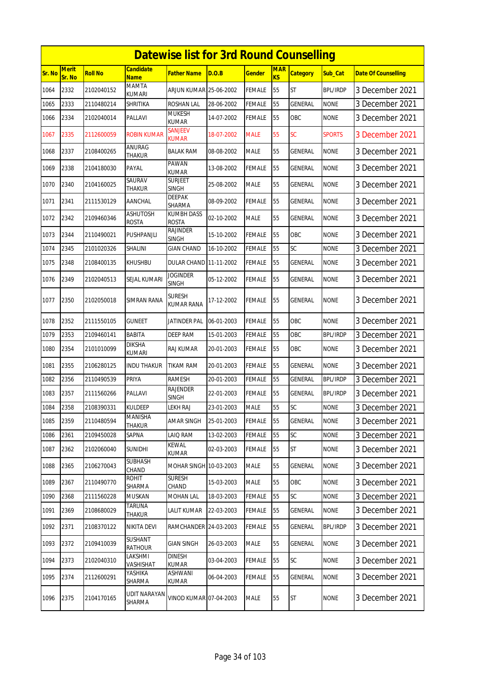|               |                        |                |                                 | <b>Datewise list for 3rd Round Counselling</b> |            |               |                  |                 |                 |                            |
|---------------|------------------------|----------------|---------------------------------|------------------------------------------------|------------|---------------|------------------|-----------------|-----------------|----------------------------|
| <b>Sr. No</b> | <b>Merit</b><br>Sr. No | <b>Roll No</b> | Candidate<br><b>Name</b>        | Father Name                                    | D.O.B      | Gender        | <b>MAR</b><br>KS | <b>Category</b> | Sub_Cat         | <b>Date Of Counselling</b> |
| 1064          | 2332                   | 2102040152     | MAMTA<br><b>KUMARI</b>          | ARJUN KUMAR 25-06-2002                         |            | FEMALE        | 55               | ST              | <b>BPL/IRDP</b> | 3 December 2021            |
| 1065          | 2333                   | 2110480214     | SHRITIKA                        | ROSHAN LAL                                     | 28-06-2002 | FEMALE        | 55               | GENERAL         | <b>NONE</b>     | 3 December 2021            |
| 1066          | 2334                   | 2102040014     | PALLAVI                         | <b>MUKESH</b><br>KUMAR                         | 14-07-2002 | FEMALE        | 55               | OBC             | <b>NONE</b>     | 3 December 2021            |
| 1067          | 2335                   | 2112600059     | <b>ROBIN KUMAR</b>              | SANJEEV<br><b>KUMAR</b>                        | 18-07-2002 | <b>MALE</b>   | 55               | SC              | <b>SPORTS</b>   | 3 December 2021            |
| 1068          | 2337                   | 2108400265     | ANURAG<br><b>THAKUR</b>         | BALAK RAM                                      | 08-08-2002 | MALE          | 55               | GENERAL         | <b>NONE</b>     | 3 December 2021            |
| 1069          | 2338                   | 2104180030     | PAYAL                           | PAWAN<br><b>KUMAR</b>                          | 13-08-2002 | FEMALE        | 55               | <b>GENERAL</b>  | <b>NONE</b>     | 3 December 2021            |
| 1070          | 2340                   | 2104160025     | SAURAV<br>thakur                | Surjeet<br><b>SINGH</b>                        | 25-08-2002 | <b>MALE</b>   | 55               | GENERAL         | <b>NONE</b>     | 3 December 2021            |
| 1071          | 2341                   | 2111530129     | AANCHAL                         | <b>DEEPAK</b><br>SHARMA                        | 08-09-2002 | FEMALE        | 55               | GENERAL         | <b>NONE</b>     | 3 December 2021            |
| 1072          | 2342                   | 2109460346     | <b>ASHUTOSH</b><br><b>ROSTA</b> | <b>KUMBH DASS</b><br><b>ROSTA</b>              | 02-10-2002 | MALE          | 55               | GENERAL         | <b>NONE</b>     | 3 December 2021            |
| 1073          | 2344                   | 2110490021     | PUSHPANJLI                      | <b>RAJINDER</b><br>SINGH                       | 15-10-2002 | <b>FEMALE</b> | 55               | OBC             | <b>NONE</b>     | 3 December 2021            |
| 1074          | 2345                   | 2101020326     | <b>SHALINI</b>                  | GIAN CHAND                                     | 16-10-2002 | FEMALE        | 55               | SC              | <b>NONE</b>     | 3 December 2021            |
| 1075          | 2348                   | 2108400135     | <b>KHUSHBU</b>                  | <b>DULAR CHAND 11-11-2002</b>                  |            | FEMALE        | 55               | <b>GENERAL</b>  | <b>NONE</b>     | 3 December 2021            |
| 1076          | 2349                   | 2102040513     | SEJAL KUMARI                    | Joginder<br><b>SINGH</b>                       | 05-12-2002 | FEMALE        | 55               | GENERAL         | <b>NONE</b>     | 3 December 2021            |
| 1077          | 2350                   | 2102050018     | SIMRAN RANA                     | Suresh<br><b>KUMAR RANA</b>                    | 17-12-2002 | FEMALE        | 55               | GENERAL         | <b>NONE</b>     | 3 December 2021            |
| 1078          | 2352                   | 2111550105     | GUNEET                          | JATINDER PAL                                   | 06-01-2003 | FEMALE        | 55               | OBC             | <b>NONE</b>     | 3 December 2021            |
| 1079          | 2353                   | 2109460141     | BABITA                          | <b>DEEP RAM</b>                                | 15-01-2003 | FEMALE        | 55               | OBC             | <b>BPL/IRDP</b> | 3 December 2021            |
| 1080          | 2354                   | 2101010099     | <b>DIKSHA</b><br><b>KUMARI</b>  | RAJ KUMAR                                      | 20-01-2003 | FEMALE        | 55               | OBC             | <b>NONE</b>     | 3 December 2021            |
| 1081          | 2355                   | 2106280125     | <b>INDU THAKUR</b>              | TIKAM RAM                                      | 20-01-2003 | FEMALE        | 55               | GENERAL         | <b>NONE</b>     | 3 December 2021            |
| 1082          | 2356                   | 2110490539     | PRIYA                           | RAMESH                                         | 20-01-2003 | FEMALE        | 55               | GENERAL         | <b>BPL/IRDP</b> | 3 December 2021            |
| 1083          | 2357                   | 2111560266     | PALLAVI                         | RAJENDER<br>SINGH                              | 22-01-2003 | FEMALE        | 55               | GENERAL         | <b>BPL/IRDP</b> | 3 December 2021            |
| 1084          | 2358                   | 2108390331     | <b>KULDEEP</b>                  | <b>LEKH RAJ</b>                                | 23-01-2003 | MALE          | 55               | SC              | <b>NONE</b>     | 3 December 2021            |
| 1085          | 2359                   | 2110480594     | MANISHA<br><b>THAKUR</b>        | AMAR SINGH                                     | 25-01-2003 | FEMALE        | 55               | GENERAL         | <b>NONE</b>     | 3 December 2021            |
| 1086          | 2361                   | 2109450028     | SAPNA                           | LAIQ RAM                                       | 13-02-2003 | <b>FEMALE</b> | 55               | SC              | <b>NONE</b>     | 3 December 2021            |
| 1087          | 2362                   | 2102060040     | SUNIDHI                         | <b>KEWAL</b><br>kumar                          | 02-03-2003 | FEMALE        | 55               | ST              | <b>NONE</b>     | 3 December 2021            |
| 1088          | 2365                   | 2106270043     | SUBHASH<br>CHAND                | MOHAR SINGH 10-03-2003                         |            | MALE          | 55               | GENERAL         | <b>NONE</b>     | 3 December 2021            |
| 1089          | 2367                   | 2110490770     | <b>ROHIT</b><br>SHARMA          | <b>SURESH</b><br>CHAND                         | 15-03-2003 | MALE          | 55               | OBC             | <b>NONE</b>     | 3 December 2021            |
| 1090          | 2368                   | 2111560228     | <b>MUSKAN</b>                   | MOHAN LAL                                      | 18-03-2003 | <b>FEMALE</b> | 55               | SC              | <b>NONE</b>     | 3 December 2021            |
| 1091          | 2369                   | 2108680029     | <b>TARUNA</b><br>Thakur         | LALIT KUMAR                                    | 22-03-2003 | FEMALE        | 55               | GENERAL         | <b>NONE</b>     | 3 December 2021            |
| 1092          | 2371                   | 2108370122     | <b>NIKITA DEVI</b>              | RAMCHANDER 24-03-2003                          |            | <b>FEMALE</b> | 55               | <b>GENERAL</b>  | <b>BPL/IRDP</b> | 3 December 2021            |
| 1093          | 2372                   | 2109410039     | SUSHANT<br><b>RATHOUR</b>       | GIAN SINGH                                     | 26-03-2003 | MALE          | 55               | GENERAL         | <b>NONE</b>     | 3 December 2021            |
| 1094          | 2373                   | 2102040310     | LAKSHMI<br>VASHISHAT            | <b>DINESH</b><br>KUMAR                         | 03-04-2003 | FEMALE        | 55               | SC              | <b>NONE</b>     | 3 December 2021            |
| 1095          | 2374                   | 2112600291     | YASHIKA<br>SHARMA               | ASHWANI<br>KUMAR                               | 06-04-2003 | <b>FEMALE</b> | 55               | GENERAL         | <b>NONE</b>     | 3 December 2021            |
| 1096          | 2375                   | 2104170165     | UDIT NARAYAN<br>SHARMA          | VINOD KUMAR 07-04-2003                         |            | MALE          | 55               | ST              | <b>NONE</b>     | 3 December 2021            |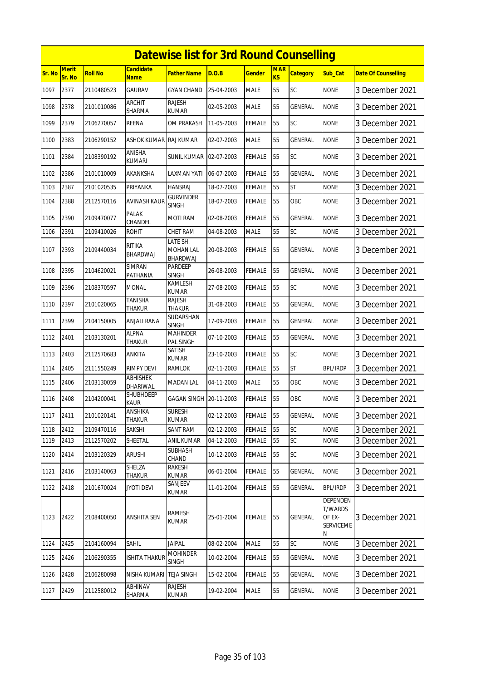|        | <b>Datewise list for 3rd Round Counselling</b> |                |                                  |                                   |            |               |                  |                 |                                                        |                            |  |  |  |
|--------|------------------------------------------------|----------------|----------------------------------|-----------------------------------|------------|---------------|------------------|-----------------|--------------------------------------------------------|----------------------------|--|--|--|
| Sr. No | Merit<br>Sr. No                                | <b>Roll No</b> | Candidate<br><b>Name</b>         | Father Name                       | D.O.B      | <b>Gender</b> | <b>MAR</b><br>KS | <b>Category</b> | Sub_Cat                                                | <b>Date Of Counselling</b> |  |  |  |
| 1097   | 2377                                           | 2110480523     | <b>GAURAV</b>                    | <b>GYAN CHAND</b>                 | 25-04-2003 | <b>MALE</b>   | 55               | <b>SC</b>       | <b>NONE</b>                                            | 3 December 2021            |  |  |  |
| 1098   | 2378                                           | 2101010086     | ARCHIT<br>SHARMA                 | <b>RAJESH</b><br>KUMAR            | 02-05-2003 | MALE          | 55               | GENERAL         | <b>NONE</b>                                            | 3 December 2021            |  |  |  |
| 1099   | 2379                                           | 2106270057     | <b>REENA</b>                     | <b>OM PRAKASH</b>                 | 11-05-2003 | FEMALE        | 55               | SC              | <b>NONE</b>                                            | 3 December 2021            |  |  |  |
| 1100   | 2383                                           | 2106290152     | ASHOK KUMAR RAJ KUMAR            |                                   | 02-07-2003 | <b>MALE</b>   | 55               | <b>GENERAL</b>  | <b>NONE</b>                                            | 3 December 2021            |  |  |  |
| 1101   | 2384                                           | 2108390192     | ANISHA<br>kumari                 | SUNIL KUMAR                       | 02-07-2003 | FEMALE        | 55               | SC              | <b>NONE</b>                                            | 3 December 2021            |  |  |  |
| 1102   | 2386                                           | 2101010009     | AKANKSHA                         | LAXMAN YATI                       | 06-07-2003 | FEMALE        | 55               | GENERAL         | <b>NONE</b>                                            | 3 December 2021            |  |  |  |
| 1103   | 2387                                           | 2101020535     | PRIYANKA                         | <b>HANSRAJ</b>                    | 18-07-2003 | <b>FEMALE</b> | 55               | <b>ST</b>       | <b>NONE</b>                                            | 3 December 2021            |  |  |  |
| 1104   | 2388                                           | 2112570116     | <b>AVINASH KAUR</b>              | <b>GURVINDER</b><br><b>SINGH</b>  | 18-07-2003 | FEMALE        | 55               | OBC             | <b>NONE</b>                                            | 3 December 2021            |  |  |  |
| 1105   | 2390                                           | 2109470077     | <b>PALAK</b><br>CHANDEL          | MOTI RAM                          | 02-08-2003 | FEMALE        | 55               | GENERAL         | <b>NONE</b>                                            | 3 December 2021            |  |  |  |
| 1106   | 2391                                           | 2109410026     | <b>ROHIT</b>                     | <b>CHET RAM</b>                   | 04-08-2003 | <b>MALE</b>   | 55               | SC              | <b>NONE</b>                                            | 3 December 2021            |  |  |  |
| 1107   | 2393                                           | 2109440034     | <b>RITIKA</b><br><b>BHARDWAJ</b> | LATE SH.<br>MOHAN LAL<br>BHARDWAJ | 20-08-2003 | FEMALE        | 55               | <b>GENERAL</b>  | <b>NONE</b>                                            | 3 December 2021            |  |  |  |
| 1108   | 2395                                           | 2104620021     | SIMRAN<br>PATHANIA               | PARDEEP<br>SINGH                  | 26-08-2003 | FEMALE        | 55               | <b>GENERAL</b>  | <b>NONE</b>                                            | 3 December 2021            |  |  |  |
| 1109   | 2396                                           | 2108370597     | MONAL                            | KAMLESH<br>KUMAR                  | 27-08-2003 | FEMALE        | 55               | SC              | <b>NONE</b>                                            | 3 December 2021            |  |  |  |
| 1110   | 2397                                           | 2101020065     | <b>TANISHA</b><br>THAKUR         | <b>RAJESH</b><br><b>THAKUR</b>    | 31-08-2003 | FEMALE        | 55               | <b>GENERAL</b>  | <b>NONE</b>                                            | 3 December 2021            |  |  |  |
| 1111   | 2399                                           | 2104150005     | ANJALI RANA                      | SUDARSHAN<br><b>SINGH</b>         | 17-09-2003 | <b>FEMALE</b> | 55               | GENERAL         | <b>NONE</b>                                            | 3 December 2021            |  |  |  |
| 1112   | 2401                                           | 2103130201     | <b>ALPNA</b><br><b>THAKUR</b>    | <b>MAHINDER</b><br>PAL SINGH      | 07-10-2003 | FEMALE        | 55               | <b>GENERAL</b>  | <b>NONE</b>                                            | 3 December 2021            |  |  |  |
| 1113   | 2403                                           | 2112570683     | ANKITA                           | SATISH<br>KUMAR                   | 23-10-2003 | FEMALE        | 55               | <b>SC</b>       | <b>NONE</b>                                            | 3 December 2021            |  |  |  |
| 1114   | 2405                                           | 2111550249     | <b>RIMPY DEVI</b>                | <b>RAMLOK</b>                     | 02-11-2003 | <b>FEMALE</b> | 55               | <b>ST</b>       | <b>BPL/IRDP</b>                                        | 3 December 2021            |  |  |  |
| 1115   | 2406                                           | 2103130059     | <b>ABHISHEK</b><br>DHARIWAL      | MADAN LAL                         | 04-11-2003 | MALE          | 55               | OBC             | <b>NONE</b>                                            | 3 December 2021            |  |  |  |
| 1116   | 2408                                           | 2104200041     | <b>SHUBHDEEP</b><br><b>KAUR</b>  | GAGAN SINGH 20-11-2003            |            | FEMALE        | 55               | OBC             | <b>NONE</b>                                            | 3 December 2021            |  |  |  |
| 1117   | 2411                                           | 2101020141     | ANSHIKA<br><b>THAKUR</b>         | <b>SURESH</b><br><b>KUMAR</b>     | 02-12-2003 | <b>FEMALE</b> | 55               | <b>GENERAL</b>  | <b>NONE</b>                                            | 3 December 2021            |  |  |  |
| 1118   | 2412                                           | 2109470116     | <b>SAKSHI</b>                    | SANT RAM                          | 02-12-2003 | <b>FEMALE</b> | 55               | <b>SC</b>       | <b>NONE</b>                                            | 3 December 2021            |  |  |  |
| 1119   | 2413                                           | 2112570202     | SHEETAL                          | <b>ANIL KUMAR</b>                 | 04-12-2003 | <b>FEMALE</b> | 55               | SC              | <b>NONE</b>                                            | 3 December 2021            |  |  |  |
| 1120   | 2414                                           | 2103120329     | <b>ARUSHI</b>                    | SUBHASH<br>CHAND                  | 10-12-2003 | <b>FEMALE</b> | 55               | <b>SC</b>       | <b>NONE</b>                                            | 3 December 2021            |  |  |  |
| 1121   | 2416                                           | 2103140063     | SHELZA<br><b>THAKUR</b>          | RAKESH<br>KUMAR                   | 06-01-2004 | <b>FEMALE</b> | 55               | GENERAL         | <b>NONE</b>                                            | 3 December 2021            |  |  |  |
| 1122   | 2418                                           | 2101670024     | <b>JYOTI DEVI</b>                | SANJEEV<br>KUMAR                  | 11-01-2004 | <b>FEMALE</b> | 55               | GENERAL         | <b>BPL/IRDP</b>                                        | 3 December 2021            |  |  |  |
| 1123   | 2422                                           | 2108400050     | <b>ANSHITA SEN</b>               | RAMESH<br><b>KUMAR</b>            | 25-01-2004 | FEMALE        | 55               | GENERAL         | DEPENDEN<br>T/WARDS<br>OF EX-<br><b>SERVICEME</b><br>Ν | 3 December 2021            |  |  |  |
| 1124   | 2425                                           | 2104160094     | SAHIL                            | JAIPAL                            | 08-02-2004 | MALE          | 55               | SC              | <b>NONE</b>                                            | 3 December 2021            |  |  |  |
| 1125   | 2426                                           | 2106290355     | <b>ISHITA THAKUR</b>             | <b>MOHINDER</b><br><b>SINGH</b>   | 10-02-2004 | FEMALE        | 55               | GENERAL         | <b>NONE</b>                                            | 3 December 2021            |  |  |  |
| 1126   | 2428                                           | 2106280098     | NISHA KUMARI                     | <b>TEJA SINGH</b>                 | 15-02-2004 | FEMALE        | 55               | GENERAL         | <b>NONE</b>                                            | 3 December 2021            |  |  |  |
| 1127   | 2429                                           | 2112580012     | <b>ABHINAV</b><br>SHARMA         | RAJESH<br>KUMAR                   | 19-02-2004 | MALE          | 55               | GENERAL         | <b>NONE</b>                                            | 3 December 2021            |  |  |  |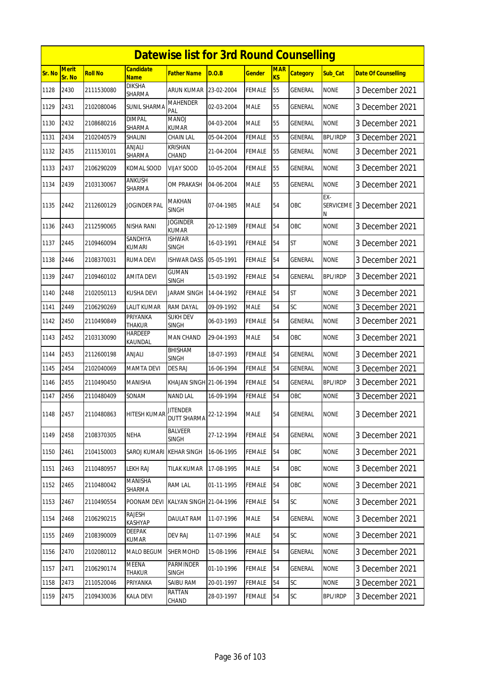|        | <b>Datewise list for 3rd Round Counselling</b> |                |                                 |                                       |            |               |                         |                 |                 |                            |  |  |
|--------|------------------------------------------------|----------------|---------------------------------|---------------------------------------|------------|---------------|-------------------------|-----------------|-----------------|----------------------------|--|--|
| Sr. No | <b>Merit</b><br>Sr. No                         | <b>Roll No</b> | <b>Candidate</b><br><b>Name</b> | <b>Father Name</b>                    | D.O.B      | <b>Gender</b> | <b>MAR</b><br><b>KS</b> | <b>Category</b> | Sub Cat         | <b>Date Of Counselling</b> |  |  |
| 1128   | 2430                                           | 2111530080     | <b>DIKSHA</b><br>SHARMA         | <b>ARUN KUMAR</b>                     | 23-02-2004 | <b>FEMALE</b> | 55                      | GENERAL         | <b>NONE</b>     | 3 December 2021            |  |  |
| 1129   | 2431                                           | 2102080046     | SUNIL SHARMA                    | <b>MAHENDER</b><br>PAL                | 02-03-2004 | <b>MALE</b>   | 55                      | GENERAL         | <b>NONE</b>     | 3 December 2021            |  |  |
| 1130   | 2432                                           | 2108680216     | <b>DIMPAL</b><br>SHARMA         | <b>MANOJ</b><br>KUMAR                 | 04-03-2004 | <b>MALE</b>   | 55                      | <b>GENERAL</b>  | <b>NONE</b>     | 3 December 2021            |  |  |
| 1131   | 2434                                           | 2102040579     | <b>SHALINI</b>                  | CHAIN LAL                             | 05-04-2004 | <b>FEMALE</b> | 55                      | GENERAL         | <b>BPL/IRDP</b> | 3 December 2021            |  |  |
| 1132   | 2435                                           | 2111530101     | ANJALI<br>SHARMA                | <b>KRISHAN</b><br>CHAND               | 21-04-2004 | <b>FEMALE</b> | 55                      | GENERAL         | <b>NONE</b>     | 3 December 2021            |  |  |
| 1133   | 2437                                           | 2106290209     | KOMAL SOOD                      | <b>VIJAY SOOD</b>                     | 10-05-2004 | <b>FEMALE</b> | 55                      | <b>GENERAL</b>  | <b>NONE</b>     | 3 December 2021            |  |  |
| 1134   | 2439                                           | 2103130067     | ANKUSH<br>SHARMA                | OM PRAKASH                            | 04-06-2004 | <b>MALE</b>   | 55                      | GENERAL         | <b>NONE</b>     | 3 December 2021            |  |  |
| 1135   | 2442                                           | 2112600129     | JOGINDER PAL                    | <b>MAKHAN</b><br><b>SINGH</b>         | 07-04-1985 | <b>MALE</b>   | 54                      | OBC             | EX-<br>Ν        | SERVICEME 3 December 2021  |  |  |
| 1136   | 2443                                           | 2112590065     | NISHA RANI                      | <b>JOGINDER</b><br><b>KUMAR</b>       | 20-12-1989 | <b>FEMALE</b> | 54                      | OBC             | <b>NONE</b>     | 3 December 2021            |  |  |
| 1137   | 2445                                           | 2109460094     | SANDHYA<br>KUMARI               | <b>ISHWAR</b><br><b>SINGH</b>         | 16-03-1991 | <b>FEMALE</b> | 54                      | <b>ST</b>       | <b>NONE</b>     | 3 December 2021            |  |  |
| 1138   | 2446                                           | 2108370031     | <b>RUMA DEVI</b>                | <b>ISHWAR DASS</b>                    | 05-05-1991 | <b>FEMALE</b> | 54                      | GENERAL         | <b>NONE</b>     | 3 December 2021            |  |  |
| 1139   | 2447                                           | 2109460102     | <b>AMITA DEVI</b>               | <b>GUMAN</b><br><b>SINGH</b>          | 15-03-1992 | <b>FEMALE</b> | 54                      | GENERAL         | <b>BPL/IRDP</b> | 3 December 2021            |  |  |
| 1140   | 2448                                           | 2102050113     | KUSHA DEVI                      | <b>JARAM SINGH</b>                    | 14-04-1992 | <b>FEMALE</b> | 54                      | <b>ST</b>       | <b>NONE</b>     | 3 December 2021            |  |  |
| 1141   | 2449                                           | 2106290269     | LALIT KUMAR                     | RAM DAYAL                             | 09-09-1992 | <b>MALE</b>   | 54                      | SC              | <b>NONE</b>     | 3 December 2021            |  |  |
| 1142   | 2450                                           | 2110490849     | PRIYANKA<br>THAKUR              | <b>SUKH DEV</b><br>SINGH              | 06-03-1993 | <b>FEMALE</b> | 54                      | GENERAL         | <b>NONE</b>     | 3 December 2021            |  |  |
| 1143   | 2452                                           | 2103130090     | HARDEEP<br>KAUNDAL              | MAN CHAND                             | 29-04-1993 | <b>MALE</b>   | 54                      | OBC             | <b>NONE</b>     | 3 December 2021            |  |  |
| 1144   | 2453                                           | 2112600198     | ANJALI                          | <b>BHISHAM</b><br><b>SINGH</b>        | 18-07-1993 | <b>FEMALE</b> | 54                      | <b>GENERAL</b>  | <b>NONE</b>     | 3 December 2021            |  |  |
| 1145   | 2454                                           | 2102040069     | <b>MAMTA DEVI</b>               | <b>DES RAJ</b>                        | 16-06-1994 | <b>FEMALE</b> | 54                      | <b>GENERAL</b>  | <b>NONE</b>     | 3 December 2021            |  |  |
| 1146   | 2455                                           | 2110490450     | <b>MANISHA</b>                  | KHAJAN SINGH 21-06-1994               |            | <b>FEMALE</b> | 54                      | <b>GENERAL</b>  | BPL/IRDP        | 3 December 2021            |  |  |
| 1147   | 2456                                           | 2110480409     | SONAM                           | <b>NAND LAL</b>                       | 16-09-1994 | <b>FEMALE</b> | 54                      | OBC             | <b>NONE</b>     | 3 December 2021            |  |  |
| 1148   | 2457                                           | 2110480863     | HITESH KUMAR                    | <b>JITENDER</b><br><b>DUTT SHARMA</b> | 22-12-1994 | <b>MALE</b>   | 54                      | <b>GENERAL</b>  | <b>NONE</b>     | 3 December 2021            |  |  |
| 1149   | 2458                                           | 2108370305     | <b>NEHA</b>                     | BALVEER<br><b>SINGH</b>               | 27-12-1994 | <b>FEMALE</b> | 54                      | <b>GENERAL</b>  | <b>NONE</b>     | 3 December 2021            |  |  |
| 1150   | 2461                                           | 2104150003     | SAROJ KUMARI   KEHAR SINGH      |                                       | 16-06-1995 | <b>FEMALE</b> | 54                      | OBC             | <b>NONE</b>     | 3 December 2021            |  |  |
| 1151   | 2463                                           | 2110480957     | <b>LEKH RAJ</b>                 | <b>TILAK KUMAR</b>                    | 17-08-1995 | <b>MALE</b>   | 54                      | OBC             | <b>NONE</b>     | 3 December 2021            |  |  |
| 1152   | 2465                                           | 2110480042     | MANISHA<br>SHARMA               | RAM LAL                               | 01-11-1995 | <b>FEMALE</b> | 54                      | OBC             | <b>NONE</b>     | 3 December 2021            |  |  |
| 1153   | 2467                                           | 2110490554     | POONAM DEVI                     | KALYAN SINGH 21-04-1996               |            | <b>FEMALE</b> | 54                      | SC              | <b>NONE</b>     | 3 December 2021            |  |  |
| 1154   | 2468                                           | 2106290215     | RAJESH<br>KASHYAP               | <b>DAULAT RAM</b>                     | 11-07-1996 | <b>MALE</b>   | 54                      | <b>GENERAL</b>  | <b>NONE</b>     | 3 December 2021            |  |  |
| 1155   | 2469                                           | 2108390009     | <b>DEEPAK</b><br>KUMAR          | <b>DEV RAJ</b>                        | 11-07-1996 | <b>MALE</b>   | 54                      | <b>SC</b>       | <b>NONE</b>     | 3 December 2021            |  |  |
| 1156   | 2470                                           | 2102080112     | MALO BEGUM                      | <b>SHER MOHD</b>                      | 15-08-1996 | <b>FEMALE</b> | 54                      | GENERAL         | <b>NONE</b>     | 3 December 2021            |  |  |
| 1157   | 2471                                           | 2106290174     | MEENA<br>THAKUR                 | PARMINDER<br>SINGH                    | 01-10-1996 | <b>FEMALE</b> | 54                      | GENERAL         | <b>NONE</b>     | 3 December 2021            |  |  |
| 1158   | 2473                                           | 2110520046     | PRIYANKA                        | SAIBU RAM                             | 20-01-1997 | FEMALE        | 54                      | SC              | <b>NONE</b>     | 3 December 2021            |  |  |
| 1159   | 2475                                           | 2109430036     | <b>KALA DEVI</b>                | <b>RATTAN</b><br>CHAND                | 28-03-1997 | <b>FEMALE</b> | 54                      | SC              | <b>BPL/IRDP</b> | 3 December 2021            |  |  |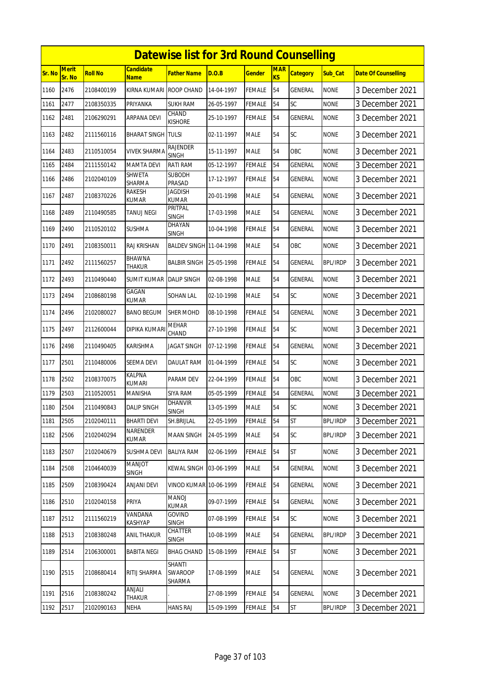|        |                 |            |                               | <b>Datewise list for 3rd Round Counselling</b> |            |               |                  |                 |                 |                            |
|--------|-----------------|------------|-------------------------------|------------------------------------------------|------------|---------------|------------------|-----------------|-----------------|----------------------------|
| Sr. No | Merit<br>Sr. No | Roll No    | Candidate<br><b>Name</b>      | Father Name                                    | D.O.B      | <u>Gender</u> | <b>MAR</b><br>KS | <b>Category</b> | Sub_Cat         | <b>Date Of Counselling</b> |
| 1160   | 2476            | 2108400199 | KIRNA KUMARI                  | <b>ROOP CHAND</b>                              | 14-04-1997 | FEMALE        | 54               | GENERAL         | <b>NONE</b>     | 3 December 2021            |
| 1161   | 2477            | 2108350335 | PRIYANKA                      | <b>SUKH RAM</b>                                | 26-05-1997 | FEMALE        | 54               | SC              | <b>NONE</b>     | 3 December 2021            |
| 1162   | 2481            | 2106290291 | ARPANA DEVI                   | CHAND<br>Kishore                               | 25-10-1997 | <b>FEMALE</b> | 54               | GENERAL         | <b>NONE</b>     | 3 December 2021            |
| 1163   | 2482            | 2111560116 | <b>BHARAT SINGH</b>           | <b>TULSI</b>                                   | 02-11-1997 | <b>MALE</b>   | 54               | <b>SC</b>       | <b>NONE</b>     | 3 December 2021            |
| 1164   | 2483            | 2110510054 | VIVEK SHARMA                  | RAJENDER<br>SINGH                              | 15-11-1997 | <b>MALE</b>   | 54               | <b>OBC</b>      | <b>NONE</b>     | 3 December 2021            |
| 1165   | 2484            | 2111550142 | <b>MAMTA DEVI</b>             | RATI RAM                                       | 05-12-1997 | FEMALE        | 54               | GENERAL         | <b>NONE</b>     | 3 December 2021            |
| 1166   | 2486            | 2102040109 | SHWETA<br>SHARMA              | <b>SUBODH</b><br><b>PRASAD</b>                 | 17-12-1997 | FEMALE        | 54               | GENERAL         | <b>NONE</b>     | 3 December 2021            |
| 1167   | 2487            | 2108370226 | RAKESH<br>KUMAR               | <b>JAGDISH</b><br>KUMAR                        | 20-01-1998 | MALE          | 54               | <b>GENERAL</b>  | <b>NONE</b>     | 3 December 2021            |
| 1168   | 2489            | 2110490585 | <b>TANUJ NEGI</b>             | PRITPAL<br><b>SINGH</b>                        | 17-03-1998 | <b>MALE</b>   | 54               | GENERAL         | <b>NONE</b>     | 3 December 2021            |
| 1169   | 2490            | 2110520102 | <b>SUSHMA</b>                 | DHAYAN<br>SINGH                                | 10-04-1998 | FEMALE        | 54               | GENERAL         | <b>NONE</b>     | 3 December 2021            |
| 1170   | 2491            | 2108350011 | <b>RAJ KRISHAN</b>            | <b>BALDEV SINGH 11-04-1998</b>                 |            | <b>MALE</b>   | 54               | <b>OBC</b>      | <b>NONE</b>     | 3 December 2021            |
| 1171   | 2492            | 2111560257 | BHAWNA<br><b>THAKUR</b>       | <b>BALBIR SINGH</b>                            | 25-05-1998 | FEMALE        | 54               | GENERAL         | BPL/IRDP        | 3 December 2021            |
| 1172   | 2493            | 2110490440 | SUMIT KUMAR                   | <b>DALIP SINGH</b>                             | 02-08-1998 | MALE          | 54               | GENERAL         | <b>NONE</b>     | 3 December 2021            |
| 1173   | 2494            | 2108680198 | GAGAN<br>KUMAR                | SOHAN LAL                                      | 02-10-1998 | <b>MALE</b>   | 54               | SC              | <b>NONE</b>     | 3 December 2021            |
| 1174   | 2496            | 2102080027 | <b>BANO BEGUM</b>             | <b>SHER MOHD</b>                               | 08-10-1998 | FEMALE        | 54               | GENERAL         | <b>NONE</b>     | 3 December 2021            |
| 1175   | 2497            | 2112600044 | DIPIKA KUMAR                  | <b>MEHAR</b><br>CHAND                          | 27-10-1998 | FEMALE        | 54               | <b>SC</b>       | <b>NONE</b>     | 3 December 2021            |
| 1176   | 2498            | 2110490405 | KARISHMA                      | JAGAT SINGH                                    | 07-12-1998 | FEMALE        | 54               | GENERAL         | <b>NONE</b>     | 3 December 2021            |
| 1177   | 2501            | 2110480006 | <b>SEEMA DEVI</b>             | <b>DAULAT RAM</b>                              | 01-04-1999 | FEMALE        | 54               | <b>SC</b>       | <b>NONE</b>     | 3 December 2021            |
| 1178   | 2502            | 2108370075 | <b>KALPNA</b><br>KUMARI       | PARAM DEV                                      | 22-04-1999 | FEMALE        | 54               | <b>OBC</b>      | <b>NONE</b>     | 3 December 2021            |
| 1179   | 2503            | 2110520051 | MANISHA                       | <b>SIYA RAM</b>                                | 05-05-1999 | FEMALE        | 54               | GENERAL         | <b>NONE</b>     | 3 December 2021            |
| 1180   | 2504            | 2110490843 | <b>DALIP SINGH</b>            | <b>DHANVIR</b><br><b>SINGH</b>                 | 13-05-1999 | <b>MALE</b>   | 54               | SC              | <b>NONE</b>     | 3 December 2021            |
| 1181   | 2505            | 2102040111 | <b>BHARTI DEVI</b>            | SH.BRIJLAL                                     | 22-05-1999 | FEMALE        | 54               | <b>ST</b>       | <b>BPL/IRDP</b> | 3 December 2021            |
| 1182   | 2506            | 2102040294 | NARENDER<br>KUMAR             | <b>MAAN SINGH</b>                              | 24-05-1999 | MALE          | 54               | <b>SC</b>       | <b>BPL/IRDP</b> | 3 December 2021            |
| 1183   | 2507            | 2102040679 | SUSHMA DEVI                   | BALIYA RAM                                     | 02-06-1999 | FEMALE        | 54               | <b>ST</b>       | <b>NONE</b>     | 3 December 2021            |
| 1184   | 2508            | 2104640039 | <b>TOLIAN</b><br><b>SINGH</b> | <b>KEWAL SINGH</b>                             | 03-06-1999 | MALE          | 54               | GENERAL         | <b>NONE</b>     | 3 December 2021            |
| 1185   | 2509            | 2108390424 | <b>ANJANI DEVI</b>            | VINOD KUMAR 10-06-1999                         |            | <b>FEMALE</b> | 54               | GENERAL         | <b>NONE</b>     | 3 December 2021            |
| 1186   | 2510            | 2102040158 | PRIYA                         | MANOJ<br>KUMAR                                 | 09-07-1999 | FEMALE        | 54               | GENERAL         | <b>NONE</b>     | 3 December 2021            |
| 1187   | 2512            | 2111560219 | VANDANA<br><b>KASHYAP</b>     | <b>GOVIND</b><br><b>SINGH</b>                  | 07-08-1999 | FEMALE        | 54               | <b>SC</b>       | <b>NONE</b>     | 3 December 2021            |
| 1188   | 2513            | 2108380248 | ANIL THAKUR                   | <b>CHATTER</b><br><b>SINGH</b>                 | 10-08-1999 | MALE          | 54               | GENERAL         | <b>BPL/IRDP</b> | 3 December 2021            |
| 1189   | 2514            | 2106300001 | <b>BABITA NEGI</b>            | <b>BHAG CHAND</b>                              | 15-08-1999 | <b>FEMALE</b> | 54               | ST              | <b>NONE</b>     | 3 December 2021            |
| 1190   | 2515            | 2108680414 | RITIJ SHARMA                  | SHANTI<br>SWAROOP<br>SHARMA                    | 17-08-1999 | MALE          | 54               | GENERAL         | NONE            | 3 December 2021            |
| 1191   | 2516            | 2108380242 | ANJALI<br>THAKUR              |                                                | 27-08-1999 | FEMALE        | 54               | GENERAL         | <b>NONE</b>     | 3 December 2021            |
| 1192   | 2517            | 2102090163 | <b>NEHA</b>                   | <b>HANS RAJ</b>                                | 15-09-1999 | <b>FEMALE</b> | 54               | <b>ST</b>       | <b>BPL/IRDP</b> | 3 December 2021            |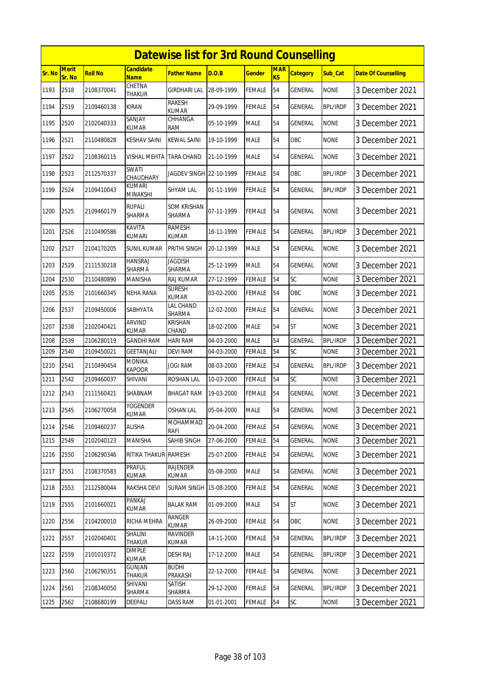|        |                        |                |                                 | <b>Datewise list for 3rd Round Counselling</b> |            |               |                              |                 |                 |                            |
|--------|------------------------|----------------|---------------------------------|------------------------------------------------|------------|---------------|------------------------------|-----------------|-----------------|----------------------------|
| Sr. No | <b>Merit</b><br>Sr. No | <b>Roll No</b> | <b>Candidate</b><br><b>Name</b> | <b>Father Name</b>                             | D.O.B      | <b>Gender</b> | <b>MAR</b><br>K <sub>S</sub> | <b>Category</b> | Sub_Cat         | <b>Date Of Counselling</b> |
| 1193   | 2518                   | 2108370041     | CHETNA<br><b>THAKUR</b>         | <b>GIRDHARI LAL</b>                            | 28-09-1999 | <b>FEMALE</b> | 54                           | GENERAL         | <b>NONE</b>     | 3 December 2021            |
| 1194   | 2519                   | 2109460138     | KIRAN                           | RAKESH<br><b>KUMAR</b>                         | 29-09-1999 | <b>FEMALE</b> | 54                           | GENERAL         | BPL/IRDP        | 3 December 2021            |
| 1195   | 2520                   | 2102040333     | SANJAY<br><b>KUMAR</b>          | CHHANGA<br>RAM                                 | 05-10-1999 | <b>MALE</b>   | 54                           | GENERAL         | <b>NONE</b>     | 3 December 2021            |
| 1196   | 2521                   | 2110480828     | <b>KESHAV SAINI</b>             | <b>KEWAL SAINI</b>                             | 19-10-1999 | <b>MALE</b>   | 54                           | OBC             | <b>NONE</b>     | 3 December 2021            |
| 1197   | 2522                   | 2108360115     | VISHAL MEHTA                    | <b>TARA CHAND</b>                              | 21-10-1999 | <b>MALE</b>   | 54                           | GENERAL         | <b>NONE</b>     | 3 December 2021            |
| 1198   | 2523                   | 2112570337     | SWATI<br>CHAUDHARY              | JAGDEV SINGH 22-10-1999                        |            | <b>FEMALE</b> | 54                           | OBC             | <b>BPL/IRDP</b> | 3 December 2021            |
| 1199   | 2524                   | 2109410043     | <b>KUMARI</b><br>MINAKSHI       | SHYAM LAL                                      | 01-11-1999 | <b>FEMALE</b> | 54                           | GENERAL         | <b>BPL/IRDP</b> | 3 December 2021            |
| 1200   | 2525                   | 2109460179     | <b>RUPALI</b><br>SHARMA         | <b>SOM KRISHAN</b><br><b>SHARMA</b>            | 07-11-1999 | <b>FEMALE</b> | 54                           | GENERAL         | <b>NONE</b>     | 3 December 2021            |
| 1201   | 2526                   | 2110490586     | KAVITA<br><b>KUMARI</b>         | <b>RAMESH</b><br><b>KUMAR</b>                  | 16-11-1999 | <b>FEMALE</b> | 54                           | <b>GENERAL</b>  | <b>BPL/IRDP</b> | 3 December 2021            |
| 1202   | 2527                   | 2104170205     | <b>SUNIL KUMAR</b>              | PRITHI SINGH                                   | 20-12-1999 | <b>MALE</b>   | 54                           | GENERAL         | <b>NONE</b>     | 3 December 2021            |
| 1203   | 2529                   | 2111530218     | <b>HANSRAJ</b><br><b>SHARMA</b> | <b>JAGDISH</b><br><b>SHARMA</b>                | 25-12-1999 | <b>MALE</b>   | 54                           | <b>GENERAL</b>  | <b>NONE</b>     | 3 December 2021            |
| 1204   | 2530                   | 2110480890     | <b>MANISHA</b>                  | <b>RAJ KUMAR</b>                               | 27-12-1999 | <b>FEMALE</b> | 54                           | SC              | <b>NONE</b>     | 3 December 2021            |
| 1205   | 2535                   | 2101660345     | NEHA RANA                       | <b>SURESH</b><br><b>KUMAR</b>                  | 03-02-2000 | <b>FEMALE</b> | 54                           | OBC             | <b>NONE</b>     | 3 December 2021            |
| 1206   | 2537                   | 2109450006     | SABHYATA                        | LAL CHAND<br>SHARMA                            | 12-02-2000 | <b>FEMALE</b> | 54                           | <b>GENERAL</b>  | <b>NONE</b>     | 3 December 2021            |
| 1207   | 2538                   | 2102040421     | <b>ARVIND</b><br><b>KUMAR</b>   | <b>KRISHAN</b><br>CHAND                        | 18-02-2000 | <b>MALE</b>   | 54                           | <b>ST</b>       | <b>NONE</b>     | 3 December 2021            |
| 1208   | 2539                   | 2106280119     | GANDHI RAM                      | HARI RAM                                       | 04-03-2000 | <b>MALE</b>   | 54                           | GENERAL         | <b>BPL/IRDP</b> | 3 December 2021            |
| 1209   | 2540                   | 2109450021     | <b>GEETANJALI</b>               | <b>DEVI RAM</b>                                | 04-03-2000 | <b>FEMALE</b> | 54                           | SC              | <b>NONE</b>     | 3 December 2021            |
| 1210   | 2541                   | 2110490454     | <b>MONIKA</b><br><b>KAPOOR</b>  | <b>JOGI RAM</b>                                | 08-03-2000 | <b>FEMALE</b> | 54                           | <b>GENERAL</b>  | <b>BPL/IRDP</b> | 3 December 2021            |
| 1211   | 2542                   | 2109460037     | SHIVANI                         | ROSHAN LAL                                     | 10-03-2000 | FEMALE        | 54                           | SC              | <b>NONE</b>     | 3 December 2021            |
| 1212   | 2543                   | 2111560421     | SHABNAM                         | <b>BHAGAT RAM</b>                              | 19-03-2000 | FEMALE        | 54                           | GENERAL         | <b>NONE</b>     | 3 December 2021            |
| 1213   | 2545                   | 2106270058     | <b>YOGENDER</b><br>KUMAR        | <b>OSHAN LAL</b>                               | 05-04-2000 | <b>MALE</b>   | 54                           | <b>GENERAL</b>  | <b>NONE</b>     | 3 December 2021            |
| 1214   | 2546                   | 2109460237     | ALISHA                          | MOHAMMAD<br>RAFI                               | 20-04-2000 | <b>FEMALE</b> | 54                           | GENERAL         | <b>NONE</b>     | 3 December 2021            |
| 1215   | 2549                   | 2102040123     | MANISHA                         | SAHIB SINGH                                    | 27-06-2000 | <b>FEMALE</b> | 54                           | <b>GENERAL</b>  | <b>NONE</b>     | 3 December 2021            |
| 1216   | 2550                   | 2106290346     | RITIKA THAKUR RAMESH            |                                                | 25-07-2000 | <b>FEMALE</b> | 54                           | GENERAL         | <b>NONE</b>     | 3 December 2021            |
| 1217   | 2551                   | 2108370583     | PRAFUL<br>KUMAR                 | <b>RAJENDER</b><br>KUMAR                       | 05-08-2000 | <b>MALE</b>   | 54                           | GENERAL         | <b>NONE</b>     | 3 December 2021            |
| 1218   | 2553                   | 2112580044     | RAKSHA DEVI                     | <b>SURAM SINGH</b>                             | 15-08-2000 | <b>FEMALE</b> | 54                           | GENERAL         | <b>NONE</b>     | 3 December 2021            |
| 1219   | 2555                   | 2101660021     | PANKAJ<br>KUMAR                 | <b>BALAK RAM</b>                               | 01-09-2000 | <b>MALE</b>   | 54                           | <b>ST</b>       | <b>NONE</b>     | 3 December 2021            |
| 1220   | 2556                   | 2104200010     | RICHA MEHRA                     | RANGER<br>KUMAR                                | 26-09-2000 | <b>FEMALE</b> | 54                           | OBC             | <b>NONE</b>     | 3 December 2021            |
| 1221   | 2557                   | 2102040401     | SHALINI<br><b>THAKUR</b>        | RAVINDER<br>KUMAR                              | 14-11-2000 | <b>FEMALE</b> | 54                           | GENERAL         | BPL/IRDP        | 3 December 2021            |
| 1222   | 2559                   | 2101010372     | <b>DIMPLE</b><br>KUMAR          | <b>DESH RAJ</b>                                | 17-12-2000 | <b>MALE</b>   | 54                           | GENERAL         | <b>BPL/IRDP</b> | 3 December 2021            |
| 1223   | 2560                   | 2106290351     | <b>GUNJAN</b><br>THAKUR         | <b>BUDHI</b><br>PRAKASH                        | 22-12-2000 | <b>FEMALE</b> | 54                           | GENERAL         | <b>NONE</b>     | 3 December 2021            |
| 1224   | 2561                   | 2108340050     | SHIVANI<br>SHARMA               | SATISH<br>SHARMA                               | 29-12-2000 | <b>FEMALE</b> | 54                           | GENERAL         | <b>BPL/IRDP</b> | 3 December 2021            |
| 1225   | 2562                   | 2108680199     | DEEPALI                         | DASS RAM                                       | 01-01-2001 | <b>FEMALE</b> | 54                           | SC              | <b>NONE</b>     | 3 December 2021            |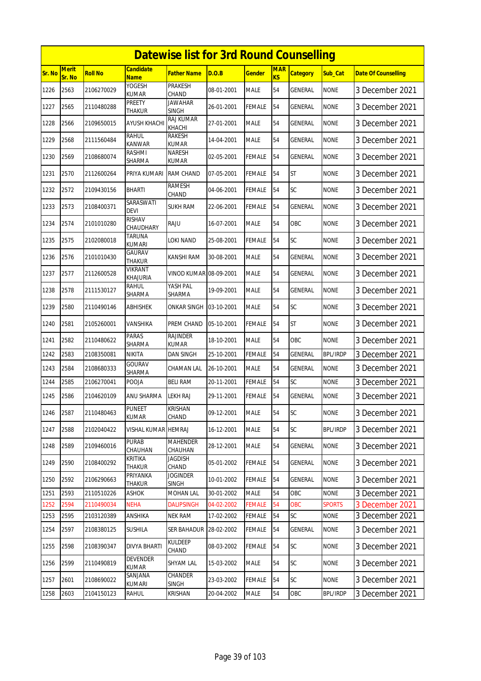|               |                        |                |                                 | <b>Datewise list for 3rd Round Counselling</b> |            |               |                              |                 |                 |                            |
|---------------|------------------------|----------------|---------------------------------|------------------------------------------------|------------|---------------|------------------------------|-----------------|-----------------|----------------------------|
| <b>Sr. No</b> | <b>Merit</b><br>Sr. No | <b>Roll No</b> | <b>Candidate</b><br><b>Name</b> | <b>Father Name</b>                             | D.O.B      | <b>Gender</b> | <b>MAR</b><br>K <sub>S</sub> | <b>Category</b> | Sub_Cat         | <b>Date Of Counselling</b> |
| 1226          | 2563                   | 2106270029     | YOGESH<br><b>KUMAR</b>          | <b>PRAKESH</b><br>CHAND                        | 08-01-2001 | <b>MALE</b>   | 54                           | <b>GENERAL</b>  | <b>NONE</b>     | 3 December 2021            |
| 1227          | 2565                   | 2110480288     | PREETY<br>THAKUR                | <b>JAWAHAR</b><br><b>SINGH</b>                 | 26-01-2001 | <b>FEMALE</b> | 54                           | GENERAL         | <b>NONE</b>     | 3 December 2021            |
| 1228          | 2566                   | 2109650015     | <b>AYUSH KHACHI</b>             | <b>RAJ KUMAR</b><br>KHACHI                     | 27-01-2001 | <b>MALE</b>   | 54                           | GENERAL         | <b>NONE</b>     | 3 December 2021            |
| 1229          | 2568                   | 2111560484     | RAHUL<br><b>KANWAR</b>          | RAKESH<br><b>KUMAR</b>                         | 14-04-2001 | <b>MALE</b>   | 54                           | GENERAL         | <b>NONE</b>     | 3 December 2021            |
| 1230          | 2569                   | 2108680074     | RASHMI<br>SHARMA                | <b>NARESH</b><br>KUMAR                         | 02-05-2001 | <b>FEMALE</b> | 54                           | GENERAL         | <b>NONE</b>     | 3 December 2021            |
| 1231          | 2570                   | 2112600264     | PRIYA KUMARI                    | <b>RAM CHAND</b>                               | 07-05-2001 | <b>FEMALE</b> | 54                           | <b>ST</b>       | <b>NONE</b>     | 3 December 2021            |
| 1232          | 2572                   | 2109430156     | BHARTI                          | <b>RAMESH</b><br>CHAND                         | 04-06-2001 | <b>FEMALE</b> | 54                           | SC              | <b>NONE</b>     | 3 December 2021            |
| 1233          | 2573                   | 2108400371     | SARASWATI<br><b>DEVI</b>        | <b>SUKH RAM</b>                                | 22-06-2001 | <b>FEMALE</b> | 54                           | <b>GENERAL</b>  | <b>NONE</b>     | 3 December 2021            |
| 1234          | 2574                   | 2101010280     | <b>RISHAV</b><br>CHAUDHARY      | RAJU                                           | 16-07-2001 | <b>MALE</b>   | 54                           | OBC             | <b>NONE</b>     | 3 December 2021            |
| 1235          | 2575                   | 2102080018     | <b>TARUNA</b><br><b>KUMARI</b>  | LOKI NAND                                      | 25-08-2001 | <b>FEMALE</b> | 54                           | SC              | <b>NONE</b>     | 3 December 2021            |
| 1236          | 2576                   | 2101010430     | GAURAV<br><b>THAKUR</b>         | KANSHI RAM                                     | 30-08-2001 | <b>MALE</b>   | 54                           | GENERAL         | <b>NONE</b>     | 3 December 2021            |
| 1237          | 2577                   | 2112600528     | VIKRANT<br>KHAJURIA             | VINOD KUMAR 08-09-2001                         |            | <b>MALE</b>   | 54                           | GENERAL         | <b>NONE</b>     | 3 December 2021            |
| 1238          | 2578                   | 2111530127     | rahul<br>SHARMA                 | YASH PAL<br>SHARMA                             | 19-09-2001 | <b>MALE</b>   | 54                           | <b>GENERAL</b>  | <b>NONE</b>     | 3 December 2021            |
| 1239          | 2580                   | 2110490146     | ABHISHEK                        | ONKAR SINGH                                    | 03-10-2001 | <b>MALE</b>   | 54                           | SC              | <b>NONE</b>     | 3 December 2021            |
| 1240          | 2581                   | 2105260001     | VANSHIKA                        | PREM CHAND                                     | 05-10-2001 | <b>FEMALE</b> | 54                           | <b>ST</b>       | <b>NONE</b>     | 3 December 2021            |
| 1241          | 2582                   | 2110480622     | <b>PARAS</b><br>SHARMA          | <b>RAJINDER</b><br><b>KUMAR</b>                | 18-10-2001 | <b>MALE</b>   | 54                           | <b>OBC</b>      | <b>NONE</b>     | 3 December 2021            |
| 1242          | 2583                   | 2108350081     | NIKITA                          | DAN SINGH                                      | 25-10-2001 | <b>FEMALE</b> | 54                           | GENERAL         | <b>BPL/IRDP</b> | 3 December 2021            |
| 1243          | 2584                   | 2108680333     | <b>GOURAV</b><br>SHARMA         | CHAMAN LAL                                     | 26-10-2001 | <b>MALE</b>   | 54                           | GENERAL         | <b>NONE</b>     | 3 December 2021            |
| 1244          | 2585                   | 2106270041     | POOJA                           | <b>BELI RAM</b>                                | 20-11-2001 | <b>FEMALE</b> | 54                           | SC              | <b>NONE</b>     | 3 December 2021            |
| 1245          | 2586                   | 2104620109     | ANU SHARMA                      | <b>LEKH RAJ</b>                                | 29-11-2001 | <b>FEMALE</b> | 54                           | <b>GENERAL</b>  | <b>NONE</b>     | 3 December 2021            |
| 1246          | 2587                   | 2110480463     | PUNEET<br>KUMAR                 | KRISHAN<br>CHAND                               | 09-12-2001 | <b>MALE</b>   | 54                           | SC              | <b>NONE</b>     | 3 December 2021            |
| 1247          | 2588                   | 2102040422     | VISHAL KUMAR HEMRAJ             |                                                | 16-12-2001 | <b>MALE</b>   | 54                           | <b>SC</b>       | <b>BPL/IRDP</b> | 3 December 2021            |
| 1248          | 2589                   | 2109460016     | <b>PURAB</b><br>CHAUHAN         | <b>MAHENDER</b><br>CHAUHAN                     | 28-12-2001 | <b>MALE</b>   | 54                           | GENERAL         | <b>NONE</b>     | 3 December 2021            |
| 1249          | 2590                   | 2108400292     | <b>KRITIKA</b><br>THAKUR        | <b>JAGDISH</b><br>CHAND                        | 05-01-2002 | <b>FEMALE</b> | 54                           | GENERAL         | <b>NONE</b>     | 3 December 2021            |
| 1250          | 2592                   | 2106290663     | PRIYANKA<br>THAKUR              | <b>JOGINDER</b><br><b>SINGH</b>                | 10-01-2002 | <b>FEMALE</b> | 54                           | GENERAL         | <b>NONE</b>     | 3 December 2021            |
| 1251          | 2593                   | 2110510226     | ASHOK                           | <b>MOHAN LAL</b>                               | 30-01-2002 | <b>MALE</b>   | 54                           | OBC             | <b>NONE</b>     | 3 December 2021            |
| 1252          | 2594                   | 2110490034     | <b>NEHA</b>                     | <b>DALIPSINGH</b>                              | 04-02-2002 | <b>FEMALE</b> | 54                           | OBC             | <b>SPORTS</b>   | 3 December 2021            |
| 1253          | 2595                   | 2103120389     | ANSHIKA                         | <b>NEK RAM</b>                                 | 17-02-2002 | <b>FEMALE</b> | 54                           | SC              | <b>NONE</b>     | 3 December 2021            |
| 1254          | 2597                   | 2108380125     | SUSHILA                         | SER BAHADUR                                    | 28-02-2002 | FEMALE        | 54                           | GENERAL         | <b>NONE</b>     | 3 December 2021            |
| 1255          | 2598                   | 2108390347     | <b>DIVYA BHARTI</b>             | <b>KULDEEP</b><br>CHAND                        | 08-03-2002 | <b>FEMALE</b> | 54                           | <b>SC</b>       | <b>NONE</b>     | 3 December 2021            |
| 1256          | 2599                   | 2110490819     | <b>DEVENDER</b><br><b>KUMAR</b> | SHYAM LAL                                      | 15-03-2002 | <b>MALE</b>   | 54                           | <b>SC</b>       | <b>NONE</b>     | 3 December 2021            |
| 1257          | 2601                   | 2108690022     | SANJANA<br>KUMARI               | CHANDER<br><b>SINGH</b>                        | 23-03-2002 | <b>FEMALE</b> | 54                           | <b>SC</b>       | <b>NONE</b>     | 3 December 2021            |
| 1258          | 2603                   | 2104150123     | RAHUL                           | <b>KRISHAN</b>                                 | 20-04-2002 | <b>MALE</b>   | 54                           | OBC             | <b>BPL/IRDP</b> | 3 December 2021            |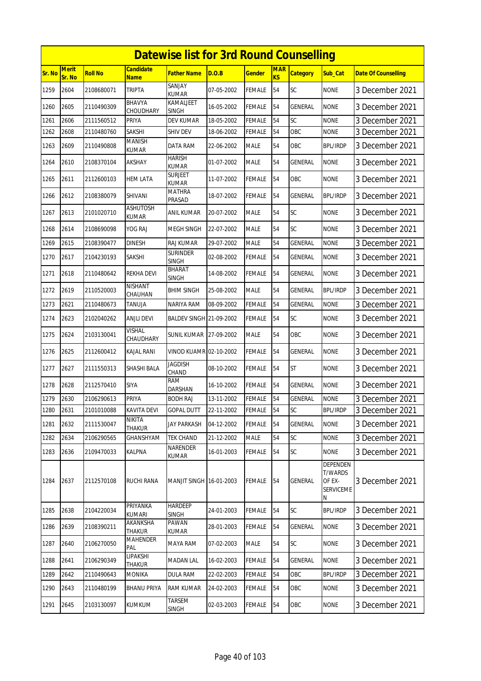|        |                 |                |                                 | <b>Datewise list for 3rd Round Counselling</b> |            |               |                              |                 |                                                                      |                            |
|--------|-----------------|----------------|---------------------------------|------------------------------------------------|------------|---------------|------------------------------|-----------------|----------------------------------------------------------------------|----------------------------|
| Sr. No | Merit<br>Sr. No | <b>Roll No</b> | <b>Candidate</b><br><b>Name</b> | <b>Father Name</b>                             | D.O.B      | <b>Gender</b> | <b>MAR</b><br>K <sub>S</sub> | <b>Category</b> | Sub_Cat                                                              | <b>Date Of Counselling</b> |
| 1259   | 2604            | 2108680071     | <b>TRIPTA</b>                   | SANJAY<br><b>KUMAR</b>                         | 07-05-2002 | <b>FEMALE</b> | 54                           | SC              | <b>NONE</b>                                                          | 3 December 2021            |
| 1260   | 2605            | 2110490309     | <b>BHAVYA</b><br>CHOUDHARY      | KAMALJEET<br><b>SINGH</b>                      | 16-05-2002 | <b>FEMALE</b> | 54                           | GENERAL         | none                                                                 | 3 December 2021            |
| 1261   | 2606            | 2111560512     | PRIYA                           | <b>DEV KUMAR</b>                               | 18-05-2002 | <b>FEMALE</b> | 54                           | SC              | <b>NONE</b>                                                          | 3 December 2021            |
| 1262   | 2608            | 2110480760     | SAKSHI                          | <b>SHIV DEV</b>                                | 18-06-2002 | <b>FEMALE</b> | 54                           | OBC             | none                                                                 | 3 December 2021            |
| 1263   | 2609            | 2110490808     | MANISH<br>KUMAR                 | DATA RAM                                       | 22-06-2002 | <b>MALE</b>   | 54                           | ОВС             | BPL/IRDP                                                             | 3 December 2021            |
| 1264   | 2610            | 2108370104     | <b>AKSHAY</b>                   | <b>HARISH</b><br><b>KUMAR</b>                  | 01-07-2002 | <b>MALE</b>   | 54                           | GENERAL         | <b>NONE</b>                                                          | 3 December 2021            |
| 1265   | 2611            | 2112600103     | <b>HEM LATA</b>                 | <b>SURJEET</b><br><b>KUMAR</b>                 | 11-07-2002 | <b>FEMALE</b> | 54                           | OBC             | <b>NONE</b>                                                          | 3 December 2021            |
| 1266   | 2612            | 2108380079     | <b>SHIVANI</b>                  | <b>MATHRA</b><br>PRASAD                        | 18-07-2002 | <b>FEMALE</b> | 54                           | GENERAL         | <b>BPL/IRDP</b>                                                      | 3 December 2021            |
| 1267   | 2613            | 2101020710     | <b>ASHUTOSH</b><br><b>KUMAR</b> | ANIL KUMAR                                     | 20-07-2002 | <b>MALE</b>   | 54                           | SC              | <b>NONE</b>                                                          | 3 December 2021            |
| 1268   | 2614            | 2108690098     | YOG RAJ                         | MEGH SINGH                                     | 22-07-2002 | <b>MALE</b>   | 54                           | SC              | <b>NONE</b>                                                          | 3 December 2021            |
| 1269   | 2615            | 2108390477     | <b>DINESH</b>                   | <b>RAJ KUMAR</b>                               | 29-07-2002 | <b>MALE</b>   | 54                           | GENERAL         | <b>NONE</b>                                                          | 3 December 2021            |
| 1270   | 2617            | 2104230193     | SAKSHI                          | <b>SURINDER</b><br><b>SINGH</b>                | 02-08-2002 | <b>FEMALE</b> | 54                           | GENERAL         | <b>NONE</b>                                                          | 3 December 2021            |
| 1271   | 2618            | 2110480642     | <b>REKHA DEVI</b>               | <b>BHARAT</b><br>SINGH                         | 14-08-2002 | <b>FEMALE</b> | 54                           | <b>GENERAL</b>  | <b>NONE</b>                                                          | 3 December 2021            |
| 1272   | 2619            | 2110520003     | <b>NISHANT</b><br>CHAUHAN       | <b>BHIM SINGH</b>                              | 25-08-2002 | <b>MALE</b>   | 54                           | <b>GENERAL</b>  | <b>BPL/IRDP</b>                                                      | 3 December 2021            |
| 1273   | 2621            | 2110480673     | tanuja                          | NARIYA RAM                                     | 08-09-2002 | <b>FEMALE</b> | 54                           | <b>GENERAL</b>  | <b>NONE</b>                                                          | 3 December 2021            |
| 1274   | 2623            | 2102040262     | <b>ANJLI DEVI</b>               | BALDEV SINGH 21-09-2002                        |            | <b>FEMALE</b> | 54                           | <b>SC</b>       | <b>NONE</b>                                                          | 3 December 2021            |
| 1275   | 2624            | 2103130041     | VISHAL<br>CHAUDHARY             | SUNIL KUMAR                                    | 27-09-2002 | <b>MALE</b>   | 54                           | OBC             | <b>NONE</b>                                                          | 3 December 2021            |
| 1276   | 2625            | 2112600412     | KAJAL RANI                      | VINOD KUAMR 02-10-2002                         |            | <b>FEMALE</b> | 54                           | GENERAL         | <b>NONE</b>                                                          | 3 December 2021            |
| 1277   | 2627            | 2111550313     | SHASHI BALA                     | <b>JAGDISH</b><br>CHAND                        | 08-10-2002 | <b>FEMALE</b> | 54                           | <b>ST</b>       | <b>NONE</b>                                                          | 3 December 2021            |
| 1278   | 2628            | 2112570410     | <b>SIYA</b>                     | <b>RAM</b><br>DARSHAN                          | 16-10-2002 | FEMALE        | 54                           | <b>GENERAL</b>  | <b>NONE</b>                                                          | 3 December 2021            |
| 1279   | 2630            | 2106290613     | PRIYA                           | <b>BODH RAJ</b>                                | 13-11-2002 | <b>FEMALE</b> | 54                           | GENERAL         | <b>NONE</b>                                                          | 3 December 2021            |
| 1280   | 2631            | 2101010088     | <b>KAVITA DEVI</b>              | <b>GOPAL DUTT</b>                              | 22-11-2002 | FEMALE        | 54                           | <b>SC</b>       | <b>BPL/IRDP</b>                                                      | 3 December 2021            |
| 1281   | 2632            | 2111530047     | <b>NIKITA</b><br>THAKUR         | JAY PARKASH                                    | 04-12-2002 | <b>FEMALE</b> | 54                           | <b>GENERAL</b>  | <b>NONE</b>                                                          | 3 December 2021            |
| 1282   | 2634            | 2106290565     | GHANSHYAM                       | <b>TEK CHAND</b>                               | 21-12-2002 | MALE          | 54                           | SC              | <b>NONE</b>                                                          | 3 December 2021            |
| 1283   | 2636            | 2109470033     | <b>KALPNA</b>                   | NARENDER<br>KUMAR                              | 16-01-2003 | <b>FEMALE</b> | 54                           | <b>SC</b>       | <b>NONE</b>                                                          | 3 December 2021            |
| 1284   | 2637            | 2112570108     | RUCHI RANA                      | MANJIT SINGH 16-01-2003                        |            | FEMALE        | 54                           | <b>GENERAL</b>  | <b>DEPENDEN</b><br><b>T/WARDS</b><br>OF EX-<br><b>SERVICEME</b><br>N | 3 December 2021            |
| 1285   | 2638            | 2104220034     | PRIYANKA<br><b>KUMARI</b>       | <b>HARDEEP</b><br><b>SINGH</b>                 | 24-01-2003 | FEMALE        | 54                           | <b>SC</b>       | <b>BPL/IRDP</b>                                                      | 3 December 2021            |
| 1286   | 2639            | 2108390211     | AKANKSHA<br><b>THAKUR</b>       | PAWAN<br><b>KUMAR</b>                          | 28-01-2003 | FEMALE        | 54                           | <b>GENERAL</b>  | <b>NONE</b>                                                          | 3 December 2021            |
| 1287   | 2640            | 2106270050     | MAHENDER<br>PAL                 | MAYA RAM                                       | 07-02-2003 | <b>MALE</b>   | 54                           | <b>SC</b>       | <b>NONE</b>                                                          | 3 December 2021            |
| 1288   | 2641            | 2106290349     | LIPAKSHI<br>THAKUR              | <b>MADAN LAL</b>                               | 16-02-2003 | <b>FEMALE</b> | 54                           | GENERAL         | <b>NONE</b>                                                          | 3 December 2021            |
| 1289   | 2642            | 2110490643     | <b>MONIKA</b>                   | <b>DULA RAM</b>                                | 22-02-2003 | <b>FEMALE</b> | 54                           | OBC             | <b>BPL/IRDP</b>                                                      | 3 December 2021            |
| 1290   | 2643            | 2110480199     | <b>BHANU PRIYA</b>              | RAM KUMAR                                      | 24-02-2003 | FEMALE        | 54                           | OBC             | <b>NONE</b>                                                          | 3 December 2021            |
| 1291   | 2645            | 2103130097     | <b>KUMKUM</b>                   | <b>TARSEM</b><br>SINGH                         | 02-03-2003 | <b>FEMALE</b> | 54                           | OBC             | <b>NONE</b>                                                          | 3 December 2021            |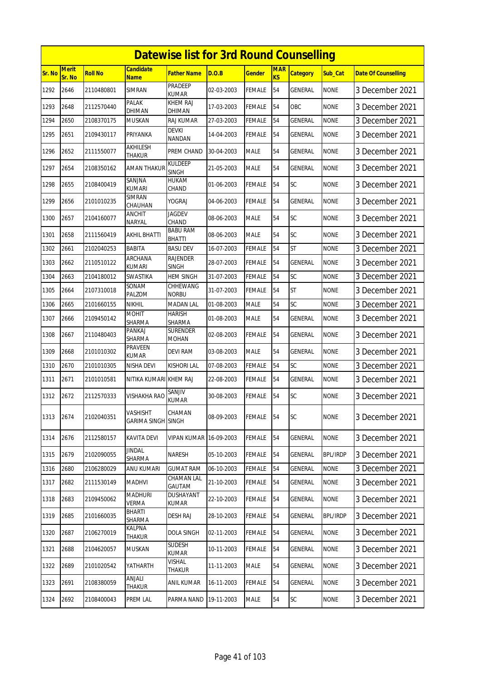|        | <b>Datewise list for 3rd Round Counselling</b><br>Merit<br><b>Candidate</b><br><b>MAR</b> |                |                                       |                                  |            |               |                |                 |                 |                            |  |  |
|--------|-------------------------------------------------------------------------------------------|----------------|---------------------------------------|----------------------------------|------------|---------------|----------------|-----------------|-----------------|----------------------------|--|--|
| Sr. No | Sr. No                                                                                    | <b>Roll No</b> | <b>Name</b>                           | <b>Father Name</b>               | D.O.B      | <b>Gender</b> | K <sub>S</sub> | <b>Category</b> | Sub_Cat         | <b>Date Of Counselling</b> |  |  |
| 1292   | 2646                                                                                      | 2110480801     | <b>SIMRAN</b>                         | <b>PRADEEP</b><br><b>KUMAR</b>   | 02-03-2003 | <b>FEMALE</b> | 54             | <b>GENERAL</b>  | <b>NONE</b>     | 3 December 2021            |  |  |
| 1293   | 2648                                                                                      | 2112570440     | <b>PALAK</b><br>DHIMAN                | <b>KHEM RAJ</b><br>DHIMAN        | 17-03-2003 | <b>FEMALE</b> | 54             | <b>OBC</b>      | <b>NONE</b>     | 3 December 2021            |  |  |
| 1294   | 2650                                                                                      | 2108370175     | <b>MUSKAN</b>                         | RAJ KUMAR                        | 27-03-2003 | <b>FEMALE</b> | 54             | <b>GENERAL</b>  | <b>NONE</b>     | 3 December 2021            |  |  |
| 1295   | 2651                                                                                      | 2109430117     | PRIYANKA                              | <b>DEVKI</b><br><b>NANDAN</b>    | 14-04-2003 | <b>FEMALE</b> | 54             | <b>GENERAL</b>  | <b>NONE</b>     | 3 December 2021            |  |  |
| 1296   | 2652                                                                                      | 2111550077     | AKHILESH<br>THAKUR                    | PREM CHAND                       | 30-04-2003 | <b>MALE</b>   | 54             | GENERAL         | <b>NONE</b>     | 3 December 2021            |  |  |
| 1297   | 2654                                                                                      | 2108350162     | <b>AMAN THAKUR</b>                    | <b>KULDEEP</b><br><b>SINGH</b>   | 21-05-2003 | <b>MALE</b>   | 54             | <b>GENERAL</b>  | <b>NONE</b>     | 3 December 2021            |  |  |
| 1298   | 2655                                                                                      | 2108400419     | SANJNA<br><b>KUMARI</b>               | HUKAM<br>CHAND                   | 01-06-2003 | <b>FEMALE</b> | 54             | SC              | <b>NONE</b>     | 3 December 2021            |  |  |
| 1299   | 2656                                                                                      | 2101010235     | <b>SIMRAN</b><br>CHAUHAN              | YOGRAJ                           | 04-06-2003 | <b>FEMALE</b> | 54             | <b>GENERAL</b>  | <b>NONE</b>     | 3 December 2021            |  |  |
| 1300   | 2657                                                                                      | 2104160077     | <b>ANCHIT</b><br>NARYAL               | <b>JAGDEV</b><br>CHAND           | 08-06-2003 | <b>MALE</b>   | 54             | SC              | <b>NONE</b>     | 3 December 2021            |  |  |
| 1301   | 2658                                                                                      | 2111560419     | AKHIL BHATTI                          | <b>BABU RAM</b><br><b>BHATTI</b> | 08-06-2003 | <b>MALE</b>   | 54             | SC              | <b>NONE</b>     | 3 December 2021            |  |  |
| 1302   | 2661                                                                                      | 2102040253     | <b>BABITA</b>                         | <b>BASU DEV</b>                  | 16-07-2003 | <b>FEMALE</b> | 54             | <b>ST</b>       | <b>NONE</b>     | 3 December 2021            |  |  |
| 1303   | 2662                                                                                      | 2110510122     | ARCHANA<br>KUMARI                     | <b>RAJENDER</b><br>SINGH         | 28-07-2003 | <b>FEMALE</b> | 54             | <b>GENERAL</b>  | <b>NONE</b>     | 3 December 2021            |  |  |
| 1304   | 2663                                                                                      | 2104180012     | <b>SWASTIKA</b>                       | <b>HEM SINGH</b>                 | 31-07-2003 | <b>FEMALE</b> | 54             | SC              | <b>NONE</b>     | 3 December 2021            |  |  |
| 1305   | 2664                                                                                      | 2107310018     | SONAM<br>PALZOM                       | CHHEWANG<br><b>NORBU</b>         | 31-07-2003 | <b>FEMALE</b> | 54             | <b>ST</b>       | <b>NONE</b>     | 3 December 2021            |  |  |
| 1306   | 2665                                                                                      | 2101660155     | <b>NIKHIL</b>                         | <b>MADAN LAL</b>                 | 01-08-2003 | <b>MALE</b>   | 54             | SC              | <b>NONE</b>     | 3 December 2021            |  |  |
| 1307   | 2666                                                                                      | 2109450142     | <b>MOHIT</b><br>SHARMA                | <b>HARISH</b><br>SHARMA          | 01-08-2003 | <b>MALE</b>   | 54             | <b>GENERAL</b>  | <b>NONE</b>     | 3 December 2021            |  |  |
| 1308   | 2667                                                                                      | 2110480403     | PANKAJ<br>SHARMA                      | <b>SURENDER</b><br><b>MOHAN</b>  | 02-08-2003 | <b>FEMALE</b> | 54             | GENERAL         | <b>NONE</b>     | 3 December 2021            |  |  |
| 1309   | 2668                                                                                      | 2101010302     | <b>PRAVEEN</b><br>KUMAR               | <b>DEVI RAM</b>                  | 03-08-2003 | <b>MALE</b>   | 54             | <b>GENERAL</b>  | <b>NONE</b>     | 3 December 2021            |  |  |
| 1310   | 2670                                                                                      | 2101010305     | NISHA DEVI                            | <b>KISHORI LAL</b>               | 07-08-2003 | <b>FEMALE</b> | 54             | SC              | <b>NONE</b>     | 3 December 2021            |  |  |
| 1311   | 2671                                                                                      | 2101010581     | NITIKA KUMARI KHEM RAJ                |                                  | 22-08-2003 | FEMALE        | 54             | <b>GENERAL</b>  | <b>NONE</b>     | 3 December 2021            |  |  |
| 1312   | 2672                                                                                      | 2112570333     | <b>VISHAKHA RAO</b>                   | SANJIV<br><b>KUMAR</b>           | 30-08-2003 | <b>FEMALE</b> | 54             | SC              | <b>NONE</b>     | 3 December 2021            |  |  |
| 1313   | 2674                                                                                      | 2102040351     | VASHISHT<br><b>GARIMA SINGH SINGH</b> | CHAMAN                           | 08-09-2003 | <b>FEMALE</b> | 54             | <b>SC</b>       | <b>NONE</b>     | 3 December 2021            |  |  |
| 1314   | 2676                                                                                      | 2112580157     | KAVITA DEVI                           | VIPAN KUMAR                      | 16-09-2003 | FEMALE        | 54             | GENERAL         | <b>NONE</b>     | 3 December 2021            |  |  |
| 1315   | 2679                                                                                      | 2102090055     | <b>JINDAL</b><br>SHARMA               | <b>NARESH</b>                    | 05-10-2003 | <b>FEMALE</b> | 54             | GENERAL         | <b>BPL/IRDP</b> | 3 December 2021            |  |  |
| 1316   | 2680                                                                                      | 2106280029     | ANU KUMARI                            | <b>GUMAT RAM</b>                 | 06-10-2003 | <b>FEMALE</b> | 54             | <b>GENERAL</b>  | <b>NONE</b>     | 3 December 2021            |  |  |
| 1317   | 2682                                                                                      | 2111530149     | <b>MADHVI</b>                         | CHAMAN LAL<br>GAUTAM             | 21-10-2003 | <b>FEMALE</b> | 54             | GENERAL         | <b>NONE</b>     | 3 December 2021            |  |  |
| 1318   | 2683                                                                                      | 2109450062     | <b>MADHURI</b><br><b>VERMA</b>        | <b>DUSHAYANT</b><br>KUMAR        | 22-10-2003 | <b>FEMALE</b> | 54             | GENERAL         | <b>NONE</b>     | 3 December 2021            |  |  |
| 1319   | 2685                                                                                      | 2101660035     | <b>BHARTI</b><br>SHARMA               | <b>DESH RAJ</b>                  | 28-10-2003 | FEMALE        | 54             | GENERAL         | <b>BPL/IRDP</b> | 3 December 2021            |  |  |
| 1320   | 2687                                                                                      | 2106270019     | <b>KALPNA</b><br>THAKUR               | <b>DOLA SINGH</b>                | 02-11-2003 | <b>FEMALE</b> | 54             | GENERAL         | <b>NONE</b>     | 3 December 2021            |  |  |
| 1321   | 2688                                                                                      | 2104620057     | MUSKAN                                | <b>SUDESH</b><br>KUMAR           | 10-11-2003 | <b>FEMALE</b> | 54             | GENERAL         | <b>NONE</b>     | 3 December 2021            |  |  |
| 1322   | 2689                                                                                      | 2101020542     | YATHARTH                              | <b>VISHAL</b><br>THAKUR          | 11-11-2003 | <b>MALE</b>   | 54             | <b>GENERAL</b>  | <b>NONE</b>     | 3 December 2021            |  |  |
| 1323   | 2691                                                                                      | 2108380059     | ANJALI<br>Thakur                      | ANIL KUMAR                       | 16-11-2003 | <b>FEMALE</b> | 54             | GENERAL         | <b>NONE</b>     | 3 December 2021            |  |  |
| 1324   | 2692                                                                                      | 2108400043     | PREM LAL                              | PARMA NAND                       | 19-11-2003 | MALE          | 54             | <b>SC</b>       | <b>NONE</b>     | 3 December 2021            |  |  |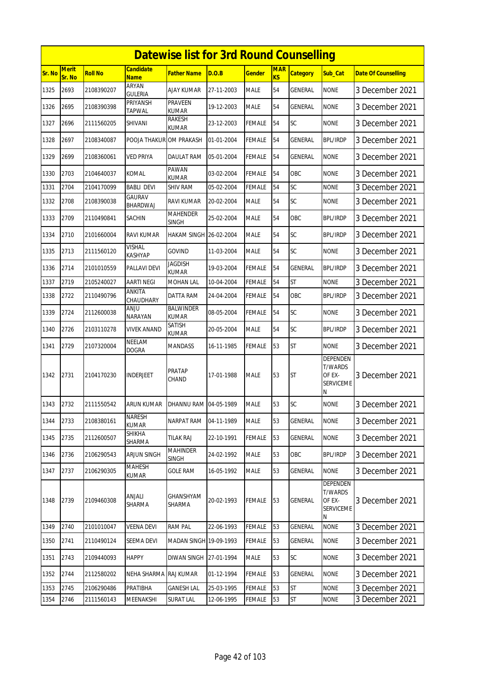|        | <b>Datewise list for 3rd Round Counselling</b><br><b>Merit</b><br><b>Candidate</b><br><b>MAR</b> |                |                                    |                                  |            |               |                |                 |                                                               |                            |  |  |
|--------|--------------------------------------------------------------------------------------------------|----------------|------------------------------------|----------------------------------|------------|---------------|----------------|-----------------|---------------------------------------------------------------|----------------------------|--|--|
| Sr. No | Sr. No                                                                                           | <b>Roll No</b> | <b>Name</b>                        | Father Name                      | D.O.B      | Gender        | K <sub>S</sub> | <b>Category</b> | Sub Cat                                                       | <b>Date Of Counselling</b> |  |  |
| 1325   | 2693                                                                                             | 2108390207     | ARYAN<br><b>GULERIA</b>            | AJAY KUMAR                       | 27-11-2003 | <b>MALE</b>   | 54             | GENERAL         | <b>NONE</b>                                                   | 3 December 2021            |  |  |
| 1326   | 2695                                                                                             | 2108390398     | PRIYANSH<br><b>TAPWAL</b>          | PRAVEEN<br>KUMAR                 | 19-12-2003 | <b>MALE</b>   | 54             | GENERAL         | <b>NONE</b>                                                   | 3 December 2021            |  |  |
| 1327   | 2696                                                                                             | 2111560205     | SHIVANI                            | <b>RAKESH</b><br>KUMAR           | 23-12-2003 | FEMALE        | 54             | SC              | <b>NONE</b>                                                   | 3 December 2021            |  |  |
| 1328   | 2697                                                                                             | 2108340087     | POOJA THAKUR OM PRAKASH            |                                  | 01-01-2004 | <b>FEMALE</b> | 54             | GENERAL         | <b>BPL/IRDP</b>                                               | 3 December 2021            |  |  |
| 1329   | 2699                                                                                             | 2108360061     | <b>VED PRIYA</b>                   | <b>DAULAT RAM</b>                | 05-01-2004 | FEMALE        | 54             | GENERAL         | <b>NONE</b>                                                   | 3 December 2021            |  |  |
| 1330   | 2703                                                                                             | 2104640037     | <b>KOMAL</b>                       | PAWAN<br><b>KUMAR</b>            | 03-02-2004 | FEMALE        | 54             | OBC             | <b>NONE</b>                                                   | 3 December 2021            |  |  |
| 1331   | 2704                                                                                             | 2104170099     | BABLI DEVI                         | <b>SHIV RAM</b>                  | 05-02-2004 | FEMALE        | 54             | SC              | <b>NONE</b>                                                   | 3 December 2021            |  |  |
| 1332   | 2708                                                                                             | 2108390038     | <b>GAURAV</b><br>BHARDWAJ          | RAVI KUMAR                       | 20-02-2004 | <b>MALE</b>   | 54             | <b>SC</b>       | <b>NONE</b>                                                   | 3 December 2021            |  |  |
| 1333   | 2709                                                                                             | 2110490841     | SACHIN                             | <b>MAHENDER</b><br>SINGH         | 25-02-2004 | MALE          | 54             | OBC             | <b>BPL/IRDP</b>                                               | 3 December 2021            |  |  |
| 1334   | 2710                                                                                             | 2101660004     | RAVI KUMAR                         | HAKAM SINGH 26-02-2004           |            | MALE          | 54             | SC              | <b>BPL/IRDP</b>                                               | 3 December 2021            |  |  |
| 1335   | 2713                                                                                             | 2111560120     | VISHAL<br><b>KASHYAP</b>           | GOVIND                           | 11-03-2004 | <b>MALE</b>   | 54             | SC              | <b>NONE</b>                                                   | 3 December 2021            |  |  |
| 1336   | 2714                                                                                             | 2101010559     | PALLAVI DEVI                       | Jagdish<br><b>KUMAR</b>          | 19-03-2004 | FEMALE        | 54             | GENERAL         | <b>BPL/IRDP</b>                                               | 3 December 2021            |  |  |
| 1337   | 2719                                                                                             | 2105240027     | <b>AARTI NEGI</b>                  | MOHAN LAL                        | 10-04-2004 | FEMALE        | 54             | <b>ST</b>       | <b>NONE</b>                                                   | 3 December 2021            |  |  |
| 1338   | 2722                                                                                             | 2110490796     | ANKITA<br>CHAUDHARY                | DATTA RAM                        | 24-04-2004 | FEMALE        | 54             | OBC             | <b>BPL/IRDP</b>                                               | 3 December 2021            |  |  |
| 1339   | 2724                                                                                             | 2112600038     | <b>ANJU</b><br><b>NARAYAN</b>      | <b>BALWINDER</b><br><b>KUMAR</b> | 08-05-2004 | FEMALE        | 54             | SC              | <b>NONE</b>                                                   | 3 December 2021            |  |  |
| 1340   | 2726                                                                                             | 2103110278     | VIVEK ANAND                        | SATISH<br>KUMAR                  | 20-05-2004 | MALE          | 54             | SC              | <b>BPL/IRDP</b>                                               | 3 December 2021            |  |  |
| 1341   | 2729                                                                                             | 2107320004     | NEELAM<br><b>DOGRA</b>             | <b>MANDASS</b>                   | 16-11-1985 | FEMALE        | 53             | <b>ST</b>       | <b>NONE</b>                                                   | 3 December 2021            |  |  |
| 1342   | 2731                                                                                             | 2104170230     | <b>INDERJEET</b>                   | PRATAP<br>CHAND                  | 17-01-1988 | <b>MALE</b>   | 53             | <b>ST</b>       | DEPENDEN<br><b>T/WARDS</b><br>OF EX-<br><b>SERVICEME</b><br>Ν | 3 December 2021            |  |  |
| 1343   | 2732                                                                                             | 2111550542     | ARUN KUMAR   DHANNU RAM 04-05-1989 |                                  |            | <b>MALE</b>   | 53             | <b>SC</b>       | <b>NONE</b>                                                   | 3 December 2021            |  |  |
| 1344   | 2733                                                                                             | 2108380161     | NARESH<br><b>KUMAR</b>             | NARPAT RAM                       | 04-11-1989 | <b>MALE</b>   | 53             | GENERAL         | <b>NONE</b>                                                   | 3 December 2021            |  |  |
| 1345   | 2735                                                                                             | 2112600507     | SHIKHA<br>SHARMA                   | tilak Raj                        | 22-10-1991 | <b>FEMALE</b> | 53             | GENERAL         | <b>NONE</b>                                                   | 3 December 2021            |  |  |
| 1346   | 2736                                                                                             | 2106290543     | <b>ARJUN SINGH</b>                 | <b>MAHINDER</b><br><b>SINGH</b>  | 24-02-1992 | <b>MALE</b>   | 53             | OBC             | <b>BPL/IRDP</b>                                               | 3 December 2021            |  |  |
| 1347   | 2737                                                                                             | 2106290305     | <b>MAHESH</b><br>KUMAR             | <b>GOLE RAM</b>                  | 16-05-1992 | MALE          | 53             | GENERAL         | <b>NONE</b>                                                   | 3 December 2021            |  |  |
| 1348   | 2739                                                                                             | 2109460308     | ANJALI<br>SHARMA                   | GHANSHYAM<br>SHARMA              | 20-02-1993 | FEMALE        | 53             | GENERAL         | DEPENDEN<br><b>T/WARDS</b><br>OF EX-<br><b>SERVICEME</b><br>N | 3 December 2021            |  |  |
| 1349   | 2740                                                                                             | 2101010047     | <b>VEENA DEVI</b>                  | <b>RAM PAL</b>                   | 22-06-1993 | FEMALE        | 53             | GENERAL         | <b>NONE</b>                                                   | 3 December 2021            |  |  |
| 1350   | 2741                                                                                             | 2110490124     | SEEMA DEVI                         | MADAN SINGH 19-09-1993           |            | FEMALE        | 53             | GENERAL         | <b>NONE</b>                                                   | 3 December 2021            |  |  |
| 1351   | 2743                                                                                             | 2109440093     | <b>HAPPY</b>                       | DIWAN SINGH 27-01-1994           |            | MALE          | 53             | SC              | <b>NONE</b>                                                   | 3 December 2021            |  |  |
| 1352   | 2744                                                                                             | 2112580202     | <b>NEHA SHARMA</b>                 | <b>RAJ KUMAR</b>                 | 01-12-1994 | <b>FEMALE</b> | 53             | GENERAL         | <b>NONE</b>                                                   | 3 December 2021            |  |  |
| 1353   | 2745                                                                                             | 2106290486     | PRATIBHA                           | <b>GANESH LAL</b>                | 25-03-1995 | FEMALE        | 53             | ST              | <b>NONE</b>                                                   | 3 December 2021            |  |  |
| 1354   | 2746                                                                                             | 2111560143     | MEENAKSHI                          | <b>SURAT LAL</b>                 | 12-06-1995 | <b>FEMALE</b> | 53             | <b>ST</b>       | <b>NONE</b>                                                   | 3 December 2021            |  |  |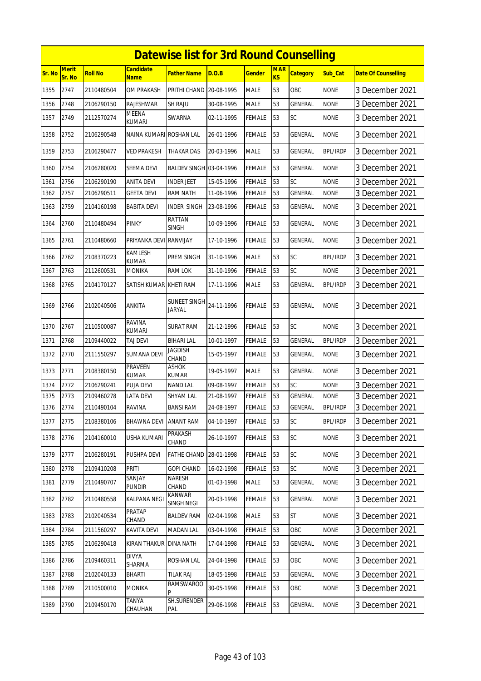|        |                        |                |                                | <b>Datewise list for 3rd Round Counselling</b> |            |               |                              |                 |                 |                            |
|--------|------------------------|----------------|--------------------------------|------------------------------------------------|------------|---------------|------------------------------|-----------------|-----------------|----------------------------|
| Sr. No | <b>Merit</b><br>Sr. No | <b>Roll No</b> | <b>Candidate</b><br>Name       | <b>Father Name</b>                             | D.O.B      | <b>Gender</b> | <b>MAR</b><br>K <sub>S</sub> | <b>Category</b> | Sub Cat         | <b>Date Of Counselling</b> |
| 1355   | 2747                   | 2110480504     | OM PRAKASH                     | PRITHI CHAND                                   | 20-08-1995 | <b>MALE</b>   | 53                           | OBC             | <b>NONE</b>     | 3 December 2021            |
| 1356   | 2748                   | 2106290150     | <b>RAJESHWAR</b>               | <b>SH RAJU</b>                                 | 30-08-1995 | <b>MALE</b>   | 53                           | GENERAL         | <b>NONE</b>     | 3 December 2021            |
| 1357   | 2749                   | 2112570274     | <b>MEENA</b><br>KUMARI         | SWARNA                                         | 02-11-1995 | <b>FEMALE</b> | 53                           | SC              | <b>NONE</b>     | 3 December 2021            |
| 1358   | 2752                   | 2106290548     | NAINA KUMARI ROSHAN LAL        |                                                | 26-01-1996 | <b>FEMALE</b> | 53                           | <b>GENERAL</b>  | <b>NONE</b>     | 3 December 2021            |
| 1359   | 2753                   | 2106290477     | VED PRAKESH                    | THAKAR DAS                                     | 20-03-1996 | <b>MALE</b>   | 53                           | GENERAL         | <b>BPL/IRDP</b> | 3 December 2021            |
| 1360   | 2754                   | 2106280020     | SEEMA DEVI                     | <b>BALDEV SINGH 03-04-1996</b>                 |            | <b>FEMALE</b> | 53                           | GENERAL         | <b>NONE</b>     | 3 December 2021            |
| 1361   | 2756                   | 2106290190     | ANITA DEVI                     | <b>INDER JEET</b>                              | 15-05-1996 | <b>FEMALE</b> | 53                           | SC              | <b>NONE</b>     | 3 December 2021            |
| 1362   | 2757                   | 2106290511     | <b>GEETA DEVI</b>              | <b>RAM NATH</b>                                | 11-06-1996 | <b>FEMALE</b> | 53                           | GENERAL         | <b>NONE</b>     | 3 December 2021            |
| 1363   | 2759                   | 2104160198     | <b>BABITA DEVI</b>             | <b>INDER SINGH</b>                             | 23-08-1996 | <b>FEMALE</b> | 53                           | GENERAL         | <b>NONE</b>     | 3 December 2021            |
| 1364   | 2760                   | 2110480494     | PINKY                          | RATTAN<br><b>SINGH</b>                         | 10-09-1996 | <b>FEMALE</b> | 53                           | GENERAL         | <b>NONE</b>     | 3 December 2021            |
| 1365   | 2761                   | 2110480660     | PRIYANKA DEVI                  | <b>RANVIJAY</b>                                | 17-10-1996 | <b>FEMALE</b> | 53                           | GENERAL         | <b>NONE</b>     | 3 December 2021            |
| 1366   | 2762                   | 2108370223     | KAMLESH<br><b>KUMAR</b>        | PREM SINGH                                     | 31-10-1996 | <b>MALE</b>   | 53                           | SC              | <b>BPL/IRDP</b> | 3 December 2021            |
| 1367   | 2763                   | 2112600531     | MONIKA                         | <b>RAM LOK</b>                                 | 31-10-1996 | <b>FEMALE</b> | 53                           | SC              | <b>NONE</b>     | 3 December 2021            |
| 1368   | 2765                   | 2104170127     | SATISH KUMAR KHETI RAM         |                                                | 17-11-1996 | <b>MALE</b>   | 53                           | <b>GENERAL</b>  | <b>BPL/IRDP</b> | 3 December 2021            |
| 1369   | 2766                   | 2102040506     | ANKITA                         | SUNEET SINGH<br><b>JARYAL</b>                  | 24-11-1996 | <b>FEMALE</b> | 53                           | GENERAL         | <b>NONE</b>     | 3 December 2021            |
| 1370   | 2767                   | 2110500087     | <b>RAVINA</b><br><b>KUMARI</b> | SURAT RAM                                      | 21-12-1996 | FEMALE        | 53                           | SC              | <b>NONE</b>     | 3 December 2021            |
| 1371   | 2768                   | 2109440022     | <b>TAJ DEVI</b>                | <b>BIHARI LAL</b>                              | 10-01-1997 | <b>FEMALE</b> | 53                           | <b>GENERAL</b>  | <b>BPL/IRDP</b> | 3 December 2021            |
| 1372   | 2770                   | 2111550297     | SUMANA DEVI                    | <b>JAGDISH</b><br>CHAND                        | 15-05-1997 | <b>FEMALE</b> | 53                           | GENERAL         | <b>NONE</b>     | 3 December 2021            |
| 1373   | 2771                   | 2108380150     | PRAVEEN<br>KUMAR               | ASHOK<br>KUMAR                                 | 19-05-1997 | <b>MALE</b>   | 53                           | <b>GENERAL</b>  | <b>NONE</b>     | 3 December 2021            |
| 1374   | 2772                   | 2106290241     | PUJA DEVI                      | <b>NAND LAL</b>                                | 09-08-1997 | <b>FEMALE</b> | 53                           | SC              | <b>NONE</b>     | 3 December 2021            |
| 1375   | 2773                   | 2109460278     | <b>LATA DEVI</b>               | <b>SHYAM LAL</b>                               | 21-08-1997 | <b>FEMALE</b> | 53                           | <b>GENERAL</b>  | <b>NONE</b>     | 3 December 2021            |
| 1376   | 2774                   | 2110490104     | <b>RAVINA</b>                  | <b>BANSI RAM</b>                               | 24-08-1997 | FEMALE        | 53                           | <b>GENERAL</b>  | <b>BPL/IRDP</b> | 3 December 2021            |
| 1377   | 2775                   | 2108380106     | <b>BHAWNA DEVI</b>             | <b>ANANT RAM</b>                               | 04-10-1997 | <b>FEMALE</b> | 53                           | <b>SC</b>       | <b>BPL/IRDP</b> | 3 December 2021            |
| 1378   | 2776                   | 2104160010     | USHA KUMARI                    | PRAKASH<br>CHAND                               | 26-10-1997 | FEMALE        | 53                           | SC              | <b>NONE</b>     | 3 December 2021            |
| 1379   | 2777                   | 2106280191     | PUSHPA DEVI                    | <b>FATHE CHAND</b>                             | 28-01-1998 | <b>FEMALE</b> | 53                           | <b>SC</b>       | <b>NONE</b>     | 3 December 2021            |
| 1380   | 2778                   | 2109410208     | Priti                          | <b>GOPI CHAND</b>                              | 16-02-1998 | <b>FEMALE</b> | 53                           | SC              | <b>NONE</b>     | 3 December 2021            |
| 1381   | 2779                   | 2110490707     | SANJAY<br><b>PUNDIR</b>        | NARESH<br>CHAND                                | 01-03-1998 | <b>MALE</b>   | 53                           | GENERAL         | <b>NONE</b>     | 3 December 2021            |
| 1382   | 2782                   | 2110480558     | KALPANA NEGI                   | KANWAR<br>SINGH NEGI                           | 20-03-1998 | <b>FEMALE</b> | 53                           | GENERAL         | <b>NONE</b>     | 3 December 2021            |
| 1383   | 2783                   | 2102040534     | PRATAP<br>CHAND                | <b>BALDEV RAM</b>                              | 02-04-1998 | <b>MALE</b>   | 53                           | <b>ST</b>       | <b>NONE</b>     | 3 December 2021            |
| 1384   | 2784                   | 2111560297     | KAVITA DEVI                    | <b>MADAN LAL</b>                               | 03-04-1998 | <b>FEMALE</b> | 53                           | OBC             | <b>NONE</b>     | 3 December 2021            |
| 1385   | 2785                   | 2106290418     | KIRAN THAKUR                   | <b>DINA NATH</b>                               | 17-04-1998 | <b>FEMALE</b> | 53                           | GENERAL         | <b>NONE</b>     | 3 December 2021            |
| 1386   | 2786                   | 2109460311     | <b>DIVYA</b><br>SHARMA         | <b>ROSHAN LAL</b>                              | 24-04-1998 | <b>FEMALE</b> | 53                           | OBC             | <b>NONE</b>     | 3 December 2021            |
| 1387   | 2788                   | 2102040133     | BHARTI                         | <b>TILAK RAJ</b>                               | 18-05-1998 | <b>FEMALE</b> | 53                           | GENERAL         | <b>NONE</b>     | 3 December 2021            |
| 1388   | 2789                   | 2110500010     | MONIKA                         | <b>RAMSWAROO</b>                               | 30-05-1998 | FEMALE        | 53                           | OBC             | <b>NONE</b>     | 3 December 2021            |
| 1389   | 2790                   | 2109450170     | TANYA<br>CHAUHAN               | SH.SURENDER<br>PAL                             | 29-06-1998 | <b>FEMALE</b> | 53                           | GENERAL         | <b>NONE</b>     | 3 December 2021            |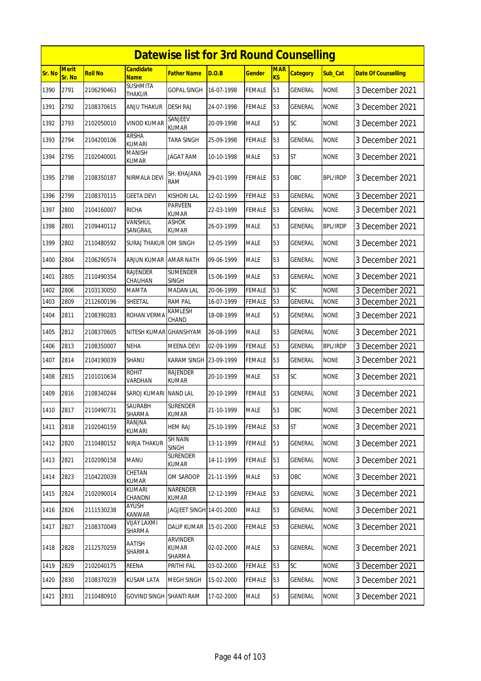|        |                        |                |                                 | <b>Datewise list for 3rd Round Counselling</b> |            |               |                         |                 |                 |                            |
|--------|------------------------|----------------|---------------------------------|------------------------------------------------|------------|---------------|-------------------------|-----------------|-----------------|----------------------------|
| Sr. No | <b>Merit</b><br>Sr. No | <b>Roll No</b> | <b>Candidate</b><br><b>Name</b> | <b>Father Name</b>                             | D.O.B      | <b>Gender</b> | <b>MAR</b><br><b>KS</b> | <b>Category</b> | Sub Cat         | <b>Date Of Counselling</b> |
| 1390   | 2791                   | 2106290463     | <b>SUSHMITA</b><br>THAKUR       | <b>GOPAL SINGH</b>                             | 16-07-1998 | <b>FEMALE</b> | 53                      | GENERAL         | <b>NONE</b>     | 3 December 2021            |
| 1391   | 2792                   | 2108370615     | ANJU THAKUR                     | <b>DESH RAJ</b>                                | 24-07-1998 | <b>FEMALE</b> | 53                      | GENERAL         | <b>NONE</b>     | 3 December 2021            |
| 1392   | 2793                   | 2102050010     | VINOD KUMAR                     | SANJEEV<br><b>KUMAR</b>                        | 20-09-1998 | <b>MALE</b>   | 53                      | SC              | <b>NONE</b>     | 3 December 2021            |
| 1393   | 2794                   | 2104200106     | <b>ARSHA</b><br><b>KUMARI</b>   | <b>TARA SINGH</b>                              | 25-09-1998 | <b>FEMALE</b> | 53                      | <b>GENERAL</b>  | <b>NONE</b>     | 3 December 2021            |
| 1394   | 2795                   | 2102040001     | <b>MANISH</b><br>KUMAR          | JAGAT RAM                                      | 10-10-1998 | <b>MALE</b>   | 53                      | <b>ST</b>       | <b>NONE</b>     | 3 December 2021            |
| 1395   | 2798                   | 2108350187     | NIRMALA DEVI                    | SH. KHAJANA<br><b>RAM</b>                      | 29-01-1999 | <b>FEMALE</b> | 53                      | <b>OBC</b>      | <b>BPL/IRDP</b> | 3 December 2021            |
| 1396   | 2799                   | 2108370115     | <b>GEETA DEVI</b>               | <b>KISHORI LAL</b>                             | 12-02-1999 | <b>FEMALE</b> | 53                      | GENERAL         | <b>NONE</b>     | 3 December 2021            |
| 1397   | 2800                   | 2104160007     | <b>RICHA</b>                    | PARVEEN<br><b>KUMAR</b>                        | 22-03-1999 | <b>FEMALE</b> | 53                      | GENERAL         | <b>NONE</b>     | 3 December 2021            |
| 1398   | 2801                   | 2109440112     | VANSHUL<br>SANGRAIL             | <b>ASHOK</b><br><b>KUMAR</b>                   | 26-03-1999 | <b>MALE</b>   | 53                      | <b>GENERAL</b>  | <b>BPL/IRDP</b> | 3 December 2021            |
| 1399   | 2802                   | 2110480592     | SURAJ THAKUR OM SINGH           |                                                | 12-05-1999 | <b>MALE</b>   | 53                      | GENERAL         | <b>NONE</b>     | 3 December 2021            |
| 1400   | 2804                   | 2106290574     | ARJUN KUMAR                     | <b>AMAR NATH</b>                               | 09-06-1999 | <b>MALE</b>   | 53                      | GENERAL         | <b>NONE</b>     | 3 December 2021            |
| 1401   | 2805                   | 2110490354     | <b>RAJENDER</b><br>CHAUHAN      | <b>SUMENDER</b><br><b>SINGH</b>                | 15-06-1999 | <b>MALE</b>   | 53                      | GENERAL         | <b>NONE</b>     | 3 December 2021            |
| 1402   | 2806                   | 2103130050     | MAMTA                           | <b>MADAN LAL</b>                               | 20-06-1999 | <b>FEMALE</b> | 53                      | SC              | <b>NONE</b>     | 3 December 2021            |
| 1403   | 2809                   | 2112600196     | SHEETAL                         | <b>RAM PAL</b>                                 | 16-07-1999 | <b>FEMALE</b> | 53                      | GENERAL         | <b>NONE</b>     | 3 December 2021            |
| 1404   | 2811                   | 2108390283     | ROHAN VERMA                     | KAMLESH<br>CHAND                               | 18-08-1999 | <b>MALE</b>   | 53                      | GENERAL         | <b>NONE</b>     | 3 December 2021            |
| 1405   | 2812                   | 2108370605     | NITESH KUMAR GHANSHYAM          |                                                | 26-08-1999 | <b>MALE</b>   | 53                      | GENERAL         | <b>NONE</b>     | 3 December 2021            |
| 1406   | 2813                   | 2108350007     | <b>NEHA</b>                     | <b>MEENA DEVI</b>                              | 02-09-1999 | <b>FEMALE</b> | 53                      | GENERAL         | <b>BPL/IRDP</b> | 3 December 2021            |
| 1407   | 2814                   | 2104190039     | SHANU                           | KARAM SINGH 23-09-1999                         |            | <b>FEMALE</b> | 53                      | GENERAL         | <b>NONE</b>     | 3 December 2021            |
| 1408   | 2815                   | 2101010634     | <b>ROHIT</b><br>VARDHAN         | <b>RAJENDER</b><br><b>KUMAR</b>                | 20-10-1999 | <b>MALE</b>   | 53                      | <b>SC</b>       | <b>NONE</b>     | 3 December 2021            |
| 1409   | 2816                   | 2108340244     | SAROJ KUMARI                    | <b>NAND LAL</b>                                | 20-10-1999 | <b>FEMALE</b> | 53                      | GENERAL         | <b>NONE</b>     | 3 December 2021            |
| 1410   | 2817                   | 2110490731     | <b>SAURABH</b><br>SHARMA        | <b>SURENDER</b><br>KUMAR                       | 21-10-1999 | <b>MALE</b>   | 53                      | OBC             | <b>NONE</b>     | 3 December 2021            |
| 1411   | 2818                   | 2102040159     | RANJNA<br>KUMARI                | <b>HEM RAJ</b>                                 | 25-10-1999 | <b>FEMALE</b> | 53                      | <b>ST</b>       | <b>NONE</b>     | 3 December 2021            |
| 1412   | 2820                   | 2110480152     | NIRJA THAKUR                    | <b>SH NAIN</b><br><b>SINGH</b>                 | 13-11-1999 | <b>FEMALE</b> | 53                      | <b>GENERAL</b>  | <b>NONE</b>     | 3 December 2021            |
| 1413   | 2821                   | 2102090158     | <b>MANU</b>                     | <b>SURENDER</b><br>KUMAR                       | 14-11-1999 | <b>FEMALE</b> | 53                      | GENERAL         | <b>NONE</b>     | 3 December 2021            |
| 1414   | 2823                   | 2104220039     | CHETAN<br>KUMAR                 | OM SAROOP                                      | 21-11-1999 | <b>MALE</b>   | 53                      | OBC             | <b>NONE</b>     | 3 December 2021            |
| 1415   | 2824                   | 2102090014     | KUMARI<br>CHANDNI               | NARENDER<br><b>KUMAR</b>                       | 12-12-1999 | <b>FEMALE</b> | 53                      | <b>GENERAL</b>  | <b>NONE</b>     | 3 December 2021            |
| 1416   | 2826                   | 2111530238     | AYUSH<br><b>KANWAR</b>          | JAGJEET SINGH 14-01-2000                       |            | <b>MALE</b>   | 53                      | GENERAL         | <b>NONE</b>     | 3 December 2021            |
| 1417   | 2827                   | 2108370049     | VIJAY LAXMI<br>SHARMA           | <b>DALIP KUMAR</b>                             | 15-01-2000 | FEMALE        | 53                      | GENERAL         | <b>NONE</b>     | 3 December 2021            |
| 1418   | 2828                   | 2112570259     | AATISH<br>SHARMA                | <b>ARVINDER</b><br><b>KUMAR</b><br>SHARMA      | 02-02-2000 | <b>MALE</b>   | 53                      | <b>GENERAL</b>  | <b>NONE</b>     | 3 December 2021            |
| 1419   | 2829                   | 2102040175     | REENA                           | PRITHI PAL                                     | 03-02-2000 | FEMALE        | 53                      | <b>SC</b>       | <b>NONE</b>     | 3 December 2021            |
| 1420   | 2830                   | 2108370239     | <b>KUSAM LATA</b>               | <b>MEGH SINGH</b>                              | 15-02-2000 | <b>FEMALE</b> | 53                      | <b>GENERAL</b>  | <b>NONE</b>     | 3 December 2021            |
| 1421   | 2831                   | 2110480910     | <b>GOVIND SINGH SHANTI RAM</b>  |                                                | 17-02-2000 | <b>MALE</b>   | 53                      | GENERAL         | <b>NONE</b>     | 3 December 2021            |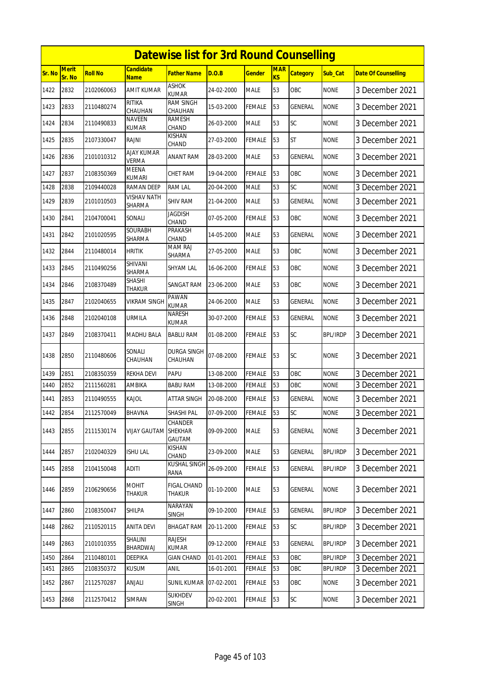|               |                 |                |                                 | <b>Datewise list for 3rd Round Counselling</b> |            |               |                              |                 |                 |                            |
|---------------|-----------------|----------------|---------------------------------|------------------------------------------------|------------|---------------|------------------------------|-----------------|-----------------|----------------------------|
| <b>Sr. No</b> | Merit<br>Sr. No | <b>Roll No</b> | <b>Candidate</b><br><u>Name</u> | <b>Father Name</b>                             | D.O.B      | <b>Gender</b> | <b>MAR</b><br>K <sub>S</sub> | <b>Category</b> | Sub_Cat         | <b>Date Of Counselling</b> |
| 1422          | 2832            | 2102060063     | AMIT KUMAR                      | <b>ASHOK</b><br><b>KUMAR</b>                   | 24-02-2000 | <b>MALE</b>   | 53                           | <b>OBC</b>      | <b>NONE</b>     | 3 December 2021            |
| 1423          | 2833            | 2110480274     | RITIKA<br>CHAUHAN               | RAM SINGH<br>CHAUHAN                           | 15-03-2000 | <b>FEMALE</b> | 53                           | GENERAL         | none            | 3 December 2021            |
| 1424          | 2834            | 2110490833     | <b>NAVEEN</b><br>KUMAR          | <b>RAMESH</b><br>CHAND                         | 26-03-2000 | <b>MALE</b>   | 53                           | SC              | <b>NONE</b>     | 3 December 2021            |
| 1425          | 2835            | 2107330047     | RAJNI                           | KISHAN<br>CHAND                                | 27-03-2000 | <b>FEMALE</b> | 53                           | <b>ST</b>       | <b>NONE</b>     | 3 December 2021            |
| 1426          | 2836            | 2101010312     | AJAY KUMAR<br>VERMA             | <b>ANANT RAM</b>                               | 28-03-2000 | <b>MALE</b>   | 53                           | GENERAL         | <b>NONE</b>     | 3 December 2021            |
| 1427          | 2837            | 2108350369     | <b>MEENA</b><br><b>KUMARI</b>   | CHET RAM                                       | 19-04-2000 | <b>FEMALE</b> | 53                           | OBC             | <b>NONE</b>     | 3 December 2021            |
| 1428          | 2838            | 2109440028     | RAMAN DEEP                      | <b>RAM LAL</b>                                 | 20-04-2000 | <b>MALE</b>   | 53                           | SC              | <b>NONE</b>     | 3 December 2021            |
| 1429          | 2839            | 2101010503     | VISHAV NATH<br>SHARMA           | <b>SHIV RAM</b>                                | 21-04-2000 | <b>MALE</b>   | 53                           | <b>GENERAL</b>  | <b>NONE</b>     | 3 December 2021            |
| 1430          | 2841            | 2104700041     | SONALI                          | JAGDISH<br>CHAND                               | 07-05-2000 | <b>FEMALE</b> | 53                           | OBC             | <b>NONE</b>     | 3 December 2021            |
| 1431          | 2842            | 2101020595     | SOURABH<br>SHARMA               | PRAKASH<br>CHAND                               | 14-05-2000 | <b>MALE</b>   | 53                           | GENERAL         | <b>NONE</b>     | 3 December 2021            |
| 1432          | 2844            | 2110480014     | <b>HRITIK</b>                   | <b>MAM RAJ</b><br>SHARMA                       | 27-05-2000 | <b>MALE</b>   | 53                           | OBC             | <b>NONE</b>     | 3 December 2021            |
| 1433          | 2845            | 2110490256     | SHIVANI<br>SHARMA               | SHYAM LAL                                      | 16-06-2000 | FEMALE        | 53                           | OBC             | <b>NONE</b>     | 3 December 2021            |
| 1434          | 2846            | 2108370489     | <b>SHASHI</b><br><b>THAKUR</b>  | SANGAT RAM                                     | 23-06-2000 | <b>MALE</b>   | 53                           | OBC             | <b>NONE</b>     | 3 December 2021            |
| 1435          | 2847            | 2102040655     | VIKRAM SINGH                    | PAWAN<br><b>KUMAR</b>                          | 24-06-2000 | <b>MALE</b>   | 53                           | <b>GENERAL</b>  | <b>NONE</b>     | 3 December 2021            |
| 1436          | 2848            | 2102040108     | URMILA                          | <b>NARESH</b><br>KUMAR                         | 30-07-2000 | <b>FEMALE</b> | 53                           | <b>GENERAL</b>  | <b>NONE</b>     | 3 December 2021            |
| 1437          | 2849            | 2108370411     | MADHU BALA                      | <b>BABLU RAM</b>                               | 01-08-2000 | FEMALE        | 53                           | SC              | BPL/IRDP        | 3 December 2021            |
| 1438          | 2850            | 2110480606     | SONALI<br>CHAUHAN               | DURGA SINGH<br>CHAUHAN                         | 07-08-2000 | FEMALE        | 53                           | SC              | <b>NONE</b>     | 3 December 2021            |
| 1439          | 2851            | 2108350359     | <b>REKHA DEVI</b>               | PAPU                                           | 13-08-2000 | <b>FEMALE</b> | 53                           | OBC             | <b>NONE</b>     | 3 December 2021            |
| 1440          | 2852            | 2111560281     | AMBIKA                          | <b>BABU RAM</b>                                | 13-08-2000 | FEMALE        | 53                           | OBC             | <b>NONE</b>     | 3 December 2021            |
| 1441          | 2853            | 2110490555     | Kajol                           | ATTAR SINGH                                    | 20-08-2000 | <b>FEMALE</b> | 53                           | GENERAL         | <b>NONE</b>     | 3 December 2021            |
| 1442          | 2854            | 2112570049     | <b>BHAVNA</b>                   | SHASHI PAL                                     | 07-09-2000 | <b>FEMALE</b> | 53                           | SC              | <b>NONE</b>     | 3 December 2021            |
| 1443          | 2855            | 2111530174     | <b>VIJAY GAUTAM SHEKHAR</b>     | <b>CHANDER</b><br>GAUTAM                       | 09-09-2000 | <b>MALE</b>   | 53                           | <b>GENERAL</b>  | <b>NONE</b>     | 3 December 2021            |
| 1444          | 2857            | 2102040329     | <b>ISHU LAL</b>                 | KISHAN<br>CHAND                                | 23-09-2000 | <b>MALE</b>   | 53                           | GENERAL         | <b>BPL/IRDP</b> | 3 December 2021            |
| 1445          | 2858            | 2104150048     | ADITI                           | <b>KUSHAL SINGH</b><br>RANA                    | 26-09-2000 | <b>FEMALE</b> | 53                           | GENERAL         | <b>BPL/IRDP</b> | 3 December 2021            |
| 1446          | 2859            | 2106290656     | MOHIT<br>THAKUR                 | <b>FIGAL CHAND</b><br>THAKUR                   | 01-10-2000 | <b>MALE</b>   | 53                           | <b>GENERAL</b>  | <b>NONE</b>     | 3 December 2021            |
| 1447          | 2860            | 2108350047     | Shilpa                          | NARAYAN<br><b>SINGH</b>                        | 09-10-2000 | <b>FEMALE</b> | 53                           | GENERAL         | <b>BPL/IRDP</b> | 3 December 2021            |
| 1448          | 2862            | 2110520115     | <b>ANITA DEVI</b>               | <b>BHAGAT RAM</b>                              | 20-11-2000 | <b>FEMALE</b> | 53                           | <b>SC</b>       | <b>BPL/IRDP</b> | 3 December 2021            |
| 1449          | 2863            | 2101010355     | SHALINI<br>BHARDWAJ             | <b>RAJESH</b><br><b>KUMAR</b>                  | 09-12-2000 | <b>FEMALE</b> | 53                           | GENERAL         | <b>BPL/IRDP</b> | 3 December 2021            |
| 1450          | 2864            | 2110480101     | DEEPIKA                         | <b>GIAN CHAND</b>                              | 01-01-2001 | <b>FEMALE</b> | 53                           | OBC             | <b>BPL/IRDP</b> | 3 December 2021            |
| 1451          | 2865            | 2108350372     | KUSUM                           | anil                                           | 16-01-2001 | <b>FEMALE</b> | 53                           | OBC             | <b>BPL/IRDP</b> | 3 December 2021            |
| 1452          | 2867            | 2112570287     | anjali                          | <b>SUNIL KUMAR</b>                             | 07-02-2001 | <b>FEMALE</b> | 53                           | OBC             | <b>NONE</b>     | 3 December 2021            |
| 1453          | 2868            | 2112570412     | SIMRAN                          | <b>SUKHDEV</b><br><b>SINGH</b>                 | 20-02-2001 | <b>FEMALE</b> | 53                           | SC              | <b>NONE</b>     | 3 December 2021            |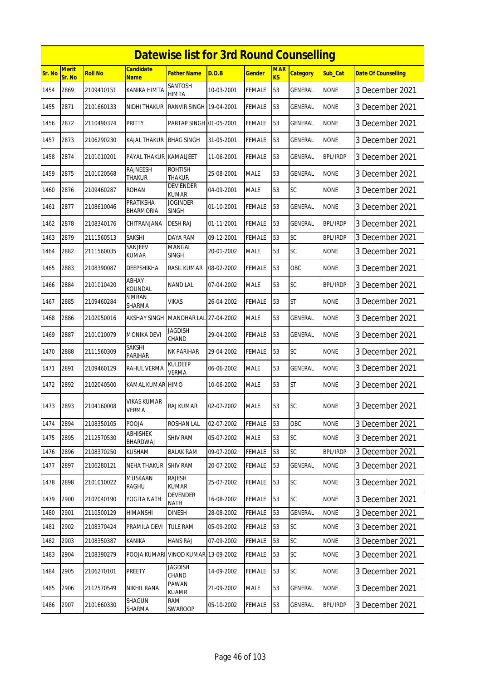|        |                        |                |                                     | <b>Datewise list for 3rd Round Counselling</b> |            |               |                              |                 |                 |                            |
|--------|------------------------|----------------|-------------------------------------|------------------------------------------------|------------|---------------|------------------------------|-----------------|-----------------|----------------------------|
| Sr. No | <b>Merit</b><br>Sr. No | <b>Roll No</b> | <b>Candidate</b><br><b>Name</b>     | Father Name                                    | D.O.B      | <b>Gender</b> | <b>MAR</b><br>K <sub>S</sub> | <b>Category</b> | Sub Cat         | <b>Date Of Counselling</b> |
| 1454   | 2869                   | 2109410151     | <b>KANIKA HIMTA</b>                 | SANTOSH<br><b>HIMTA</b>                        | 10-03-2001 | <b>FEMALE</b> | 53                           | <b>GENERAL</b>  | <b>NONE</b>     | 3 December 2021            |
| 1455   | 2871                   | 2101660133     | NIDHI THAKUR                        | RANVIR SINGH 19-04-2001                        |            | <b>FEMALE</b> | 53                           | GENERAL         | <b>NONE</b>     | 3 December 2021            |
| 1456   | 2872                   | 2110490374     | <b>PRITTY</b>                       | PARTAP SINGH 01-05-2001                        |            | FEMALE        | 53                           | GENERAL         | <b>NONE</b>     | 3 December 2021            |
| 1457   | 2873                   | 2106290230     | KAJAL THAKUR                        | <b>BHAG SINGH</b>                              | 31-05-2001 | <b>FEMALE</b> | 53                           | GENERAL         | <b>NONE</b>     | 3 December 2021            |
| 1458   | 2874                   | 2101010201     | PAYAL THAKUR KAMALJEET              |                                                | 11-06-2001 | <b>FEMALE</b> | 53                           | <b>GENERAL</b>  | <b>BPL/IRDP</b> | 3 December 2021            |
| 1459   | 2875                   | 2101020568     | RAJNEESH<br><b>THAKUR</b>           | <b>ROHTISH</b><br><b>THAKUR</b>                | 25-08-2001 | <b>MALE</b>   | 53                           | GENERAL         | <b>NONE</b>     | 3 December 2021            |
| 1460   | 2876                   | 2109460287     | ROHAN                               | <b>DEVIENDER</b><br><b>KUMAR</b>               | 04-09-2001 | <b>MALE</b>   | 53                           | SC              | <b>NONE</b>     | 3 December 2021            |
| 1461   | 2877                   | 2108610046     | PRATIKSHA<br><b>BHARMORIA</b>       | <b>JOGINDER</b><br><b>SINGH</b>                | 01-10-2001 | <b>FEMALE</b> | 53                           | GENERAL         | <b>NONE</b>     | 3 December 2021            |
| 1462   | 2878                   | 2108340176     | CHITRANJANA                         | <b>DESH RAJ</b>                                | 01-11-2001 | <b>FEMALE</b> | 53                           | GENERAL         | <b>BPL/IRDP</b> | 3 December 2021            |
| 1463   | 2879                   | 2111560513     | SAKSHI                              | DAYA RAM                                       | 09-12-2001 | <b>FEMALE</b> | 53                           | SC              | <b>BPL/IRDP</b> | 3 December 2021            |
| 1464   | 2882                   | 2111560035     | SANJEEV<br><b>KUMAR</b>             | MANGAL<br><b>SINGH</b>                         | 20-01-2002 | <b>MALE</b>   | 53                           | SC              | <b>NONE</b>     | 3 December 2021            |
| 1465   | 2883                   | 2108390087     | DEEPSHIKHA                          | <b>RASIL KUMAR</b>                             | 08-02-2002 | <b>FEMALE</b> | 53                           | <b>OBC</b>      | <b>NONE</b>     | 3 December 2021            |
| 1466   | 2884                   | 2101010420     | ABHAY<br>KOUNDAL                    | <b>NAND LAL</b>                                | 07-04-2002 | <b>MALE</b>   | 53                           | SC              | <b>BPL/IRDP</b> | 3 December 2021            |
| 1467   | 2885                   | 2109460284     | SIMRAN<br>SHARMA                    | VIKAS                                          | 26-04-2002 | <b>FEMALE</b> | 53                           | <b>ST</b>       | <b>NONE</b>     | 3 December 2021            |
| 1468   | 2886                   | 2102050016     | <b>AKSHAY SINGH</b>                 | <b>MANOHAR LAL</b>                             | 27-04-2002 | <b>MALE</b>   | 53                           | GENERAL         | <b>NONE</b>     | 3 December 2021            |
| 1469   | 2887                   | 2101010079     | <b>MONIKA DEVI</b>                  | JAGDISH<br>CHAND                               | 29-04-2002 | <b>FEMALE</b> | 53                           | GENERAL         | <b>NONE</b>     | 3 December 2021            |
| 1470   | 2888                   | 2111560309     | SAKSHI<br>PARIHAR                   | <b>NK PARIHAR</b>                              | 29-04-2002 | FEMALE        | 53                           | SC              | <b>NONE</b>     | 3 December 2021            |
| 1471   | 2891                   | 2109460129     | <b>RAHUL VERMA</b>                  | <b>KULDEEP</b><br><b>VERMA</b>                 | 06-06-2002 | <b>MALE</b>   | 53                           | <b>GENERAL</b>  | <b>NONE</b>     | 3 December 2021            |
| 1472   | 2892                   | 2102040500     | KAMAL KUMAR HIMO                    |                                                | 10-06-2002 | <b>MALE</b>   | 53                           | <b>ST</b>       | <b>NONE</b>     | 3 December 2021            |
| 1473   | 2893                   | 2104160008     | VIKAS KUMAR<br><b>VERMA</b>         | <b>RAJ KUMAR</b>                               | 02-07-2002 | <b>MALE</b>   | 53                           | <b>SC</b>       | <b>NONE</b>     | 3 December 2021            |
| 1474   | 2894                   | 2108350105     | POOJA                               | ROSHAN LAL                                     | 02-07-2002 | FEMALE        | 53                           | OBC             | <b>NONE</b>     | 3 December 2021            |
| 1475   | 2895                   | 2112570530     | <b>ABHISHEK</b><br>BHARDWAJ         | <b>SHIV RAM</b>                                | 05-07-2002 | <b>MALE</b>   | 53                           | <b>SC</b>       | <b>NONE</b>     | 3 December 2021            |
| 1476   | 2896                   | 2108370250     | KUSHAM                              | BALAK RAM                                      | 09-07-2002 | <b>FEMALE</b> | 53                           | SC              | <b>BPL/IRDP</b> | 3 December 2021            |
| 1477   | 2897                   | 2106280121     | <b>NEHA THAKUR</b>                  | <b>SHIV RAM</b>                                | 20-07-2002 | <b>FEMALE</b> | 53                           | GENERAL         | <b>NONE</b>     | 3 December 2021            |
| 1478   | 2898                   | 2101010022     | <b>MUSKAAN</b><br>RAGHU             | RAJESH<br><b>KUMAR</b>                         | 25-07-2002 | FEMALE        | 53                           | SC              | <b>NONE</b>     | 3 December 2021            |
| 1479   | 2900                   | 2102040190     | YOGITA NATH                         | <b>DEVENDER</b><br><b>NATH</b>                 | 16-08-2002 | <b>FEMALE</b> | 53                           | <b>SC</b>       | <b>NONE</b>     | 3 December 2021            |
| 1480   | 2901                   | 2110500129     | HIMANSHI                            | <b>DINESH</b>                                  | 28-08-2002 | <b>FEMALE</b> | 53                           | <b>GENERAL</b>  | <b>NONE</b>     | 3 December 2021            |
| 1481   | 2902                   | 2108370424     | PRAMILA DEVI                        | TULE RAM                                       | 05-09-2002 | <b>FEMALE</b> | 53                           | SC              | <b>NONE</b>     | 3 December 2021            |
| 1482   | 2903                   | 2108350387     | KANIKA                              | <b>HANS RAJ</b>                                | 07-09-2002 | <b>FEMALE</b> | 53                           | SC              | <b>NONE</b>     | 3 December 2021            |
| 1483   | 2904                   | 2108390279     | POOJA KUMARI VINOD KUMAR 13-09-2002 |                                                |            | FEMALE        | 53                           | SC              | <b>NONE</b>     | 3 December 2021            |
| 1484   | 2905                   | 2106270101     | PREETY                              | JAGDISH<br>CHAND                               | 14-09-2002 | <b>FEMALE</b> | 53                           | <b>SC</b>       | <b>NONE</b>     | 3 December 2021            |
| 1485   | 2906                   | 2112570549     | NIKHIL RANA                         | PAWAN<br><b>KUAMR</b>                          | 21-09-2002 | <b>MALE</b>   | 53                           | GENERAL         | <b>NONE</b>     | 3 December 2021            |
| 1486   | 2907                   | 2101660330     | SHAGUN<br>SHARMA                    | <b>RAM</b><br>SWAROOP                          | 05-10-2002 | <b>FEMALE</b> | 53                           | GENERAL         | <b>BPL/IRDP</b> | 3 December 2021            |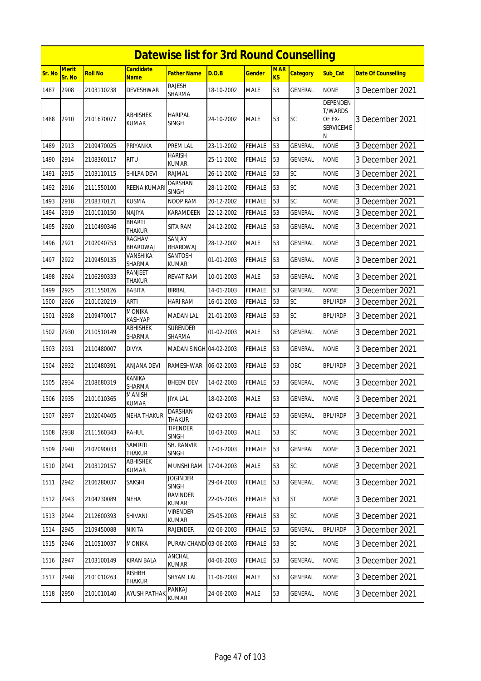|        |                        |                |                                 | <b>Datewise list for 3rd Round Counselling</b> |            |               |                  |                 |                                                               |                            |
|--------|------------------------|----------------|---------------------------------|------------------------------------------------|------------|---------------|------------------|-----------------|---------------------------------------------------------------|----------------------------|
| Sr. No | <b>Merit</b><br>Sr. No | <b>Roll No</b> | Candidate<br><b>Name</b>        | <b>Father Name</b>                             | D.O.B      | Gender        | <b>MAR</b><br>KS | <b>Category</b> | Sub Cat                                                       | <b>Date Of Counselling</b> |
| 1487   | 2908                   | 2103110238     | DEVESHWAR                       | <b>RAJESH</b><br>SHARMA                        | 18-10-2002 | <b>MALE</b>   | 53               | <b>GENERAL</b>  | <b>NONE</b>                                                   | 3 December 2021            |
| 1488   | 2910                   | 2101670077     | <b>ABHISHEK</b><br><b>KUMAR</b> | <b>HARIPAL</b><br><b>SINGH</b>                 | 24-10-2002 | <b>MALE</b>   | 53               | <b>SC</b>       | DEPENDEN<br><b>T/WARDS</b><br>OF EX-<br><b>SERVICEME</b><br>N | 3 December 2021            |
| 1489   | 2913                   | 2109470025     | PRIYANKA                        | <b>PREM LAL</b>                                | 23-11-2002 | <b>FEMALE</b> | 53               | <b>GENERAL</b>  | <b>NONE</b>                                                   | 3 December 2021            |
| 1490   | 2914                   | 2108360117     | <b>RITU</b>                     | <b>HARISH</b><br><b>KUMAR</b>                  | 25-11-2002 | <b>FEMALE</b> | 53               | <b>GENERAL</b>  | <b>NONE</b>                                                   | 3 December 2021            |
| 1491   | 2915                   | 2103110115     | SHILPA DEVI                     | <b>RAJMAL</b>                                  | 26-11-2002 | <b>FEMALE</b> | 53               | SC              | <b>NONE</b>                                                   | 3 December 2021            |
| 1492   | 2916                   | 2111550100     | REENA KUMAR                     | <b>DARSHAN</b><br><b>SINGH</b>                 | 28-11-2002 | FEMALE        | 53               | SC              | <b>NONE</b>                                                   | 3 December 2021            |
| 1493   | 2918                   | 2108370171     | <b>KUSMA</b>                    | <b>NOOP RAM</b>                                | 20-12-2002 | FEMALE        | 53               | SC              | <b>NONE</b>                                                   | 3 December 2021            |
| 1494   | 2919                   | 2101010150     | NAJIYA                          | KARAMDEEN                                      | 22-12-2002 | FEMALE        | 53               | <b>GENERAL</b>  | <b>NONE</b>                                                   | 3 December 2021            |
| 1495   | 2920                   | 2110490346     | <b>BHARTI</b><br><b>THAKUR</b>  | <b>SITA RAM</b>                                | 24-12-2002 | <b>FEMALE</b> | 53               | <b>GENERAL</b>  | <b>NONE</b>                                                   | 3 December 2021            |
| 1496   | 2921                   | 2102040753     | RAGHAV<br>BHARDWAJ              | SANJAY<br><b>BHARDWAJ</b>                      | 28-12-2002 | <b>MALE</b>   | 53               | GENERAL         | <b>NONE</b>                                                   | 3 December 2021            |
| 1497   | 2922                   | 2109450135     | <b>VANSHIKA</b><br>SHARMA       | SANTOSH<br><b>KUMAR</b>                        | 01-01-2003 | <b>FEMALE</b> | 53               | GENERAL         | <b>NONE</b>                                                   | 3 December 2021            |
| 1498   | 2924                   | 2106290333     | <b>RANJEET</b><br><b>THAKUR</b> | <b>REVAT RAM</b>                               | 10-01-2003 | <b>MALE</b>   | 53               | <b>GENERAL</b>  | <b>NONE</b>                                                   | 3 December 2021            |
| 1499   | 2925                   | 2111550126     | <b>BABITA</b>                   | <b>BIRBAL</b>                                  | 14-01-2003 | <b>FEMALE</b> | 53               | <b>GENERAL</b>  | <b>NONE</b>                                                   | 3 December 2021            |
| 1500   | 2926                   | 2101020219     | <b>ARTI</b>                     | <b>HARI RAM</b>                                | 16-01-2003 | FEMALE        | 53               | SC              | <b>BPL/IRDP</b>                                               | 3 December 2021            |
| 1501   | 2928                   | 2109470017     | <b>MONIKA</b><br><b>KASHYAP</b> | <b>MADAN LAL</b>                               | 21-01-2003 | FEMALE        | 53               | <b>SC</b>       | <b>BPL/IRDP</b>                                               | 3 December 2021            |
| 1502   | 2930                   | 2110510149     | <b>ABHISHEK</b><br>SHARMA       | <b>SURENDER</b><br>SHARMA                      | 01-02-2003 | <b>MALE</b>   | 53               | <b>GENERAL</b>  | <b>NONE</b>                                                   | 3 December 2021            |
| 1503   | 2931                   | 2110480007     | <b>DIVYA</b>                    | MADAN SINGH 04-02-2003                         |            | FEMALE        | 53               | <b>GENERAL</b>  | <b>NONE</b>                                                   | 3 December 2021            |
| 1504   | 2932                   | 2110480391     | ANJANA DEVI                     | RAMESHWAR                                      | 06-02-2003 | FEMALE        | 53               | OBC             | <b>BPL/IRDP</b>                                               | 3 December 2021            |
| 1505   | 2934                   | 2108680319     | <b>KANIKA</b><br><b>SHARMA</b>  | <b>BHEEM DEV</b>                               | 14-02-2003 | <b>FEMALE</b> | 53               | <b>GENERAL</b>  | <b>NONE</b>                                                   | 3 December 2021            |
| 1506   | 2935                   | 2101010365     | MANISH<br><b>KUMAR</b>          | <b>JIYA LAL</b>                                | 18-02-2003 | <b>MALE</b>   | 53               | <b>GENERAL</b>  | <b>NONE</b>                                                   | 3 December 2021            |
| 1507   | 2937                   | 2102040405     | <b>NEHA THAKUR</b>              | <b>DARSHAN</b><br><b>THAKUR</b>                | 02-03-2003 | <b>FEMALE</b> | 53               | <b>GENERAL</b>  | <b>BPL/IRDP</b>                                               | 3 December 2021            |
| 1508   | 2938                   | 2111560343     | RAHUL                           | TIPENDER<br><b>SINGH</b>                       | 10-03-2003 | <b>MALE</b>   | 53               | <b>SC</b>       | <b>NONE</b>                                                   | 3 December 2021            |
| 1509   | 2940                   | 2102090033     | <b>SAMRITI</b><br><b>THAKUR</b> | SH. RANVIR<br>SINGH                            | 17-03-2003 | <b>FEMALE</b> | 53               | <b>GENERAL</b>  | <b>NONE</b>                                                   | 3 December 2021            |
| 1510   | 2941                   | 2103120157     | ABHISHEK<br>KUMAR               | MUNSHI RAM                                     | 17-04-2003 | <b>MALE</b>   | 53               | <b>SC</b>       | <b>NONE</b>                                                   | 3 December 2021            |
| 1511   | 2942                   | 2106280037     | SAKSHI                          | <b>JOGINDER</b><br><b>SINGH</b>                | 29-04-2003 | <b>FEMALE</b> | 53               | <b>GENERAL</b>  | <b>NONE</b>                                                   | 3 December 2021            |
| 1512   | 2943                   | 2104230089     | <b>NEHA</b>                     | RAVINDER<br><b>KUMAR</b>                       | 22-05-2003 | FEMALE        | 53               | <b>ST</b>       | <b>NONE</b>                                                   | 3 December 2021            |
| 1513   | 2944                   | 2112600393     | SHIVANI                         | <b>VIRENDER</b><br>KUMAR                       | 25-05-2003 | FEMALE        | 53               | <b>SC</b>       | <b>NONE</b>                                                   | 3 December 2021            |
| 1514   | 2945                   | 2109450088     | NIKITA                          | RAJENDER                                       | 02-06-2003 | <b>FEMALE</b> | 53               | <b>GENERAL</b>  | <b>BPL/IRDP</b>                                               | 3 December 2021            |
| 1515   | 2946                   | 2110510037     | MONIKA                          | PURAN CHAND 03-06-2003                         |            | FEMALE        | 53               | <b>SC</b>       | <b>NONE</b>                                                   | 3 December 2021            |
| 1516   | 2947                   | 2103100149     | <b>KIRAN BALA</b>               | ANCHAL<br><b>KUMAR</b>                         | 04-06-2003 | <b>FEMALE</b> | 53               | <b>GENERAL</b>  | <b>NONE</b>                                                   | 3 December 2021            |
| 1517   | 2948                   | 2101010263     | <b>RISHBH</b><br>THAKUR         | SHYAM LAL                                      | 11-06-2003 | <b>MALE</b>   | 53               | GENERAL         | <b>NONE</b>                                                   | 3 December 2021            |
| 1518   | 2950                   | 2101010140     | <b>AYUSH PATHAK</b>             | PANKAJ<br>KUMAR                                | 24-06-2003 | <b>MALE</b>   | 53               | GENERAL         | <b>NONE</b>                                                   | 3 December 2021            |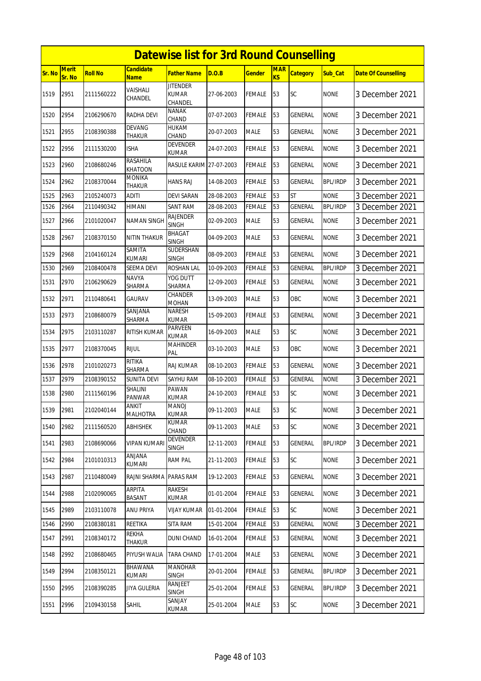|        |                        |                |                                 | <b>Datewise list for 3rd Round Counselling</b> |            |               |                  |                 |                 |                            |
|--------|------------------------|----------------|---------------------------------|------------------------------------------------|------------|---------------|------------------|-----------------|-----------------|----------------------------|
| Sr. No | <b>Merit</b><br>Sr. No | <b>Roll No</b> | Candidate<br><b>Name</b>        | Father Name                                    | D.O.B      | Gender        | <b>MAR</b><br>KS | <b>Category</b> | Sub Cat         | <b>Date Of Counselling</b> |
| 1519   | 2951                   | 2111560222     | VAISHALI<br>CHANDEL             | <b>JITENDER</b><br><b>KUMAR</b><br>CHANDEL     | 27-06-2003 | FEMALE        | 53               | SC              | <b>NONE</b>     | 3 December 2021            |
| 1520   | 2954                   | 2106290670     | <b>RADHA DEVI</b>               | <b>NANAK</b><br>CHAND                          | 07-07-2003 | FEMALE        | 53               | <b>GENERAL</b>  | <b>NONE</b>     | 3 December 2021            |
| 1521   | 2955                   | 2108390388     | <b>DEVANG</b><br><b>THAKUR</b>  | hukam<br>CHAND                                 | 20-07-2003 | MALE          | 53               | GENERAL         | <b>NONE</b>     | 3 December 2021            |
| 1522   | 2956                   | 2111530200     | ISHA                            | <b>DEVENDER</b><br><b>KUMAR</b>                | 24-07-2003 | <b>FEMALE</b> | 53               | GENERAL         | <b>NONE</b>     | 3 December 2021            |
| 1523   | 2960                   | 2108680246     | RASAHILA<br><b>KHATOON</b>      | RASULE KARIM 27-07-2003                        |            | FEMALE        | 53               | GENERAL         | <b>NONE</b>     | 3 December 2021            |
| 1524   | 2962                   | 2108370044     | <b>MONIKA</b><br>THAKUR         | HANS RAJ                                       | 14-08-2003 | FEMALE        | 53               | GENERAL         | <b>BPL/IRDP</b> | 3 December 2021            |
| 1525   | 2963                   | 2105240073     | aditi                           | DEVI SARAN                                     | 28-08-2003 | FEMALE        | 53               | <b>ST</b>       | <b>NONE</b>     | 3 December 2021            |
| 1526   | 2964                   | 2110490342     | HIMANI                          | <b>SANT RAM</b>                                | 28-08-2003 | FEMALE        | 53               | GENERAL         | <b>BPL/IRDP</b> | 3 December 2021            |
| 1527   | 2966                   | 2101020047     | NAMAN SINGH                     | <b>RAJENDER</b><br><b>SINGH</b>                | 02-09-2003 | MALE          | 53               | GENERAL         | <b>NONE</b>     | 3 December 2021            |
| 1528   | 2967                   | 2108370150     | <b>NITIN THAKUR</b>             | BHAGAT<br><b>SINGH</b>                         | 04-09-2003 | <b>MALE</b>   | 53               | GENERAL         | <b>NONE</b>     | 3 December 2021            |
| 1529   | 2968                   | 2104160124     | SAMITA<br><b>KUMARI</b>         | SUDERSHAN<br><b>SINGH</b>                      | 08-09-2003 | FEMALE        | 53               | GENERAL         | <b>NONE</b>     | 3 December 2021            |
| 1530   | 2969                   | 2108400478     | SEEMA DEVI                      | <b>ROSHAN LAL</b>                              | 10-09-2003 | <b>FEMALE</b> | 53               | GENERAL         | <b>BPL/IRDP</b> | 3 December 2021            |
| 1531   | 2970                   | 2106290629     | <b>NAVYA</b><br>SHARMA          | YOG DUTT<br>SHARMA                             | 12-09-2003 | FEMALE        | 53               | GENERAL         | <b>NONE</b>     | 3 December 2021            |
| 1532   | 2971                   | 2110480641     | <b>GAURAV</b>                   | <b>CHANDER</b><br><b>MOHAN</b>                 | 13-09-2003 | <b>MALE</b>   | 53               | OBC             | <b>NONE</b>     | 3 December 2021            |
| 1533   | 2973                   | 2108680079     | SANJANA<br>SHARMA               | <b>NARESH</b><br>KUMAR                         | 15-09-2003 | <b>FEMALE</b> | 53               | <b>GENERAL</b>  | <b>NONE</b>     | 3 December 2021            |
| 1534   | 2975                   | 2103110287     | RITISH KUMAR                    | PARVEEN<br>KUMAR                               | 16-09-2003 | <b>MALE</b>   | 53               | <b>SC</b>       | <b>NONE</b>     | 3 December 2021            |
| 1535   | 2977                   | 2108370045     | <b>RIJUL</b>                    | <b>MAHINDER</b><br>PAL                         | 03-10-2003 | MALE          | 53               | OBC             | <b>NONE</b>     | 3 December 2021            |
| 1536   | 2978                   | 2101020273     | <b>RITIKA</b><br>SHARMA         | RAJ KUMAR                                      | 08-10-2003 | FEMALE        | 53               | GENERAL         | <b>NONE</b>     | 3 December 2021            |
| 1537   | 2979                   | 2108390152     | <b>SUNITA DEVI</b>              | SAYHU RAM                                      | 08-10-2003 | FEMALE        | 53               | GENERAL         | <b>NONE</b>     | 3 December 2021            |
| 1538   | 2980                   | 2111560196     | <b>SHALINI</b><br><b>PANWAR</b> | PAWAN<br><b>KUMAR</b>                          | 24-10-2003 | FEMALE        | 53               | SC              | <b>NONE</b>     | 3 December 2021            |
| 1539   | 2981                   | 2102040144     | <b>ANKIT</b><br><b>MALHOTRA</b> | <b>MANOJ</b><br>kumar                          | 09-11-2003 | <b>MALE</b>   | 53               | <b>SC</b>       | <b>NONE</b>     | 3 December 2021            |
| 1540   | 2982                   | 2111560520     | ABHISHEK                        | KUMAR<br>CHAND                                 | 09-11-2003 | MALE          | 53               | <b>SC</b>       | <b>NONE</b>     | 3 December 2021            |
| 1541   | 2983                   | 2108690066     | VIPAN KUMARI                    | <b>DEVENDER</b><br>SINGH                       | 12-11-2003 | FEMALE        | 53               | GENERAL         | <b>BPL/IRDP</b> | 3 December 2021            |
| 1542   | 2984                   | 2101010313     | ANJANA<br>KUMARI                | <b>RAM PAL</b>                                 | 21-11-2003 | <b>FEMALE</b> | 53               | <b>SC</b>       | <b>NONE</b>     | 3 December 2021            |
| 1543   | 2987                   | 2110480049     | RAJNI SHARMA                    | PARAS RAM                                      | 19-12-2003 | <b>FEMALE</b> | 53               | <b>GENERAL</b>  | <b>NONE</b>     | 3 December 2021            |
| 1544   | 2988                   | 2102090065     | ARPITA<br>BASANT                | <b>RAKESH</b><br><b>KUMAR</b>                  | 01-01-2004 | FEMALE        | 53               | <b>GENERAL</b>  | <b>NONE</b>     | 3 December 2021            |
| 1545   | 2989                   | 2103110078     | ANU PRIYA                       | VIJAY KUMAR                                    | 01-01-2004 | FEMALE        | 53               | <b>SC</b>       | <b>NONE</b>     | 3 December 2021            |
| 1546   | 2990                   | 2108380181     | REETIKA                         | <b>SITA RAM</b>                                | 15-01-2004 | <b>FEMALE</b> | 53               | <b>GENERAL</b>  | <b>NONE</b>     | 3 December 2021            |
| 1547   | 2991                   | 2108340172     | REKHA<br>THAKUR                 | <b>DUNI CHAND</b>                              | 16-01-2004 | FEMALE        | 53               | GENERAL         | <b>NONE</b>     | 3 December 2021            |
| 1548   | 2992                   | 2108680465     | PIYUSH WALIA                    | TARA CHAND                                     | 17-01-2004 | MALE          | 53               | GENERAL         | <b>NONE</b>     | 3 December 2021            |
| 1549   | 2994                   | 2108350121     | BHAWANA<br>KUMARI               | <b>MANOHAR</b><br><b>SINGH</b>                 | 20-01-2004 | <b>FEMALE</b> | 53               | <b>GENERAL</b>  | <b>BPL/IRDP</b> | 3 December 2021            |
| 1550   | 2995                   | 2108390285     | JIYA GULERIA                    | RANJEET<br>SINGH                               | 25-01-2004 | FEMALE        | 53               | GENERAL         | <b>BPL/IRDP</b> | 3 December 2021            |
| 1551   | 2996                   | 2109430158     | SAHIL                           | SANJAY<br>KUMAR                                | 25-01-2004 | <b>MALE</b>   | 53               | SC              | <b>NONE</b>     | 3 December 2021            |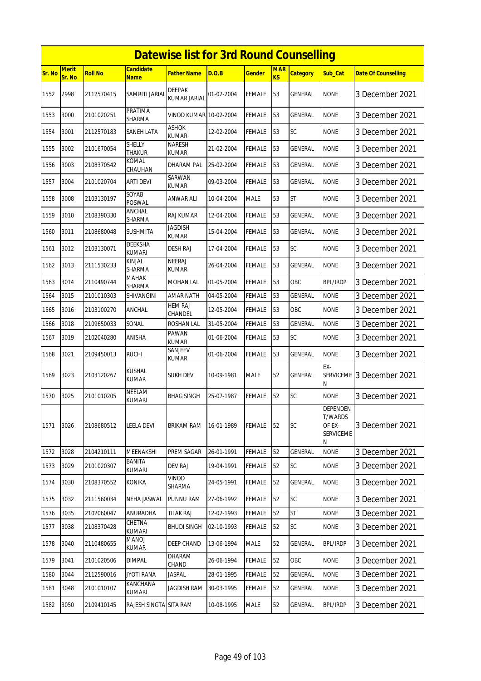|               | <b>Datewise list for 3rd Round Counselling</b> |                |                                 |                                |            |               |                  |                 |                                                               |                            |  |
|---------------|------------------------------------------------|----------------|---------------------------------|--------------------------------|------------|---------------|------------------|-----------------|---------------------------------------------------------------|----------------------------|--|
| <b>Sr. No</b> | <b>Merit</b><br>Sr. No                         | <b>Roll No</b> | <b>Candidate</b><br>Name        | Father Name                    | D.O.B      | Gender        | <b>MAR</b><br>KS | <b>Category</b> | <b>Sub Cat</b>                                                | <b>Date Of Counselling</b> |  |
| 1552          | 2998                                           | 2112570415     | SAMRITI JARIAL                  | <b>DEEPAK</b><br>KUMAR JARIAI  | 01-02-2004 | <b>FEMALE</b> | 53               | <b>GENERAL</b>  | <b>NONE</b>                                                   | 3 December 2021            |  |
| 1553          | 3000                                           | 2101020251     | PRATIMA<br>SHARMA               | VINOD KUMAR 10-02-2004         |            | FEMALE        | 53               | <b>GENERAL</b>  | <b>NONE</b>                                                   | 3 December 2021            |  |
| 1554          | 3001                                           | 2112570183     | SANEH LATA                      | ASHOK<br><b>KUMAR</b>          | 12-02-2004 | FEMALE        | 53               | <b>SC</b>       | <b>NONE</b>                                                   | 3 December 2021            |  |
| 1555          | 3002                                           | 2101670054     | <b>SHELLY</b><br><b>THAKUR</b>  | <b>NARESH</b><br><b>KUMAR</b>  | 21-02-2004 | FEMALE        | 53               | <b>GENERAL</b>  | <b>NONE</b>                                                   | 3 December 2021            |  |
| 1556          | 3003                                           | 2108370542     | KOMAL<br>CHAUHAN                | DHARAM PAL                     | 25-02-2004 | <b>FEMALE</b> | 53               | GENERAL         | <b>NONE</b>                                                   | 3 December 2021            |  |
| 1557          | 3004                                           | 2101020704     | <b>ARTI DEVI</b>                | SARWAN<br>KUMAR                | 09-03-2004 | FEMALE        | 53               | <b>GENERAL</b>  | <b>NONE</b>                                                   | 3 December 2021            |  |
| 1558          | 3008                                           | 2103130197     | SOYAB<br><b>POSWAL</b>          | <b>ANWAR ALI</b>               | 10-04-2004 | <b>MALE</b>   | 53               | <b>ST</b>       | <b>NONE</b>                                                   | 3 December 2021            |  |
| 1559          | 3010                                           | 2108390330     | ANCHAL<br>SHARMA                | <b>RAJ KUMAR</b>               | 12-04-2004 | FEMALE        | 53               | GENERAL         | <b>NONE</b>                                                   | 3 December 2021            |  |
| 1560          | 3011                                           | 2108680048     | <b>SUSHMITA</b>                 | <b>JAGDISH</b><br><b>KUMAR</b> | 15-04-2004 | FEMALE        | 53               | <b>GENERAL</b>  | <b>NONE</b>                                                   | 3 December 2021            |  |
| 1561          | 3012                                           | 2103130071     | <b>DEEKSHA</b><br><b>KUMARI</b> | <b>DESH RAJ</b>                | 17-04-2004 | FEMALE        | 53               | SC              | <b>NONE</b>                                                   | 3 December 2021            |  |
| 1562          | 3013                                           | 2111530233     | KINJAL<br>SHARMA                | <b>NEERAJ</b><br><b>KUMAR</b>  | 26-04-2004 | <b>FEMALE</b> | 53               | <b>GENERAL</b>  | <b>NONE</b>                                                   | 3 December 2021            |  |
| 1563          | 3014                                           | 2110490744     | MAHAK<br>SHARMA                 | MOHAN LAL                      | 01-05-2004 | FEMALE        | 53               | OBC             | <b>BPL/IRDP</b>                                               | 3 December 2021            |  |
| 1564          | 3015                                           | 2101010303     | SHIVANGINI                      | <b>AMAR NATH</b>               | 04-05-2004 | FEMALE        | 53               | GENERAL         | <b>NONE</b>                                                   | 3 December 2021            |  |
| 1565          | 3016                                           | 2103100270     | <b>ANCHAL</b>                   | HEM RAJ<br>CHANDEL             | 12-05-2004 | <b>FEMALE</b> | 53               | OBC             | <b>NONE</b>                                                   | 3 December 2021            |  |
| 1566          | 3018                                           | 2109650033     | SONAL                           | ROSHAN LAL                     | 31-05-2004 | FEMALE        | 53               | <b>GENERAL</b>  | <b>NONE</b>                                                   | 3 December 2021            |  |
| 1567          | 3019                                           | 2102040280     | ANISHA                          | PAWAN<br><b>KUMAR</b>          | 01-06-2004 | <b>FEMALE</b> | 53               | SC              | <b>NONE</b>                                                   | 3 December 2021            |  |
| 1568          | 3021                                           | 2109450013     | <b>RUCHI</b>                    | SANJEEV<br>KUMAR               | 01-06-2004 | FEMALE        | 53               | GENERAL         | <b>NONE</b>                                                   | 3 December 2021            |  |
| 1569          | 3023                                           | 2103120267     | KUSHAL<br><b>KUMAR</b>          | SUKH DEV                       | 10-09-1981 | MALE          | 52               | <b>GENERAL</b>  | $EX -$<br><b>SERVICEME</b><br>Ν                               | 3 December 2021            |  |
| 1570          | 3025                                           | 2101010205     | NEELAM<br><b>KUMARI</b>         | <b>BHAG SINGH</b>              | 25-07-1987 | FEMALE        | 52               | SC              | <b>NONE</b>                                                   | 3 December 2021            |  |
| 1571          | 3026                                           | 2108680512     | <b>LEELA DEVI</b>               | BRIKAM RAM                     | 16-01-1989 | <b>FEMALE</b> | 52               | <b>SC</b>       | DEPENDEN<br><b>T/WARDS</b><br>OF EX-<br><b>SERVICEME</b><br>Ν | 3 December 2021            |  |
| 1572          | 3028                                           | 2104210111     | MEENAKSHI                       | PREM SAGAR                     | 26-01-1991 | FEMALE        | 52               | GENERAL         | <b>NONE</b>                                                   | 3 December 2021            |  |
| 1573          | 3029                                           | 2101020307     | BANITA<br><b>KUMARI</b>         | DEV RAJ                        | 19-04-1991 | FEMALE        | 52               | <b>SC</b>       | <b>NONE</b>                                                   | 3 December 2021            |  |
| 1574          | 3030                                           | 2108370552     | KONIKA                          | Vinod<br>SHARMA                | 24-05-1991 | <b>FEMALE</b> | 52               | GENERAL         | <b>NONE</b>                                                   | 3 December 2021            |  |
| 1575          | 3032                                           | 2111560034     | NEHA JASWAL                     | PUNNU RAM                      | 27-06-1992 | FEMALE        | 52               | SC              | <b>NONE</b>                                                   | 3 December 2021            |  |
| 1576          | 3035                                           | 2102060047     | ANURADHA                        | <b>TILAK RAJ</b>               | 12-02-1993 | <b>FEMALE</b> | 52               | ST              | <b>NONE</b>                                                   | 3 December 2021            |  |
| 1577          | 3038                                           | 2108370428     | CHETNA<br><b>KUMARI</b>         | <b>BHUDI SINGH</b>             | 02-10-1993 | FEMALE        | 52               | <b>SC</b>       | <b>NONE</b>                                                   | 3 December 2021            |  |
| 1578          | 3040                                           | 2110480655     | MANOJ<br><b>KUMAR</b>           | DEEP CHAND                     | 13-06-1994 | MALE          | 52               | GENERAL         | <b>BPL/IRDP</b>                                               | 3 December 2021            |  |
| 1579          | 3041                                           | 2101020506     | <b>DIMPAL</b>                   | DHARAM<br>CHAND                | 26-06-1994 | FEMALE        | 52               | OBC             | <b>NONE</b>                                                   | 3 December 2021            |  |
| 1580          | 3044                                           | 2112590016     | <b>JYOTI RANA</b>               | <b>JASPAL</b>                  | 28-01-1995 | <b>FEMALE</b> | 52               | GENERAL         | <b>NONE</b>                                                   | 3 December 2021            |  |
| 1581          | 3048                                           | 2101010107     | KANCHANA<br>KUMARI              | <b>JAGDISH RAM</b>             | 30-03-1995 | FEMALE        | 52               | GENERAL         | <b>NONE</b>                                                   | 3 December 2021            |  |
| 1582          | 3050                                           | 2109410145     | RAJESH SINGTA SITA RAM          |                                | 10-08-1995 | <b>MALE</b>   | 52               | <b>GENERAL</b>  | <b>BPL/IRDP</b>                                               | 3 December 2021            |  |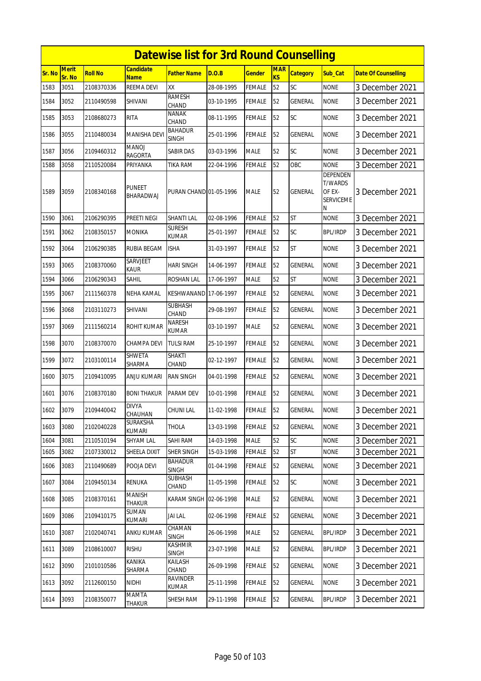|        |                        |                |                                 | <b>Datewise list for 3rd Round Counselling</b> |            |               |                  |                 |                                                               |                            |
|--------|------------------------|----------------|---------------------------------|------------------------------------------------|------------|---------------|------------------|-----------------|---------------------------------------------------------------|----------------------------|
| Sr. No | <b>Merit</b><br>Sr. No | <b>Roll No</b> | <b>Candidate</b><br><b>Name</b> | <b>Father Name</b>                             | D.O.B      | <b>Gender</b> | <b>MAR</b><br>KS | <b>Category</b> | Sub Cat                                                       | <b>Date Of Counselling</b> |
| 1583   | 3051                   | 2108370336     | REEMA DEVI                      | XX                                             | 28-08-1995 | <b>FEMALE</b> | 52               | SC              | <b>NONE</b>                                                   | 3 December 2021            |
| 1584   | 3052                   | 2110490598     | SHIVANI                         | <b>RAMESH</b><br>CHAND                         | 03-10-1995 | <b>FEMALE</b> | 52               | GENERAL         | <b>NONE</b>                                                   | 3 December 2021            |
| 1585   | 3053                   | 2108680273     | <b>RITA</b>                     | <b>NANAK</b><br>CHAND                          | 08-11-1995 | <b>FEMALE</b> | 52               | SC              | <b>NONE</b>                                                   | 3 December 2021            |
| 1586   | 3055                   | 2110480034     | <b>MANISHA DEVI</b>             | <b>BAHADUR</b><br><b>SINGH</b>                 | 25-01-1996 | <b>FEMALE</b> | 52               | <b>GENERAL</b>  | <b>NONE</b>                                                   | 3 December 2021            |
| 1587   | 3056                   | 2109460312     | MANOJ<br><b>RAGORTA</b>         | <b>SABIR DAS</b>                               | 03-03-1996 | <b>MALE</b>   | 52               | SC              | <b>NONE</b>                                                   | 3 December 2021            |
| 1588   | 3058                   | 2110520084     | PRIYANKA                        | TIKA RAM                                       | 22-04-1996 | <b>FEMALE</b> | 52               | OBC             | <b>NONE</b>                                                   | 3 December 2021            |
| 1589   | 3059                   | 2108340168     | <b>PUNEET</b><br>BHARADWAJ      | PURAN CHAND 01-05-1996                         |            | <b>MALE</b>   | 52               | GENERAL         | DEPENDEN<br><b>T/WARDS</b><br>OF EX-<br><b>SERVICEME</b><br>Ν | 3 December 2021            |
| 1590   | 3061                   | 2106290395     | PREETI NEGI                     | <b>SHANTI LAL</b>                              | 02-08-1996 | <b>FEMALE</b> | 52               | <b>ST</b>       | <b>NONE</b>                                                   | 3 December 2021            |
| 1591   | 3062                   | 2108350157     | <b>MONIKA</b>                   | <b>SURESH</b><br><b>KUMAR</b>                  | 25-01-1997 | <b>FEMALE</b> | 52               | SC              | <b>BPL/IRDP</b>                                               | 3 December 2021            |
| 1592   | 3064                   | 2106290385     | RUBIA BEGAM                     | <b>ISHA</b>                                    | 31-03-1997 | <b>FEMALE</b> | 52               | <b>ST</b>       | <b>NONE</b>                                                   | 3 December 2021            |
| 1593   | 3065                   | 2108370060     | SARVJEET<br><b>KAUR</b>         | <b>HARI SINGH</b>                              | 14-06-1997 | <b>FEMALE</b> | 52               | <b>GENERAL</b>  | <b>NONE</b>                                                   | 3 December 2021            |
| 1594   | 3066                   | 2106290343     | <b>SAHIL</b>                    | <b>ROSHAN LAL</b>                              | 17-06-1997 | <b>MALE</b>   | 52               | <b>ST</b>       | <b>NONE</b>                                                   | 3 December 2021            |
| 1595   | 3067                   | 2111560378     | NEHA KAMAL                      | KESHWANAND 17-06-1997                          |            | <b>FEMALE</b> | 52               | GENERAL         | <b>NONE</b>                                                   | 3 December 2021            |
| 1596   | 3068                   | 2103110273     | SHIVANI                         | <b>SUBHASH</b><br>CHAND                        | 29-08-1997 | <b>FEMALE</b> | 52               | GENERAL         | <b>NONE</b>                                                   | 3 December 2021            |
| 1597   | 3069                   | 2111560214     | ROHIT KUMAR                     | <b>NARESH</b><br><b>KUMAR</b>                  | 03-10-1997 | <b>MALE</b>   | 52               | GENERAL         | <b>NONE</b>                                                   | 3 December 2021            |
| 1598   | 3070                   | 2108370070     | CHAMPA DEVI                     | <b>TULSI RAM</b>                               | 25-10-1997 | <b>FEMALE</b> | 52               | <b>GENERAL</b>  | <b>NONE</b>                                                   | 3 December 2021            |
| 1599   | 3072                   | 2103100114     | SHWETA<br>SHARMA                | SHAKTI<br>CHAND                                | 02-12-1997 | <b>FEMALE</b> | 52               | GENERAL         | <b>NONE</b>                                                   | 3 December 2021            |
| 1600   | 3075                   | 2109410095     | ANJU KUMARI                     | <b>RAN SINGH</b>                               | 04-01-1998 | <b>FEMALE</b> | 52               | GENERAL         | <b>NONE</b>                                                   | 3 December 2021            |
| 1601   | 3076                   | 2108370180     | <b>BONI THAKUR</b>              | PARAM DEV                                      | 10-01-1998 | <b>FEMALE</b> | 52               | GENERAL         | <b>NONE</b>                                                   | 3 December 2021            |
| 1602   | 3079                   | 2109440042     | <b>DIVYA</b><br>CHAUHAN         | <b>CHUNI LAL</b>                               | 11-02-1998 | <b>FEMALE</b> | 52               | <b>GENERAL</b>  | <b>NONE</b>                                                   | 3 December 2021            |
| 1603   | 3080                   | 2102040228     | SURAKSHA<br>KUMARI              | <b>THOLA</b>                                   | 13-03-1998 | <b>FEMALE</b> | 52               | GENERAL         | <b>NONE</b>                                                   | 3 December 2021            |
| 1604   | 3081                   | 2110510194     | SHYAM LAL                       | SAHI RAM                                       | 14-03-1998 | <b>MALE</b>   | 52               | SC              | <b>NONE</b>                                                   | 3 December 2021            |
| 1605   | 3082                   | 2107330012     | SHEELA DIXIT                    | SHER SINGH                                     | 15-03-1998 | <b>FEMALE</b> | 52               | <b>ST</b>       | <b>NONE</b>                                                   | 3 December 2021            |
| 1606   | 3083                   | 2110490689     | POOJA DEVI                      | <b>BAHADUR</b><br><b>SINGH</b>                 | 01-04-1998 | <b>FEMALE</b> | 52               | GENERAL         | <b>NONE</b>                                                   | 3 December 2021            |
| 1607   | 3084                   | 2109450134     | RENUKA                          | SUBHASH<br>CHAND                               | 11-05-1998 | <b>FEMALE</b> | 52               | <b>SC</b>       | <b>NONE</b>                                                   | 3 December 2021            |
| 1608   | 3085                   | 2108370161     | <b>MANISH</b><br><b>THAKUR</b>  | KARAM SINGH 02-06-1998                         |            | <b>MALE</b>   | 52               | GENERAL         | <b>NONE</b>                                                   | 3 December 2021            |
| 1609   | 3086                   | 2109410175     | SUMAN<br>KUMARI                 | JAI LAL                                        | 02-06-1998 | FEMALE        | 52               | GENERAL         | <b>NONE</b>                                                   | 3 December 2021            |
| 1610   | 3087                   | 2102040741     | <b>ANKU KUMAR</b>               | CHAMAN<br><b>SINGH</b>                         | 26-06-1998 | <b>MALE</b>   | 52               | GENERAL         | <b>BPL/IRDP</b>                                               | 3 December 2021            |
| 1611   | 3089                   | 2108610007     | <b>RISHU</b>                    | KASHMIR<br>SINGH                               | 23-07-1998 | <b>MALE</b>   | 52               | GENERAL         | <b>BPL/IRDP</b>                                               | 3 December 2021            |
| 1612   | 3090                   | 2101010586     | KANIKA<br>SHARMA                | KAILASH<br>CHAND                               | 26-09-1998 | <b>FEMALE</b> | 52               | GENERAL         | <b>NONE</b>                                                   | 3 December 2021            |
| 1613   | 3092                   | 2112600150     | NIDHI                           | <b>RAVINDER</b><br>KUMAR                       | 25-11-1998 | <b>FEMALE</b> | 52               | GENERAL         | <b>NONE</b>                                                   | 3 December 2021            |
| 1614   | 3093                   | 2108350077     | MAMTA<br>Thakur                 | SHESH RAM                                      | 29-11-1998 | <b>FEMALE</b> | 52               | GENERAL         | <b>BPL/IRDP</b>                                               | 3 December 2021            |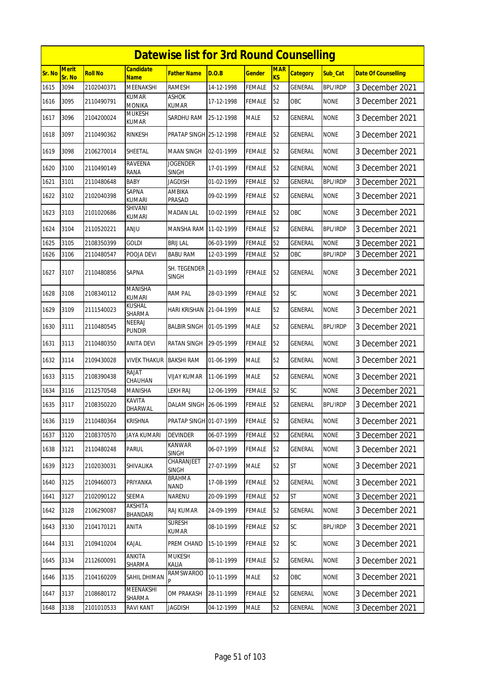|               |                 |                |                                 | <b>Datewise list for 3rd Round Counselling</b> |            |               |                              |                 |                 |                            |
|---------------|-----------------|----------------|---------------------------------|------------------------------------------------|------------|---------------|------------------------------|-----------------|-----------------|----------------------------|
| <b>Sr. No</b> | Merit<br>Sr. No | <b>Roll No</b> | <b>Candidate</b><br><b>Name</b> | <b>Father Name</b>                             | D.O.B      | <b>Gender</b> | <b>MAR</b><br>K <sub>S</sub> | <b>Category</b> | Sub_Cat         | <b>Date Of Counselling</b> |
| 1615          | 3094            | 2102040371     | MEENAKSHI                       | <b>RAMESH</b>                                  | 14-12-1998 | <b>FEMALE</b> | 52                           | GENERAL         | <b>BPL/IRDP</b> | 3 December 2021            |
| 1616          | 3095            | 2110490791     | <b>KUMAR</b><br><b>MONIKA</b>   | <b>ASHOK</b><br><b>KUMAR</b>                   | 17-12-1998 | <b>FEMALE</b> | 52                           | OBC             | <b>NONE</b>     | 3 December 2021            |
| 1617          | 3096            | 2104200024     | <b>MUKESH</b><br>KUMAR          | SARDHU RAM                                     | 25-12-1998 | <b>MALE</b>   | 52                           | <b>GENERAL</b>  | <b>NONE</b>     | 3 December 2021            |
| 1618          | 3097            | 2110490362     | <b>RINKESH</b>                  | PRATAP SINGH 25-12-1998                        |            | <b>FEMALE</b> | 52                           | <b>GENERAL</b>  | <b>NONE</b>     | 3 December 2021            |
| 1619          | 3098            | 2106270014     | SHEETAL                         | <b>MAAN SINGH</b>                              | 02-01-1999 | <b>FEMALE</b> | 52                           | GENERAL         | <b>NONE</b>     | 3 December 2021            |
| 1620          | 3100            | 2110490149     | <b>RAVEENA</b><br>RANA          | <b>JOGENDER</b><br><b>SINGH</b>                | 17-01-1999 | <b>FEMALE</b> | 52                           | <b>GENERAL</b>  | <b>NONE</b>     | 3 December 2021            |
| 1621          | 3101            | 2110480648     | <b>BABY</b>                     | <b>JAGDISH</b>                                 | 01-02-1999 | <b>FEMALE</b> | 52                           | <b>GENERAL</b>  | <b>BPL/IRDP</b> | 3 December 2021            |
| 1622          | 3102            | 2102040398     | SAPNA<br><b>KUMARI</b>          | AMBIKA<br>PRASAD                               | 09-02-1999 | <b>FEMALE</b> | 52                           | GENERAL         | <b>NONE</b>     | 3 December 2021            |
| 1623          | 3103            | 2101020686     | SHIVANI<br><b>KUMARI</b>        | <b>MADAN LAL</b>                               | 10-02-1999 | <b>FEMALE</b> | 52                           | OBC             | <b>NONE</b>     | 3 December 2021            |
| 1624          | 3104            | 2110520221     | <b>ANJU</b>                     | MANSHA RAM 11-02-1999                          |            | <b>FEMALE</b> | 52                           | <b>GENERAL</b>  | <b>BPL/IRDP</b> | 3 December 2021            |
| 1625          | 3105            | 2108350399     | <b>GOLDI</b>                    | <b>BRIJ LAL</b>                                | 06-03-1999 | <b>FEMALE</b> | 52                           | GENERAL         | <b>NONE</b>     | 3 December 2021            |
| 1626          | 3106            | 2110480547     | POOJA DEVI                      | <b>BABU RAM</b>                                | 12-03-1999 | <b>FEMALE</b> | 52                           | OBC             | <b>BPL/IRDP</b> | 3 December 2021            |
| 1627          | 3107            | 2110480856     | SAPNA                           | SH. TEGENDER<br><b>SINGH</b>                   | 21-03-1999 | <b>FEMALE</b> | 52                           | GENERAL         | <b>NONE</b>     | 3 December 2021            |
| 1628          | 3108            | 2108340112     | MANISHA<br><b>KUMARI</b>        | <b>RAM PAL</b>                                 | 28-03-1999 | <b>FEMALE</b> | 52                           | SC              | <b>NONE</b>     | 3 December 2021            |
| 1629          | 3109            | 2111540023     | KUSHAL<br>SHARMA                | HARI KRISHAN                                   | 21-04-1999 | <b>MALE</b>   | 52                           | <b>GENERAL</b>  | <b>NONE</b>     | 3 December 2021            |
| 1630          | 3111            | 2110480545     | <b>NEERAJ</b><br>pundir         | <b>BALBIR SINGH</b>                            | 01-05-1999 | <b>MALE</b>   | 52                           | GENERAL         | <b>BPL/IRDP</b> | 3 December 2021            |
| 1631          | 3113            | 2110480350     | <b>ANITA DEVI</b>               | <b>RATAN SINGH</b>                             | 29-05-1999 | <b>FEMALE</b> | 52                           | <b>GENERAL</b>  | <b>NONE</b>     | 3 December 2021            |
| 1632          | 3114            | 2109430028     | VIVEK THAKUR                    | <b>BAKSHI RAM</b>                              | 01-06-1999 | <b>MALE</b>   | 52                           | GENERAL         | <b>NONE</b>     | 3 December 2021            |
| 1633          | 3115            | 2108390438     | RAJAT<br>CHAUHAN                | <b>VIJAY KUMAR</b>                             | 11-06-1999 | <b>MALE</b>   | 52                           | <b>GENERAL</b>  | <b>NONE</b>     | 3 December 2021            |
| 1634          | 3116            | 2112570548     | <b>MANISHA</b>                  | LEKH RAJ                                       | 12-06-1999 | <b>FEMALE</b> | 52                           | SC              | <b>NONE</b>     | 3 December 2021            |
| 1635          | 3117            | 2108350220     | KAVITA<br>DHARWAL               | DALAM SINGH 26-06-1999                         |            | <b>FEMALE</b> | 52                           | <b>GENERAL</b>  | <b>BPL/IRDP</b> | 3 December 2021            |
| 1636          | 3119            | 2110480364     | <b>KRISHNA</b>                  | PRATAP SINGH 01-07-1999                        |            | <b>FEMALE</b> | 52                           | GENERAL         | <b>NONE</b>     | 3 December 2021            |
| 1637          | 3120            | 2108370570     | <b>JAYA KUMARI</b>              | <b>DEVINDER</b>                                | 06-07-1999 | <b>FEMALE</b> | 52                           | GENERAL         | <b>NONE</b>     | 3 December 2021            |
| 1638          | 3121            | 2110480248     | Parul                           | <b>KANWAR</b><br><b>SINGH</b>                  | 06-07-1999 | <b>FEMALE</b> | 52                           | GENERAL         | <b>NONE</b>     | 3 December 2021            |
| 1639          | 3123            | 2102030031     | SHIVALIKA                       | CHARANJEET<br><b>SINGH</b>                     | 27-07-1999 | <b>MALE</b>   | 52                           | <b>ST</b>       | <b>NONE</b>     | 3 December 2021            |
| 1640          | 3125            | 2109460073     | PRIYANKA                        | <b>BRAHMA</b><br><b>NAND</b>                   | 17-08-1999 | <b>FEMALE</b> | 52                           | <b>GENERAL</b>  | <b>NONE</b>     | 3 December 2021            |
| 1641          | 3127            | 2102090122     | SEEMA                           | NARENU                                         | 20-09-1999 | <b>FEMALE</b> | 52                           | ST              | <b>NONE</b>     | 3 December 2021            |
| 1642          | 3128            | 2106290087     | AKSHITA<br>BHANDARI             | RAJ KUMAR                                      | 24-09-1999 | <b>FEMALE</b> | 52                           | GENERAL         | <b>NONE</b>     | 3 December 2021            |
| 1643          | 3130            | 2104170121     | ANITA                           | <b>SURESH</b><br>kumar                         | 08-10-1999 | FEMALE        | 52                           | <b>SC</b>       | <b>BPL/IRDP</b> | 3 December 2021            |
| 1644          | 3131            | 2109410204     | KAJAL                           | PREM CHAND                                     | 15-10-1999 | <b>FEMALE</b> | 52                           | SC              | <b>NONE</b>     | 3 December 2021            |
| 1645          | 3134            | 2112600091     | ANKITA<br>SHARMA                | <b>MUKESH</b><br>KALIA                         | 08-11-1999 | <b>FEMALE</b> | 52                           | <b>GENERAL</b>  | <b>NONE</b>     | 3 December 2021            |
| 1646          | 3135            | 2104160209     | SAHIL DHIMAN                    | RAMSWAROO                                      | 10-11-1999 | <b>MALE</b>   | 52                           | OBC             | <b>NONE</b>     | 3 December 2021            |
| 1647          | 3137            | 2108680172     | MEENAKSHI<br>SHARMA             | OM PRAKASH                                     | 28-11-1999 | FEMALE        | 52                           | <b>GENERAL</b>  | <b>NONE</b>     | 3 December 2021            |
| 1648          | 3138            | 2101010533     | RAVI KANT                       | <b>JAGDISH</b>                                 | 04-12-1999 | MALE          | 52                           | GENERAL         | <b>NONE</b>     | 3 December 2021            |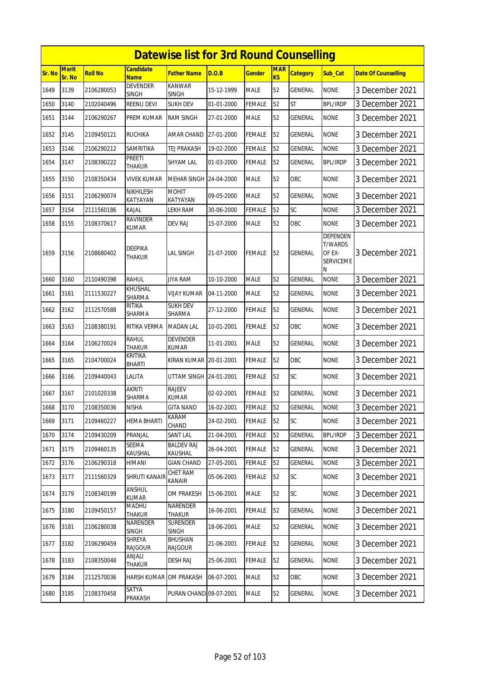|        |                        |                |                                 | <b>Datewise list for 3rd Round Counselling</b> |            |               |                         |                 |                                                                      |                            |
|--------|------------------------|----------------|---------------------------------|------------------------------------------------|------------|---------------|-------------------------|-----------------|----------------------------------------------------------------------|----------------------------|
| Sr. No | <b>Merit</b><br>Sr. No | <b>Roll No</b> | <b>Candidate</b><br><b>Name</b> | <b>Father Name</b>                             | D.O.B      | <b>Gender</b> | <b>MAR</b><br><b>KS</b> | <b>Category</b> | Sub Cat                                                              | <b>Date Of Counselling</b> |
| 1649   | 3139                   | 2106280053     | <b>DEVENDER</b><br><b>SINGH</b> | <b>KANWAR</b><br><b>SINGH</b>                  | 15-12-1999 | <b>MALE</b>   | 52                      | GENERAL         | <b>NONE</b>                                                          | 3 December 2021            |
| 1650   | 3140                   | 2102040496     | <b>REENU DEVI</b>               | <b>SUKH DEV</b>                                | 01-01-2000 | <b>FEMALE</b> | 52                      | <b>ST</b>       | <b>BPL/IRDP</b>                                                      | 3 December 2021            |
| 1651   | 3144                   | 2106290267     | PREM KUMAR                      | <b>RAM SINGH</b>                               | 27-01-2000 | <b>MALE</b>   | 52                      | <b>GENERAL</b>  | <b>NONE</b>                                                          | 3 December 2021            |
| 1652   | 3145                   | 2109450121     | <b>RUCHIKA</b>                  | AMAR CHAND                                     | 27-01-2000 | <b>FEMALE</b> | 52                      | <b>GENERAL</b>  | <b>NONE</b>                                                          | 3 December 2021            |
| 1653   | 3146                   | 2106290212     | SAMRITIKA                       | TEJ PRAKASH                                    | 19-02-2000 | <b>FEMALE</b> | 52                      | <b>GENERAL</b>  | <b>NONE</b>                                                          | 3 December 2021            |
| 1654   | 3147                   | 2108390222     | <b>PREETI</b><br>THAKUR         | <b>SHYAM LAL</b>                               | 01-03-2000 | <b>FEMALE</b> | 52                      | GENERAL         | <b>BPL/IRDP</b>                                                      | 3 December 2021            |
| 1655   | 3150                   | 2108350434     | VIVEK KUMAR                     | MEHAR SINGH 24-04-2000                         |            | <b>MALE</b>   | 52                      | OBC             | <b>NONE</b>                                                          | 3 December 2021            |
| 1656   | 3151                   | 2106290074     | NIKHILESH<br>KATYAYAN           | <b>MOHIT</b><br>KATYAYAN                       | 09-05-2000 | <b>MALE</b>   | 52                      | GENERAL         | <b>NONE</b>                                                          | 3 December 2021            |
| 1657   | 3154                   | 2111560186     | Kajal                           | LEKH RAM                                       | 30-06-2000 | <b>FEMALE</b> | 52                      | SC              | <b>NONE</b>                                                          | 3 December 2021            |
| 1658   | 3155                   | 2108370617     | RAVINDER<br>KUMAR               | <b>DEV RAJ</b>                                 | 15-07-2000 | <b>MALE</b>   | 52                      | OBC             | none                                                                 | 3 December 2021            |
| 1659   | 3156                   | 2108680402     | DEEPIKA<br>THAKUR               | LAL SINGH                                      | 21-07-2000 | <b>FEMALE</b> | 52                      | <b>GENERAL</b>  | <b>DEPENDEN</b><br><b>T/WARDS</b><br>OF EX-<br><b>SERVICEME</b><br>Ν | 3 December 2021            |
| 1660   | 3160                   | 2110490398     | RAHUL                           | <b>JIYA RAM</b>                                | 10-10-2000 | <b>MALE</b>   | 52                      | GENERAL         | <b>NONE</b>                                                          | 3 December 2021            |
| 1661   | 3161                   | 2111530227     | KHUSHAL<br>SHARMA               | <b>VIJAY KUMAR</b>                             | 04-11-2000 | <b>MALE</b>   | 52                      | <b>GENERAL</b>  | <b>NONE</b>                                                          | 3 December 2021            |
| 1662   | 3162                   | 2112570588     | RITIKA<br>SHARMA                | <b>SUKH DEV</b><br>SHARMA                      | 27-12-2000 | <b>FEMALE</b> | 52                      | <b>GENERAL</b>  | <b>NONE</b>                                                          | 3 December 2021            |
| 1663   | 3163                   | 2108380191     | RITIKA VERMA                    | <b>MADAN LAL</b>                               | 10-01-2001 | FEMALE        | 52                      | OBC             | <b>NONE</b>                                                          | 3 December 2021            |
| 1664   | 3164                   | 2106270024     | <b>RAHUL</b><br><b>THAKUR</b>   | <b>DEVENDER</b><br><b>KUMAR</b>                | 11-01-2001 | <b>MALE</b>   | 52                      | <b>GENERAL</b>  | <b>NONE</b>                                                          | 3 December 2021            |
| 1665   | 3165                   | 2104700024     | KRITIKA<br><b>BHARTI</b>        | KIRAN KUMAR 20-01-2001                         |            | <b>FEMALE</b> | 52                      | OBC             | <b>NONE</b>                                                          | 3 December 2021            |
| 1666   | 3166                   | 2109440043     | LALITA                          | UTTAM SINGH 24-01-2001                         |            | <b>FEMALE</b> | 52                      | <b>SC</b>       | <b>NONE</b>                                                          | 3 December 2021            |
| 1667   | 3167                   | 2101020338     | AKRITI<br>SHARMA                | <b>RAJEEV</b><br>KUMAR                         | 02-02-2001 | <b>FEMALE</b> | 52                      | GENERAL         | none                                                                 | 3 December 2021            |
| 1668   | 3170                   | 2108350036     | <b>NISHA</b>                    | <b>GITA NAND</b>                               | 16-02-2001 | <b>FEMALE</b> | 52                      | <b>GENERAL</b>  | <b>NONE</b>                                                          | 3 December 2021            |
| 1669   | 3171                   | 2109460227     | HEMA BHARTI                     | KARAM<br>CHAND                                 | 24-02-2001 | <b>FEMALE</b> | 52                      | <b>SC</b>       | <b>NONE</b>                                                          | 3 December 2021            |
| 1670   | 3174                   | 2109430209     | PRANJAL                         | <b>SANT LAL</b>                                | 21-04-2001 | <b>FEMALE</b> | 52                      | <b>GENERAL</b>  | <b>BPL/IRDP</b>                                                      | 3 December 2021            |
| 1671   | 3175                   | 2109460135     | SEEMA<br>KAUSHAL                | <b>BALDEV RAJ</b><br>KAUSHAL                   | 26-04-2001 | FEMALE        | 52                      | GENERAL         | <b>NONE</b>                                                          | 3 December 2021            |
| 1672   | 3176                   | 2106290318     | HIMANI                          | <b>GIAN CHAND</b>                              | 27-05-2001 | <b>FEMALE</b> | 52                      | <b>GENERAL</b>  | <b>NONE</b>                                                          | 3 December 2021            |
| 1673   | 3177                   | 2111560329     | SHRUTI KANAIR                   | <b>CHET RAM</b><br>KANAIR                      | 05-06-2001 | FEMALE        | 52                      | SC              | <b>NONE</b>                                                          | 3 December 2021            |
| 1674   | 3179                   | 2108340199     | ANSHUL<br>KUMAR                 | OM PRAKESH                                     | 15-06-2001 | <b>MALE</b>   | 52                      | <b>SC</b>       | <b>NONE</b>                                                          | 3 December 2021            |
| 1675   | 3180                   | 2109450157     | MADHU<br><b>THAKUR</b>          | NARENDER<br><b>THAKUR</b>                      | 16-06-2001 | <b>FEMALE</b> | 52                      | GENERAL         | <b>NONE</b>                                                          | 3 December 2021            |
| 1676   | 3181                   | 2106280038     | NARENDER<br><b>SINGH</b>        | <b>SURENDER</b><br><b>SINGH</b>                | 18-06-2001 | <b>MALE</b>   | 52                      | GENERAL         | <b>NONE</b>                                                          | 3 December 2021            |
| 1677   | 3182                   | 2106290459     | SHREYA<br><b>RAJGOUR</b>        | <b>BHUSHAN</b><br>RAJGOUR                      | 21-06-2001 | <b>FEMALE</b> | 52                      | GENERAL         | <b>NONE</b>                                                          | 3 December 2021            |
| 1678   | 3183                   | 2108350048     | ANJALI<br>THAKUR                | <b>DESH RAJ</b>                                | 25-06-2001 | <b>FEMALE</b> | 52                      | GENERAL         | <b>NONE</b>                                                          | 3 December 2021            |
| 1679   | 3184                   | 2112570036     | HARSH KUMAR                     | OM PRAKASH                                     | 06-07-2001 | <b>MALE</b>   | 52                      | OBC             | <b>NONE</b>                                                          | 3 December 2021            |
| 1680   | 3185                   | 2108370458     | SATYA<br>PRAKASH                | PURAN CHAND 09-07-2001                         |            | MALE          | 52                      | <b>GENERAL</b>  | <b>NONE</b>                                                          | 3 December 2021            |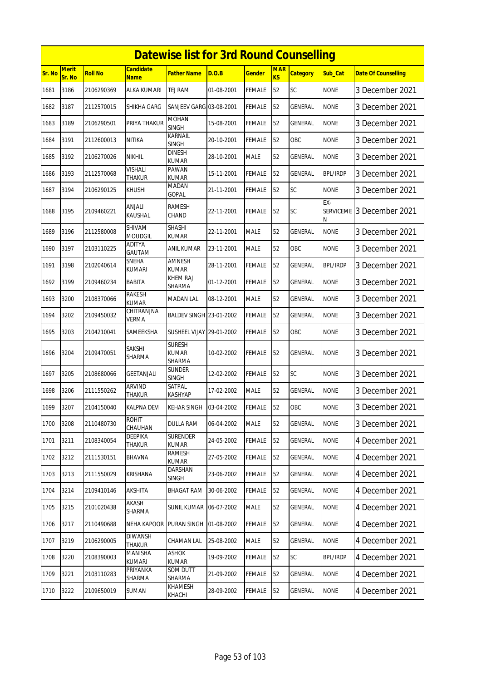|        |                        |                |                                 | <b>Datewise list for 3rd Round Counselling</b> |            |               |                         |                 |                              |                            |
|--------|------------------------|----------------|---------------------------------|------------------------------------------------|------------|---------------|-------------------------|-----------------|------------------------------|----------------------------|
| Sr. No | <b>Merit</b><br>Sr. No | <b>Roll No</b> | <b>Candidate</b><br>Name        | <b>Father Name</b>                             | D.O.B      | <b>Gender</b> | <b>MAR</b><br><b>KS</b> | <b>Category</b> | Sub_Cat                      | <b>Date Of Counselling</b> |
| 1681   | 3186                   | 2106290369     | ALKA KUMARI                     | <b>TEJ RAM</b>                                 | 01-08-2001 | <b>FEMALE</b> | 52                      | SC              | <b>NONE</b>                  | 3 December 2021            |
| 1682   | 3187                   | 2112570015     | SHIKHA GARG                     | SANJEEV GARG 03-08-2001                        |            | <b>FEMALE</b> | 52                      | GENERAL         | <b>NONE</b>                  | 3 December 2021            |
| 1683   | 3189                   | 2106290501     | PRIYA THAKUR                    | <b>MOHAN</b><br><b>SINGH</b>                   | 15-08-2001 | <b>FEMALE</b> | 52                      | GENERAL         | <b>NONE</b>                  | 3 December 2021            |
| 1684   | 3191                   | 2112600013     | <b>NITIKA</b>                   | KARNAIL<br><b>SINGH</b>                        | 20-10-2001 | <b>FEMALE</b> | 52                      | OBC             | <b>NONE</b>                  | 3 December 2021            |
| 1685   | 3192                   | 2106270026     | <b>NIKHIL</b>                   | <b>DINESH</b><br><b>KUMAR</b>                  | 28-10-2001 | <b>MALE</b>   | 52                      | GENERAL         | <b>NONE</b>                  | 3 December 2021            |
| 1686   | 3193                   | 2112570068     | <b>VISHALI</b><br><b>THAKUR</b> | PAWAN<br><b>KUMAR</b>                          | 15-11-2001 | <b>FEMALE</b> | 52                      | <b>GENERAL</b>  | <b>BPL/IRDP</b>              | 3 December 2021            |
| 1687   | 3194                   | 2106290125     | KHUSHI                          | MADAN<br>GOPAL                                 | 21-11-2001 | FEMALE        | 52                      | SC              | <b>NONE</b>                  | 3 December 2021            |
| 1688   | 3195                   | 2109460221     | <b>ANJALI</b><br>KAUSHAL        | <b>RAMESH</b><br>CHAND                         | 22-11-2001 | FEMALE        | 52                      | SC              | EX-<br><b>SERVICEME</b><br>Ν | 3 December 2021            |
| 1689   | 3196                   | 2112580008     | SHIVAM<br><b>MOUDGIL</b>        | <b>SHASHI</b><br><b>KUMAR</b>                  | 22-11-2001 | <b>MALE</b>   | 52                      | <b>GENERAL</b>  | <b>NONE</b>                  | 3 December 2021            |
| 1690   | 3197                   | 2103110225     | <b>ADITYA</b><br>GAUTAM         | ANIL KUMAR                                     | 23-11-2001 | <b>MALE</b>   | 52                      | OBC             | <b>NONE</b>                  | 3 December 2021            |
| 1691   | 3198                   | 2102040614     | SNEHA<br>kumari                 | AMNESH<br><b>KUMAR</b>                         | 28-11-2001 | <b>FEMALE</b> | 52                      | <b>GENERAL</b>  | <b>BPL/IRDP</b>              | 3 December 2021            |
| 1692   | 3199                   | 2109460234     | BABITA                          | KHEM RAJ<br>SHARMA                             | 01-12-2001 | <b>FEMALE</b> | 52                      | GENERAL         | <b>NONE</b>                  | 3 December 2021            |
| 1693   | 3200                   | 2108370066     | <b>RAKESH</b><br><b>KUMAR</b>   | <b>MADAN LAL</b>                               | 08-12-2001 | <b>MALE</b>   | 52                      | GENERAL         | <b>NONE</b>                  | 3 December 2021            |
| 1694   | 3202                   | 2109450032     | CHITRANJNA<br>Verma             | BALDEV SINGH 23-01-2002                        |            | <b>FEMALE</b> | 52                      | GENERAL         | <b>NONE</b>                  | 3 December 2021            |
| 1695   | 3203                   | 2104210041     | SAMEEKSHA                       | <b>SUSHEEL VIJAY 29-01-2002</b>                |            | FEMALE        | 52                      | OBC             | <b>NONE</b>                  | 3 December 2021            |
| 1696   | 3204                   | 2109470051     | SAKSHI<br>SHARMA                | <b>SURESH</b><br><b>KUMAR</b><br>SHARMA        | 10-02-2002 | <b>FEMALE</b> | 52                      | <b>GENERAL</b>  | <b>NONE</b>                  | 3 December 2021            |
| 1697   | 3205                   | 2108680066     | GEETANJALI                      | SUNDER<br><b>SINGH</b>                         | 12-02-2002 | <b>FEMALE</b> | 52                      | SC              | <b>NONE</b>                  | 3 December 2021            |
| 1698   | 3206                   | 2111550262     | <b>ARVIND</b><br>THAKUR         | <b>SATPAL</b><br><b>KASHYAP</b>                | 17-02-2002 | <b>MALE</b>   | 52                      | GENERAL         | <b>NONE</b>                  | 3 December 2021            |
| 1699   | 3207                   | 2104150040     | <b>KALPNA DEVI</b>              | KEHAR SINGH 03-04-2002                         |            | <b>FEMALE</b> | 52                      | OBC             | <b>NONE</b>                  | 3 December 2021            |
| 1700   | 3208                   | 2110480730     | ROHIT<br>CHAUHAN                | <b>DULLA RAM</b>                               | 06-04-2002 | <b>MALE</b>   | 52                      | GENERAL         | <b>NONE</b>                  | 3 December 2021            |
| 1701   | 3211                   | 2108340054     | DEEPIKA<br>THAKUR               | <b>SURENDER</b><br><b>KUMAR</b>                | 24-05-2002 | FEMALE        | 52                      | GENERAL         | <b>NONE</b>                  | 4 December 2021            |
| 1702   | 3212                   | 2111530151     | BHAVNA                          | <b>RAMESH</b><br><b>KUMAR</b>                  | 27-05-2002 | FEMALE        | 52                      | GENERAL         | <b>NONE</b>                  | 4 December 2021            |
| 1703   | 3213                   | 2111550029     | KRISHANA                        | DARSHAN<br><b>SINGH</b>                        | 23-06-2002 | FEMALE        | 52                      | <b>GENERAL</b>  | <b>NONE</b>                  | 4 December 2021            |
| 1704   | 3214                   | 2109410146     | AKSHITA                         | BHAGAT RAM                                     | 30-06-2002 | <b>FEMALE</b> | 52                      | GENERAL         | <b>NONE</b>                  | 4 December 2021            |
| 1705   | 3215                   | 2101020438     | AKASH<br>SHARMA                 | <b>SUNIL KUMAR</b>                             | 06-07-2002 | <b>MALE</b>   | 52                      | GENERAL         | <b>NONE</b>                  | 4 December 2021            |
| 1706   | 3217                   | 2110490688     | NEHA KAPOOR                     | <b>PURAN SINGH</b>                             | 01-08-2002 | <b>FEMALE</b> | 52                      | GENERAL         | <b>NONE</b>                  | 4 December 2021            |
| 1707   | 3219                   | 2106290005     | <b>DIWANSH</b><br>THAKUR        | CHAMAN LAL                                     | 25-08-2002 | <b>MALE</b>   | 52                      | GENERAL         | <b>NONE</b>                  | 4 December 2021            |
| 1708   | 3220                   | 2108390003     | MANISHA<br>KUMARI               | ASHOK<br><b>KUMAR</b>                          | 19-09-2002 | <b>FEMALE</b> | 52                      | <b>SC</b>       | <b>BPL/IRDP</b>              | 4 December 2021            |
| 1709   | 3221                   | 2103110283     | PRIYANKA<br>SHARMA              | SOM DUTT<br>SHARMA                             | 21-09-2002 | FEMALE        | 52                      | GENERAL         | NONE                         | 4 December 2021            |
| 1710   | 3222                   | 2109650019     | SUMAN                           | <b>KHAMESH</b><br>KHACHI                       | 28-09-2002 | <b>FEMALE</b> | 52                      | GENERAL         | <b>NONE</b>                  | 4 December 2021            |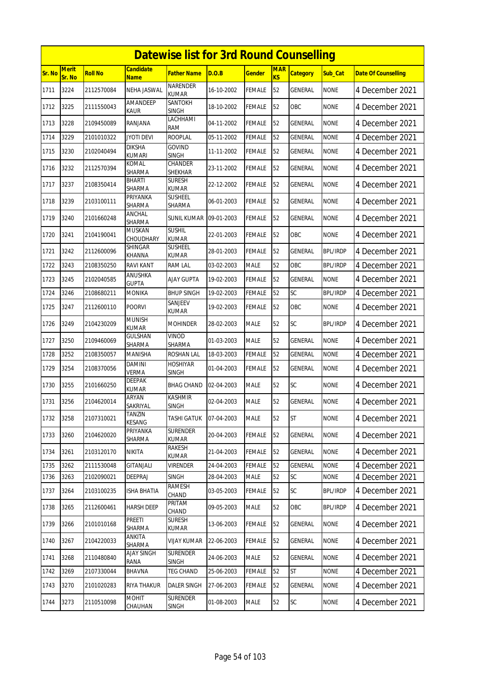|        |                        |                |                               | <b>Datewise list for 3rd Round Counselling</b> |            |               |                         |                 |                 |                            |
|--------|------------------------|----------------|-------------------------------|------------------------------------------------|------------|---------------|-------------------------|-----------------|-----------------|----------------------------|
| Sr. No | <b>Merit</b><br>Sr. No | <b>Roll No</b> | <b>Candidate</b><br>Name      | <b>Father Name</b>                             | D.O.B      | <b>Gender</b> | <b>MAR</b><br><b>KS</b> | <b>Category</b> | Sub Cat         | <b>Date Of Counselling</b> |
| 1711   | 3224                   | 2112570084     | NEHA JASWAL                   | <b>NARENDER</b><br><b>KUMAR</b>                | 16-10-2002 | <b>FEMALE</b> | 52                      | GENERAL         | <b>NONE</b>     | 4 December 2021            |
| 1712   | 3225                   | 2111550043     | AMANDEEP<br>Kaur              | SANTOKH<br><b>SINGH</b>                        | 18-10-2002 | <b>FEMALE</b> | 52                      | OBC             | <b>NONE</b>     | 4 December 2021            |
| 1713   | 3228                   | 2109450089     | RANJANA                       | LACHHAMI<br>RAM                                | 04-11-2002 | <b>FEMALE</b> | 52                      | GENERAL         | <b>NONE</b>     | 4 December 2021            |
| 1714   | 3229                   | 2101010322     | <b>JYOTI DEVI</b>             | <b>ROOPLAL</b>                                 | 05-11-2002 | <b>FEMALE</b> | 52                      | GENERAL         | <b>NONE</b>     | 4 December 2021            |
| 1715   | 3230                   | 2102040494     | <b>DIKSHA</b><br>KUMARI       | <b>GOVIND</b><br><b>SINGH</b>                  | 11-11-2002 | <b>FEMALE</b> | 52                      | GENERAL         | <b>NONE</b>     | 4 December 2021            |
| 1716   | 3232                   | 2112570394     | KOMAL<br>SHARMA               | CHANDER<br><b>SHEKHAR</b>                      | 23-11-2002 | <b>FEMALE</b> | 52                      | <b>GENERAL</b>  | <b>NONE</b>     | 4 December 2021            |
| 1717   | 3237                   | 2108350414     | <b>BHARTI</b><br>SHARMA       | <b>SURESH</b><br><b>KUMAR</b>                  | 22-12-2002 | <b>FEMALE</b> | 52                      | GENERAL         | <b>NONE</b>     | 4 December 2021            |
| 1718   | 3239                   | 2103100111     | PRIYANKA<br>SHARMA            | <b>SUSHEEL</b><br>SHARMA                       | 06-01-2003 | <b>FEMALE</b> | 52                      | GENERAL         | <b>NONE</b>     | 4 December 2021            |
| 1719   | 3240                   | 2101660248     | ANCHAL<br>SHARMA              | <b>SUNIL KUMAR</b>                             | 09-01-2003 | <b>FEMALE</b> | 52                      | GENERAL         | <b>NONE</b>     | 4 December 2021            |
| 1720   | 3241                   | 2104190041     | <b>MUSKAN</b><br>CHOUDHARY    | <b>SUSHIL</b><br><b>KUMAR</b>                  | 22-01-2003 | FEMALE        | 52                      | OBC             | <b>NONE</b>     | 4 December 2021            |
| 1721   | 3242                   | 2112600096     | SHINGAR<br><b>KHANNA</b>      | <b>SUSHEEL</b><br><b>KUMAR</b>                 | 28-01-2003 | <b>FEMALE</b> | 52                      | <b>GENERAL</b>  | <b>BPL/IRDP</b> | 4 December 2021            |
| 1722   | 3243                   | 2108350250     | <b>RAVI KANT</b>              | <b>RAM LAL</b>                                 | 03-02-2003 | <b>MALE</b>   | 52                      | OBC             | <b>BPL/IRDP</b> | 4 December 2021            |
| 1723   | 3245                   | 2102040585     | ANUSHKA<br><b>GUPTA</b>       | <b>AJAY GUPTA</b>                              | 19-02-2003 | <b>FEMALE</b> | 52                      | GENERAL         | <b>NONE</b>     | 4 December 2021            |
| 1724   | 3246                   | 2108680211     | <b>MONIKA</b>                 | <b>BHUP SINGH</b>                              | 19-02-2003 | <b>FEMALE</b> | 52                      | SC              | <b>BPL/IRDP</b> | 4 December 2021            |
| 1725   | 3247                   | 2112600110     | <b>POORVI</b>                 | SANJEEV<br>KUMAR                               | 19-02-2003 | FEMALE        | 52                      | OBC             | <b>NONE</b>     | 4 December 2021            |
| 1726   | 3249                   | 2104230209     | <b>MUNISH</b><br><b>KUMAR</b> | <b>MOHINDER</b>                                | 28-02-2003 | <b>MALE</b>   | 52                      | SC              | <b>BPL/IRDP</b> | 4 December 2021            |
| 1727   | 3250                   | 2109460069     | GULSHAN<br>SHARMA             | <b>VINOD</b><br>SHARMA                         | 01-03-2003 | <b>MALE</b>   | 52                      | <b>GENERAL</b>  | <b>NONE</b>     | 4 December 2021            |
| 1728   | 3252                   | 2108350057     | <b>MANISHA</b>                | <b>ROSHAN LAL</b>                              | 18-03-2003 | <b>FEMALE</b> | 52                      | GENERAL         | <b>NONE</b>     | 4 December 2021            |
| 1729   | 3254                   | 2108370056     | DAMINI<br>VERMA               | <b>HOSHIYAR</b><br><b>SINGH</b>                | 01-04-2003 | <b>FEMALE</b> | 52                      | GENERAL         | <b>NONE</b>     | 4 December 2021            |
| 1730   | 3255                   | 2101660250     | <b>DEEPAK</b><br><b>KUMAR</b> | <b>BHAG CHAND</b>                              | 02-04-2003 | <b>MALE</b>   | 52                      | SC              | <b>NONE</b>     | 4 December 2021            |
| 1731   | 3256                   | 2104620014     | ARYAN<br>SAKRIYAL             | <b>KASHMIR</b><br><b>SINGH</b>                 | 02-04-2003 | <b>MALE</b>   | 52                      | <b>GENERAL</b>  | <b>NONE</b>     | 4 December 2021            |
| 1732   | 3258                   | 2107310021     | TANZIN<br>KESANG              | TASHI GATUK                                    | 07-04-2003 | <b>MALE</b>   | 52                      | ST              | <b>NONE</b>     | 4 December 2021            |
| 1733   | 3260                   | 2104620020     | PRIYANKA<br>SHARMA            | <b>SURENDER</b><br><b>KUMAR</b>                | 20-04-2003 | FEMALE        | 52                      | <b>GENERAL</b>  | <b>NONE</b>     | 4 December 2021            |
| 1734   | 3261                   | 2103120170     | NIKITA                        | RAKESH<br>kumar                                | 21-04-2003 | <b>FEMALE</b> | 52                      | GENERAL         | <b>NONE</b>     | 4 December 2021            |
| 1735   | 3262                   | 2111530048     | GITANJALI                     | <b>VIRENDER</b>                                | 24-04-2003 | <b>FEMALE</b> | 52                      | <b>GENERAL</b>  | <b>NONE</b>     | 4 December 2021            |
| 1736   | 3263                   | 2102090021     | DEEPRAJ                       | SINGH                                          | 28-04-2003 | <b>MALE</b>   | 52                      | SC              | <b>NONE</b>     | 4 December 2021            |
| 1737   | 3264                   | 2103100235     | ISHA BHATIA                   | RAMESH<br>CHAND                                | 03-05-2003 | <b>FEMALE</b> | 52                      | <b>SC</b>       | BPL/IRDP        | 4 December 2021            |
| 1738   | 3265                   | 2112600461     | <b>HARSH DEEP</b>             | PRITAM<br>CHAND                                | 09-05-2003 | <b>MALE</b>   | 52                      | ОВС             | BPL/IRDP        | 4 December 2021            |
| 1739   | 3266                   | 2101010168     | PREETI<br>SHARMA              | <b>SURESH</b><br>kumar                         | 13-06-2003 | <b>FEMALE</b> | 52                      | GENERAL         | <b>NONE</b>     | 4 December 2021            |
| 1740   | 3267                   | 2104220033     | ANKITA<br>SHARMA              | <b>VIJAY KUMAR</b>                             | 22-06-2003 | <b>FEMALE</b> | 52                      | <b>GENERAL</b>  | <b>NONE</b>     | 4 December 2021            |
| 1741   | 3268                   | 2110480840     | AJAY SINGH<br>RANA            | <b>SURENDER</b><br><b>SINGH</b>                | 24-06-2003 | MALE          | 52                      | GENERAL         | <b>NONE</b>     | 4 December 2021            |
| 1742   | 3269                   | 2107330044     | BHAVNA                        | <b>TEG CHAND</b>                               | 25-06-2003 | FEMALE        | 52                      | ST              | <b>NONE</b>     | 4 December 2021            |
| 1743   | 3270                   | 2101020283     | RIYA THAKUR                   | <b>DALER SINGH</b>                             | 27-06-2003 | <b>FEMALE</b> | 52                      | <b>GENERAL</b>  | <b>NONE</b>     | 4 December 2021            |
| 1744   | 3273                   | 2110510098     | MOHIT<br>CHAUHAN              | SURENDER<br><b>SINGH</b>                       | 01-08-2003 | <b>MALE</b>   | 52                      | <b>SC</b>       | <b>NONE</b>     | 4 December 2021            |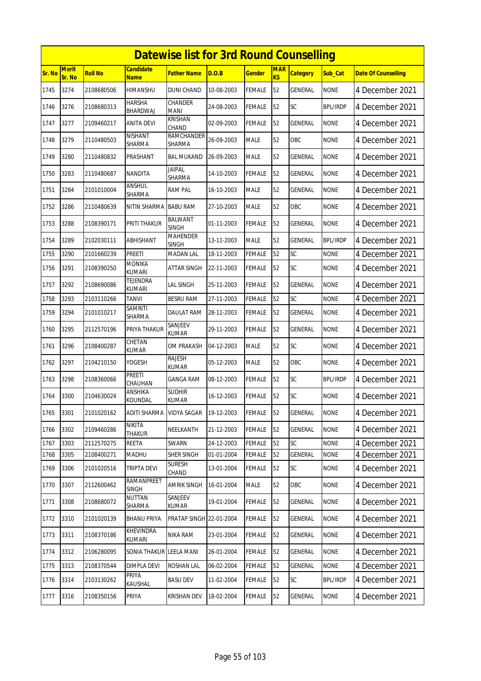|        | <b>Datewise list for 3rd Round Counselling</b> |                |                                  |                                |            |               |                  |                 |                 |                            |  |
|--------|------------------------------------------------|----------------|----------------------------------|--------------------------------|------------|---------------|------------------|-----------------|-----------------|----------------------------|--|
| Sr. No | <b>Merit</b><br>Sr. No                         | <b>Roll No</b> | Candidate<br><b>Name</b>         | Father Name                    | D.O.B      | Gender        | <b>MAR</b><br>KS | <b>Category</b> | Sub Cat         | <b>Date Of Counselling</b> |  |
| 1745   | 3274                                           | 2108680506     | HIMANSHU                         | <b>DUNI CHAND</b>              | 10-08-2003 | <b>FEMALE</b> | 52               | GENERAL         | <b>NONE</b>     | 4 December 2021            |  |
| 1746   | 3276                                           | 2108680313     | <b>HARSHA</b><br>BHARDWAJ        | <b>CHANDER</b><br><b>MANI</b>  | 24-08-2003 | <b>FEMALE</b> | 52               | SC              | <b>BPL/IRDP</b> | 4 December 2021            |  |
| 1747   | 3277                                           | 2109460217     | ANITA DEVI                       | KRISHAN<br>CHAND               | 02-09-2003 | FEMALE        | 52               | <b>GENERAL</b>  | <b>NONE</b>     | 4 December 2021            |  |
| 1748   | 3279                                           | 2110480503     | NISHANT<br><b>SHARMA</b>         | RAMCHANDER<br><b>SHARMA</b>    | 26-09-2003 | <b>MALE</b>   | 52               | OBC             | <b>NONE</b>     | 4 December 2021            |  |
| 1749   | 3280                                           | 2110480832     | PRASHANT                         | <b>BAL MUKAND</b>              | 26-09-2003 | MALE          | 52               | GENERAL         | <b>NONE</b>     | 4 December 2021            |  |
| 1750   | 3283                                           | 2110480687     | <b>NANDITA</b>                   | <b>JAIPAL</b><br>SHARMA        | 14-10-2003 | FEMALE        | 52               | <b>GENERAL</b>  | <b>NONE</b>     | 4 December 2021            |  |
| 1751   | 3284                                           | 2101010004     | ANSHUL<br>SHARMA                 | <b>RAM PAL</b>                 | 16-10-2003 | <b>MALE</b>   | 52               | <b>GENERAL</b>  | <b>NONE</b>     | 4 December 2021            |  |
| 1752   | 3286                                           | 2110480639     | NITIN SHARMA                     | <b>BABU RAM</b>                | 27-10-2003 | <b>MALE</b>   | 52               | OBC             | <b>NONE</b>     | 4 December 2021            |  |
| 1753   | 3288                                           | 2108390171     | PRITI THAKUR                     | <b>BALWANT</b><br><b>SINGH</b> | 01-11-2003 | FEMALE        | 52               | GENERAL         | <b>NONE</b>     | 4 December 2021            |  |
| 1754   | 3289                                           | 2102030111     | ABHISHANT                        | <b>MAHENDER</b><br>SINGH       | 13-11-2003 | <b>MALE</b>   | 52               | <b>GENERAL</b>  | <b>BPL/IRDP</b> | 4 December 2021            |  |
| 1755   | 3290                                           | 2101660239     | <b>PREETI</b>                    | <b>MADAN LAL</b>               | 18-11-2003 | <b>FEMALE</b> | 52               | SC              | <b>NONE</b>     | 4 December 2021            |  |
| 1756   | 3291                                           | 2108390250     | <b>MONIKA</b><br>kumari          | ATTAR SINGH                    | 22-11-2003 | FEMALE        | 52               | SC              | <b>NONE</b>     | 4 December 2021            |  |
| 1757   | 3292                                           | 2108690086     | TEJENDRA<br><b>KUMARI</b>        | LAL SINGH                      | 25-11-2003 | FEMALE        | 52               | <b>GENERAL</b>  | <b>NONE</b>     | 4 December 2021            |  |
| 1758   | 3293                                           | 2103110266     | <b>TANVI</b>                     | <b>BESRU RAM</b>               | 27-11-2003 | FEMALE        | 52               | SC              | <b>NONE</b>     | 4 December 2021            |  |
| 1759   | 3294                                           | 2101010217     | <b>SAMRITI</b><br>SHARMA         | <b>DAULAT RAM</b>              | 28-11-2003 | FEMALE        | 52               | <b>GENERAL</b>  | <b>NONE</b>     | 4 December 2021            |  |
| 1760   | 3295                                           | 2112570196     | PRIYA THAKUR                     | SANJEEV<br><b>KUMAR</b>        | 29-11-2003 | FEMALE        | 52               | GENERAL         | <b>NONE</b>     | 4 December 2021            |  |
| 1761   | 3296                                           | 2108400287     | CHETAN<br>KUMAR                  | OM PRAKASH                     | 04-12-2003 | MALE          | 52               | SC              | <b>NONE</b>     | 4 December 2021            |  |
| 1762   | 3297                                           | 2104210150     | YOGESH                           | <b>RAJESH</b><br><b>KUMAR</b>  | 05-12-2003 | <b>MALE</b>   | 52               | OBC             | <b>NONE</b>     | 4 December 2021            |  |
| 1763   | 3298                                           | 2108360066     | Preeti<br>CHAUHAN                | <b>GANGA RAM</b>               | 08-12-2003 | FEMALE        | 52               | <b>SC</b>       | <b>BPL/IRDP</b> | 4 December 2021            |  |
| 1764   | 3300                                           | 2104630024     | <b>ANSHIKA</b><br><b>KOUNDAL</b> | <b>SUDHIR</b><br><b>KUMAR</b>  | 16-12-2003 | <b>FEMALE</b> | 52               | <b>SC</b>       | <b>NONE</b>     | 4 December 2021            |  |
| 1765   | 3301                                           | 2101020162     | <b>ADITI SHARMA</b>              | <b>VIDYA SAGAR</b>             | 19-12-2003 | <b>FEMALE</b> | 52               | <b>GENERAL</b>  | <b>NONE</b>     | 4 December 2021            |  |
| 1766   | 3302                                           | 2109460286     | <b>NIKITA</b><br>THAKUR          | NEELKANTH                      | 21-12-2003 | <b>FEMALE</b> | 52               | GENERAL         | <b>NONE</b>     | 4 December 2021            |  |
| 1767   | 3303                                           | 2112570275     | <b>REETA</b>                     | SWARN                          | 24-12-2003 | <b>FEMALE</b> | 52               | SC              | <b>NONE</b>     | 4 December 2021            |  |
| 1768   | 3305                                           | 2108400271     | <b>MADHU</b>                     | SHER SINGH                     | 01-01-2004 | FEMALE        | 52               | <b>GENERAL</b>  | <b>NONE</b>     | 4 December 2021            |  |
| 1769   | 3306                                           | 2101020516     | <b>TRIPTA DEVI</b>               | <b>SURESH</b><br>CHAND         | 13-01-2004 | FEMALE        | 52               | SC              | <b>NONE</b>     | 4 December 2021            |  |
| 1770   | 3307                                           | 2112600462     | RAMANPREET<br><b>SINGH</b>       | <b>AMRIK SINGH</b>             | 16-01-2004 | <b>MALE</b>   | 52               | OBC             | <b>NONE</b>     | 4 December 2021            |  |
| 1771   | 3308                                           | 2108680072     | <b>NUTTAN</b><br>SHARMA          | SANJEEV<br>kumar               | 19-01-2004 | <b>FEMALE</b> | 52               | GENERAL         | <b>NONE</b>     | 4 December 2021            |  |
| 1772   | 3310                                           | 2101020139     | <b>BHANU PRIYA</b>               | PRATAP SINGH 22-01-2004        |            | <b>FEMALE</b> | 52               | <b>GENERAL</b>  | <b>NONE</b>     | 4 December 2021            |  |
| 1773   | 3311                                           | 2108370186     | KHEVINDRA<br>KUMARI              | NIKA RAM                       | 23-01-2004 | FEMALE        | 52               | GENERAL         | <b>NONE</b>     | 4 December 2021            |  |
| 1774   | 3312                                           | 2106280095     | <b>SONIA THAKUR</b>              | <b>LEELA MANI</b>              | 26-01-2004 | <b>FEMALE</b> | 52               | <b>GENERAL</b>  | <b>NONE</b>     | 4 December 2021            |  |
| 1775   | 3313                                           | 2108370544     | <b>DIMPLA DEVI</b>               | <b>ROSHAN LAL</b>              | 06-02-2004 | FEMALE        | 52               | GENERAL         | <b>NONE</b>     | 4 December 2021            |  |
| 1776   | 3314                                           | 2103130262     | PRIYA<br>KAUSHAL                 | <b>BASU DEV</b>                | 11-02-2004 | <b>FEMALE</b> | 52               | <b>SC</b>       | <b>BPL/IRDP</b> | 4 December 2021            |  |
| 1777   | 3316                                           | 2108350156     | PRIYA                            | KRISHAN DEV                    | 18-02-2004 | FEMALE        | 52               | GENERAL         | <b>NONE</b>     | 4 December 2021            |  |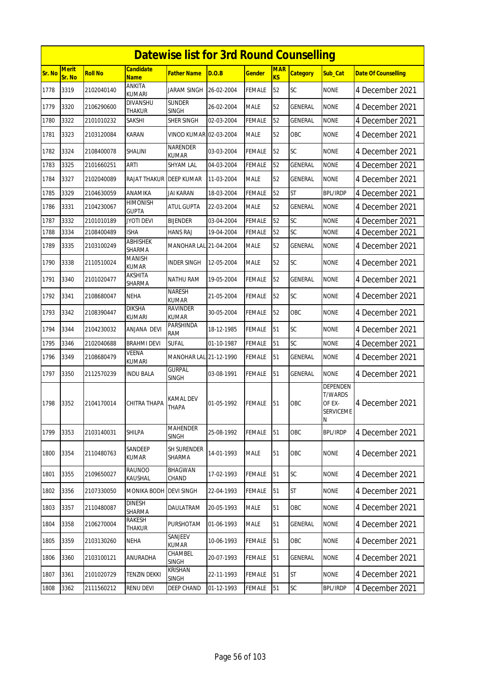|               |                 |                |                                  | <b>Datewise list for 3rd Round Counselling</b> |            |               |                              |                 |                                                                      |                            |
|---------------|-----------------|----------------|----------------------------------|------------------------------------------------|------------|---------------|------------------------------|-----------------|----------------------------------------------------------------------|----------------------------|
| <b>Sr. No</b> | Merit<br>Sr. No | <b>Roll No</b> | <b>Candidate</b><br><b>Name</b>  | <b>Father Name</b>                             | D.O.B      | <b>Gender</b> | <b>MAR</b><br>K <sub>S</sub> | <b>Category</b> | Sub_Cat                                                              | <b>Date Of Counselling</b> |
| 1778          | 3319            | 2102040140     | ANKITA<br><b>KUMARI</b>          | <b>JARAM SINGH</b>                             | 26-02-2004 | <b>FEMALE</b> | 52                           | <b>SC</b>       | <b>NONE</b>                                                          | 4 December 2021            |
| 1779          | 3320            | 2106290600     | <b>DIVANSHU</b><br><b>THAKUR</b> | <b>SUNDER</b><br><b>SINGH</b>                  | 26-02-2004 | <b>MALE</b>   | 52                           | GENERAL         | <b>NONE</b>                                                          | 4 December 2021            |
| 1780          | 3322            | 2101010232     | SAKSHI                           | SHER SINGH                                     | 02-03-2004 | <b>FEMALE</b> | 52                           | GENERAL         | <b>NONE</b>                                                          | 4 December 2021            |
| 1781          | 3323            | 2103120084     | <b>KARAN</b>                     | VINOD KUMAR 02-03-2004                         |            | <b>MALE</b>   | 52                           | OBC             | <b>NONE</b>                                                          | 4 December 2021            |
| 1782          | 3324            | 2108400078     | SHALINI                          | <b>NARENDER</b><br><b>KUMAR</b>                | 03-03-2004 | <b>FEMALE</b> | 52                           | SC              | <b>NONE</b>                                                          | 4 December 2021            |
| 1783          | 3325            | 2101660251     | ARTI                             | <b>SHYAM LAL</b>                               | 04-03-2004 | <b>FEMALE</b> | 52                           | GENERAL         | <b>NONE</b>                                                          | 4 December 2021            |
| 1784          | 3327            | 2102040089     | <b>RAJAT THAKUR</b>              | <b>DEEP KUMAR</b>                              | 11-03-2004 | <b>MALE</b>   | 52                           | GENERAL         | <b>NONE</b>                                                          | 4 December 2021            |
| 1785          | 3329            | 2104630059     | ANAMIKA                          | <b>JAI KARAN</b>                               | 18-03-2004 | <b>FEMALE</b> | 52                           | <b>ST</b>       | <b>BPL/IRDP</b>                                                      | 4 December 2021            |
| 1786          | 3331            | 2104230067     | HIMONISH<br><b>GUPTA</b>         | ATUL GUPTA                                     | 22-03-2004 | <b>MALE</b>   | 52                           | <b>GENERAL</b>  | <b>NONE</b>                                                          | 4 December 2021            |
| 1787          | 3332            | 2101010189     | <b>JYOTI DEVI</b>                | <b>BIJENDER</b>                                | 03-04-2004 | <b>FEMALE</b> | 52                           | SC              | <b>NONE</b>                                                          | 4 December 2021            |
| 1788          | 3334            | 2108400489     | <b>ISHA</b>                      | <b>HANS RAJ</b>                                | 19-04-2004 | <b>FEMALE</b> | 52                           | SC              | <b>NONE</b>                                                          | 4 December 2021            |
| 1789          | 3335            | 2103100249     | <b>ABHISHEK</b><br>SHARMA        | MANOHAR LAL 21-04-2004                         |            | <b>MALE</b>   | 52                           | <b>GENERAL</b>  | <b>NONE</b>                                                          | 4 December 2021            |
| 1790          | 3338            | 2110510024     | <b>MANISH</b><br><b>KUMAR</b>    | <b>INDER SINGH</b>                             | 12-05-2004 | <b>MALE</b>   | 52                           | SC              | <b>NONE</b>                                                          | 4 December 2021            |
| 1791          | 3340            | 2101020477     | AKSHITA<br>SHARMA                | <b>NATHU RAM</b>                               | 19-05-2004 | <b>FEMALE</b> | 52                           | GENERAL         | <b>NONE</b>                                                          | 4 December 2021            |
| 1792          | 3341            | 2108680047     | <b>NEHA</b>                      | <b>NARESH</b><br><b>KUMAR</b>                  | 21-05-2004 | <b>FEMALE</b> | 52                           | SC              | <b>NONE</b>                                                          | 4 December 2021            |
| 1793          | 3342            | 2108390447     | <b>DIKSHA</b><br>KUMARI          | <b>RAVINDER</b><br><b>KUMAR</b>                | 30-05-2004 | <b>FEMALE</b> | 52                           | OBC             | <b>NONE</b>                                                          | 4 December 2021            |
| 1794          | 3344            | 2104230032     | ANJANA DEVI                      | PARSHINDA<br>RAM                               | 18-12-1985 | <b>FEMALE</b> | 51                           | SC              | <b>NONE</b>                                                          | 4 December 2021            |
| 1795          | 3346            | 2102040688     | BRAHMI DEVI                      | <b>SUFAL</b>                                   | 01-10-1987 | <b>FEMALE</b> | 51                           | SC              | <b>NONE</b>                                                          | 4 December 2021            |
| 1796          | 3349            | 2108680479     | VEENA<br>KUMARI                  | MANOHAR LAL 21-12-1990                         |            | <b>FEMALE</b> | 51                           | <b>GENERAL</b>  | <b>NONE</b>                                                          | 4 December 2021            |
| 1797          | 3350            | 2112570239     | <b>INDU BALA</b>                 | <b>GURPAL</b><br><b>SINGH</b>                  | 03-08-1991 | FEMALE        | 51                           | GENERAL         | <b>NONE</b>                                                          | 4 December 2021            |
| 1798          | 3352            | 2104170014     | CHITRA THAPA                     | <b>KAMAL DEV</b><br>THAPA                      | 01-05-1992 | <b>FEMALE</b> | 51                           | OBC             | <b>DEPENDEN</b><br><b>T/WARDS</b><br>OF EX-<br><b>SERVICEME</b><br>N | 4 December 2021            |
| 1799          | 3353            | 2103140031     | <b>SHILPA</b>                    | <b>MAHENDER</b><br><b>SINGH</b>                | 25-08-1992 | <b>FEMALE</b> | 51                           | OBC             | <b>BPL/IRDP</b>                                                      | 4 December 2021            |
| 1800          | 3354            | 2110480763     | SANDEEP<br>KUMAR                 | <b>SH SURENDER</b><br>SHARMA                   | 14-01-1993 | <b>MALE</b>   | 51                           | OBC             | <b>NONE</b>                                                          | 4 December 2021            |
| 1801          | 3355            | 2109650027     | <b>RAUNOO</b><br>KAUSHAL         | <b>BHAGWAN</b><br>CHAND                        | 17-02-1993 | <b>FEMALE</b> | 51                           | SC              | <b>NONE</b>                                                          | 4 December 2021            |
| 1802          | 3356            | 2107330050     | MONIKA BODH                      | <b>DEVI SINGH</b>                              | 22-04-1993 | FEMALE        | 51                           | <b>ST</b>       | <b>NONE</b>                                                          | 4 December 2021            |
| 1803          | 3357            | 2110480087     | <b>DINESH</b><br>SHARMA          | DAULATRAM                                      | 20-05-1993 | <b>MALE</b>   | 51                           | OBC             | <b>NONE</b>                                                          | 4 December 2021            |
| 1804          | 3358            | 2106270004     | RAKESH<br>THAKUR                 | PURSHOTAM                                      | 01-06-1993 | <b>MALE</b>   | 51                           | GENERAL         | <b>NONE</b>                                                          | 4 December 2021            |
| 1805          | 3359            | 2103130260     | <b>NEHA</b>                      | SANJEEV<br>KUMAR                               | 10-06-1993 | FEMALE        | 51                           | OBC             | <b>NONE</b>                                                          | 4 December 2021            |
| 1806          | 3360            | 2103100121     | ANURADHA                         | CHAMBEL<br><b>SINGH</b>                        | 20-07-1993 | <b>FEMALE</b> | 51                           | GENERAL         | <b>NONE</b>                                                          | 4 December 2021            |
| 1807          | 3361            | 2101020729     | <b>TENZIN DEKKI</b>              | <b>KRISHAN</b><br><b>SINGH</b>                 | 22-11-1993 | <b>FEMALE</b> | 51                           | <b>ST</b>       | <b>NONE</b>                                                          | 4 December 2021            |
| 1808          | 3362            | 2111560212     | RENU DEVI                        | DEEP CHAND                                     | 01-12-1993 | <b>FEMALE</b> | 51                           | SC              | <b>BPL/IRDP</b>                                                      | 4 December 2021            |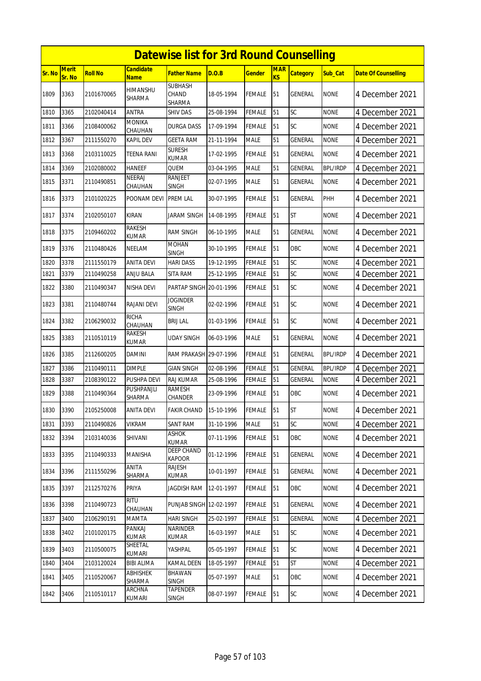|        | <b>Datewise list for 3rd Round Counselling</b> |                |                                  |                                   |            |               |                  |                 |                 |                            |  |
|--------|------------------------------------------------|----------------|----------------------------------|-----------------------------------|------------|---------------|------------------|-----------------|-----------------|----------------------------|--|
| Sr. No | <b>Merit</b><br>Sr. No                         | <b>Roll No</b> | <b>Candidate</b><br><b>Name</b>  | <b>Father Name</b>                | D.O.B      | <b>Gender</b> | <b>MAR</b><br>KS | <b>Category</b> | Sub Cat         | <b>Date Of Counselling</b> |  |
| 1809   | 3363                                           | 2101670065     | <b>HIMANSHU</b><br><b>SHARMA</b> | <b>SUBHASH</b><br>CHAND<br>SHARMA | 18-05-1994 | FEMALE        | 51               | <b>GENERAL</b>  | <b>NONE</b>     | 4 December 2021            |  |
| 1810   | 3365                                           | 2102040414     | ANTRA                            | <b>SHIV DAS</b>                   | 25-08-1994 | <b>FEMALE</b> | 51               | SC              | <b>NONE</b>     | 4 December 2021            |  |
| 1811   | 3366                                           | 2108400062     | <b>MONIKA</b><br>CHAUHAN         | <b>DURGA DASS</b>                 | 17-09-1994 | <b>FEMALE</b> | 51               | SC              | <b>NONE</b>     | 4 December 2021            |  |
| 1812   | 3367                                           | 2111550270     | KAPIL DEV                        | <b>GEETA RAM</b>                  | 21-11-1994 | <b>MALE</b>   | 51               | GENERAL         | <b>NONE</b>     | 4 December 2021            |  |
| 1813   | 3368                                           | 2103110025     | <b>TEENA RANI</b>                | <b>SURESH</b><br><b>KUMAR</b>     | 17-02-1995 | <b>FEMALE</b> | 51               | <b>GENERAL</b>  | <b>NONE</b>     | 4 December 2021            |  |
| 1814   | 3369                                           | 2102080002     | <b>HANEEF</b>                    | QUEM                              | 03-04-1995 | <b>MALE</b>   | 51               | GENERAL         | <b>BPL/IRDP</b> | 4 December 2021            |  |
| 1815   | 3371                                           | 2110490851     | <b>NEERAJ</b><br>CHAUHAN         | <b>RANJEET</b><br><b>SINGH</b>    | 02-07-1995 | <b>MALE</b>   | 51               | GENERAL         | <b>NONE</b>     | 4 December 2021            |  |
| 1816   | 3373                                           | 2101020225     | POONAM DEVI                      | <b>PREM LAL</b>                   | 30-07-1995 | <b>FEMALE</b> | 51               | <b>GENERAL</b>  | PHH             | 4 December 2021            |  |
| 1817   | 3374                                           | 2102050107     | <b>KIRAN</b>                     | JARAM SINGH                       | 14-08-1995 | <b>FEMALE</b> | 51               | <b>ST</b>       | <b>NONE</b>     | 4 December 2021            |  |
| 1818   | 3375                                           | 2109460202     | <b>RAKESH</b><br><b>KUMAR</b>    | <b>RAM SINGH</b>                  | 06-10-1995 | <b>MALE</b>   | 51               | <b>GENERAL</b>  | <b>NONE</b>     | 4 December 2021            |  |
| 1819   | 3376                                           | 2110480426     | NEELAM                           | <b>MOHAN</b><br><b>SINGH</b>      | 30-10-1995 | <b>FEMALE</b> | 51               | OBC             | <b>NONE</b>     | 4 December 2021            |  |
| 1820   | 3378                                           | 2111550179     | <b>ANITA DEVI</b>                | <b>HARI DASS</b>                  | 19-12-1995 | <b>FEMALE</b> | 51               | SC              | <b>NONE</b>     | 4 December 2021            |  |
| 1821   | 3379                                           | 2110490258     | <b>ANJU BALA</b>                 | SITA RAM                          | 25-12-1995 | <b>FEMALE</b> | 51               | SC              | <b>NONE</b>     | 4 December 2021            |  |
| 1822   | 3380                                           | 2110490347     | NISHA DEVI                       | PARTAP SINGH 20-01-1996           |            | FEMALE        | 51               | SC              | <b>NONE</b>     | 4 December 2021            |  |
| 1823   | 3381                                           | 2110480744     | RAJANI DEVI                      | <b>JOGINDER</b><br><b>SINGH</b>   | 02-02-1996 | <b>FEMALE</b> | 51               | SC              | <b>NONE</b>     | 4 December 2021            |  |
| 1824   | 3382                                           | 2106290032     | <b>RICHA</b><br>CHAUHAN          | <b>BRIJ LAL</b>                   | 01-03-1996 | <b>FEMALE</b> | 51               | SC              | <b>NONE</b>     | 4 December 2021            |  |
| 1825   | 3383                                           | 2110510119     | <b>RAKESH</b><br>KUMAR           | <b>UDAY SINGH</b>                 | 06-03-1996 | <b>MALE</b>   | 51               | GENERAL         | <b>NONE</b>     | 4 December 2021            |  |
| 1826   | 3385                                           | 2112600205     | DAMINI                           | RAM PRAKASH 29-07-1996            |            | <b>FEMALE</b> | 51               | <b>GENERAL</b>  | BPL/IRDP        | 4 December 2021            |  |
| 1827   | 3386                                           | 2110490111     | <b>DIMPLE</b>                    | <b>GIAN SINGH</b>                 | 02-08-1996 | <b>FEMALE</b> | 51               | <b>GENERAL</b>  | <b>BPL/IRDP</b> | 4 December 2021            |  |
| 1828   | 3387                                           | 2108390122     | PUSHPA DEVI                      | <b>RAJ KUMAR</b>                  | 25-08-1996 | <b>FEMALE</b> | 51               | GENERAL         | <b>NONE</b>     | 4 December 2021            |  |
| 1829   | 3388                                           | 2110490364     | PUSHPANJLI<br>SHARMA             | <b>RAMESH</b><br>CHANDER          | 23-09-1996 | <b>FEMALE</b> | 51               | OBC             | <b>NONE</b>     | 4 December 2021            |  |
| 1830   | 3390                                           | 2105250008     | <b>ANITA DEVI</b>                | <b>FAKIR CHAND</b>                | 15-10-1996 | <b>FEMALE</b> | 51               | <b>ST</b>       | <b>NONE</b>     | 4 December 2021            |  |
| 1831   | 3393                                           | 2110490826     | <b>VIKRAM</b>                    | <b>SANT RAM</b>                   | 31-10-1996 | <b>MALE</b>   | 51               | SC              | <b>NONE</b>     | 4 December 2021            |  |
| 1832   | 3394                                           | 2103140036     | SHIVANI                          | <b>ASHOK</b><br><b>KUMAR</b>      | 07-11-1996 | <b>FEMALE</b> | 51               | OBC             | <b>NONE</b>     | 4 December 2021            |  |
| 1833   | 3395                                           | 2110490333     | <b>MANISHA</b>                   | DEEP CHAND<br><b>KAPOOR</b>       | 01-12-1996 | <b>FEMALE</b> | 51               | GENERAL         | <b>NONE</b>     | 4 December 2021            |  |
| 1834   | 3396                                           | 2111550296     | ANITA<br>SHARMA                  | rajesh<br>KUMAR                   | 10-01-1997 | <b>FEMALE</b> | 51               | GENERAL         | <b>NONE</b>     | 4 December 2021            |  |
| 1835   | 3397                                           | 2112570276     | PRIYA                            | JAGDISH RAM                       | 12-01-1997 | <b>FEMALE</b> | 51               | OBC             | <b>NONE</b>     | 4 December 2021            |  |
| 1836   | 3398                                           | 2110490723     | <b>RITU</b><br>CHAUHAN           | PUNJAB SINGH 12-02-1997           |            | <b>FEMALE</b> | 51               | GENERAL         | <b>NONE</b>     | 4 December 2021            |  |
| 1837   | 3400                                           | 2106290191     | MAMTA                            | <b>HARI SINGH</b>                 | 25-02-1997 | <b>FEMALE</b> | 51               | GENERAL         | <b>NONE</b>     | 4 December 2021            |  |
| 1838   | 3402                                           | 2101020175     | PANKAJ<br><b>KUMAR</b>           | NARINDER<br><b>KUMAR</b>          | 16-03-1997 | <b>MALE</b>   | 51               | SC              | <b>NONE</b>     | 4 December 2021            |  |
| 1839   | 3403                                           | 2110500075     | SHEETAL<br>KUMARI                | YASHPAL                           | 05-05-1997 | <b>FEMALE</b> | 51               | <b>SC</b>       | <b>NONE</b>     | 4 December 2021            |  |
| 1840   | 3404                                           | 2103120024     | BIBI ALIMA                       | KAMAL DEEN                        | 18-05-1997 | <b>FEMALE</b> | 51               | ST              | <b>NONE</b>     | 4 December 2021            |  |
| 1841   | 3405                                           | 2110520067     | ABHISHEK<br>SHARMA               | <b>BHAWAN</b><br><b>SINGH</b>     | 05-07-1997 | <b>MALE</b>   | 51               | OBC             | <b>NONE</b>     | 4 December 2021            |  |
| 1842   | 3406                                           | 2110510117     | ARCHNA<br>KUMARI                 | TAPENDER<br><b>SINGH</b>          | 08-07-1997 | FEMALE        | 51               | <b>SC</b>       | <b>NONE</b>     | 4 December 2021            |  |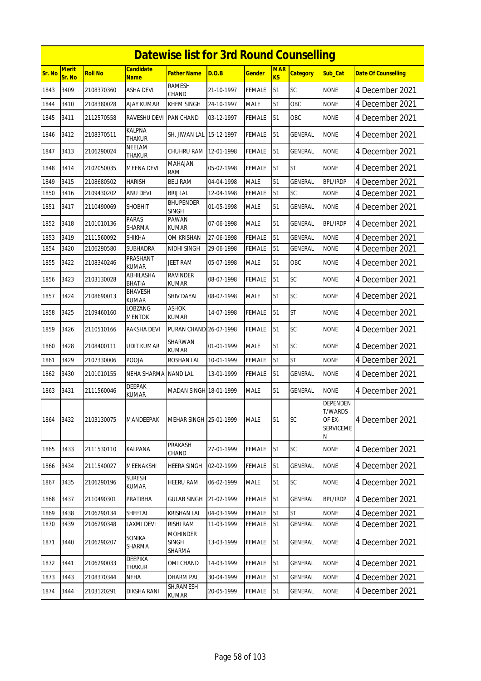|        |                        |                |                                 | <b>Datewise list for 3rd Round Counselling</b> |            |               |                  |                 |                                                               |                            |
|--------|------------------------|----------------|---------------------------------|------------------------------------------------|------------|---------------|------------------|-----------------|---------------------------------------------------------------|----------------------------|
| Sr. No | <b>Merit</b><br>Sr. No | <b>Roll No</b> | <b>Candidate</b><br><b>Name</b> | Father Name                                    | D.O.B      | Gender        | <b>MAR</b><br>KS | <b>Category</b> | Sub Cat                                                       | <b>Date Of Counselling</b> |
| 1843   | 3409                   | 2108370360     | <b>ASHA DEVI</b>                | <b>RAMESH</b><br>CHAND                         | 21-10-1997 | FEMALE        | 51               | SC              | <b>NONE</b>                                                   | 4 December 2021            |
| 1844   | 3410                   | 2108380028     | <b>AJAY KUMAR</b>               | <b>KHEM SINGH</b>                              | 24-10-1997 | <b>MALE</b>   | 51               | OBC             | <b>NONE</b>                                                   | 4 December 2021            |
| 1845   | 3411                   | 2112570558     | RAVESHU DEVI                    | <b>PAN CHAND</b>                               | 03-12-1997 | FEMALE        | 51               | OBC             | <b>NONE</b>                                                   | 4 December 2021            |
| 1846   | 3412                   | 2108370511     | KALPNA<br><b>THAKUR</b>         | SH. JIWAN LAL                                  | 15-12-1997 | <b>FEMALE</b> | 51               | <b>GENERAL</b>  | <b>NONE</b>                                                   | 4 December 2021            |
| 1847   | 3413                   | 2106290024     | NEELAM<br>Thakur                | CHUHRU RAM                                     | 12-01-1998 | FEMALE        | 51               | GENERAL         | <b>NONE</b>                                                   | 4 December 2021            |
| 1848   | 3414                   | 2102050035     | <b>MEENA DEVI</b>               | MAHAJAN<br><b>RAM</b>                          | 05-02-1998 | FEMALE        | 51               | <b>ST</b>       | <b>NONE</b>                                                   | 4 December 2021            |
| 1849   | 3415                   | 2108680502     | <b>HARISH</b>                   | <b>BELI RAM</b>                                | 04-04-1998 | <b>MALE</b>   | 51               | <b>GENERAL</b>  | <b>BPL/IRDP</b>                                               | 4 December 2021            |
| 1850   | 3416                   | 2109430202     | <b>ANU DEVI</b>                 | <b>BRIJ LAL</b>                                | 12-04-1998 | FEMALE        | 51               | SC              | <b>NONE</b>                                                   | 4 December 2021            |
| 1851   | 3417                   | 2110490069     | <b>SHOBHIT</b>                  | <b>BHUPENDER</b><br><b>SINGH</b>               | 01-05-1998 | <b>MALE</b>   | 51               | <b>GENERAL</b>  | <b>NONE</b>                                                   | 4 December 2021            |
| 1852   | 3418                   | 2101010136     | <b>PARAS</b><br>SHARMA          | PAWAN<br><b>KUMAR</b>                          | 07-06-1998 | MALE          | 51               | GENERAL         | <b>BPL/IRDP</b>                                               | 4 December 2021            |
| 1853   | 3419                   | 2111560092     | <b>SHIKHA</b>                   | OM KRISHAN                                     | 27-06-1998 | <b>FEMALE</b> | 51               | GENERAL         | <b>NONE</b>                                                   | 4 December 2021            |
| 1854   | 3420                   | 2106290580     | SUBHADRA                        | NIDHI SINGH                                    | 29-06-1998 | FEMALE        | 51               | GENERAL         | None                                                          | 4 December 2021            |
| 1855   | 3422                   | 2108340246     | PRASHANT<br>KUMAR               | <b>JEET RAM</b>                                | 05-07-1998 | MALE          | 51               | OBC             | <b>NONE</b>                                                   | 4 December 2021            |
| 1856   | 3423                   | 2103130028     | ABHILASHA<br><b>BHATIA</b>      | <b>RAVINDER</b><br>KUMAR                       | 08-07-1998 | FEMALE        | 51               | SC              | <b>NONE</b>                                                   | 4 December 2021            |
| 1857   | 3424                   | 2108690013     | <b>BHAVESH</b><br><b>KUMAR</b>  | <b>SHIV DAYAL</b>                              | 08-07-1998 | MALE          | 51               | SC              | <b>NONE</b>                                                   | 4 December 2021            |
| 1858   | 3425                   | 2109460160     | LOBZANG<br><b>MENTOK</b>        | ASHOK<br>KUMAR                                 | 14-07-1998 | FEMALE        | 51               | <b>ST</b>       | <b>NONE</b>                                                   | 4 December 2021            |
| 1859   | 3426                   | 2110510166     | RAKSHA DEVI                     | PURAN CHAND 26-07-1998                         |            | FEMALE        | 51               | <b>SC</b>       | <b>NONE</b>                                                   | 4 December 2021            |
| 1860   | 3428                   | 2108400111     | UDIT KUMAR                      | SHARWAN<br><b>KUMAR</b>                        | 01-01-1999 | MALE          | 51               | SC              | <b>NONE</b>                                                   | 4 December 2021            |
| 1861   | 3429                   | 2107330006     | POOJA                           | ROSHAN LAL                                     | 10-01-1999 | FEMALE        | 51               | <b>ST</b>       | <b>NONE</b>                                                   | 4 December 2021            |
| 1862   | 3430                   | 2101010155     | <b>NEHA SHARMA</b>              | <b>NAND LAL</b>                                | 13-01-1999 | FEMALE        | 51               | <b>GENERAL</b>  | <b>NONE</b>                                                   | 4 December 2021            |
| 1863   | 3431                   | 2111560046     | <b>DEEPAK</b><br>KUMAR          | <b>MADAN SINGH</b>                             | 18-01-1999 | MALE          | 51               | GENERAL         | <b>NONE</b>                                                   | 4 December 2021            |
| 1864   | 3432                   | 2103130075     | MANDEEPAK                       | MEHAR SINGH 25-01-1999                         |            | MALE          | 51               | SC              | <b>DEPENDEN</b><br><b>T/WARDS</b><br>OF EX-<br>SERVICEME<br>Ν | 4 December 2021            |
| 1865   | 3433                   | 2111530110     | KALPANA                         | PRAKASH<br>CHAND                               | 27-01-1999 | <b>FEMALE</b> | 51               | SC              | <b>NONE</b>                                                   | 4 December 2021            |
| 1866   | 3434                   | 2111540027     | MEENAKSHI                       | <b>HEERA SINGH</b>                             | 02-02-1999 | FEMALE        | 51               | GENERAL         | <b>NONE</b>                                                   | 4 December 2021            |
| 1867   | 3435                   | 2106290196     | <b>SURESH</b><br>KUMAR          | <b>HEERU RAM</b>                               | 06-02-1999 | <b>MALE</b>   | 51               | SC              | <b>NONE</b>                                                   | 4 December 2021            |
| 1868   | 3437                   | 2110490301     | PRATIBHA                        | <b>GULAB SINGH</b>                             | 21-02-1999 | <b>FEMALE</b> | 51               | GENERAL         | <b>BPL/IRDP</b>                                               | 4 December 2021            |
| 1869   | 3438                   | 2106290134     | SHEETAL                         | <b>KRISHAN LAL</b>                             | 04-03-1999 | <b>FEMALE</b> | 51               | ST              | <b>NONE</b>                                                   | 4 December 2021            |
| 1870   | 3439                   | 2106290348     | LAXMI DEVI                      | <b>RISHI RAM</b>                               | 11-03-1999 | FEMALE        | 51               | GENERAL         | <b>NONE</b>                                                   | 4 December 2021            |
| 1871   | 3440                   | 2106290207     | SONIKA<br>SHARMA                | <b>MOHINDER</b><br><b>SINGH</b><br>SHARMA      | 13-03-1999 | FEMALE        | 51               | GENERAL         | <b>NONE</b>                                                   | 4 December 2021            |
| 1872   | 3441                   | 2106290033     | DEEPIKA<br>Thakur               | OMI CHAND                                      | 14-03-1999 | FEMALE        | 51               | GENERAL         | <b>NONE</b>                                                   | 4 December 2021            |
| 1873   | 3443                   | 2108370344     | NEHA                            | <b>DHARM PAL</b>                               | 30-04-1999 | <b>FEMALE</b> | 51               | GENERAL         | <b>NONE</b>                                                   | 4 December 2021            |
| 1874   | 3444                   | 2103120291     | DIKSHA RANI                     | SH.RAMESH<br>KUMAR                             | 20-05-1999 | <b>FEMALE</b> | 51               | GENERAL         | <b>NONE</b>                                                   | 4 December 2021            |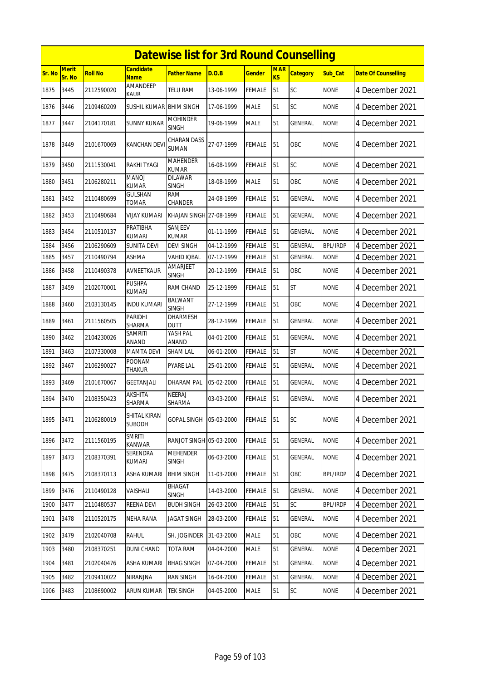|        |                        |                |                                  | <b>Datewise list for 3rd Round Counselling</b> |            |               |                  |                 |                 |                            |
|--------|------------------------|----------------|----------------------------------|------------------------------------------------|------------|---------------|------------------|-----------------|-----------------|----------------------------|
| Sr. No | <b>Merit</b><br>Sr. No | <b>Roll No</b> | <b>Candidate</b><br><b>Name</b>  | Father Name                                    | D.O.B      | Gender        | <b>MAR</b><br>KS | <b>Category</b> | Sub Cat         | <b>Date Of Counselling</b> |
| 1875   | 3445                   | 2112590020     | <b>AMANDEEP</b><br><b>KAUR</b>   | <b>TELU RAM</b>                                | 13-06-1999 | FEMALE        | 51               | SC              | <b>NONE</b>     | 4 December 2021            |
| 1876   | 3446                   | 2109460209     | SUSHIL KUMAR BHIM SINGH          |                                                | 17-06-1999 | MALE          | 51               | SC              | <b>NONE</b>     | 4 December 2021            |
| 1877   | 3447                   | 2104170181     | SUNNY KUNAR                      | <b>MOHINDER</b><br><b>SINGH</b>                | 19-06-1999 | <b>MALE</b>   | 51               | GENERAL         | <b>NONE</b>     | 4 December 2021            |
| 1878   | 3449                   | 2101670069     | <b>KANCHAN DEV</b>               | CHARAN DASS<br><b>SUMAN</b>                    | 27-07-1999 | FEMALE        | 51               | OBC             | <b>NONE</b>     | 4 December 2021            |
| 1879   | 3450                   | 2111530041     | RAKHI TYAGI                      | <b>MAHENDER</b><br><b>KUMAR</b>                | 16-08-1999 | FEMALE        | 51               | SC              | <b>NONE</b>     | 4 December 2021            |
| 1880   | 3451                   | 2106280211     | <b>MANOJ</b><br><b>KUMAR</b>     | <b>DILAWAR</b><br><b>SINGH</b>                 | 18-08-1999 | <b>MALE</b>   | 51               | OBC             | <b>NONE</b>     | 4 December 2021            |
| 1881   | 3452                   | 2110480699     | GULSHAN<br>TOMAR                 | <b>RAM</b><br>CHANDER                          | 24-08-1999 | FEMALE        | 51               | GENERAL         | <b>NONE</b>     | 4 December 2021            |
| 1882   | 3453                   | 2110490684     | VIJAY KUMARI                     | KHAJAN SINGH 27-08-1999                        |            | <b>FEMALE</b> | 51               | GENERAL         | <b>NONE</b>     | 4 December 2021            |
| 1883   | 3454                   | 2110510137     | PRATIBHA<br><b>KUMARI</b>        | SANJEEV<br><b>KUMAR</b>                        | 01-11-1999 | <b>FEMALE</b> | 51               | GENERAL         | <b>NONE</b>     | 4 December 2021            |
| 1884   | 3456                   | 2106290609     | <b>SUNITA DEVI</b>               | <b>DEVI SINGH</b>                              | 04-12-1999 | <b>FEMALE</b> | 51               | <b>GENERAL</b>  | <b>BPL/IRDP</b> | 4 December 2021            |
| 1885   | 3457                   | 2110490794     | ASHMA                            | <b>VAHID IOBAL</b>                             | 07-12-1999 | FEMALE        | 51               | <b>GENERAL</b>  | <b>NONE</b>     | 4 December 2021            |
| 1886   | 3458                   | 2110490378     | AVNEETKAUR                       | AMARJEET<br><b>SINGH</b>                       | 20-12-1999 | FEMALE        | 51               | OBC             | <b>NONE</b>     | 4 December 2021            |
| 1887   | 3459                   | 2102070001     | <b>PUSHPA</b><br><b>KUMARI</b>   | RAM CHAND                                      | 25-12-1999 | <b>FEMALE</b> | 51               | <b>ST</b>       | <b>NONE</b>     | 4 December 2021            |
| 1888   | 3460                   | 2103130145     | <b>INDU KUMARI</b>               | <b>BALWANT</b><br><b>SINGH</b>                 | 27-12-1999 | FEMALE        | 51               | OBC             | <b>NONE</b>     | 4 December 2021            |
| 1889   | 3461                   | 2111560505     | PARIDHI<br>SHARMA                | DHARMESH<br><b>DUTT</b>                        | 28-12-1999 | <b>FEMALE</b> | 51               | GENERAL         | <b>NONE</b>     | 4 December 2021            |
| 1890   | 3462                   | 2104230026     | SAMRITI<br>ANAND                 | YASH PAL<br>ANAND                              | 04-01-2000 | FEMALE        | 51               | GENERAL         | <b>NONE</b>     | 4 December 2021            |
| 1891   | 3463                   | 2107330008     | <b>MAMTA DEVI</b>                | <b>SHAM LAL</b>                                | 06-01-2000 | <b>FEMALE</b> | 51               | <b>ST</b>       | <b>NONE</b>     | 4 December 2021            |
| 1892   | 3467                   | 2106290027     | <b>POONAM</b><br><b>THAKUR</b>   | PYARE LAL                                      | 25-01-2000 | FEMALE        | 51               | GENERAL         | <b>NONE</b>     | 4 December 2021            |
| 1893   | 3469                   | 2101670067     | <b>GEETANJALI</b>                | <b>DHARAM PAL</b>                              | 05-02-2000 | FEMALE        | 51               | GENERAL         | <b>NONE</b>     | 4 December 2021            |
| 1894   | 3470                   | 2108350423     | <b>AKSHITA</b><br>SHARMA         | NEERAJ<br>SHARMA                               | 03-03-2000 | FEMALE        | 51               | GENERAL         | <b>NONE</b>     | 4 December 2021            |
| 1895   | 3471                   | 2106280019     | SHITAL KIRAN<br><b>SUBODH</b>    | <b>GOPAL SINGH</b>                             | 05-03-2000 | FEMALE        | 51               | <b>SC</b>       | <b>NONE</b>     | 4 December 2021            |
| 1896   | 3472                   | 2111560195     | <b>SMRITI</b><br>KANWAR          | RANJOT SINGH 05-03-2000                        |            | FEMALE        | 51               | <b>GENERAL</b>  | <b>NONE</b>     | 4 December 2021            |
| 1897   | 3473                   | 2108370391     | <b>SERENDRA</b><br><b>KUMARI</b> | <b>MEHENDER</b><br><b>SINGH</b>                | 06-03-2000 | FEMALE        | 51               | GENERAL         | <b>NONE</b>     | 4 December 2021            |
| 1898   | 3475                   | 2108370113     | <b>ASHA KUMARI</b>               | <b>BHIM SINGH</b>                              | 11-03-2000 | FEMALE        | 51               | OBC             | <b>BPL/IRDP</b> | 4 December 2021            |
| 1899   | 3476                   | 2110490128     | VAISHALI                         | BHAGAT<br>SINGH                                | 14-03-2000 | FEMALE        | 51               | GENERAL         | <b>NONE</b>     | 4 December 2021            |
| 1900   | 3477                   | 2110480537     | REENA DEVI                       | <b>BUDH SINGH</b>                              | 26-03-2000 | <b>FEMALE</b> | 51               | SC              | <b>BPL/IRDP</b> | 4 December 2021            |
| 1901   | 3478                   | 2110520175     | NEHA RANA                        | <b>JAGAT SINGH</b>                             | 28-03-2000 | FEMALE        | 51               | GENERAL         | <b>NONE</b>     | 4 December 2021            |
| 1902   | 3479                   | 2102040708     | Rahul                            | SH. JOGINDER                                   | 31-03-2000 | MALE          | 51               | OBC             | <b>NONE</b>     | 4 December 2021            |
| 1903   | 3480                   | 2108370251     | <b>DUNI CHAND</b>                | <b>TOTA RAM</b>                                | 04-04-2000 | MALE          | 51               | GENERAL         | <b>NONE</b>     | 4 December 2021            |
| 1904   | 3481                   | 2102040476     | ASHA KUMARI                      | <b>BHAG SINGH</b>                              | 07-04-2000 | FEMALE        | 51               | GENERAL         | <b>NONE</b>     | 4 December 2021            |
| 1905   | 3482                   | 2109410022     | NIRANJNA                         | <b>RAN SINGH</b>                               | 16-04-2000 | <b>FEMALE</b> | 51               | GENERAL         | <b>NONE</b>     | 4 December 2021            |
| 1906   | 3483                   | 2108690002     | ARUN KUMAR                       | TEK SINGH                                      | 04-05-2000 | <b>MALE</b>   | 51               | SC              | <b>NONE</b>     | 4 December 2021            |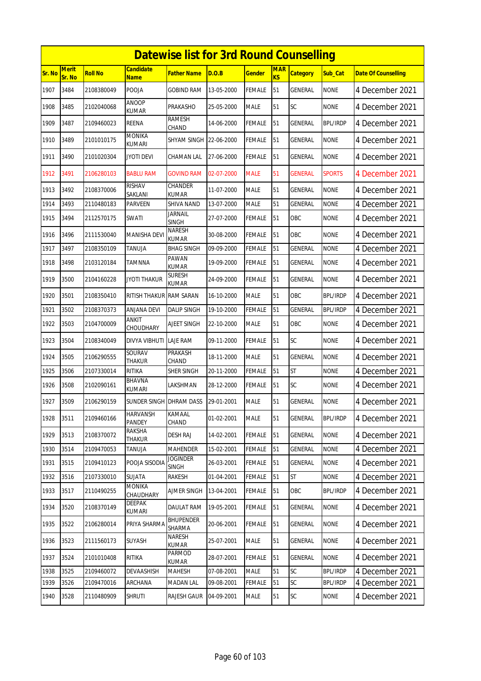|        |                 |                |                                  | <b>Datewise list for 3rd Round Counselling</b> |            |               |                              |                 |                 |                            |
|--------|-----------------|----------------|----------------------------------|------------------------------------------------|------------|---------------|------------------------------|-----------------|-----------------|----------------------------|
| Sr. No | Merit<br>Sr. No | <b>Roll No</b> | Candidate<br><b>Name</b>         | Father Name                                    | D.O.B      | <b>Gender</b> | <b>MAR</b><br>K <sub>S</sub> | <b>Category</b> | Sub_Cat         | <b>Date Of Counselling</b> |
| 1907   | 3484            | 2108380049     | POOJA                            | <b>GOBIND RAM</b>                              | 13-05-2000 | FEMALE        | 51                           | GENERAL         | <b>NONE</b>     | 4 December 2021            |
| 1908   | 3485            | 2102040068     | ANOOP<br>KUMAR                   | PRAKASHO                                       | 25-05-2000 | MALE          | 51                           | SC              | <b>NONE</b>     | 4 December 2021            |
| 1909   | 3487            | 2109460023     | <b>REENA</b>                     | RAMESH<br>CHAND                                | 14-06-2000 | FEMALE        | 51                           | GENERAL         | <b>BPL/IRDP</b> | 4 December 2021            |
| 1910   | 3489            | 2101010175     | <b>MONIKA</b><br><b>KUMARI</b>   | SHYAM SINGH 22-06-2000                         |            | <b>FEMALE</b> | 51                           | GENERAL         | <b>NONE</b>     | 4 December 2021            |
| 1911   | 3490            | 2101020304     | Jyoti Devi                       | CHAMAN LAL                                     | 27-06-2000 | FEMALE        | 51                           | GENERAL         | <b>NONE</b>     | 4 December 2021            |
| 1912   | 3491            | 2106280103     | <b>BABLU RAM</b>                 | <b>GOVIND RAM</b>                              | 02-07-2000 | <b>MALE</b>   | 51                           | <b>GENERAL</b>  | <b>SPORTS</b>   | 4 December 2021            |
| 1913   | 3492            | 2108370006     | RISHAV<br>SAKLANI                | CHANDER<br>KUMAR                               | 11-07-2000 | MALE          | 51                           | GENERAL         | <b>NONE</b>     | 4 December 2021            |
| 1914   | 3493            | 2110480183     | PARVEEN                          | SHIVA NAND                                     | 13-07-2000 | <b>MALE</b>   | 51                           | GENERAL         | <b>NONE</b>     | 4 December 2021            |
| 1915   | 3494            | 2112570175     | SWATI                            | Jarnail<br><b>SINGH</b>                        | 27-07-2000 | <b>FEMALE</b> | 51                           | OBC             | <b>NONE</b>     | 4 December 2021            |
| 1916   | 3496            | 2111530040     | MANISHA DEVI                     | <b>NARESH</b><br>KUMAR                         | 30-08-2000 | FEMALE        | 51                           | OBC             | <b>NONE</b>     | 4 December 2021            |
| 1917   | 3497            | 2108350109     | TANUJA                           | <b>BHAG SINGH</b>                              | 09-09-2000 | FEMALE        | 51                           | GENERAL         | <b>NONE</b>     | 4 December 2021            |
| 1918   | 3498            | 2103120184     | TAMNNA                           | PAWAN<br>KUMAR                                 | 19-09-2000 | FEMALE        | 51                           | GENERAL         | <b>NONE</b>     | 4 December 2021            |
| 1919   | 3500            | 2104160228     | <b>JYOTI THAKUR</b>              | Suresh<br>KUMAR                                | 24-09-2000 | <b>FEMALE</b> | 51                           | GENERAL         | <b>NONE</b>     | 4 December 2021            |
| 1920   | 3501            | 2108350410     | RITISH THAKUR                    | <b>RAM SARAN</b>                               | 16-10-2000 | MALE          | 51                           | OBC             | <b>BPL/IRDP</b> | 4 December 2021            |
| 1921   | 3502            | 2108370373     | <b>ANJANA DEVI</b>               | <b>DALIP SINGH</b>                             | 19-10-2000 | FEMALE        | 51                           | <b>GENERAL</b>  | <b>BPL/IRDP</b> | 4 December 2021            |
| 1922   | 3503            | 2104700009     | <b>ANKIT</b><br>CHOUDHARY        | AJEET SINGH                                    | 22-10-2000 | MALE          | 51                           | OBC             | <b>NONE</b>     | 4 December 2021            |
| 1923   | 3504            | 2108340049     | DIVYA VIBHUTI                    | LAJE RAM                                       | 09-11-2000 | FEMALE        | 51                           | SC              | <b>NONE</b>     | 4 December 2021            |
| 1924   | 3505            | 2106290555     | SOURAV<br><b>THAKUR</b>          | PRAKASH<br>CHAND                               | 18-11-2000 | <b>MALE</b>   | 51                           | <b>GENERAL</b>  | <b>NONE</b>     | 4 December 2021            |
| 1925   | 3506            | 2107330014     | <b>RITIKA</b>                    | <b>SHER SINGH</b>                              | 20-11-2000 | FEMALE        | 51                           | <b>ST</b>       | <b>NONE</b>     | 4 December 2021            |
| 1926   | 3508            | 2102090161     | <b>BHAVNA</b><br>kumari          | LAKSHMAN                                       | 28-12-2000 | FEMALE        | 51                           | <b>SC</b>       | <b>NONE</b>     | 4 December 2021            |
| 1927   | 3509            | 2106290159     | SUNDER SINGH DHRAM DASS          |                                                | 29-01-2001 | <b>MALE</b>   | 51                           | <b>GENERAL</b>  | <b>NONE</b>     | 4 December 2021            |
| 1928   | 3511            | 2109460166     | <b>HARVANSH</b><br><b>PANDEY</b> | KAMAAL<br>CHAND                                | 01-02-2001 | MALE          | 51                           | GENERAL         | <b>BPL/IRDP</b> | 4 December 2021            |
| 1929   | 3513            | 2108370072     | RAKSHA<br>THAKUR                 | <b>DESH RAJ</b>                                | 14-02-2001 | <b>FEMALE</b> | 51                           | <b>GENERAL</b>  | <b>NONE</b>     | 4 December 2021            |
| 1930   | 3514            | 2109470053     | <b>TANUJA</b>                    | <b>MAHENDER</b>                                | 15-02-2001 | <b>FEMALE</b> | 51                           | <b>GENERAL</b>  | <b>NONE</b>     | 4 December 2021            |
| 1931   | 3515            | 2109410123     | POOJA SISODIA                    | <b>JOGINDER</b><br><b>SINGH</b>                | 26-03-2001 | <b>FEMALE</b> | 51                           | GENERAL         | <b>NONE</b>     | 4 December 2021            |
| 1932   | 3516            | 2107330010     | SUJATA                           | RAKESH                                         | 01-04-2001 | <b>FEMALE</b> | 51                           | ST              | <b>NONE</b>     | 4 December 2021            |
| 1933   | 3517            | 2110490255     | <b>MONIKA</b><br>CHAUDHARY       | AJMER SINGH                                    | 13-04-2001 | FEMALE        | 51                           | OBC             | <b>BPL/IRDP</b> | 4 December 2021            |
| 1934   | 3520            | 2108370149     | DEEPAK<br>KUMARI                 | DAULAT RAM                                     | 19-05-2001 | <b>FEMALE</b> | 51                           | <b>GENERAL</b>  | <b>NONE</b>     | 4 December 2021            |
| 1935   | 3522            | 2106280014     | PRIYA SHARMA                     | <b>BHUPENDER</b><br>SHARMA                     | 20-06-2001 | FEMALE        | 51                           | GENERAL         | <b>NONE</b>     | 4 December 2021            |
| 1936   | 3523            | 2111560173     | SUYASH                           | NARESH<br>kumar                                | 25-07-2001 | MALE          | 51                           | GENERAL         | <b>NONE</b>     | 4 December 2021            |
| 1937   | 3524            | 2101010408     | RITIKA                           | PARMOD<br>KUMAR                                | 28-07-2001 | <b>FEMALE</b> | 51                           | <b>GENERAL</b>  | <b>NONE</b>     | 4 December 2021            |
| 1938   | 3525            | 2109460072     | <b>DEVAASHISH</b>                | MAHESH                                         | 07-08-2001 | MALE          | 51                           | SC              | <b>BPL/IRDP</b> | 4 December 2021            |
| 1939   | 3526            | 2109470016     | ARCHANA                          | <b>MADAN LAL</b>                               | 09-08-2001 | <b>FEMALE</b> | 51                           | SC              | <b>BPL/IRDP</b> | 4 December 2021            |
| 1940   | 3528            | 2110480909     | <b>SHRUTI</b>                    | RAJESH GAUR                                    | 04-09-2001 | MALE          | 51                           | SC              | <b>NONE</b>     | 4 December 2021            |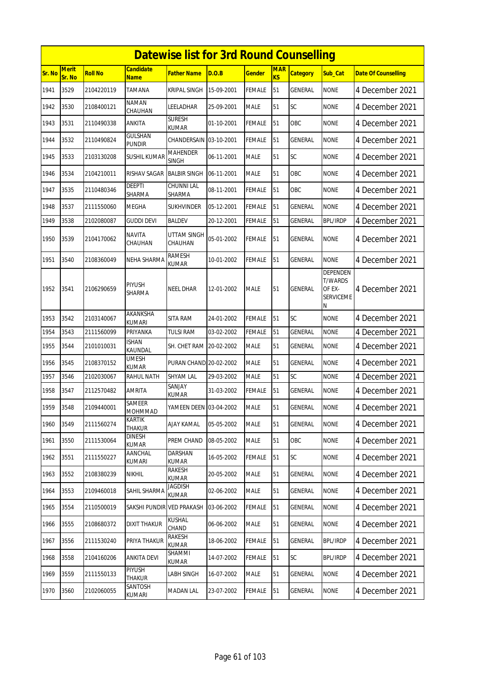|        | <b>Datewise list for 3rd Round Counselling</b> |                |                               |                                 |            |               |                         |                 |                                                               |                            |  |  |  |
|--------|------------------------------------------------|----------------|-------------------------------|---------------------------------|------------|---------------|-------------------------|-----------------|---------------------------------------------------------------|----------------------------|--|--|--|
| Sr. No | <b>Merit</b><br>Sr. No                         | <b>Roll No</b> | <b>Candidate</b><br>Name      | <b>Father Name</b>              | D.O.B      | <b>Gender</b> | <b>MAR</b><br><b>KS</b> | <b>Category</b> | Sub_Cat                                                       | <b>Date Of Counselling</b> |  |  |  |
| 1941   | 3529                                           | 2104220119     | TAMANA                        | <b>KRIPAL SINGH</b>             | 15-09-2001 | <b>FEMALE</b> | 51                      | GENERAL         | <b>NONE</b>                                                   | 4 December 2021            |  |  |  |
| 1942   | 3530                                           | 2108400121     | <b>NAMAN</b><br>CHAUHAN       | leeladhar                       | 25-09-2001 | <b>MALE</b>   | 51                      | SC              | <b>NONE</b>                                                   | 4 December 2021            |  |  |  |
| 1943   | 3531                                           | 2110490338     | ANKITA                        | <b>SURESH</b><br>KUMAR          | 01-10-2001 | <b>FEMALE</b> | 51                      | OBC             | <b>NONE</b>                                                   | 4 December 2021            |  |  |  |
| 1944   | 3532                                           | 2110490824     | GULSHAN<br><b>PUNDIR</b>      | CHANDERSAIN 03-10-2001          |            | <b>FEMALE</b> | 51                      | <b>GENERAL</b>  | <b>NONE</b>                                                   | 4 December 2021            |  |  |  |
| 1945   | 3533                                           | 2103130208     | SUSHIL KUMAR                  | <b>MAHENDER</b><br><b>SINGH</b> | 06-11-2001 | <b>MALE</b>   | 51                      | SC              | <b>NONE</b>                                                   | 4 December 2021            |  |  |  |
| 1946   | 3534                                           | 2104210011     | RISHAV SAGAR                  | <b>BALBIR SINGH</b>             | 06-11-2001 | <b>MALE</b>   | 51                      | OBC             | <b>NONE</b>                                                   | 4 December 2021            |  |  |  |
| 1947   | 3535                                           | 2110480346     | DEEPTI<br>SHARMA              | CHUNNI LAL<br>SHARMA            | 08-11-2001 | <b>FEMALE</b> | 51                      | <b>OBC</b>      | <b>NONE</b>                                                   | 4 December 2021            |  |  |  |
| 1948   | 3537                                           | 2111550060     | <b>MEGHA</b>                  | <b>SUKHVINDER</b>               | 05-12-2001 | <b>FEMALE</b> | 51                      | <b>GENERAL</b>  | <b>NONE</b>                                                   | 4 December 2021            |  |  |  |
| 1949   | 3538                                           | 2102080087     | guddi devi                    | <b>BALDEV</b>                   | 20-12-2001 | <b>FEMALE</b> | 51                      | GENERAL         | <b>BPL/IRDP</b>                                               | 4 December 2021            |  |  |  |
| 1950   | 3539                                           | 2104170062     | NAVITA<br>CHAUHAN             | UTTAM SINGH<br>CHAUHAN          | 05-01-2002 | FEMALE        | 51                      | GENERAL         | <b>NONE</b>                                                   | 4 December 2021            |  |  |  |
| 1951   | 3540                                           | 2108360049     | NEHA SHARMA                   | <b>RAMESH</b><br><b>KUMAR</b>   | 10-01-2002 | <b>FEMALE</b> | 51                      | GENERAL         | <b>NONE</b>                                                   | 4 December 2021            |  |  |  |
| 1952   | 3541                                           | 2106290659     | PIYUSH<br>SHARMA              | NEEL DHAR                       | 12-01-2002 | <b>MALE</b>   | 51                      | GENERAL         | DEPENDEN<br><b>T/WARDS</b><br>OF EX-<br><b>SERVICEME</b><br>Ν | 4 December 2021            |  |  |  |
| 1953   | 3542                                           | 2103140067     | AKANKSHA<br><b>KUMARI</b>     | SITA RAM                        | 24-01-2002 | <b>FEMALE</b> | 51                      | SC              | <b>NONE</b>                                                   | 4 December 2021            |  |  |  |
| 1954   | 3543                                           | 2111560099     | PRIYANKA                      | <b>TULSI RAM</b>                | 03-02-2002 | <b>FEMALE</b> | 51                      | GENERAL         | <b>NONE</b>                                                   | 4 December 2021            |  |  |  |
| 1955   | 3544                                           | 2101010031     | <b>ISHAN</b><br>KAUNDAL       | SH. CHET RAM 20-02-2002         |            | <b>MALE</b>   | 51                      | GENERAL         | <b>NONE</b>                                                   | 4 December 2021            |  |  |  |
| 1956   | 3545                                           | 2108370152     | UMESH<br><b>KUMAR</b>         | PURAN CHAND 20-02-2002          |            | <b>MALE</b>   | 51                      | <b>GENERAL</b>  | <b>NONE</b>                                                   | 4 December 2021            |  |  |  |
| 1957   | 3546                                           | 2102030067     | RAHUL NATH                    | <b>SHYAM LAL</b>                | 29-03-2002 | <b>MALE</b>   | 51                      | SC              | <b>NONE</b>                                                   | 4 December 2021            |  |  |  |
| 1958   | 3547                                           | 2112570482     | AMRITA                        | SANJAY<br>KUMAR                 | 31-03-2002 | <b>FEMALE</b> | 51                      | <b>GENERAL</b>  | <b>NONE</b>                                                   | 4 December 2021            |  |  |  |
| 1959   | 3548                                           | 2109440001     | SAMEER<br><b>MOHMMAD</b>      | YAMEEN DEEN 03-04-2002          |            | <b>MALE</b>   | 51                      | GENERAL         | <b>NONE</b>                                                   | 4 December 2021            |  |  |  |
| 1960   | 3549                                           | 2111560274     | KARTIK<br>THAKUR              | <b>AJAY KAMAL</b>               | 05-05-2002 | <b>MALE</b>   | 51                      | <b>GENERAL</b>  | <b>NONE</b>                                                   | 4 December 2021            |  |  |  |
| 1961   | 3550                                           | 2111530064     | <b>DINESH</b><br><b>KUMAR</b> | PREM CHAND                      | 08-05-2002 | <b>MALE</b>   | 51                      | OBC             | <b>NONE</b>                                                   | 4 December 2021            |  |  |  |
| 1962   | 3551                                           | 2111550227     | AANCHAL<br><b>KUMARI</b>      | DARSHAN<br><b>KUMAR</b>         | 16-05-2002 | FEMALE        | 51                      | <b>SC</b>       | <b>NONE</b>                                                   | 4 December 2021            |  |  |  |
| 1963   | 3552                                           | 2108380239     | <b>NIKHIL</b>                 | RAKESH<br><b>KUMAR</b>          | 20-05-2002 | <b>MALE</b>   | 51                      | <b>GENERAL</b>  | <b>NONE</b>                                                   | 4 December 2021            |  |  |  |
| 1964   | 3553                                           | 2109460018     | SAHIL SHARMA                  | JAGDISH<br>KUMAR                | 02-06-2002 | <b>MALE</b>   | 51                      | GENERAL         | <b>NONE</b>                                                   | 4 December 2021            |  |  |  |
| 1965   | 3554                                           | 2110500019     | SAKSHI PUNDIR VED PRAKASH     |                                 | 03-06-2002 | <b>FEMALE</b> | 51                      | GENERAL         | <b>NONE</b>                                                   | 4 December 2021            |  |  |  |
| 1966   | 3555                                           | 2108680372     | <b>DIXIT THAKUR</b>           | <b>KUSHAL</b><br>CHAND          | 06-06-2002 | <b>MALE</b>   | 51                      | GENERAL         | <b>NONE</b>                                                   | 4 December 2021            |  |  |  |
| 1967   | 3556                                           | 2111530240     | PRIYA THAKUR                  | RAKESH<br>KUMAR                 | 18-06-2002 | <b>FEMALE</b> | 51                      | GENERAL         | <b>BPL/IRDP</b>                                               | 4 December 2021            |  |  |  |
| 1968   | 3558                                           | 2104160206     | <b>ANKITA DEVI</b>            | SHAMMI<br>KUMAR                 | 14-07-2002 | <b>FEMALE</b> | 51                      | SC              | <b>BPL/IRDP</b>                                               | 4 December 2021            |  |  |  |
| 1969   | 3559                                           | 2111550133     | PIYUSH<br>THAKUR              | <b>LABH SINGH</b>               | 16-07-2002 | MALE          | 51                      | GENERAL         | <b>NONE</b>                                                   | 4 December 2021            |  |  |  |
| 1970   | 3560                                           | 2102060055     | SANTOSH<br>KUMARI             | <b>MADAN LAL</b>                | 23-07-2002 | <b>FEMALE</b> | 51                      | GENERAL         | <b>NONE</b>                                                   | 4 December 2021            |  |  |  |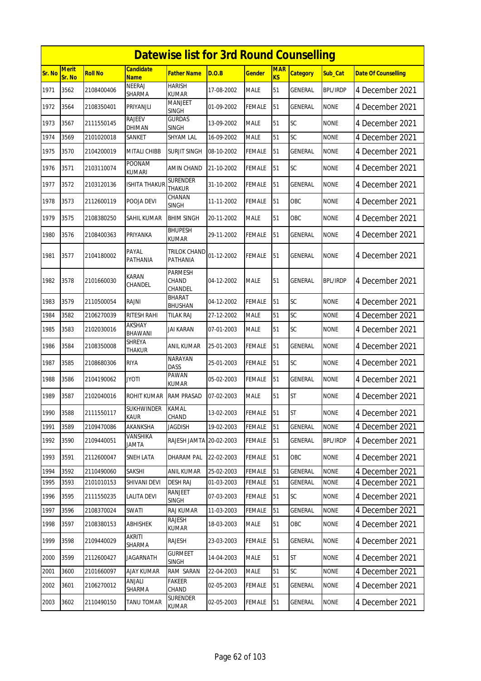|               | <b>Datewise list for 3rd Round Counselling</b><br><b>Merit</b><br><b>Candidate</b><br><b>MAR</b> |                |                                |                                    |            |               |           |                 |                 |                            |  |  |
|---------------|--------------------------------------------------------------------------------------------------|----------------|--------------------------------|------------------------------------|------------|---------------|-----------|-----------------|-----------------|----------------------------|--|--|
| <b>Sr. No</b> | Sr. No                                                                                           | <b>Roll No</b> | <b>Name</b>                    | <b>Father Name</b>                 | D.O.B      | <b>Gender</b> | <b>KS</b> | <b>Category</b> | Sub Cat         | <b>Date Of Counselling</b> |  |  |
| 1971          | 3562                                                                                             | 2108400406     | NEERAJ<br>SHARMA               | <b>HARISH</b><br><b>KUMAR</b>      | 17-08-2002 | <b>MALE</b>   | 51        | <b>GENERAL</b>  | <b>BPL/IRDP</b> | 4 December 2021            |  |  |
| 1972          | 3564                                                                                             | 2108350401     | PRIYANJLI                      | <b>MANJEET</b><br><b>SINGH</b>     | 01-09-2002 | <b>FEMALE</b> | 51        | GENERAL         | <b>NONE</b>     | 4 December 2021            |  |  |
| 1973          | 3567                                                                                             | 2111550145     | RAJEEV<br>DHIMAN               | <b>GURDAS</b><br><b>SINGH</b>      | 13-09-2002 | <b>MALE</b>   | 51        | SC              | <b>NONE</b>     | 4 December 2021            |  |  |
| 1974          | 3569                                                                                             | 2101020018     | SANKET                         | <b>SHYAM LAL</b>                   | 16-09-2002 | <b>MALE</b>   | 51        | SC              | <b>NONE</b>     | 4 December 2021            |  |  |
| 1975          | 3570                                                                                             | 2104200019     | <b>MITALI CHIBB</b>            | SURJIT SINGH                       | 08-10-2002 | <b>FEMALE</b> | 51        | GENERAL         | <b>NONE</b>     | 4 December 2021            |  |  |
| 1976          | 3571                                                                                             | 2103110074     | <b>POONAM</b><br><b>KUMARI</b> | AMIN CHAND                         | 21-10-2002 | <b>FEMALE</b> | 51        | <b>SC</b>       | <b>NONE</b>     | 4 December 2021            |  |  |
| 1977          | 3572                                                                                             | 2103120136     | ISHITA THAKUR                  | <b>SURENDER</b><br><b>THAKUR</b>   | 31-10-2002 | <b>FEMALE</b> | 51        | GENERAL         | <b>NONE</b>     | 4 December 2021            |  |  |
| 1978          | 3573                                                                                             | 2112600119     | POOJA DEVI                     | CHANAN<br>SINGH                    | 11-11-2002 | <b>FEMALE</b> | 51        | OBC             | <b>NONE</b>     | 4 December 2021            |  |  |
| 1979          | 3575                                                                                             | 2108380250     | SAHIL KUMAR                    | <b>BHIM SINGH</b>                  | 20-11-2002 | <b>MALE</b>   | 51        | OBC             | <b>NONE</b>     | 4 December 2021            |  |  |
| 1980          | 3576                                                                                             | 2108400363     | PRIYANKA                       | <b>BHUPESH</b><br>KUMAR            | 29-11-2002 | FEMALE        | 51        | GENERAL         | <b>NONE</b>     | 4 December 2021            |  |  |
| 1981          | 3577                                                                                             | 2104180002     | PAYAL<br>PATHANIA              | <b>TRILOK CHAND</b><br>PATHANIA    | 01-12-2002 | <b>FEMALE</b> | 51        | <b>GENERAL</b>  | <b>NONE</b>     | 4 December 2021            |  |  |
| 1982          | 3578                                                                                             | 2101660030     | <b>KARAN</b><br>CHANDEL        | <b>PARMESH</b><br>CHAND<br>CHANDEL | 04-12-2002 | <b>MALE</b>   | 51        | <b>GENERAL</b>  | <b>BPL/IRDP</b> | 4 December 2021            |  |  |
| 1983          | 3579                                                                                             | 2110500054     | <b>RAJNI</b>                   | <b>BHARAT</b><br>BHUSHAN           | 04-12-2002 | <b>FEMALE</b> | 51        | SC              | <b>NONE</b>     | 4 December 2021            |  |  |
| 1984          | 3582                                                                                             | 2106270039     | RITESH RAHI                    | <b>TILAK RAJ</b>                   | 27-12-2002 | <b>MALE</b>   | 51        | SC              | <b>NONE</b>     | 4 December 2021            |  |  |
| 1985          | 3583                                                                                             | 2102030016     | AKSHAY<br>BHAWANI              | JAI KARAN                          | 07-01-2003 | <b>MALE</b>   | 51        | <b>SC</b>       | <b>NONE</b>     | 4 December 2021            |  |  |
| 1986          | 3584                                                                                             | 2108350008     | <b>SHREYA</b><br><b>THAKUR</b> | ANIL KUMAR                         | 25-01-2003 | FEMALE        | 51        | GENERAL         | <b>NONE</b>     | 4 December 2021            |  |  |
| 1987          | 3585                                                                                             | 2108680306     | <b>RIYA</b>                    | <b>NARAYAN</b><br><b>DASS</b>      | 25-01-2003 | <b>FEMALE</b> | 51        | SC              | <b>NONE</b>     | 4 December 2021            |  |  |
| 1988          | 3586                                                                                             | 2104190062     | <b>JYOTI</b>                   | PAWAN<br>KUMAR                     | 05-02-2003 | <b>FEMALE</b> | 51        | <b>GENERAL</b>  | <b>NONE</b>     | 4 December 2021            |  |  |
| 1989          | 3587                                                                                             | 2102040016     | <b>ROHIT KUMAR</b>             | <b>RAM PRASAD</b>                  | 07-02-2003 | <b>MALE</b>   | 51        | <b>ST</b>       | <b>NONE</b>     | 4 December 2021            |  |  |
| 1990          | 3588                                                                                             | 2111550117     | <b>SUKHWINDER</b><br>KAUR      | KAMAL<br>CHAND                     | 13-02-2003 | <b>FEMALE</b> | 51        | <b>ST</b>       | <b>NONE</b>     | 4 December 2021            |  |  |
| 1991          | 3589                                                                                             | 2109470086     | AKANKSHA                       | <b>JAGDISH</b>                     | 19-02-2003 | FEMALE        | 51        | <b>GENERAL</b>  | <b>NONE</b>     | 4 December 2021            |  |  |
| 1992          | 3590                                                                                             | 2109440051     | VANSHIKA<br><b>ATMAL</b>       | RAJESH JAMTA 20-02-2003            |            | <b>FEMALE</b> | 51        | GENERAL         | <b>BPL/IRDP</b> | 4 December 2021            |  |  |
| 1993          | 3591                                                                                             | 2112600047     | SNEH LATA                      | DHARAM PAL                         | 22-02-2003 | FEMALE        | 51        | OBC             | <b>NONE</b>     | 4 December 2021            |  |  |
| 1994          | 3592                                                                                             | 2110490060     | SAKSHI                         | <b>ANIL KUMAR</b>                  | 25-02-2003 | <b>FEMALE</b> | 51        | <b>GENERAL</b>  | <b>NONE</b>     | 4 December 2021            |  |  |
| 1995          | 3593                                                                                             | 2101010153     | SHIVANI DEVI                   | <b>DESH RAJ</b>                    | 01-03-2003 | FEMALE        | 51        | <b>GENERAL</b>  | <b>NONE</b>     | 4 December 2021            |  |  |
| 1996          | 3595                                                                                             | 2111550235     | LALITA DEVI                    | RANJEET<br><b>SINGH</b>            | 07-03-2003 | FEMALE        | 51        | SC              | <b>NONE</b>     | 4 December 2021            |  |  |
| 1997          | 3596                                                                                             | 2108370024     | SWATI                          | RAJ KUMAR                          | 11-03-2003 | FEMALE        | 51        | <b>GENERAL</b>  | <b>NONE</b>     | 4 December 2021            |  |  |
| 1998          | 3597                                                                                             | 2108380153     | ABHISHEK                       | RAJESH<br>KUMAR                    | 18-03-2003 | <b>MALE</b>   | 51        | OBC             | <b>NONE</b>     | 4 December 2021            |  |  |
| 1999          | 3598                                                                                             | 2109440029     | AKRITI<br>SHARMA               | <b>RAJESH</b>                      | 23-03-2003 | <b>FEMALE</b> | 51        | GENERAL         | <b>NONE</b>     | 4 December 2021            |  |  |
| 2000          | 3599                                                                                             | 2112600427     | <b>JAGARNATH</b>               | <b>GURMEET</b><br><b>SINGH</b>     | 14-04-2003 | MALE          | 51        | <b>ST</b>       | <b>NONE</b>     | 4 December 2021            |  |  |
| 2001          | 3600                                                                                             | 2101660097     | AJAY KUMAR                     | RAM SARAN                          | 22-04-2003 | <b>MALE</b>   | 51        | SC              | <b>NONE</b>     | 4 December 2021            |  |  |
| 2002          | 3601                                                                                             | 2106270012     | ANJALI<br>SHARMA               | <b>FAKEER</b><br>CHAND             | 02-05-2003 | <b>FEMALE</b> | 51        | <b>GENERAL</b>  | <b>NONE</b>     | 4 December 2021            |  |  |
| 2003          | 3602                                                                                             | 2110490150     | TANU TOMAR                     | SURENDER<br><b>KUMAR</b>           | 02-05-2003 | FEMALE        | 51        | GENERAL         | <b>NONE</b>     | 4 December 2021            |  |  |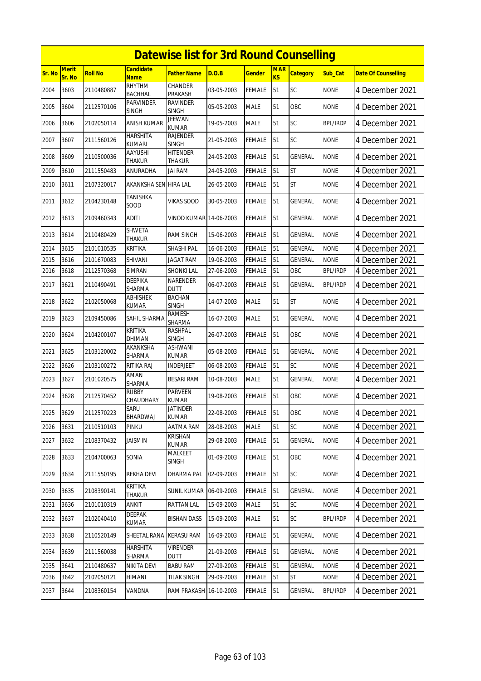|               | <b>Datewise list for 3rd Round Counselling</b><br>Merit<br><b>Candidate</b><br><b>MAR</b> |                |                                  |                                  |            |               |                |                 |                 |                            |  |  |
|---------------|-------------------------------------------------------------------------------------------|----------------|----------------------------------|----------------------------------|------------|---------------|----------------|-----------------|-----------------|----------------------------|--|--|
| <b>Sr. No</b> | Sr. No                                                                                    | <b>Roll No</b> | <b>Name</b>                      | <b>Father Name</b>               | D.O.B      | <b>Gender</b> | K <sub>S</sub> | <b>Category</b> | Sub_Cat         | <b>Date Of Counselling</b> |  |  |
| 2004          | 3603                                                                                      | 2110480887     | RHYTHM<br><b>BACHHAL</b>         | <b>CHANDER</b><br>PRAKASH        | 03-05-2003 | <b>FEMALE</b> | 51             | SC              | <b>NONE</b>     | 4 December 2021            |  |  |
| 2005          | 3604                                                                                      | 2112570106     | <b>PARVINDER</b><br><b>SINGH</b> | <b>RAVINDER</b><br><b>SINGH</b>  | 05-05-2003 | <b>MALE</b>   | 51             | ОВС             | none            | 4 December 2021            |  |  |
| 2006          | 3606                                                                                      | 2102050114     | ANISH KUMAR                      | <b>JEEWAN</b><br><b>KUMAR</b>    | 19-05-2003 | <b>MALE</b>   | 51             | SC              | <b>BPL/IRDP</b> | 4 December 2021            |  |  |
| 2007          | 3607                                                                                      | 2111560126     | HARSHITA<br>KUMARI               | RAJENDER<br><b>SINGH</b>         | 21-05-2003 | <b>FEMALE</b> | 51             | <b>SC</b>       | <b>NONE</b>     | 4 December 2021            |  |  |
| 2008          | 3609                                                                                      | 2110500036     | AAYUSHI<br><b>THAKUR</b>         | <b>HITENDER</b><br><b>THAKUR</b> | 24-05-2003 | <b>FEMALE</b> | 51             | <b>GENERAL</b>  | <b>NONE</b>     | 4 December 2021            |  |  |
| 2009          | 3610                                                                                      | 2111550483     | ANURADHA                         | jai ram                          | 24-05-2003 | FEMALE        | 51             | <b>ST</b>       | <b>NONE</b>     | 4 December 2021            |  |  |
| 2010          | 3611                                                                                      | 2107320017     | AKANKSHA SEN HIRA LAL            |                                  | 26-05-2003 | <b>FEMALE</b> | 51             | <b>ST</b>       | <b>NONE</b>     | 4 December 2021            |  |  |
| 2011          | 3612                                                                                      | 2104230148     | <b>TANISHKA</b><br>SOOD          | <b>VIKAS SOOD</b>                | 30-05-2003 | <b>FEMALE</b> | 51             | GENERAL         | <b>NONE</b>     | 4 December 2021            |  |  |
| 2012          | 3613                                                                                      | 2109460343     | <b>ADITI</b>                     | VINOD KUMAR 14-06-2003           |            | <b>FEMALE</b> | 51             | GENERAL         | <b>NONE</b>     | 4 December 2021            |  |  |
| 2013          | 3614                                                                                      | 2110480429     | <b>SHWETA</b><br>THAKUR          | <b>RAM SINGH</b>                 | 15-06-2003 | <b>FEMALE</b> | 51             | <b>GENERAL</b>  | <b>NONE</b>     | 4 December 2021            |  |  |
| 2014          | 3615                                                                                      | 2101010535     | KRITIKA                          | <b>SHASHI PAL</b>                | 16-06-2003 | <b>FEMALE</b> | 51             | GENERAL         | <b>NONE</b>     | 4 December 2021            |  |  |
| 2015          | 3616                                                                                      | 2101670083     | SHIVANI                          | <b>JAGAT RAM</b>                 | 19-06-2003 | <b>FEMALE</b> | 51             | GENERAL         | <b>NONE</b>     | 4 December 2021            |  |  |
| 2016          | 3618                                                                                      | 2112570368     | <b>SIMRAN</b>                    | <b>SHONKI LAL</b>                | 27-06-2003 | <b>FEMALE</b> | 51             | OBC             | <b>BPL/IRDP</b> | 4 December 2021            |  |  |
| 2017          | 3621                                                                                      | 2110490491     | <b>DEEPIKA</b><br>SHARMA         | <b>NARENDER</b><br><b>DUTT</b>   | 06-07-2003 | <b>FEMALE</b> | 51             | <b>GENERAL</b>  | <b>BPL/IRDP</b> | 4 December 2021            |  |  |
| 2018          | 3622                                                                                      | 2102050068     | <b>ABHISHEK</b><br>KUMAR         | <b>BACHAN</b><br><b>SINGH</b>    | 14-07-2003 | <b>MALE</b>   | 51             | <b>ST</b>       | <b>NONE</b>     | 4 December 2021            |  |  |
| 2019          | 3623                                                                                      | 2109450086     | SAHIL SHARMA                     | RAMESH<br>SHARMA                 | 16-07-2003 | <b>MALE</b>   | 51             | <b>GENERAL</b>  | <b>NONE</b>     | 4 December 2021            |  |  |
| 2020          | 3624                                                                                      | 2104200107     | <b>KRITIKA</b><br>DHIMAN         | RASHPAL<br><b>SINGH</b>          | 26-07-2003 | <b>FEMALE</b> | 51             | OBC             | <b>NONE</b>     | 4 December 2021            |  |  |
| 2021          | 3625                                                                                      | 2103120002     | <b>AKANKSHA</b><br>SHARMA        | <b>ASHWANI</b><br>KUMAR          | 05-08-2003 | <b>FEMALE</b> | 51             | <b>GENERAL</b>  | <b>NONE</b>     | 4 December 2021            |  |  |
| 2022          | 3626                                                                                      | 2103100272     | RITIKA RAJ                       | INDERJEET                        | 06-08-2003 | <b>FEMALE</b> | 51             | SC              | <b>NONE</b>     | 4 December 2021            |  |  |
| 2023          | 3627                                                                                      | 2101020575     | AMAN<br>SHARMA                   | <b>BESARI RAM</b>                | 10-08-2003 | <b>MALE</b>   | 51             | <b>GENERAL</b>  | <b>NONE</b>     | 4 December 2021            |  |  |
| 2024          | 3628                                                                                      | 2112570452     | <b>RUBBY</b><br>CHAUDHARY        | <b>PARVEEN</b><br><b>KUMAR</b>   | 19-08-2003 | <b>FEMALE</b> | 51             | OBC             | <b>NONE</b>     | 4 December 2021            |  |  |
| 2025          | 3629                                                                                      | 2112570223     | SARU<br>BHARDWAJ                 | JATINDER<br><b>KUMAR</b>         | 22-08-2003 | <b>FEMALE</b> | 51             | OBC             | <b>NONE</b>     | 4 December 2021            |  |  |
| 2026          | 3631                                                                                      | 2110510103     | PINKU                            | AATMA RAM                        | 28-08-2003 | MALE          | 51             | SC              | <b>NONE</b>     | 4 December 2021            |  |  |
| 2027          | 3632                                                                                      | 2108370432     | <b>JAISMIN</b>                   | <b>KRISHAN</b><br>KUMAR          | 29-08-2003 | <b>FEMALE</b> | 51             | <b>GENERAL</b>  | <b>NONE</b>     | 4 December 2021            |  |  |
| 2028          | 3633                                                                                      | 2104700063     | SONIA                            | MALKEET<br><b>SINGH</b>          | 01-09-2003 | FEMALE        | 51             | OBC             | <b>NONE</b>     | 4 December 2021            |  |  |
| 2029          | 3634                                                                                      | 2111550195     | REKHA DEVI                       | DHARMA PAL                       | 02-09-2003 | <b>FEMALE</b> | 51             | <b>SC</b>       | <b>NONE</b>     | 4 December 2021            |  |  |
| 2030          | 3635                                                                                      | 2108390141     | <b>KRITIKA</b><br><b>THAKUR</b>  | <b>SUNIL KUMAR 06-09-2003</b>    |            | <b>FEMALE</b> | 51             | GENERAL         | <b>NONE</b>     | 4 December 2021            |  |  |
| 2031          | 3636                                                                                      | 2101010319     | ANKIT                            | RATTAN LAL                       | 15-09-2003 | <b>MALE</b>   | 51             | SC              | <b>NONE</b>     | 4 December 2021            |  |  |
| 2032          | 3637                                                                                      | 2102040410     | DEEPAK<br>KUMAR                  | <b>BISHAN DASS</b>               | 15-09-2003 | <b>MALE</b>   | 51             | <b>SC</b>       | <b>BPL/IRDP</b> | 4 December 2021            |  |  |
| 2033          | 3638                                                                                      | 2110520149     | SHEETAL RANA                     | <b>KERASU RAM</b>                | 16-09-2003 | <b>FEMALE</b> | 51             | <b>GENERAL</b>  | <b>NONE</b>     | 4 December 2021            |  |  |
| 2034          | 3639                                                                                      | 2111560038     | <b>HARSHITA</b><br>SHARMA        | <b>VIRENDER</b><br><b>DUTT</b>   | 21-09-2003 | <b>FEMALE</b> | 51             | GENERAL         | <b>NONE</b>     | 4 December 2021            |  |  |
| 2035          | 3641                                                                                      | 2110480637     | NIKITA DEVI                      | <b>BABU RAM</b>                  | 27-09-2003 | <b>FEMALE</b> | 51             | <b>GENERAL</b>  | <b>NONE</b>     | 4 December 2021            |  |  |
| 2036          | 3642                                                                                      | 2102050121     | HIMANI                           | <b>TILAK SINGH</b>               | 29-09-2003 | <b>FEMALE</b> | 51             | <b>ST</b>       | <b>NONE</b>     | 4 December 2021            |  |  |
| 2037          | 3644                                                                                      | 2108360154     | VANDNA                           | RAM PRAKASH 16-10-2003           |            | <b>FEMALE</b> | 51             | <b>GENERAL</b>  | <b>BPL/IRDP</b> | 4 December 2021            |  |  |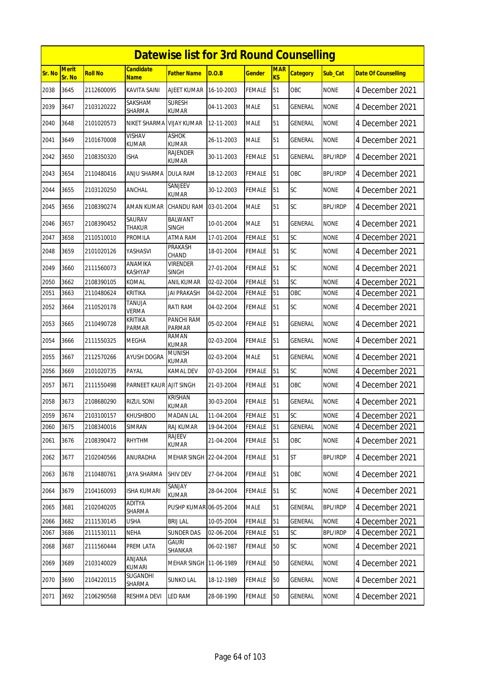|               | <b>Datewise list for 3rd Round Counselling</b><br>Merit<br><b>Candidate</b><br><b>MAR</b> |                |                           |                                 |            |               |                |                 |                 |                            |  |  |  |
|---------------|-------------------------------------------------------------------------------------------|----------------|---------------------------|---------------------------------|------------|---------------|----------------|-----------------|-----------------|----------------------------|--|--|--|
| <b>Sr. No</b> | Sr. No                                                                                    | <b>Roll No</b> | <u>Name</u>               | <b>Father Name</b>              | D.O.B      | <b>Gender</b> | K <sub>S</sub> | <b>Category</b> | Sub_Cat         | <b>Date Of Counselling</b> |  |  |  |
| 2038          | 3645                                                                                      | 2112600095     | KAVITA SAINI              | AJEET KUMAR                     | 16-10-2003 | <b>FEMALE</b> | 51             | <b>OBC</b>      | <b>NONE</b>     | 4 December 2021            |  |  |  |
| 2039          | 3647                                                                                      | 2103120222     | SAKSHAM<br>SHARMA         | <b>SURESH</b><br>KUMAR          | 04-11-2003 | <b>MALE</b>   | 51             | GENERAL         | <b>NONE</b>     | 4 December 2021            |  |  |  |
| 2040          | 3648                                                                                      | 2101020573     | NIKET SHARMA              | <b>VIJAY KUMAR</b>              | 12-11-2003 | <b>MALE</b>   | 51             | GENERAL         | <b>NONE</b>     | 4 December 2021            |  |  |  |
| 2041          | 3649                                                                                      | 2101670008     | VISHAV<br><b>KUMAR</b>    | <b>ASHOK</b><br><b>KUMAR</b>    | 26-11-2003 | <b>MALE</b>   | 51             | GENERAL         | <b>NONE</b>     | 4 December 2021            |  |  |  |
| 2042          | 3650                                                                                      | 2108350320     | ISHA                      | RAJENDER<br>KUMAR               | 30-11-2003 | FEMALE        | 51             | GENERAL         | <b>BPL/IRDP</b> | 4 December 2021            |  |  |  |
| 2043          | 3654                                                                                      | 2110480416     | ANJU SHARMA               | <b>DULA RAM</b>                 | 18-12-2003 | <b>FEMALE</b> | 51             | OBC             | <b>BPL/IRDP</b> | 4 December 2021            |  |  |  |
| 2044          | 3655                                                                                      | 2103120250     | ANCHAL                    | SANJEEV<br>KUMAR                | 30-12-2003 | FEMALE        | 51             | SC              | <b>NONE</b>     | 4 December 2021            |  |  |  |
| 2045          | 3656                                                                                      | 2108390274     | AMAN KUMAR                | <b>CHANDU RAM</b>               | 03-01-2004 | <b>MALE</b>   | 51             | SC              | <b>BPL/IRDP</b> | 4 December 2021            |  |  |  |
| 2046          | 3657                                                                                      | 2108390452     | SAURAV<br>THAKUR          | <b>BALWANT</b><br><b>SINGH</b>  | 10-01-2004 | <b>MALE</b>   | 51             | <b>GENERAL</b>  | <b>NONE</b>     | 4 December 2021            |  |  |  |
| 2047          | 3658                                                                                      | 2110510010     | PROMILA                   | <b>ATMA RAM</b>                 | 17-01-2004 | <b>FEMALE</b> | 51             | SC              | <b>NONE</b>     | 4 December 2021            |  |  |  |
| 2048          | 3659                                                                                      | 2101020126     | YASHASVI                  | PRAKASH<br>CHAND                | 18-01-2004 | <b>FEMALE</b> | 51             | SC              | <b>NONE</b>     | 4 December 2021            |  |  |  |
| 2049          | 3660                                                                                      | 2111560073     | ANAMIKA<br><b>KASHYAP</b> | <b>VIRENDER</b><br><b>SINGH</b> | 27-01-2004 | FEMALE        | 51             | SC              | <b>NONE</b>     | 4 December 2021            |  |  |  |
| 2050          | 3662                                                                                      | 2108390105     | KOMAL                     | ANIL KUMAR                      | 02-02-2004 | <b>FEMALE</b> | 51             | SC              | <b>NONE</b>     | 4 December 2021            |  |  |  |
| 2051          | 3663                                                                                      | 2110480624     | <b>KRITIKA</b>            | <b>JAI PRAKASH</b>              | 04-02-2004 | <b>FEMALE</b> | 51             | OBC             | <b>NONE</b>     | 4 December 2021            |  |  |  |
| 2052          | 3664                                                                                      | 2110520178     | TANUJA<br><b>VERMA</b>    | RATI RAM                        | 04-02-2004 | FEMALE        | 51             | SC              | <b>NONE</b>     | 4 December 2021            |  |  |  |
| 2053          | 3665                                                                                      | 2110490728     | KRITIKA<br>PARMAR         | PANCHI RAM<br><b>PARMAR</b>     | 05-02-2004 | <b>FEMALE</b> | 51             | <b>GENERAL</b>  | <b>NONE</b>     | 4 December 2021            |  |  |  |
| 2054          | 3666                                                                                      | 2111550325     | <b>MEGHA</b>              | <b>RAMAN</b><br><b>KUMAR</b>    | 02-03-2004 | <b>FEMALE</b> | 51             | <b>GENERAL</b>  | <b>NONE</b>     | 4 December 2021            |  |  |  |
| 2055          | 3667                                                                                      | 2112570266     | <b>AYUSH DOGRA</b>        | <b>MUNISH</b><br><b>KUMAR</b>   | 02-03-2004 | <b>MALE</b>   | 51             | <b>GENERAL</b>  | <b>NONE</b>     | 4 December 2021            |  |  |  |
| 2056          | 3669                                                                                      | 2101020735     | PAYAL                     | <b>KAMAL DEV</b>                | 07-03-2004 | <b>FEMALE</b> | 51             | SC              | <b>NONE</b>     | 4 December 2021            |  |  |  |
| 2057          | 3671                                                                                      | 2111550498     | PARNEET KAUR AJIT SINGH   |                                 | 21-03-2004 | FEMALE        | 51             | <b>OBC</b>      | <b>NONE</b>     | 4 December 2021            |  |  |  |
| 2058          | 3673                                                                                      | 2108680290     | <b>RIZUL SONI</b>         | <b>KRISHAN</b><br><b>KUMAR</b>  | 30-03-2004 | <b>FEMALE</b> | 51             | GENERAL         | <b>NONE</b>     | 4 December 2021            |  |  |  |
| 2059          | 3674                                                                                      | 2103100157     | <b>KHUSHBOO</b>           | <b>MADAN LAL</b>                | 11-04-2004 | <b>FEMALE</b> | 51             | <b>SC</b>       | <b>NONE</b>     | 4 December 2021            |  |  |  |
| 2060          | 3675                                                                                      | 2108340016     | SIMRAN                    | RAJ KUMAR                       | 19-04-2004 | <b>FEMALE</b> | 51             | <b>GENERAL</b>  | <b>NONE</b>     | 4 December 2021            |  |  |  |
| 2061          | 3676                                                                                      | 2108390472     | <b>RHYTHM</b>             | RAJEEV<br>KUMAR                 | 21-04-2004 | <b>FEMALE</b> | 51             | OBC             | <b>NONE</b>     | 4 December 2021            |  |  |  |
| 2062          | 3677                                                                                      | 2102040566     | ANURADHA                  | MEHAR SINGH 22-04-2004          |            | FEMALE        | 51             | <b>ST</b>       | BPL/IRDP        | 4 December 2021            |  |  |  |
| 2063          | 3678                                                                                      | 2110480761     | JAYA SHARMA               | <b>SHIV DEV</b>                 | 27-04-2004 | <b>FEMALE</b> | 51             | OBC             | <b>NONE</b>     | 4 December 2021            |  |  |  |
| 2064          | 3679                                                                                      | 2104160093     | ISHA KUMARI               | SANJAY<br>KUMAR                 | 28-04-2004 | <b>FEMALE</b> | 51             | <b>SC</b>       | <b>NONE</b>     | 4 December 2021            |  |  |  |
| 2065          | 3681                                                                                      | 2102040205     | ADITYA<br>SHARMA          | PUSHP KUMAR 06-05-2004          |            | <b>MALE</b>   | 51             | <b>GENERAL</b>  | <b>BPL/IRDP</b> | 4 December 2021            |  |  |  |
| 2066          | 3682                                                                                      | 2111530145     | <b>USHA</b>               | <b>BRIJ LAL</b>                 | 10-05-2004 | <b>FEMALE</b> | 51             | GENERAL         | <b>NONE</b>     | 4 December 2021            |  |  |  |
| 2067          | 3686                                                                                      | 2111530111     | NEHA                      | <b>SUNDER DAS</b>               | 02-06-2004 | <b>FEMALE</b> | 51             | SC              | <b>BPL/IRDP</b> | 4 December 2021            |  |  |  |
| 2068          | 3687                                                                                      | 2111560444     | PREM LATA                 | gauri<br>SHANKAR                | 06-02-1987 | <b>FEMALE</b> | 50             | <b>SC</b>       | <b>NONE</b>     | 4 December 2021            |  |  |  |
| 2069          | 3689                                                                                      | 2103140029     | ANJANA<br>KUMARI          | MEHAR SINGH                     | 11-06-1989 | <b>FEMALE</b> | 50             | GENERAL         | <b>NONE</b>     | 4 December 2021            |  |  |  |
| 2070          | 3690                                                                                      | 2104220115     | <b>SUGANDHI</b><br>SHARMA | <b>SUNKO LAL</b>                | 18-12-1989 | <b>FEMALE</b> | $50\,$         | GENERAL         | <b>NONE</b>     | 4 December 2021            |  |  |  |
| 2071          | 3692                                                                                      | 2106290568     | RESHMA DEVI               | LED RAM                         | 28-08-1990 | <b>FEMALE</b> | 50             | GENERAL         | <b>NONE</b>     | 4 December 2021            |  |  |  |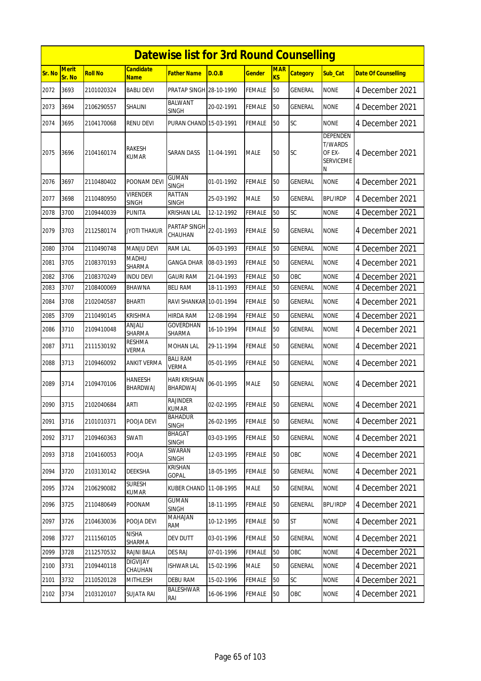|        | <b>Datewise list for 3rd Round Counselling</b> |                |                                 |                                 |            |               |                         |                 |                                                               |                            |  |  |
|--------|------------------------------------------------|----------------|---------------------------------|---------------------------------|------------|---------------|-------------------------|-----------------|---------------------------------------------------------------|----------------------------|--|--|
| Sr. No | <b>Merit</b><br>Sr. No                         | <b>Roll No</b> | <b>Candidate</b><br><b>Name</b> | Father Name                     | D.O.B      | Gender        | <b>MAR</b><br><b>KS</b> | <b>Category</b> | Sub Cat                                                       | <b>Date Of Counselling</b> |  |  |
| 2072   | 3693                                           | 2101020324     | <b>BABLI DEVI</b>               | PRATAP SINGH 28-10-1990         |            | FEMALE        | 50                      | <b>GENERAL</b>  | <b>NONE</b>                                                   | 4 December 2021            |  |  |
| 2073   | 3694                                           | 2106290557     | SHALINI                         | BALWANT<br><b>SINGH</b>         | 20-02-1991 | <b>FEMALE</b> | 50                      | GENERAL         | <b>NONE</b>                                                   | 4 December 2021            |  |  |
| 2074   | 3695                                           | 2104170068     | <b>RENU DEVI</b>                | PURAN CHAND 15-03-1991          |            | FEMALE        | 50                      | SC              | <b>NONE</b>                                                   | 4 December 2021            |  |  |
| 2075   | 3696                                           | 2104160174     | RAKESH<br><b>KUMAR</b>          | <b>SARAN DASS</b>               | 11-04-1991 | <b>MALE</b>   | 50                      | <b>SC</b>       | DEPENDEN<br><b>T/WARDS</b><br>OF EX-<br><b>SERVICEME</b><br>Ν | 4 December 2021            |  |  |
| 2076   | 3697                                           | 2110480402     | POONAM DEVI                     | <b>GUMAN</b><br><b>SINGH</b>    | 01-01-1992 | FEMALE        | 50                      | GENERAL         | <b>NONE</b>                                                   | 4 December 2021            |  |  |
| 2077   | 3698                                           | 2110480950     | VIRENDER<br><b>SINGH</b>        | RATTAN<br>SINGH                 | 25-03-1992 | <b>MALE</b>   | 50                      | GENERAL         | <b>BPL/IRDP</b>                                               | 4 December 2021            |  |  |
| 2078   | 3700                                           | 2109440039     | PUNITA                          | <b>KRISHAN LAL</b>              | 12-12-1992 | FEMALE        | 50                      | SC              | <b>NONE</b>                                                   | 4 December 2021            |  |  |
| 2079   | 3703                                           | 2112580174     | JYOTI THAKUR                    | <b>PARTAP SINGH</b><br>CHAUHAN  | 22-01-1993 | FEMALE        | 50                      | GENERAL         | <b>NONE</b>                                                   | 4 December 2021            |  |  |
| 2080   | 3704                                           | 2110490748     | <b>MANJU DEVI</b>               | <b>RAM LAL</b>                  | 06-03-1993 | FEMALE        | 50                      | GENERAL         | <b>NONE</b>                                                   | 4 December 2021            |  |  |
| 2081   | 3705                                           | 2108370193     | MADHU<br>SHARMA                 | GANGA DHAR                      | 08-03-1993 | FEMALE        | 50                      | GENERAL         | <b>NONE</b>                                                   | 4 December 2021            |  |  |
| 2082   | 3706                                           | 2108370249     | <b>INDU DEVI</b>                | <b>GAURI RAM</b>                | 21-04-1993 | <b>FEMALE</b> | 50                      | OBC             | <b>NONE</b>                                                   | 4 December 2021            |  |  |
| 2083   | 3707                                           | 2108400069     | BHAWNA                          | <b>BELI RAM</b>                 | 18-11-1993 | FEMALE        | 50                      | GENERAL         | <b>NONE</b>                                                   | 4 December 2021            |  |  |
| 2084   | 3708                                           | 2102040587     | <b>BHARTI</b>                   | RAVI SHANKAR 10-01-1994         |            | FEMALE        | 50                      | GENERAL         | <b>NONE</b>                                                   | 4 December 2021            |  |  |
| 2085   | 3709                                           | 2110490145     | <b>KRISHMA</b>                  | HIRDA RAM                       | 12-08-1994 | FEMALE        | 50                      | GENERAL         | <b>NONE</b>                                                   | 4 December 2021            |  |  |
| 2086   | 3710                                           | 2109410048     | ANJALI<br>SHARMA                | GOVERDHAN<br>SHARMA             | 16-10-1994 | FEMALE        | 50                      | GENERAL         | <b>NONE</b>                                                   | 4 December 2021            |  |  |
| 2087   | 3711                                           | 2111530192     | <b>RESHMA</b><br><b>VERMA</b>   | MOHAN LAL                       | 29-11-1994 | FEMALE        | 50                      | GENERAL         | <b>NONE</b>                                                   | 4 December 2021            |  |  |
| 2088   | 3713                                           | 2109460092     | <b>ANKIT VERMA</b>              | <b>BALI RAM</b><br><b>VERMA</b> | 05-01-1995 | FEMALE        | 50                      | <b>GENERAL</b>  | <b>NONE</b>                                                   | 4 December 2021            |  |  |
| 2089   | 3714                                           | 2109470106     | HANEESH<br>BHARDWAJ             | HARI KRISHAN<br>BHARDWAJ        | 06-01-1995 | MALE          | 50                      | <b>GENERAL</b>  | <b>NONE</b>                                                   | 4 December 2021            |  |  |
| 2090   | 3715                                           | 2102040684     | <b>ARTI</b>                     | RAJINDER<br>KUMAR               | 02-02-1995 | <b>FEMALE</b> | 50                      | <b>GENERAL</b>  | <b>NONE</b>                                                   | 4 December 2021            |  |  |
| 2091   | 3716                                           | 2101010371     | POOJA DEVI                      | <b>BAHADUR</b><br>SINGH         | 26-02-1995 | FEMALE        | 50                      | GENERAL         | <b>NONE</b>                                                   | 4 December 2021            |  |  |
| 2092   | 3717                                           | 2109460363     | SWATI                           | BHAGAT<br>SINGH                 | 03-03-1995 | FEMALE        | 50                      | GENERAL         | <b>NONE</b>                                                   | 4 December 2021            |  |  |
| 2093   | 3718                                           | 2104160053     | <b>POOJA</b>                    | SWARAN<br><b>SINGH</b>          | 12-03-1995 | <b>FEMALE</b> | 50                      | OBC             | <b>NONE</b>                                                   | 4 December 2021            |  |  |
| 2094   | 3720                                           | 2103130142     | DEEKSHA                         | KRISHAN<br><b>GOPAL</b>         | 18-05-1995 | <b>FEMALE</b> | 50                      | GENERAL         | <b>NONE</b>                                                   | 4 December 2021            |  |  |
| 2095   | 3724                                           | 2106290082     | <b>SURESH</b><br>KUMAR          | <b>KUBER CHAND</b>              | 11-08-1995 | MALE          | 50                      | GENERAL         | <b>NONE</b>                                                   | 4 December 2021            |  |  |
| 2096   | 3725                                           | 2110480649     | POONAM                          | <b>GUMAN</b><br><b>SINGH</b>    | 18-11-1995 | <b>FEMALE</b> | 50                      | GENERAL         | <b>BPL/IRDP</b>                                               | 4 December 2021            |  |  |
| 2097   | 3726                                           | 2104630036     | POOJA DEVI                      | MAHAJAN<br>RAM                  | 10-12-1995 | <b>FEMALE</b> | 50                      | <b>ST</b>       | <b>NONE</b>                                                   | 4 December 2021            |  |  |
| 2098   | 3727                                           | 2111560105     | <b>NISHA</b><br>SHARMA          | DEV DUTT                        | 03-01-1996 | <b>FEMALE</b> | 50                      | GENERAL         | <b>NONE</b>                                                   | 4 December 2021            |  |  |
| 2099   | 3728                                           | 2112570532     | RAJNI BALA                      | <b>DES RAJ</b>                  | 07-01-1996 | <b>FEMALE</b> | 50                      | OBC             | <b>NONE</b>                                                   | 4 December 2021            |  |  |
| 2100   | 3731                                           | 2109440118     | <b>DIGVIJAY</b><br>CHAUHAN      | <b>ISHWAR LAL</b>               | 15-02-1996 | MALE          | 50                      | <b>GENERAL</b>  | <b>NONE</b>                                                   | 4 December 2021            |  |  |
| 2101   | 3732                                           | 2110520128     | MITHLESH                        | <b>DEBU RAM</b>                 | 15-02-1996 | <b>FEMALE</b> | 50                      | SC              | <b>NONE</b>                                                   | 4 December 2021            |  |  |
| 2102   | 3734                                           | 2103120107     | <b>SUJATA RAI</b>               | <b>BALESHWAR</b><br>RAI         | 16-06-1996 | <b>FEMALE</b> | 50                      | OBC             | <b>NONE</b>                                                   | 4 December 2021            |  |  |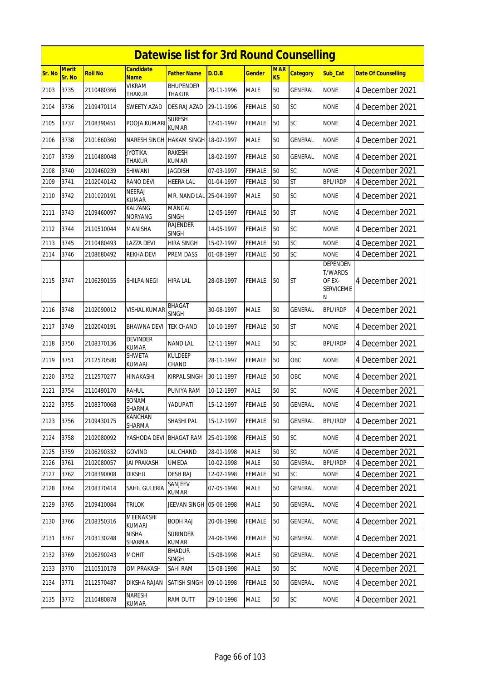|        | <b>Datewise list for 3rd Round Counselling</b><br><b>Merit</b><br><b>Candidate</b><br><b>MAR</b> |                |                                 |                                 |            |               |                |                 |                                                                      |                            |  |  |
|--------|--------------------------------------------------------------------------------------------------|----------------|---------------------------------|---------------------------------|------------|---------------|----------------|-----------------|----------------------------------------------------------------------|----------------------------|--|--|
| Sr. No | Sr. No                                                                                           | <b>Roll No</b> | <b>Name</b>                     | <b>Father Name</b>              | D.O.B      | <b>Gender</b> | K <sub>S</sub> | <b>Category</b> | Sub_Cat                                                              | <b>Date Of Counselling</b> |  |  |
| 2103   | 3735                                                                                             | 2110480366     | <b>VIKRAM</b><br>THAKUR         | <b>BHUPENDER</b><br>THAKUR      | 20-11-1996 | <b>MALE</b>   | 50             | <b>GENERAL</b>  | <b>NONE</b>                                                          | 4 December 2021            |  |  |
| 2104   | 3736                                                                                             | 2109470114     | SWEETY AZAD                     | DES RAJ AZAD                    | 29-11-1996 | <b>FEMALE</b> | 50             | SC              | <b>NONE</b>                                                          | 4 December 2021            |  |  |
| 2105   | 3737                                                                                             | 2108390451     | POOJA KUMARI                    | <b>SURESH</b><br><b>KUMAR</b>   | 12-01-1997 | <b>FEMALE</b> | 50             | SC              | <b>NONE</b>                                                          | 4 December 2021            |  |  |
| 2106   | 3738                                                                                             | 2101660360     | NARESH SINGH                    | <b>HAKAM SINGH 18-02-1997</b>   |            | <b>MALE</b>   | 50             | GENERAL         | <b>NONE</b>                                                          | 4 December 2021            |  |  |
| 2107   | 3739                                                                                             | 2110480048     | <b>JYOTIKA</b><br>THAKUR        | RAKESH<br><b>KUMAR</b>          | 18-02-1997 | <b>FEMALE</b> | 50             | <b>GENERAL</b>  | <b>NONE</b>                                                          | 4 December 2021            |  |  |
| 2108   | 3740                                                                                             | 2109460239     | SHIWANI                         | <b>JAGDISH</b>                  | 07-03-1997 | <b>FEMALE</b> | 50             | SC              | <b>NONE</b>                                                          | 4 December 2021            |  |  |
| 2109   | 3741                                                                                             | 2102040142     | <b>RANO DEVI</b>                | <b>HEERA LAL</b>                | 01-04-1997 | <b>FEMALE</b> | 50             | <b>ST</b>       | <b>BPL/IRDP</b>                                                      | 4 December 2021            |  |  |
| 2110   | 3742                                                                                             | 2101020191     | <b>NEERAJ</b><br><b>KUMAR</b>   | MR. NAND LAL 25-04-1997         |            | <b>MALE</b>   | 50             | SC              | <b>NONE</b>                                                          | 4 December 2021            |  |  |
| 2111   | 3743                                                                                             | 2109460097     | KALZANG<br><b>NORYANG</b>       | MANGAL<br><b>SINGH</b>          | 12-05-1997 | <b>FEMALE</b> | 50             | <b>ST</b>       | <b>NONE</b>                                                          | 4 December 2021            |  |  |
| 2112   | 3744                                                                                             | 2110510044     | MANISHA                         | <b>RAJENDER</b><br><b>SINGH</b> | 14-05-1997 | <b>FEMALE</b> | 50             | SC              | <b>NONE</b>                                                          | 4 December 2021            |  |  |
| 2113   | 3745                                                                                             | 2110480493     | LAZZA DEVI                      | <b>HIRA SINGH</b>               | 15-07-1997 | <b>FEMALE</b> | 50             | SC              | <b>NONE</b>                                                          | 4 December 2021            |  |  |
| 2114   | 3746                                                                                             | 2108680492     | REKHA DEVI                      | PREM DASS                       | 01-08-1997 | FEMALE        | 50             | SC              | <b>NONE</b>                                                          | 4 December 2021            |  |  |
| 2115   | 3747                                                                                             | 2106290155     | SHILPA NEGI                     | <b>HIRA LAL</b>                 | 28-08-1997 | <b>FEMALE</b> | 50             | <b>ST</b>       | <b>DEPENDEN</b><br><b>T/WARDS</b><br>OF EX-<br><b>SERVICEME</b><br>Ν | 4 December 2021            |  |  |
| 2116   | 3748                                                                                             | 2102090012     | VISHAL KUMAR                    | <b>BHAGAT</b><br><b>SINGH</b>   | 30-08-1997 | <b>MALE</b>   | 50             | <b>GENERAL</b>  | <b>BPL/IRDP</b>                                                      | 4 December 2021            |  |  |
| 2117   | 3749                                                                                             | 2102040191     | BHAWNA DEVI                     | <b>TEK CHAND</b>                | 10-10-1997 | <b>FEMALE</b> | 50             | <b>ST</b>       | <b>NONE</b>                                                          | 4 December 2021            |  |  |
| 2118   | 3750                                                                                             | 2108370136     | <b>DEVINDER</b><br><b>KUMAR</b> | <b>NAND LAL</b>                 | 12-11-1997 | <b>MALE</b>   | 50             | <b>SC</b>       | <b>BPL/IRDP</b>                                                      | 4 December 2021            |  |  |
| 2119   | 3751                                                                                             | 2112570580     | SHWETA<br>kumari                | KULDEEP<br>CHAND                | 28-11-1997 | <b>FEMALE</b> | 50             | OBC             | <b>NONE</b>                                                          | 4 December 2021            |  |  |
| 2120   | 3752                                                                                             | 2112570277     | HINAKASHI                       | <b>KIRPAL SINGH</b>             | 30-11-1997 | <b>FEMALE</b> | 50             | OBC             | <b>NONE</b>                                                          | 4 December 2021            |  |  |
| 2121   | 3754                                                                                             | 2110490170     | RAHUL                           | PUNIYA RAM                      | 10-12-1997 | <b>MALE</b>   | 50             | SC              | <b>NONE</b>                                                          | 4 December 2021            |  |  |
| 2122   | 3755                                                                                             | 2108370068     | <b>SONAM</b><br>SHARMA          | YADUPATI                        | 15-12-1997 | <b>FEMALE</b> | 50             | <b>GENERAL</b>  | <b>NONE</b>                                                          | 4 December 2021            |  |  |
| 2123   | 3756                                                                                             | 2109430175     | KANCHAN<br>SHARMA               | SHASHI PAL                      | 15-12-1997 | <b>FEMALE</b> | 50             | GENERAL         | <b>BPL/IRDP</b>                                                      | 4 December 2021            |  |  |
| 2124   | 3758                                                                                             | 2102080092     | YASHODA DEVI                    | <b>BHAGAT RAM</b>               | 25-01-1998 | <b>FEMALE</b> | 50             | <b>SC</b>       | <b>NONE</b>                                                          | 4 December 2021            |  |  |
| 2125   | 3759                                                                                             | 2106290332     | <b>GOVIND</b>                   | LAL CHAND                       | 28-01-1998 | MALE          | 50             | SC              | <b>NONE</b>                                                          | 4 December 2021            |  |  |
| 2126   | 3761                                                                                             | 2102080057     | <b>JAI PRAKASH</b>              | <b>UMEDA</b>                    | 10-02-1998 | <b>MALE</b>   | 50             | <b>GENERAL</b>  | <b>BPL/IRDP</b>                                                      | 4 December 2021            |  |  |
| 2127   | 3762                                                                                             | 2108390008     | <b>DIKSHU</b>                   | <b>DESH RAJ</b>                 | 12-02-1998 | <b>FEMALE</b> | 50             | <b>SC</b>       | <b>NONE</b>                                                          | 4 December 2021            |  |  |
| 2128   | 3764                                                                                             | 2108370414     | SAHIL GULERIA                   | SANJEEV<br>KUMAR                | 07-05-1998 | <b>MALE</b>   | 50             | <b>GENERAL</b>  | <b>NONE</b>                                                          | 4 December 2021            |  |  |
| 2129   | 3765                                                                                             | 2109410084     | <b>TRILOK</b>                   | JEEVAN SINGH 05-06-1998         |            | <b>MALE</b>   | 50             | GENERAL         | <b>NONE</b>                                                          | 4 December 2021            |  |  |
| 2130   | 3766                                                                                             | 2108350316     | MEENAKSHI<br>KUMARI             | <b>BODH RAJ</b>                 | 20-06-1998 | <b>FEMALE</b> | 50             | GENERAL         | <b>NONE</b>                                                          | 4 December 2021            |  |  |
| 2131   | 3767                                                                                             | 2103130248     | <b>NISHA</b><br>SHARMA          | <b>SURINDER</b><br><b>KUMAR</b> | 24-06-1998 | <b>FEMALE</b> | 50             | GENERAL         | <b>NONE</b>                                                          | 4 December 2021            |  |  |
| 2132   | 3769                                                                                             | 2106290243     | MOHIT                           | <b>BHADUR</b><br><b>SINGH</b>   | 15-08-1998 | <b>MALE</b>   | 50             | GENERAL         | <b>NONE</b>                                                          | 4 December 2021            |  |  |
| 2133   | 3770                                                                                             | 2110510178     | OM PRAKASH                      | SAHI RAM                        | 15-08-1998 | <b>MALE</b>   | 50             | <b>SC</b>       | <b>NONE</b>                                                          | 4 December 2021            |  |  |
| 2134   | 3771                                                                                             | 2112570487     | DIKSHA RAJAN                    | SATISH SINGH                    | 09-10-1998 | <b>FEMALE</b> | 50             | GENERAL         | <b>NONE</b>                                                          | 4 December 2021            |  |  |
| 2135   | 3772                                                                                             | 2110480878     | NARESH<br>KUMAR                 | RAM DUTT                        | 29-10-1998 | MALE          | 50             | SC              | <b>NONE</b>                                                          | 4 December 2021            |  |  |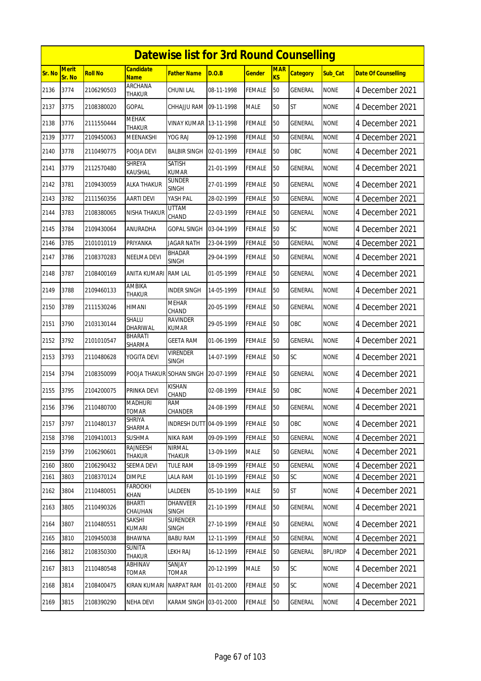|        | <b>Datewise list for 3rd Round Counselling</b> |                |                                |                                 |            |               |                              |                 |                 |                            |  |  |
|--------|------------------------------------------------|----------------|--------------------------------|---------------------------------|------------|---------------|------------------------------|-----------------|-----------------|----------------------------|--|--|
| Sr. No | Merit<br>Sr. No                                | <b>Roll No</b> | Candidate<br><b>Name</b>       | Father Name                     | D.O.B      | <b>Gender</b> | <b>MAR</b><br>K <sub>S</sub> | <b>Category</b> | Sub_Cat         | <b>Date Of Counselling</b> |  |  |
| 2136   | 3774                                           | 2106290503     | <b>ARCHANA</b><br>THAKUR       | CHUNI LAL                       | 08-11-1998 | <b>FEMALE</b> | 50                           | GENERAL         | <b>NONE</b>     | 4 December 2021            |  |  |
| 2137   | 3775                                           | 2108380020     | GOPAL                          | CHHAJJU RAM                     | 09-11-1998 | <b>MALE</b>   | 50                           | <b>ST</b>       | <b>NONE</b>     | 4 December 2021            |  |  |
| 2138   | 3776                                           | 2111550444     | MEHAK<br><b>THAKUR</b>         | VINAY KUMAR                     | 13-11-1998 | <b>FEMALE</b> | 50                           | <b>GENERAL</b>  | <b>NONE</b>     | 4 December 2021            |  |  |
| 2139   | 3777                                           | 2109450063     | MEENAKSHI                      | YOG RAJ                         | 09-12-1998 | <b>FEMALE</b> | 50                           | GENERAL         | <b>NONE</b>     | 4 December 2021            |  |  |
| 2140   | 3778                                           | 2110490775     | pooja devi                     | <b>BALBIR SINGH</b>             | 02-01-1999 | <b>FEMALE</b> | 50                           | <b>OBC</b>      | <b>NONE</b>     | 4 December 2021            |  |  |
| 2141   | 3779                                           | 2112570480     | <b>SHREYA</b><br>KAUSHAL       | SATISH<br><b>KUMAR</b>          | 21-01-1999 | <b>FEMALE</b> | 50                           | GENERAL         | <b>NONE</b>     | 4 December 2021            |  |  |
| 2142   | 3781                                           | 2109430059     | ALKA THAKUR                    | Sunder<br><b>SINGH</b>          | 27-01-1999 | <b>FEMALE</b> | 50                           | GENERAL         | <b>NONE</b>     | 4 December 2021            |  |  |
| 2143   | 3782                                           | 2111560356     | AARTI DEVI                     | YASH PAL                        | 28-02-1999 | <b>FEMALE</b> | 50                           | <b>GENERAL</b>  | <b>NONE</b>     | 4 December 2021            |  |  |
| 2144   | 3783                                           | 2108380065     | NISHA THAKUR                   | UTTAM<br>CHAND                  | 22-03-1999 | <b>FEMALE</b> | 50                           | GENERAL         | <b>NONE</b>     | 4 December 2021            |  |  |
| 2145   | 3784                                           | 2109430064     | ANURADHA                       | GOPAL SINGH                     | 03-04-1999 | <b>FEMALE</b> | 50                           | SC              | <b>NONE</b>     | 4 December 2021            |  |  |
| 2146   | 3785                                           | 2101010119     | PRIYANKA                       | JAGAR NATH                      | 23-04-1999 | <b>FEMALE</b> | 50                           | GENERAL         | <b>NONE</b>     | 4 December 2021            |  |  |
| 2147   | 3786                                           | 2108370283     | NEELMA DEVI                    | BHADAR<br><b>SINGH</b>          | 29-04-1999 | <b>FEMALE</b> | 50                           | <b>GENERAL</b>  | <b>NONE</b>     | 4 December 2021            |  |  |
| 2148   | 3787                                           | 2108400169     | ANITA KUMARI                   | <b>RAM LAL</b>                  | 01-05-1999 | <b>FEMALE</b> | 50                           | GENERAL         | <b>NONE</b>     | 4 December 2021            |  |  |
| 2149   | 3788                                           | 2109460133     | AMBIKA<br><b>THAKUR</b>        | INDER SINGH                     | 14-05-1999 | <b>FEMALE</b> | 50                           | GENERAL         | <b>NONE</b>     | 4 December 2021            |  |  |
| 2150   | 3789                                           | 2111530246     | HIMANI                         | <b>MEHAR</b><br>CHAND           | 20-05-1999 | <b>FEMALE</b> | 50                           | GENERAL         | <b>NONE</b>     | 4 December 2021            |  |  |
| 2151   | 3790                                           | 2103130144     | SHALU<br>DHARIWAL              | <b>RAVINDER</b><br><b>KUMAR</b> | 29-05-1999 | <b>FEMALE</b> | 50                           | OBC             | <b>NONE</b>     | 4 December 2021            |  |  |
| 2152   | 3792                                           | 2101010547     | BHARATI<br>SHARMA              | GEETA RAM                       | 01-06-1999 | <b>FEMALE</b> | 50                           | GENERAL         | <b>NONE</b>     | 4 December 2021            |  |  |
| 2153   | 3793                                           | 2110480628     | YOGITA DEVI                    | VIRENDER<br><b>SINGH</b>        | 14-07-1999 | <b>FEMALE</b> | 50                           | SC              | <b>NONE</b>     | 4 December 2021            |  |  |
| 2154   | 3794                                           | 2108350099     | POOJA THAKUR SOHAN SINGH       |                                 | 20-07-1999 | <b>FEMALE</b> | 50                           | GENERAL         | <b>NONE</b>     | 4 December 2021            |  |  |
| 2155   | 3795                                           | 2104200075     | PRINKA DEVI                    | KISHAN<br>CHAND                 | 02-08-1999 | <b>FEMALE</b> | 50                           | OBC             | <b>NONE</b>     | 4 December 2021            |  |  |
| 2156   | 3796                                           | 2110480700     | <b>MADHURI</b><br>TOMAR        | <b>RAM</b><br>CHANDER           | 24-08-1999 | <b>FEMALE</b> | 50                           | <b>GENERAL</b>  | <b>NONE</b>     | 4 December 2021            |  |  |
| 2157   | 3797                                           | 2110480137     | SHRIYA<br>SHARMA               | INDRESH DUTT 04-09-1999         |            | <b>FEMALE</b> | 50                           | OBC             | <b>NONE</b>     | 4 December 2021            |  |  |
| 2158   | 3798                                           | 2109410013     | sushma                         | NIKA RAM                        | 09-09-1999 | <b>FEMALE</b> | 50                           | GENERAL         | <b>NONE</b>     | 4 December 2021            |  |  |
| 2159   | 3799                                           | 2106290601     | RAJNEESH<br>THAKUR             | <b>NIRMAL</b><br><b>THAKUR</b>  | 13-09-1999 | <b>MALE</b>   | 50                           | GENERAL         | <b>NONE</b>     | 4 December 2021            |  |  |
| 2160   | 3800                                           | 2106290432     | SEEMA DEVI                     | <b>TULE RAM</b>                 | 18-09-1999 | <b>FEMALE</b> | 50                           | GENERAL         | <b>NONE</b>     | 4 December 2021            |  |  |
| 2161   | 3803                                           | 2108370124     | <b>DIMPLE</b>                  | LALA RAM                        | 01-10-1999 | FEMALE        | 50                           | SC              | <b>NONE</b>     | 4 December 2021            |  |  |
| 2162   | 3804                                           | 2110480051     | FAROOKH<br>KHAN                | LALDEEN                         | 05-10-1999 | <b>MALE</b>   | 50                           | <b>ST</b>       | <b>NONE</b>     | 4 December 2021            |  |  |
| 2163   | 3805                                           | 2110490326     | BHARTI<br>CHAUHAN              | DHANVEER<br><b>SINGH</b>        | 21-10-1999 | <b>FEMALE</b> | 50                           | GENERAL         | <b>NONE</b>     | 4 December 2021            |  |  |
| 2164   | 3807                                           | 2110480551     | SAKSHI<br><b>KUMARI</b>        | <b>SURENDER</b><br><b>SINGH</b> | 27-10-1999 | <b>FEMALE</b> | 50                           | GENERAL         | <b>NONE</b>     | 4 December 2021            |  |  |
| 2165   | 3810                                           | 2109450038     | <b>BHAWNA</b>                  | <b>BABU RAM</b>                 | 12-11-1999 | <b>FEMALE</b> | 50                           | GENERAL         | <b>NONE</b>     | 4 December 2021            |  |  |
| 2166   | 3812                                           | 2108350300     | <b>SUNITA</b><br><b>THAKUR</b> | LEKH RAJ                        | 16-12-1999 | <b>FEMALE</b> | 50                           | GENERAL         | <b>BPL/IRDP</b> | 4 December 2021            |  |  |
| 2167   | 3813                                           | 2110480548     | ABHINAV<br>TOMAR               | SANJAY<br>TOMAR                 | 20-12-1999 | <b>MALE</b>   | 50                           | SC              | <b>NONE</b>     | 4 December 2021            |  |  |
| 2168   | 3814                                           | 2108400475     | KIRAN KUMARI                   | <b>NARPAT RAM</b>               | 01-01-2000 | FEMALE        | 50                           | <b>SC</b>       | <b>NONE</b>     | 4 December 2021            |  |  |
| 2169   | 3815                                           | 2108390290     | NEHA DEVI                      | KARAM SINGH 03-01-2000          |            | FEMALE        | 50                           | GENERAL         | <b>NONE</b>     | 4 December 2021            |  |  |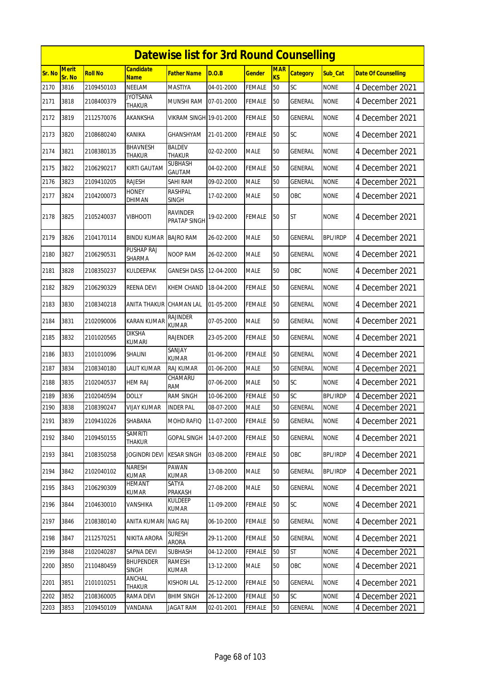|               | <b>Datewise list for 3rd Round Counselling</b><br><b>Merit</b><br>Candidate<br><b>MAR</b> |                |                                  |                                 |            |               |    |                 |                 |                            |  |  |  |
|---------------|-------------------------------------------------------------------------------------------|----------------|----------------------------------|---------------------------------|------------|---------------|----|-----------------|-----------------|----------------------------|--|--|--|
| <b>Sr. No</b> | Sr. No                                                                                    | <b>Roll No</b> | <b>Name</b>                      | Father Name                     | D.O.B      | Gender        | KS | <b>Category</b> | Sub Cat         | <b>Date Of Counselling</b> |  |  |  |
| 2170          | 3816                                                                                      | 2109450103     | <b>NEELAM</b>                    | MASTIYA                         | 04-01-2000 | FEMALE        | 50 | SC              | <b>NONE</b>     | 4 December 2021            |  |  |  |
| 2171          | 3818                                                                                      | 2108400379     | <b>JYOTSANA</b><br>THAKUR        | MUNSHI RAM                      | 07-01-2000 | FEMALE        | 50 | <b>GENERAL</b>  | <b>NONE</b>     | 4 December 2021            |  |  |  |
| 2172          | 3819                                                                                      | 2112570076     | AKANKSHA                         | VIKRAM SINGH 19-01-2000         |            | FEMALE        | 50 | <b>GENERAL</b>  | <b>NONE</b>     | 4 December 2021            |  |  |  |
| 2173          | 3820                                                                                      | 2108680240     | KANIKA                           | GHANSHYAM                       | 21-01-2000 | FEMALE        | 50 | <b>SC</b>       | <b>NONE</b>     | 4 December 2021            |  |  |  |
| 2174          | 3821                                                                                      | 2108380135     | BHAVNESH<br><b>THAKUR</b>        | BALDEV<br><b>THAKUR</b>         | 02-02-2000 | <b>MALE</b>   | 50 | <b>GENERAL</b>  | <b>NONE</b>     | 4 December 2021            |  |  |  |
| 2175          | 3822                                                                                      | 2106290217     | <b>KIRTI GAUTAM</b>              | SUBHASH<br>GAUTAM               | 04-02-2000 | FEMALE        | 50 | <b>GENERAL</b>  | <b>NONE</b>     | 4 December 2021            |  |  |  |
| 2176          | 3823                                                                                      | 2109410205     | Rajesh                           | SAHI RAM                        | 09-02-2000 | MALE          | 50 | GENERAL         | <b>NONE</b>     | 4 December 2021            |  |  |  |
| 2177          | 3824                                                                                      | 2104200073     | <b>HONEY</b><br>DHIMAN           | RASHPAL<br>SINGH                | 17-02-2000 | MALE          | 50 | OBC             | <b>NONE</b>     | 4 December 2021            |  |  |  |
| 2178          | 3825                                                                                      | 2105240037     | VIBHOOTI                         | <b>RAVINDER</b><br>PRATAP SINGH | 19-02-2000 | FEMALE        | 50 | <b>ST</b>       | <b>NONE</b>     | 4 December 2021            |  |  |  |
| 2179          | 3826                                                                                      | 2104170114     | BINDU KUMAR                      | <b>BAJRO RAM</b>                | 26-02-2000 | <b>MALE</b>   | 50 | <b>GENERAL</b>  | <b>BPL/IRDP</b> | 4 December 2021            |  |  |  |
| 2180          | 3827                                                                                      | 2106290531     | PUSHAP RAJ<br>SHARMA             | NOOP RAM                        | 26-02-2000 | MALE          | 50 | GENERAL         | <b>NONE</b>     | 4 December 2021            |  |  |  |
| 2181          | 3828                                                                                      | 2108350237     | KULDEEPAK                        | <b>GANESH DASS</b>              | 12-04-2000 | <b>MALE</b>   | 50 | OBC             | <b>NONE</b>     | 4 December 2021            |  |  |  |
| 2182          | 3829                                                                                      | 2106290329     | REENA DEVI                       | KHEM CHAND                      | 18-04-2000 | FEMALE        | 50 | GENERAL         | <b>NONE</b>     | 4 December 2021            |  |  |  |
| 2183          | 3830                                                                                      | 2108340218     | <b>ANITA THAKUR</b>              | <b>CHAMAN LAL</b>               | 01-05-2000 | FEMALE        | 50 | <b>GENERAL</b>  | <b>NONE</b>     | 4 December 2021            |  |  |  |
| 2184          | 3831                                                                                      | 2102090006     | KARAN KUMAR                      | RAJINDER<br>KUMAR               | 07-05-2000 | <b>MALE</b>   | 50 | GENERAL         | <b>NONE</b>     | 4 December 2021            |  |  |  |
| 2185          | 3832                                                                                      | 2101020565     | DIKSHA<br>kumari                 | RAJENDER                        | 23-05-2000 | FEMALE        | 50 | <b>GENERAL</b>  | <b>NONE</b>     | 4 December 2021            |  |  |  |
| 2186          | 3833                                                                                      | 2101010096     | SHALINI                          | SANJAY<br>KUMAR                 | 01-06-2000 | FEMALE        | 50 | GENERAL         | <b>NONE</b>     | 4 December 2021            |  |  |  |
| 2187          | 3834                                                                                      | 2108340180     | LALIT KUMAR                      | <b>RAJ KUMAR</b>                | 01-06-2000 | <b>MALE</b>   | 50 | <b>GENERAL</b>  | <b>NONE</b>     | 4 December 2021            |  |  |  |
| 2188          | 3835                                                                                      | 2102040537     | HEM RAJ                          | CHAMARU<br><b>RAM</b>           | 07-06-2000 | <b>MALE</b>   | 50 | SC              | <b>NONE</b>     | 4 December 2021            |  |  |  |
| 2189          | 3836                                                                                      | 2102040594     | <b>DOLLY</b>                     | <b>RAM SINGH</b>                | 10-06-2000 | <b>FEMALE</b> | 50 | SC              | <b>BPL/IRDP</b> | 4 December 2021            |  |  |  |
| 2190          | 3838                                                                                      | 2108390247     | <b>VIJAY KUMAR</b>               | <b>INDER PAL</b>                | 08-07-2000 | MALE          | 50 | <b>GENERAL</b>  | <b>NONE</b>     | 4 December 2021            |  |  |  |
| 2191          | 3839                                                                                      | 2109410226     | SHABANA                          | MOHD RAFIQ                      | 11-07-2000 | FEMALE        | 50 | GENERAL         | <b>NONE</b>     | 4 December 2021            |  |  |  |
| 2192          | 3840                                                                                      | 2109450155     | <b>SAMRITI</b><br>THAKUR         | GOPAL SINGH                     | 14-07-2000 | FEMALE        | 50 | GENERAL         | <b>NONE</b>     | 4 December 2021            |  |  |  |
| 2193          | 3841                                                                                      | 2108350258     | <b>JOGINDRI DEVI</b>             | <b>KESAR SINGH</b>              | 03-08-2000 | FEMALE        | 50 | OBC             | <b>BPL/IRDP</b> | 4 December 2021            |  |  |  |
| 2194          | 3842                                                                                      | 2102040102     | NARESH<br><b>KUMAR</b>           | PAWAN<br>KUMAR                  | 13-08-2000 | MALE          | 50 | GENERAL         | BPL/IRDP        | 4 December 2021            |  |  |  |
| 2195          | 3843                                                                                      | 2106290309     | <b>HEMANT</b><br>KUMAR           | SATYA<br>PRAKASH                | 27-08-2000 | MALE          | 50 | GENERAL         | <b>NONE</b>     | 4 December 2021            |  |  |  |
| 2196          | 3844                                                                                      | 2104630010     | VANSHIKA                         | KULDEEP<br>KUMAR                | 11-09-2000 | <b>FEMALE</b> | 50 | SC              | <b>NONE</b>     | 4 December 2021            |  |  |  |
| 2197          | 3846                                                                                      | 2108380140     | <b>ANITA KUMARI</b>              | NAG RAJ                         | 06-10-2000 | <b>FEMALE</b> | 50 | GENERAL         | <b>NONE</b>     | 4 December 2021            |  |  |  |
| 2198          | 3847                                                                                      | 2112570251     | NIKITA ARORA                     | <b>SURESH</b><br>ARORA          | 29-11-2000 | <b>FEMALE</b> | 50 | <b>GENERAL</b>  | <b>NONE</b>     | 4 December 2021            |  |  |  |
| 2199          | 3848                                                                                      | 2102040287     | SAPNA DEVI                       | <b>SUBHASH</b>                  | 04-12-2000 | <b>FEMALE</b> | 50 | <b>ST</b>       | <b>NONE</b>     | 4 December 2021            |  |  |  |
| 2200          | 3850                                                                                      | 2110480459     | <b>BHUPENDER</b><br><b>SINGH</b> | <b>RAMESH</b><br>KUMAR          | 13-12-2000 | MALE          | 50 | OBC             | NONE            | 4 December 2021            |  |  |  |
| 2201          | 3851                                                                                      | 2101010251     | ANCHAL<br>THAKUR                 | Kishori lal                     | 25-12-2000 | FEMALE        | 50 | GENERAL         | <b>NONE</b>     | 4 December 2021            |  |  |  |
| 2202          | 3852                                                                                      | 2108360005     | RAMA DEVI                        | <b>BHIM SINGH</b>               | 26-12-2000 | <b>FEMALE</b> | 50 | <b>SC</b>       | <b>NONE</b>     | 4 December 2021            |  |  |  |
| 2203          | 3853                                                                                      | 2109450109     | VANDANA                          | JAGAT RAM                       | 02-01-2001 | <b>FEMALE</b> | 50 | GENERAL         | <b>NONE</b>     | 4 December 2021            |  |  |  |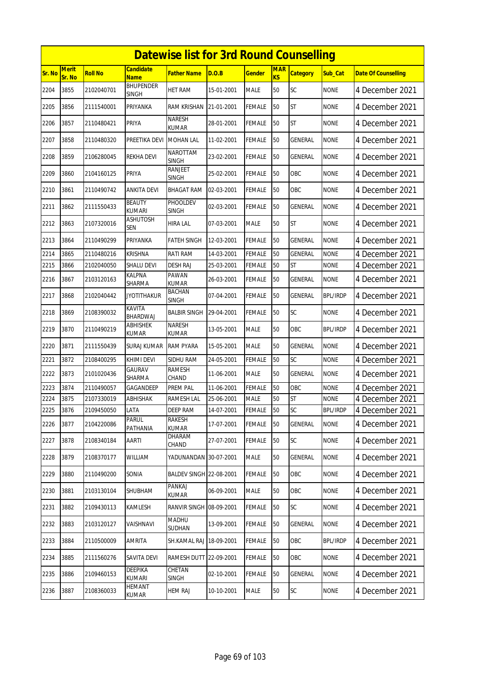|               | <b>Datewise list for 3rd Round Counselling</b><br><b>Merit</b><br><b>Candidate</b><br><b>MAR</b> |                |                                |                                 |            |               |           |                 |                 |                            |  |  |  |
|---------------|--------------------------------------------------------------------------------------------------|----------------|--------------------------------|---------------------------------|------------|---------------|-----------|-----------------|-----------------|----------------------------|--|--|--|
| <b>Sr. No</b> | Sr. No                                                                                           | <b>Roll No</b> | <b>Name</b>                    | <b>Father Name</b>              | D.O.B      | <b>Gender</b> | <b>KS</b> | <b>Category</b> | Sub Cat         | <b>Date Of Counselling</b> |  |  |  |
| 2204          | 3855                                                                                             | 2102040701     | <b>BHUPENDER</b><br>SINGH      | <b>HET RAM</b>                  | 15-01-2001 | <b>MALE</b>   | 50        | SC              | <b>NONE</b>     | 4 December 2021            |  |  |  |
| 2205          | 3856                                                                                             | 2111540001     | PRIYANKA                       | <b>RAM KRISHAN</b>              | 21-01-2001 | <b>FEMALE</b> | 50        | <b>ST</b>       | <b>NONE</b>     | 4 December 2021            |  |  |  |
| 2206          | 3857                                                                                             | 2110480421     | PRIYA                          | <b>NARESH</b><br>KUMAR          | 28-01-2001 | <b>FEMALE</b> | 50        | <b>ST</b>       | <b>NONE</b>     | 4 December 2021            |  |  |  |
| 2207          | 3858                                                                                             | 2110480320     | PREETIKA DEVI                  | <b>MOHAN LAL</b>                | 11-02-2001 | <b>FEMALE</b> | 50        | <b>GENERAL</b>  | <b>NONE</b>     | 4 December 2021            |  |  |  |
| 2208          | 3859                                                                                             | 2106280045     | REKHA DEVI                     | <b>NAROTTAM</b><br><b>SINGH</b> | 23-02-2001 | <b>FEMALE</b> | 50        | GENERAL         | <b>NONE</b>     | 4 December 2021            |  |  |  |
| 2209          | 3860                                                                                             | 2104160125     | <b>PRIYA</b>                   | <b>RANJEET</b><br><b>SINGH</b>  | 25-02-2001 | <b>FEMALE</b> | 50        | OBC             | <b>NONE</b>     | 4 December 2021            |  |  |  |
| 2210          | 3861                                                                                             | 2110490742     | ANKITA DEVI                    | <b>BHAGAT RAM</b>               | 02-03-2001 | <b>FEMALE</b> | 50        | <b>OBC</b>      | <b>NONE</b>     | 4 December 2021            |  |  |  |
| 2211          | 3862                                                                                             | 2111550433     | <b>BEAUTY</b><br><b>KUMARI</b> | PHOOLDEV<br><b>SINGH</b>        | 02-03-2001 | <b>FEMALE</b> | 50        | <b>GENERAL</b>  | <b>NONE</b>     | 4 December 2021            |  |  |  |
| 2212          | 3863                                                                                             | 2107320016     | <b>ASHUTOSH</b><br><b>SEN</b>  | <b>HIRA LAL</b>                 | 07-03-2001 | <b>MALE</b>   | 50        | <b>ST</b>       | none            | 4 December 2021            |  |  |  |
| 2213          | 3864                                                                                             | 2110490299     | PRIYANKA                       | <b>FATEH SINGH</b>              | 12-03-2001 | <b>FEMALE</b> | 50        | GENERAL         | <b>NONE</b>     | 4 December 2021            |  |  |  |
| 2214          | 3865                                                                                             | 2110480216     | <b>KRISHNA</b>                 | RATI RAM                        | 14-03-2001 | <b>FEMALE</b> | 50        | GENERAL         | <b>NONE</b>     | 4 December 2021            |  |  |  |
| 2215          | 3866                                                                                             | 2102040050     | <b>SHALU DEVI</b>              | <b>DESH RAJ</b>                 | 25-03-2001 | <b>FEMALE</b> | 50        | <b>ST</b>       | <b>NONE</b>     | 4 December 2021            |  |  |  |
| 2216          | 3867                                                                                             | 2103120163     | <b>KALPNA</b><br>SHARMA        | PAWAN<br><b>KUMAR</b>           | 26-03-2001 | <b>FEMALE</b> | 50        | <b>GENERAL</b>  | <b>NONE</b>     | 4 December 2021            |  |  |  |
| 2217          | 3868                                                                                             | 2102040442     | <b>JYOTITHAKUR</b>             | BACHAN<br><b>SINGH</b>          | 07-04-2001 | <b>FEMALE</b> | 50        | GENERAL         | <b>BPL/IRDP</b> | 4 December 2021            |  |  |  |
| 2218          | 3869                                                                                             | 2108390032     | <b>KAVITA</b><br>BHARDWAJ      | <b>BALBIR SINGH</b>             | 29-04-2001 | <b>FEMALE</b> | 50        | SC              | <b>NONE</b>     | 4 December 2021            |  |  |  |
| 2219          | 3870                                                                                             | 2110490219     | ABHISHEK<br><b>KUMAR</b>       | <b>NARESH</b><br><b>KUMAR</b>   | 13-05-2001 | <b>MALE</b>   | 50        | <b>OBC</b>      | <b>BPL/IRDP</b> | 4 December 2021            |  |  |  |
| 2220          | 3871                                                                                             | 2111550439     | SURAJ KUMAR                    | <b>RAM PYARA</b>                | 15-05-2001 | <b>MALE</b>   | 50        | GENERAL         | <b>NONE</b>     | 4 December 2021            |  |  |  |
| 2221          | 3872                                                                                             | 2108400295     | KHIMI DEVI                     | SIDHU RAM                       | 24-05-2001 | <b>FEMALE</b> | 50        | <b>SC</b>       | <b>NONE</b>     | 4 December 2021            |  |  |  |
| 2222          | 3873                                                                                             | 2101020436     | GAURAV<br>SHARMA               | <b>RAMESH</b><br>CHAND          | 11-06-2001 | <b>MALE</b>   | 50        | GENERAL         | <b>NONE</b>     | 4 December 2021            |  |  |  |
| 2223          | 3874                                                                                             | 2110490057     | <b>GAGANDEEP</b>               | PREM PAL                        | 11-06-2001 | <b>FEMALE</b> | 50        | OBC             | <b>NONE</b>     | 4 December 2021            |  |  |  |
| 2224          | 3875                                                                                             | 2107330019     | ABHISHAK                       | RAMESH LAL                      | 25-06-2001 | <b>MALE</b>   | 50        | ST              | <b>NONE</b>     | 4 December 2021            |  |  |  |
| 2225          | 3876                                                                                             | 2109450050     | LATA                           | <b>DEEP RAM</b>                 | 14-07-2001 | <b>FEMALE</b> | 50        | <b>SC</b>       | <b>BPL/IRDP</b> | 4 December 2021            |  |  |  |
| 2226          | 3877                                                                                             | 2104220086     | <b>PARUL</b><br>PATHANIA       | <b>RAKESH</b><br>KUMAR          | 17-07-2001 | <b>FEMALE</b> | 50        | <b>GENERAL</b>  | <b>NONE</b>     | 4 December 2021            |  |  |  |
| 2227          | 3878                                                                                             | 2108340184     | AARTI                          | <b>DHARAM</b><br>CHAND          | 27-07-2001 | <b>FEMALE</b> | 50        | SC              | <b>NONE</b>     | 4 December 2021            |  |  |  |
| 2228          | 3879                                                                                             | 2108370177     | WILLIAM                        | YADUNANDAN 30-07-2001           |            | <b>MALE</b>   | 50        | GENERAL         | <b>NONE</b>     | 4 December 2021            |  |  |  |
| 2229          | 3880                                                                                             | 2110490200     | SONIA                          | BALDEV SINGH 22-08-2001         |            | <b>FEMALE</b> | 50        | OBC             | <b>NONE</b>     | 4 December 2021            |  |  |  |
| 2230          | 3881                                                                                             | 2103130104     | SHUBHAM                        | PANKAJ<br>KUMAR                 | 06-09-2001 | <b>MALE</b>   | 50        | OBC             | <b>NONE</b>     | 4 December 2021            |  |  |  |
| 2231          | 3882                                                                                             | 2109430113     | KAMLESH                        | RANVIR SINGH 08-09-2001         |            | FEMALE        | 50        | <b>SC</b>       | <b>NONE</b>     | 4 December 2021            |  |  |  |
| 2232          | 3883                                                                                             | 2103120127     | VAISHNAVI                      | <b>MADHU</b><br>SUDHAN          | 13-09-2001 | <b>FEMALE</b> | 50        | GENERAL         | <b>NONE</b>     | 4 December 2021            |  |  |  |
| 2233          | 3884                                                                                             | 2110500009     | <b>AMRITA</b>                  | SH.KAMAL RAJ                    | 18-09-2001 | <b>FEMALE</b> | 50        | OBC             | <b>BPL/IRDP</b> | 4 December 2021            |  |  |  |
| 2234          | 3885                                                                                             | 2111560276     | SAVITA DEVI                    | RAMESH DUTT 22-09-2001          |            | <b>FEMALE</b> | 50        | OBC             | <b>NONE</b>     | 4 December 2021            |  |  |  |
| 2235          | 3886                                                                                             | 2109460153     | DEEPIKA<br>KUMARI              | CHETAN<br><b>SINGH</b>          | 02-10-2001 | FEMALE        | 50        | GENERAL         | <b>NONE</b>     | 4 December 2021            |  |  |  |
| 2236          | 3887                                                                                             | 2108360033     | <b>HEMANT</b><br>KUMAR         | <b>HEM RAJ</b>                  | 10-10-2001 | <b>MALE</b>   | 50        | <b>SC</b>       | <b>NONE</b>     | 4 December 2021            |  |  |  |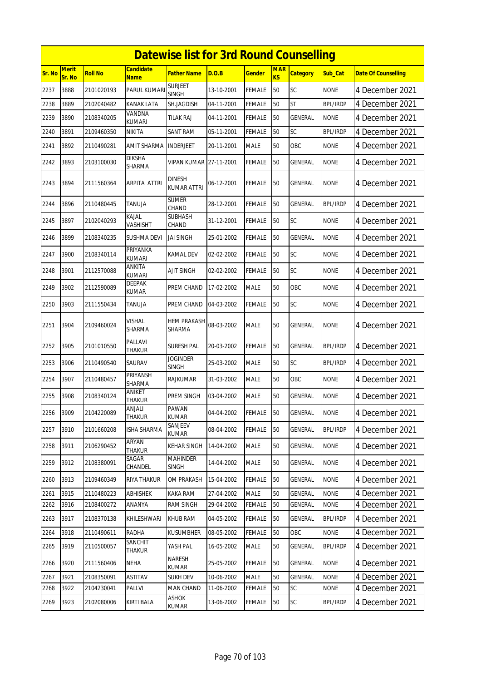|        | <b>Datewise list for 3rd Round Counselling</b><br><b>Merit</b><br><b>Candidate</b><br><b>MAR</b> |                |                                |                                     |            |               |           |                 |                 |                            |  |  |  |
|--------|--------------------------------------------------------------------------------------------------|----------------|--------------------------------|-------------------------------------|------------|---------------|-----------|-----------------|-----------------|----------------------------|--|--|--|
| Sr. No | Sr. No                                                                                           | <b>Roll No</b> | <b>Name</b>                    | <b>Father Name</b>                  | D.O.B      | <b>Gender</b> | <b>KS</b> | <b>Category</b> | Sub Cat         | <b>Date Of Counselling</b> |  |  |  |
| 2237   | 3888                                                                                             | 2101020193     | PARUL KUMARI                   | <b>SURJEET</b><br><b>SINGH</b>      | 13-10-2001 | <b>FEMALE</b> | 50        | SC              | <b>NONE</b>     | 4 December 2021            |  |  |  |
| 2238   | 3889                                                                                             | 2102040482     | <b>KANAK LATA</b>              | SH.JAGDISH                          | 04-11-2001 | <b>FEMALE</b> | 50        | <b>ST</b>       | <b>BPL/IRDP</b> | 4 December 2021            |  |  |  |
| 2239   | 3890                                                                                             | 2108340205     | VANDNA<br><b>KUMARI</b>        | <b>TILAK RAJ</b>                    | 04-11-2001 | <b>FEMALE</b> | 50        | GENERAL         | <b>NONE</b>     | 4 December 2021            |  |  |  |
| 2240   | 3891                                                                                             | 2109460350     | NIKITA                         | <b>SANT RAM</b>                     | 05-11-2001 | <b>FEMALE</b> | 50        | SC              | <b>BPL/IRDP</b> | 4 December 2021            |  |  |  |
| 2241   | 3892                                                                                             | 2110490281     | AMIT SHARMA                    | <b>INDERJEET</b>                    | 20-11-2001 | <b>MALE</b>   | 50        | <b>OBC</b>      | <b>NONE</b>     | 4 December 2021            |  |  |  |
| 2242   | 3893                                                                                             | 2103100030     | <b>DIKSHA</b><br>SHARMA        | <b>VIPAN KUMAR</b>                  | 27-11-2001 | <b>FEMALE</b> | 50        | GENERAL         | <b>NONE</b>     | 4 December 2021            |  |  |  |
| 2243   | 3894                                                                                             | 2111560364     | ARPITA ATTRI                   | <b>DINESH</b><br><b>KUMAR ATTRI</b> | 06-12-2001 | <b>FEMALE</b> | 50        | <b>GENERAL</b>  | <b>NONE</b>     | 4 December 2021            |  |  |  |
| 2244   | 3896                                                                                             | 2110480445     | TANUJA                         | <b>SUMER</b><br>CHAND               | 28-12-2001 | <b>FEMALE</b> | 50        | GENERAL         | BPL/IRDP        | 4 December 2021            |  |  |  |
| 2245   | 3897                                                                                             | 2102040293     | KAJAL<br><b>VASHISHT</b>       | <b>SUBHASH</b><br>CHAND             | 31-12-2001 | <b>FEMALE</b> | 50        | SC              | <b>NONE</b>     | 4 December 2021            |  |  |  |
| 2246   | 3899                                                                                             | 2108340235     | <b>SUSHMA DEVI</b>             | <b>JAI SINGH</b>                    | 25-01-2002 | <b>FEMALE</b> | 50        | <b>GENERAL</b>  | <b>NONE</b>     | 4 December 2021            |  |  |  |
| 2247   | 3900                                                                                             | 2108340114     | PRIYANKA<br>KUMARI             | <b>KAMAL DEV</b>                    | 02-02-2002 | <b>FEMALE</b> | 50        | <b>SC</b>       | <b>NONE</b>     | 4 December 2021            |  |  |  |
| 2248   | 3901                                                                                             | 2112570088     | ANKITA<br><b>KUMARI</b>        | AJIT SINGH                          | 02-02-2002 | <b>FEMALE</b> | 50        | SC              | <b>NONE</b>     | 4 December 2021            |  |  |  |
| 2249   | 3902                                                                                             | 2112590089     | <b>DEEPAK</b><br>KUMAR         | PREM CHAND                          | 17-02-2002 | <b>MALE</b>   | 50        | OBC             | <b>NONE</b>     | 4 December 2021            |  |  |  |
| 2250   | 3903                                                                                             | 2111550434     | TANUJA                         | PREM CHAND                          | 04-03-2002 | <b>FEMALE</b> | 50        | SC              | <b>NONE</b>     | 4 December 2021            |  |  |  |
| 2251   | 3904                                                                                             | 2109460024     | <b>VISHAL</b><br><b>SHARMA</b> | <b>HEM PRAKASH</b><br><b>SHARMA</b> | 08-03-2002 | <b>MALE</b>   | 50        | <b>GENERAL</b>  | <b>NONE</b>     | 4 December 2021            |  |  |  |
| 2252   | 3905                                                                                             | 2101010550     | PALLAVI<br><b>THAKUR</b>       | SURESH PAL                          | 20-03-2002 | FEMALE        | 50        | GENERAL         | <b>BPL/IRDP</b> | 4 December 2021            |  |  |  |
| 2253   | 3906                                                                                             | 2110490540     | SAURAV                         | <b>JOGINDER</b><br><b>SINGH</b>     | 25-03-2002 | <b>MALE</b>   | 50        | SC              | <b>BPL/IRDP</b> | 4 December 2021            |  |  |  |
| 2254   | 3907                                                                                             | 2110480457     | PRIYANSH<br>SHARMA             | <b>RAJKUMAR</b>                     | 31-03-2002 | <b>MALE</b>   | 50        | <b>OBC</b>      | <b>NONE</b>     | 4 December 2021            |  |  |  |
| 2255   | 3908                                                                                             | 2108340124     | ANIKET<br>THAKUR               | PREM SINGH                          | 03-04-2002 | <b>MALE</b>   | 50        | <b>GENERAL</b>  | <b>NONE</b>     | 4 December 2021            |  |  |  |
| 2256   | 3909                                                                                             | 2104220089     | ANJALI<br>THAKUR               | PAWAN<br><b>KUMAR</b>               | 04-04-2002 | <b>FEMALE</b> | 50        | GENERAL         | <b>NONE</b>     | 4 December 2021            |  |  |  |
| 2257   | 3910                                                                                             | 2101660208     | <b>ISHA SHARMA</b>             | SANJEEV<br><b>KUMAR</b>             | 08-04-2002 | FEMALE        | 50        | GENERAL         | <b>BPL/IRDP</b> | 4 December 2021            |  |  |  |
| 2258   | 3911                                                                                             | 2106290452     | ARYAN<br>THAKUR                | <b>KEHAR SINGH</b>                  | 14-04-2002 | <b>MALE</b>   | 50        | GENERAL         | <b>NONE</b>     | 4 December 2021            |  |  |  |
| 2259   | 3912                                                                                             | 2108380091     | SAGAR<br>CHANDEL               | <b>MAHINDER</b><br>SINGH            | 14-04-2002 | <b>MALE</b>   | 50        | GENERAL         | <b>NONE</b>     | 4 December 2021            |  |  |  |
| 2260   | 3913                                                                                             | 2109460349     | RIYA THAKUR                    | OM PRAKASH                          | 15-04-2002 | <b>FEMALE</b> | 50        | GENERAL         | <b>NONE</b>     | 4 December 2021            |  |  |  |
| 2261   | 3915                                                                                             | 2110480223     | <b>ABHISHEK</b>                | KAKA RAM                            | 27-04-2002 | <b>MALE</b>   | 50        | <b>GENERAL</b>  | <b>NONE</b>     | 4 December 2021            |  |  |  |
| 2262   | 3916                                                                                             | 2108400272     | ANANYA                         | <b>RAM SINGH</b>                    | 29-04-2002 | FEMALE        | 50        | GENERAL         | <b>NONE</b>     | 4 December 2021            |  |  |  |
| 2263   | 3917                                                                                             | 2108370138     | KHILESHWARI                    | <b>KHUB RAM</b>                     | 04-05-2002 | <b>FEMALE</b> | 50        | GENERAL         | <b>BPL/IRDP</b> | 4 December 2021            |  |  |  |
| 2264   | 3918                                                                                             | 2110490611     | RADHA                          | <b>KUSUMBHER</b>                    | 08-05-2002 | <b>FEMALE</b> | 50        | OBC             | <b>NONE</b>     | 4 December 2021            |  |  |  |
| 2265   | 3919                                                                                             | 2110500057     | SANCHIT<br>Thakur              | YASH PAL                            | 16-05-2002 | <b>MALE</b>   | 50        | GENERAL         | <b>BPL/IRDP</b> | 4 December 2021            |  |  |  |
| 2266   | 3920                                                                                             | 2111560406     | NEHA                           | NARESH<br>KUMAR                     | 25-05-2002 | <b>FEMALE</b> | 50        | GENERAL         | NONE            | 4 December 2021            |  |  |  |
| 2267   | 3921                                                                                             | 2108350091     | <b>ASTITAV</b>                 | <b>SUKH DEV</b>                     | 10-06-2002 | <b>MALE</b>   | 50        | <b>GENERAL</b>  | <b>NONE</b>     | 4 December 2021            |  |  |  |
| 2268   | 3922                                                                                             | 2104230041     | Pallvi                         | MAN CHAND                           | 11-06-2002 | <b>FEMALE</b> | 50        | SC              | <b>NONE</b>     | 4 December 2021            |  |  |  |
| 2269   | 3923                                                                                             | 2102080006     | KIRTI BALA                     | ASHOK<br>KUMAR                      | 13-06-2002 | FEMALE        | 50        | <b>SC</b>       | <b>BPL/IRDP</b> | 4 December 2021            |  |  |  |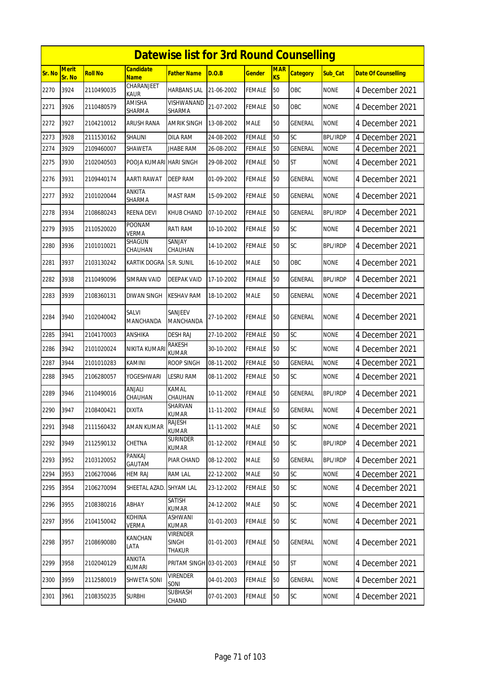|        | <b>Datewise list for 3rd Round Counselling</b><br><b>Merit</b><br><b>Candidate</b> |                |                           |                                           |            |               |                         |                 |                 |                            |  |  |
|--------|------------------------------------------------------------------------------------|----------------|---------------------------|-------------------------------------------|------------|---------------|-------------------------|-----------------|-----------------|----------------------------|--|--|
| Sr. No | Sr. No                                                                             | <b>Roll No</b> | <b>Name</b>               | <b>Father Name</b>                        | D.O.B      | <b>Gender</b> | <b>MAR</b><br><b>KS</b> | <b>Category</b> | Sub Cat         | <b>Date Of Counselling</b> |  |  |
| 2270   | 3924                                                                               | 2110490035     | CHARANJEET<br><b>KAUR</b> | <b>HARBANS LAL</b>                        | 21-06-2002 | <b>FEMALE</b> | 50                      | OBC             | <b>NONE</b>     | 4 December 2021            |  |  |
| 2271   | 3926                                                                               | 2110480579     | AMISHA<br>SHARMA          | <b>VISHWANAND</b><br>SHARMA               | 21-07-2002 | <b>FEMALE</b> | 50                      | OBC             | <b>NONE</b>     | 4 December 2021            |  |  |
| 2272   | 3927                                                                               | 2104210012     | <b>ARUSH RANA</b>         | <b>AMRIK SINGH</b>                        | 13-08-2002 | <b>MALE</b>   | 50                      | <b>GENERAL</b>  | <b>NONE</b>     | 4 December 2021            |  |  |
| 2273   | 3928                                                                               | 2111530162     | SHALINI                   | DILA RAM                                  | 24-08-2002 | <b>FEMALE</b> | 50                      | SC              | <b>BPL/IRDP</b> | 4 December 2021            |  |  |
| 2274   | 3929                                                                               | 2109460007     | SHAWETA                   | <b>JHABE RAM</b>                          | 26-08-2002 | <b>FEMALE</b> | 50                      | <b>GENERAL</b>  | <b>NONE</b>     | 4 December 2021            |  |  |
| 2275   | 3930                                                                               | 2102040503     | POOJA KUMARI              | <b>HARI SINGH</b>                         | 29-08-2002 | <b>FEMALE</b> | 50                      | <b>ST</b>       | <b>NONE</b>     | 4 December 2021            |  |  |
| 2276   | 3931                                                                               | 2109440174     | <b>AARTI RAWAT</b>        | DEEP RAM                                  | 01-09-2002 | <b>FEMALE</b> | 50                      | <b>GENERAL</b>  | <b>NONE</b>     | 4 December 2021            |  |  |
| 2277   | 3932                                                                               | 2101020044     | ANKITA<br>SHARMA          | <b>MAST RAM</b>                           | 15-09-2002 | <b>FEMALE</b> | 50                      | GENERAL         | <b>NONE</b>     | 4 December 2021            |  |  |
| 2278   | 3934                                                                               | 2108680243     | <b>REENA DEVI</b>         | <b>KHUB CHAND</b>                         | 07-10-2002 | <b>FEMALE</b> | 50                      | <b>GENERAL</b>  | <b>BPL/IRDP</b> | 4 December 2021            |  |  |
| 2279   | 3935                                                                               | 2110520020     | POONAM<br>VERMA           | RATI RAM                                  | 10-10-2002 | <b>FEMALE</b> | 50                      | SC              | <b>NONE</b>     | 4 December 2021            |  |  |
| 2280   | 3936                                                                               | 2101010021     | SHAGUN<br>CHAUHAN         | SANJAY<br>CHAUHAN                         | 14-10-2002 | <b>FEMALE</b> | 50                      | SC              | <b>BPL/IRDP</b> | 4 December 2021            |  |  |
| 2281   | 3937                                                                               | 2103130242     | KARTIK DOGRA              | S.R. SUNIL                                | 16-10-2002 | <b>MALE</b>   | 50                      | OBC             | <b>NONE</b>     | 4 December 2021            |  |  |
| 2282   | 3938                                                                               | 2110490096     | SIMRAN VAID               | DEEPAK VAID                               | 17-10-2002 | <b>FEMALE</b> | 50                      | GENERAL         | <b>BPL/IRDP</b> | 4 December 2021            |  |  |
| 2283   | 3939                                                                               | 2108360131     | DIWAN SINGH               | <b>KESHAV RAM</b>                         | 18-10-2002 | <b>MALE</b>   | 50                      | GENERAL         | <b>NONE</b>     | 4 December 2021            |  |  |
| 2284   | 3940                                                                               | 2102040042     | <b>SALVI</b><br>MANCHANDA | SANJEEV<br>MANCHANDA                      | 27-10-2002 | FEMALE        | 50                      | <b>GENERAL</b>  | <b>NONE</b>     | 4 December 2021            |  |  |
| 2285   | 3941                                                                               | 2104170003     | ANSHIKA                   | <b>DESH RAJ</b>                           | 27-10-2002 | <b>FEMALE</b> | 50                      | SC              | <b>NONE</b>     | 4 December 2021            |  |  |
| 2286   | 3942                                                                               | 2101020024     | NIKITA KUMARI             | RAKESH<br><b>KUMAR</b>                    | 30-10-2002 | <b>FEMALE</b> | 50                      | <b>SC</b>       | <b>NONE</b>     | 4 December 2021            |  |  |
| 2287   | 3944                                                                               | 2101010283     | KAMINI                    | <b>ROOP SINGH</b>                         | 08-11-2002 | <b>FEMALE</b> | 50                      | GENERAL         | <b>NONE</b>     | 4 December 2021            |  |  |
| 2288   | 3945                                                                               | 2106280057     | YOGESHWARI                | <b>LESRU RAM</b>                          | 08-11-2002 | <b>FEMALE</b> | 50                      | SC              | <b>NONE</b>     | 4 December 2021            |  |  |
| 2289   | 3946                                                                               | 2110490016     | ANJALI<br>CHAUHAN         | KAMAL<br>CHAUHAN                          | 10-11-2002 | <b>FEMALE</b> | 50                      | GENERAL         | BPL/IRDP        | 4 December 2021            |  |  |
| 2290   | 3947                                                                               | 2108400421     | <b>DIXITA</b>             | SHARVAN<br>KUMAR                          | 11-11-2002 | <b>FEMALE</b> | 50                      | <b>GENERAL</b>  | <b>NONE</b>     | 4 December 2021            |  |  |
| 2291   | 3948                                                                               | 2111560432     | <b>AMAN KUMAR</b>         | RAJESH<br><b>KUMAR</b>                    | 11-11-2002 | <b>MALE</b>   | 50                      | SC              | <b>NONE</b>     | 4 December 2021            |  |  |
| 2292   | 3949                                                                               | 2112590132     | CHETNA                    | <b>SURINDER</b><br><b>KUMAR</b>           | 01-12-2002 | <b>FEMALE</b> | 50                      | <b>SC</b>       | <b>BPL/IRDP</b> | 4 December 2021            |  |  |
| 2293   | 3952                                                                               | 2103120052     | PANKAJ<br>GAUTAM          | PIAR CHAND                                | 08-12-2002 | <b>MALE</b>   | 50                      | GENERAL         | <b>BPL/IRDP</b> | 4 December 2021            |  |  |
| 2294   | 3953                                                                               | 2106270046     | <b>HEM RAJ</b>            | <b>RAM LAL</b>                            | 22-12-2002 | MALE          | 50                      | <b>SC</b>       | <b>NONE</b>     | 4 December 2021            |  |  |
| 2295   | 3954                                                                               | 2106270094     | SHEETAL AZAD              | <b>SHYAM LAL</b>                          | 23-12-2002 | <b>FEMALE</b> | 50                      | SC              | <b>NONE</b>     | 4 December 2021            |  |  |
| 2296   | 3955                                                                               | 2108380216     | ABHAY                     | SATISH<br><b>KUMAR</b>                    | 24-12-2002 | <b>MALE</b>   | 50                      | <b>SC</b>       | <b>NONE</b>     | 4 December 2021            |  |  |
| 2297   | 3956                                                                               | 2104150042     | KOHINA<br>Verma           | ASHWANI<br>kumar                          | 01-01-2003 | <b>FEMALE</b> | 50                      | SC              | <b>NONE</b>     | 4 December 2021            |  |  |
| 2298   | 3957                                                                               | 2108690080     | KANCHAN<br>LATA           | <b>VIRENDER</b><br><b>SINGH</b><br>THAKUR | 01-01-2003 | <b>FEMALE</b> | 50                      | GENERAL         | <b>NONE</b>     | 4 December 2021            |  |  |
| 2299   | 3958                                                                               | 2102040129     | ANKITA<br>KUMARI          | PRITAM SINGH 03-01-2003                   |            | <b>FEMALE</b> | 50                      | <b>ST</b>       | <b>NONE</b>     | 4 December 2021            |  |  |
| 2300   | 3959                                                                               | 2112580019     | SHWETA SONI               | <b>VIRENDER</b><br>SONI                   | 04-01-2003 | <b>FEMALE</b> | 50                      | <b>GENERAL</b>  | <b>NONE</b>     | 4 December 2021            |  |  |
| 2301   | 3961                                                                               | 2108350235     | <b>SURBHI</b>             | <b>SUBHASH</b><br>CHAND                   | 07-01-2003 | <b>FEMALE</b> | 50                      | <b>SC</b>       | <b>NONE</b>     | 4 December 2021            |  |  |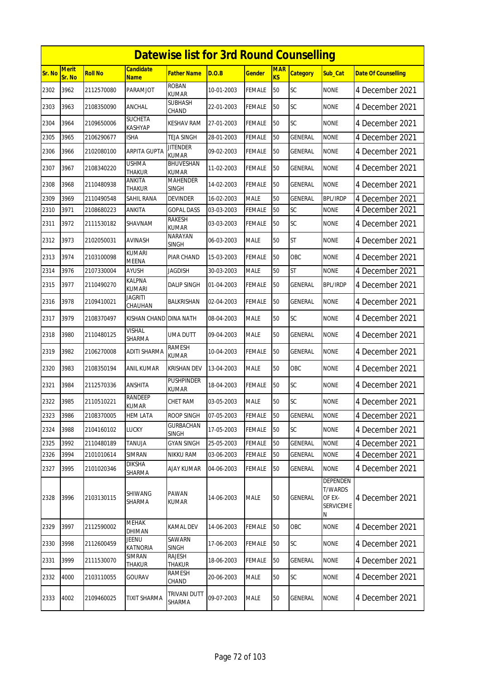|               | <b>Datewise list for 3rd Round Counselling</b><br>Merit<br><b>Candidate</b><br><b>MAR</b> |                |                                 |                                 |            |               |                |                 |                                                               |                            |  |  |  |
|---------------|-------------------------------------------------------------------------------------------|----------------|---------------------------------|---------------------------------|------------|---------------|----------------|-----------------|---------------------------------------------------------------|----------------------------|--|--|--|
| <b>Sr. No</b> | Sr. No                                                                                    | <b>Roll No</b> | <b>Name</b>                     | <b>Father Name</b>              | D.O.B      | <b>Gender</b> | K <sub>S</sub> | <b>Category</b> | Sub_Cat                                                       | <b>Date Of Counselling</b> |  |  |  |
| 2302          | 3962                                                                                      | 2112570080     | PARAMJOT                        | <b>ROBAN</b><br><b>KUMAR</b>    | 10-01-2003 | <b>FEMALE</b> | 50             | <b>SC</b>       | <b>NONE</b>                                                   | 4 December 2021            |  |  |  |
| 2303          | 3963                                                                                      | 2108350090     | ANCHAL                          | SUBHASH<br>CHAND                | 22-01-2003 | <b>FEMALE</b> | 50             | SC              | none                                                          | 4 December 2021            |  |  |  |
| 2304          | 3964                                                                                      | 2109650006     | <b>SUCHETA</b><br>KASHYAP       | <b>KESHAV RAM</b>               | 27-01-2003 | <b>FEMALE</b> | 50             | SC              | <b>NONE</b>                                                   | 4 December 2021            |  |  |  |
| 2305          | 3965                                                                                      | 2106290677     | ISHA                            | <b>TEJA SINGH</b>               | 28-01-2003 | <b>FEMALE</b> | 50             | <b>GENERAL</b>  | <b>NONE</b>                                                   | 4 December 2021            |  |  |  |
| 2306          | 3966                                                                                      | 2102080100     | <b>ARPITA GUPTA</b>             | <b>JITENDER</b><br><b>KUMAR</b> | 09-02-2003 | FEMALE        | 50             | <b>GENERAL</b>  | <b>NONE</b>                                                   | 4 December 2021            |  |  |  |
| 2307          | 3967                                                                                      | 2108340220     | <b>USHMA</b><br><b>THAKUR</b>   | BHUVESHAN<br><b>KUMAR</b>       | 11-02-2003 | <b>FEMALE</b> | 50             | <b>GENERAL</b>  | <b>NONE</b>                                                   | 4 December 2021            |  |  |  |
| 2308          | 3968                                                                                      | 2110480938     | ANKITA<br><b>THAKUR</b>         | <b>MAHENDER</b><br><b>SINGH</b> | 14-02-2003 | <b>FEMALE</b> | 50             | <b>GENERAL</b>  | <b>NONE</b>                                                   | 4 December 2021            |  |  |  |
| 2309          | 3969                                                                                      | 2110490548     | SAHIL RANA                      | DEVINDER                        | 16-02-2003 | <b>MALE</b>   | 50             | GENERAL         | <b>BPL/IRDP</b>                                               | 4 December 2021            |  |  |  |
| 2310          | 3971                                                                                      | 2108680223     | ANKITA                          | GOPAL DASS                      | 03-03-2003 | FEMALE        | 50             | SC              | none                                                          | 4 December 2021            |  |  |  |
| 2311          | 3972                                                                                      | 2111530182     | SHAVNAM                         | RAKESH<br><b>KUMAR</b>          | 03-03-2003 | FEMALE        | 50             | SC              | <b>NONE</b>                                                   | 4 December 2021            |  |  |  |
| 2312          | 3973                                                                                      | 2102050031     | AVINASH                         | <b>NARAYAN</b><br>SINGH         | 06-03-2003 | <b>MALE</b>   | 50             | <b>ST</b>       | <b>NONE</b>                                                   | 4 December 2021            |  |  |  |
| 2313          | 3974                                                                                      | 2103100098     | <b>KUMARI</b><br><b>MEENA</b>   | PIAR CHAND                      | 15-03-2003 | <b>FEMALE</b> | 50             | OBC             | <b>NONE</b>                                                   | 4 December 2021            |  |  |  |
| 2314          | 3976                                                                                      | 2107330004     | AYUSH                           | <b>JAGDISH</b>                  | 30-03-2003 | <b>MALE</b>   | 50             | <b>ST</b>       | <b>NONE</b>                                                   | 4 December 2021            |  |  |  |
| 2315          | 3977                                                                                      | 2110490270     | KALPNA<br><b>KUMARI</b>         | <b>DALIP SINGH</b>              | 01-04-2003 | <b>FEMALE</b> | 50             | <b>GENERAL</b>  | <b>BPL/IRDP</b>                                               | 4 December 2021            |  |  |  |
| 2316          | 3978                                                                                      | 2109410021     | <b>JAGRITI</b><br>CHAUHAN       | BALKRISHAN                      | 02-04-2003 | <b>FEMALE</b> | 50             | <b>GENERAL</b>  | <b>NONE</b>                                                   | 4 December 2021            |  |  |  |
| 2317          | 3979                                                                                      | 2108370497     | KISHAN CHAND                    | <b>DINA NATH</b>                | 08-04-2003 | <b>MALE</b>   | 50             | <b>SC</b>       | <b>NONE</b>                                                   | 4 December 2021            |  |  |  |
| 2318          | 3980                                                                                      | 2110480125     | VISHAL<br>SHARMA                | UMA DUTT                        | 09-04-2003 | <b>MALE</b>   | 50             | GENERAL         | <b>NONE</b>                                                   | 4 December 2021            |  |  |  |
| 2319          | 3982                                                                                      | 2106270008     | <b>ADITI SHARMA</b>             | <b>RAMESH</b><br>KUMAR          | 10-04-2003 | <b>FEMALE</b> | 50             | GENERAL         | <b>NONE</b>                                                   | 4 December 2021            |  |  |  |
| 2320          | 3983                                                                                      | 2108350194     | ANIL KUMAR                      | <b>KRISHAN DEV</b>              | 13-04-2003 | <b>MALE</b>   | 50             | OBC             | <b>NONE</b>                                                   | 4 December 2021            |  |  |  |
| 2321          | 3984                                                                                      | 2112570336     | ANSHITA                         | <b>PUSHPINDER</b><br>KUMAR      | 18-04-2003 | FEMALE        | 50             | <b>SC</b>       | <b>NONE</b>                                                   | 4 December 2021            |  |  |  |
| 2322          | 3985                                                                                      | 2110510221     | RANDEEP<br><b>KUMAR</b>         | CHET RAM                        | 03-05-2003 | <b>MALE</b>   | 50             | SC              | <b>NONE</b>                                                   | 4 December 2021            |  |  |  |
| 2323          | 3986                                                                                      | 2108370005     | HEM LATA                        | <b>ROOP SINGH</b>               | 07-05-2003 | <b>FEMALE</b> | 50             | <b>GENERAL</b>  | <b>NONE</b>                                                   | 4 December 2021            |  |  |  |
| 2324          | 3988                                                                                      | 2104160102     | <b>LUCKY</b>                    | <b>GURBACHAN</b><br>SINGH       | 17-05-2003 | <b>FEMALE</b> | 50             | <b>SC</b>       | <b>NONE</b>                                                   | 4 December 2021            |  |  |  |
| 2325          | 3992                                                                                      | 2110480189     | TANUJA                          | <b>GYAN SINGH</b>               | 25-05-2003 | <b>FEMALE</b> | 50             | <b>GENERAL</b>  | <b>NONE</b>                                                   | 4 December 2021            |  |  |  |
| 2326          | 3994                                                                                      | 2101010614     | SIMRAN                          | NIKKU RAM                       | 03-06-2003 | <b>FEMALE</b> | 50             | GENERAL         | <b>NONE</b>                                                   | 4 December 2021            |  |  |  |
| 2327          | 3995                                                                                      | 2101020346     | <b>DIKSHA</b><br>SHARMA         | <b>AJAY KUMAR</b>               | 04-06-2003 | FEMALE        | 50             | GENERAL         | <b>NONE</b>                                                   | 4 December 2021            |  |  |  |
| 2328          | 3996                                                                                      | 2103130115     | <b>SHIWANG</b><br>SHARMA        | PAWAN<br><b>KUMAR</b>           | 14-06-2003 | <b>MALE</b>   | 50             | GENERAL         | DEPENDEN<br><b>T/WARDS</b><br>OF EX-<br><b>SERVICEME</b><br>Ν | 4 December 2021            |  |  |  |
| 2329          | 3997                                                                                      | 2112590002     | MEHAK<br>DHIMAN                 | KAMAL DEV                       | 14-06-2003 | <b>FEMALE</b> | 50             | OBC             | <b>NONE</b>                                                   | 4 December 2021            |  |  |  |
| 2330          | 3998                                                                                      | 2112600459     | <b>JEENU</b><br><b>KATNORIA</b> | SAWARN<br><b>SINGH</b>          | 17-06-2003 | <b>FEMALE</b> | 50             | <b>SC</b>       | <b>NONE</b>                                                   | 4 December 2021            |  |  |  |
| 2331          | 3999                                                                                      | 2111530070     | SIMRAN<br>Thakur                | RAJESH<br>THAKUR                | 18-06-2003 | <b>FEMALE</b> | $50\,$         | GENERAL         | <b>NONE</b>                                                   | 4 December 2021            |  |  |  |
| 2332          | 4000                                                                                      | 2103110055     | GOURAV                          | RAMESH<br>CHAND                 | 20-06-2003 | <b>MALE</b>   | 50             | SC              | <b>NONE</b>                                                   | 4 December 2021            |  |  |  |
| 2333          | 4002                                                                                      | 2109460025     | TIXIT SHARMA                    | TRIVANI DUTT<br>SHARMA          | 09-07-2003 | <b>MALE</b>   | 50             | GENERAL         | <b>NONE</b>                                                   | 4 December 2021            |  |  |  |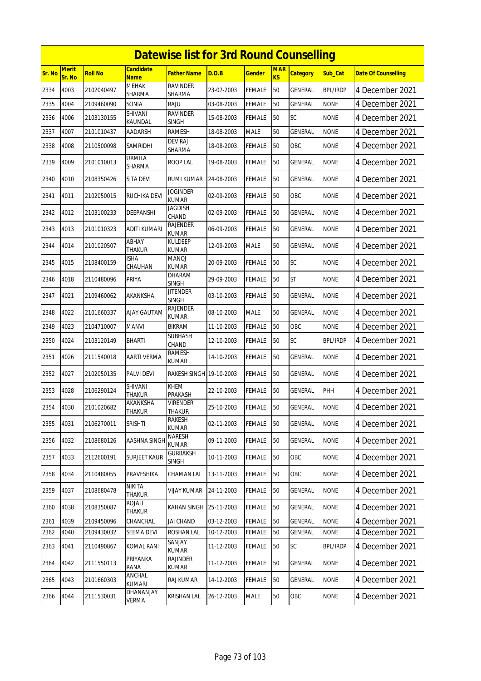|        |                 |                |                           | <b>Datewise list for 3rd Round Counselling</b> |            |               |                              |                 |                 |                            |
|--------|-----------------|----------------|---------------------------|------------------------------------------------|------------|---------------|------------------------------|-----------------|-----------------|----------------------------|
| Sr. No | Merit<br>Sr. No | <b>Roll No</b> | Candidate<br><b>Name</b>  | Father Name                                    | D.O.B      | <b>Gender</b> | <b>MAR</b><br>K <sub>S</sub> | <b>Category</b> | Sub_Cat         | <b>Date Of Counselling</b> |
| 2334   | 4003            | 2102040497     | <b>MEHAK</b><br>SHARMA    | <b>RAVINDER</b><br><b>SHARMA</b>               | 23-07-2003 | <b>FEMALE</b> | 50                           | <b>GENERAL</b>  | <b>BPL/IRDP</b> | 4 December 2021            |
| 2335   | 4004            | 2109460090     | SONIA                     | RAJU                                           | 03-08-2003 | <b>FEMALE</b> | 50                           | GENERAL         | <b>NONE</b>     | 4 December 2021            |
| 2336   | 4006            | 2103130155     | SHIVANI<br>KAUNDAL        | <b>RAVINDER</b><br><b>SINGH</b>                | 15-08-2003 | <b>FEMALE</b> | 50                           | SC              | <b>NONE</b>     | 4 December 2021            |
| 2337   | 4007            | 2101010437     | AADARSH                   | RAMESH                                         | 18-08-2003 | <b>MALE</b>   | 50                           | GENERAL         | <b>NONE</b>     | 4 December 2021            |
| 2338   | 4008            | 2110500098     | SAMRIDHI                  | DEV RAJ<br>SHARMA                              | 18-08-2003 | <b>FEMALE</b> | 50                           | OBC             | none            | 4 December 2021            |
| 2339   | 4009            | 2101010013     | URMILA<br>SHARMA          | ROOP LAL                                       | 19-08-2003 | <b>FEMALE</b> | 50                           | GENERAL         | <b>NONE</b>     | 4 December 2021            |
| 2340   | 4010            | 2108350426     | SITA DEVI                 | RUMI KUMAR                                     | 24-08-2003 | <b>FEMALE</b> | 50                           | GENERAL         | <b>NONE</b>     | 4 December 2021            |
| 2341   | 4011            | 2102050015     | RUCHIKA DEVI              | Joginder<br><b>KUMAR</b>                       | 02-09-2003 | <b>FEMALE</b> | 50                           | OBC             | <b>NONE</b>     | 4 December 2021            |
| 2342   | 4012            | 2103100233     | <b>DEEPANSHI</b>          | JAGDISH<br>CHAND                               | 02-09-2003 | <b>FEMALE</b> | 50                           | <b>GENERAL</b>  | <b>NONE</b>     | 4 December 2021            |
| 2343   | 4013            | 2101010323     | ADITI KUMARI              | RAJENDER<br><b>KUMAR</b>                       | 06-09-2003 | FEMALE        | 50                           | GENERAL         | <b>NONE</b>     | 4 December 2021            |
| 2344   | 4014            | 2101020507     | ABHAY<br>THAKUR           | KULDEEP<br><b>KUMAR</b>                        | 12-09-2003 | <b>MALE</b>   | 50                           | <b>GENERAL</b>  | <b>NONE</b>     | 4 December 2021            |
| 2345   | 4015            | 2108400159     | ISHA<br>CHAUHAN           | MANOJ<br><b>KUMAR</b>                          | 20-09-2003 | <b>FEMALE</b> | 50                           | SC              | <b>NONE</b>     | 4 December 2021            |
| 2346   | 4018            | 2110480096     | PRIYA                     | DHARAM<br><b>SINGH</b>                         | 29-09-2003 | <b>FEMALE</b> | 50                           | <b>ST</b>       | <b>NONE</b>     | 4 December 2021            |
| 2347   | 4021            | 2109460062     | AKANKSHA                  | <b>JITENDER</b><br><b>SINGH</b>                | 03-10-2003 | <b>FEMALE</b> | 50                           | GENERAL         | <b>NONE</b>     | 4 December 2021            |
| 2348   | 4022            | 2101660337     | AJAY GAUTAM               | <b>RAJENDER</b><br>KUMAR                       | 08-10-2003 | <b>MALE</b>   | 50                           | GENERAL         | <b>NONE</b>     | 4 December 2021            |
| 2349   | 4023            | 2104710007     | MANVI                     | <b>BIKRAM</b>                                  | 11-10-2003 | <b>FEMALE</b> | 50                           | OBC             | <b>NONE</b>     | 4 December 2021            |
| 2350   | 4024            | 2103120149     | BHARTI                    | <b>SUBHASH</b><br>CHAND                        | 12-10-2003 | FEMALE        | 50                           | SC              | <b>BPL/IRDP</b> | 4 December 2021            |
| 2351   | 4026            | 2111540018     | <b>AARTI VERMA</b>        | RAMESH<br><b>KUMAR</b>                         | 14-10-2003 | <b>FEMALE</b> | 50                           | <b>GENERAL</b>  | <b>NONE</b>     | 4 December 2021            |
| 2352   | 4027            | 2102050135     | <b>PALVI DEVI</b>         | RAKESH SINGH 19-10-2003                        |            | <b>FEMALE</b> | 50                           | GENERAL         | <b>NONE</b>     | 4 December 2021            |
| 2353   | 4028            | 2106290124     | SHIVANI<br>THAKUR         | <b>KHEM</b><br><b>PRAKASH</b>                  | 22-10-2003 | <b>FEMALE</b> | 50                           | GENERAL         | PHH             | 4 December 2021            |
| 2354   | 4030            | 2101020682     | AKANKSHA<br><b>THAKUR</b> | <b>VIRENDER</b><br><b>THAKUR</b>               | 25-10-2003 | <b>FEMALE</b> | 50                           | GENERAL         | <b>NONE</b>     | 4 December 2021            |
| 2355   | 4031            | 2106270011     | SRISHTI                   | <b>RAKESH</b><br><b>KUMAR</b>                  | 02-11-2003 | <b>FEMALE</b> | 50                           | <b>GENERAL</b>  | <b>NONE</b>     | 4 December 2021            |
| 2356   | 4032            | 2108680126     | <b>AASHNA SINGH</b>       | NARESH<br><b>KUMAR</b>                         | 09-11-2003 | <b>FEMALE</b> | 50                           | <b>GENERAL</b>  | <b>NONE</b>     | 4 December 2021            |
| 2357   | 4033            | 2112600191     | <b>SURJEET KAUR</b>       | <b>GURBAKSH</b><br><b>SINGH</b>                | 10-11-2003 | FEMALE        | 50                           | OBC             | <b>NONE</b>     | 4 December 2021            |
| 2358   | 4034            | 2110480055     | PRAVESHIKA                | CHAMAN LAL                                     | 13-11-2003 | <b>FEMALE</b> | 50                           | OBC             | <b>NONE</b>     | 4 December 2021            |
| 2359   | 4037            | 2108680478     | NIKITA<br>THAKUR          | VIJAY KUMAR                                    | 24-11-2003 | <b>FEMALE</b> | 50                           | GENERAL         | <b>NONE</b>     | 4 December 2021            |
| 2360   | 4038            | 2108350087     | rojali<br>THAKUR          | <b>KAHAN SINGH</b>                             | 25-11-2003 | <b>FEMALE</b> | 50                           | <b>GENERAL</b>  | <b>NONE</b>     | 4 December 2021            |
| 2361   | 4039            | 2109450096     | CHANCHAL                  | <b>JAI CHAND</b>                               | 03-12-2003 | <b>FEMALE</b> | 50                           | <b>GENERAL</b>  | <b>NONE</b>     | 4 December 2021            |
| 2362   | 4040            | 2109430032     | SEEMA DEVI                | <b>ROSHAN LAL</b>                              | 10-12-2003 | <b>FEMALE</b> | 50                           | <b>GENERAL</b>  | <b>NONE</b>     | 4 December 2021            |
| 2363   | 4041            | 2110490867     | KOMAL RANI                | SANJAY<br><b>KUMAR</b>                         | 11-12-2003 | <b>FEMALE</b> | 50                           | <b>SC</b>       | <b>BPL/IRDP</b> | 4 December 2021            |
| 2364   | 4042            | 2111550113     | PRIYANKA<br>RANA          | RAJINDER<br><b>KUMAR</b>                       | 11-12-2003 | FEMALE        | 50                           | GENERAL         | <b>NONE</b>     | 4 December 2021            |
| 2365   | 4043            | 2101660303     | ANCHAL<br>KUMARI          | RAJ KUMAR                                      | 14-12-2003 | <b>FEMALE</b> | 50                           | GENERAL         | <b>NONE</b>     | 4 December 2021            |
| 2366   | 4044            | 2111530031     | DHANANJAY<br>VERMA        | KRISHAN LAL                                    | 26-12-2003 | <b>MALE</b>   | 50                           | OBC             | <b>NONE</b>     | 4 December 2021            |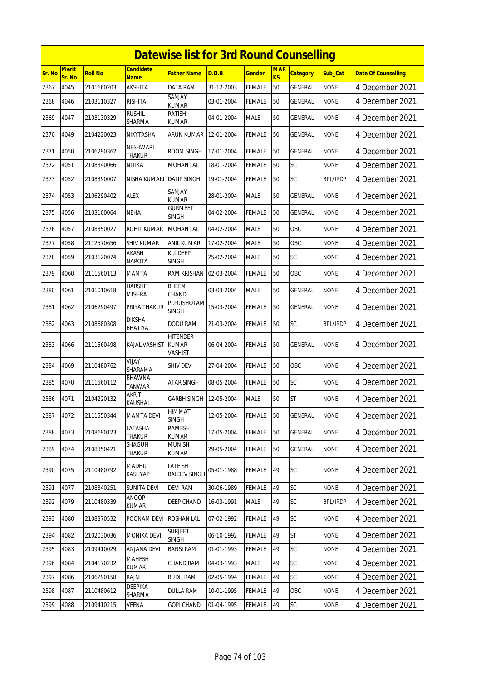|        | <b>Datewise list for 3rd Round Counselling</b> |                |                                 |                                            |            |               |                              |                 |                 |                            |  |  |
|--------|------------------------------------------------|----------------|---------------------------------|--------------------------------------------|------------|---------------|------------------------------|-----------------|-----------------|----------------------------|--|--|
| Sr. No | Merit<br>Sr. No                                | <b>Roll No</b> | <b>Candidate</b><br><b>Name</b> | <b>Father Name</b>                         | D.O.B      | <b>Gender</b> | <b>MAR</b><br>K <sub>S</sub> | <b>Category</b> | Sub_Cat         | <b>Date Of Counselling</b> |  |  |
| 2367   | 4045                                           | 2101660203     | <b>AKSHITA</b>                  | DATA RAM                                   | 31-12-2003 | <b>FEMALE</b> | 50                           | GENERAL         | <b>NONE</b>     | 4 December 2021            |  |  |
| 2368   | 4046                                           | 2103110327     | <b>RISHITA</b>                  | SANJAY<br><b>KUMAR</b>                     | 03-01-2004 | <b>FEMALE</b> | 50                           | <b>GENERAL</b>  | <b>NONE</b>     | 4 December 2021            |  |  |
| 2369   | 4047                                           | 2103130329     | <b>RUSHIL</b><br>SHARMA         | RATISH<br>KUMAR                            | 04-01-2004 | <b>MALE</b>   | 50                           | GENERAL         | <b>NONE</b>     | 4 December 2021            |  |  |
| 2370   | 4049                                           | 2104220023     | NIKYTASHA                       | <b>ARUN KUMAR</b>                          | 12-01-2004 | <b>FEMALE</b> | 50                           | <b>GENERAL</b>  | <b>NONE</b>     | 4 December 2021            |  |  |
| 2371   | 4050                                           | 2106290362     | NESHWARI<br><b>THAKUR</b>       | ROOM SINGH                                 | 17-01-2004 | FEMALE        | 50                           | GENERAL         | <b>NONE</b>     | 4 December 2021            |  |  |
| 2372   | 4051                                           | 2108340066     | NITIKA                          | <b>MOHAN LAL</b>                           | 18-01-2004 | <b>FEMALE</b> | 50                           | SC              | <b>NONE</b>     | 4 December 2021            |  |  |
| 2373   | 4052                                           | 2108390007     | NISHA KUMARI                    | <b>DALIP SINGH</b>                         | 19-01-2004 | <b>FEMALE</b> | 50                           | SC              | <b>BPL/IRDP</b> | 4 December 2021            |  |  |
| 2374   | 4053                                           | 2106290402     | <b>ALEX</b>                     | SANJAY<br><b>KUMAR</b>                     | 28-01-2004 | <b>MALE</b>   | 50                           | GENERAL         | <b>NONE</b>     | 4 December 2021            |  |  |
| 2375   | 4056                                           | 2103100064     | <b>NEHA</b>                     | <b>GURMEET</b><br><b>SINGH</b>             | 04-02-2004 | <b>FEMALE</b> | 50                           | <b>GENERAL</b>  | <b>NONE</b>     | 4 December 2021            |  |  |
| 2376   | 4057                                           | 2108350027     | ROHIT KUMAR                     | <b>MOHAN LAL</b>                           | 04-02-2004 | <b>MALE</b>   | 50                           | OBC             | <b>NONE</b>     | 4 December 2021            |  |  |
| 2377   | 4058                                           | 2112570656     | <b>SHIV KUMAR</b>               | <b>ANIL KUMAR</b>                          | 17-02-2004 | <b>MALE</b>   | 50                           | OBC             | <b>NONE</b>     | 4 December 2021            |  |  |
| 2378   | 4059                                           | 2103120074     | AKASH<br>NAROTA                 | KULDEEP<br><b>SINGH</b>                    | 25-02-2004 | <b>MALE</b>   | 50                           | SC              | <b>NONE</b>     | 4 December 2021            |  |  |
| 2379   | 4060                                           | 2111560113     | MAMTA                           | RAM KRISHAN                                | 02-03-2004 | <b>FEMALE</b> | 50                           | OBC             | <b>NONE</b>     | 4 December 2021            |  |  |
| 2380   | 4061                                           | 2101010618     | <b>HARSHIT</b><br><b>MISHRA</b> | <b>BHEEM</b><br>CHAND                      | 03-03-2004 | <b>MALE</b>   | 50                           | <b>GENERAL</b>  | <b>NONE</b>     | 4 December 2021            |  |  |
| 2381   | 4062                                           | 2106290497     | PRIYA THAKUR                    | PURUSHOTAM<br><b>SINGH</b>                 | 15-03-2004 | FEMALE        | 50                           | GENERAL         | <b>NONE</b>     | 4 December 2021            |  |  |
| 2382   | 4063                                           | 2108680308     | <b>DIKSHA</b><br><b>BHATIYA</b> | <b>DODU RAM</b>                            | 21-03-2004 | <b>FEMALE</b> | 50                           | SC              | <b>BPL/IRDP</b> | 4 December 2021            |  |  |
| 2383   | 4066                                           | 2111560498     | KAJAL VASHIST                   | <b>HITENDER</b><br><b>KUMAR</b><br>VASHIST | 06-04-2004 | FEMALE        | 50                           | <b>GENERAL</b>  | <b>NONE</b>     | 4 December 2021            |  |  |
| 2384   | 4069                                           | 2110480762     | VIJAY<br>SHARAMA                | SHIV DEV                                   | 27-04-2004 | <b>FEMALE</b> | 50                           | OBC             | <b>NONE</b>     | 4 December 2021            |  |  |
| 2385   | 4070                                           | 2111560112     | <b>BHAWNA</b><br><b>TANWAR</b>  | <b>ATAR SINGH</b>                          | 08-05-2004 | <b>FEMALE</b> | 50                           | SC              | <b>NONE</b>     | 4 December 2021            |  |  |
| 2386   | 4071                                           | 2104220132     | <b>AKRIT</b><br>KAUSHAL         | GARBH SINGH                                | 12-05-2004 | <b>MALE</b>   | 50                           | <b>ST</b>       | <b>NONE</b>     | 4 December 2021            |  |  |
| 2387   | 4072                                           | 2111550344     | <b>MAMTA DEVI</b>               | HIMMAT<br><b>SINGH</b>                     | 12-05-2004 | <b>FEMALE</b> | 50                           | <b>GENERAL</b>  | <b>NONE</b>     | 4 December 2021            |  |  |
| 2388   | 4073                                           | 2108690123     | LATASHA<br>THAKUR               | RAMESH<br><b>KUMAR</b>                     | 17-05-2004 | <b>FEMALE</b> | 50                           | GENERAL         | <b>NONE</b>     | 4 December 2021            |  |  |
| 2389   | 4074                                           | 2108350421     | SHAGUN<br>THAKUR                | <b>MUNISH</b><br>KUMAR                     | 29-05-2004 | <b>FEMALE</b> | 50                           | GENERAL         | <b>NONE</b>     | 4 December 2021            |  |  |
| 2390   | 4075                                           | 2110480792     | MADHU<br>KASHYAP                | LATE SH<br><b>BALDEV SINGH</b>             | 05-01-1988 | <b>FEMALE</b> | 49                           | <b>SC</b>       | <b>NONE</b>     | 4 December 2021            |  |  |
| 2391   | 4077                                           | 2108340251     | <b>SUNITA DEVI</b>              | <b>DEVI RAM</b>                            | 30-06-1989 | <b>FEMALE</b> | 49                           | <b>SC</b>       | <b>NONE</b>     | 4 December 2021            |  |  |
| 2392   | 4079                                           | 2110480339     | ANOOP<br>KUMAR                  | DEEP CHAND                                 | 16-03-1991 | MALE          | 49                           | SC              | <b>BPL/IRDP</b> | 4 December 2021            |  |  |
| 2393   | 4080                                           | 2108370532     | POONAM DEVI                     | <b>ROSHAN LAL</b>                          | 07-02-1992 | <b>FEMALE</b> | 49                           | <b>SC</b>       | <b>NONE</b>     | 4 December 2021            |  |  |
| 2394   | 4082                                           | 2102030036     | MONIKA DEVI                     | <b>SURJEET</b><br><b>SINGH</b>             | 06-10-1992 | <b>FEMALE</b> | 49                           | <b>ST</b>       | <b>NONE</b>     | 4 December 2021            |  |  |
| 2395   | 4083                                           | 2109410029     | ANJANA DEVI                     | <b>BANSI RAM</b>                           | 01-01-1993 | <b>FEMALE</b> | 49                           | SC              | <b>NONE</b>     | 4 December 2021            |  |  |
| 2396   | 4084                                           | 2104170232     | <b>MAHESH</b><br>KUMAR          | CHAND RAM                                  | 04-03-1993 | <b>MALE</b>   | 49                           | <b>SC</b>       | <b>NONE</b>     | 4 December 2021            |  |  |
| 2397   | 4086                                           | 2106290158     | RAJNI                           | <b>BUDH RAM</b>                            | 02-05-1994 | FEMALE        | 49                           | SC              | <b>NONE</b>     | 4 December 2021            |  |  |
| 2398   | 4087                                           | 2110480612     | DEEPIKA<br>SHARMA               | <b>DULLA RAM</b>                           | 10-01-1995 | <b>FEMALE</b> | 49                           | OBC             | <b>NONE</b>     | 4 December 2021            |  |  |
| 2399   | 4088                                           | 2109410215     | VEENA                           | <b>GOPI CHAND</b>                          | 01-04-1995 | <b>FEMALE</b> | 49                           | SC              | <b>NONE</b>     | 4 December 2021            |  |  |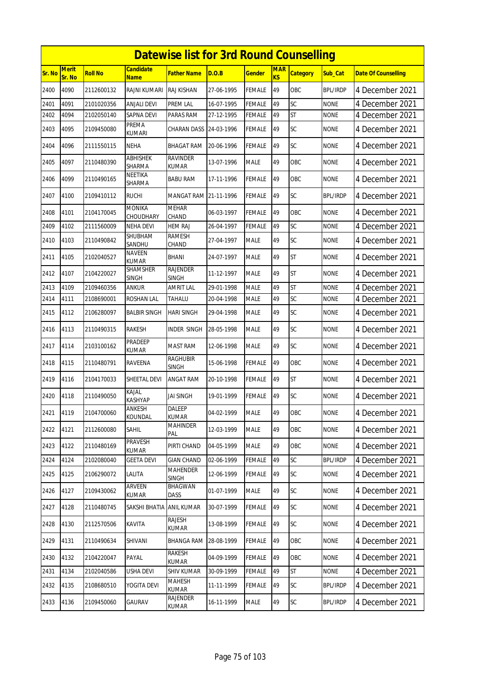|        | <b>Datewise list for 3rd Round Counselling</b> |                |                                 |                                 |            |               |                         |                 |                 |                            |  |  |
|--------|------------------------------------------------|----------------|---------------------------------|---------------------------------|------------|---------------|-------------------------|-----------------|-----------------|----------------------------|--|--|
| Sr. No | <b>Merit</b><br>Sr. No                         | <b>Roll No</b> | <b>Candidate</b><br><b>Name</b> | <b>Father Name</b>              | D.O.B      | <b>Gender</b> | <b>MAR</b><br><b>KS</b> | <b>Category</b> | Sub Cat         | <b>Date Of Counselling</b> |  |  |
| 2400   | 4090                                           | 2112600132     | RAJNI KUMARI                    | <b>RAJ KISHAN</b>               | 27-06-1995 | <b>FEMALE</b> | 49                      | OBC             | <b>BPL/IRDP</b> | 4 December 2021            |  |  |
| 2401   | 4091                                           | 2101020356     | <b>ANJALI DEVI</b>              | PREM LAL                        | 16-07-1995 | <b>FEMALE</b> | 49                      | SC              | <b>NONE</b>     | 4 December 2021            |  |  |
| 2402   | 4094                                           | 2102050140     | <b>SAPNA DEVI</b>               | PARAS RAM                       | 27-12-1995 | <b>FEMALE</b> | 49                      | <b>ST</b>       | <b>NONE</b>     | 4 December 2021            |  |  |
| 2403   | 4095                                           | 2109450080     | PREMA<br><b>KUMARI</b>          | <b>CHARAN DASS</b>              | 24-03-1996 | <b>FEMALE</b> | 49                      | SC              | <b>NONE</b>     | 4 December 2021            |  |  |
| 2404   | 4096                                           | 2111550115     | <b>NEHA</b>                     | <b>BHAGAT RAM</b>               | 20-06-1996 | <b>FEMALE</b> | 49                      | SC              | <b>NONE</b>     | 4 December 2021            |  |  |
| 2405   | 4097                                           | 2110480390     | <b>ABHISHEK</b><br>SHARMA       | <b>RAVINDER</b><br><b>KUMAR</b> | 13-07-1996 | <b>MALE</b>   | 49                      | OBC             | <b>NONE</b>     | 4 December 2021            |  |  |
| 2406   | 4099                                           | 2110490165     | NEETIKA<br>SHARMA               | <b>BABU RAM</b>                 | 17-11-1996 | <b>FEMALE</b> | 49                      | OBC             | <b>NONE</b>     | 4 December 2021            |  |  |
| 2407   | 4100                                           | 2109410112     | <b>RUCHI</b>                    | MANGAT RAM 21-11-1996           |            | <b>FEMALE</b> | 49                      | SC              | <b>BPL/IRDP</b> | 4 December 2021            |  |  |
| 2408   | 4101                                           | 2104170045     | <b>MONIKA</b><br>CHOUDHARY      | <b>MEHAR</b><br>CHAND           | 06-03-1997 | <b>FEMALE</b> | 49                      | OBC             | <b>NONE</b>     | 4 December 2021            |  |  |
| 2409   | 4102                                           | 2111560009     | <b>NEHA DEVI</b>                | <b>HEM RAJ</b>                  | 26-04-1997 | <b>FEMALE</b> | 49                      | SC              | <b>NONE</b>     | 4 December 2021            |  |  |
| 2410   | 4103                                           | 2110490842     | SHUBHAM<br>SANDHU               | <b>RAMESH</b><br>CHAND          | 27-04-1997 | <b>MALE</b>   | 49                      | SC              | <b>NONE</b>     | 4 December 2021            |  |  |
| 2411   | 4105                                           | 2102040527     | <b>NAVEEN</b><br><b>KUMAR</b>   | <b>BHANI</b>                    | 24-07-1997 | <b>MALE</b>   | 49                      | <b>ST</b>       | <b>NONE</b>     | 4 December 2021            |  |  |
| 2412   | 4107                                           | 2104220027     | <b>SHAMSHER</b><br><b>SINGH</b> | <b>RAJENDER</b><br><b>SINGH</b> | 11-12-1997 | <b>MALE</b>   | 49                      | <b>ST</b>       | <b>NONE</b>     | 4 December 2021            |  |  |
| 2413   | 4109                                           | 2109460356     | ankur                           | AMRIT LAL                       | 29-01-1998 | <b>MALE</b>   | 49                      | <b>ST</b>       | <b>NONE</b>     | 4 December 2021            |  |  |
| 2414   | 4111                                           | 2108690001     | ROSHAN LAL                      | TAHALU                          | 20-04-1998 | <b>MALE</b>   | 49                      | SC              | <b>NONE</b>     | 4 December 2021            |  |  |
| 2415   | 4112                                           | 2106280097     | <b>BALBIR SINGH</b>             | <b>HARI SINGH</b>               | 29-04-1998 | <b>MALE</b>   | 49                      | SC              | <b>NONE</b>     | 4 December 2021            |  |  |
| 2416   | 4113                                           | 2110490315     | <b>RAKESH</b>                   | <b>INDER SINGH</b>              | 28-05-1998 | <b>MALE</b>   | 49                      | SC              | <b>NONE</b>     | 4 December 2021            |  |  |
| 2417   | 4114                                           | 2103100162     | PRADEEP<br>KUMAR                | <b>MAST RAM</b>                 | 12-06-1998 | <b>MALE</b>   | 49                      | SC              | <b>NONE</b>     | 4 December 2021            |  |  |
| 2418   | 4115                                           | 2110480791     | RAVEENA                         | <b>RAGHUBIR</b><br><b>SINGH</b> | 15-06-1998 | <b>FEMALE</b> | 49                      | OBC             | <b>NONE</b>     | 4 December 2021            |  |  |
| 2419   | 4116                                           | 2104170033     | SHEETAL DEVI                    | <b>ANGAT RAM</b>                | 20-10-1998 | <b>FEMALE</b> | 49                      | <b>ST</b>       | <b>NONE</b>     | 4 December 2021            |  |  |
| 2420   | 4118                                           | 2110490050     | Kajal<br><b>KASHYAP</b>         | <b>JAI SINGH</b>                | 19-01-1999 | <b>FEMALE</b> | 49                      | SC              | <b>NONE</b>     | 4 December 2021            |  |  |
| 2421   | 4119                                           | 2104700060     | ANKESH<br>KOUNDAL               | DALEEP<br><b>KUMAR</b>          | 04-02-1999 | <b>MALE</b>   | 49                      | OBC             | <b>NONE</b>     | 4 December 2021            |  |  |
| 2422   | 4121                                           | 2112600080     | SAHIL                           | <b>MAHINDER</b><br>PAL          | 12-03-1999 | <b>MALE</b>   | 49                      | OBC             | <b>NONE</b>     | 4 December 2021            |  |  |
| 2423   | 4122                                           | 2110480169     | PRAVESH<br><b>KUMAR</b>         | PIRTI CHAND                     | 04-05-1999 | <b>MALE</b>   | 49                      | OBC             | <b>NONE</b>     | 4 December 2021            |  |  |
| 2424   | 4124                                           | 2102080040     | <b>GEETA DEVI</b>               | <b>GIAN CHAND</b>               | 02-06-1999 | <b>FEMALE</b> | 49                      | SC              | <b>BPL/IRDP</b> | 4 December 2021            |  |  |
| 2425   | 4125                                           | 2106290072     | LALITA                          | <b>MAHENDER</b><br><b>SINGH</b> | 12-06-1999 | <b>FEMALE</b> | 49                      | SC              | <b>NONE</b>     | 4 December 2021            |  |  |
| 2426   | 4127                                           | 2109430062     | ARVEEN<br>KUMAR                 | BHAGWAN<br>DASS                 | 01-07-1999 | <b>MALE</b>   | 49                      | <b>SC</b>       | <b>NONE</b>     | 4 December 2021            |  |  |
| 2427   | 4128                                           | 2110480745     | SAKSHI BHATIA                   | <b>ANIL KUMAR</b>               | 30-07-1999 | <b>FEMALE</b> | 49                      | <b>SC</b>       | <b>NONE</b>     | 4 December 2021            |  |  |
| 2428   | 4130                                           | 2112570506     | KAVITA                          | RAJESH<br>KUMAR                 | 13-08-1999 | <b>FEMALE</b> | 49                      | <b>SC</b>       | <b>NONE</b>     | 4 December 2021            |  |  |
| 2429   | 4131                                           | 2110490634     | SHIVANI                         | <b>BHANGA RAM</b>               | 28-08-1999 | <b>FEMALE</b> | 49                      | OBC             | <b>NONE</b>     | 4 December 2021            |  |  |
| 2430   | 4132                                           | 2104220047     | PAYAL                           | RAKESH<br><b>KUMAR</b>          | 04-09-1999 | <b>FEMALE</b> | 49                      | OBC             | <b>NONE</b>     | 4 December 2021            |  |  |
| 2431   | 4134                                           | 2102040586     | USHA DEVI                       | <b>SHIV KUMAR</b>               | 30-09-1999 | <b>FEMALE</b> | 49                      | ST              | <b>NONE</b>     | 4 December 2021            |  |  |
| 2432   | 4135                                           | 2108680510     | YOGITA DEVI                     | <b>MAHESH</b><br><b>KUMAR</b>   | 11-11-1999 | <b>FEMALE</b> | 49                      | SC              | <b>BPL/IRDP</b> | 4 December 2021            |  |  |
| 2433   | 4136                                           | 2109450060     | GAURAV                          | RAJENDER<br>KUMAR               | 16-11-1999 | <b>MALE</b>   | 49                      | SC              | BPL/IRDP        | 4 December 2021            |  |  |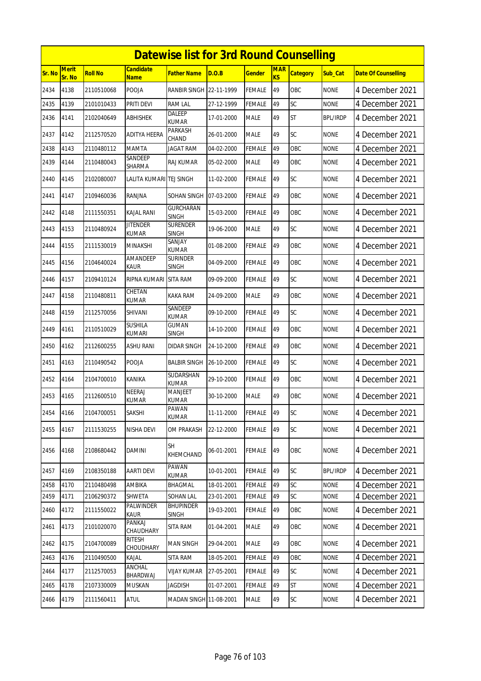|        | <b>Datewise list for 3rd Round Counselling</b> |                |                                 |                                  |            |               |                         |                 |                 |                            |  |  |
|--------|------------------------------------------------|----------------|---------------------------------|----------------------------------|------------|---------------|-------------------------|-----------------|-----------------|----------------------------|--|--|
| Sr. No | <b>Merit</b><br>Sr. No                         | <b>Roll No</b> | <b>Candidate</b><br><b>Name</b> | <b>Father Name</b>               | D.O.B      | <b>Gender</b> | <b>MAR</b><br><b>KS</b> | <b>Category</b> | Sub Cat         | <b>Date Of Counselling</b> |  |  |
| 2434   | 4138                                           | 2110510068     | POOJA                           | <b>RANBIR SINGH</b>              | 22-11-1999 | <b>FEMALE</b> | 49                      | OBC             | <b>NONE</b>     | 4 December 2021            |  |  |
| 2435   | 4139                                           | 2101010433     | PRITI DEVI                      | <b>RAM LAL</b>                   | 27-12-1999 | <b>FEMALE</b> | 49                      | SC              | <b>NONE</b>     | 4 December 2021            |  |  |
| 2436   | 4141                                           | 2102040649     | ABHISHEK                        | <b>DALEEP</b><br><b>KUMAR</b>    | 17-01-2000 | <b>MALE</b>   | 49                      | <b>ST</b>       | <b>BPL/IRDP</b> | 4 December 2021            |  |  |
| 2437   | 4142                                           | 2112570520     | <b>ADITYA HEERA</b>             | PARKASH<br>CHAND                 | 26-01-2000 | <b>MALE</b>   | 49                      | SC              | <b>NONE</b>     | 4 December 2021            |  |  |
| 2438   | 4143                                           | 2110480112     | MAMTA                           | <b>JAGAT RAM</b>                 | 04-02-2000 | <b>FEMALE</b> | 49                      | OBC             | <b>NONE</b>     | 4 December 2021            |  |  |
| 2439   | 4144                                           | 2110480043     | SANDEEP<br>SHARMA               | <b>RAJ KUMAR</b>                 | 05-02-2000 | <b>MALE</b>   | 49                      | OBC             | <b>NONE</b>     | 4 December 2021            |  |  |
| 2440   | 4145                                           | 2102080007     | LALITA KUMARI TEJ SINGH         |                                  | 11-02-2000 | <b>FEMALE</b> | 49                      | <b>SC</b>       | <b>NONE</b>     | 4 December 2021            |  |  |
| 2441   | 4147                                           | 2109460036     | RANJNA                          | SOHAN SINGH                      | 07-03-2000 | <b>FEMALE</b> | 49                      | OBC             | <b>NONE</b>     | 4 December 2021            |  |  |
| 2442   | 4148                                           | 2111550351     | <b>KAJAL RANI</b>               | <b>GURCHARAN</b><br><b>SINGH</b> | 15-03-2000 | <b>FEMALE</b> | 49                      | OBC             | <b>NONE</b>     | 4 December 2021            |  |  |
| 2443   | 4153                                           | 2110480924     | <b>JITENDER</b><br><b>KUMAR</b> | <b>SURENDER</b><br><b>SINGH</b>  | 19-06-2000 | <b>MALE</b>   | 49                      | SC              | <b>NONE</b>     | 4 December 2021            |  |  |
| 2444   | 4155                                           | 2111530019     | <b>MINAKSHI</b>                 | SANJAY<br><b>KUMAR</b>           | 01-08-2000 | <b>FEMALE</b> | 49                      | OBC             | <b>NONE</b>     | 4 December 2021            |  |  |
| 2445   | 4156                                           | 2104640024     | AMANDEEP<br>KAUR                | <b>SURINDER</b><br><b>SINGH</b>  | 04-09-2000 | <b>FEMALE</b> | 49                      | <b>OBC</b>      | <b>NONE</b>     | 4 December 2021            |  |  |
| 2446   | 4157                                           | 2109410124     | RIPNA KUMARI                    | <b>SITA RAM</b>                  | 09-09-2000 | <b>FEMALE</b> | 49                      | SC              | <b>NONE</b>     | 4 December 2021            |  |  |
| 2447   | 4158                                           | 2110480811     | CHETAN<br><b>KUMAR</b>          | KAKA RAM                         | 24-09-2000 | <b>MALE</b>   | 49                      | OBC             | <b>NONE</b>     | 4 December 2021            |  |  |
| 2448   | 4159                                           | 2112570056     | <b>SHIVANI</b>                  | SANDEEP<br><b>KUMAR</b>          | 09-10-2000 | <b>FEMALE</b> | 49                      | SC              | <b>NONE</b>     | 4 December 2021            |  |  |
| 2449   | 4161                                           | 2110510029     | <b>SUSHILA</b><br><b>KUMARI</b> | <b>GUMAN</b><br><b>SINGH</b>     | 14-10-2000 | <b>FEMALE</b> | 49                      | <b>OBC</b>      | <b>NONE</b>     | 4 December 2021            |  |  |
| 2450   | 4162                                           | 2112600255     | ASHU RANI                       | <b>DIDAR SINGH</b>               | 24-10-2000 | <b>FEMALE</b> | 49                      | OBC             | <b>NONE</b>     | 4 December 2021            |  |  |
| 2451   | 4163                                           | 2110490542     | <b>POOJA</b>                    | <b>BALBIR SINGH</b>              | 26-10-2000 | <b>FEMALE</b> | 49                      | SC              | <b>NONE</b>     | 4 December 2021            |  |  |
| 2452   | 4164                                           | 2104700010     | <b>KANIKA</b>                   | SUDARSHAN<br><b>KUMAR</b>        | 29-10-2000 | <b>FEMALE</b> | 49                      | <b>OBC</b>      | <b>NONE</b>     | 4 December 2021            |  |  |
| 2453   | 4165                                           | 2112600510     | NEERAJ<br>KUMAR                 | <b>MANJEET</b><br><b>KUMAR</b>   | 30-10-2000 | <b>MALE</b>   | 49                      | OBC             | <b>NONE</b>     | 4 December 2021            |  |  |
| 2454   | 4166                                           | 2104700051     | SAKSHI                          | PAWAN<br><b>KUMAR</b>            | 11-11-2000 | <b>FEMALE</b> | 49                      | SC              | <b>NONE</b>     | 4 December 2021            |  |  |
| 2455   | 4167                                           | 2111530255     | NISHA DEVI                      | <b>OM PRAKASH</b>                | 22-12-2000 | <b>FEMALE</b> | 49                      | SC              | <b>NONE</b>     | 4 December 2021            |  |  |
| 2456   | 4168                                           | 2108680442     | DAMINI                          | <b>SH</b><br>KHEMCHAND           | 06-01-2001 | <b>FEMALE</b> | 49                      | OBC             | <b>NONE</b>     | 4 December 2021            |  |  |
| 2457   | 4169                                           | 2108350188     | AARTI DEVI                      | PAWAN<br><b>KUMAR</b>            | 10-01-2001 | <b>FEMALE</b> | 49                      | <b>SC</b>       | <b>BPL/IRDP</b> | 4 December 2021            |  |  |
| 2458   | 4170                                           | 2110480498     | AMBIKA                          | <b>BHAGMAL</b>                   | 18-01-2001 | <b>FEMALE</b> | 49                      | SC              | <b>NONE</b>     | 4 December 2021            |  |  |
| 2459   | 4171                                           | 2106290372     | SHWETA                          | SOHAN LAL                        | 23-01-2001 | <b>FEMALE</b> | 49                      | SC              | <b>NONE</b>     | 4 December 2021            |  |  |
| 2460   | 4172                                           | 2111550022     | PALWINDER<br>KAUR               | <b>BHUPINDER</b><br><b>SINGH</b> | 19-03-2001 | <b>FEMALE</b> | 49                      | OBC             | <b>NONE</b>     | 4 December 2021            |  |  |
| 2461   | 4173                                           | 2101020070     | PANKAJ<br>CHAUDHARY             | SITA RAM                         | 01-04-2001 | <b>MALE</b>   | 49                      | OBC             | <b>NONE</b>     | 4 December 2021            |  |  |
| 2462   | 4175                                           | 2104700089     | <b>RITESH</b><br>CHOUDHARY      | MAN SINGH                        | 29-04-2001 | <b>MALE</b>   | 49                      | OBC             | <b>NONE</b>     | 4 December 2021            |  |  |
| 2463   | 4176                                           | 2110490500     | KAJAL                           | <b>SITA RAM</b>                  | 18-05-2001 | <b>FEMALE</b> | 49                      | OBC             | <b>NONE</b>     | 4 December 2021            |  |  |
| 2464   | 4177                                           | 2112570053     | ANCHAL<br>BHARDWAJ              | <b>VIJAY KUMAR</b>               | 27-05-2001 | <b>FEMALE</b> | 49                      | SC              | <b>NONE</b>     | 4 December 2021            |  |  |
| 2465   | 4178                                           | 2107330009     | <b>MUSKAN</b>                   | JAGDISH                          | 01-07-2001 | <b>FEMALE</b> | 49                      | <b>ST</b>       | <b>NONE</b>     | 4 December 2021            |  |  |
| 2466   | 4179                                           | 2111560411     | ATUL                            | MADAN SINGH 11-08-2001           |            | <b>MALE</b>   | 49                      | SC              | <b>NONE</b>     | 4 December 2021            |  |  |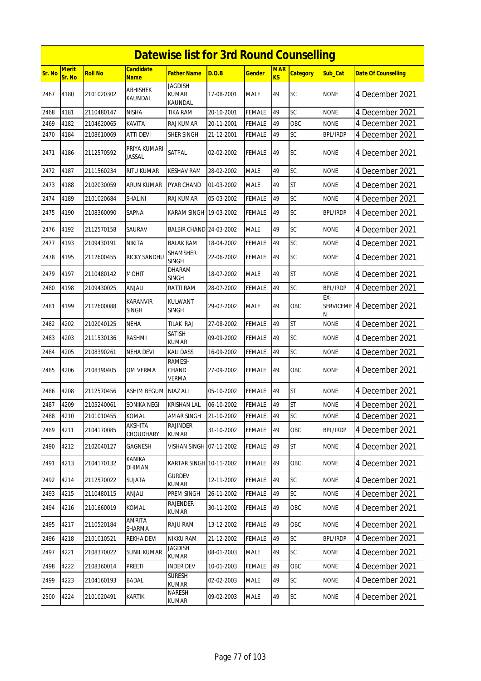|        | <b>Datewise list for 3rd Round Counselling</b> |                |                                 |                                           |            |               |                  |                 |                 |                            |  |  |
|--------|------------------------------------------------|----------------|---------------------------------|-------------------------------------------|------------|---------------|------------------|-----------------|-----------------|----------------------------|--|--|
| Sr. No | <b>Merit</b><br>Sr. No                         | <b>Roll No</b> | <b>Candidate</b><br>Name        | <b>Father Name</b>                        | D.O.B      | <b>Gender</b> | <b>MAR</b><br>KS | <b>Category</b> | Sub Cat         | <b>Date Of Counselling</b> |  |  |
| 2467   | 4180                                           | 2101020302     | <b>ABHISHEK</b><br>KAUNDAL      | <b>JAGDISH</b><br><b>KUMAR</b><br>KAUNDAL | 17-08-2001 | <b>MALE</b>   | 49               | <b>SC</b>       | <b>NONE</b>     | 4 December 2021            |  |  |
| 2468   | 4181                                           | 2110480147     | <b>NISHA</b>                    | TIKA RAM                                  | 20-10-2001 | <b>FEMALE</b> | 49               | SC              | <b>NONE</b>     | 4 December 2021            |  |  |
| 2469   | 4182                                           | 2104620065     | <b>KAVITA</b>                   | <b>RAJ KUMAR</b>                          | 20-11-2001 | <b>FEMALE</b> | 49               | OBC             | <b>NONE</b>     | 4 December 2021            |  |  |
| 2470   | 4184                                           | 2108610069     | <b>ATTI DEVI</b>                | SHER SINGH                                | 21-12-2001 | <b>FEMALE</b> | 49               | SC              | <b>BPL/IRDP</b> | 4 December 2021            |  |  |
| 2471   | 4186                                           | 2112570592     | PRIYA KUMARI<br>Jassal          | SATPAL                                    | 02-02-2002 | FEMALE        | 49               | <b>SC</b>       | <b>NONE</b>     | 4 December 2021            |  |  |
| 2472   | 4187                                           | 2111560234     | RITU KUMAR                      | <b>KESHAV RAM</b>                         | 28-02-2002 | <b>MALE</b>   | 49               | SC              | <b>NONE</b>     | 4 December 2021            |  |  |
| 2473   | 4188                                           | 2102030059     | ARUN KUMAR                      | PYAR CHAND                                | 01-03-2002 | MALE          | 49               | <b>ST</b>       | none            | 4 December 2021            |  |  |
| 2474   | 4189                                           | 2101020684     | SHALINI                         | RAJ KUMAR                                 | 05-03-2002 | <b>FEMALE</b> | 49               | SC              | <b>NONE</b>     | 4 December 2021            |  |  |
| 2475   | 4190                                           | 2108360090     | SAPNA                           | KARAM SINGH 19-03-2002                    |            | <b>FEMALE</b> | 49               | <b>SC</b>       | <b>BPL/IRDP</b> | 4 December 2021            |  |  |
| 2476   | 4192                                           | 2112570158     | SAURAV                          | BALBIR CHAND 24-03-2002                   |            | <b>MALE</b>   | 49               | SC              | <b>NONE</b>     | 4 December 2021            |  |  |
| 2477   | 4193                                           | 2109430191     | <b>NIKITA</b>                   | <b>BALAK RAM</b>                          | 18-04-2002 | <b>FEMALE</b> | 49               | SC              | <b>NONE</b>     | 4 December 2021            |  |  |
| 2478   | 4195                                           | 2112600455     | RICKY SANDHU                    | <b>SHAMSHER</b><br><b>SINGH</b>           | 22-06-2002 | <b>FEMALE</b> | 49               | SC              | <b>NONE</b>     | 4 December 2021            |  |  |
| 2479   | 4197                                           | 2110480142     | <b>MOHIT</b>                    | DHARAM<br><b>SINGH</b>                    | 18-07-2002 | <b>MALE</b>   | 49               | <b>ST</b>       | <b>NONE</b>     | 4 December 2021            |  |  |
| 2480   | 4198                                           | 2109430025     | anjali                          | RATTI RAM                                 | 28-07-2002 | FEMALE        | 49               | SC              | <b>BPL/IRDP</b> | 4 December 2021            |  |  |
| 2481   | 4199                                           | 2112600088     | <b>KARANVIR</b><br><b>SINGH</b> | <b>KULWANT</b><br><b>SINGH</b>            | 29-07-2002 | <b>MALE</b>   | 49               | OBC             | EX-<br>N        | SERVICEME 4 December 2021  |  |  |
| 2482   | 4202                                           | 2102040125     | NEHA                            | TILAK RAJ                                 | 27-08-2002 | <b>FEMALE</b> | 49               | <b>ST</b>       | <b>NONE</b>     | 4 December 2021            |  |  |
| 2483   | 4203                                           | 2111530136     | <b>RASHMI</b>                   | SATISH<br><b>KUMAR</b>                    | 09-09-2002 | <b>FEMALE</b> | 49               | <b>SC</b>       | <b>NONE</b>     | 4 December 2021            |  |  |
| 2484   | 4205                                           | 2108390261     | NEHA DEVI                       | <b>KALI DASS</b>                          | 16-09-2002 | <b>FEMALE</b> | 49               | SC              | <b>NONE</b>     | 4 December 2021            |  |  |
| 2485   | 4206                                           | 2108390405     | om verma                        | <b>RAMESH</b><br>CHAND<br>VERMA           | 27-09-2002 | <b>FEMALE</b> | 49               | OBC             | <b>NONE</b>     | 4 December 2021            |  |  |
| 2486   | 4208                                           | 2112570456     | ASHIM BEGUM                     | <b>NIAZ ALI</b>                           | 05-10-2002 | <b>FEMALE</b> | 49               | <b>ST</b>       | <b>NONE</b>     | 4 December 2021            |  |  |
| 2487   | 4209                                           | 2105240061     | SONIKA NEGI                     | <b>KRISHAN LAL</b>                        | 06-10-2002 | <b>FEMALE</b> | 49               | <b>ST</b>       | <b>NONE</b>     | 4 December 2021            |  |  |
| 2488   | 4210                                           | 2101010455     | KOMAL                           | AMAR SINGH                                | 21-10-2002 | <b>FEMALE</b> | 49               | SC              | <b>NONE</b>     | 4 December 2021            |  |  |
| 2489   | 4211                                           | 2104170085     | AKSHITA<br>CHOUDHARY            | RAJINDER<br>KUMAR                         | 31-10-2002 | <b>FEMALE</b> | 49               | OBC             | <b>BPL/IRDP</b> | 4 December 2021            |  |  |
| 2490   | 4212                                           | 2102040127     | GAGNESH                         | VISHAN SINGH 07-11-2002                   |            | <b>FEMALE</b> | 49               | <b>ST</b>       | <b>NONE</b>     | 4 December 2021            |  |  |
| 2491   | 4213                                           | 2104170132     | <b>KANIKA</b><br>DHIMAN         | KARTAR SINGH 10-11-2002                   |            | <b>FEMALE</b> | 49               | OBC             | <b>NONE</b>     | 4 December 2021            |  |  |
| 2492   | 4214                                           | 2112570022     | SUJATA                          | <b>GURDEV</b><br><b>KUMAR</b>             | 12-11-2002 | <b>FEMALE</b> | 49               | <b>SC</b>       | <b>NONE</b>     | 4 December 2021            |  |  |
| 2493   | 4215                                           | 2110480115     | anjali                          | PREM SINGH                                | 26-11-2002 | <b>FEMALE</b> | 49               | SC              | <b>NONE</b>     | 4 December 2021            |  |  |
| 2494   | 4216                                           | 2101660019     | KOMAL                           | RAJENDER<br>KUMAR                         | 30-11-2002 | FEMALE        | 49               | OBC             | <b>NONE</b>     | 4 December 2021            |  |  |
| 2495   | 4217                                           | 2110520184     | <b>AMRITA</b><br>SHARMA         | RAJU RAM                                  | 13-12-2002 | <b>FEMALE</b> | 49               | OBC             | <b>NONE</b>     | 4 December 2021            |  |  |
| 2496   | 4218                                           | 2101010521     | REKHA DEVI                      | <b>NIKKU RAM</b>                          | 21-12-2002 | <b>FEMALE</b> | 49               | SC              | <b>BPL/IRDP</b> | 4 December 2021            |  |  |
| 2497   | 4221                                           | 2108370022     | <b>SUNIL KUMAR</b>              | JAGDISH<br>KUMAR                          | 08-01-2003 | <b>MALE</b>   | 49               | <b>SC</b>       | <b>NONE</b>     | 4 December 2021            |  |  |
| 2498   | 4222                                           | 2108360014     | PREETI                          | <b>INDER DEV</b>                          | 10-01-2003 | <b>FEMALE</b> | 49               | OBC             | <b>NONE</b>     | 4 December 2021            |  |  |
| 2499   | 4223                                           | 2104160193     | BADAL                           | <b>SURESH</b><br><b>KUMAR</b>             | 02-02-2003 | <b>MALE</b>   | 49               | <b>SC</b>       | <b>NONE</b>     | 4 December 2021            |  |  |
| 2500   | 4224                                           | 2101020491     | <b>KARTIK</b>                   | NARESH<br>KUMAR                           | 09-02-2003 | <b>MALE</b>   | 49               | SC              | <b>NONE</b>     | 4 December 2021            |  |  |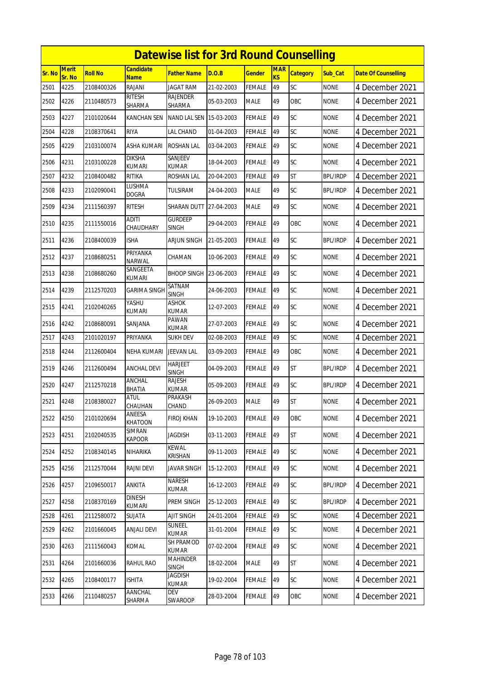|        | <b>Datewise list for 3rd Round Counselling</b> |                |                                 |                                |            |               |                  |                 |                 |                            |  |  |
|--------|------------------------------------------------|----------------|---------------------------------|--------------------------------|------------|---------------|------------------|-----------------|-----------------|----------------------------|--|--|
| Sr. No | Merit<br>Sr. No                                | <b>Roll No</b> | <b>Candidate</b><br><b>Name</b> | <b>Father Name</b>             | D.O.B      | <b>Gender</b> | <b>MAR</b><br>KS | <b>Category</b> | Sub Cat         | <b>Date Of Counselling</b> |  |  |
| 2501   | 4225                                           | 2108400326     | RAJANI                          | <b>JAGAT RAM</b>               | 21-02-2003 | <b>FEMALE</b> | 49               | SC              | <b>NONE</b>     | 4 December 2021            |  |  |
| 2502   | 4226                                           | 2110480573     | <b>RITESH</b><br>SHARMA         | RAJENDER<br><b>SHARMA</b>      | 05-03-2003 | <b>MALE</b>   | 49               | OBC             | <b>NONE</b>     | 4 December 2021            |  |  |
| 2503   | 4227                                           | 2101020644     | KANCHAN SEN                     | NAND LAL SEN 15-03-2003        |            | <b>FEMALE</b> | 49               | SC              | <b>NONE</b>     | 4 December 2021            |  |  |
| 2504   | 4228                                           | 2108370641     | <b>RIYA</b>                     | LAL CHAND                      | 01-04-2003 | <b>FEMALE</b> | 49               | SC              | <b>NONE</b>     | 4 December 2021            |  |  |
| 2505   | 4229                                           | 2103100074     | <b>ASHA KUMARI</b>              | <b>ROSHAN LAL</b>              | 03-04-2003 | <b>FEMALE</b> | 49               | SC              | <b>NONE</b>     | 4 December 2021            |  |  |
| 2506   | 4231                                           | 2103100228     | <b>DIKSHA</b><br><b>KUMARI</b>  | SANJEEV<br>KUMAR               | 18-04-2003 | <b>FEMALE</b> | 49               | SC              | <b>NONE</b>     | 4 December 2021            |  |  |
| 2507   | 4232                                           | 2108400482     | RITIKA                          | ROSHAN LAL                     | 20-04-2003 | FEMALE        | 49               | <b>ST</b>       | <b>BPL/IRDP</b> | 4 December 2021            |  |  |
| 2508   | 4233                                           | 2102090041     | lushma<br><b>DOGRA</b>          | TULSIRAM                       | 24-04-2003 | <b>MALE</b>   | 49               | SC              | <b>BPL/IRDP</b> | 4 December 2021            |  |  |
| 2509   | 4234                                           | 2111560397     | <b>RITESH</b>                   | SHARAN DUTT                    | 27-04-2003 | <b>MALE</b>   | 49               | SC              | <b>NONE</b>     | 4 December 2021            |  |  |
| 2510   | 4235                                           | 2111550016     | <b>ADITI</b><br>CHAUDHARY       | <b>GURDEEP</b><br><b>SINGH</b> | 29-04-2003 | <b>FEMALE</b> | 49               | OBC             | none            | 4 December 2021            |  |  |
| 2511   | 4236                                           | 2108400039     | <b>ISHA</b>                     | <b>ARJUN SINGH</b>             | 21-05-2003 | <b>FEMALE</b> | 49               | SC              | <b>BPL/IRDP</b> | 4 December 2021            |  |  |
| 2512   | 4237                                           | 2108680251     | PRIYANKA<br>NARWAL              | CHAMAN                         | 10-06-2003 | <b>FEMALE</b> | 49               | SC              | <b>NONE</b>     | 4 December 2021            |  |  |
| 2513   | 4238                                           | 2108680260     | SANGEETA<br>KUMARI              | <b>BHOOP SINGH</b>             | 23-06-2003 | FEMALE        | 49               | SC              | <b>NONE</b>     | 4 December 2021            |  |  |
| 2514   | 4239                                           | 2112570203     | <b>GARIMA SINGH</b>             | SATNAM<br><b>SINGH</b>         | 24-06-2003 | <b>FEMALE</b> | 49               | SC              | <b>NONE</b>     | 4 December 2021            |  |  |
| 2515   | 4241                                           | 2102040265     | YASHU<br><b>KUMARI</b>          | ASHOK<br>KUMAR                 | 12-07-2003 | FEMALE        | 49               | SC              | <b>NONE</b>     | 4 December 2021            |  |  |
| 2516   | 4242                                           | 2108680091     | SANJANA                         | <b>PAWAN</b><br><b>KUMAR</b>   | 27-07-2003 | <b>FEMALE</b> | 49               | SC              | <b>NONE</b>     | 4 December 2021            |  |  |
| 2517   | 4243                                           | 2101020197     | PRIYANKA                        | <b>SUKH DEV</b>                | 02-08-2003 | <b>FEMALE</b> | 49               | SC              | <b>NONE</b>     | 4 December 2021            |  |  |
| 2518   | 4244                                           | 2112600404     | NEHA KUMARI                     | <b>JEEVAN LAL</b>              | 03-09-2003 | <b>FEMALE</b> | 49               | OBC             | <b>NONE</b>     | 4 December 2021            |  |  |
| 2519   | 4246                                           | 2112600494     | <b>ANCHAL DEVI</b>              | <b>HARJEET</b><br><b>SINGH</b> | 04-09-2003 | <b>FEMALE</b> | 49               | <b>ST</b>       | <b>BPL/IRDP</b> | 4 December 2021            |  |  |
| 2520   | 4247                                           | 2112570218     | ANCHAL<br><b>BHATIA</b>         | <b>RAJESH</b><br><b>KUMAR</b>  | 05-09-2003 | FEMALE        | 49               | SC              | <b>BPL/IRDP</b> | 4 December 2021            |  |  |
| 2521   | 4248                                           | 2108380027     | <b>ATUL</b><br>CHAUHAN          | <b>PRAKASH</b><br>CHAND        | 26-09-2003 | <b>MALE</b>   | 49               | <b>ST</b>       | <b>NONE</b>     | 4 December 2021            |  |  |
| 2522   | 4250                                           | 2101020694     | ANEESA<br><b>KHATOON</b>        | FIROJ KHAN                     | 19-10-2003 | <b>FEMALE</b> | 49               | OBC             | <b>NONE</b>     | 4 December 2021            |  |  |
| 2523   | 4251                                           | 2102040535     | SIMRAN<br><b>KAPOOR</b>         | <b>JAGDISH</b>                 | 03-11-2003 | <b>FEMALE</b> | 49               | <b>ST</b>       | <b>NONE</b>     | 4 December 2021            |  |  |
| 2524   | 4252                                           | 2108340145     | NIHARIKA                        | <b>KEWAL</b><br>KRISHAN        | 09-11-2003 | <b>FEMALE</b> | 49               | SC              | <b>NONE</b>     | 4 December 2021            |  |  |
| 2525   | 4256                                           | 2112570044     | RAJNI DEVI                      | <b>JAVAR SINGH</b>             | 15-12-2003 | FEMALE        | 49               | SC              | <b>NONE</b>     | 4 December 2021            |  |  |
| 2526   | 4257                                           | 2109650017     | ANKITA                          | NARESH<br><b>KUMAR</b>         | 16-12-2003 | <b>FEMALE</b> | 49               | SC              | <b>BPL/IRDP</b> | 4 December 2021            |  |  |
| 2527   | 4258                                           | 2108370169     | <b>DINESH</b><br><b>KUMARI</b>  | PREM SINGH                     | 25-12-2003 | <b>FEMALE</b> | 49               | SC              | <b>BPL/IRDP</b> | 4 December 2021            |  |  |
| 2528   | 4261                                           | 2112580072     | SUJATA                          | AJIT SINGH                     | 24-01-2004 | <b>FEMALE</b> | 49               | SC              | <b>NONE</b>     | 4 December 2021            |  |  |
| 2529   | 4262                                           | 2101660045     | ANJALI DEVI                     | SUNEEL<br><b>KUMAR</b>         | 31-01-2004 | <b>FEMALE</b> | 49               | SC              | <b>NONE</b>     | 4 December 2021            |  |  |
| 2530   | 4263                                           | 2111560043     | KOMAL                           | SH PRAMOD<br>kumar             | 07-02-2004 | FEMALE        | 49               | SC              | <b>NONE</b>     | 4 December 2021            |  |  |
| 2531   | 4264                                           | 2101660036     | RAHUL RAO                       | MAHINDER<br><b>SINGH</b>       | 18-02-2004 | <b>MALE</b>   | 49               | <b>ST</b>       | <b>NONE</b>     | 4 December 2021            |  |  |
| 2532   | 4265                                           | 2108400177     | <b>ISHITA</b>                   | <b>JAGDISH</b><br>kumar        | 19-02-2004 | <b>FEMALE</b> | 49               | <b>SC</b>       | <b>NONE</b>     | 4 December 2021            |  |  |
| 2533   | 4266                                           | 2110480257     | AANCHAL<br>SHARMA               | DEV<br>SWAROOP                 | 28-03-2004 | <b>FEMALE</b> | 49               | OBC             | <b>NONE</b>     | 4 December 2021            |  |  |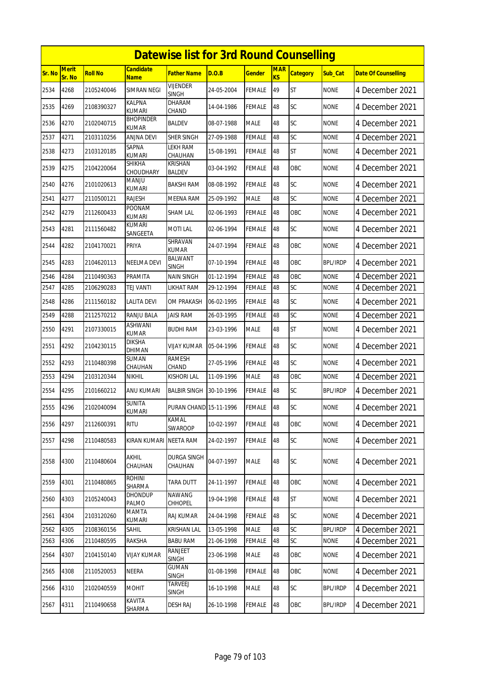|        |                 |                |                                | <b>Datewise list for 3rd Round Counselling</b> |            |               |                  |                 |                 |                            |
|--------|-----------------|----------------|--------------------------------|------------------------------------------------|------------|---------------|------------------|-----------------|-----------------|----------------------------|
| Sr. No | Merit<br>Sr. No | <b>Roll No</b> | <b>Candidate</b><br>Name       | <b>Father Name</b>                             | D.O.B      | <b>Gender</b> | <b>MAR</b><br>KS | <b>Category</b> | Sub Cat         | <b>Date Of Counselling</b> |
| 2534   | 4268            | 2105240046     | SIMRAN NEGI                    | <b>VIJENDER</b><br><b>SINGH</b>                | 24-05-2004 | <b>FEMALE</b> | 49               | <b>ST</b>       | <b>NONE</b>     | 4 December 2021            |
| 2535   | 4269            | 2108390327     | KALPNA<br><b>KUMARI</b>        | DHARAM<br>CHAND                                | 14-04-1986 | <b>FEMALE</b> | 48               | SC              | <b>NONE</b>     | 4 December 2021            |
| 2536   | 4270            | 2102040715     | <b>BHOPINDER</b><br>KUMAR      | <b>BALDEV</b>                                  | 08-07-1988 | <b>MALE</b>   | 48               | SC              | <b>NONE</b>     | 4 December 2021            |
| 2537   | 4271            | 2103110256     | ANJNA DEVI                     | SHER SINGH                                     | 27-09-1988 | <b>FEMALE</b> | 48               | SC              | <b>NONE</b>     | 4 December 2021            |
| 2538   | 4273            | 2103120185     | SAPNA<br>kumari                | LEKH RAM<br>CHAUHAN                            | 15-08-1991 | <b>FEMALE</b> | 48               | <b>ST</b>       | <b>NONE</b>     | 4 December 2021            |
| 2539   | 4275            | 2104220064     | SHIKHA<br>CHOUDHARY            | <b>KRISHAN</b><br><b>BALDEV</b>                | 03-04-1992 | <b>FEMALE</b> | 48               | OBC             | <b>NONE</b>     | 4 December 2021            |
| 2540   | 4276            | 2101020613     | MANJU<br>kumari                | BAKSHI RAM                                     | 08-08-1992 | <b>FEMALE</b> | 48               | SC              | <b>NONE</b>     | 4 December 2021            |
| 2541   | 4277            | 2110500121     | <b>RAJESH</b>                  | MEENA RAM                                      | 25-09-1992 | <b>MALE</b>   | 48               | SC              | <b>NONE</b>     | 4 December 2021            |
| 2542   | 4279            | 2112600433     | POONAM<br><b>KUMARI</b>        | <b>SHAM LAL</b>                                | 02-06-1993 | <b>FEMALE</b> | 48               | OBC             | <b>NONE</b>     | 4 December 2021            |
| 2543   | 4281            | 2111560482     | <b>KUMARI</b><br>SANGEETA      | <b>MOTI LAL</b>                                | 02-06-1994 | <b>FEMALE</b> | 48               | SC              | <b>NONE</b>     | 4 December 2021            |
| 2544   | 4282            | 2104170021     | PRIYA                          | SHRAVAN<br><b>KUMAR</b>                        | 24-07-1994 | <b>FEMALE</b> | 48               | <b>OBC</b>      | <b>NONE</b>     | 4 December 2021            |
| 2545   | 4283            | 2104620113     | NEELMA DEVI                    | <b>BALWANT</b><br><b>SINGH</b>                 | 07-10-1994 | <b>FEMALE</b> | 48               | <b>OBC</b>      | BPL/IRDP        | 4 December 2021            |
| 2546   | 4284            | 2110490363     | PRAMITA                        | <b>NAIN SINGH</b>                              | 01-12-1994 | <b>FEMALE</b> | 48               | OBC             | <b>NONE</b>     | 4 December 2021            |
| 2547   | 4285            | 2106290283     | TEJ VANTI                      | LIKHAT RAM                                     | 29-12-1994 | FEMALE        | 48               | SC              | none            | 4 December 2021            |
| 2548   | 4286            | 2111560182     | LALITA DEVI                    | OM PRAKASH                                     | 06-02-1995 | <b>FEMALE</b> | 48               | SC              | <b>NONE</b>     | 4 December 2021            |
| 2549   | 4288            | 2112570212     | RANJU BALA                     | <b>JAISI RAM</b>                               | 26-03-1995 | <b>FEMALE</b> | 48               | SC              | <b>NONE</b>     | 4 December 2021            |
| 2550   | 4291            | 2107330015     | ASHWANI<br><b>KUMAR</b>        | <b>BUDHI RAM</b>                               | 23-03-1996 | <b>MALE</b>   | 48               | <b>ST</b>       | <b>NONE</b>     | 4 December 2021            |
| 2551   | 4292            | 2104230115     | DIKSHA<br>DHIMAN               | VIJAY KUMAR                                    | 05-04-1996 | FEMALE        | 48               | SC              | <b>NONE</b>     | 4 December 2021            |
| 2552   | 4293            | 2110480398     | <b>SUMAN</b><br>CHAUHAN        | <b>RAMESH</b><br>CHAND                         | 27-05-1996 | <b>FEMALE</b> | 48               | SC              | <b>NONE</b>     | 4 December 2021            |
| 2553   | 4294            | 2103120344     | <b>NIKHIL</b>                  | <b>KISHORI LAL</b>                             | 11-09-1996 | <b>MALE</b>   | 48               | OBC             | <b>NONE</b>     | 4 December 2021            |
| 2554   | 4295            | 2101660212     | ANU KUMARI                     | <b>BALBIR SINGH</b>                            | 30-10-1996 | <b>FEMALE</b> | 48               | SC              | <b>BPL/IRDP</b> | 4 December 2021            |
| 2555   | 4296            | 2102040094     | <b>SUNITA</b><br><b>KUMARI</b> | PURAN CHAND 15-11-1996                         |            | <b>FEMALE</b> | 48               | SC              | <b>NONE</b>     | 4 December 2021            |
| 2556   | 4297            | 2112600391     | <b>RITU</b>                    | KAMAL<br>SWAROOP                               | 10-02-1997 | FEMALE        | 48               | OBC             | <b>NONE</b>     | 4 December 2021            |
| 2557   | 4298            | 2110480583     | <b>KIRAN KUMARI</b>            | <b>NEETA RAM</b>                               | 24-02-1997 | <b>FEMALE</b> | 48               | SC              | <b>NONE</b>     | 4 December 2021            |
| 2558   | 4300            | 2110480604     | AKHIL<br>CHAUHAN               | DURGA SINGH<br>CHAUHAN                         | 04-07-1997 | <b>MALE</b>   | 48               | SC              | <b>NONE</b>     | 4 December 2021            |
| 2559   | 4301            | 2110480865     | <b>ROHINI</b><br>SHARMA        | <b>TARA DUTT</b>                               | 24-11-1997 | <b>FEMALE</b> | 48               | OBC             | <b>NONE</b>     | 4 December 2021            |
| 2560   | 4303            | 2105240043     | DHONDUP<br>PALMO               | <b>NAWANG</b><br>CHHOPEL                       | 19-04-1998 | <b>FEMALE</b> | 48               | <b>ST</b>       | <b>NONE</b>     | 4 December 2021            |
| 2561   | 4304            | 2103120260     | MAMTA<br>KUMARI                | RAJ KUMAR                                      | 24-04-1998 | FEMALE        | 48               | SC              | <b>NONE</b>     | 4 December 2021            |
| 2562   | 4305            | 2108360156     | <b>SAHIL</b>                   | <b>KRISHAN LAL</b>                             | 13-05-1998 | <b>MALE</b>   | 48               | SC              | <b>BPL/IRDP</b> | 4 December 2021            |
| 2563   | 4306            | 2110480595     | RAKSHA                         | <b>BABU RAM</b>                                | 21-06-1998 | <b>FEMALE</b> | 48               | SC              | <b>NONE</b>     | 4 December 2021            |
| 2564   | 4307            | 2104150140     | VIJAY KUMAR                    | RANJEET<br><b>SINGH</b>                        | 23-06-1998 | <b>MALE</b>   | 48               | OBC             | <b>NONE</b>     | 4 December 2021            |
| 2565   | 4308            | 2110520053     | NEERA                          | <b>GUMAN</b><br><b>SINGH</b>                   | 01-08-1998 | <b>FEMALE</b> | 48               | OBC             | <b>NONE</b>     | 4 December 2021            |
| 2566   | 4310            | 2102040559     | MOHIT                          | TARVEEJ<br><b>SINGH</b>                        | 16-10-1998 | <b>MALE</b>   | 48               | SC              | <b>BPL/IRDP</b> | 4 December 2021            |
| 2567   | 4311            | 2110490658     | KAVITA<br>SHARMA               | <b>DESH RAJ</b>                                | 26-10-1998 | <b>FEMALE</b> | 48               | OBC             | <b>BPL/IRDP</b> | 4 December 2021            |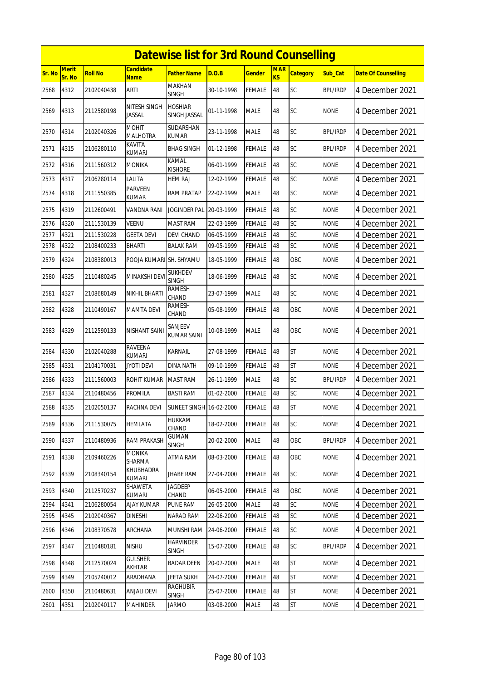|        |                        |                |                                 | <b>Datewise list for 3rd Round Counselling</b> |            |               |                              |                 |                 |                            |
|--------|------------------------|----------------|---------------------------------|------------------------------------------------|------------|---------------|------------------------------|-----------------|-----------------|----------------------------|
| Sr. No | <b>Merit</b><br>Sr. No | <b>Roll No</b> | <b>Candidate</b><br><b>Name</b> | <b>Father Name</b>                             | D.O.B      | <b>Gender</b> | <b>MAR</b><br>K <sub>S</sub> | <b>Category</b> | Sub_Cat         | <b>Date Of Counselling</b> |
| 2568   | 4312                   | 2102040438     | ARTI                            | MAKHAN<br><b>SINGH</b>                         | 30-10-1998 | <b>FEMALE</b> | 48                           | SC              | <b>BPL/IRDP</b> | 4 December 2021            |
| 2569   | 4313                   | 2112580198     | NITESH SINGH<br>JASSAL          | <b>HOSHIAR</b><br>SINGH JASSAL                 | 01-11-1998 | <b>MALE</b>   | 48                           | SC              | <b>NONE</b>     | 4 December 2021            |
| 2570   | 4314                   | 2102040326     | <b>MOHIT</b><br><b>MALHOTRA</b> | SUDARSHAN<br><b>KUMAR</b>                      | 23-11-1998 | <b>MALE</b>   | 48                           | SC              | <b>BPL/IRDP</b> | 4 December 2021            |
| 2571   | 4315                   | 2106280110     | KAVITA<br>KUMARI                | <b>BHAG SINGH</b>                              | 01-12-1998 | <b>FEMALE</b> | 48                           | SC              | <b>BPL/IRDP</b> | 4 December 2021            |
| 2572   | 4316                   | 2111560312     | <b>MONIKA</b>                   | KAMAL<br><b>KISHORE</b>                        | 06-01-1999 | <b>FEMALE</b> | 48                           | <b>SC</b>       | <b>NONE</b>     | 4 December 2021            |
| 2573   | 4317                   | 2106280114     | Lalita                          | <b>HEM RAJ</b>                                 | 12-02-1999 | <b>FEMALE</b> | 48                           | SC              | <b>NONE</b>     | 4 December 2021            |
| 2574   | 4318                   | 2111550385     | PARVEEN<br>KUMAR                | <b>RAM PRATAP</b>                              | 22-02-1999 | <b>MALE</b>   | 48                           | <b>SC</b>       | <b>NONE</b>     | 4 December 2021            |
| 2575   | 4319                   | 2112600491     | VANDNA RANI                     | JOGINDER PAL                                   | 20-03-1999 | <b>FEMALE</b> | 48                           | SC              | <b>NONE</b>     | 4 December 2021            |
| 2576   | 4320                   | 2111530139     | <b>VEENU</b>                    | <b>MAST RAM</b>                                | 22-03-1999 | <b>FEMALE</b> | 48                           | SC              | <b>NONE</b>     | 4 December 2021            |
| 2577   | 4321                   | 2111530228     | GEETA DEVI                      | DEVI CHAND                                     | 06-05-1999 | FEMALE        | 48                           | SC              | <b>NONE</b>     | 4 December 2021            |
| 2578   | 4322                   | 2108400233     | BHARTI                          | <b>BALAK RAM</b>                               | 09-05-1999 | <b>FEMALE</b> | 48                           | SC              | <b>NONE</b>     | 4 December 2021            |
| 2579   | 4324                   | 2108380013     | POOJA KUMARI SH. SHYAMU         |                                                | 18-05-1999 | <b>FEMALE</b> | 48                           | OBC             | <b>NONE</b>     | 4 December 2021            |
| 2580   | 4325                   | 2110480245     | MINAKSHI DEV                    | <b>SUKHDEV</b><br><b>SINGH</b>                 | 18-06-1999 | <b>FEMALE</b> | 48                           | <b>SC</b>       | <b>NONE</b>     | 4 December 2021            |
| 2581   | 4327                   | 2108680149     | NIKHIL BHARTI                   | <b>RAMESH</b><br>CHAND                         | 23-07-1999 | <b>MALE</b>   | 48                           | SC              | <b>NONE</b>     | 4 December 2021            |
| 2582   | 4328                   | 2110490167     | <b>MAMTA DEVI</b>               | RAMESH<br>CHAND                                | 05-08-1999 | <b>FEMALE</b> | 48                           | OBC             | <b>NONE</b>     | 4 December 2021            |
| 2583   | 4329                   | 2112590133     | NISHANT SAINI                   | SANJEEV<br><b>KUMAR SAINI</b>                  | 10-08-1999 | <b>MALE</b>   | 48                           | OBC             | <b>NONE</b>     | 4 December 2021            |
| 2584   | 4330                   | 2102040288     | RAVEENA<br><b>KUMARI</b>        | KARNAIL                                        | 27-08-1999 | FEMALE        | 48                           | <b>ST</b>       | <b>NONE</b>     | 4 December 2021            |
| 2585   | 4331                   | 2104170031     | jyoti devi                      | DINA NATH                                      | 09-10-1999 | FEMALE        | 48                           | <b>ST</b>       | <b>NONE</b>     | 4 December 2021            |
| 2586   | 4333                   | 2111560003     | ROHIT KUMAR                     | <b>MAST RAM</b>                                | 26-11-1999 | <b>MALE</b>   | 48                           | <b>SC</b>       | BPL/IRDP        | 4 December 2021            |
| 2587   | 4334                   | 2110480456     | PROMILA                         | <b>BASTI RAM</b>                               | 01-02-2000 | <b>FEMALE</b> | 48                           | SC              | <b>NONE</b>     | 4 December 2021            |
| 2588   | 4335                   | 2102050137     | RACHNA DEVI                     | <b>SUNEET SINGH 16-02-2000</b>                 |            | <b>FEMALE</b> | 48                           | <b>ST</b>       | <b>NONE</b>     | 4 December 2021            |
| 2589   | 4336                   | 2111530075     | HEMLATA                         | HUKKAM<br>CHAND                                | 18-02-2000 | <b>FEMALE</b> | 48                           | SC              | <b>NONE</b>     | 4 December 2021            |
| 2590   | 4337                   | 2110480936     | <b>RAM PRAKASH</b>              | <b>GUMAN</b><br><b>SINGH</b>                   | 20-02-2000 | <b>MALE</b>   | 48                           | OBC             | <b>BPL/IRDP</b> | 4 December 2021            |
| 2591   | 4338                   | 2109460226     | <b>MONIKA</b><br>SHARMA         | ATMA RAM                                       | 08-03-2000 | <b>FEMALE</b> | 48                           | OBC             | <b>NONE</b>     | 4 December 2021            |
| 2592   | 4339                   | 2108340154     | KHUBHADRA<br>KUMARI             | <b>JHABE RAM</b>                               | 27-04-2000 | FEMALE        | 48                           | <b>SC</b>       | <b>NONE</b>     | 4 December 2021            |
| 2593   | 4340                   | 2112570237     | SHAWETA<br>KUMARI               | <b>JAGDEEP</b><br>CHAND                        | 06-05-2000 | <b>FEMALE</b> | 48                           | OBC             | NONE            | 4 December 2021            |
| 2594   | 4341                   | 2106280054     | <b>AJAY KUMAR</b>               | <b>PUNE RAM</b>                                | 26-05-2000 | <b>MALE</b>   | 48                           | <b>SC</b>       | <b>NONE</b>     | 4 December 2021            |
| 2595   | 4345                   | 2102040367     | <b>DINESHI</b>                  | NARAD RAM                                      | 22-06-2000 | FEMALE        | 48                           | SC              | <b>NONE</b>     | 4 December 2021            |
| 2596   | 4346                   | 2108370578     | ARCHANA                         | MUNSHI RAM                                     | 24-06-2000 | <b>FEMALE</b> | 48                           | <b>SC</b>       | NONE            | 4 December 2021            |
| 2597   | 4347                   | 2110480181     | <b>NISHU</b>                    | <b>HARVINDER</b><br>SINGH                      | 15-07-2000 | <b>FEMALE</b> | 48                           | SC              | <b>BPL/IRDP</b> | 4 December 2021            |
| 2598   | 4348                   | 2112570024     | <b>GULSHER</b><br>AKHTAR        | <b>BADAR DEEN</b>                              | 20-07-2000 | <b>MALE</b>   | 48                           | <b>ST</b>       | <b>NONE</b>     | 4 December 2021            |
| 2599   | 4349                   | 2105240012     | ARADHANA                        | JEETA SUKH                                     | 24-07-2000 | <b>FEMALE</b> | 48                           | <b>ST</b>       | <b>NONE</b>     | 4 December 2021            |
| 2600   | 4350                   | 2110480631     | <b>ANJALI DEVI</b>              | RAGHUBIR<br><b>SINGH</b>                       | 25-07-2000 | <b>FEMALE</b> | 48                           | <b>ST</b>       | <b>NONE</b>     | 4 December 2021            |
| 2601   | 4351                   | 2102040117     | MAHINDER                        | <b>JARMO</b>                                   | 03-08-2000 | <b>MALE</b>   | 48                           | ST              | <b>NONE</b>     | 4 December 2021            |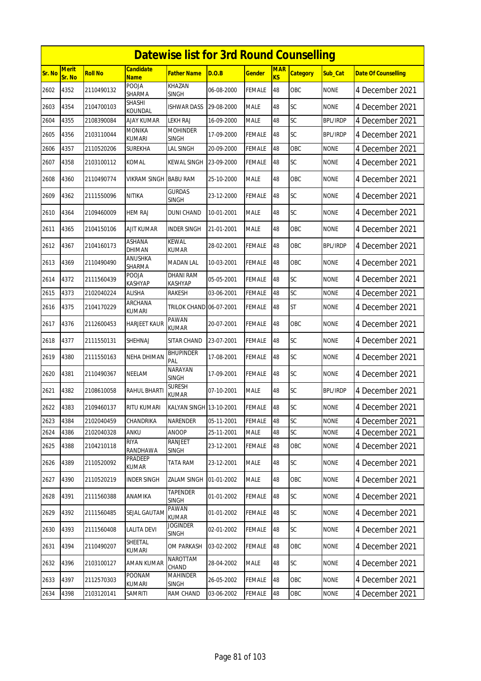|        |                        |                |                                | <b>Datewise list for 3rd Round Counselling</b> |            |               |                         |                 |                 |                            |
|--------|------------------------|----------------|--------------------------------|------------------------------------------------|------------|---------------|-------------------------|-----------------|-----------------|----------------------------|
| Sr. No | <b>Merit</b><br>Sr. No | <b>Roll No</b> | <b>Candidate</b><br>Name       | <b>Father Name</b>                             | D.O.B      | <b>Gender</b> | <b>MAR</b><br><b>KS</b> | <b>Category</b> | Sub_Cat         | <b>Date Of Counselling</b> |
| 2602   | 4352                   | 2110490132     | POOJA<br><b>SHARMA</b>         | KHAZAN<br><b>SINGH</b>                         | 06-08-2000 | <b>FEMALE</b> | 48                      | OBC             | <b>NONE</b>     | 4 December 2021            |
| 2603   | 4354                   | 2104700103     | SHASHI<br>KOUNDAL              | ISHWAR DASS                                    | 29-08-2000 | <b>MALE</b>   | 48                      | SC              | <b>NONE</b>     | 4 December 2021            |
| 2604   | 4355                   | 2108390084     | AJAY KUMAR                     | <b>LEKH RAJ</b>                                | 16-09-2000 | <b>MALE</b>   | 48                      | SC              | <b>BPL/IRDP</b> | 4 December 2021            |
| 2605   | 4356                   | 2103110044     | <b>MONIKA</b><br><b>KUMARI</b> | <b>MOHINDER</b><br><b>SINGH</b>                | 17-09-2000 | <b>FEMALE</b> | 48                      | <b>SC</b>       | <b>BPL/IRDP</b> | 4 December 2021            |
| 2606   | 4357                   | 2110520206     | <b>SUREKHA</b>                 | <b>LAL SINGH</b>                               | 20-09-2000 | <b>FEMALE</b> | 48                      | OBC             | <b>NONE</b>     | 4 December 2021            |
| 2607   | 4358                   | 2103100112     | KOMAL                          | KEWAL SINGH                                    | 23-09-2000 | <b>FEMALE</b> | 48                      | SC              | <b>NONE</b>     | 4 December 2021            |
| 2608   | 4360                   | 2110490774     | VIKRAM SINGH                   | <b>BABU RAM</b>                                | 25-10-2000 | <b>MALE</b>   | 48                      | OBC             | <b>NONE</b>     | 4 December 2021            |
| 2609   | 4362                   | 2111550096     | NITIKA                         | <b>GURDAS</b><br><b>SINGH</b>                  | 23-12-2000 | <b>FEMALE</b> | 48                      | SC              | <b>NONE</b>     | 4 December 2021            |
| 2610   | 4364                   | 2109460009     | <b>HEM RAJ</b>                 | <b>DUNI CHAND</b>                              | 10-01-2001 | <b>MALE</b>   | 48                      | SC              | <b>NONE</b>     | 4 December 2021            |
| 2611   | 4365                   | 2104150106     | AJIT KUMAR                     | <b>INDER SINGH</b>                             | 21-01-2001 | <b>MALE</b>   | 48                      | <b>OBC</b>      | <b>NONE</b>     | 4 December 2021            |
| 2612   | 4367                   | 2104160173     | <b>ASHANA</b><br>DHIMAN        | <b>KEWAL</b><br><b>KUMAR</b>                   | 28-02-2001 | <b>FEMALE</b> | 48                      | OBC             | <b>BPL/IRDP</b> | 4 December 2021            |
| 2613   | 4369                   | 2110490490     | ANUSHKA<br>SHARMA              | <b>MADAN LAL</b>                               | 10-03-2001 | <b>FEMALE</b> | 48                      | OBC             | <b>NONE</b>     | 4 December 2021            |
| 2614   | 4372                   | 2111560439     | POOJA<br>KASHYAP               | <b>DHANI RAM</b><br><b>KASHYAP</b>             | 05-05-2001 | <b>FEMALE</b> | 48                      | SC              | <b>NONE</b>     | 4 December 2021            |
| 2615   | 4373                   | 2102040224     | <b>ALISHA</b>                  | <b>RAKESH</b>                                  | 03-06-2001 | <b>FEMALE</b> | 48                      | SC              | <b>NONE</b>     | 4 December 2021            |
| 2616   | 4375                   | 2104170229     | ARCHANA<br><b>KUMARI</b>       | TRILOK CHAND 06-07-2001                        |            | FEMALE        | 48                      | <b>ST</b>       | <b>NONE</b>     | 4 December 2021            |
| 2617   | 4376                   | 2112600453     | <b>HARJEET KAUR</b>            | PAWAN<br><b>KUMAR</b>                          | 20-07-2001 | <b>FEMALE</b> | 48                      | OBC             | <b>NONE</b>     | 4 December 2021            |
| 2618   | 4377                   | 2111550131     | SHEHNAJ                        | SITAR CHAND                                    | 23-07-2001 | <b>FEMALE</b> | 48                      | SC              | <b>NONE</b>     | 4 December 2021            |
| 2619   | 4380                   | 2111550163     | NEHA DHIMAN                    | <b>BHUPINDER</b><br>PAL                        | 17-08-2001 | <b>FEMALE</b> | 48                      | <b>SC</b>       | <b>NONE</b>     | 4 December 2021            |
| 2620   | 4381                   | 2110490367     | NEELAM                         | <b>NARAYAN</b><br><b>SINGH</b>                 | 17-09-2001 | <b>FEMALE</b> | 48                      | SC              | <b>NONE</b>     | 4 December 2021            |
| 2621   | 4382                   | 2108610058     | RAHUL BHARTI                   | <b>SURESH</b><br>KUMAR                         | 07-10-2001 | <b>MALE</b>   | 48                      | SC              | <b>BPL/IRDP</b> | 4 December 2021            |
| 2622   | 4383                   | 2109460137     | RITU KUMARI                    | KALYAN SINGH 13-10-2001                        |            | FEMALE        | 48                      | <b>SC</b>       | <b>NONE</b>     | 4 December 2021            |
| 2623   | 4384                   | 2102040459     | CHANDRIKA                      | NARENDER                                       | 05-11-2001 | <b>FEMALE</b> | 48                      | SC              | <b>NONE</b>     | 4 December 2021            |
| 2624   | 4386                   | 2102040328     | ANKU                           | ANOOP                                          | 25-11-2001 | <b>MALE</b>   | 48                      | SC              | <b>NONE</b>     | 4 December 2021            |
| 2625   | 4388                   | 2104210118     | RIYA<br>RANDHAWA               | RANJEET<br><b>SINGH</b>                        | 23-12-2001 | <b>FEMALE</b> | 48                      | OBC             | <b>NONE</b>     | 4 December 2021            |
| 2626   | 4389                   | 2110520092     | PRADEEP<br>KUMAR               | <b>TATA RAM</b>                                | 23-12-2001 | <b>MALE</b>   | 48                      | <b>SC</b>       | <b>NONE</b>     | 4 December 2021            |
| 2627   | 4390                   | 2110520219     | <b>INDER SINGH</b>             | ZALAM SINGH                                    | 01-01-2002 | MALE          | 48                      | OBC             | <b>NONE</b>     | 4 December 2021            |
| 2628   | 4391                   | 2111560388     | ANAMIKA                        | <b>TAPENDER</b><br>SINGH                       | 01-01-2002 | FEMALE        | 48                      | SC              | <b>NONE</b>     | 4 December 2021            |
| 2629   | 4392                   | 2111560485     | SEJAL GAUTAN                   | PAWAN<br><b>KUMAR</b>                          | 01-01-2002 | <b>FEMALE</b> | 48                      | SC              | <b>NONE</b>     | 4 December 2021            |
| 2630   | 4393                   | 2111560408     | <b>LALITA DEVI</b>             | Joginder<br><b>SINGH</b>                       | 02-01-2002 | FEMALE        | 48                      | SC              | <b>NONE</b>     | 4 December 2021            |
| 2631   | 4394                   | 2110490207     | SHEETAL<br>KUMARI              | OM PARKASH                                     | 03-02-2002 | <b>FEMALE</b> | 48                      | OBC             | <b>NONE</b>     | 4 December 2021            |
| 2632   | 4396                   | 2103100127     | AMAN KUMAR                     | NAROTTAM<br>CHAND                              | 28-04-2002 | <b>MALE</b>   | 48                      | <b>SC</b>       | <b>NONE</b>     | 4 December 2021            |
| 2633   | 4397                   | 2112570303     | <b>POONAM</b><br>KUMARI        | <b>MAHINDER</b><br><b>SINGH</b>                | 26-05-2002 | <b>FEMALE</b> | 48                      | OBC             | <b>NONE</b>     | 4 December 2021            |
| 2634   | 4398                   | 2103120141     | SAMRITI                        | RAM CHAND                                      | 03-06-2002 | <b>FEMALE</b> | 48                      | OBC             | <b>NONE</b>     | 4 December 2021            |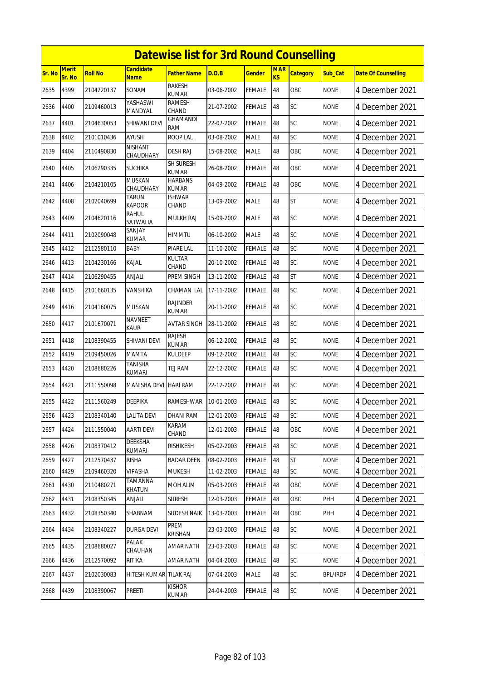|        | <b>Datewise list for 3rd Round Counselling</b> |                |                                 |                                 |            |               |                         |                 |             |                            |  |  |
|--------|------------------------------------------------|----------------|---------------------------------|---------------------------------|------------|---------------|-------------------------|-----------------|-------------|----------------------------|--|--|
| Sr. No | <b>Merit</b><br>Sr. No                         | <b>Roll No</b> | <b>Candidate</b><br><b>Name</b> | <b>Father Name</b>              | D.O.B      | <b>Gender</b> | <b>MAR</b><br><b>KS</b> | <b>Category</b> | Sub Cat     | <b>Date Of Counselling</b> |  |  |
| 2635   | 4399                                           | 2104220137     | SONAM                           | <b>RAKESH</b><br><b>KUMAR</b>   | 03-06-2002 | <b>FEMALE</b> | 48                      | OBC             | <b>NONE</b> | 4 December 2021            |  |  |
| 2636   | 4400                                           | 2109460013     | YASHASWI<br>MANDYAL             | <b>RAMESH</b><br>CHAND          | 21-07-2002 | <b>FEMALE</b> | 48                      | SC              | <b>NONE</b> | 4 December 2021            |  |  |
| 2637   | 4401                                           | 2104630053     | SHIWANI DEVI                    | <b>GHAMANDI</b><br><b>RAM</b>   | 22-07-2002 | <b>FEMALE</b> | 48                      | SC              | <b>NONE</b> | 4 December 2021            |  |  |
| 2638   | 4402                                           | 2101010436     | AYUSH                           | ROOP LAL                        | 03-08-2002 | <b>MALE</b>   | 48                      | SC              | <b>NONE</b> | 4 December 2021            |  |  |
| 2639   | 4404                                           | 2110490830     | NISHANT<br>CHAUDHARY            | DESH RAJ                        | 15-08-2002 | <b>MALE</b>   | 48                      | <b>OBC</b>      | <b>NONE</b> | 4 December 2021            |  |  |
| 2640   | 4405                                           | 2106290335     | <b>SUCHIKA</b>                  | SH SURESH<br><b>KUMAR</b>       | 26-08-2002 | <b>FEMALE</b> | 48                      | OBC             | <b>NONE</b> | 4 December 2021            |  |  |
| 2641   | 4406                                           | 2104210105     | <b>MUSKAN</b><br>CHAUDHARY      | <b>HARBANS</b><br><b>KUMAR</b>  | 04-09-2002 | <b>FEMALE</b> | 48                      | OBC             | none        | 4 December 2021            |  |  |
| 2642   | 4408                                           | 2102040699     | <b>TARUN</b><br><b>KAPOOR</b>   | <b>ISHWAR</b><br>CHAND          | 13-09-2002 | <b>MALE</b>   | 48                      | <b>ST</b>       | <b>NONE</b> | 4 December 2021            |  |  |
| 2643   | 4409                                           | 2104620116     | rahul<br>SATWALIA               | <b>MULKH RAJ</b>                | 15-09-2002 | <b>MALE</b>   | 48                      | SC              | <b>NONE</b> | 4 December 2021            |  |  |
| 2644   | 4411                                           | 2102090048     | SANJAY<br>KUMAR                 | <b>HIMMTU</b>                   | 06-10-2002 | <b>MALE</b>   | 48                      | SC              | <b>NONE</b> | 4 December 2021            |  |  |
| 2645   | 4412                                           | 2112580110     | BABY                            | PIARE LAL                       | 11-10-2002 | FEMALE        | 48                      | SC              | <b>NONE</b> | 4 December 2021            |  |  |
| 2646   | 4413                                           | 2104230166     | KAJAL                           | KULTAR<br>CHAND                 | 20-10-2002 | <b>FEMALE</b> | 48                      | SC              | <b>NONE</b> | 4 December 2021            |  |  |
| 2647   | 4414                                           | 2106290455     | ANJALI                          | PREM SINGH                      | 13-11-2002 | <b>FEMALE</b> | 48                      | <b>ST</b>       | <b>NONE</b> | 4 December 2021            |  |  |
| 2648   | 4415                                           | 2101660135     | VANSHIKA                        | CHAMAN LAL                      | 17-11-2002 | <b>FEMALE</b> | 48                      | SC              | <b>NONE</b> | 4 December 2021            |  |  |
| 2649   | 4416                                           | 2104160075     | <b>MUSKAN</b>                   | <b>RAJINDER</b><br><b>KUMAR</b> | 20-11-2002 | FEMALE        | 48                      | SC              | <b>NONE</b> | 4 December 2021            |  |  |
| 2650   | 4417                                           | 2101670071     | <b>NAVNEET</b><br>KAUR          | <b>AVTAR SINGH</b>              | 28-11-2002 | <b>FEMALE</b> | 48                      | SC              | <b>NONE</b> | 4 December 2021            |  |  |
| 2651   | 4418                                           | 2108390455     | SHIVANI DEVI                    | RAJESH<br>KUMAR                 | 06-12-2002 | <b>FEMALE</b> | 48                      | SC              | <b>NONE</b> | 4 December 2021            |  |  |
| 2652   | 4419                                           | 2109450026     | <b>MAMTA</b>                    | <b>KULDEEP</b>                  | 09-12-2002 | <b>FEMALE</b> | 48                      | SC              | <b>NONE</b> | 4 December 2021            |  |  |
| 2653   | 4420                                           | 2108680226     | TANISHA<br><b>KUMARI</b>        | <b>TEJ RAM</b>                  | 22-12-2002 | <b>FEMALE</b> | 48                      | SC              | <b>NONE</b> | 4 December 2021            |  |  |
| 2654   | 4421                                           | 2111550098     | MANISHA DEVI                    | <b>HARI RAM</b>                 | 22-12-2002 | FEMALE        | 48                      | SC              | <b>NONE</b> | 4 December 2021            |  |  |
| 2655   | 4422                                           | 2111560249     | DEEPIKA                         | RAMESHWAR                       | 10-01-2003 | <b>FEMALE</b> | 48                      | SC              | <b>NONE</b> | 4 December 2021            |  |  |
| 2656   | 4423                                           | 2108340140     | <b>LALITA DEVI</b>              | <b>DHANI RAM</b>                | 12-01-2003 | <b>FEMALE</b> | 48                      | SC              | <b>NONE</b> | 4 December 2021            |  |  |
| 2657   | 4424                                           | 2111550040     | AARTI DEVI                      | KARAM<br>CHAND                  | 12-01-2003 | <b>FEMALE</b> | 48                      | OBC             | <b>NONE</b> | 4 December 2021            |  |  |
| 2658   | 4426                                           | 2108370412     | DEEKSHA<br>KUMARI               | <b>RISHIKESH</b>                | 05-02-2003 | <b>FEMALE</b> | 48                      | <b>SC</b>       | <b>NONE</b> | 4 December 2021            |  |  |
| 2659   | 4427                                           | 2112570437     | risha                           | <b>BADAR DEEN</b>               | 08-02-2003 | <b>FEMALE</b> | 48                      | <b>ST</b>       | <b>NONE</b> | 4 December 2021            |  |  |
| 2660   | 4429                                           | 2109460320     | VIPASHA                         | <b>MUKESH</b>                   | 11-02-2003 | FEMALE        | 48                      | SC              | <b>NONE</b> | 4 December 2021            |  |  |
| 2661   | 4430                                           | 2110480271     | TAMANNA<br>KHATUN               | MOH ALIM                        | 05-03-2003 | <b>FEMALE</b> | 48                      | OBC             | <b>NONE</b> | 4 December 2021            |  |  |
| 2662   | 4431                                           | 2108350345     | ANJALI                          | <b>SURESH</b>                   | 12-03-2003 | <b>FEMALE</b> | 48                      | OBC             | PHH         | 4 December 2021            |  |  |
| 2663   | 4432                                           | 2108350340     | SHABNAM                         | <b>SUDESH NAIK</b>              | 13-03-2003 | <b>FEMALE</b> | 48                      | OBC             | PHH         | 4 December 2021            |  |  |
| 2664   | 4434                                           | 2108340227     | DURGA DEVI                      | PREM<br>KRISHAN                 | 23-03-2003 | <b>FEMALE</b> | 48                      | SC              | <b>NONE</b> | 4 December 2021            |  |  |
| 2665   | 4435                                           | 2108680027     | PALAK<br>CHAUHAN                | <b>AMAR NATH</b>                | 23-03-2003 | <b>FEMALE</b> | 48                      | SC              | <b>NONE</b> | 4 December 2021            |  |  |
| 2666   | 4436                                           | 2112570092     | RITIKA                          | <b>AMAR NATH</b>                | 04-04-2003 | <b>FEMALE</b> | 48                      | SC              | <b>NONE</b> | 4 December 2021            |  |  |
| 2667   | 4437                                           | 2102030083     | HITESH KUMAR TILAK RAJ          |                                 | 07-04-2003 | MALE          | 48                      | SC              | BPL/IRDP    | 4 December 2021            |  |  |
| 2668   | 4439                                           | 2108390067     | PREETI                          | <b>KISHOR</b><br>KUMAR          | 24-04-2003 | <b>FEMALE</b> | 48                      | <b>SC</b>       | <b>NONE</b> | 4 December 2021            |  |  |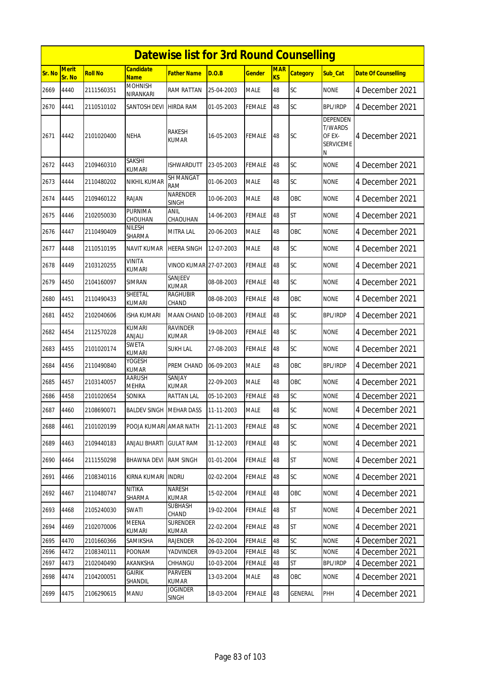|        | <b>Datewise list for 3rd Round Counselling</b> |                |                                 |                                 |            |               |                  |                 |                                                                      |                            |  |  |
|--------|------------------------------------------------|----------------|---------------------------------|---------------------------------|------------|---------------|------------------|-----------------|----------------------------------------------------------------------|----------------------------|--|--|
| Sr. No | <b>Merit</b><br>Sr. No                         | <b>Roll No</b> | <b>Candidate</b><br><b>Name</b> | Father Name                     | D.O.B      | Gender        | <b>MAR</b><br>KS | <b>Category</b> | <b>Sub Cat</b>                                                       | <b>Date Of Counselling</b> |  |  |
| 2669   | 4440                                           | 2111560351     | <b>MOHNISH</b><br>NIRANKARI     | <b>RAM RATTAN</b>               | 25-04-2003 | <b>MALE</b>   | 48               | SC              | <b>NONE</b>                                                          | 4 December 2021            |  |  |
| 2670   | 4441                                           | 2110510102     | SANTOSH DEVI                    | <b>HIRDA RAM</b>                | 01-05-2003 | <b>FEMALE</b> | 48               | SC              | <b>BPL/IRDP</b>                                                      | 4 December 2021            |  |  |
| 2671   | 4442                                           | 2101020400     | NEHA                            | <b>RAKESH</b><br>KUMAR          | 16-05-2003 | <b>FEMALE</b> | 48               | <b>SC</b>       | <b>DEPENDEN</b><br><b>T/WARDS</b><br>OF EX-<br><b>SERVICEME</b><br>N | 4 December 2021            |  |  |
| 2672   | 4443                                           | 2109460310     | <b>SAKSHI</b><br>kumari         | <b>ISHWARDUTT</b>               | 23-05-2003 | <b>FEMALE</b> | 48               | SC              | <b>NONE</b>                                                          | 4 December 2021            |  |  |
| 2673   | 4444                                           | 2110480202     | NIKHIL KUMAR                    | <b>SH MANGAT</b><br><b>RAM</b>  | 01-06-2003 | <b>MALE</b>   | 48               | SC              | <b>NONE</b>                                                          | 4 December 2021            |  |  |
| 2674   | 4445                                           | 2109460122     | <b>RAJAN</b>                    | NARENDER<br><b>SINGH</b>        | 10-06-2003 | <b>MALE</b>   | 48               | OBC             | <b>NONE</b>                                                          | 4 December 2021            |  |  |
| 2675   | 4446                                           | 2102050030     | PURNIMA<br>CHOUHAN              | ANIL<br>CHAOUHAN                | 14-06-2003 | <b>FEMALE</b> | 48               | <b>ST</b>       | <b>NONE</b>                                                          | 4 December 2021            |  |  |
| 2676   | 4447                                           | 2110490409     | NILESH<br>SHARMA                | <b>MITRA LAL</b>                | 20-06-2003 | <b>MALE</b>   | 48               | OBC             | <b>NONE</b>                                                          | 4 December 2021            |  |  |
| 2677   | 4448                                           | 2110510195     | NAVIT KUMAR                     | <b>HEERA SINGH</b>              | 12-07-2003 | <b>MALE</b>   | 48               | <b>SC</b>       | <b>NONE</b>                                                          | 4 December 2021            |  |  |
| 2678   | 4449                                           | 2103120255     | VINITA<br>KUMARI                | VINOD KUMAR 27-07-2003          |            | <b>FEMALE</b> | 48               | <b>SC</b>       | <b>NONE</b>                                                          | 4 December 2021            |  |  |
| 2679   | 4450                                           | 2104160097     | SIMRAN                          | SANJEEV<br><b>KUMAR</b>         | 08-08-2003 | <b>FEMALE</b> | 48               | <b>SC</b>       | <b>NONE</b>                                                          | 4 December 2021            |  |  |
| 2680   | 4451                                           | 2110490433     | SHEETAL<br>KUMARI               | <b>RAGHUBIR</b><br>CHAND        | 08-08-2003 | <b>FEMALE</b> | 48               | OBC             | <b>NONE</b>                                                          | 4 December 2021            |  |  |
| 2681   | 4452                                           | 2102040606     | ISHA KUMARI                     | <b>MAAN CHAND</b>               | 10-08-2003 | <b>FEMALE</b> | 48               | SC              | <b>BPL/IRDP</b>                                                      | 4 December 2021            |  |  |
| 2682   | 4454                                           | 2112570228     | <b>KUMARI</b><br>ANJALI         | <b>RAVINDER</b><br>KUMAR        | 19-08-2003 | <b>FEMALE</b> | 48               | SC              | <b>NONE</b>                                                          | 4 December 2021            |  |  |
| 2683   | 4455                                           | 2101020174     | SWETA<br><b>KUMARI</b>          | SUKH LAL                        | 27-08-2003 | <b>FEMALE</b> | 48               | SC              | <b>NONE</b>                                                          | 4 December 2021            |  |  |
| 2684   | 4456                                           | 2110490840     | YOGESH<br><b>KUMAR</b>          | PREM CHAND                      | 06-09-2003 | <b>MALE</b>   | 48               | OBC             | <b>BPL/IRDP</b>                                                      | 4 December 2021            |  |  |
| 2685   | 4457                                           | 2103140057     | AARUSH<br><b>MEHRA</b>          | SANJAY<br><b>KUMAR</b>          | 22-09-2003 | <b>MALE</b>   | 48               | OBC             | <b>NONE</b>                                                          | 4 December 2021            |  |  |
| 2686   | 4458                                           | 2101020654     | sonika                          | <b>RATTAN LAL</b>               | 05-10-2003 | <b>FEMALE</b> | 48               | SC              | <b>NONE</b>                                                          | 4 December 2021            |  |  |
| 2687   | 4460                                           | 2108690071     | <b>BALDEV SINGH MEHAR DASS</b>  |                                 | 11-11-2003 | <b>MALE</b>   | 48               | <b>SC</b>       | <b>NONE</b>                                                          | 4 December 2021            |  |  |
| 2688   | 4461                                           | 2101020199     | POOJA KUMARI AMAR NATH          |                                 | 21-11-2003 | <b>FEMALE</b> | 48               | SC              | <b>NONE</b>                                                          | 4 December 2021            |  |  |
| 2689   | 4463                                           | 2109440183     | ANJALI BHARTI                   | <b>GULAT RAM</b>                | 31-12-2003 | <b>FEMALE</b> | 48               | SC              | <b>NONE</b>                                                          | 4 December 2021            |  |  |
| 2690   | 4464                                           | 2111550298     | <b>BHAWNA DEVI</b>              | <b>RAM SINGH</b>                | 01-01-2004 | <b>FEMALE</b> | 48               | <b>ST</b>       | <b>NONE</b>                                                          | 4 December 2021            |  |  |
| 2691   | 4466                                           | 2108340116     | KIRNA KUMARI                    | <b>INDRU</b>                    | 02-02-2004 | <b>FEMALE</b> | 48               | SC              | <b>NONE</b>                                                          | 4 December 2021            |  |  |
| 2692   | 4467                                           | 2110480747     | <b>NITIKA</b><br>SHARMA         | NARESH<br>KUMAR                 | 15-02-2004 | <b>FEMALE</b> | 48               | OBC             | <b>NONE</b>                                                          | 4 December 2021            |  |  |
| 2693   | 4468                                           | 2105240030     | SWATI                           | SUBHASH<br>CHAND                | 19-02-2004 | <b>FEMALE</b> | 48               | <b>ST</b>       | <b>NONE</b>                                                          | 4 December 2021            |  |  |
| 2694   | 4469                                           | 2102070006     | MEENA<br><b>KUMARI</b>          | <b>SURENDER</b><br>KUMAR        | 22-02-2004 | <b>FEMALE</b> | 48               | <b>ST</b>       | <b>NONE</b>                                                          | 4 December 2021            |  |  |
| 2695   | 4470                                           | 2101660366     | SAMIKSHA                        | RAJENDER                        | 26-02-2004 | <b>FEMALE</b> | 48               | SC              | <b>NONE</b>                                                          | 4 December 2021            |  |  |
| 2696   | 4472                                           | 2108340111     | POONAM                          | YADVINDER                       | 09-03-2004 | <b>FEMALE</b> | 48               | SC              | <b>NONE</b>                                                          | 4 December 2021            |  |  |
| 2697   | 4473                                           | 2102040490     | AKANKSHA                        | CHHANGU                         | 10-03-2004 | <b>FEMALE</b> | 48               | <b>ST</b>       | <b>BPL/IRDP</b>                                                      | 4 December 2021            |  |  |
| 2698   | 4474                                           | 2104200051     | GAIRIK<br>SHANDIL               | <b>PARVEEN</b><br><b>KUMAR</b>  | 13-03-2004 | <b>MALE</b>   | 48               | OBC             | <b>NONE</b>                                                          | 4 December 2021            |  |  |
| 2699   | 4475                                           | 2106290615     | MANU                            | <b>JOGINDER</b><br><b>SINGH</b> | 18-03-2004 | FEMALE        | 48               | GENERAL         | PHH                                                                  | 4 December 2021            |  |  |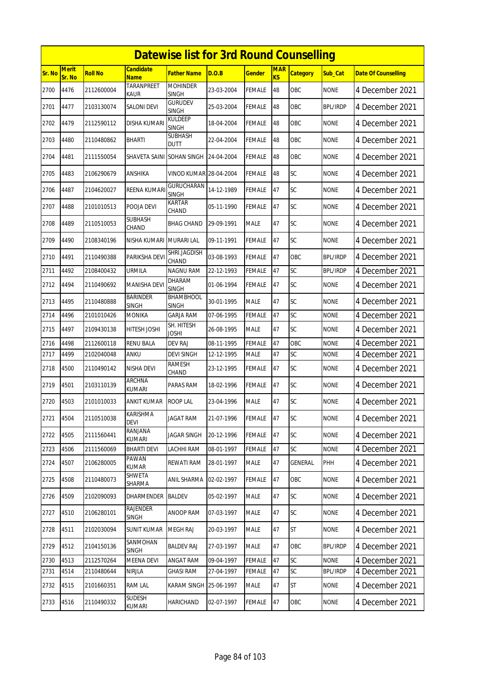|        |                 |                |                           | <b>Datewise list for 3rd Round Counselling</b> |            |               |                              |                 |                 |                            |
|--------|-----------------|----------------|---------------------------|------------------------------------------------|------------|---------------|------------------------------|-----------------|-----------------|----------------------------|
| Sr. No | Merit<br>Sr. No | <b>Roll No</b> | Candidate<br><b>Name</b>  | Father Name                                    | D.O.B      | <b>Gender</b> | <b>MAR</b><br>K <sub>S</sub> | <b>Category</b> | Sub_Cat         | <b>Date Of Counselling</b> |
| 2700   | 4476            | 2112600004     | <b>TARANPREET</b><br>Kaur | <b>MOHINDER</b><br><b>SINGH</b>                | 23-03-2004 | FEMALE        | 48                           | OBC             | <b>NONE</b>     | 4 December 2021            |
| 2701   | 4477            | 2103130074     | SALONI DEVI               | Gurudev<br><b>SINGH</b>                        | 25-03-2004 | <b>FEMALE</b> | 48                           | OBC             | BPL/IRDP        | 4 December 2021            |
| 2702   | 4479            | 2112590112     | <b>DISHA KUMARI</b>       | <b>KULDEEP</b><br><b>SINGH</b>                 | 18-04-2004 | <b>FEMALE</b> | 48                           | OBC             | <b>NONE</b>     | 4 December 2021            |
| 2703   | 4480            | 2110480862     | <b>BHARTI</b>             | SUBHASH<br>DUTT                                | 22-04-2004 | <b>FEMALE</b> | 48                           | OBC             | <b>NONE</b>     | 4 December 2021            |
| 2704   | 4481            | 2111550054     | SHAVETA SAINI             | <b>SOHAN SINGH</b>                             | 24-04-2004 | FEMALE        | 48                           | OBC             | <b>NONE</b>     | 4 December 2021            |
| 2705   | 4483            | 2106290679     | ANSHIKA                   | <b>VINOD KUMAR 28-04-2004</b>                  |            | FEMALE        | 48                           | SC              | <b>NONE</b>     | 4 December 2021            |
| 2706   | 4487            | 2104620027     | REENA KUMARI              | GURUCHARAN<br><b>SINGH</b>                     | 14-12-1989 | FEMALE        | 47                           | SC              | <b>NONE</b>     | 4 December 2021            |
| 2707   | 4488            | 2101010513     | POOJA DEVI                | KARTAR<br>CHAND                                | 05-11-1990 | FEMALE        | 47                           | SC              | <b>NONE</b>     | 4 December 2021            |
| 2708   | 4489            | 2110510053     | SUBHASH<br>CHAND          | <b>BHAG CHAND</b>                              | 29-09-1991 | <b>MALE</b>   | 47                           | <b>SC</b>       | <b>NONE</b>     | 4 December 2021            |
| 2709   | 4490            | 2108340196     | NISHA KUMARI              | <b>MURARI LAL</b>                              | 09-11-1991 | FEMALE        | 47                           | SC              | <b>NONE</b>     | 4 December 2021            |
| 2710   | 4491            | 2110490388     | PARIKSHA DEVI             | SHRI.JAGDISH<br>CHAND                          | 03-08-1993 | FEMALE        | 47                           | OBC             | <b>BPL/IRDP</b> | 4 December 2021            |
| 2711   | 4492            | 2108400432     | URMILA                    | <b>NAGNU RAM</b>                               | 22-12-1993 | FEMALE        | 47                           | SC              | <b>BPL/IRDP</b> | 4 December 2021            |
| 2712   | 4494            | 2110490692     | <b>MANISHA DEVI</b>       | <b>DHARAM</b><br><b>SINGH</b>                  | 01-06-1994 | FEMALE        | 47                           | SC              | <b>NONE</b>     | 4 December 2021            |
| 2713   | 4495            | 2110480888     | BARINDER<br>SINGH         | BHAMBHOOL<br><b>SINGH</b>                      | 30-01-1995 | <b>MALE</b>   | 47                           | <b>SC</b>       | <b>NONE</b>     | 4 December 2021            |
| 2714   | 4496            | 2101010426     | MONIKA                    | <b>GARJA RAM</b>                               | 07-06-1995 | FEMALE        | 47                           | SC              | <b>NONE</b>     | 4 December 2021            |
| 2715   | 4497            | 2109430138     | HITESH JOSHI              | SH. HITESH<br>JOSHI                            | 26-08-1995 | <b>MALE</b>   | 47                           | <b>SC</b>       | <b>NONE</b>     | 4 December 2021            |
| 2716   | 4498            | 2112600118     | <b>RENU BALA</b>          | <b>DEV RAJ</b>                                 | 08-11-1995 | FEMALE        | 47                           | OBC             | <b>NONE</b>     | 4 December 2021            |
| 2717   | 4499            | 2102040048     | ANKU                      | DEVI SINGH                                     | 12-12-1995 | MALE          | 47                           | SC              | none            | 4 December 2021            |
| 2718   | 4500            | 2110490142     | NISHA DEVI                | RAMESH<br>CHAND                                | 23-12-1995 | FEMALE        | 47                           | SC              | <b>NONE</b>     | 4 December 2021            |
| 2719   | 4501            | 2103110139     | <b>ARCHNA</b><br>kumari   | PARAS RAM                                      | 18-02-1996 | <b>FEMALE</b> | 47                           | SC              | <b>NONE</b>     | 4 December 2021            |
| 2720   | 4503            | 2101010033     | ANKIT KUMAR               | <b>ROOP LAL</b>                                | 23-04-1996 | <b>MALE</b>   | 47                           | SC              | <b>NONE</b>     | 4 December 2021            |
| 2721   | 4504            | 2110510038     | KARISHMA<br><b>DEVI</b>   | JAGAT RAM                                      | 21-07-1996 | FEMALE        | 47                           | SC              | <b>NONE</b>     | 4 December 2021            |
| 2722   | 4505            | 2111560441     | RANJANA<br><b>KUMARI</b>  | <b>JAGAR SINGH</b>                             | 20-12-1996 | <b>FEMALE</b> | 47                           | <b>SC</b>       | <b>NONE</b>     | 4 December 2021            |
| 2723   | 4506            | 2111560069     | <b>BHARTI DEVI</b>        | LACHHI RAM                                     | 08-01-1997 | <b>FEMALE</b> | 47                           | <b>SC</b>       | <b>NONE</b>     | 4 December 2021            |
| 2724   | 4507            | 2106280005     | PAWAN<br><b>KUMAR</b>     | REWATI RAM                                     | 28-01-1997 | MALE          | 47                           | <b>GENERAL</b>  | PHH             | 4 December 2021            |
| 2725   | 4508            | 2110480073     | SHWETA<br>SHARMA          | ANIL SHARMA                                    | 02-02-1997 | <b>FEMALE</b> | 47                           | OBC             | <b>NONE</b>     | 4 December 2021            |
| 2726   | 4509            | 2102090093     | dharmender                | <b>BALDEV</b>                                  | 05-02-1997 | MALE          | 47                           | SC              | <b>NONE</b>     | 4 December 2021            |
| 2727   | 4510            | 2106280101     | RAJENDER<br><b>SINGH</b>  | ANOOP RAM                                      | 07-03-1997 | MALE          | 47                           | <b>SC</b>       | <b>NONE</b>     | 4 December 2021            |
| 2728   | 4511            | 2102030094     | SUNIT KUMAR               | <b>MEGH RAJ</b>                                | 20-03-1997 | MALE          | 47                           | <b>ST</b>       | <b>NONE</b>     | 4 December 2021            |
| 2729   | 4512            | 2104150136     | SANMOHAN<br><b>SINGH</b>  | <b>BALDEV RAJ</b>                              | 27-03-1997 | <b>MALE</b>   | 47                           | OBC             | <b>BPL/IRDP</b> | 4 December 2021            |
| 2730   | 4513            | 2112570264     | <b>MEENA DEVI</b>         | <b>ANGAT RAM</b>                               | 09-04-1997 | FEMALE        | 47                           | SC              | <b>NONE</b>     | 4 December 2021            |
| 2731   | 4514            | 2110480644     | <b>NIRJLA</b>             | <b>GHASI RAM</b>                               | 27-04-1997 | <b>FEMALE</b> | 47                           | <b>SC</b>       | <b>BPL/IRDP</b> | 4 December 2021            |
| 2732   | 4515            | 2101660351     | <b>RAM LAL</b>            | KARAM SINGH 25-06-1997                         |            | <b>MALE</b>   | 47                           | <b>ST</b>       | <b>NONE</b>     | 4 December 2021            |
| 2733   | 4516            | 2110490332     | SUDESH<br>KUMARI          | HARICHAND                                      | 02-07-1997 | <b>FEMALE</b> | 47                           | OBC             | <b>NONE</b>     | 4 December 2021            |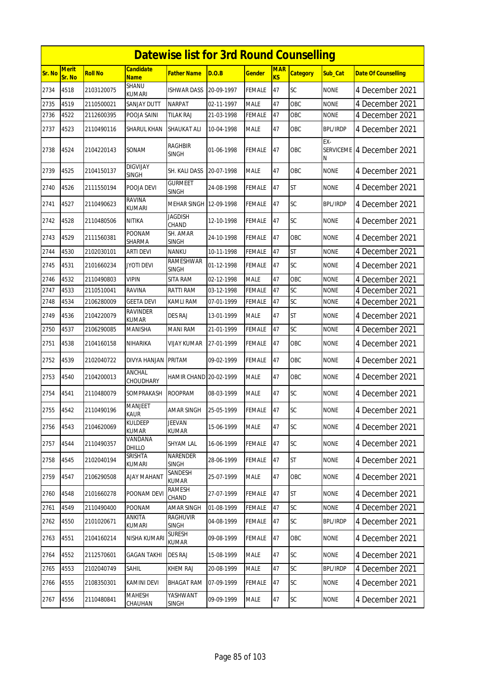|        | <b>Datewise list for 3rd Round Counselling</b><br><b>Candidate</b><br>Merit<br><b>MAR</b> |                |                                 |                                |            |               |                |                 |                 |                            |  |  |
|--------|-------------------------------------------------------------------------------------------|----------------|---------------------------------|--------------------------------|------------|---------------|----------------|-----------------|-----------------|----------------------------|--|--|
| Sr. No | Sr. No                                                                                    | <b>Roll No</b> | <b>Name</b>                     | <b>Father Name</b>             | D.O.B      | <b>Gender</b> | K <sub>S</sub> | <b>Category</b> | Sub_Cat         | <b>Date Of Counselling</b> |  |  |
| 2734   | 4518                                                                                      | 2103120075     | SHANU<br><b>KUMARI</b>          | <b>ISHWAR DASS</b>             | 20-09-1997 | <b>FEMALE</b> | 47             | SC              | <b>NONE</b>     | 4 December 2021            |  |  |
| 2735   | 4519                                                                                      | 2110500021     | SANJAY DUTT                     | <b>NARPAT</b>                  | 02-11-1997 | <b>MALE</b>   | 47             | OBC             | <b>NONE</b>     | 4 December 2021            |  |  |
| 2736   | 4522                                                                                      | 2112600395     | POOJA SAINI                     | <b>TILAK RAJ</b>               | 21-03-1998 | <b>FEMALE</b> | 47             | OBC             | <b>NONE</b>     | 4 December 2021            |  |  |
| 2737   | 4523                                                                                      | 2110490116     | <b>SHARUL KHAN</b>              | <b>SHAUKAT ALI</b>             | 10-04-1998 | <b>MALE</b>   | 47             | OBC             | <b>BPL/IRDP</b> | 4 December 2021            |  |  |
| 2738   | 4524                                                                                      | 2104220143     | SONAM                           | <b>RAGHBIR</b><br><b>SINGH</b> | 01-06-1998 | <b>FEMALE</b> | 47             | <b>OBC</b>      | EX-<br>N        | SERVICEME 4 December 2021  |  |  |
| 2739   | 4525                                                                                      | 2104150137     | <b>DIGVIJAY</b><br><b>SINGH</b> | SH. KALI DASS                  | 20-07-1998 | <b>MALE</b>   | 47             | OBC             | <b>NONE</b>     | 4 December 2021            |  |  |
| 2740   | 4526                                                                                      | 2111550194     | POOJA DEVI                      | <b>GURMEET</b><br><b>SINGH</b> | 24-08-1998 | <b>FEMALE</b> | 47             | <b>ST</b>       | <b>NONE</b>     | 4 December 2021            |  |  |
| 2741   | 4527                                                                                      | 2110490623     | <b>RAVINA</b><br>kumari         | MEHAR SINGH 12-09-1998         |            | <b>FEMALE</b> | 47             | SC              | <b>BPL/IRDP</b> | 4 December 2021            |  |  |
| 2742   | 4528                                                                                      | 2110480506     | NITIKA                          | <b>JAGDISH</b><br>CHAND        | 12-10-1998 | <b>FEMALE</b> | 47             | SC              | <b>NONE</b>     | 4 December 2021            |  |  |
| 2743   | 4529                                                                                      | 2111560381     | POONAM<br>SHARMA                | SH. AMAR<br><b>SINGH</b>       | 24-10-1998 | <b>FEMALE</b> | 47             | OBC             | <b>NONE</b>     | 4 December 2021            |  |  |
| 2744   | 4530                                                                                      | 2102030101     | <b>ARTI DEVI</b>                | <b>NANKU</b>                   | 10-11-1998 | <b>FEMALE</b> | 47             | <b>ST</b>       | <b>NONE</b>     | 4 December 2021            |  |  |
| 2745   | 4531                                                                                      | 2101660234     | <b>JYOTI DEVI</b>               | RAMESHWAR<br><b>SINGH</b>      | 01-12-1998 | <b>FEMALE</b> | 47             | SC              | <b>NONE</b>     | 4 December 2021            |  |  |
| 2746   | 4532                                                                                      | 2110490803     | VIPIN                           | <b>SITA RAM</b>                | 02-12-1998 | <b>MALE</b>   | 47             | OBC             | <b>NONE</b>     | 4 December 2021            |  |  |
| 2747   | 4533                                                                                      | 2110510041     | <b>RAVINA</b>                   | <b>RATTI RAM</b>               | 03-12-1998 | <b>FEMALE</b> | 47             | SC              | <b>NONE</b>     | 4 December 2021            |  |  |
| 2748   | 4534                                                                                      | 2106280009     | <b>GEETA DEVI</b>               | KAMLI RAM                      | 07-01-1999 | FEMALE        | 47             | SC              | <b>NONE</b>     | 4 December 2021            |  |  |
| 2749   | 4536                                                                                      | 2104220079     | RAVINDER<br><b>KUMAR</b>        | <b>DES RAJ</b>                 | 13-01-1999 | <b>MALE</b>   | 47             | <b>ST</b>       | <b>NONE</b>     | 4 December 2021            |  |  |
| 2750   | 4537                                                                                      | 2106290085     | MANISHA                         | <b>MANI RAM</b>                | 21-01-1999 | <b>FEMALE</b> | 47             | SC              | <b>NONE</b>     | 4 December 2021            |  |  |
| 2751   | 4538                                                                                      | 2104160158     | NIHARIKA                        | VIJAY KUMAR                    | 27-01-1999 | <b>FEMALE</b> | 47             | OBC             | <b>NONE</b>     | 4 December 2021            |  |  |
| 2752   | 4539                                                                                      | 2102040722     | DIVYA HANJAN                    | <b>PRITAM</b>                  | 09-02-1999 | <b>FEMALE</b> | 47             | OBC             | <b>NONE</b>     | 4 December 2021            |  |  |
| 2753   | 4540                                                                                      | 2104200013     | ANCHAL<br><b>CHOUDHARY</b>      | HAMIR CHAND 20-02-1999         |            | <b>MALE</b>   | 47             | OBC             | <b>NONE</b>     | 4 December 2021            |  |  |
| 2754   | 4541                                                                                      | 2110480079     | SOMPRAKASH                      | <b>ROOPRAM</b>                 | 08-03-1999 | <b>MALE</b>   | 47             | SC              | <b>NONE</b>     | 4 December 2021            |  |  |
| 2755   | 4542                                                                                      | 2110490196     | <b>MANJEET</b><br><b>KAUR</b>   | <b>AMAR SINGH</b>              | 25-05-1999 | <b>FEMALE</b> | <b>47</b>      | SC              | <b>NONE</b>     | 4 December 2021            |  |  |
| 2756   | 4543                                                                                      | 2104620069     | <b>KULDEEP</b><br><b>KUMAR</b>  | <b>JEEVAN</b><br><b>KUMAR</b>  | 15-06-1999 | <b>MALE</b>   | 47             | <b>SC</b>       | <b>NONE</b>     | 4 December 2021            |  |  |
| 2757   | 4544                                                                                      | 2110490357     | VANDANA<br>DHILLO               | <b>SHYAM LAL</b>               | 16-06-1999 | <b>FEMALE</b> | 47             | <b>SC</b>       | <b>NONE</b>     | 4 December 2021            |  |  |
| 2758   | 4545                                                                                      | 2102040194     | SRISHTA<br>KUMARI               | NARENDER<br>SINGH              | 28-06-1999 | <b>FEMALE</b> | 47             | <b>ST</b>       | <b>NONE</b>     | 4 December 2021            |  |  |
| 2759   | 4547                                                                                      | 2106290508     | <b>AJAY MAHANT</b>              | SANDESH<br><b>KUMAR</b>        | 25-07-1999 | <b>MALE</b>   | 47             | OBC             | <b>NONE</b>     | 4 December 2021            |  |  |
| 2760   | 4548                                                                                      | 2101660278     | POONAM DEVI                     | RAMESH<br>CHAND                | 27-07-1999 | <b>FEMALE</b> | 47             | ST              | <b>NONE</b>     | 4 December 2021            |  |  |
| 2761   | 4549                                                                                      | 2110490400     | POONAM                          | AMAR SINGH                     | 01-08-1999 | <b>FEMALE</b> | 47             | <b>SC</b>       | <b>NONE</b>     | 4 December 2021            |  |  |
| 2762   | 4550                                                                                      | 2101020671     | ANKITA<br>KUMARI                | <b>RAGHUVIR</b><br>SINGH       | 04-08-1999 | <b>FEMALE</b> | 47             | <b>SC</b>       | <b>BPL/IRDP</b> | 4 December 2021            |  |  |
| 2763   | 4551                                                                                      | 2104160214     | NISHA KUMARI                    | <b>SURESH</b><br>KUMAR         | 09-08-1999 | <b>FEMALE</b> | 47             | OBC             | <b>NONE</b>     | 4 December 2021            |  |  |
| 2764   | 4552                                                                                      | 2112570601     | <b>GAGAN TAKHI</b>              | <b>DES RAJ</b>                 | 15-08-1999 | <b>MALE</b>   | 47             | <b>SC</b>       | <b>NONE</b>     | 4 December 2021            |  |  |
| 2765   | 4553                                                                                      | 2102040749     | sahil                           | <b>KHEM RAJ</b>                | 20-08-1999 | MALE          | 47             | SC              | <b>BPL/IRDP</b> | 4 December 2021            |  |  |
| 2766   | 4555                                                                                      | 2108350301     | KAMINI DEVI                     | <b>BHAGAT RAM</b>              | 07-09-1999 | <b>FEMALE</b> | 47             | SC              | <b>NONE</b>     | 4 December 2021            |  |  |
| 2767   | 4556                                                                                      | 2110480841     | MAHESH<br>CHAUHAN               | YASHWANT<br><b>SINGH</b>       | 09-09-1999 | <b>MALE</b>   | 47             | <b>SC</b>       | <b>NONE</b>     | 4 December 2021            |  |  |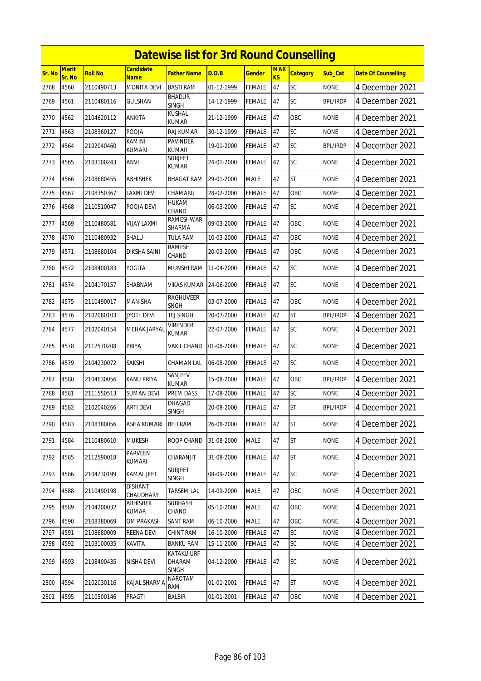|        |                        |                |                                 | <b>Datewise list for 3rd Round Counselling</b> |            |               |                              |                 |                 |                            |
|--------|------------------------|----------------|---------------------------------|------------------------------------------------|------------|---------------|------------------------------|-----------------|-----------------|----------------------------|
| Sr. No | <b>Merit</b><br>Sr. No | <b>Roll No</b> | <b>Candidate</b><br><b>Name</b> | <b>Father Name</b>                             | D.O.B      | <b>Gender</b> | <b>MAR</b><br>K <sub>S</sub> | <b>Category</b> | Sub_Cat         | <b>Date Of Counselling</b> |
| 2768   | 4560                   | 2110490713     | <b>MONITA DEVI</b>              | <b>BASTI RAM</b>                               | 01-12-1999 | <b>FEMALE</b> | 47                           | SC              | <b>NONE</b>     | 4 December 2021            |
| 2769   | 4561                   | 2110480116     | <b>GULSHAN</b>                  | <b>BHADUR</b><br><b>SINGH</b>                  | 14-12-1999 | <b>FEMALE</b> | 47                           | <b>SC</b>       | <b>BPL/IRDP</b> | 4 December 2021            |
| 2770   | 4562                   | 2104620112     | ANKITA                          | <b>KUSHAL</b><br>KUMAR                         | 21-12-1999 | <b>FEMALE</b> | 47                           | OBC             | <b>NONE</b>     | 4 December 2021            |
| 2771   | 4563                   | 2108360127     | POOJA                           | RAJ KUMAR                                      | 30-12-1999 | <b>FEMALE</b> | 47                           | SC              | <b>NONE</b>     | 4 December 2021            |
| 2772   | 4564                   | 2102040460     | KAMINI<br>kumari                | <b>PAVINDER</b><br><b>KUMAR</b>                | 19-01-2000 | <b>FEMALE</b> | 47                           | <b>SC</b>       | <b>BPL/IRDP</b> | 4 December 2021            |
| 2773   | 4565                   | 2103100243     | ANVI                            | <b>SURJEET</b><br>KUMAR                        | 24-01-2000 | <b>FEMALE</b> | 47                           | SC              | <b>NONE</b>     | 4 December 2021            |
| 2774   | 4566                   | 2108680455     | <b>ABHISHEK</b>                 | <b>BHAGAT RAM</b>                              | 29-01-2000 | <b>MALE</b>   | 47                           | <b>ST</b>       | <b>NONE</b>     | 4 December 2021            |
| 2775   | 4567                   | 2108350367     | LAXMI DEVI                      | CHAMARU                                        | 28-02-2000 | <b>FEMALE</b> | 47                           | OBC             | <b>NONE</b>     | 4 December 2021            |
| 2776   | 4568                   | 2110510047     | POOJA DEVI                      | <b>HUKAM</b><br>CHAND                          | 06-03-2000 | <b>FEMALE</b> | 47                           | <b>SC</b>       | <b>NONE</b>     | 4 December 2021            |
| 2777   | 4569                   | 2110480581     | VIJAY LAXMI                     | RAMESHWAR<br><b>SHARMA</b>                     | 09-03-2000 | <b>FEMALE</b> | 47                           | <b>OBC</b>      | <b>NONE</b>     | 4 December 2021            |
| 2778   | 4570                   | 2110480932     | SHALU                           | <b>TULA RAM</b>                                | 10-03-2000 | <b>FEMALE</b> | 47                           | OBC             | <b>NONE</b>     | 4 December 2021            |
| 2779   | 4571                   | 2108680104     | DIKSHA SAINI                    | RAMESH<br>CHAND                                | 20-03-2000 | <b>FEMALE</b> | 47                           | OBC             | <b>NONE</b>     | 4 December 2021            |
| 2780   | 4572                   | 2108400183     | YOGITA                          | MUNSHI RAM                                     | 11-04-2000 | FEMALE        | 47                           | SC              | <b>NONE</b>     | 4 December 2021            |
| 2781   | 4574                   | 2104170157     | SHABNAM                         | <b>VIKAS KUMAR</b>                             | 24-06-2000 | <b>FEMALE</b> | 47                           | <b>SC</b>       | <b>NONE</b>     | 4 December 2021            |
| 2782   | 4575                   | 2110490017     | MANISHA                         | RAGHUVEER<br><b>SNGH</b>                       | 03-07-2000 | <b>FEMALE</b> | 47                           | <b>OBC</b>      | <b>NONE</b>     | 4 December 2021            |
| 2783   | 4576                   | 2102080103     | JYOTI DEVI                      | TEJ SINGH                                      | 20-07-2000 | <b>FEMALE</b> | 47                           | <b>ST</b>       | <b>BPL/IRDP</b> | 4 December 2021            |
| 2784   | 4577                   | 2102040154     | MEHAK JARYAL                    | Virender<br><b>KUMAR</b>                       | 22-07-2000 | <b>FEMALE</b> | 47                           | SC              | <b>NONE</b>     | 4 December 2021            |
| 2785   | 4578                   | 2112570208     | PRIYA                           | VAKIL CHAND                                    | 01-08-2000 | <b>FEMALE</b> | 47                           | SC              | <b>NONE</b>     | 4 December 2021            |
| 2786   | 4579                   | 2104230072     | <b>SAKSHI</b>                   | CHAMAN LAL                                     | 06-08-2000 | <b>FEMALE</b> | 47                           | <b>SC</b>       | <b>NONE</b>     | 4 December 2021            |
| 2787   | 4580                   | 2104630056     | KANU PRIYA                      | SANJEEV<br><b>KUMAR</b>                        | 15-08-2000 | <b>FEMALE</b> | 47                           | OBC             | <b>BPL/IRDP</b> | 4 December 2021            |
| 2788   | 4581                   | 2111550513     | SUMAN DEVI                      | PREM DASS                                      | 17-08-2000 | <b>FEMALE</b> | 47                           | SC              | <b>NONE</b>     | 4 December 2021            |
| 2789   | 4582                   | 2102040266     | <b>ARTI DEVI</b>                | <b>DHAGAD</b><br><b>SINGH</b>                  | 20-08-2000 | <b>FEMALE</b> | 47                           | <b>ST</b>       | <b>BPL/IRDP</b> | 4 December 2021            |
| 2790   | 4583                   | 2108380056     | <b>ASHA KUMARI</b>              | <b>BELI RAM</b>                                | 26-08-2000 | <b>FEMALE</b> | 47                           | <b>ST</b>       | <b>NONE</b>     | 4 December 2021            |
| 2791   | 4584                   | 2110480610     | <b>MUKESH</b>                   | ROOP CHAND                                     | 31-08-2000 | <b>MALE</b>   | 47                           | <b>ST</b>       | <b>NONE</b>     | 4 December 2021            |
| 2792   | 4585                   | 2112590018     | <b>PARVEEN</b><br>KUMARI        | CHARANJIT                                      | 31-08-2000 | FEMALE        | 47                           | ST              | <b>NONE</b>     | 4 December 2021            |
| 2793   | 4586                   | 2104230199     | KAMAL JEET                      | <b>SURJEET</b><br><b>SINGH</b>                 | 08-09-2000 | <b>FEMALE</b> | 47                           | <b>SC</b>       | <b>NONE</b>     | 4 December 2021            |
| 2794   | 4588                   | 2110490198     | <b>DISHANT</b><br>CHAUDHARY     | TARSEM LAL                                     | 14-09-2000 | <b>MALE</b>   | 47                           | OBC             | <b>NONE</b>     | 4 December 2021            |
| 2795   | 4589                   | 2104200032     | ABHISHEK<br><b>KUMAR</b>        | <b>SUBHASH</b><br>CHAND                        | 05-10-2000 | <b>MALE</b>   | 47                           | OBC             | <b>NONE</b>     | 4 December 2021            |
| 2796   | 4590                   | 2108380069     | OM PRAKASH                      | <b>SANT RAM</b>                                | 06-10-2000 | <b>MALE</b>   | 47                           | OBC             | <b>NONE</b>     | 4 December 2021            |
| 2797   | 4591                   | 2108680009     | REENA DEVI                      | CHINT RAM                                      | 16-10-2000 | <b>FEMALE</b> | 47                           | <b>SC</b>       | <b>NONE</b>     | 4 December 2021            |
| 2798   | 4592                   | 2103100035     | KAVITA                          | <b>BANKU RAM</b>                               | 15-11-2000 | FEMALE        | 47                           | SC              | <b>NONE</b>     | 4 December 2021            |
| 2799   | 4593                   | 2108400435     | NISHA DEVI                      | <b>KATAKU URF</b><br><b>DHARAM</b><br>SINGH    | 04-12-2000 | <b>FEMALE</b> | 47                           | <b>SC</b>       | <b>NONE</b>     | 4 December 2021            |
| 2800   | 4594                   | 2102030116     | KAJAL SHARMA                    | NAROTAM<br>RAM                                 | 01-01-2001 | <b>FEMALE</b> | 47                           | ST              | <b>NONE</b>     | 4 December 2021            |
| 2801   | 4595                   | 2110500146     | PRAGTI                          | BALBIR                                         | 01-01-2001 | <b>FEMALE</b> | 47                           | OBC             | <b>NONE</b>     | 4 December 2021            |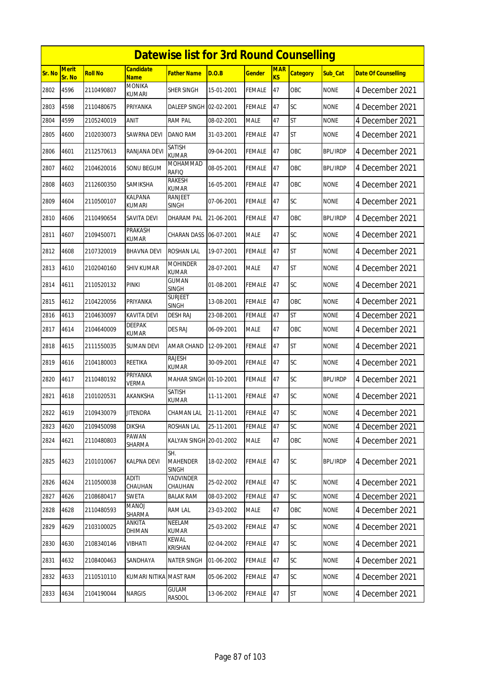|               | <b>Datewise list for 3rd Round Counselling</b> |                |                                 |                                        |            |               |                         |                 |                 |                            |  |  |
|---------------|------------------------------------------------|----------------|---------------------------------|----------------------------------------|------------|---------------|-------------------------|-----------------|-----------------|----------------------------|--|--|
| <b>Sr. No</b> | <b>Merit</b><br>Sr. No                         | <b>Roll No</b> | <b>Candidate</b><br><b>Name</b> | <b>Father Name</b>                     | D.O.B      | <b>Gender</b> | <b>MAR</b><br><b>KS</b> | <b>Category</b> | Sub Cat         | <b>Date Of Counselling</b> |  |  |
| 2802          | 4596                                           | 2110490807     | <b>MONIKA</b><br><b>KUMARI</b>  | SHER SINGH                             | 15-01-2001 | <b>FEMALE</b> | 47                      | OBC             | <b>NONE</b>     | 4 December 2021            |  |  |
| 2803          | 4598                                           | 2110480675     | PRIYANKA                        | DALEEP SINGH 02-02-2001                |            | <b>FEMALE</b> | 47                      | SC              | <b>NONE</b>     | 4 December 2021            |  |  |
| 2804          | 4599                                           | 2105240019     | ANIT                            | <b>RAM PAL</b>                         | 08-02-2001 | <b>MALE</b>   | 47                      | <b>ST</b>       | <b>NONE</b>     | 4 December 2021            |  |  |
| 2805          | 4600                                           | 2102030073     | SAWRNA DEVI                     | <b>DANO RAM</b>                        | 31-03-2001 | <b>FEMALE</b> | 47                      | <b>ST</b>       | <b>NONE</b>     | 4 December 2021            |  |  |
| 2806          | 4601                                           | 2112570613     | RANJANA DEVI                    | SATISH<br><b>KUMAR</b>                 | 09-04-2001 | <b>FEMALE</b> | 47                      | <b>OBC</b>      | <b>BPL/IRDP</b> | 4 December 2021            |  |  |
| 2807          | 4602                                           | 2104620016     | SONU BEGUM                      | MOHAMMAD<br><b>RAFIQ</b>               | 08-05-2001 | <b>FEMALE</b> | 47                      | OBC             | <b>BPL/IRDP</b> | 4 December 2021            |  |  |
| 2808          | 4603                                           | 2112600350     | SAMIKSHA                        | RAKESH<br><b>KUMAR</b>                 | 16-05-2001 | <b>FEMALE</b> | 47                      | OBC             | none            | 4 December 2021            |  |  |
| 2809          | 4604                                           | 2110500107     | KALPANA<br>KUMARI               | <b>RANJEET</b><br>SINGH                | 07-06-2001 | <b>FEMALE</b> | 47                      | SC              | <b>NONE</b>     | 4 December 2021            |  |  |
| 2810          | 4606                                           | 2110490654     | <b>SAVITA DEVI</b>              | <b>DHARAM PAL</b>                      | 21-06-2001 | <b>FEMALE</b> | 47                      | OBC             | <b>BPL/IRDP</b> | 4 December 2021            |  |  |
| 2811          | 4607                                           | 2109450071     | PRAKASH<br><b>KUMAR</b>         | <b>CHARAN DASS</b>                     | 06-07-2001 | <b>MALE</b>   | 47                      | SC              | <b>NONE</b>     | 4 December 2021            |  |  |
| 2812          | 4608                                           | 2107320019     | <b>BHAVNA DEVI</b>              | <b>ROSHAN LAL</b>                      | 19-07-2001 | <b>FEMALE</b> | 47                      | <b>ST</b>       | <b>NONE</b>     | 4 December 2021            |  |  |
| 2813          | 4610                                           | 2102040160     | SHIV KUMAR                      | <b>MOHINDER</b><br><b>KUMAR</b>        | 28-07-2001 | <b>MALE</b>   | 47                      | <b>ST</b>       | <b>NONE</b>     | 4 December 2021            |  |  |
| 2814          | 4611                                           | 2110520132     | <b>PINKI</b>                    | <b>GUMAN</b><br><b>SINGH</b>           | 01-08-2001 | <b>FEMALE</b> | 47                      | SC              | <b>NONE</b>     | 4 December 2021            |  |  |
| 2815          | 4612                                           | 2104220056     | PRIYANKA                        | <b>SURJEET</b><br>SINGH                | 13-08-2001 | <b>FEMALE</b> | 47                      | OBC             | <b>NONE</b>     | 4 December 2021            |  |  |
| 2816          | 4613                                           | 2104630097     | KAVITA DEVI                     | <b>DESH RAJ</b>                        | 23-08-2001 | <b>FEMALE</b> | 47                      | <b>ST</b>       | <b>NONE</b>     | 4 December 2021            |  |  |
| 2817          | 4614                                           | 2104640009     | DEEPAK<br><b>KUMAR</b>          | <b>DES RAJ</b>                         | 06-09-2001 | <b>MALE</b>   | 47                      | <b>OBC</b>      | <b>NONE</b>     | 4 December 2021            |  |  |
| 2818          | 4615                                           | 2111550035     | <b>SUMAN DEVI</b>               | AMAR CHAND                             | 12-09-2001 | <b>FEMALE</b> | 47                      | <b>ST</b>       | <b>NONE</b>     | 4 December 2021            |  |  |
| 2819          | 4616                                           | 2104180003     | REETIKA                         | <b>RAJESH</b><br><b>KUMAR</b>          | 30-09-2001 | <b>FEMALE</b> | 47                      | SC              | <b>NONE</b>     | 4 December 2021            |  |  |
| 2820          | 4617                                           | 2110480192     | PRIYANKA<br>VERMA               | MAHAR SINGH 01-10-2001                 |            | <b>FEMALE</b> | 47                      | SC              | <b>BPL/IRDP</b> | 4 December 2021            |  |  |
| 2821          | 4618                                           | 2101020531     | AKANKSHA                        | <b>SATISH</b><br><b>KUMAR</b>          | 11-11-2001 | <b>FEMALE</b> | 47                      | SC              | <b>NONE</b>     | 4 December 2021            |  |  |
| 2822          | 4619                                           | 2109430079     | <b>JITENDRA</b>                 | CHAMAN LAL                             | 21-11-2001 | <b>FEMALE</b> | 47                      | SC              | <b>NONE</b>     | 4 December 2021            |  |  |
| 2823          | 4620                                           | 2109450098     | <b>DIKSHA</b>                   | <b>ROSHAN LAL</b>                      | 25-11-2001 | <b>FEMALE</b> | 47                      | SC              | <b>NONE</b>     | 4 December 2021            |  |  |
| 2824          | 4621                                           | 2110480803     | PAWAN<br>SHARMA                 | KALYAN SINGH 20-01-2002                |            | <b>MALE</b>   | 47                      | OBC             | <b>NONE</b>     | 4 December 2021            |  |  |
| 2825          | 4623                                           | 2101010067     | KALPNA DEVI                     | SH.<br><b>MAHENDER</b><br><b>SINGH</b> | 18-02-2002 | <b>FEMALE</b> | 47                      | SC              | <b>BPL/IRDP</b> | 4 December 2021            |  |  |
| 2826          | 4624                                           | 2110500038     | <b>ADITI</b><br>CHAUHAN         | YADVINDER<br>CHAUHAN                   | 25-02-2002 | <b>FEMALE</b> | 47                      | SC              | <b>NONE</b>     | 4 December 2021            |  |  |
| 2827          | 4626                                           | 2108680417     | SWETA                           | <b>BALAK RAM</b>                       | 08-03-2002 | <b>FEMALE</b> | 47                      | SC              | <b>NONE</b>     | 4 December 2021            |  |  |
| 2828          | 4628                                           | 2110480593     | MANOJ<br>SHARMA                 | RAM LAL                                | 23-03-2002 | <b>MALE</b>   | 47                      | OBC             | NONE            | 4 December 2021            |  |  |
| 2829          | 4629                                           | 2103100025     | ANKITA<br>DHIMAN                | NEELAM<br><b>KUMAR</b>                 | 25-03-2002 | <b>FEMALE</b> | 47                      | SC              | <b>NONE</b>     | 4 December 2021            |  |  |
| 2830          | 4630                                           | 2108340146     | VIBHATI                         | KEWAL<br>KRISHAN                       | 02-04-2002 | <b>FEMALE</b> | 47                      | <b>SC</b>       | <b>NONE</b>     | 4 December 2021            |  |  |
| 2831          | 4632                                           | 2108400463     | SANDHAYA                        | <b>NATER SINGH</b>                     | 01-06-2002 | FEMALE        | 47                      | <b>SC</b>       | <b>NONE</b>     | 4 December 2021            |  |  |
| 2832          | 4633                                           | 2110510110     | KUMARI NITIKA MAST RAM          |                                        | 05-06-2002 | <b>FEMALE</b> | 47                      | SC              | <b>NONE</b>     | 4 December 2021            |  |  |
| 2833          | 4634                                           | 2104190044     | <b>NARGIS</b>                   | GULAM<br>RASOOL                        | 13-06-2002 | <b>FEMALE</b> | 47                      | ST              | <b>NONE</b>     | 4 December 2021            |  |  |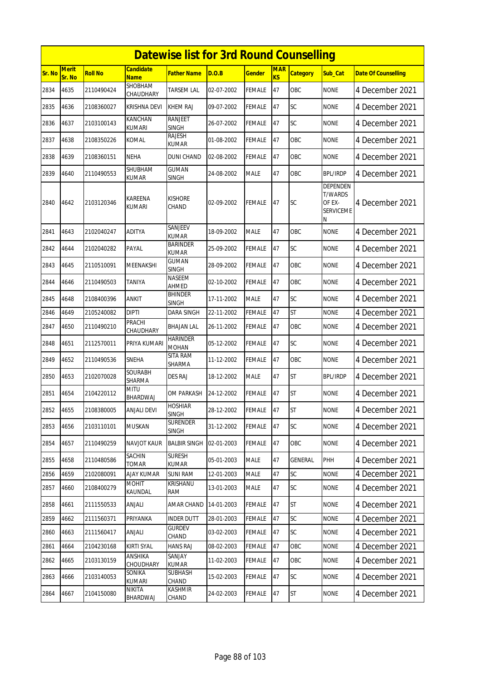|        | <b>Datewise list for 3rd Round Counselling</b> |                |                                 |                                 |            |               |                  |                 |                                                        |                            |  |  |
|--------|------------------------------------------------|----------------|---------------------------------|---------------------------------|------------|---------------|------------------|-----------------|--------------------------------------------------------|----------------------------|--|--|
| Sr. No | <b>Merit</b><br>Sr. No                         | <b>Roll No</b> | <b>Candidate</b><br><b>Name</b> | Father Name                     | D.O.B      | Gender        | <b>MAR</b><br>KS | <b>Category</b> | Sub Cat                                                | <b>Date Of Counselling</b> |  |  |
| 2834   | 4635                                           | 2110490424     | SHOBHAM<br>CHAUDHARY            | TARSEM LAL                      | 02-07-2002 | <b>FEMALE</b> | 47               | OBC             | <b>NONE</b>                                            | 4 December 2021            |  |  |
| 2835   | 4636                                           | 2108360027     | <b>KRISHNA DEVI</b>             | <b>KHEM RAJ</b>                 | 09-07-2002 | <b>FEMALE</b> | 47               | SC              | <b>NONE</b>                                            | 4 December 2021            |  |  |
| 2836   | 4637                                           | 2103100143     | KANCHAN<br><b>KUMARI</b>        | <b>RANJEET</b><br>SINGH         | 26-07-2002 | FEMALE        | 47               | SC              | <b>NONE</b>                                            | 4 December 2021            |  |  |
| 2837   | 4638                                           | 2108350226     | <b>KOMAL</b>                    | RAJESH<br><b>KUMAR</b>          | 01-08-2002 | <b>FEMALE</b> | 47               | OBC             | <b>NONE</b>                                            | 4 December 2021            |  |  |
| 2838   | 4639                                           | 2108360151     | <b>NEHA</b>                     | DUNI CHAND                      | 02-08-2002 | FEMALE        | 47               | OBC             | <b>NONE</b>                                            | 4 December 2021            |  |  |
| 2839   | 4640                                           | 2110490553     | SHUBHAM<br><b>KUMAR</b>         | <b>GUMAN</b><br><b>SINGH</b>    | 24-08-2002 | <b>MALE</b>   | 47               | OBC             | <b>BPL/IRDP</b>                                        | 4 December 2021            |  |  |
| 2840   | 4642                                           | 2103120346     | <b>KAREENA</b><br><b>KUMARI</b> | <b>KISHORE</b><br>CHAND         | 02-09-2002 | FEMALE        | 47               | <b>SC</b>       | DEPENDEN<br>T/WARDS<br>OF EX-<br><b>SERVICEME</b><br>Ν | 4 December 2021            |  |  |
| 2841   | 4643                                           | 2102040247     | <b>ADITYA</b>                   | SANJEEV<br><b>KUMAR</b>         | 18-09-2002 | <b>MALE</b>   | 47               | OBC             | <b>NONE</b>                                            | 4 December 2021            |  |  |
| 2842   | 4644                                           | 2102040282     | PAYAL                           | <b>BARINDER</b><br><b>KUMAR</b> | 25-09-2002 | FEMALE        | 47               | SC              | <b>NONE</b>                                            | 4 December 2021            |  |  |
| 2843   | 4645                                           | 2110510091     | <b>MEENAKSHI</b>                | <b>GUMAN</b><br><b>SINGH</b>    | 28-09-2002 | <b>FEMALE</b> | 47               | OBC             | <b>NONE</b>                                            | 4 December 2021            |  |  |
| 2844   | 4646                                           | 2110490503     | TANIYA                          | NASEEM<br>AHMED                 | 02-10-2002 | FEMALE        | 47               | OBC             | <b>NONE</b>                                            | 4 December 2021            |  |  |
| 2845   | 4648                                           | 2108400396     | <b>ANKIT</b>                    | <b>BHINDER</b><br><b>SINGH</b>  | 17-11-2002 | MALE          | 47               | SC              | <b>NONE</b>                                            | 4 December 2021            |  |  |
| 2846   | 4649                                           | 2105240082     | <b>DIPTI</b>                    | <b>DARA SINGH</b>               | 22-11-2002 | FEMALE        | 47               | <b>ST</b>       | <b>NONE</b>                                            | 4 December 2021            |  |  |
| 2847   | 4650                                           | 2110490210     | PRACHI<br>CHAUDHARY             | BHAJAN LAL                      | 26-11-2002 | FEMALE        | 47               | OBC             | <b>NONE</b>                                            | 4 December 2021            |  |  |
| 2848   | 4651                                           | 2112570011     | PRIYA KUMARI                    | <b>HARINDER</b><br><b>MOHAN</b> | 05-12-2002 | FEMALE        | 47               | SC              | <b>NONE</b>                                            | 4 December 2021            |  |  |
| 2849   | 4652                                           | 2110490536     | SNEHA                           | SITA RAM<br>SHARMA              | 11-12-2002 | FEMALE        | 47               | OBC             | <b>NONE</b>                                            | 4 December 2021            |  |  |
| 2850   | 4653                                           | 2102070028     | <b>SOURABH</b><br>SHARMA        | <b>DES RAJ</b>                  | 18-12-2002 | <b>MALE</b>   | 47               | <b>ST</b>       | <b>BPL/IRDP</b>                                        | 4 December 2021            |  |  |
| 2851   | 4654                                           | 2104220112     | <b>MITU</b><br>BHARDWAJ         | OM PARKASH                      | 24-12-2002 | FEMALE        | 47               | <b>ST</b>       | <b>NONE</b>                                            | 4 December 2021            |  |  |
| 2852   | 4655                                           | 2108380005     | <b>ANJALI DEVI</b>              | <b>HOSHIAR</b><br><b>SINGH</b>  | 28-12-2002 | <b>FEMALE</b> | 47               | <b>ST</b>       | <b>NONE</b>                                            | 4 December 2021            |  |  |
| 2853   | 4656                                           | 2103110101     | <b>MUSKAN</b>                   | <b>SURENDER</b><br><b>SINGH</b> | 31-12-2002 | <b>FEMALE</b> | 47               | <b>SC</b>       | <b>NONE</b>                                            | 4 December 2021            |  |  |
| 2854   | 4657                                           | 2110490259     | NAVJOT KAUR                     | <b>BALBIR SINGH</b>             | 02-01-2003 | FEMALE        | 47               | OBC             | <b>NONE</b>                                            | 4 December 2021            |  |  |
| 2855   | 4658                                           | 2110480586     | SACHIN<br><b>TOMAR</b>          | <b>SURESH</b><br><b>KUMAR</b>   | 05-01-2003 | MALE          | 47               | GENERAL         | PHH                                                    | 4 December 2021            |  |  |
| 2856   | 4659                                           | 2102080091     | <b>AJAY KUMAR</b>               | <b>SUNI RAM</b>                 | 12-01-2003 | MALE          | 47               | SC              | <b>NONE</b>                                            | 4 December 2021            |  |  |
| 2857   | 4660                                           | 2108400279     | MOHIT<br>KAUNDAL                | KRISHANU<br>RAM                 | 13-01-2003 | MALE          | 47               | <b>SC</b>       | <b>NONE</b>                                            | 4 December 2021            |  |  |
| 2858   | 4661                                           | 2111550533     | ANJALI                          | AMAR CHAND                      | 14-01-2003 | <b>FEMALE</b> | 47               | <b>ST</b>       | <b>NONE</b>                                            | 4 December 2021            |  |  |
| 2859   | 4662                                           | 2111560371     | PRIYANKA                        | <b>INDER DUTT</b>               | 28-01-2003 | FEMALE        | 47               | <b>SC</b>       | <b>NONE</b>                                            | 4 December 2021            |  |  |
| 2860   | 4663                                           | 2111560417     | ANJALI                          | <b>GURDEV</b><br>CHAND          | 03-02-2003 | <b>FEMALE</b> | 47               | <b>SC</b>       | <b>NONE</b>                                            | 4 December 2021            |  |  |
| 2861   | 4664                                           | 2104230168     | <b>KIRTI SYAL</b>               | HANS RAJ                        | 08-02-2003 | <b>FEMALE</b> | 47               | OBC             | <b>NONE</b>                                            | 4 December 2021            |  |  |
| 2862   | 4665                                           | 2103130159     | <b>ANSHIKA</b><br>CHOUDHARY     | SANJAY<br>kumar                 | 11-02-2003 | <b>FEMALE</b> | 47               | OBC             | <b>NONE</b>                                            | 4 December 2021            |  |  |
| 2863   | 4666                                           | 2103140053     | SONIKA<br>KUMARI                | <b>SUBHASH</b><br>CHAND         | 15-02-2003 | <b>FEMALE</b> | 47               | <b>SC</b>       | <b>NONE</b>                                            | 4 December 2021            |  |  |
| 2864   | 4667                                           | 2104150080     | NIKITA<br>BHARDWAJ              | <b>KASHMIR</b><br>CHAND         | 24-02-2003 | FEMALE        | 47               | ST              | <b>NONE</b>                                            | 4 December 2021            |  |  |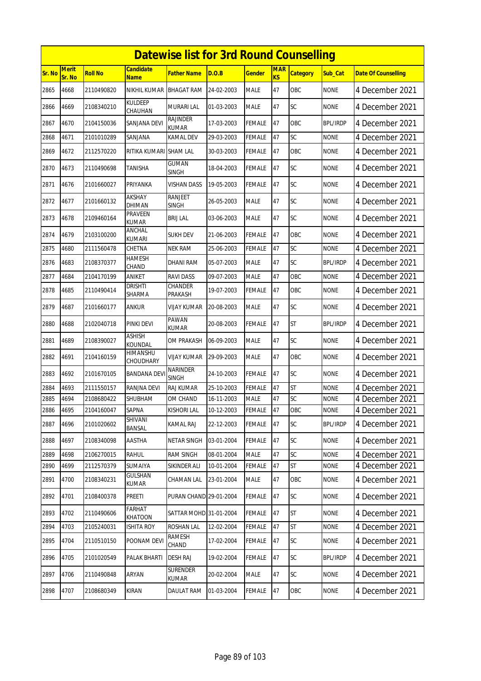|        | <b>Datewise list for 3rd Round Counselling</b> |                |                                 |                                 |            |               |                         |                 |                 |                            |  |  |  |
|--------|------------------------------------------------|----------------|---------------------------------|---------------------------------|------------|---------------|-------------------------|-----------------|-----------------|----------------------------|--|--|--|
| Sr. No | <b>Merit</b><br>Sr. No                         | <b>Roll No</b> | <b>Candidate</b><br><b>Name</b> | <b>Father Name</b>              | D.O.B      | <b>Gender</b> | <b>MAR</b><br><b>KS</b> | <b>Category</b> | Sub Cat         | <b>Date Of Counselling</b> |  |  |  |
| 2865   | 4668                                           | 2110490820     | NIKHIL KUMAR                    | <b>BHAGAT RAM</b>               | 24-02-2003 | <b>MALE</b>   | 47                      | OBC             | <b>NONE</b>     | 4 December 2021            |  |  |  |
| 2866   | 4669                                           | 2108340210     | <b>KULDEEP</b><br>CHAUHAN       | <b>MURARI LAL</b>               | 01-03-2003 | <b>MALE</b>   | 47                      | SC              | <b>NONE</b>     | 4 December 2021            |  |  |  |
| 2867   | 4670                                           | 2104150036     | SANJANA DEVI                    | RAJINDER<br><b>KUMAR</b>        | 17-03-2003 | <b>FEMALE</b> | 47                      | OBC             | <b>BPL/IRDP</b> | 4 December 2021            |  |  |  |
| 2868   | 4671                                           | 2101010289     | SANJANA                         | KAMAL DEV                       | 29-03-2003 | <b>FEMALE</b> | 47                      | SC              | <b>NONE</b>     | 4 December 2021            |  |  |  |
| 2869   | 4672                                           | 2112570220     | RITIKA KUMARI                   | <b>SHAM LAL</b>                 | 30-03-2003 | <b>FEMALE</b> | 47                      | <b>OBC</b>      | <b>NONE</b>     | 4 December 2021            |  |  |  |
| 2870   | 4673                                           | 2110490698     | TANISHA                         | <b>GUMAN</b><br><b>SINGH</b>    | 18-04-2003 | <b>FEMALE</b> | 47                      | <b>SC</b>       | <b>NONE</b>     | 4 December 2021            |  |  |  |
| 2871   | 4676                                           | 2101660027     | PRIYANKA                        | VISHAN DASS                     | 19-05-2003 | <b>FEMALE</b> | 47                      | SC              | none            | 4 December 2021            |  |  |  |
| 2872   | 4677                                           | 2101660132     | <b>AKSHAY</b><br>DHIMAN         | <b>RANJEET</b><br><b>SINGH</b>  | 26-05-2003 | <b>MALE</b>   | 47                      | SC              | <b>NONE</b>     | 4 December 2021            |  |  |  |
| 2873   | 4678                                           | 2109460164     | PRAVEEN<br><b>KUMAR</b>         | <b>BRIJ LAL</b>                 | 03-06-2003 | <b>MALE</b>   | 47                      | SC              | <b>NONE</b>     | 4 December 2021            |  |  |  |
| 2874   | 4679                                           | 2103100200     | ANCHAL<br>KUMARI                | <b>SUKH DEV</b>                 | 21-06-2003 | <b>FEMALE</b> | 47                      | OBC             | <b>NONE</b>     | 4 December 2021            |  |  |  |
| 2875   | 4680                                           | 2111560478     | CHETNA                          | <b>NEK RAM</b>                  | 25-06-2003 | FEMALE        | 47                      | SC              | <b>NONE</b>     | 4 December 2021            |  |  |  |
| 2876   | 4683                                           | 2108370377     | HAMESH<br>CHAND                 | DHANI RAM                       | 05-07-2003 | <b>MALE</b>   | 47                      | SC              | <b>BPL/IRDP</b> | 4 December 2021            |  |  |  |
| 2877   | 4684                                           | 2104170199     | ANIKET                          | <b>RAVIDASS</b>                 | 09-07-2003 | <b>MALE</b>   | 47                      | OBC             | <b>NONE</b>     | 4 December 2021            |  |  |  |
| 2878   | 4685                                           | 2110490414     | drishti<br><b>SHARMA</b>        | CHANDER<br>PRAKASH              | 19-07-2003 | <b>FEMALE</b> | 47                      | OBC             | <b>NONE</b>     | 4 December 2021            |  |  |  |
| 2879   | 4687                                           | 2101660177     | ANKUR                           | VIJAY KUMAR                     | 20-08-2003 | <b>MALE</b>   | 47                      | SC              | <b>NONE</b>     | 4 December 2021            |  |  |  |
| 2880   | 4688                                           | 2102040718     | PINKI DEVI                      | <b>PAWAN</b><br><b>KUMAR</b>    | 20-08-2003 | <b>FEMALE</b> | 47                      | <b>ST</b>       | <b>BPL/IRDP</b> | 4 December 2021            |  |  |  |
| 2881   | 4689                                           | 2108390027     | <b>ASHISH</b><br>KOUNDAL        | OM PRAKASH                      | 06-09-2003 | <b>MALE</b>   | 47                      | SC              | <b>NONE</b>     | 4 December 2021            |  |  |  |
| 2882   | 4691                                           | 2104160159     | HIMANSHU<br>CHOUDHARY           | <b>VIJAY KUMAR</b>              | 29-09-2003 | <b>MALE</b>   | 47                      | <b>OBC</b>      | <b>NONE</b>     | 4 December 2021            |  |  |  |
| 2883   | 4692                                           | 2101670105     | <b>BANDANA DEV</b>              | <b>NARINDER</b><br><b>SINGH</b> | 24-10-2003 | <b>FEMALE</b> | 47                      | <b>SC</b>       | <b>NONE</b>     | 4 December 2021            |  |  |  |
| 2884   | 4693                                           | 2111550157     | RANJNA DEVI                     | <b>RAJ KUMAR</b>                | 25-10-2003 | <b>FEMALE</b> | 47                      | <b>ST</b>       | <b>NONE</b>     | 4 December 2021            |  |  |  |
| 2885   | 4694                                           | 2108680422     | SHUBHAM                         | OM CHAND                        | 16-11-2003 | <b>MALE</b>   | 47                      | SC              | <b>NONE</b>     | 4 December 2021            |  |  |  |
| 2886   | 4695                                           | 2104160047     | SAPNA                           | <b>KISHORI LAL</b>              | 10-12-2003 | <b>FEMALE</b> | <b>47</b>               | OBC             | <b>NONE</b>     | 4 December 2021            |  |  |  |
| 2887   | 4696                                           | 2101020602     | SHIVANI<br>BANSAL               | KAMAL RAJ                       | 22-12-2003 | <b>FEMALE</b> | 47                      | SC              | <b>BPL/IRDP</b> | 4 December 2021            |  |  |  |
| 2888   | 4697                                           | 2108340098     | <b>AASTHA</b>                   | <b>NETAR SINGH</b>              | 03-01-2004 | <b>FEMALE</b> | 47                      | SC              | <b>NONE</b>     | 4 December 2021            |  |  |  |
| 2889   | 4698                                           | 2106270015     | RAHUL                           | <b>RAM SINGH</b>                | 08-01-2004 | <b>MALE</b>   | 47                      | <b>SC</b>       | <b>NONE</b>     | 4 December 2021            |  |  |  |
| 2890   | 4699                                           | 2112570379     | SUMAIYA                         | SIKINDER ALI                    | 10-01-2004 | <b>FEMALE</b> | 47                      | <b>ST</b>       | <b>NONE</b>     | 4 December 2021            |  |  |  |
| 2891   | 4700                                           | 2108340231     | <b>GULSHAN</b><br><b>KUMAR</b>  | CHAMAN LAL                      | 23-01-2004 | <b>MALE</b>   | 47                      | OBC             | <b>NONE</b>     | 4 December 2021            |  |  |  |
| 2892   | 4701                                           | 2108400378     | PREETI                          | PURAN CHAND 29-01-2004          |            | FEMALE        | 47                      | SC              | <b>NONE</b>     | 4 December 2021            |  |  |  |
| 2893   | 4702                                           | 2110490606     | <b>FARHAT</b><br><b>KHATOON</b> | SATTAR MOHD 31-01-2004          |            | <b>FEMALE</b> | 47                      | <b>ST</b>       | <b>NONE</b>     | 4 December 2021            |  |  |  |
| 2894   | 4703                                           | 2105240031     | <b>ISHITA ROY</b>               | <b>ROSHAN LAL</b>               | 12-02-2004 | <b>FEMALE</b> | 47                      | <b>ST</b>       | <b>NONE</b>     | 4 December 2021            |  |  |  |
| 2895   | 4704                                           | 2110510150     | POONAM DEVI                     | <b>RAMESH</b><br>CHAND          | 17-02-2004 | <b>FEMALE</b> | 47                      | <b>SC</b>       | <b>NONE</b>     | 4 December 2021            |  |  |  |
| 2896   | 4705                                           | 2101020549     | PALAK BHARTI                    | <b>DESH RAJ</b>                 | 19-02-2004 | <b>FEMALE</b> | 47                      | SC              | <b>BPL/IRDP</b> | 4 December 2021            |  |  |  |
| 2897   | 4706                                           | 2110490848     | ARYAN                           | <b>SURENDER</b><br>KUMAR        | 20-02-2004 | <b>MALE</b>   | 47                      | <b>SC</b>       | <b>NONE</b>     | 4 December 2021            |  |  |  |
| 2898   | 4707                                           | 2108680349     | <b>KIRAN</b>                    | <b>DAULAT RAM</b>               | 01-03-2004 | <b>FEMALE</b> | 47                      | OBC             | <b>NONE</b>     | 4 December 2021            |  |  |  |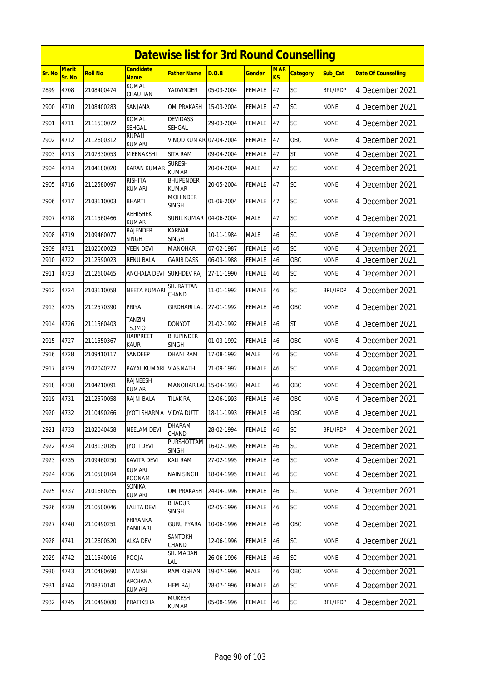|               | <b>Datewise list for 3rd Round Counselling</b> |                |                                 |                                  |            |               |                         |                 |                 |                            |  |  |
|---------------|------------------------------------------------|----------------|---------------------------------|----------------------------------|------------|---------------|-------------------------|-----------------|-----------------|----------------------------|--|--|
| <b>Sr. No</b> | <b>Merit</b><br>Sr. No                         | <b>Roll No</b> | <b>Candidate</b><br><b>Name</b> | <b>Father Name</b>               | D.O.B      | <b>Gender</b> | <b>MAR</b><br><b>KS</b> | <b>Category</b> | Sub Cat         | <b>Date Of Counselling</b> |  |  |
| 2899          | 4708                                           | 2108400474     | <b>KOMAL</b><br>CHAUHAN         | YADVINDER                        | 05-03-2004 | <b>FEMALE</b> | 47                      | SC              | <b>BPL/IRDP</b> | 4 December 2021            |  |  |
| 2900          | 4710                                           | 2108400283     | SANJANA                         | OM PRAKASH                       | 15-03-2004 | <b>FEMALE</b> | 47                      | SC              | <b>NONE</b>     | 4 December 2021            |  |  |
| 2901          | 4711                                           | 2111530072     | KOMAL<br>SEHGAL                 | <b>DEVIDASS</b><br>SEHGAL        | 29-03-2004 | <b>FEMALE</b> | 47                      | SC              | <b>NONE</b>     | 4 December 2021            |  |  |
| 2902          | 4712                                           | 2112600312     | RUPALI<br><b>KUMARI</b>         | VINOD KUMAR 07-04-2004           |            | <b>FEMALE</b> | 47                      | OBC             | <b>NONE</b>     | 4 December 2021            |  |  |
| 2903          | 4713                                           | 2107330053     | MEENAKSHI                       | <b>SITA RAM</b>                  | 09-04-2004 | <b>FEMALE</b> | 47                      | <b>ST</b>       | <b>NONE</b>     | 4 December 2021            |  |  |
| 2904          | 4714                                           | 2104180020     | <b>KARAN KUMAR</b>              | <b>SURESH</b><br><b>KUMAR</b>    | 20-04-2004 | <b>MALE</b>   | 47                      | <b>SC</b>       | <b>NONE</b>     | 4 December 2021            |  |  |
| 2905          | 4716                                           | 2112580097     | <b>RISHITA</b><br>KUMARI        | <b>BHUPENDER</b><br><b>KUMAR</b> | 20-05-2004 | <b>FEMALE</b> | 47                      | SC              | none            | 4 December 2021            |  |  |
| 2906          | 4717                                           | 2103110003     | <b>BHARTI</b>                   | <b>MOHINDER</b><br><b>SINGH</b>  | 01-06-2004 | <b>FEMALE</b> | 47                      | SC              | <b>NONE</b>     | 4 December 2021            |  |  |
| 2907          | 4718                                           | 2111560466     | <b>ABHISHEK</b><br><b>KUMAR</b> | <b>SUNIL KUMAR</b>               | 04-06-2004 | <b>MALE</b>   | 47                      | SC              | <b>NONE</b>     | 4 December 2021            |  |  |
| 2908          | 4719                                           | 2109460077     | <b>RAJENDER</b><br><b>SINGH</b> | <b>KARNAIL</b><br><b>SINGH</b>   | 10-11-1984 | <b>MALE</b>   | 46                      | SC              | <b>NONE</b>     | 4 December 2021            |  |  |
| 2909          | 4721                                           | 2102060023     | VEEN DEVI                       | <b>MANOHAR</b>                   | 07-02-1987 | <b>FEMALE</b> | 46                      | SC              | <b>NONE</b>     | 4 December 2021            |  |  |
| 2910          | 4722                                           | 2112590023     | <b>RENU BALA</b>                | <b>GARIB DASS</b>                | 06-03-1988 | <b>FEMALE</b> | 46                      | OBC             | <b>NONE</b>     | 4 December 2021            |  |  |
| 2911          | 4723                                           | 2112600465     | ANCHALA DEVI                    | <b>SUKHDEV RAJ</b>               | 27-11-1990 | <b>FEMALE</b> | 46                      | SC              | <b>NONE</b>     | 4 December 2021            |  |  |
| 2912          | 4724                                           | 2103110058     | <b>NEETA KUMARI</b>             | SH. RATTAN<br>CHAND              | 11-01-1992 | <b>FEMALE</b> | 46                      | SC              | <b>BPL/IRDP</b> | 4 December 2021            |  |  |
| 2913          | 4725                                           | 2112570390     | PRIYA                           | <b>GIRDHARI LAL</b>              | 27-01-1992 | <b>FEMALE</b> | 46                      | OBC             | <b>NONE</b>     | 4 December 2021            |  |  |
| 2914          | 4726                                           | 2111560403     | <b>TANZIN</b><br><b>TSOMO</b>   | <b>DONYOT</b>                    | 21-02-1992 | <b>FEMALE</b> | 46                      | <b>ST</b>       | <b>NONE</b>     | 4 December 2021            |  |  |
| 2915          | 4727                                           | 2111550367     | <b>HARPREET</b><br>Kaur         | <b>BHUPINDER</b><br>SINGH        | 01-03-1992 | <b>FEMALE</b> | 46                      | OBC             | <b>NONE</b>     | 4 December 2021            |  |  |
| 2916          | 4728                                           | 2109410117     | SANDEEP                         | DHANI RAM                        | 17-08-1992 | <b>MALE</b>   | 46                      | SC              | <b>NONE</b>     | 4 December 2021            |  |  |
| 2917          | 4729                                           | 2102040277     | PAYAL KUMARI                    | <b>VIAS NATH</b>                 | 21-09-1992 | <b>FEMALE</b> | 46                      | SC              | <b>NONE</b>     | 4 December 2021            |  |  |
| 2918          | 4730                                           | 2104210091     | RAJNEESH<br><b>KUMAR</b>        | MANOHAR LAL 15-04-1993           |            | <b>MALE</b>   | 46                      | OBC             | <b>NONE</b>     | 4 December 2021            |  |  |
| 2919          | 4731                                           | 2112570058     | RAJNI BALA                      | <b>TILAK RAJ</b>                 | 12-06-1993 | <b>FEMALE</b> | 46                      | OBC             | <b>NONE</b>     | 4 December 2021            |  |  |
| 2920          | 4732                                           | 2110490266     | <b>JYOTI SHARMA</b>             | <b>VIDYA DUTT</b>                | 18-11-1993 | <b>FEMALE</b> | 46                      | OBC             | <b>NONE</b>     | 4 December 2021            |  |  |
| 2921          | 4733                                           | 2102040458     | <b>NEELAM DEVI</b>              | DHARAM<br>CHAND                  | 28-02-1994 | <b>FEMALE</b> | 46                      | SC              | <b>BPL/IRDP</b> | 4 December 2021            |  |  |
| 2922          | 4734                                           | 2103130185     | <b>JYOTI DEVI</b>               | PURSHOTTAM<br><b>SINGH</b>       | 16-02-1995 | <b>FEMALE</b> | 46                      | <b>SC</b>       | <b>NONE</b>     | 4 December 2021            |  |  |
| 2923          | 4735                                           | 2109460250     | KAVITA DEVI                     | KALI RAM                         | 27-02-1995 | <b>FEMALE</b> | 46                      | SC              | <b>NONE</b>     | 4 December 2021            |  |  |
| 2924          | 4736                                           | 2110500104     | KUMARI<br>POONAM                | <b>NAIN SINGH</b>                | 18-04-1995 | FEMALE        | 46                      | <b>SC</b>       | <b>NONE</b>     | 4 December 2021            |  |  |
| 2925          | 4737                                           | 2101660255     | SONIKA<br>kumari                | OM PRAKASH                       | 24-04-1996 | <b>FEMALE</b> | 46                      | <b>SC</b>       | <b>NONE</b>     | 4 December 2021            |  |  |
| 2926          | 4739                                           | 2110500046     | <b>LALITA DEVI</b>              | <b>BHADUR</b><br><b>SINGH</b>    | 02-05-1996 | <b>FEMALE</b> | 46                      | SC              | <b>NONE</b>     | 4 December 2021            |  |  |
| 2927          | 4740                                           | 2110490251     | PRIYANKA<br>PANIHARI            | <b>GURU PYARA</b>                | 10-06-1996 | <b>FEMALE</b> | 46                      | OBC             | <b>NONE</b>     | 4 December 2021            |  |  |
| 2928          | 4741                                           | 2112600520     | <b>ALKA DEVI</b>                | SANTOKH<br>CHAND                 | 12-06-1996 | <b>FEMALE</b> | 46                      | SC              | <b>NONE</b>     | 4 December 2021            |  |  |
| 2929          | 4742                                           | 2111540016     | POOJA                           | SH. MADAN<br>LAL                 | 26-06-1996 | <b>FEMALE</b> | 46                      | <b>SC</b>       | <b>NONE</b>     | 4 December 2021            |  |  |
| 2930          | 4743                                           | 2110480690     | <b>MANISH</b>                   | <b>RAM KISHAN</b>                | 19-07-1996 | <b>MALE</b>   | 46                      | OBC             | <b>NONE</b>     | 4 December 2021            |  |  |
| 2931          | 4744                                           | 2108370141     | ARCHANA<br>KUMARI               | <b>HEM RAJ</b>                   | 28-07-1996 | <b>FEMALE</b> | 46                      | <b>SC</b>       | <b>NONE</b>     | 4 December 2021            |  |  |
| 2932          | 4745                                           | 2110490080     | PRATIKSHA                       | <b>MUKESH</b><br>KUMAR           | 05-08-1996 | <b>FEMALE</b> | 46                      | <b>SC</b>       | BPL/IRDP        | 4 December 2021            |  |  |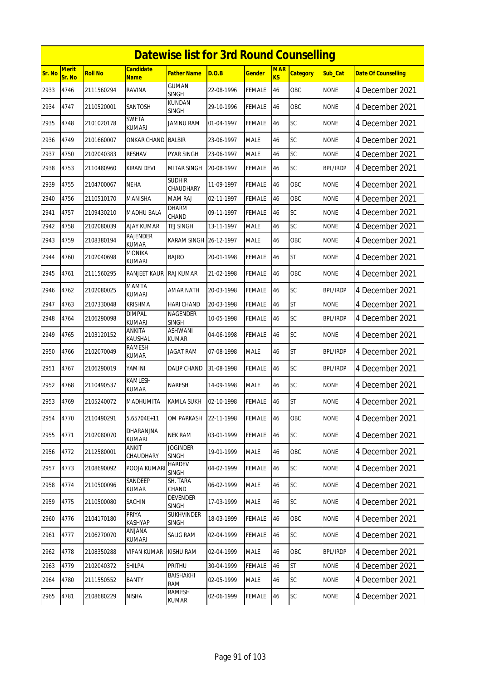|        | <b>Datewise list for 3rd Round Counselling</b> |                |                            |                                   |            |               |                              |                 |                 |                            |  |  |
|--------|------------------------------------------------|----------------|----------------------------|-----------------------------------|------------|---------------|------------------------------|-----------------|-----------------|----------------------------|--|--|
| Sr. No | <b>Merit</b><br>Sr. No                         | <b>Roll No</b> | Candidate<br><b>Name</b>   | Father Name                       | D.O.B      | <b>Gender</b> | <b>MAR</b><br>K <sub>S</sub> | <b>Category</b> | Sub Cat         | <b>Date Of Counselling</b> |  |  |
| 2933   | 4746                                           | 2111560294     | RAVINA                     | <b>GUMAN</b><br><b>SINGH</b>      | 22-08-1996 | <b>FEMALE</b> | 46                           | OBC             | <b>NONE</b>     | 4 December 2021            |  |  |
| 2934   | 4747                                           | 2110520001     | SANTOSH                    | KUNDAN<br>SINGH                   | 29-10-1996 | <b>FEMALE</b> | 46                           | OBC             | <b>NONE</b>     | 4 December 2021            |  |  |
| 2935   | 4748                                           | 2101020178     | SWETA<br>KUMARI            | <b>JAMNU RAM</b>                  | 01-04-1997 | <b>FEMALE</b> | 46                           | SC              | <b>NONE</b>     | 4 December 2021            |  |  |
| 2936   | 4749                                           | 2101660007     | ONKAR CHAND                | <b>BALBIR</b>                     | 23-06-1997 | <b>MALE</b>   | 46                           | SC              | <b>NONE</b>     | 4 December 2021            |  |  |
| 2937   | 4750                                           | 2102040383     | <b>RESHAV</b>              | PYAR SINGH                        | 23-06-1997 | <b>MALE</b>   | 46                           | SC              | <b>NONE</b>     | 4 December 2021            |  |  |
| 2938   | 4753                                           | 2110480960     | KIRAN DEVI                 | <b>MITAR SINGH</b>                | 20-08-1997 | <b>FEMALE</b> | 46                           | SC              | <b>BPL/IRDP</b> | 4 December 2021            |  |  |
| 2939   | 4755                                           | 2104700067     | NEHA                       | <b>SUDHIR</b><br>CHAUDHARY        | 11-09-1997 | <b>FEMALE</b> | 46                           | OBC             | <b>NONE</b>     | 4 December 2021            |  |  |
| 2940   | 4756                                           | 2110510170     | MANISHA                    | <b>MAM RAJ</b>                    | 02-11-1997 | <b>FEMALE</b> | 46                           | OBC             | <b>NONE</b>     | 4 December 2021            |  |  |
| 2941   | 4757                                           | 2109430210     | <b>MADHU BALA</b>          | <b>DHARM</b><br>CHAND             | 09-11-1997 | <b>FEMALE</b> | 46                           | SC              | <b>NONE</b>     | 4 December 2021            |  |  |
| 2942   | 4758                                           | 2102080039     | <b>AJAY KUMAR</b>          | <b>TEJ SINGH</b>                  | 13-11-1997 | <b>MALE</b>   | 46                           | SC              | <b>NONE</b>     | 4 December 2021            |  |  |
| 2943   | 4759                                           | 2108380194     | <b>RAJENDER</b><br>KUMAR   | KARAM SINGH                       | 26-12-1997 | <b>MALE</b>   | 46                           | OBC             | <b>NONE</b>     | 4 December 2021            |  |  |
| 2944   | 4760                                           | 2102040698     | MONIKA<br>kumari           | <b>BAJRO</b>                      | 20-01-1998 | <b>FEMALE</b> | 46                           | <b>ST</b>       | <b>NONE</b>     | 4 December 2021            |  |  |
| 2945   | 4761                                           | 2111560295     | RANJEET KAUR               | <b>RAJ KUMAR</b>                  | 21-02-1998 | <b>FEMALE</b> | 46                           | OBC             | <b>NONE</b>     | 4 December 2021            |  |  |
| 2946   | 4762                                           | 2102080025     | MAMTA<br><b>KUMARI</b>     | AMAR NATH                         | 20-03-1998 | <b>FEMALE</b> | 46                           | SC              | <b>BPL/IRDP</b> | 4 December 2021            |  |  |
| 2947   | 4763                                           | 2107330048     | Krishma                    | <b>HARI CHAND</b>                 | 20-03-1998 | <b>FEMALE</b> | 46                           | <b>ST</b>       | <b>NONE</b>     | 4 December 2021            |  |  |
| 2948   | 4764                                           | 2106290098     | <b>DIMPAL</b><br>KUMARI    | NAGENDER<br><b>SINGH</b>          | 10-05-1998 | <b>FEMALE</b> | 46                           | SC              | <b>BPL/IRDP</b> | 4 December 2021            |  |  |
| 2949   | 4765                                           | 2103120152     | ANKITA<br>KAUSHAL          | ASHWANI<br>KUMAR                  | 04-06-1998 | <b>FEMALE</b> | 46                           | SC              | <b>NONE</b>     | 4 December 2021            |  |  |
| 2950   | 4766                                           | 2102070049     | RAMESH<br>KUMAR            | JAGAT RAM                         | 07-08-1998 | <b>MALE</b>   | 46                           | <b>ST</b>       | <b>BPL/IRDP</b> | 4 December 2021            |  |  |
| 2951   | 4767                                           | 2106290019     | YAMINI                     | DALIP CHAND                       | 31-08-1998 | <b>FEMALE</b> | 46                           | SC              | <b>BPL/IRDP</b> | 4 December 2021            |  |  |
| 2952   | 4768                                           | 2110490537     | KAMLESH<br>KUMAR           | Naresh                            | 14-09-1998 | <b>MALE</b>   | 46                           | SC              | <b>NONE</b>     | 4 December 2021            |  |  |
| 2953   | 4769                                           | 2105240072     | MADHUMITA                  | KAMLA SUKH                        | 02-10-1998 | <b>FEMALE</b> | 46                           | <b>ST</b>       | <b>NONE</b>     | 4 December 2021            |  |  |
| 2954   | 4770                                           | 2110490291     | 5.65704E+11                | OM PARKASH                        | 22-11-1998 | <b>FEMALE</b> | 46                           | OBC             | <b>NONE</b>     | 4 December 2021            |  |  |
| 2955   | 4771                                           | 2102080070     | DHARANJNA<br><b>KUMARI</b> | <b>NEK RAM</b>                    | 03-01-1999 | <b>FEMALE</b> | 46                           | SC              | <b>NONE</b>     | 4 December 2021            |  |  |
| 2956   | 4772                                           | 2112580001     | ANKIT<br>CHAUDHARY         | <b>JOGINDER</b><br><b>SINGH</b>   | 19-01-1999 | <b>MALE</b>   | 46                           | OBC             | <b>NONE</b>     | 4 December 2021            |  |  |
| 2957   | 4773                                           | 2108690092     | POOJA KUMAR                | <b>HARDEV</b><br><b>SINGH</b>     | 04-02-1999 | <b>FEMALE</b> | 46                           | SC              | <b>NONE</b>     | 4 December 2021            |  |  |
| 2958   | 4774                                           | 2110500096     | SANDEEP<br><b>KUMAR</b>    | SH. TARA<br>CHAND                 | 06-02-1999 | <b>MALE</b>   | 46                           | SC              | <b>NONE</b>     | 4 December 2021            |  |  |
| 2959   | 4775                                           | 2110500080     | SACHIN                     | DEVENDER<br><b>SINGH</b>          | 17-03-1999 | <b>MALE</b>   | 46                           | SC              | <b>NONE</b>     | 4 December 2021            |  |  |
| 2960   | 4776                                           | 2104170180     | PRIYA<br><b>KASHYAP</b>    | <b>SUKHVINDER</b><br><b>SINGH</b> | 18-03-1999 | <b>FEMALE</b> | 46                           | OBC             | <b>NONE</b>     | 4 December 2021            |  |  |
| 2961   | 4777                                           | 2106270070     | ANJANA<br>KUMARI           | SALIG RAM                         | 02-04-1999 | FEMALE        | 46                           | SC              | <b>NONE</b>     | 4 December 2021            |  |  |
| 2962   | 4778                                           | 2108350288     | <b>VIPAN KUMAR</b>         | <b>KISHU RAM</b>                  | 02-04-1999 | <b>MALE</b>   | 46                           | OBC             | <b>BPL/IRDP</b> | 4 December 2021            |  |  |
| 2963   | 4779                                           | 2102040372     | SHILPA                     | PRITHU                            | 30-04-1999 | <b>FEMALE</b> | 46                           | <b>ST</b>       | <b>NONE</b>     | 4 December 2021            |  |  |
| 2964   | 4780                                           | 2111550552     | <b>BANTY</b>               | BAISHAKHI<br>RAM                  | 02-05-1999 | <b>MALE</b>   | 46                           | SC              | <b>NONE</b>     | 4 December 2021            |  |  |
| 2965   | 4781                                           | 2108680229     | NISHA                      | <b>RAMESH</b><br>KUMAR            | 02-06-1999 | <b>FEMALE</b> | 46                           | SC              | <b>NONE</b>     | 4 December 2021            |  |  |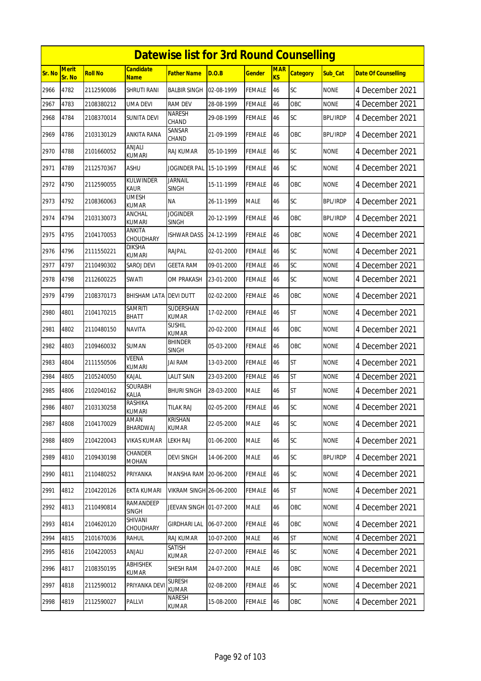|        | <b>Datewise list for 3rd Round Counselling</b> |                |                                 |                                 |            |               |                  |                 |                 |                            |  |  |
|--------|------------------------------------------------|----------------|---------------------------------|---------------------------------|------------|---------------|------------------|-----------------|-----------------|----------------------------|--|--|
| Sr. No | <b>Merit</b><br>Sr. No                         | <b>Roll No</b> | <b>Candidate</b><br>Name        | <b>Father Name</b>              | D.O.B      | <b>Gender</b> | <b>MAR</b><br>KS | <b>Category</b> | Sub_Cat         | <b>Date Of Counselling</b> |  |  |
| 2966   | 4782                                           | 2112590086     | SHRUTI RANI                     | <b>BALBIR SINGH</b>             | 02-08-1999 | <b>FEMALE</b> | 46               | SC              | <b>NONE</b>     | 4 December 2021            |  |  |
| 2967   | 4783                                           | 2108380212     | UMA DEVI                        | <b>RAM DEV</b>                  | 28-08-1999 | <b>FEMALE</b> | 46               | OBC             | <b>NONE</b>     | 4 December 2021            |  |  |
| 2968   | 4784                                           | 2108370014     | SUNITA DEVI                     | <b>NARESH</b><br>CHAND          | 29-08-1999 | <b>FEMALE</b> | 46               | SC              | <b>BPL/IRDP</b> | 4 December 2021            |  |  |
| 2969   | 4786                                           | 2103130129     | ANKITA RANA                     | SANSAR<br>CHAND                 | 21-09-1999 | <b>FEMALE</b> | 46               | OBC             | <b>BPL/IRDP</b> | 4 December 2021            |  |  |
| 2970   | 4788                                           | 2101660052     | ANJALI<br>kumari                | RAJ KUMAR                       | 05-10-1999 | <b>FEMALE</b> | 46               | SC              | <b>NONE</b>     | 4 December 2021            |  |  |
| 2971   | 4789                                           | 2112570367     | ASHU                            | <b>JOGINDER PAL</b>             | 15-10-1999 | <b>FEMALE</b> | 46               | <b>SC</b>       | <b>NONE</b>     | 4 December 2021            |  |  |
| 2972   | 4790                                           | 2112590055     | KULWINDER<br><b>KAUR</b>        | <b>JARNAIL</b><br><b>SINGH</b>  | 15-11-1999 | <b>FEMALE</b> | 46               | OBC             | none            | 4 December 2021            |  |  |
| 2973   | 4792                                           | 2108360063     | <b>UMESH</b><br><b>KUMAR</b>    | <b>NA</b>                       | 26-11-1999 | <b>MALE</b>   | 46               | SC              | <b>BPL/IRDP</b> | 4 December 2021            |  |  |
| 2974   | 4794                                           | 2103130073     | ANCHAL<br>KUMARI                | <b>JOGINDER</b><br><b>SINGH</b> | 20-12-1999 | <b>FEMALE</b> | 46               | OBC             | <b>BPL/IRDP</b> | 4 December 2021            |  |  |
| 2975   | 4795                                           | 2104170053     | ANKITA<br>CHOUDHARY             | <b>ISHWAR DASS</b>              | 24-12-1999 | FEMALE        | 46               | OBC             | <b>NONE</b>     | 4 December 2021            |  |  |
| 2976   | 4796                                           | 2111550221     | DIKSHA<br><b>KUMARI</b>         | RAJPAL                          | 02-01-2000 | <b>FEMALE</b> | 46               | SC              | <b>NONE</b>     | 4 December 2021            |  |  |
| 2977   | 4797                                           | 2110490302     | SAROJ DEVI                      | <b>GEETA RAM</b>                | 09-01-2000 | <b>FEMALE</b> | 46               | SC              | <b>NONE</b>     | 4 December 2021            |  |  |
| 2978   | 4798                                           | 2112600225     | SWATI                           | OM PRAKASH                      | 23-01-2000 | <b>FEMALE</b> | 46               | SC              | <b>NONE</b>     | 4 December 2021            |  |  |
| 2979   | 4799                                           | 2108370173     | BHISHAM LATA                    | <b>DEVI DUTT</b>                | 02-02-2000 | <b>FEMALE</b> | 46               | OBC             | <b>NONE</b>     | 4 December 2021            |  |  |
| 2980   | 4801                                           | 2104170215     | <b>SAMRITI</b><br>BHATT         | SUDERSHAN<br><b>KUMAR</b>       | 17-02-2000 | <b>FEMALE</b> | 46               | <b>ST</b>       | <b>NONE</b>     | 4 December 2021            |  |  |
| 2981   | 4802                                           | 2110480150     | <b>NAVITA</b>                   | <b>SUSHIL</b><br><b>KUMAR</b>   | 20-02-2000 | <b>FEMALE</b> | 46               | OBC             | <b>NONE</b>     | 4 December 2021            |  |  |
| 2982   | 4803                                           | 2109460032     | SUMAN                           | <b>BHINDER</b><br><b>SINGH</b>  | 05-03-2000 | FEMALE        | 46               | OBC             | <b>NONE</b>     | 4 December 2021            |  |  |
| 2983   | 4804                                           | 2111550506     | VEENA<br><b>KUMARI</b>          | <b>JAI RAM</b>                  | 13-03-2000 | <b>FEMALE</b> | 46               | <b>ST</b>       | <b>NONE</b>     | 4 December 2021            |  |  |
| 2984   | 4805                                           | 2105240050     | KAJAL                           | <b>LALIT SAIN</b>               | 23-03-2000 | <b>FEMALE</b> | 46               | <b>ST</b>       | <b>NONE</b>     | 4 December 2021            |  |  |
| 2985   | 4806                                           | 2102040162     | SOURABH<br>Kalia                | <b>BHURI SINGH</b>              | 28-03-2000 | <b>MALE</b>   | 46               | ST              | <b>NONE</b>     | 4 December 2021            |  |  |
| 2986   | 4807                                           | 2103130258     | <b>RASHIKA</b><br><b>KUMARI</b> | <b>TILAK RAJ</b>                | 02-05-2000 | FEMALE        | 46               | SC              | <b>NONE</b>     | 4 December 2021            |  |  |
| 2987   | 4808                                           | 2104170029     | AMAN<br>BHARDWAJ                | <b>KRISHAN</b><br>KUMAR         | 22-05-2000 | <b>MALE</b>   | 46               | <b>SC</b>       | <b>NONE</b>     | 4 December 2021            |  |  |
| 2988   | 4809                                           | 2104220043     | <b>VIKAS KUMAR</b>              | <b>LEKH RAJ</b>                 | 01-06-2000 | <b>MALE</b>   | 46               | SC              | <b>NONE</b>     | 4 December 2021            |  |  |
| 2989   | 4810                                           | 2109430198     | CHANDER<br><b>MOHAN</b>         | <b>DEVI SINGH</b>               | 14-06-2000 | <b>MALE</b>   | 46               | <b>SC</b>       | <b>BPL/IRDP</b> | 4 December 2021            |  |  |
| 2990   | 4811                                           | 2110480252     | PRIYANKA                        | MANSHA RAM 20-06-2000           |            | <b>FEMALE</b> | 46               | <b>SC</b>       | <b>NONE</b>     | 4 December 2021            |  |  |
| 2991   | 4812                                           | 2104220126     | EKTA KUMARI                     | <b>VIKRAM SINGH 26-06-2000</b>  |            | <b>FEMALE</b> | 46               | <b>ST</b>       | <b>NONE</b>     | 4 December 2021            |  |  |
| 2992   | 4813                                           | 2110490814     | RAMANDEEP<br><b>SINGH</b>       | JEEVAN SINGH 01-07-2000         |            | <b>MALE</b>   | 46               | OBC             | <b>NONE</b>     | 4 December 2021            |  |  |
| 2993   | 4814                                           | 2104620120     | SHIVANI<br>CHOUDHARY            | GIRDHARI LAL                    | 06-07-2000 | <b>FEMALE</b> | 46               | OBC             | <b>NONE</b>     | 4 December 2021            |  |  |
| 2994   | 4815                                           | 2101670036     | Rahul                           | RAJ KUMAR                       | 10-07-2000 | <b>MALE</b>   | 46               | <b>ST</b>       | <b>NONE</b>     | 4 December 2021            |  |  |
| 2995   | 4816                                           | 2104220053     | ANJALI                          | SATISH<br><b>KUMAR</b>          | 22-07-2000 | <b>FEMALE</b> | 46               | <b>SC</b>       | <b>NONE</b>     | 4 December 2021            |  |  |
| 2996   | 4817                                           | 2108350195     | <b>ABHISHEK</b><br>KUMAR        | SHESH RAM                       | 24-07-2000 | <b>MALE</b>   | 46               | OBC             | <b>NONE</b>     | 4 December 2021            |  |  |
| 2997   | 4818                                           | 2112590012     | PRIYANKA DEV                    | <b>SURESH</b><br><b>KUMAR</b>   | 02-08-2000 | <b>FEMALE</b> | 46               | <b>SC</b>       | <b>NONE</b>     | 4 December 2021            |  |  |
| 2998   | 4819                                           | 2112590027     | PALLVI                          | NARESH<br>KUMAR                 | 15-08-2000 | <b>FEMALE</b> | 46               | OBC             | <b>NONE</b>     | 4 December 2021            |  |  |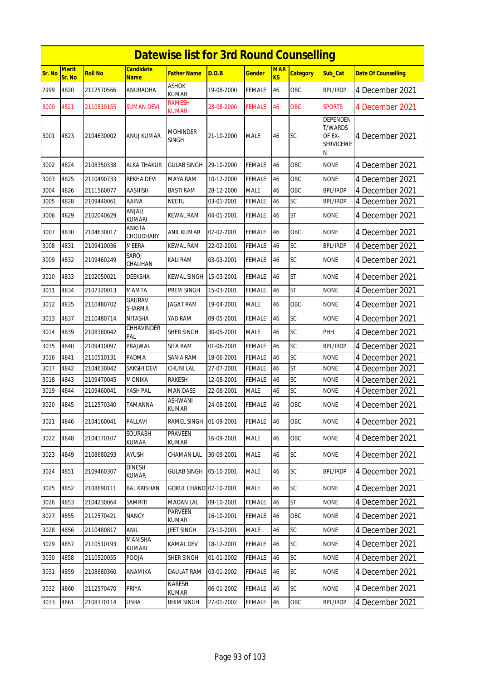|        |                        |            |                               | <b>Datewise list for 3rd Round Counselling</b> |            |               |                  |                 |                                                        |                            |
|--------|------------------------|------------|-------------------------------|------------------------------------------------|------------|---------------|------------------|-----------------|--------------------------------------------------------|----------------------------|
| Sr. No | <b>Merit</b><br>Sr. No | Roll No    | Candidate<br><b>Name</b>      | Father Name                                    | D.O.B      | <u>Gender</u> | <b>MAR</b><br>KS | <b>Category</b> | Sub_Cat                                                | <b>Date Of Counselling</b> |
| 2999   | 4820                   | 2112570566 | ANURADHA                      | ASHOK<br>KUMAR                                 | 19-08-2000 | FEMALE        | 46               | OBC             | <b>BPL/IRDP</b>                                        | 4 December 2021            |
| 3000   | 4821                   | 2110510155 | SUMAN DEVI                    | RAMESH<br>kumar                                | 23-08-2000 | <b>FEMALE</b> | 46               | <b>OBC</b>      | <b>SPORTS</b>                                          | 4 December 2021            |
| 3001   | 4823                   | 2104630002 | ANUJ KUMAR                    | Mohinder<br><b>SINGH</b>                       | 21-10-2000 | <b>MALE</b>   | 46               | <b>SC</b>       | DEPENDEN<br>T/WARDS<br>OF EX-<br><b>SERVICEME</b><br>Ν | 4 December 2021            |
| 3002   | 4824                   | 2108350338 | <b>ALKA THAKUR</b>            | <b>GULAB SINGH</b>                             | 29-10-2000 | FEMALE        | 46               | OBC             | <b>NONE</b>                                            | 4 December 2021            |
| 3003   | 4825                   | 2110490733 | <b>REKHA DEVI</b>             | MAYA RAM                                       | 10-12-2000 | <b>FEMALE</b> | 46               | OBC             | <b>NONE</b>                                            | 4 December 2021            |
| 3004   | 4826                   | 2111560077 | <b>AASHISH</b>                | <b>BASTI RAM</b>                               | 28-12-2000 | <b>MALE</b>   | 46               | OBC             | <b>BPL/IRDP</b>                                        | 4 December 2021            |
| 3005   | 4828                   | 2109440061 | AAINA                         | <b>NEETU</b>                                   | 03-01-2001 | FEMALE        | 46               | SC              | <b>BPL/IRDP</b>                                        | 4 December 2021            |
| 3006   | 4829                   | 2102040629 | ANJALI<br><b>KUMARI</b>       | KEWAL RAM                                      | 04-01-2001 | FEMALE        | 46               | ST              | <b>NONE</b>                                            | 4 December 2021            |
| 3007   | 4830                   | 2104630017 | ANKITA<br>CHOUDHARY           | ANIL KUMAR                                     | 07-02-2001 | FEMALE        | 46               | OBC             | <b>NONE</b>                                            | 4 December 2021            |
| 3008   | 4831                   | 2109410036 | <b>MEERA</b>                  | <b>KEWAL RAM</b>                               | 22-02-2001 | <b>FEMALE</b> | 46               | SC              | <b>BPL/IRDP</b>                                        | 4 December 2021            |
| 3009   | 4832                   | 2109460249 | SAROJ<br>CHAUHAN              | KALI RAM                                       | 03-03-2001 | FEMALE        | 46               | SC              | <b>NONE</b>                                            | 4 December 2021            |
| 3010   | 4833                   | 2102050021 | DEEKSHA                       | KEWAL SINGH                                    | 15-03-2001 | FEMALE        | 46               | <b>ST</b>       | <b>NONE</b>                                            | 4 December 2021            |
| 3011   | 4834                   | 2107320013 | <b>MAMTA</b>                  | PREM SINGH                                     | 15-03-2001 | FEMALE        | 46               | <b>ST</b>       | <b>NONE</b>                                            | 4 December 2021            |
| 3012   | 4835                   | 2110480702 | GAURAV<br>SHARMA              | <b>JAGAT RAM</b>                               | 19-04-2001 | <b>MALE</b>   | 46               | OBC             | <b>NONE</b>                                            | 4 December 2021            |
| 3013   | 4837                   | 2110480714 | <b>NITASHA</b>                | YAD RAM                                        | 09-05-2001 | FEMALE        | 46               | SC              | <b>NONE</b>                                            | 4 December 2021            |
| 3014   | 4839                   | 2108380042 | CHHAVINDER<br>PAL             | SHER SINGH                                     | 30-05-2001 | <b>MALE</b>   | 46               | SC              | PHH                                                    | 4 December 2021            |
| 3015   | 4840                   | 2109410097 | PRAJWAL                       | SITA RAM                                       | 01-06-2001 | FEMALE        | 46               | SC              | BPL/IRDP                                               | 4 December 2021            |
| 3016   | 4841                   | 2110510131 | <b>PADMA</b>                  | <b>SANIA RAM</b>                               | 18-06-2001 | FEMALE        | 46               | SC              | <b>NONE</b>                                            | 4 December 2021            |
| 3017   | 4842                   | 2104630042 | SAKSHI DEVI                   | CHUNI LAL                                      | 27-07-2001 | FEMALE        | 46               | <b>ST</b>       | <b>NONE</b>                                            | 4 December 2021            |
| 3018   | 4843                   | 2109470045 | MONIKA                        | RAKESH                                         | 12-08-2001 | FEMALE        | 46               | SC              | <b>NONE</b>                                            | 4 December 2021            |
| 3019   | 4844                   | 2109460041 | YASH PAL                      | MAN DASS                                       | 22-08-2001 | MALE          | 46               | SC              | <b>NONE</b>                                            | 4 December 2021            |
| 3020   | 4845                   | 2112570340 | TAMANNA                       | <b>ASHWANI</b><br>KUMAR                        | 24-08-2001 | <b>FEMALE</b> | 46               | OBC             | <b>NONE</b>                                            | 4 December 2021            |
| 3021   | 4846                   | 2104160041 | PALLAVI                       | RAMEL SINGH                                    | 01-09-2001 | FEMALE        | 46               | OBC             | <b>NONE</b>                                            | 4 December 2021            |
| 3022   | 4848                   | 2104170107 | SOURABH<br>KUMAR              | PRAVEEN<br><b>KUMAR</b>                        | 16-09-2001 | MALE          | 46               | OBC             | <b>NONE</b>                                            | 4 December 2021            |
| 3023   | 4849                   | 2108680293 | AYUSH                         | <b>CHAMAN LAL</b>                              | 30-09-2001 | MALE          | 46               | <b>SC</b>       | <b>NONE</b>                                            | 4 December 2021            |
| 3024   | 4851                   | 2109460307 | <b>DINESH</b><br><b>KUMAR</b> | GULAB SINGH                                    | 05-10-2001 | MALE          | 46               | <b>SC</b>       | <b>BPL/IRDP</b>                                        | 4 December 2021            |
| 3025   | 4852                   | 2108690111 | <b>BAL KRISHAN</b>            | GOKUL CHAND 07-10-2001                         |            | MALE          | 46               | <b>SC</b>       | <b>NONE</b>                                            | 4 December 2021            |
| 3026   | 4853                   | 2104230064 | <b>SAMRITI</b>                | <b>MADAN LAL</b>                               | 09-10-2001 | <b>FEMALE</b> | 46               | <b>ST</b>       | <b>NONE</b>                                            | 4 December 2021            |
| 3027   | 4855                   | 2112570421 | NANCY                         | <b>PARVEEN</b><br>KUMAR                        | 16-10-2001 | FEMALE        | 46               | OBC             | <b>NONE</b>                                            | 4 December 2021            |
| 3028   | 4856                   | 2110480817 | ANIL                          | JEET SINGH                                     | 23-10-2001 | MALE          | 46               | SC              | <b>NONE</b>                                            | 4 December 2021            |
| 3029   | 4857                   | 2110510193 | MANISHA<br><b>KUMARI</b>      | KAMAL DEV                                      | 18-12-2001 | <b>FEMALE</b> | 46               | <b>SC</b>       | <b>NONE</b>                                            | 4 December 2021            |
| 3030   | 4858                   | 2110520055 | POOJA                         | SHER SINGH                                     | 01-01-2002 | <b>FEMALE</b> | 46               | <b>SC</b>       | <b>NONE</b>                                            | 4 December 2021            |
| 3031   | 4859                   | 2108680360 | ANAMIKA                       | <b>DAULAT RAM</b>                              | 03-01-2002 | <b>FEMALE</b> | 46               | <b>SC</b>       | <b>NONE</b>                                            | 4 December 2021            |
| 3032   | 4860                   | 2112570470 | PRIYA                         | NARESH<br><b>KUMAR</b>                         | 06-01-2002 | FEMALE        | 46               | <b>SC</b>       | <b>NONE</b>                                            | 4 December 2021            |
| 3033   | 4861                   | 2108370114 | USHA                          | <b>BHIM SINGH</b>                              | 27-01-2002 | FEMALE        | 46               | OBC             | BPL/IRDP                                               | 4 December 2021            |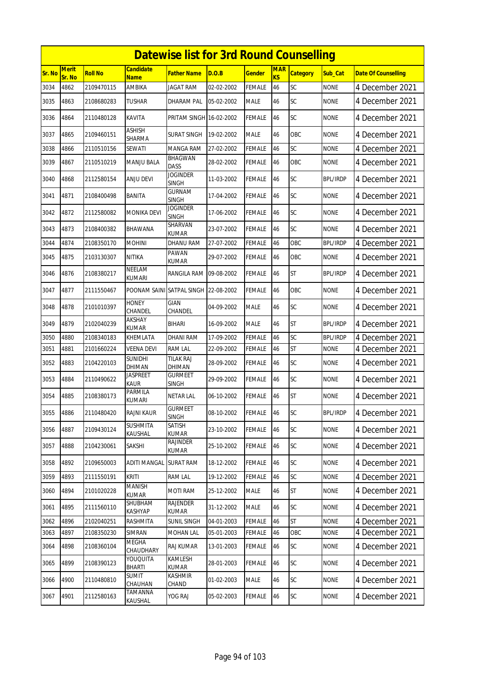|        | <b>Datewise list for 3rd Round Counselling</b> |                |                                      |                                   |            |               |                  |                 |                 |                            |  |  |
|--------|------------------------------------------------|----------------|--------------------------------------|-----------------------------------|------------|---------------|------------------|-----------------|-----------------|----------------------------|--|--|
| Sr. No | <b>Merit</b><br>Sr. No                         | <b>Roll No</b> | <b>Candidate</b><br><b>Name</b>      | <b>Father Name</b>                | D.O.B      | <b>Gender</b> | <b>MAR</b><br>KS | <b>Category</b> | Sub Cat         | <b>Date Of Counselling</b> |  |  |
| 3034   | 4862                                           | 2109470115     | <b>AMBIKA</b>                        | <b>JAGAT RAM</b>                  | 02-02-2002 | <b>FEMALE</b> | 46               | SC              | <b>NONE</b>     | 4 December 2021            |  |  |
| 3035   | 4863                                           | 2108680283     | <b>TUSHAR</b>                        | DHARAM PAL                        | 05-02-2002 | <b>MALE</b>   | 46               | SC              | <b>NONE</b>     | 4 December 2021            |  |  |
| 3036   | 4864                                           | 2110480128     | KAVITA                               | PRITAM SINGH 16-02-2002           |            | <b>FEMALE</b> | 46               | SC              | <b>NONE</b>     | 4 December 2021            |  |  |
| 3037   | 4865                                           | 2109460151     | <b>ASHISH</b><br><b>SHARMA</b>       | <b>SURAT SINGH</b>                | 19-02-2002 | <b>MALE</b>   | 46               | OBC             | <b>NONE</b>     | 4 December 2021            |  |  |
| 3038   | 4866                                           | 2110510156     | SEWATI                               | MANGA RAM                         | 27-02-2002 | <b>FEMALE</b> | 46               | SC              | <b>NONE</b>     | 4 December 2021            |  |  |
| 3039   | 4867                                           | 2110510219     | <b>MANJU BALA</b>                    | <b>BHAGWAN</b><br><b>DASS</b>     | 28-02-2002 | <b>FEMALE</b> | 46               | OBC             | <b>NONE</b>     | 4 December 2021            |  |  |
| 3040   | 4868                                           | 2112580154     | <b>ANJU DEVI</b>                     | <b>JOGINDER</b><br><b>SINGH</b>   | 11-03-2002 | <b>FEMALE</b> | 46               | <b>SC</b>       | <b>BPL/IRDP</b> | 4 December 2021            |  |  |
| 3041   | 4871                                           | 2108400498     | BANITA                               | <b>GURNAM</b><br><b>SINGH</b>     | 17-04-2002 | <b>FEMALE</b> | 46               | SC              | <b>NONE</b>     | 4 December 2021            |  |  |
| 3042   | 4872                                           | 2112580082     | <b>MONIKA DEVI</b>                   | <b>JOGINDER</b><br><b>SINGH</b>   | 17-06-2002 | <b>FEMALE</b> | 46               | SC              | <b>NONE</b>     | 4 December 2021            |  |  |
| 3043   | 4873                                           | 2108400382     | <b>BHAWANA</b>                       | SHARVAN<br><b>KUMAR</b>           | 23-07-2002 | <b>FEMALE</b> | 46               | SC              | <b>NONE</b>     | 4 December 2021            |  |  |
| 3044   | 4874                                           | 2108350170     | <b>MOHINI</b>                        | DHANU RAM                         | 27-07-2002 | <b>FEMALE</b> | 46               | OBC             | <b>BPL/IRDP</b> | 4 December 2021            |  |  |
| 3045   | 4875                                           | 2103130307     | <b>NITIKA</b>                        | <b>PAWAN</b><br><b>KUMAR</b>      | 29-07-2002 | <b>FEMALE</b> | 46               | OBC             | <b>NONE</b>     | 4 December 2021            |  |  |
| 3046   | 4876                                           | 2108380217     | NEELAM<br>KUMARI                     | RANGILA RAM                       | 09-08-2002 | <b>FEMALE</b> | 46               | <b>ST</b>       | <b>BPL/IRDP</b> | 4 December 2021            |  |  |
| 3047   | 4877                                           | 2111550467     | POONAM SAINI SATPAL SINGH 22-08-2002 |                                   |            | <b>FEMALE</b> | 46               | OBC             | <b>NONE</b>     | 4 December 2021            |  |  |
| 3048   | 4878                                           | 2101010397     | <b>HONEY</b><br>CHANDEL              | <b>GIAN</b><br>CHANDEL            | 04-09-2002 | <b>MALE</b>   | 46               | SC              | <b>NONE</b>     | 4 December 2021            |  |  |
| 3049   | 4879                                           | 2102040239     | <b>AKSHAY</b><br><b>KUMAR</b>        | <b>BIHARI</b>                     | 16-09-2002 | <b>MALE</b>   | 46               | <b>ST</b>       | <b>BPL/IRDP</b> | 4 December 2021            |  |  |
| 3050   | 4880                                           | 2108340183     | KHEMLATA                             | <b>DHANI RAM</b>                  | 17-09-2002 | <b>FEMALE</b> | 46               | SC              | <b>BPL/IRDP</b> | 4 December 2021            |  |  |
| 3051   | 4881                                           | 2101660224     | <b>VEENA DEVI</b>                    | <b>RAM LAL</b>                    | 22-09-2002 | <b>FEMALE</b> | 46               | <b>ST</b>       | <b>NONE</b>     | 4 December 2021            |  |  |
| 3052   | 4883                                           | 2104220103     | <b>SUNIDHI</b><br>DHIMAN             | <b>TILAK RAJ</b><br><b>DHIMAN</b> | 28-09-2002 | <b>FEMALE</b> | 46               | SC              | <b>NONE</b>     | 4 December 2021            |  |  |
| 3053   | 4884                                           | 2110490622     | Jaspreet<br>Kaur                     | <b>GURMEET</b><br>SINGH           | 29-09-2002 | <b>FEMALE</b> | 46               | SC              | <b>NONE</b>     | 4 December 2021            |  |  |
| 3054   | 4885                                           | 2108380173     | PARMILA<br>kumari                    | <b>NETAR LAL</b>                  | 06-10-2002 | <b>FEMALE</b> | 46               | <b>ST</b>       | <b>NONE</b>     | 4 December 2021            |  |  |
| 3055   | 4886                                           | 2110480420     | <b>RAJNI KAUR</b>                    | <b>GURMEET</b><br><b>SINGH</b>    | 08-10-2002 | <b>FEMALE</b> | 46               | SC              | <b>BPL/IRDP</b> | 4 December 2021            |  |  |
| 3056   | 4887                                           | 2109430124     | <b>SUSHMITA</b><br>KAUSHAL           | SATISH<br><b>KUMAR</b>            | 23-10-2002 | <b>FEMALE</b> | 46               | SC              | <b>NONE</b>     | 4 December 2021            |  |  |
| 3057   | 4888                                           | 2104230061     | SAKSHI                               | RAJINDER<br><b>KUMAR</b>          | 25-10-2002 | <b>FEMALE</b> | 46               | <b>SC</b>       | <b>NONE</b>     | 4 December 2021            |  |  |
| 3058   | 4892                                           | 2109650003     | ADITI MANGAL                         | <b>SURAT RAM</b>                  | 18-12-2002 | FEMALE        | 46               | <b>SC</b>       | <b>NONE</b>     | 4 December 2021            |  |  |
| 3059   | 4893                                           | 2111550191     | kriti                                | RAM LAL                           | 19-12-2002 | <b>FEMALE</b> | 46               | SC              | <b>NONE</b>     | 4 December 2021            |  |  |
| 3060   | 4894                                           | 2101020228     | <b>MANISH</b><br>KUMAR               | MOTI RAM                          | 25-12-2002 | <b>MALE</b>   | 46               | <b>ST</b>       | <b>NONE</b>     | 4 December 2021            |  |  |
| 3061   | 4895                                           | 2111560110     | SHUBHAM<br>KASHYAP                   | <b>RAJENDER</b><br><b>KUMAR</b>   | 31-12-2002 | <b>MALE</b>   | 46               | <b>SC</b>       | <b>NONE</b>     | 4 December 2021            |  |  |
| 3062   | 4896                                           | 2102040251     | RASHMITA                             | <b>SUNIL SINGH</b>                | 04-01-2003 | <b>FEMALE</b> | 46               | <b>ST</b>       | <b>NONE</b>     | 4 December 2021            |  |  |
| 3063   | 4897                                           | 2108350230     | SIMRAN                               | <b>MOHAN LAL</b>                  | 05-01-2003 | <b>FEMALE</b> | 46               | OBC             | <b>NONE</b>     | 4 December 2021            |  |  |
| 3064   | 4898                                           | 2108360104     | MEGHA<br>CHAUDHARY                   | RAJ KUMAR                         | 13-01-2003 | FEMALE        | 46               | <b>SC</b>       | <b>NONE</b>     | 4 December 2021            |  |  |
| 3065   | 4899                                           | 2108390123     | YOUQUITA<br>BHARTI                   | KAMLESH<br><b>KUMAR</b>           | 28-01-2003 | <b>FEMALE</b> | 46               | <b>SC</b>       | <b>NONE</b>     | 4 December 2021            |  |  |
| 3066   | 4900                                           | 2110480810     | <b>SUMIT</b><br>CHAUHAN              | KASHMIR<br>CHAND                  | 01-02-2003 | MALE          | 46               | SC              | <b>NONE</b>     | 4 December 2021            |  |  |
| 3067   | 4901                                           | 2112580163     | TAMANNA<br>KAUSHAL                   | YOG RAJ                           | 05-02-2003 | <b>FEMALE</b> | 46               | SC              | <b>NONE</b>     | 4 December 2021            |  |  |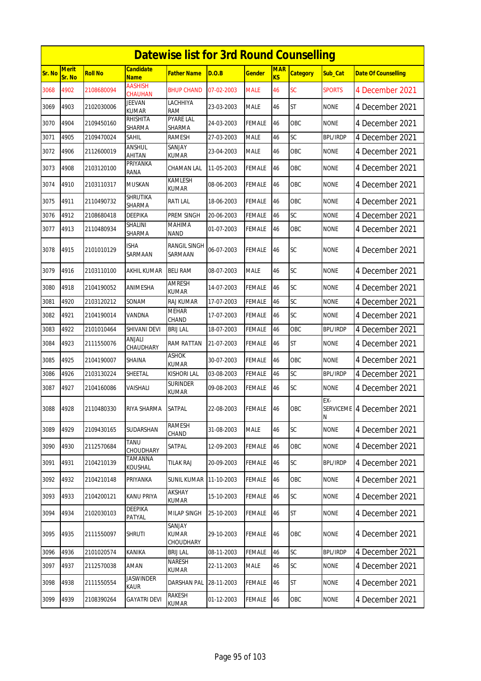|        | <b>Datewise list for 3rd Round Counselling</b> |                |                                  |                                   |            |               |                              |                 |                 |                            |  |  |
|--------|------------------------------------------------|----------------|----------------------------------|-----------------------------------|------------|---------------|------------------------------|-----------------|-----------------|----------------------------|--|--|
| Sr. No | Merit<br>Sr. No                                | <b>Roll No</b> | <b>Candidate</b><br><b>Name</b>  | <b>Father Name</b>                | D.O.B      | <b>Gender</b> | <b>MAR</b><br>K <sub>S</sub> | <b>Category</b> | Sub_Cat         | <b>Date Of Counselling</b> |  |  |
| 3068   | 4902                                           | 2108680094     | <b>AASHISH</b><br><b>CHAUHAN</b> | <b>BHUP CHAND</b>                 | 07-02-2003 | <b>MALE</b>   | 46                           | SC              | <b>SPORTS</b>   | 4 December 2021            |  |  |
| 3069   | 4903                                           | 2102030006     | <b>JEEVAN</b><br><b>KUMAR</b>    | LACHHIYA<br><b>RAM</b>            | 23-03-2003 | <b>MALE</b>   | 46                           | <b>ST</b>       | none            | 4 December 2021            |  |  |
| 3070   | 4904                                           | 2109450160     | <b>RHISHITA</b><br>SHARMA        | <b>PYARE LAL</b><br><b>SHARMA</b> | 24-03-2003 | <b>FEMALE</b> | 46                           | OBC             | <b>NONE</b>     | 4 December 2021            |  |  |
| 3071   | 4905                                           | 2109470024     | SAHIL                            | <b>RAMESH</b>                     | 27-03-2003 | <b>MALE</b>   | 46                           | SC              | <b>BPL/IRDP</b> | 4 December 2021            |  |  |
| 3072   | 4906                                           | 2112600019     | ANSHUL<br><b>AHITAN</b>          | SANJAY<br>KUMAR                   | 23-04-2003 | <b>MALE</b>   | 46                           | OBC             | <b>NONE</b>     | 4 December 2021            |  |  |
| 3073   | 4908                                           | 2103120100     | PRIYANKA<br>RANA                 | CHAMAN LAL                        | 11-05-2003 | <b>FEMALE</b> | 46                           | OBC             | <b>NONE</b>     | 4 December 2021            |  |  |
| 3074   | 4910                                           | 2103110317     | <b>MUSKAN</b>                    | KAMLESH<br><b>KUMAR</b>           | 08-06-2003 | <b>FEMALE</b> | 46                           | OBC             | <b>NONE</b>     | 4 December 2021            |  |  |
| 3075   | 4911                                           | 2110490732     | <b>SHRUTIKA</b><br>SHARMA        | <b>RATILAL</b>                    | 18-06-2003 | <b>FEMALE</b> | 46                           | OBC             | <b>NONE</b>     | 4 December 2021            |  |  |
| 3076   | 4912                                           | 2108680418     | DEEPIKA                          | PREM SINGH                        | 20-06-2003 | <b>FEMALE</b> | 46                           | SC              | <b>NONE</b>     | 4 December 2021            |  |  |
| 3077   | 4913                                           | 2110480934     | SHALINI<br><b>SHARMA</b>         | <b>MAHIMA</b><br><b>NAND</b>      | 01-07-2003 | <b>FEMALE</b> | 46                           | OBC             | <b>NONE</b>     | 4 December 2021            |  |  |
| 3078   | 4915                                           | 2101010129     | ISHA<br>SARMAAN                  | <b>RANGIL SINGH</b><br>SARMAAN    | 06-07-2003 | FEMALE        | 46                           | SC              | <b>NONE</b>     | 4 December 2021            |  |  |
| 3079   | 4916                                           | 2103110100     | AKHIL KUMAR                      | <b>BELI RAM</b>                   | 08-07-2003 | <b>MALE</b>   | 46                           | <b>SC</b>       | <b>NONE</b>     | 4 December 2021            |  |  |
| 3080   | 4918                                           | 2104190052     | ANIMESHA                         | <b>AMRESH</b><br><b>KUMAR</b>     | 14-07-2003 | FEMALE        | 46                           | SC              | <b>NONE</b>     | 4 December 2021            |  |  |
| 3081   | 4920                                           | 2103120212     | SONAM                            | RAJ KUMAR                         | 17-07-2003 | <b>FEMALE</b> | 46                           | SC              | <b>NONE</b>     | 4 December 2021            |  |  |
| 3082   | 4921                                           | 2104190014     | VANDNA                           | <b>MEHAR</b><br>CHAND             | 17-07-2003 | <b>FEMALE</b> | 46                           | SC              | <b>NONE</b>     | 4 December 2021            |  |  |
| 3083   | 4922                                           | 2101010464     | SHIVANI DEVI                     | <b>BRIJ LAL</b>                   | 18-07-2003 | <b>FEMALE</b> | 46                           | OBC             | <b>BPL/IRDP</b> | 4 December 2021            |  |  |
| 3084   | 4923                                           | 2111550076     | <b>ANJALI</b><br>CHAUDHARY       | RAM RATTAN                        | 21-07-2003 | <b>FEMALE</b> | 46                           | <b>ST</b>       | <b>NONE</b>     | 4 December 2021            |  |  |
| 3085   | 4925                                           | 2104190007     | SHAINA                           | ASHOK<br><b>KUMAR</b>             | 30-07-2003 | <b>FEMALE</b> | 46                           | OBC             | <b>NONE</b>     | 4 December 2021            |  |  |
| 3086   | 4926                                           | 2103130224     | SHEETAL                          | <b>KISHORI LAL</b>                | 03-08-2003 | <b>FEMALE</b> | 46                           | SC              | <b>BPL/IRDP</b> | 4 December 2021            |  |  |
| 3087   | 4927                                           | 2104160086     | VAISHALI                         | <b>SURINDER</b><br>KUMAR          | 09-08-2003 | <b>FEMALE</b> | 46                           | SC              | <b>NONE</b>     | 4 December 2021            |  |  |
| 3088   | 4928                                           | 2110480330     | RIYA SHARMA                      | SATPAL                            | 22-08-2003 | <b>FEMALE</b> | 46                           | OBC             | EX-<br>N        | SERVICEME 4 December 2021  |  |  |
| 3089   | 4929                                           | 2109430165     | SUDARSHAN                        | <b>RAMESH</b><br>CHAND            | 31-08-2003 | <b>MALE</b>   | 46                           | <b>SC</b>       | <b>NONE</b>     | 4 December 2021            |  |  |
| 3090   | 4930                                           | 2112570684     | TANU<br>CHOUDHARY                | SATPAL                            | 12-09-2003 | <b>FEMALE</b> | 46                           | OBC             | <b>NONE</b>     | 4 December 2021            |  |  |
| 3091   | 4931                                           | 2104210139     | TAMANNA<br>KOUSHAL               | <b>TILAK RAJ</b>                  | 20-09-2003 | <b>FEMALE</b> | 46                           | <b>SC</b>       | <b>BPL/IRDP</b> | 4 December 2021            |  |  |
| 3092   | 4932                                           | 2104210148     | PRIYANKA                         | <b>SUNIL KUMAR</b>                | 11-10-2003 | <b>FEMALE</b> | 46                           | OBC             | <b>NONE</b>     | 4 December 2021            |  |  |
| 3093   | 4933                                           | 2104200121     | KANU PRIYA                       | AKSHAY<br>KUMAR                   | 15-10-2003 | <b>FEMALE</b> | 46                           | <b>SC</b>       | <b>NONE</b>     | 4 December 2021            |  |  |
| 3094   | 4934                                           | 2102030103     | DEEPIKA<br>PATYAL                | <b>MILAP SINGH</b>                | 25-10-2003 | <b>FEMALE</b> | 46                           | ST              | <b>NONE</b>     | 4 December 2021            |  |  |
| 3095   | 4935                                           | 2111550097     | <b>SHRUTI</b>                    | SANJAY<br>KUMAR<br>CHOUDHARY      | 29-10-2003 | <b>FEMALE</b> | 46                           | OBC             | <b>NONE</b>     | 4 December 2021            |  |  |
| 3096   | 4936                                           | 2101020574     | KANIKA                           | <b>BRIJ LAL</b>                   | 08-11-2003 | <b>FEMALE</b> | 46                           | SC              | <b>BPL/IRDP</b> | 4 December 2021            |  |  |
| 3097   | 4937                                           | 2112570038     | AMAN                             | NARESH<br>KUMAR                   | 22-11-2003 | <b>MALE</b>   | 46                           | <b>SC</b>       | <b>NONE</b>     | 4 December 2021            |  |  |
| 3098   | 4938                                           | 2111550554     | <b>JASWINDER</b><br>KAUR         | DARSHAN PAL                       | 28-11-2003 | FEMALE        | 46                           | <b>ST</b>       | <b>NONE</b>     | 4 December 2021            |  |  |
| 3099   | 4939                                           | 2108390264     | <b>GAYATRI DEVI</b>              | RAKESH<br>KUMAR                   | 01-12-2003 | <b>FEMALE</b> | 46                           | OBC             | <b>NONE</b>     | 4 December 2021            |  |  |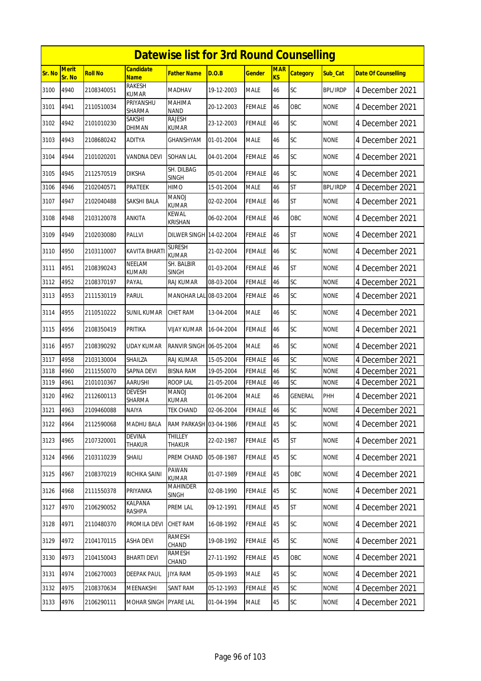|        | <b>Datewise list for 3rd Round Counselling</b> |                |                                 |                                 |            |               |                  |                 |                 |                            |  |  |
|--------|------------------------------------------------|----------------|---------------------------------|---------------------------------|------------|---------------|------------------|-----------------|-----------------|----------------------------|--|--|
| Sr. No | <b>Merit</b><br>Sr. No                         | <b>Roll No</b> | <b>Candidate</b><br><b>Name</b> | <b>Father Name</b>              | D.O.B      | <b>Gender</b> | <b>MAR</b><br>KS | <b>Category</b> | Sub Cat         | <b>Date Of Counselling</b> |  |  |
| 3100   | 4940                                           | 2108340051     | <b>RAKESH</b><br><b>KUMAR</b>   | <b>MADHAV</b>                   | 19-12-2003 | <b>MALE</b>   | 46               | SC              | <b>BPL/IRDP</b> | 4 December 2021            |  |  |
| 3101   | 4941                                           | 2110510034     | PRIYANSHU<br>SHARMA             | <b>MAHIMA</b><br><b>NAND</b>    | 20-12-2003 | <b>FEMALE</b> | 46               | OBC             | <b>NONE</b>     | 4 December 2021            |  |  |
| 3102   | 4942                                           | 2101010230     | SAKSHI<br>DHIMAN                | <b>RAJESH</b><br>KUMAR          | 23-12-2003 | <b>FEMALE</b> | 46               | SC              | <b>NONE</b>     | 4 December 2021            |  |  |
| 3103   | 4943                                           | 2108680242     | <b>ADITYA</b>                   | GHANSHYAM                       | 01-01-2004 | <b>MALE</b>   | 46               | <b>SC</b>       | <b>NONE</b>     | 4 December 2021            |  |  |
| 3104   | 4944                                           | 2101020201     | VANDNA DEVI                     | SOHAN LAL                       | 04-01-2004 | <b>FEMALE</b> | 46               | SC              | <b>NONE</b>     | 4 December 2021            |  |  |
| 3105   | 4945                                           | 2112570519     | <b>DIKSHA</b>                   | SH. DILBAG<br><b>SINGH</b>      | 05-01-2004 | <b>FEMALE</b> | 46               | SC              | <b>NONE</b>     | 4 December 2021            |  |  |
| 3106   | 4946                                           | 2102040571     | <b>PRATEEK</b>                  | <b>HIMO</b>                     | 15-01-2004 | <b>MALE</b>   | 46               | <b>ST</b>       | <b>BPL/IRDP</b> | 4 December 2021            |  |  |
| 3107   | 4947                                           | 2102040488     | SAKSHI BALA                     | <b>MANOJ</b><br><b>KUMAR</b>    | 02-02-2004 | <b>FEMALE</b> | 46               | <b>ST</b>       | <b>NONE</b>     | 4 December 2021            |  |  |
| 3108   | 4948                                           | 2103120078     | <b>ANKITA</b>                   | <b>KEWAL</b><br><b>KRISHAN</b>  | 06-02-2004 | <b>FEMALE</b> | 46               | OBC             | <b>NONE</b>     | 4 December 2021            |  |  |
| 3109   | 4949                                           | 2102030080     | <b>PALLVI</b>                   | <b>DILWER SINGH 14-02-2004</b>  |            | <b>FEMALE</b> | 46               | <b>ST</b>       | <b>NONE</b>     | 4 December 2021            |  |  |
| 3110   | 4950                                           | 2103110007     | <b>KAVITA BHART</b>             | <b>SURESH</b><br><b>KUMAR</b>   | 21-02-2004 | <b>FEMALE</b> | 46               | SC              | <b>NONE</b>     | 4 December 2021            |  |  |
| 3111   | 4951                                           | 2108390243     | <b>NEELAM</b><br><b>KUMARI</b>  | SH. BALBIR<br>SINGH             | 01-03-2004 | <b>FEMALE</b> | 46               | <b>ST</b>       | <b>NONE</b>     | 4 December 2021            |  |  |
| 3112   | 4952                                           | 2108370197     | PAYAL                           | RAJ KUMAR                       | 08-03-2004 | <b>FEMALE</b> | 46               | SC              | <b>NONE</b>     | 4 December 2021            |  |  |
| 3113   | 4953                                           | 2111530119     | <b>PARUL</b>                    | MANOHAR LAL 08-03-2004          |            | <b>FEMALE</b> | 46               | SC              | <b>NONE</b>     | 4 December 2021            |  |  |
| 3114   | 4955                                           | 2110510222     | <b>SUNIL KUMAR</b>              | <b>CHET RAM</b>                 | 13-04-2004 | <b>MALE</b>   | 46               | SC              | <b>NONE</b>     | 4 December 2021            |  |  |
| 3115   | 4956                                           | 2108350419     | PRITIKA                         | VIJAY KUMAR                     | 16-04-2004 | <b>FEMALE</b> | 46               | <b>SC</b>       | <b>NONE</b>     | 4 December 2021            |  |  |
| 3116   | 4957                                           | 2108390292     | UDAY KUMAR                      | RANVIR SINGH 06-05-2004         |            | <b>MALE</b>   | 46               | SC              | <b>NONE</b>     | 4 December 2021            |  |  |
| 3117   | 4958                                           | 2103130004     | <b>SHAILZA</b>                  | <b>RAJ KUMAR</b>                | 15-05-2004 | <b>FEMALE</b> | 46               | SC              | <b>NONE</b>     | 4 December 2021            |  |  |
| 3118   | 4960                                           | 2111550070     | <b>SAPNA DEVI</b>               | <b>BISNA RAM</b>                | 19-05-2004 | <b>FEMALE</b> | 46               | SC              | <b>NONE</b>     | 4 December 2021            |  |  |
| 3119   | 4961                                           | 2101010367     | AARUSHI                         | <b>ROOP LAL</b>                 | 21-05-2004 | <b>FEMALE</b> | 46               | SC              | <b>NONE</b>     | 4 December 2021            |  |  |
| 3120   | 4962                                           | 2112600113     | DEVESH<br>SHARMA                | <b>MANOJ</b><br><b>KUMAR</b>    | 01-06-2004 | <b>MALE</b>   | 46               | <b>GENERAL</b>  | PHH             | 4 December 2021            |  |  |
| 3121   | 4963                                           | 2109460088     | <b>NAIYA</b>                    | <b>TEK CHAND</b>                | 02-06-2004 | <b>FEMALE</b> | <b>46</b>        | SC              | <b>NONE</b>     | 4 December 2021            |  |  |
| 3122   | 4964                                           | 2112590068     | MADHU BALA                      | RAM PARKASH 03-04-1986          |            | <b>FEMALE</b> | 45               | SC              | <b>NONE</b>     | 4 December 2021            |  |  |
| 3123   | 4965                                           | 2107320001     | <b>DEVINA</b><br>THAKUR         | <b>THILLEY</b><br>THAKUR        | 22-02-1987 | <b>FEMALE</b> | 45               | <b>ST</b>       | <b>NONE</b>     | 4 December 2021            |  |  |
| 3124   | 4966                                           | 2103110239     | Shaili                          | PREM CHAND                      | 05-08-1987 | FEMALE        | 45               | <b>SC</b>       | <b>NONE</b>     | 4 December 2021            |  |  |
| 3125   | 4967                                           | 2108370219     | RICHIKA SAINI                   | PAWAN<br><b>KUMAR</b>           | 01-07-1989 | <b>FEMALE</b> | 45               | OBC             | <b>NONE</b>     | 4 December 2021            |  |  |
| 3126   | 4968                                           | 2111550378     | PRIYANKA                        | <b>MAHINDER</b><br><b>SINGH</b> | 02-08-1990 | <b>FEMALE</b> | 45               | <b>SC</b>       | <b>NONE</b>     | 4 December 2021            |  |  |
| 3127   | 4970                                           | 2106290052     | KALPANA<br>RASHPA               | PREM LAL                        | 09-12-1991 | <b>FEMALE</b> | 45               | <b>ST</b>       | <b>NONE</b>     | 4 December 2021            |  |  |
| 3128   | 4971                                           | 2110480370     | PROMILA DEVI                    | <b>CHET RAM</b>                 | 16-08-1992 | <b>FEMALE</b> | 45               | SC              | <b>NONE</b>     | 4 December 2021            |  |  |
| 3129   | 4972                                           | 2104170115     | <b>ASHA DEVI</b>                | RAMESH<br>CHAND                 | 19-08-1992 | <b>FEMALE</b> | 45               | <b>SC</b>       | <b>NONE</b>     | 4 December 2021            |  |  |
| 3130   | 4973                                           | 2104150043     | <b>BHARTI DEVI</b>              | RAMESH<br>CHAND                 | 27-11-1992 | <b>FEMALE</b> | 45               | OBC             | <b>NONE</b>     | 4 December 2021            |  |  |
| 3131   | 4974                                           | 2106270003     | <b>DEEPAK PAUL</b>              | <b>JIYA RAM</b>                 | 05-09-1993 | <b>MALE</b>   | 45               | SC              | <b>NONE</b>     | 4 December 2021            |  |  |
| 3132   | 4975                                           | 2108370634     | MEENAKSHI                       | SANT RAM                        | 05-12-1993 | <b>FEMALE</b> | 45               | SC              | <b>NONE</b>     | 4 December 2021            |  |  |
| 3133   | 4976                                           | 2106290111     | MOHAR SINGH                     | <b>PYARE LAL</b>                | 01-04-1994 | <b>MALE</b>   | 45               | <b>SC</b>       | <b>NONE</b>     | 4 December 2021            |  |  |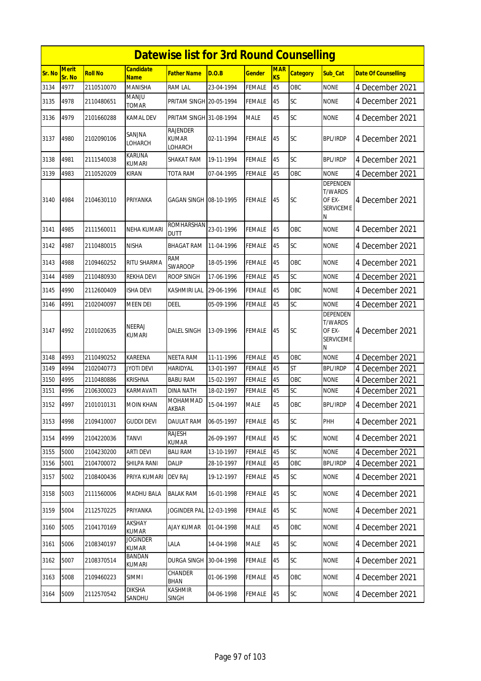|               | <b>Datewise list for 3rd Round Counselling</b> |                |                                 |                                            |            |               |                  |                 |                                                               |                            |  |
|---------------|------------------------------------------------|----------------|---------------------------------|--------------------------------------------|------------|---------------|------------------|-----------------|---------------------------------------------------------------|----------------------------|--|
| <b>Sr. No</b> | <b>Merit</b><br>Sr. No                         | <b>Roll No</b> | <b>Candidate</b><br>Name        | Father Name                                | D.O.B      | Gender        | <b>MAR</b><br>KS | <b>Category</b> | Sub Cat                                                       | <b>Date Of Counselling</b> |  |
| 3134          | 4977                                           | 2110510070     | <b>MANISHA</b>                  | <b>RAM LAL</b>                             | 23-04-1994 | FEMALE        | 45               | OBC             | <b>NONE</b>                                                   | 4 December 2021            |  |
| 3135          | 4978                                           | 2110480651     | <b>MANJU</b><br><b>TOMAR</b>    | PRITAM SINGH 20-05-1994                    |            | FEMALE        | 45               | SC              | <b>NONE</b>                                                   | 4 December 2021            |  |
| 3136          | 4979                                           | 2101660288     | KAMAL DEV                       | PRITAM SINGH 31-08-1994                    |            | MALE          | 45               | SC              | <b>NONE</b>                                                   | 4 December 2021            |  |
| 3137          | 4980                                           | 2102090106     | SANJNA<br>LOHARCH               | <b>RAJENDER</b><br><b>KUMAR</b><br>LOHARCH | 02-11-1994 | FEMALE        | 45               | SC              | <b>BPL/IRDP</b>                                               | 4 December 2021            |  |
| 3138          | 4981                                           | 2111540038     | KARUNA<br><b>KUMARI</b>         | SHAKAT RAM                                 | 19-11-1994 | FEMALE        | 45               | SC              | <b>BPL/IRDP</b>                                               | 4 December 2021            |  |
| 3139          | 4983                                           | 2110520209     | KIRAN                           | TOTA RAM                                   | 07-04-1995 | FEMALE        | 45               | OBC             | <b>NONE</b>                                                   | 4 December 2021            |  |
| 3140          | 4984                                           | 2104630110     | PRIYANKA                        | GAGAN SINGH 108-10-1995                    |            | FEMALE        | 45               | <b>SC</b>       | DEPENDEN<br><b>T/WARDS</b><br>OF EX-<br><b>SERVICEME</b><br>N | 4 December 2021            |  |
| 3141          | 4985                                           | 2111560011     | NEHA KUMARI                     | <b>ROMHARSHAN</b><br><b>DUTT</b>           | 23-01-1996 | FEMALE        | 45               | OBC             | <b>NONE</b>                                                   | 4 December 2021            |  |
| 3142          | 4987                                           | 2110480015     | <b>NISHA</b>                    | <b>BHAGAT RAM</b>                          | 11-04-1996 | FEMALE        | 45               | <b>SC</b>       | <b>NONE</b>                                                   | 4 December 2021            |  |
| 3143          | 4988                                           | 2109460252     | <b>RITU SHARMA</b>              | RAM<br><b>SWAROOP</b>                      | 18-05-1996 | FEMALE        | 45               | OBC             | <b>NONE</b>                                                   | 4 December 2021            |  |
| 3144          | 4989                                           | 2110480930     | REKHA DEVI                      | ROOP SINGH                                 | 17-06-1996 | FEMALE        | 45               | SC              | <b>NONE</b>                                                   | 4 December 2021            |  |
| 3145          | 4990                                           | 2112600409     | <b>ISHA DEVI</b>                | KASHMIRI LAL                               | 29-06-1996 | FEMALE        | 45               | OBC             | <b>NONE</b>                                                   | 4 December 2021            |  |
| 3146          | 4991                                           | 2102040097     | <b>MEEN DEI</b>                 | DEEL                                       | 05-09-1996 | FEMALE        | 45               | SC              | <b>NONE</b>                                                   | 4 December 2021            |  |
| 3147          | 4992                                           | 2101020635     | NEERAJ<br>KUMARI                | DALEL SINGH                                | 13-09-1996 | FEMALE        | 45               | <b>SC</b>       | DEPENDEN<br><b>T/WARDS</b><br>OF EX-<br><b>SERVICEME</b><br>N | 4 December 2021            |  |
| 3148          | 4993                                           | 2110490252     | <b>KAREENA</b>                  | <b>NEETA RAM</b>                           | 11-11-1996 | <b>FEMALE</b> | 45               | OBC             | <b>NONE</b>                                                   | 4 December 2021            |  |
| 3149          | 4994                                           | 2102040773     | <b>JYOTI DEVI</b>               | <b>HARIDYAL</b>                            | 13-01-1997 | FEMALE        | 45               | <b>ST</b>       | <b>BPL/IRDP</b>                                               | 4 December 2021            |  |
| 3150          | 4995                                           | 2110480886     | KRISHNA                         | BABU RAM                                   | 15-02-1997 | FEMALE        | 45               | OBC             | none                                                          | 4 December 2021            |  |
| 3151          | 4996                                           | 2106300023     | KARMAVATI                       | DINA NATH                                  | 18-02-1997 | FEMALE        | 45               | SC              | <b>NONE</b>                                                   | 4 December 2021            |  |
| 3152          | 4997                                           | 2101010131     | <b>MOIN KHAN</b>                | MOHAMMAD<br>akbar                          | 15-04-1997 | <b>MALE</b>   | 45               | OBC             | <b>BPL/IRDP</b>                                               | 4 December 2021            |  |
| 3153          | 4998                                           | 2109410007     | <b>GUDDI DEVI</b>               | DAULAT RAM                                 | 06-05-1997 | <b>FEMALE</b> | 45               | <b>SC</b>       | PHH                                                           | 4 December 2021            |  |
| 3154          | 4999                                           | 2104220036     | TANVI                           | RAJESH<br><b>KUMAR</b>                     | 26-09-1997 | FEMALE        | 45               | SC              | <b>NONE</b>                                                   | 4 December 2021            |  |
| 3155          | 5000                                           | 2104230200     | <b>ARTI DEVI</b>                | <b>BALI RAM</b>                            | 13-10-1997 | FEMALE        | 45               | SC              | <b>NONE</b>                                                   | 4 December 2021            |  |
| 3156          | 5001                                           | 2104700072     | SHILPA RANI                     | DALIP                                      | 28-10-1997 | <b>FEMALE</b> | 45               | OBC             | <b>BPL/IRDP</b>                                               | 4 December 2021            |  |
| 3157          | 5002                                           | 2108400436     | PRIYA KUMARI                    | DEV RAJ                                    | 19-12-1997 | FEMALE        | 45               | SC              | <b>NONE</b>                                                   | 4 December 2021            |  |
| 3158          | 5003                                           | 2111560006     | <b>MADHU BALA</b>               | <b>BALAK RAM</b>                           | 16-01-1998 | FEMALE        | 45               | <b>SC</b>       | <b>NONE</b>                                                   | 4 December 2021            |  |
| 3159          | 5004                                           | 2112570225     | PRIYANKA                        | JOGINDER PAL                               | 12-03-1998 | FEMALE        | 45               | <b>SC</b>       | <b>NONE</b>                                                   | 4 December 2021            |  |
| 3160          | 5005                                           | 2104170169     | AKSHAY<br><b>KUMAR</b>          | AJAY KUMAR                                 | 01-04-1998 | MALE          | 45               | OBC             | <b>NONE</b>                                                   | 4 December 2021            |  |
| 3161          | 5006                                           | 2108340197     | <b>JOGINDER</b><br><b>KUMAR</b> | LALA                                       | 14-04-1998 | MALE          | 45               | <b>SC</b>       | <b>NONE</b>                                                   | 4 December 2021            |  |
| 3162          | 5007                                           | 2108370514     | <b>BANDAN</b><br>KUMARI         | <b>DURGA SINGH</b>                         | 30-04-1998 | <b>FEMALE</b> | 45               | SC              | <b>NONE</b>                                                   | 4 December 2021            |  |
| 3163          | 5008                                           | 2109460223     | SIMMI                           | CHANDER<br><b>BHAN</b>                     | 01-06-1998 | <b>FEMALE</b> | 45               | OBC             | <b>NONE</b>                                                   | 4 December 2021            |  |
| 3164          | 5009                                           | 2112570542     | <b>DIKSHA</b><br>SANDHU         | <b>KASHMIR</b><br><b>SINGH</b>             | 04-06-1998 | <b>FEMALE</b> | 45               | <b>SC</b>       | <b>NONE</b>                                                   | 4 December 2021            |  |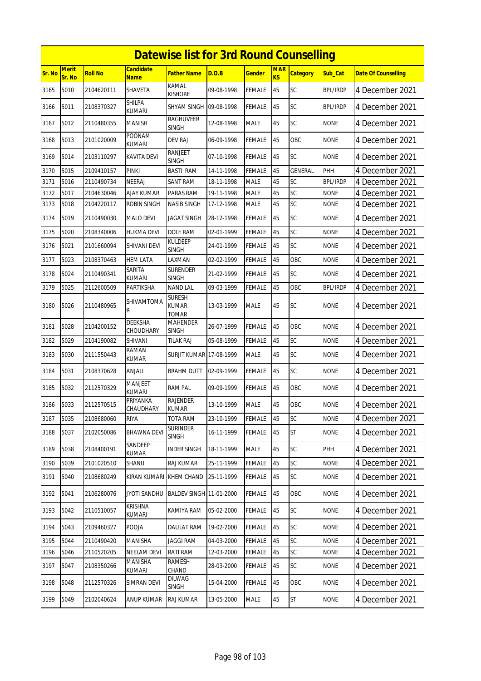|        | <b>Datewise list for 3rd Round Counselling</b> |                |                                 |                                 |            |               |                  |                 |                 |                            |  |
|--------|------------------------------------------------|----------------|---------------------------------|---------------------------------|------------|---------------|------------------|-----------------|-----------------|----------------------------|--|
| Sr. No | <b>Merit</b><br>Sr. No                         | <b>Roll No</b> | Candidate<br><b>Name</b>        | Father Name                     | D.O.B      | Gender        | <b>MAR</b><br>KS | <b>Category</b> | Sub_Cat         | <b>Date Of Counselling</b> |  |
| 3165   | 5010                                           | 2104620111     | SHAVETA                         | KAMAL<br>Kishore                | 09-08-1998 | <b>FEMALE</b> | 45               | SC              | <b>BPL/IRDP</b> | 4 December 2021            |  |
| 3166   | 5011                                           | 2108370327     | SHILPA<br>kumari                | SHYAM SINGH 09-08-1998          |            | <b>FEMALE</b> | 45               | SC              | <b>BPL/IRDP</b> | 4 December 2021            |  |
| 3167   | 5012                                           | 2110480355     | MANISH                          | RAGHUVEER<br>SINGH              | 12-08-1998 | <b>MALE</b>   | 45               | SC              | <b>NONE</b>     | 4 December 2021            |  |
| 3168   | 5013                                           | 2101020009     | POONAM<br>KUMARI                | <b>DEV RAJ</b>                  | 06-09-1998 | FEMALE        | 45               | OBC             | <b>NONE</b>     | 4 December 2021            |  |
| 3169   | 5014                                           | 2103110297     | KAVITA DEVI                     | <b>RANJEET</b><br><b>SINGH</b>  | 07-10-1998 | FEMALE        | 45               | SC              | <b>NONE</b>     | 4 December 2021            |  |
| 3170   | 5015                                           | 2109410157     | <b>PINKI</b>                    | <b>BASTI RAM</b>                | 14-11-1998 | <b>FEMALE</b> | 45               | <b>GENERAL</b>  | PHH             | 4 December 2021            |  |
| 3171   | 5016                                           | 2110490734     | NEERAJ                          | SANT RAM                        | 18-11-1998 | MALE          | 45               | SC              | <b>BPL/IRDP</b> | 4 December 2021            |  |
| 3172   | 5017                                           | 2104630046     | <b>AJAY KUMAR</b>               | PARAS RAM                       | 19-11-1998 | <b>MALE</b>   | 45               | SC              | <b>NONE</b>     | 4 December 2021            |  |
| 3173   | 5018                                           | 2104220117     | <b>ROBIN SINGH</b>              | NASIB SINGH                     | 17-12-1998 | MALE          | 45               | SC              | <b>NONE</b>     | 4 December 2021            |  |
| 3174   | 5019                                           | 2110490030     | <b>MALO DEVI</b>                | JAGAT SINGH                     | 28-12-1998 | FEMALE        | 45               | SC              | <b>NONE</b>     | 4 December 2021            |  |
| 3175   | 5020                                           | 2108340006     | <b>HUKMA DEVI</b>               | DOLE RAM                        | 02-01-1999 | FEMALE        | 45               | SC              | <b>NONE</b>     | 4 December 2021            |  |
| 3176   | 5021                                           | 2101660094     | <b>SHIVANI DEVI</b>             | KULDEEP<br><b>SINGH</b>         | 24-01-1999 | FEMALE        | 45               | <b>SC</b>       | <b>NONE</b>     | 4 December 2021            |  |
| 3177   | 5023                                           | 2108370463     | HEM LATA                        | LAXMAN                          | 02-02-1999 | <b>FEMALE</b> | 45               | OBC             | <b>NONE</b>     | 4 December 2021            |  |
| 3178   | 5024                                           | 2110490341     | <b>SARITA</b><br>kumari         | <b>SURENDER</b><br>SINGH        | 21-02-1999 | FEMALE        | 45               | SC              | <b>NONE</b>     | 4 December 2021            |  |
| 3179   | 5025                                           | 2112600509     | PARTIKSHA                       | <b>NAND LAL</b>                 | 09-03-1999 | FEMALE        | 45               | OBC             | <b>BPL/IRDP</b> | 4 December 2021            |  |
| 3180   | 5026                                           | 2110480965     | SHIVAMTOMA<br>R                 | Suresh<br>KUMAR<br>TOMAR        | 13-03-1999 | MALE          | 45               | SC              | <b>NONE</b>     | 4 December 2021            |  |
| 3181   | 5028                                           | 2104200152     | <b>DEEKSHA</b><br>CHOUDHARY     | <b>MAHENDER</b><br><b>SINGH</b> | 26-07-1999 | FEMALE        | 45               | OBC             | <b>NONE</b>     | 4 December 2021            |  |
| 3182   | 5029                                           | 2104190082     | SHIVANI                         | TILAK RAJ                       | 05-08-1999 | FEMALE        | 45               | SC              | <b>NONE</b>     | 4 December 2021            |  |
| 3183   | 5030                                           | 2111550443     | RAMAN<br>KUMAR                  | <b>SURJIT KUMAR 17-08-1999</b>  |            | MALE          | 45               | SC              | <b>NONE</b>     | 4 December 2021            |  |
| 3184   | 5031                                           | 2108370628     | ANJALI                          | <b>BRAHM DUTT</b>               | 02-09-1999 | FEMALE        | 45               | SC              | <b>NONE</b>     | 4 December 2021            |  |
| 3185   | 5032                                           | 2112570329     | <b>MANJEET</b><br><b>KUMARI</b> | RAM PAL                         | 09-09-1999 | FEMALE        | 45               | <b>OBC</b>      | <b>NONE</b>     | 4 December 2021            |  |
| 3186   | 5033                                           | 2112570515     | <b>PRIYANKA</b><br>CHAUDHARY    | <b>RAJENDER</b><br>KUMAR        | 13-10-1999 | <b>MALE</b>   | 45               | OBC             | <b>NONE</b>     | 4 December 2021            |  |
| 3187   | 5035                                           | 2108680060     | RIYA                            | TOTA RAM                        | 23-10-1999 | FEMALE        | 45               | SC              | <b>NONE</b>     | 4 December 2021            |  |
| 3188   | 5037                                           | 2102050086     | BHAWNA DEVI                     | <b>SURINDER</b><br>SINGH        | 16-11-1999 | FEMALE        | 45               | ST              | <b>NONE</b>     | 4 December 2021            |  |
| 3189   | 5038                                           | 2108400191     | SANDEEP<br>KUMAR                | <b>INDER SINGH</b>              | 18-11-1999 | MALE          | 45               | <b>SC</b>       | PHH             | 4 December 2021            |  |
| 3190   | 5039                                           | 2101020510     | SHANU                           | RAJ KUMAR                       | 25-11-1999 | <b>FEMALE</b> | 45               | SC              | <b>NONE</b>     | 4 December 2021            |  |
| 3191   | 5040                                           | 2108680249     | KIRAN KUMARI                    | KHEM CHAND                      | 25-11-1999 | FEMALE        | 45               | SC              | NONE            | 4 December 2021            |  |
| 3192   | 5041                                           | 2106280076     | JYOTI SANDHU                    | <b>BALDEV SINGH 11-01-2000</b>  |            | <b>FEMALE</b> | 45               | OBC             | <b>NONE</b>     | 4 December 2021            |  |
| 3193   | 5042                                           | 2110510057     | <b>KRISHNA</b><br>KUMARI        | KAMIYA RAM                      | 05-02-2000 | FEMALE        | 45               | <b>SC</b>       | <b>NONE</b>     | 4 December 2021            |  |
| 3194   | 5043                                           | 2109460327     | POOJA                           | DAULAT RAM                      | 19-02-2000 | FEMALE        | 45               | <b>SC</b>       | <b>NONE</b>     | 4 December 2021            |  |
| 3195   | 5044                                           | 2110490420     | <b>MANISHA</b>                  | <b>JAGGI RAM</b>                | 04-03-2000 | FEMALE        | 45               | SC              | <b>NONE</b>     | 4 December 2021            |  |
| 3196   | 5046                                           | 2110520205     | <b>NEELAM DEVI</b>              | RATI RAM                        | 12-03-2000 | <b>FEMALE</b> | 45               | <b>SC</b>       | <b>NONE</b>     | 4 December 2021            |  |
| 3197   | 5047                                           | 2108350266     | MANISHA<br>KUMARI               | <b>RAMESH</b><br>CHAND          | 28-03-2000 | FEMALE        | 45               | <b>SC</b>       | <b>NONE</b>     | 4 December 2021            |  |
| 3198   | 5048                                           | 2112570326     | SIMRAN DEVI                     | DILWAG<br><b>SINGH</b>          | 15-04-2000 | FEMALE        | 45               | OBC             | <b>NONE</b>     | 4 December 2021            |  |
| 3199   | 5049                                           | 2102040624     | <b>ANUP KUMAR</b>               | RAJ KUMAR                       | 13-05-2000 | MALE          | 45               | <b>ST</b>       | <b>NONE</b>     | 4 December 2021            |  |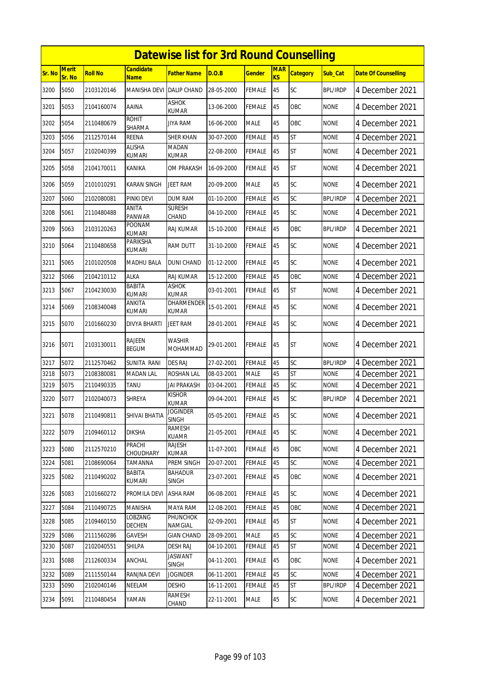|        | <b>Datewise list for 3rd Round Counselling</b> |                |                               |                                   |            |               |                         |                 |                 |                            |  |
|--------|------------------------------------------------|----------------|-------------------------------|-----------------------------------|------------|---------------|-------------------------|-----------------|-----------------|----------------------------|--|
| Sr. No | <b>Merit</b><br>Sr. No                         | <b>Roll No</b> | <b>Candidate</b><br>Name      | <b>Father Name</b>                | D.O.B      | <b>Gender</b> | <b>MAR</b><br><b>KS</b> | <b>Category</b> | Sub Cat         | <b>Date Of Counselling</b> |  |
| 3200   | 5050                                           | 2103120146     | <b>MANISHA DEVI</b>           | <b>DALIP CHAND</b>                | 28-05-2000 | <b>FEMALE</b> | 45                      | SC              | <b>BPL/IRDP</b> | 4 December 2021            |  |
| 3201   | 5053                                           | 2104160074     | AAINA                         | <b>ASHOK</b><br><b>KUMAR</b>      | 13-06-2000 | <b>FEMALE</b> | 45                      | OBC             | <b>NONE</b>     | 4 December 2021            |  |
| 3202   | 5054                                           | 2110480679     | <b>ROHIT</b><br>SHARMA        | <b>JIYA RAM</b>                   | 16-06-2000 | <b>MALE</b>   | 45                      | OBC             | <b>NONE</b>     | 4 December 2021            |  |
| 3203   | 5056                                           | 2112570144     | REENA                         | <b>SHER KHAN</b>                  | 30-07-2000 | <b>FEMALE</b> | 45                      | <b>ST</b>       | <b>NONE</b>     | 4 December 2021            |  |
| 3204   | 5057                                           | 2102040399     | ALISHA<br>KUMARI              | <b>MADAN</b><br>KUMAR             | 22-08-2000 | <b>FEMALE</b> | 45                      | <b>ST</b>       | <b>NONE</b>     | 4 December 2021            |  |
| 3205   | 5058                                           | 2104170011     | KANIKA                        | OM PRAKASH                        | 16-09-2000 | <b>FEMALE</b> | 45                      | <b>ST</b>       | <b>NONE</b>     | 4 December 2021            |  |
| 3206   | 5059                                           | 2101010291     | KARAN SINGH                   | JEET RAM                          | 20-09-2000 | <b>MALE</b>   | 45                      | SC              | <b>NONE</b>     | 4 December 2021            |  |
| 3207   | 5060                                           | 2102080081     | PINKI DEVI                    | <b>DUM RAM</b>                    | 01-10-2000 | <b>FEMALE</b> | 45                      | SC              | <b>BPL/IRDP</b> | 4 December 2021            |  |
| 3208   | 5061                                           | 2110480488     | ANITA<br><b>PANWAR</b>        | <b>SURESH</b><br>CHAND            | 04-10-2000 | <b>FEMALE</b> | 45                      | SC              | <b>NONE</b>     | 4 December 2021            |  |
| 3209   | 5063                                           | 2103120263     | POONAM<br><b>KUMARI</b>       | RAJ KUMAR                         | 15-10-2000 | <b>FEMALE</b> | 45                      | OBC             | <b>BPL/IRDP</b> | 4 December 2021            |  |
| 3210   | 5064                                           | 2110480658     | PARIKSHA<br>KUMARI            | RAM DUTT                          | 31-10-2000 | <b>FEMALE</b> | 45                      | SC              | <b>NONE</b>     | 4 December 2021            |  |
| 3211   | 5065                                           | 2101020508     | <b>MADHU BALA</b>             | <b>DUNI CHAND</b>                 | 01-12-2000 | <b>FEMALE</b> | 45                      | SC              | <b>NONE</b>     | 4 December 2021            |  |
| 3212   | 5066                                           | 2104210112     | ALKA                          | <b>RAJ KUMAR</b>                  | 15-12-2000 | <b>FEMALE</b> | 45                      | OBC             | <b>NONE</b>     | 4 December 2021            |  |
| 3213   | 5067                                           | 2104230030     | BABITA<br><b>KUMARI</b>       | <b>ASHOK</b><br><b>KUMAR</b>      | 03-01-2001 | <b>FEMALE</b> | 45                      | <b>ST</b>       | <b>NONE</b>     | 4 December 2021            |  |
| 3214   | 5069                                           | 2108340048     | ANKITA<br>KUMARI              | <b>DHARMENDER</b><br><b>KUMAR</b> | 15-01-2001 | FEMALE        | 45                      | SC              | <b>NONE</b>     | 4 December 2021            |  |
| 3215   | 5070                                           | 2101660230     | <b>DIVYA BHARTI</b>           | <b>JEET RAM</b>                   | 28-01-2001 | <b>FEMALE</b> | 45                      | SC              | <b>NONE</b>     | 4 December 2021            |  |
| 3216   | 5071                                           | 2103130011     | <b>RAJEEN</b><br><b>BEGUM</b> | WASHIR<br><b>MOHAMMAD</b>         | 29-01-2001 | <b>FEMALE</b> | 45                      | <b>ST</b>       | <b>NONE</b>     | 4 December 2021            |  |
| 3217   | 5072                                           | 2112570462     | SUNITA RANI                   | <b>DES RAJ</b>                    | 27-02-2001 | <b>FEMALE</b> | 45                      | SC              | <b>BPL/IRDP</b> | 4 December 2021            |  |
| 3218   | 5073                                           | 2108380081     | <b>MADAN LAL</b>              | ROSHAN LAL                        | 08-03-2001 | <b>MALE</b>   | 45                      | <b>ST</b>       | <b>NONE</b>     | 4 December 2021            |  |
| 3219   | 5075                                           | 2110490335     | TANU                          | <b>JAI PRAKASH</b>                | 03-04-2001 | <b>FEMALE</b> | 45                      | SC              | <b>NONE</b>     | 4 December 2021            |  |
| 3220   | 5077                                           | 2102040073     | <b>SHREYA</b>                 | <b>KISHOR</b><br><b>KUMAR</b>     | 09-04-2001 | <b>FEMALE</b> | 45                      | SC              | <b>BPL/IRDP</b> | 4 December 2021            |  |
| 3221   | 5078                                           | 2110490811     | SHIVAI BHATIA                 | <b>JOGINDER</b><br><b>SINGH</b>   | 05-05-2001 | <b>FEMALE</b> | 45                      | <b>SC</b>       | <b>NONE</b>     | 4 December 2021            |  |
| 3222   | 5079                                           | 2109460112     | <b>DIKSHA</b>                 | <b>RAMESH</b><br><b>KUAMR</b>     | 21-05-2001 | <b>FEMALE</b> | 45                      | <b>SC</b>       | <b>NONE</b>     | 4 December 2021            |  |
| 3223   | 5080                                           | 2112570210     | PRACHI<br>CHOUDHARY           | RAJESH<br><b>KUMAR</b>            | 11-07-2001 | <b>FEMALE</b> | 45                      | OBC             | <b>NONE</b>     | 4 December 2021            |  |
| 3224   | 5081                                           | 2108690064     | TAMANNA                       | PREM SINGH                        | 20-07-2001 | FEMALE        | 45                      | SC              | <b>NONE</b>     | 4 December 2021            |  |
| 3225   | 5082                                           | 2110490202     | BABITA<br>KUMARI              | <b>BAHADUR</b><br>SINGH           | 23-07-2001 | FEMALE        | 45                      | OBC             | <b>NONE</b>     | 4 December 2021            |  |
| 3226   | 5083                                           | 2101660272     | PROMILA DEVI                  | <b>ASHA RAM</b>                   | 06-08-2001 | <b>FEMALE</b> | 45                      | <b>SC</b>       | <b>NONE</b>     | 4 December 2021            |  |
| 3227   | 5084                                           | 2110490725     | MANISHA                       | MAYA RAM                          | 12-08-2001 | <b>FEMALE</b> | 45                      | OBC             | <b>NONE</b>     | 4 December 2021            |  |
| 3228   | 5085                                           | 2109460150     | LOBZANG<br>DECHEN             | <b>PHUNCHOK</b><br>NAMGIAL        | 02-09-2001 | <b>FEMALE</b> | 45                      | <b>ST</b>       | <b>NONE</b>     | 4 December 2021            |  |
| 3229   | 5086                                           | 2111560286     | GAVESH                        | <b>GIAN CHAND</b>                 | 28-09-2001 | <b>MALE</b>   | 45                      | SC              | <b>NONE</b>     | 4 December 2021            |  |
| 3230   | 5087                                           | 2102040551     | SHILPA                        | <b>DESH RAJ</b>                   | 04-10-2001 | <b>FEMALE</b> | 45                      | ST              | <b>NONE</b>     | 4 December 2021            |  |
| 3231   | 5088                                           | 2112600334     | ANCHAL                        | <b>JASWANT</b><br><b>SINGH</b>    | 04-11-2001 | <b>FEMALE</b> | 45                      | OBC             | <b>NONE</b>     | 4 December 2021            |  |
| 3232   | 5089                                           | 2111550144     | RANJNA DEVI                   | <b>JOGINDER</b>                   | 06-11-2001 | <b>FEMALE</b> | 45                      | SC              | <b>NONE</b>     | 4 December 2021            |  |
| 3233   | 5090                                           | 2102040146     | NEELAM                        | <b>DESHO</b>                      | 16-11-2001 | <b>FEMALE</b> | 45                      | <b>ST</b>       | <b>BPL/IRDP</b> | 4 December 2021            |  |
| 3234   | 5091                                           | 2110480454     | YAMAN                         | <b>RAMESH</b><br>CHAND            | 22-11-2001 | MALE          | 45                      | <b>SC</b>       | <b>NONE</b>     | 4 December 2021            |  |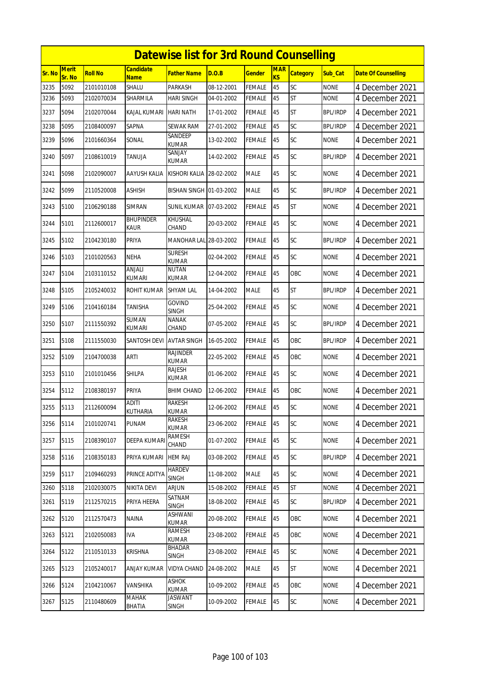|        | <b>Datewise list for 3rd Round Counselling</b> |                |                          |                                 |            |               |                              |                 |                 |                            |  |
|--------|------------------------------------------------|----------------|--------------------------|---------------------------------|------------|---------------|------------------------------|-----------------|-----------------|----------------------------|--|
| Sr. No | Merit<br>Sr. No                                | <b>Roll No</b> | Candidate<br>Name        | Father Name                     | D.O.B      | <b>Gender</b> | <b>MAR</b><br>K <sub>S</sub> | <b>Category</b> | Sub_Cat         | <b>Date Of Counselling</b> |  |
| 3235   | 5092                                           | 2101010108     | SHALU                    | <b>PARKASH</b>                  | 08-12-2001 | <b>FEMALE</b> | 45                           | SC              | <b>NONE</b>     | 4 December 2021            |  |
| 3236   | 5093                                           | 2102070034     | SHARMILA                 | HARI SINGH                      | 04-01-2002 | FEMALE        | 45                           | ST              | none            | 4 December 2021            |  |
| 3237   | 5094                                           | 2102070044     | KAJAL KUMARI             | <b>HARI NATH</b>                | 17-01-2002 | FEMALE        | 45                           | <b>ST</b>       | <b>BPL/IRDP</b> | 4 December 2021            |  |
| 3238   | 5095                                           | 2108400097     | SAPNA                    | SEWAK RAM                       | 27-01-2002 | FEMALE        | 45                           | SC              | BPL/IRDP        | 4 December 2021            |  |
| 3239   | 5096                                           | 2101660364     | SONAL                    | SANDEEP<br><b>KUMAR</b>         | 13-02-2002 | <b>FEMALE</b> | 45                           | <b>SC</b>       | <b>NONE</b>     | 4 December 2021            |  |
| 3240   | 5097                                           | 2108610019     | TANUJA                   | SANJAY<br>kumar                 | 14-02-2002 | FEMALE        | 45                           | SC              | <b>BPL/IRDP</b> | 4 December 2021            |  |
| 3241   | 5098                                           | 2102090007     | AAYUSH KALIA             | KISHORI KALIA 28-02-2002        |            | <b>MALE</b>   | 45                           | SC              | <b>NONE</b>     | 4 December 2021            |  |
| 3242   | 5099                                           | 2110520008     | ASHISH                   | BISHAN SINGH 01-03-2002         |            | <b>MALE</b>   | 45                           | SC              | BPL/IRDP        | 4 December 2021            |  |
| 3243   | 5100                                           | 2106290188     | <b>SIMRAN</b>            | <b>SUNIL KUMAR 07-03-2002</b>   |            | <b>FEMALE</b> | 45                           | <b>ST</b>       | <b>NONE</b>     | 4 December 2021            |  |
| 3244   | 5101                                           | 2112600017     | BHUPINDER<br>Kaur        | KHUSHAL<br>CHAND                | 20-03-2002 | <b>FEMALE</b> | 45                           | <b>SC</b>       | <b>NONE</b>     | 4 December 2021            |  |
| 3245   | 5102                                           | 2104230180     | PRIYA                    | MANOHAR LAL 28-03-2002          |            | <b>FEMALE</b> | 45                           | SC              | <b>BPL/IRDP</b> | 4 December 2021            |  |
| 3246   | 5103                                           | 2101020563     | NEHA                     | <b>SURESH</b><br>KUMAR          | 02-04-2002 | <b>FEMALE</b> | 45                           | SC              | <b>NONE</b>     | 4 December 2021            |  |
| 3247   | 5104                                           | 2103110152     | <b>ANJALI</b><br>KUMARI  | <b>NUTAN</b><br>KUMAR           | 12-04-2002 | <b>FEMALE</b> | 45                           | OBC             | <b>NONE</b>     | 4 December 2021            |  |
| 3248   | 5105                                           | 2105240032     | ROHIT KUMAR              | <b>SHYAM LAL</b>                | 14-04-2002 | <b>MALE</b>   | 45                           | <b>ST</b>       | <b>BPL/IRDP</b> | 4 December 2021            |  |
| 3249   | 5106                                           | 2104160184     | TANISHA                  | <b>GOVIND</b><br><b>SINGH</b>   | 25-04-2002 | FEMALE        | 45                           | SC              | <b>NONE</b>     | 4 December 2021            |  |
| 3250   | 5107                                           | 2111550392     | SUMAN<br><b>KUMARI</b>   | <b>NANAK</b><br>CHAND           | 07-05-2002 | <b>FEMALE</b> | 45                           | SC              | <b>BPL/IRDP</b> | 4 December 2021            |  |
| 3251   | 5108                                           | 2111550030     | SANTOSH DEVI             | <b>AVTAR SINGH</b>              | 16-05-2002 | FEMALE        | 45                           | OBC             | <b>BPL/IRDP</b> | 4 December 2021            |  |
| 3252   | 5109                                           | 2104700038     | ARTI                     | <b>RAJINDER</b><br><b>KUMAR</b> | 22-05-2002 | <b>FEMALE</b> | 45                           | OBC             | <b>NONE</b>     | 4 December 2021            |  |
| 3253   | 5110                                           | 2101010456     | SHILPA                   | RAJESH<br>KUMAR                 | 01-06-2002 | FEMALE        | 45                           | <b>SC</b>       | <b>NONE</b>     | 4 December 2021            |  |
| 3254   | 5112                                           | 2108380197     | PRIYA                    | <b>BHIM CHAND</b>               | 12-06-2002 | <b>FEMALE</b> | 45                           | OBC             | <b>NONE</b>     | 4 December 2021            |  |
| 3255   | 5113                                           | 2112600094     | <b>ADITI</b><br>KUTHARIA | <b>RAKESH</b><br><b>KUMAR</b>   | 12-06-2002 | <b>FEMALE</b> | 45                           | SC              | <b>NONE</b>     | 4 December 2021            |  |
| 3256   | 5114                                           | 2101020741     | PUNAM                    | RAKESH<br>kumar                 | 23-06-2002 | <b>FEMALE</b> | 45                           | SC              | <b>NONE</b>     | 4 December 2021            |  |
| 3257   | 5115                                           | 2108390107     | <b>DEEPA KUMARI</b>      | <b>RAMESH</b><br>CHAND          | 01-07-2002 | <b>FEMALE</b> | 45                           | <b>SC</b>       | <b>NONE</b>     | 4 December 2021            |  |
| 3258   | 5116                                           | 2108350183     | PRIYA KUMARI             | <b>HEM RAJ</b>                  | 03-08-2002 | FEMALE        | 45                           | <b>SC</b>       | <b>BPL/IRDP</b> | 4 December 2021            |  |
| 3259   | 5117                                           | 2109460293     | PRINCE ADITYA            | <b>HARDEV</b><br><b>SINGH</b>   | 11-08-2002 | MALE          | 45                           | <b>SC</b>       | <b>NONE</b>     | 4 December 2021            |  |
| 3260   | 5118                                           | 2102030075     | NIKITA DEVI              | <b>ARJUN</b>                    | 15-08-2002 | <b>FEMALE</b> | 45                           | <b>ST</b>       | <b>NONE</b>     | 4 December 2021            |  |
| 3261   | 5119                                           | 2112570215     | PRIYA HEERA              | SATNAM<br><b>SINGH</b>          | 18-08-2002 | <b>FEMALE</b> | 45                           | <b>SC</b>       | <b>BPL/IRDP</b> | 4 December 2021            |  |
| 3262   | 5120                                           | 2112570473     | NAINA                    | ASHWANI<br><b>KUMAR</b>         | 20-08-2002 | <b>FEMALE</b> | 45                           | OBC             | <b>NONE</b>     | 4 December 2021            |  |
| 3263   | 5121                                           | 2102050083     | IVA                      | <b>RAMESH</b><br><b>KUMAR</b>   | 23-08-2002 | FEMALE        | 45                           | OBC             | <b>NONE</b>     | 4 December 2021            |  |
| 3264   | 5122                                           | 2110510133     | <b>KRISHNA</b>           | <b>BHADAR</b><br><b>SINGH</b>   | 23-08-2002 | <b>FEMALE</b> | 45                           | <b>SC</b>       | <b>NONE</b>     | 4 December 2021            |  |
| 3265   | 5123                                           | 2105240017     | ANJAY KUMAR              | <b>VIDYA CHAND</b>              | 24-08-2002 | <b>MALE</b>   | 45                           | ST              | <b>NONE</b>     | 4 December 2021            |  |
| 3266   | 5124                                           | 2104210067     | VANSHIKA                 | ASHOK<br><b>KUMAR</b>           | 10-09-2002 | <b>FEMALE</b> | 45                           | OBC             | <b>NONE</b>     | 4 December 2021            |  |
| 3267   | 5125                                           | 2110480609     | <b>MAHAK</b><br>BHATIA   | JASWANT<br><b>SINGH</b>         | 10-09-2002 | <b>FEMALE</b> | 45                           | <b>SC</b>       | <b>NONE</b>     | 4 December 2021            |  |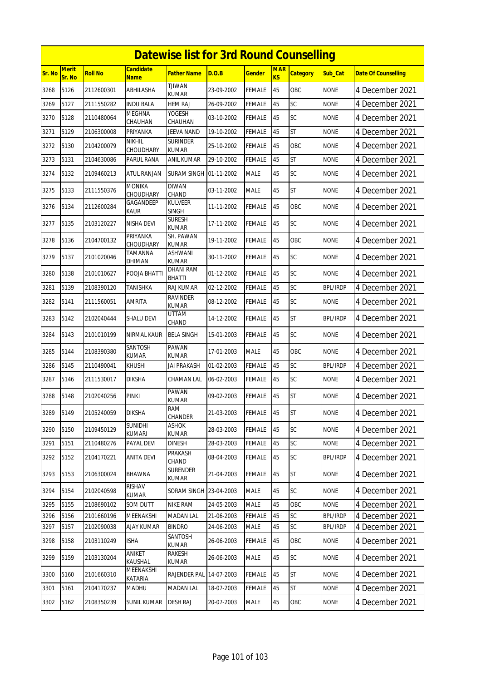|        | <b>Datewise list for 3rd Round Counselling</b> |                |                                 |                                   |            |               |                  |                 |                 |                            |  |
|--------|------------------------------------------------|----------------|---------------------------------|-----------------------------------|------------|---------------|------------------|-----------------|-----------------|----------------------------|--|
| Sr. No | <b>Merit</b><br>Sr. No                         | <b>Roll No</b> | <b>Candidate</b><br><b>Name</b> | <b>Father Name</b>                | D.O.B      | <b>Gender</b> | <b>MAR</b><br>KS | <b>Category</b> | Sub Cat         | <b>Date Of Counselling</b> |  |
| 3268   | 5126                                           | 2112600301     | ABHILASHA                       | <b>TJIWAN</b><br><b>KUMAR</b>     | 23-09-2002 | <b>FEMALE</b> | 45               | OBC             | <b>NONE</b>     | 4 December 2021            |  |
| 3269   | 5127                                           | 2111550282     | <b>INDU BALA</b>                | <b>HEM RAJ</b>                    | 26-09-2002 | <b>FEMALE</b> | 45               | SC              | <b>NONE</b>     | 4 December 2021            |  |
| 3270   | 5128                                           | 2110480064     | <b>MEGHNA</b><br>CHAUHAN        | YOGESH<br>CHAUHAN                 | 03-10-2002 | FEMALE        | 45               | SC              | <b>NONE</b>     | 4 December 2021            |  |
| 3271   | 5129                                           | 2106300008     | PRIYANKA                        | JEEVA NAND                        | 19-10-2002 | <b>FEMALE</b> | 45               | <b>ST</b>       | <b>NONE</b>     | 4 December 2021            |  |
| 3272   | 5130                                           | 2104200079     | <b>NIKHIL</b><br>CHOUDHARY      | <b>SURINDER</b><br><b>KUMAR</b>   | 25-10-2002 | <b>FEMALE</b> | 45               | <b>OBC</b>      | <b>NONE</b>     | 4 December 2021            |  |
| 3273   | 5131                                           | 2104630086     | PARUL RANA                      | ANIL KUMAR                        | 29-10-2002 | <b>FEMALE</b> | 45               | <b>ST</b>       | <b>NONE</b>     | 4 December 2021            |  |
| 3274   | 5132                                           | 2109460213     | <b>ATUL RANJAN</b>              | <b>SURAM SINGH</b>                | 01-11-2002 | <b>MALE</b>   | 45               | SC              | <b>NONE</b>     | 4 December 2021            |  |
| 3275   | 5133                                           | 2111550376     | <b>MONIKA</b><br>CHOUDHARY      | <b>DIWAN</b><br>CHAND             | 03-11-2002 | <b>MALE</b>   | 45               | <b>ST</b>       | <b>NONE</b>     | 4 December 2021            |  |
| 3276   | 5134                                           | 2112600284     | GAGANDEEP<br>KAUR               | <b>KULVEER</b><br><b>SINGH</b>    | 11-11-2002 | <b>FEMALE</b> | 45               | OBC             | <b>NONE</b>     | 4 December 2021            |  |
| 3277   | 5135                                           | 2103120227     | NISHA DEVI                      | SURESH<br><b>KUMAR</b>            | 17-11-2002 | <b>FEMALE</b> | 45               | <b>SC</b>       | None            | 4 December 2021            |  |
| 3278   | 5136                                           | 2104700132     | PRIYANKA<br><b>CHOUDHARY</b>    | SH. PAWAN<br><b>KUMAR</b>         | 19-11-2002 | <b>FEMALE</b> | 45               | OBC             | <b>NONE</b>     | 4 December 2021            |  |
| 3279   | 5137                                           | 2101020046     | TAMANNA<br>DHIMAN               | <b>ASHWANI</b><br><b>KUMAR</b>    | 30-11-2002 | <b>FEMALE</b> | 45               | SC              | <b>NONE</b>     | 4 December 2021            |  |
| 3280   | 5138                                           | 2101010627     | POOJA BHATTI                    | <b>DHANI RAM</b><br><b>BHATTI</b> | 01-12-2002 | <b>FEMALE</b> | 45               | SC              | <b>NONE</b>     | 4 December 2021            |  |
| 3281   | 5139                                           | 2108390120     | TANISHKA                        | RAJ KUMAR                         | 02-12-2002 | FEMALE        | 45               | SC              | <b>BPL/IRDP</b> | 4 December 2021            |  |
| 3282   | 5141                                           | 2111560051     | <b>AMRITA</b>                   | <b>RAVINDER</b><br><b>KUMAR</b>   | 08-12-2002 | <b>FEMALE</b> | 45               | SC              | <b>NONE</b>     | 4 December 2021            |  |
| 3283   | 5142                                           | 2102040444     | SHALU DEVI                      | UTTAM<br>CHAND                    | 14-12-2002 | <b>FEMALE</b> | 45               | <b>ST</b>       | <b>BPL/IRDP</b> | 4 December 2021            |  |
| 3284   | 5143                                           | 2101010199     | NIRMAL KAUR                     | <b>BELA SINGH</b>                 | 15-01-2003 | <b>FEMALE</b> | 45               | SC              | <b>NONE</b>     | 4 December 2021            |  |
| 3285   | 5144                                           | 2108390380     | SANTOSH<br><b>KUMAR</b>         | <b>PAWAN</b><br>KUMAR             | 17-01-2003 | <b>MALE</b>   | 45               | OBC             | <b>NONE</b>     | 4 December 2021            |  |
| 3286   | 5145                                           | 2110490041     | KHUSHI                          | JAI PRAKASH                       | 01-02-2003 | <b>FEMALE</b> | 45               | SC              | <b>BPL/IRDP</b> | 4 December 2021            |  |
| 3287   | 5146                                           | 2111530017     | <b>DIKSHA</b>                   | CHAMAN LAL                        | 06-02-2003 | <b>FEMALE</b> | 45               | SC              | <b>NONE</b>     | 4 December 2021            |  |
| 3288   | 5148                                           | 2102040256     | <b>PINKI</b>                    | <b>PAWAN</b><br><b>KUMAR</b>      | 09-02-2003 | <b>FEMALE</b> | 45               | ST              | <b>NONE</b>     | 4 December 2021            |  |
| 3289   | 5149                                           | 2105240059     | <b>DIKSHA</b>                   | RAM<br>CHANDER                    | 21-03-2003 | <b>FEMALE</b> | 45               | <b>ST</b>       | <b>NONE</b>     | 4 December 2021            |  |
| 3290   | 5150                                           | 2109450129     | <b>SUNIDHI</b><br>KUMARI        | <b>ASHOK</b><br><b>KUMAR</b>      | 28-03-2003 | FEMALE        | 45               | <b>SC</b>       | <b>NONE</b>     | 4 December 2021            |  |
| 3291   | 5151                                           | 2110480276     | PAYAL DEVI                      | DINESH                            | 28-03-2003 | <b>FEMALE</b> | 45               | SC              | <b>NONE</b>     | 4 December 2021            |  |
| 3292   | 5152                                           | 2104170221     | ANITA DEVI                      | PRAKASH<br>CHAND                  | 08-04-2003 | FEMALE        | 45               | <b>SC</b>       | <b>BPL/IRDP</b> | 4 December 2021            |  |
| 3293   | 5153                                           | 2106300024     | <b>BHAWNA</b>                   | <b>SURENDER</b><br><b>KUMAR</b>   | 21-04-2003 | <b>FEMALE</b> | 45               | <b>ST</b>       | <b>NONE</b>     | 4 December 2021            |  |
| 3294   | 5154                                           | 2102040598     | RISHAV<br>KUMAR                 | SORAM SINGH 23-04-2003            |            | <b>MALE</b>   | 45               | <b>SC</b>       | <b>NONE</b>     | 4 December 2021            |  |
| 3295   | 5155                                           | 2108690102     | SOM DUTT                        | <b>NIKE RAM</b>                   | 24-05-2003 | <b>MALE</b>   | 45               | OBC             | <b>NONE</b>     | 4 December 2021            |  |
| 3296   | 5156                                           | 2101660196     | MEENAKSHI                       | MADAN LAL                         | 21-06-2003 | <b>FEMALE</b> | 45               | SC              | <b>BPL/IRDP</b> | 4 December 2021            |  |
| 3297   | 5157                                           | 2102090038     | AJAY KUMAR                      | <b>BINDRO</b>                     | 24-06-2003 | <b>MALE</b>   | 45               | <b>SC</b>       | <b>BPL/IRDP</b> | 4 December 2021            |  |
| 3298   | 5158                                           | 2103110249     | ISHA                            | SANTOSH<br>kumar                  | 26-06-2003 | <b>FEMALE</b> | 45               | OBC             | <b>NONE</b>     | 4 December 2021            |  |
| 3299   | 5159                                           | 2103130204     | ANIKET<br>KAUSHAL               | RAKESH<br>KUMAR                   | 26-06-2003 | <b>MALE</b>   | 45               | SC              | <b>NONE</b>     | 4 December 2021            |  |
| 3300   | 5160                                           | 2101660310     | MEENAKSHI<br>KATARIA            | RAJENDER PAL                      | 14-07-2003 | <b>FEMALE</b> | 45               | <b>ST</b>       | <b>NONE</b>     | 4 December 2021            |  |
| 3301   | 5161                                           | 2104170237     | MADHU                           | MADAN LAL                         | 18-07-2003 | FEMALE        | 45               | ST              | <b>NONE</b>     | 4 December 2021            |  |
| 3302   | 5162                                           | 2108350239     | SUNIL KUMAR                     | <b>DESH RAJ</b>                   | 20-07-2003 | <b>MALE</b>   | 45               | OBC             | <b>NONE</b>     | 4 December 2021            |  |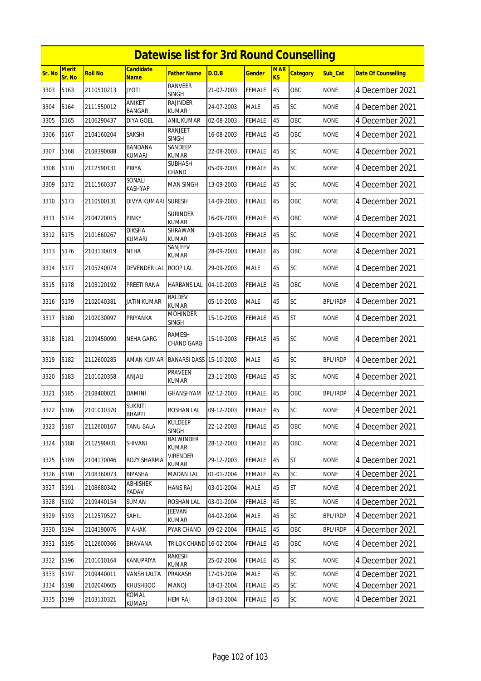|        | <b>Datewise list for 3rd Round Counselling</b> |                |                          |                                 |            |               |                  |                 |                 |                            |  |
|--------|------------------------------------------------|----------------|--------------------------|---------------------------------|------------|---------------|------------------|-----------------|-----------------|----------------------------|--|
| Sr. No | Merit<br>Sr. No                                | <b>Roll No</b> | Candidate<br><b>Name</b> | <b>Father Name</b>              | D.O.B      | <b>Gender</b> | <b>MAR</b><br>KS | <b>Category</b> | Sub Cat         | <b>Date Of Counselling</b> |  |
| 3303   | 5163                                           | 2110510213     | JYOTI                    | <b>RANVEER</b><br><b>SINGH</b>  | 21-07-2003 | FEMALE        | 45               | OBC             | <b>NONE</b>     | 4 December 2021            |  |
| 3304   | 5164                                           | 2111550012     | ANIKET<br><b>BANGAR</b>  | RAJINDER<br>KUMAR               | 24-07-2003 | <b>MALE</b>   | 45               | SC              | <b>NONE</b>     | 4 December 2021            |  |
| 3305   | 5165                                           | 2106290437     | DIYA GOEL                | ANIL KUMAR                      | 02-08-2003 | <b>FEMALE</b> | 45               | OBC             | <b>NONE</b>     | 4 December 2021            |  |
| 3306   | 5167                                           | 2104160204     | <b>SAKSHI</b>            | <b>RANJEET</b><br><b>SINGH</b>  | 16-08-2003 | FEMALE        | 45               | OBC             | <b>NONE</b>     | 4 December 2021            |  |
| 3307   | 5168                                           | 2108390088     | BANDANA<br>kumari        | SANDEEP<br><b>KUMAR</b>         | 22-08-2003 | FEMALE        | 45               | SC              | <b>NONE</b>     | 4 December 2021            |  |
| 3308   | 5170                                           | 2112590131     | PRIYA                    | SUBHASH<br>CHAND                | 05-09-2003 | FEMALE        | 45               | SC              | <b>NONE</b>     | 4 December 2021            |  |
| 3309   | 5172                                           | 2111560337     | Sonali<br>KASHYAP        | MAN SINGH                       | 13-09-2003 | <b>FEMALE</b> | 45               | SC              | <b>NONE</b>     | 4 December 2021            |  |
| 3310   | 5173                                           | 2110500131     | DIVYA KUMARI             | <b>SURESH</b>                   | 14-09-2003 | FEMALE        | 45               | OBC             | <b>NONE</b>     | 4 December 2021            |  |
| 3311   | 5174                                           | 2104220015     | <b>PINKY</b>             | Surinder<br><b>KUMAR</b>        | 16-09-2003 | <b>FEMALE</b> | 45               | OBC             | <b>NONE</b>     | 4 December 2021            |  |
| 3312   | 5175                                           | 2101660267     | <b>DIKSHA</b><br>kumari  | SHRAWAN<br>KUMAR                | 19-09-2003 | FEMALE        | 45               | SC              | <b>NONE</b>     | 4 December 2021            |  |
| 3313   | 5176                                           | 2103130019     | <b>NEHA</b>              | SANJEEV<br><b>KUMAR</b>         | 28-09-2003 | FEMALE        | 45               | OBC             | <b>NONE</b>     | 4 December 2021            |  |
| 3314   | 5177                                           | 2105240074     | <b>DEVENDER LAL</b>      | ROOP LAL                        | 29-09-2003 | <b>MALE</b>   | 45               | SC              | <b>NONE</b>     | 4 December 2021            |  |
| 3315   | 5178                                           | 2103120192     | PREETI RANA              | <b>HARBANS LAL</b>              | 04-10-2003 | <b>FEMALE</b> | 45               | <b>OBC</b>      | <b>NONE</b>     | 4 December 2021            |  |
| 3316   | 5179                                           | 2102040381     | JATIN KUMAR              | BALDEV<br>KUMAR                 | 05-10-2003 | <b>MALE</b>   | 45               | SC              | <b>BPL/IRDP</b> | 4 December 2021            |  |
| 3317   | 5180                                           | 2102030097     | PRIYANKA                 | <b>MOHINDER</b><br><b>SINGH</b> | 15-10-2003 | FEMALE        | 45               | <b>ST</b>       | <b>NONE</b>     | 4 December 2021            |  |
| 3318   | 5181                                           | 2109450090     | <b>NEHA GARG</b>         | ramesh<br>CHAND GARG            | 15-10-2003 | FEMALE        | 45               | SC              | <b>NONE</b>     | 4 December 2021            |  |
| 3319   | 5182                                           | 2112600285     | AMAN KUMAR               | <b>BANARSI DASS</b>             | 15-10-2003 | <b>MALE</b>   | 45               | SC              | <b>BPL/IRDP</b> | 4 December 2021            |  |
| 3320   | 5183                                           | 2101020358     | ANJALI                   | PRAVEEN<br>KUMAR                | 23-11-2003 | FEMALE        | 45               | SC              | <b>NONE</b>     | 4 December 2021            |  |
| 3321   | 5185                                           | 2108400021     | DAMINI                   | GHANSHYAM                       | 02-12-2003 | FEMALE        | 45               | OBC             | BPL/IRDP        | 4 December 2021            |  |
| 3322   | 5186                                           | 2101010370     | <b>SUKRITI</b><br>BHARTI | <b>ROSHAN LAL</b>               | 09-12-2003 | <b>FEMALE</b> | 45               | <b>SC</b>       | <b>NONE</b>     | 4 December 2021            |  |
| 3323   | 5187                                           | 2112600167     | <b>TANU BALA</b>         | <b>KULDEEP</b><br>SINGH         | 22-12-2003 | <b>FEMALE</b> | 45               | OBC             | <b>NONE</b>     | 4 December 2021            |  |
| 3324   | 5188                                           | 2112590031     | SHIVANI                  | <b>BALWINDER</b><br>kumar       | 28-12-2003 | FEMALE        | 45               | OBC             | <b>NONE</b>     | 4 December 2021            |  |
| 3325   | 5189                                           | 2104170046     | ROZY SHARMA              | <b>VIRENDER</b><br>KUMAR        | 29-12-2003 | <b>FEMALE</b> | 45               | <b>ST</b>       | <b>NONE</b>     | 4 December 2021            |  |
| 3326   | 5190                                           | 2108360073     | <b>BIPASHA</b>           | <b>MADAN LAL</b>                | 01-01-2004 | <b>FEMALE</b> | 45               | SC              | <b>NONE</b>     | 4 December 2021            |  |
| 3327   | 5191                                           | 2108680342     | ABHISHEK<br>YADAV        | <b>HANS RAJ</b>                 | 03-01-2004 | <b>MALE</b>   | 45               | ST              | <b>NONE</b>     | 4 December 2021            |  |
| 3328   | 5192                                           | 2109440154     | SUMAN                    | <b>ROSHAN LAL</b>               | 03-01-2004 | <b>FEMALE</b> | 45               | SC              | <b>NONE</b>     | 4 December 2021            |  |
| 3329   | 5193                                           | 2112570527     | Sahil                    | <b>JEEVAN</b><br>KUMAR          | 04-02-2004 | <b>MALE</b>   | 45               | SC              | <b>BPL/IRDP</b> | 4 December 2021            |  |
| 3330   | 5194                                           | 2104190076     | MAHAK                    | PYAR CHAND                      | 09-02-2004 | <b>FEMALE</b> | 45               | OBC             | <b>BPL/IRDP</b> | 4 December 2021            |  |
| 3331   | 5195                                           | 2112600366     | BHAVANA                  | TRILOK CHAND 16-02-2004         |            | FEMALE        | 45               | OBC             | <b>NONE</b>     | 4 December 2021            |  |
| 3332   | 5196                                           | 2101010164     | KANUPRIYA                | RAKESH<br>kumar                 | 25-02-2004 | <b>FEMALE</b> | 45               | SC              | <b>NONE</b>     | 4 December 2021            |  |
| 3333   | 5197                                           | 2109440011     | VANSH LALTA              | PRAKASH                         | 17-03-2004 | <b>MALE</b>   | 45               | SC              | <b>NONE</b>     | 4 December 2021            |  |
| 3334   | 5198                                           | 2102040605     | <b>KHUSHBOO</b>          | <b>MANOJ</b>                    | 18-03-2004 | <b>FEMALE</b> | 45               | SC              | <b>NONE</b>     | 4 December 2021            |  |
| 3335   | 5199                                           | 2103110321     | KOMAL<br>kumari          | <b>HEM RAJ</b>                  | 18-03-2004 | <b>FEMALE</b> | 45               | SC              | <b>NONE</b>     | 4 December 2021            |  |